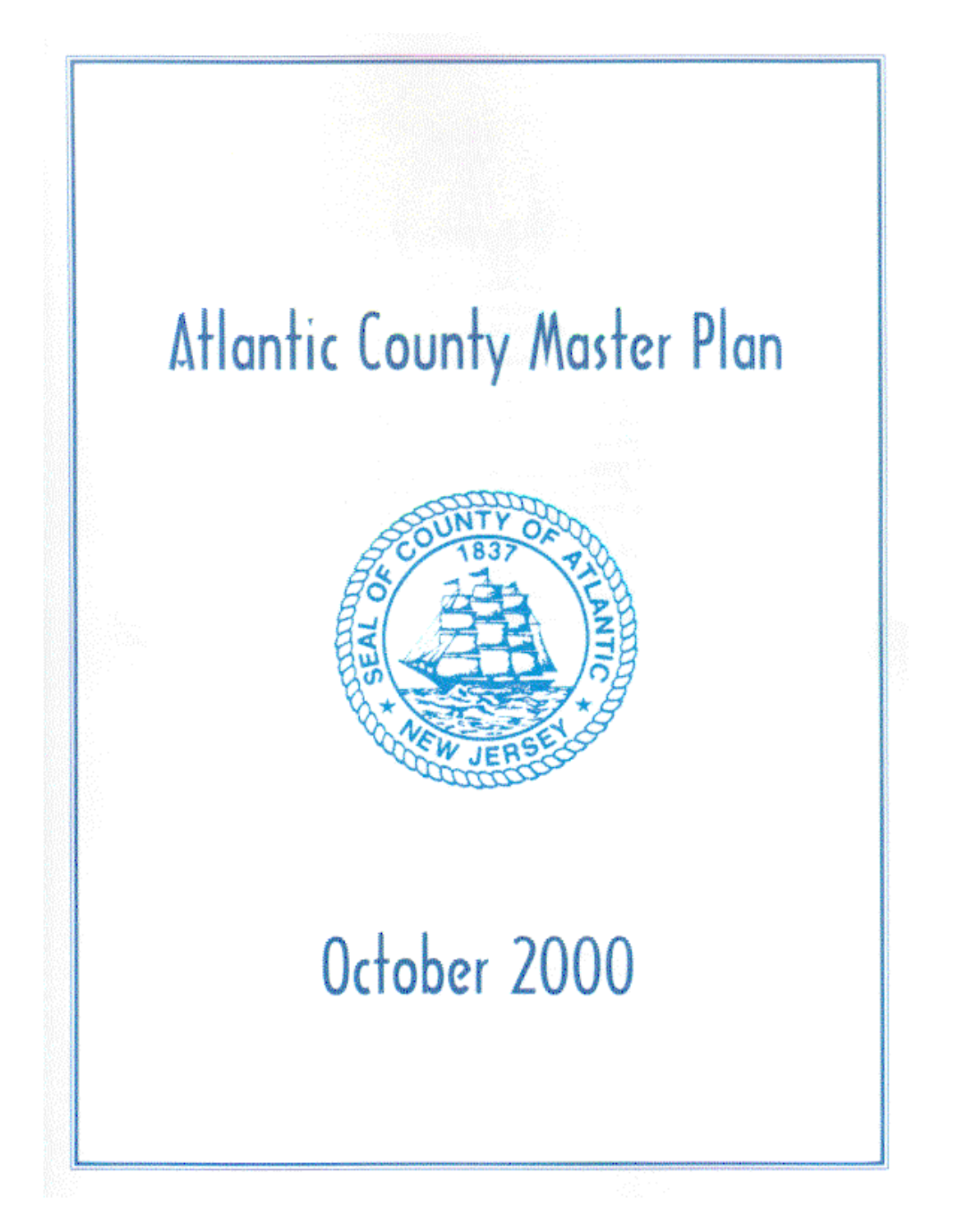# Atlantic County Master Plan



## October 2000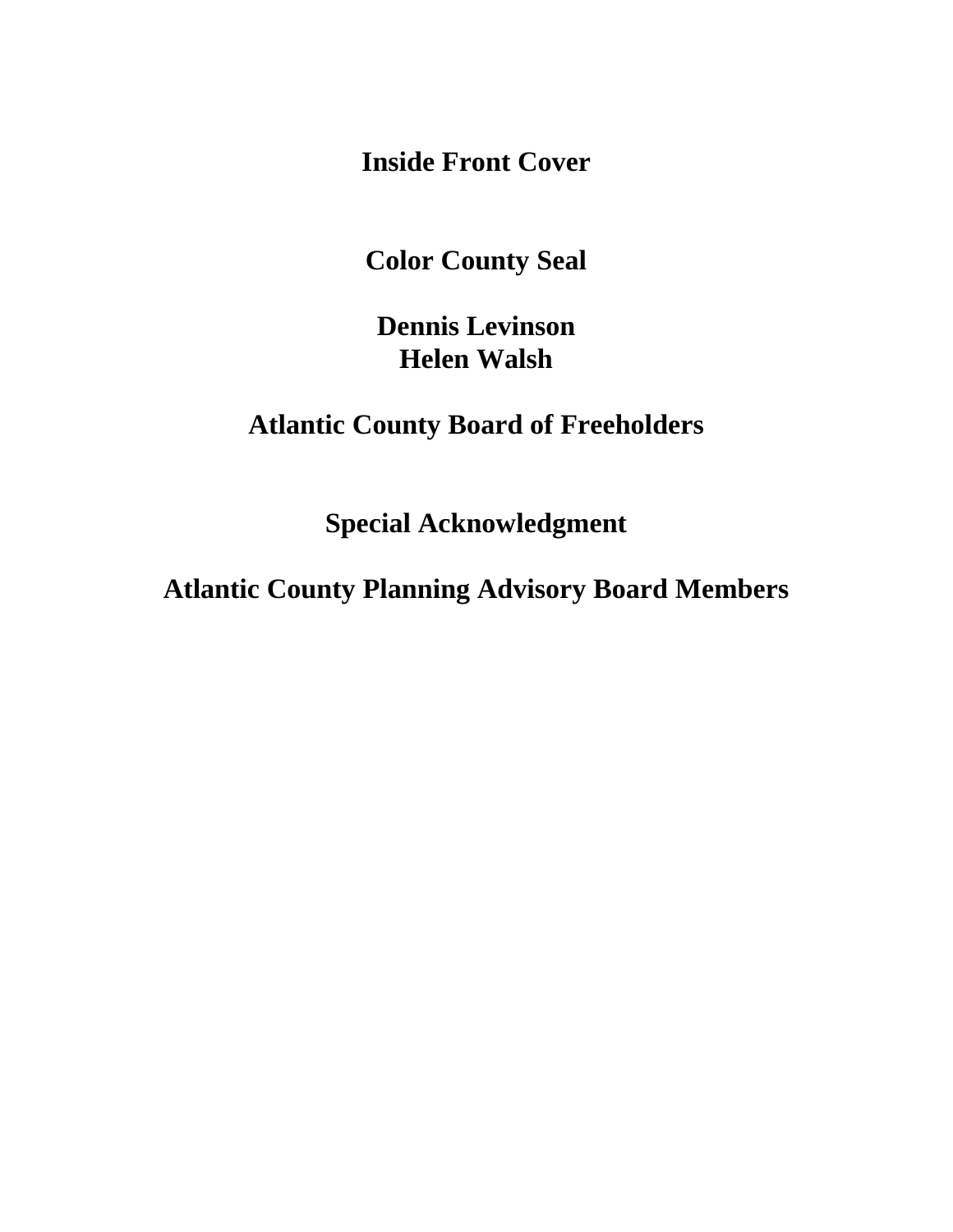**Inside Front Cover** 

**Color County Seal** 

**Dennis Levinson Helen Walsh** 

**Atlantic County Board of Freeholders** 

**Special Acknowledgment** 

**Atlantic County Planning Advisory Board Members**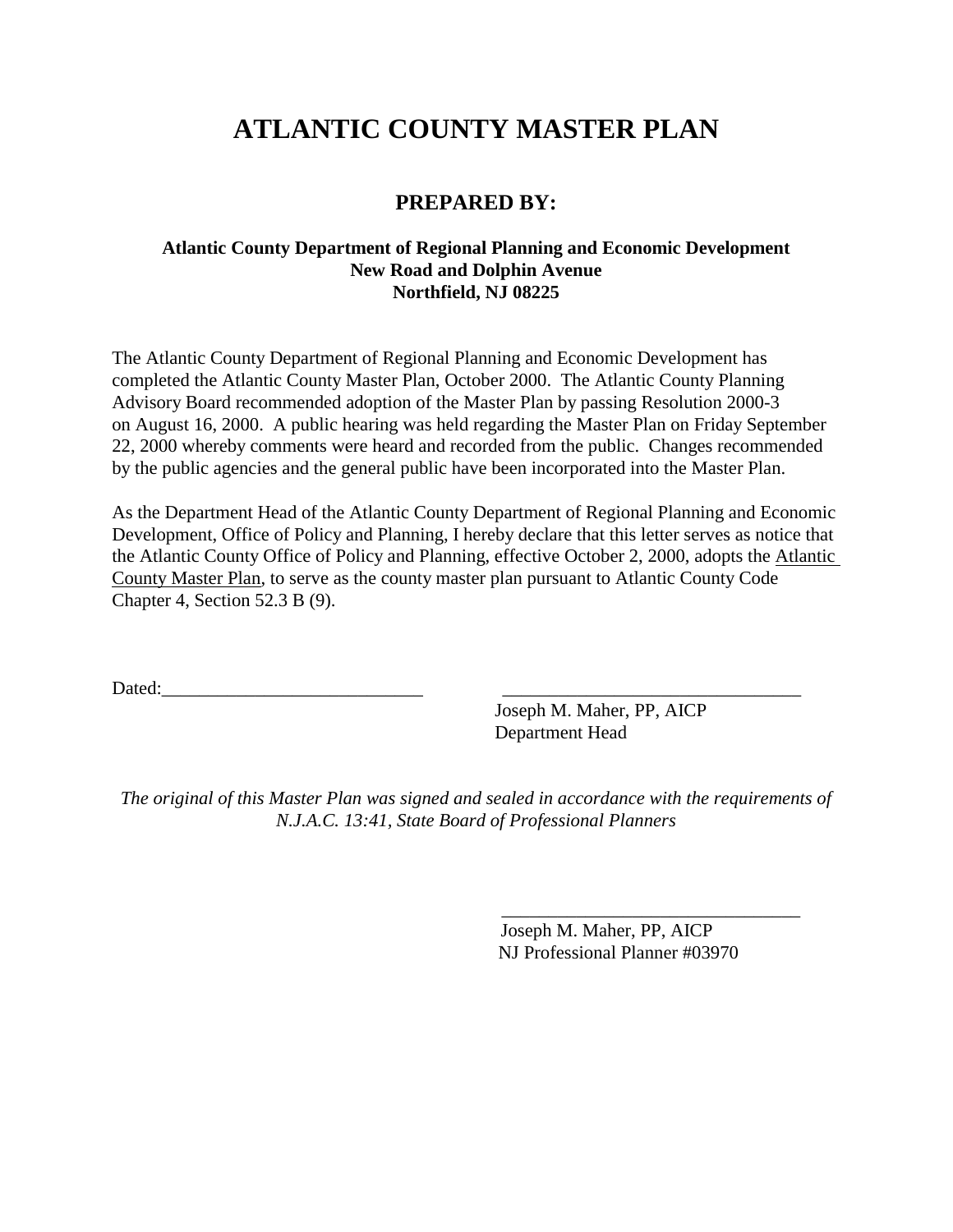## **ATLANTIC COUNTY MASTER PLAN**

## **PREPARED BY:**

## **Atlantic County Department of Regional Planning and Economic Development New Road and Dolphin Avenue Northfield, NJ 08225**

The Atlantic County Department of Regional Planning and Economic Development has completed the Atlantic County Master Plan, October 2000. The Atlantic County Planning Advisory Board recommended adoption of the Master Plan by passing Resolution 2000-3 on August 16, 2000. A public hearing was held regarding the Master Plan on Friday September 22, 2000 whereby comments were heard and recorded from the public. Changes recommended by the public agencies and the general public have been incorporated into the Master Plan.

As the Department Head of the Atlantic County Department of Regional Planning and Economic Development, Office of Policy and Planning, I hereby declare that this letter serves as notice that the Atlantic County Office of Policy and Planning, effective October 2, 2000, adopts the Atlantic County Master Plan, to serve as the county master plan pursuant to Atlantic County Code Chapter 4, Section 52.3 B (9).

Dated:\_\_\_\_\_\_\_\_\_\_\_\_\_\_\_\_\_\_\_\_\_\_\_\_\_\_\_\_ \_\_\_\_\_\_\_\_\_\_\_\_\_\_\_\_\_\_\_\_\_\_\_\_\_\_\_\_\_\_\_\_

 Joseph M. Maher, PP, AICP Department Head

*The original of this Master Plan was signed and sealed in accordance with the requirements of N.J.A.C. 13:41, State Board of Professional Planners* 

 *\_\_\_\_\_\_\_\_\_\_\_\_\_\_\_\_\_\_\_\_\_\_\_\_\_\_\_\_\_\_\_\_* 

Joseph M. Maher, PP, AICP NJ Professional Planner #03970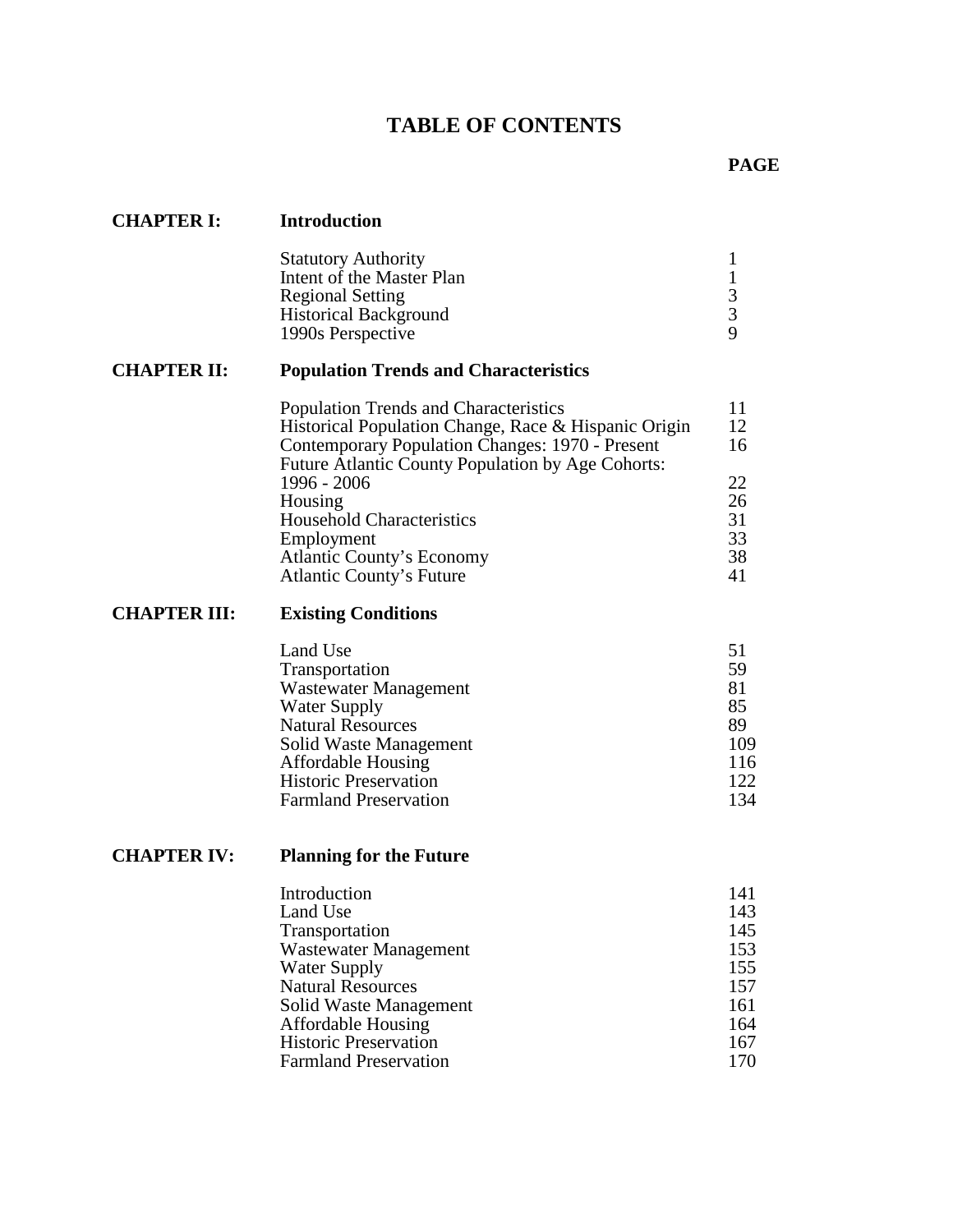## **TABLE OF CONTENTS**

| <b>CHAPTER I:</b>   | <b>Introduction</b>                                                                                                                                                                                                                                                                                                                                             |                                                                    |
|---------------------|-----------------------------------------------------------------------------------------------------------------------------------------------------------------------------------------------------------------------------------------------------------------------------------------------------------------------------------------------------------------|--------------------------------------------------------------------|
|                     | <b>Statutory Authority</b><br>Intent of the Master Plan<br><b>Regional Setting</b><br><b>Historical Background</b><br>1990s Perspective                                                                                                                                                                                                                         | 1<br>$\begin{array}{c} 1 \\ 3 \\ 9 \end{array}$                    |
| <b>CHAPTER II:</b>  | <b>Population Trends and Characteristics</b>                                                                                                                                                                                                                                                                                                                    |                                                                    |
|                     | <b>Population Trends and Characteristics</b><br>Historical Population Change, Race & Hispanic Origin<br>Contemporary Population Changes: 1970 - Present<br>Future Atlantic County Population by Age Cohorts:<br>1996 - 2006<br>Housing<br><b>Household Characteristics</b><br>Employment<br><b>Atlantic County's Economy</b><br><b>Atlantic County's Future</b> | 11<br>12<br>16<br>22<br>26<br>31<br>33<br>38<br>41                 |
| <b>CHAPTER III:</b> | <b>Existing Conditions</b>                                                                                                                                                                                                                                                                                                                                      |                                                                    |
|                     | Land Use<br>Transportation<br>Wastewater Management<br><b>Water Supply</b><br><b>Natural Resources</b><br>Solid Waste Management<br>Affordable Housing<br><b>Historic Preservation</b><br><b>Farmland Preservation</b>                                                                                                                                          | 51<br>59<br>81<br>85<br>89<br>109<br>116<br>122<br>134             |
| <b>CHAPTER IV:</b>  | <b>Planning for the Future</b>                                                                                                                                                                                                                                                                                                                                  |                                                                    |
|                     | Introduction<br>Land Use<br>Transportation<br>Wastewater Management<br><b>Water Supply</b><br><b>Natural Resources</b><br>Solid Waste Management<br><b>Affordable Housing</b><br><b>Historic Preservation</b><br><b>Farmland Preservation</b>                                                                                                                   | 141<br>143<br>145<br>153<br>155<br>157<br>161<br>164<br>167<br>170 |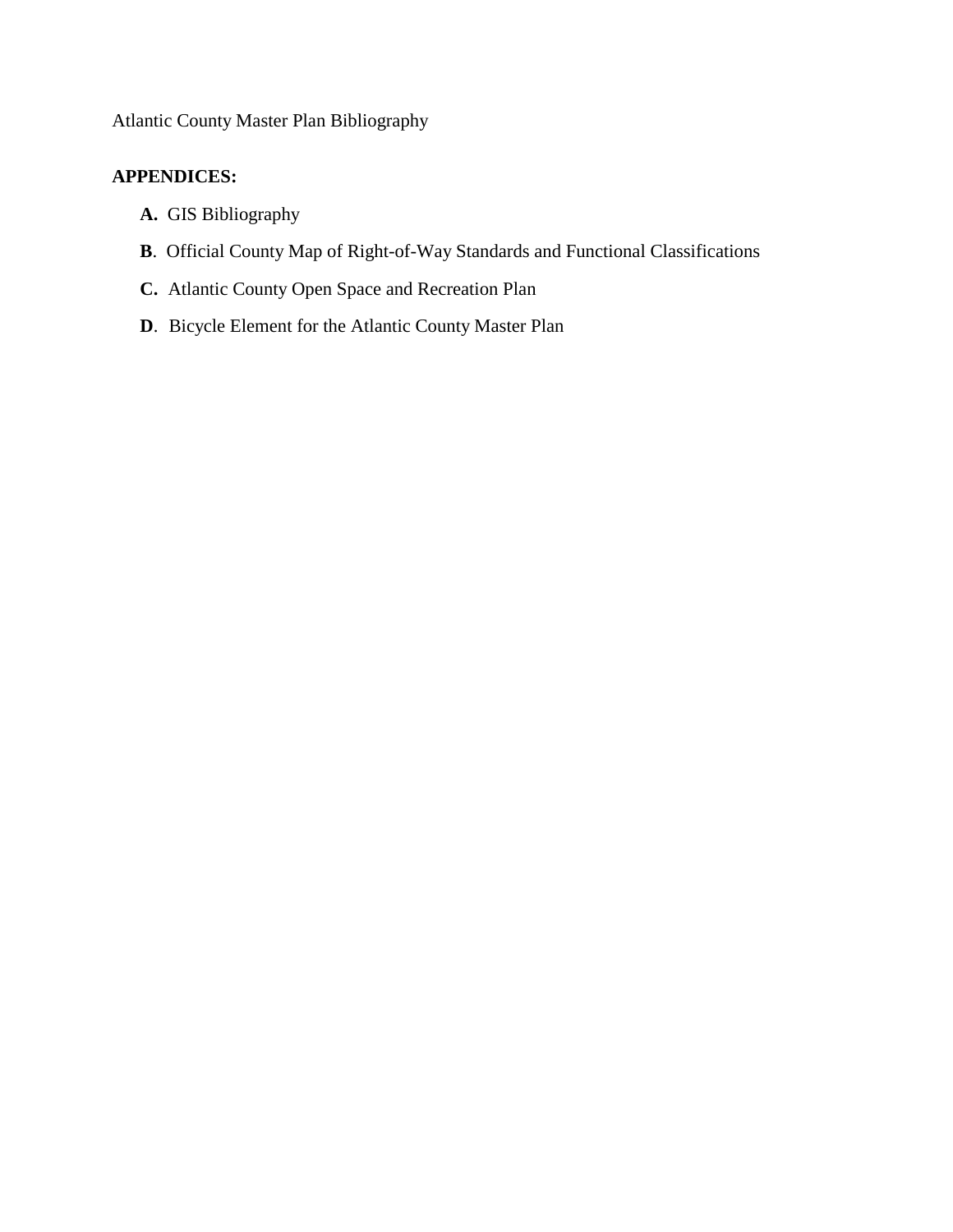## Atlantic County Master Plan Bibliography

## **APPENDICES:**

- **A.** GIS Bibliography
- **B**. Official County Map of Right-of-Way Standards and Functional Classifications
- **C.** Atlantic County Open Space and Recreation Plan
- **D**.Bicycle Element for the Atlantic County Master Plan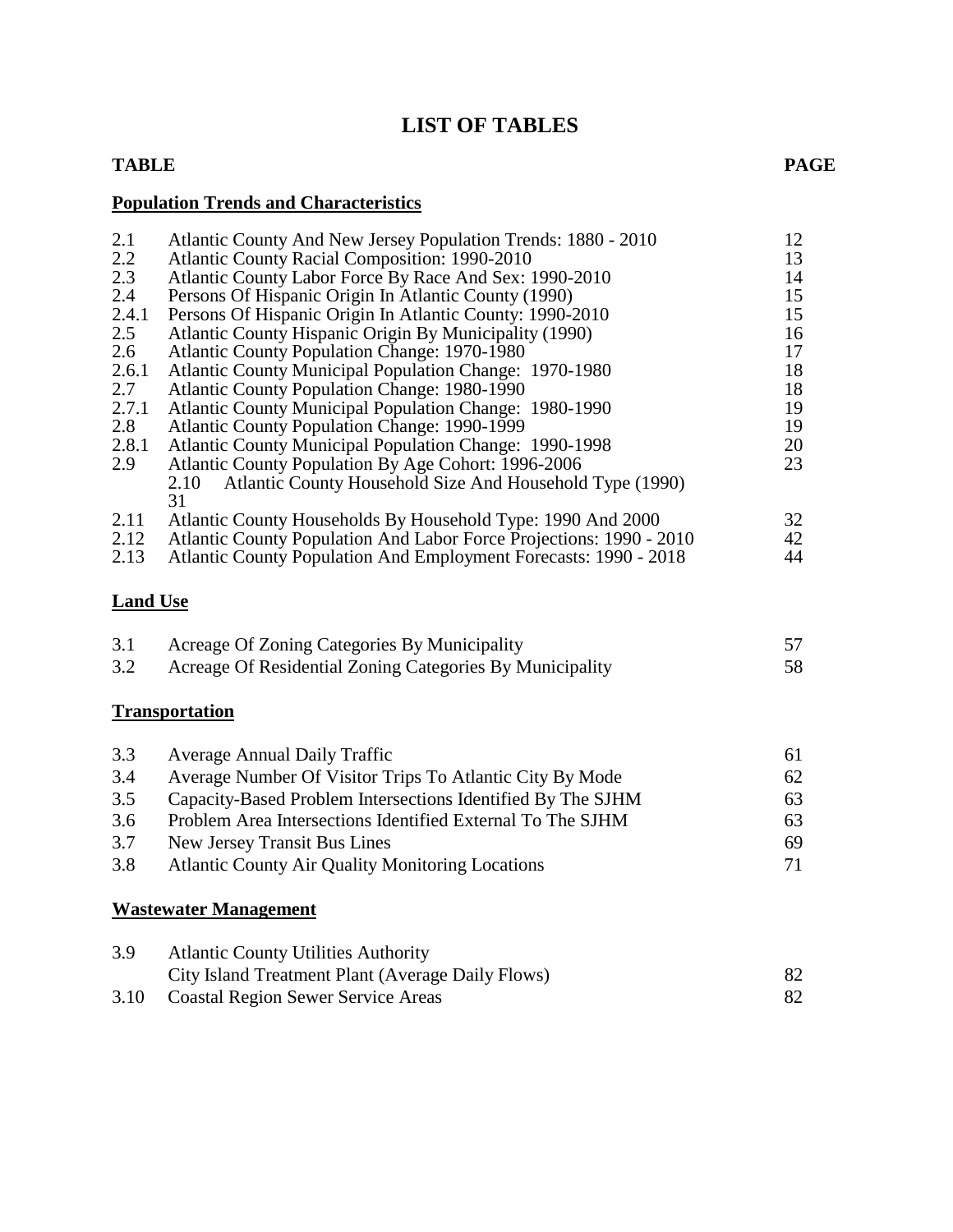## **LIST OF TABLES**

## **TABLE PAGE**

## **Population Trends and Characteristics**

| 2.1   | Atlantic County And New Jersey Population Trends: 1880 - 2010                                                                         | 12 |
|-------|---------------------------------------------------------------------------------------------------------------------------------------|----|
| 2.2   | <b>Atlantic County Racial Composition: 1990-2010</b>                                                                                  | 13 |
| 2.3   | Atlantic County Labor Force By Race And Sex: 1990-2010                                                                                | 14 |
| 2.4   | Persons Of Hispanic Origin In Atlantic County (1990)                                                                                  | 15 |
| 2.4.1 | Persons Of Hispanic Origin In Atlantic County: 1990-2010                                                                              | 15 |
| 2.5   | Atlantic County Hispanic Origin By Municipality (1990)                                                                                | 16 |
| 2.6   | <b>Atlantic County Population Change: 1970-1980</b>                                                                                   | 17 |
| 2.6.1 | Atlantic County Municipal Population Change: 1970-1980                                                                                | 18 |
| 2.7   | Atlantic County Population Change: 1980-1990                                                                                          | 18 |
| 2.7.1 | <b>Atlantic County Municipal Population Change: 1980-1990</b>                                                                         | 19 |
| 2.8   | <b>Atlantic County Population Change: 1990-1999</b>                                                                                   | 19 |
| 2.8.1 | <b>Atlantic County Municipal Population Change: 1990-1998</b>                                                                         | 20 |
| 2.9   | Atlantic County Population By Age Cohort: 1996-2006                                                                                   | 23 |
| 2.11  | Atlantic County Household Size And Household Type (1990)<br>2.10<br>31<br>Atlantic County Households By Household Type: 1990 And 2000 | 32 |
| 2.12  | Atlantic County Population And Labor Force Projections: 1990 - 2010                                                                   | 42 |
| 2.13  | Atlantic County Population And Employment Forecasts: 1990 - 2018                                                                      | 44 |

## **Land Use**

| 3.1 | Acreage Of Zoning Categories By Municipality             |    |
|-----|----------------------------------------------------------|----|
| 3.2 | Acreage Of Residential Zoning Categories By Municipality | 58 |

## **Transportation**

| 3.3 | <b>Average Annual Daily Traffic</b>                         | 61 |
|-----|-------------------------------------------------------------|----|
| 3.4 | Average Number Of Visitor Trips To Atlantic City By Mode    | 62 |
| 3.5 | Capacity-Based Problem Intersections Identified By The SJHM | 63 |
| 3.6 | Problem Area Intersections Identified External To The SJHM  | 63 |
| 3.7 | New Jersey Transit Bus Lines                                | 69 |
| 3.8 | <b>Atlantic County Air Quality Monitoring Locations</b>     | 71 |

## **Wastewater Management**

| 3.9  | <b>Atlantic County Utilities Authority</b>        |  |
|------|---------------------------------------------------|--|
|      | City Island Treatment Plant (Average Daily Flows) |  |
| 3.10 | <b>Coastal Region Sewer Service Areas</b>         |  |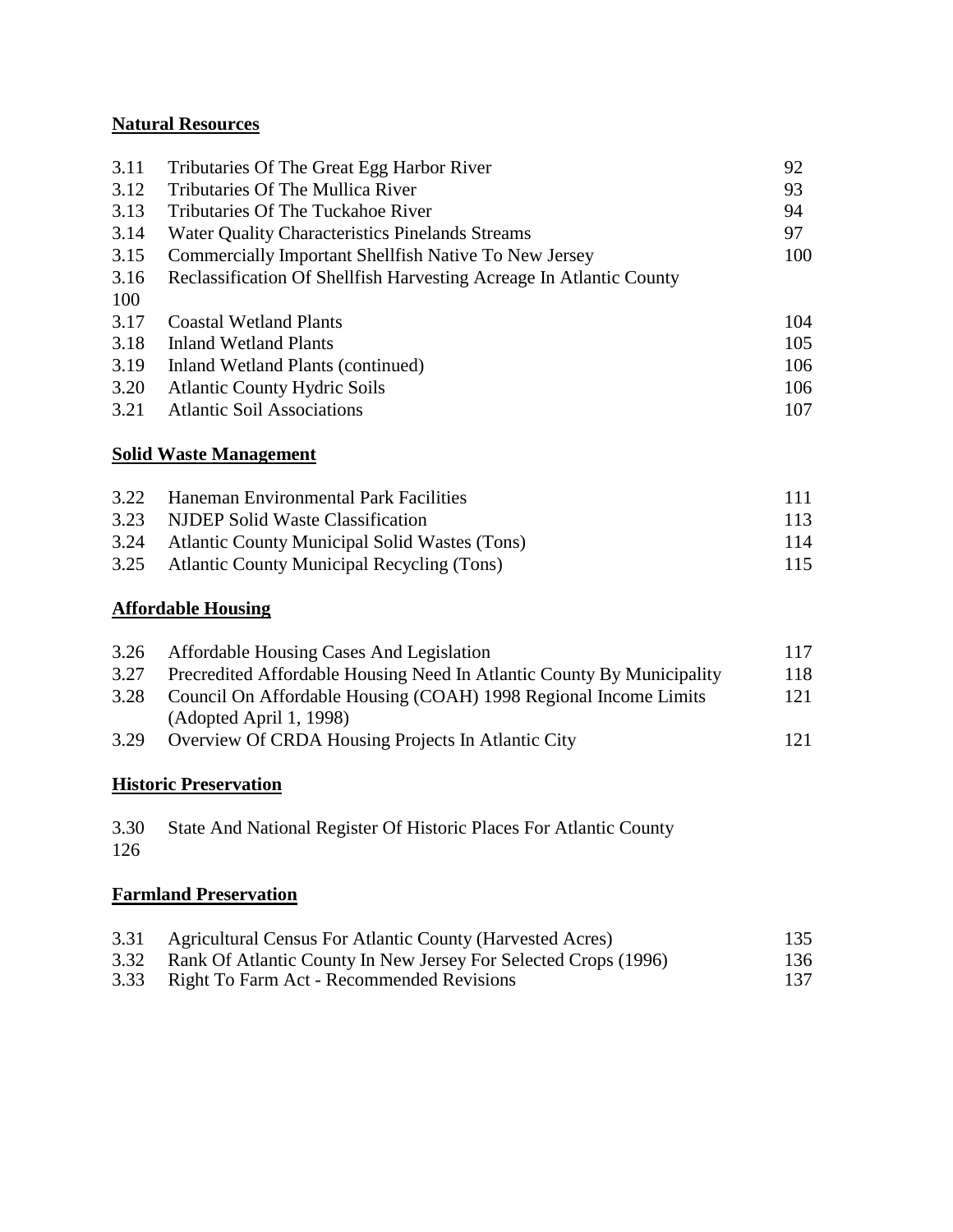## **Natural Resources**

| 3.11 | Tributaries Of The Great Egg Harbor River                           | 92  |
|------|---------------------------------------------------------------------|-----|
| 3.12 | Tributaries Of The Mullica River                                    | 93  |
| 3.13 | Tributaries Of The Tuckahoe River                                   | 94  |
| 3.14 | <b>Water Quality Characteristics Pinelands Streams</b>              | 97  |
| 3.15 | <b>Commercially Important Shellfish Native To New Jersey</b>        | 100 |
| 3.16 | Reclassification Of Shellfish Harvesting Acreage In Atlantic County |     |
| 100  |                                                                     |     |
| 3.17 | <b>Coastal Wetland Plants</b>                                       | 104 |
| 3.18 | <b>Inland Wetland Plants</b>                                        | 105 |
| 3.19 | Inland Wetland Plants (continued)                                   | 106 |
| 3.20 | <b>Atlantic County Hydric Soils</b>                                 | 106 |
| 3.21 | <b>Atlantic Soil Associations</b>                                   | 107 |
|      |                                                                     |     |

## **Solid Waste Management**

| 3.22 Haneman Environmental Park Facilities         | -111 |
|----------------------------------------------------|------|
| 3.23 NJDEP Solid Waste Classification              | 113  |
| 3.24 Atlantic County Municipal Solid Wastes (Tons) | 114  |
| 3.25 Atlantic County Municipal Recycling (Tons)    | 115  |

## **Affordable Housing**

| 3.26 | Affordable Housing Cases And Legislation                               | 117 |
|------|------------------------------------------------------------------------|-----|
| 3.27 | Precredited Affordable Housing Need In Atlantic County By Municipality | 118 |
| 3.28 | Council On Affordable Housing (COAH) 1998 Regional Income Limits       | 121 |
|      | (Adopted April 1, 1998)                                                |     |
| 3.29 | Overview Of CRDA Housing Projects In Atlantic City                     | 121 |

## **Historic Preservation**

3.30 State And National Register Of Historic Places For Atlantic County 126

## **Farmland Preservation**

| 3.31 Agricultural Census For Atlantic County (Harvested Acres)       | 135 |
|----------------------------------------------------------------------|-----|
| 3.32 Rank Of Atlantic County In New Jersey For Selected Crops (1996) | 136 |
| 3.33 Right To Farm Act - Recommended Revisions                       | 137 |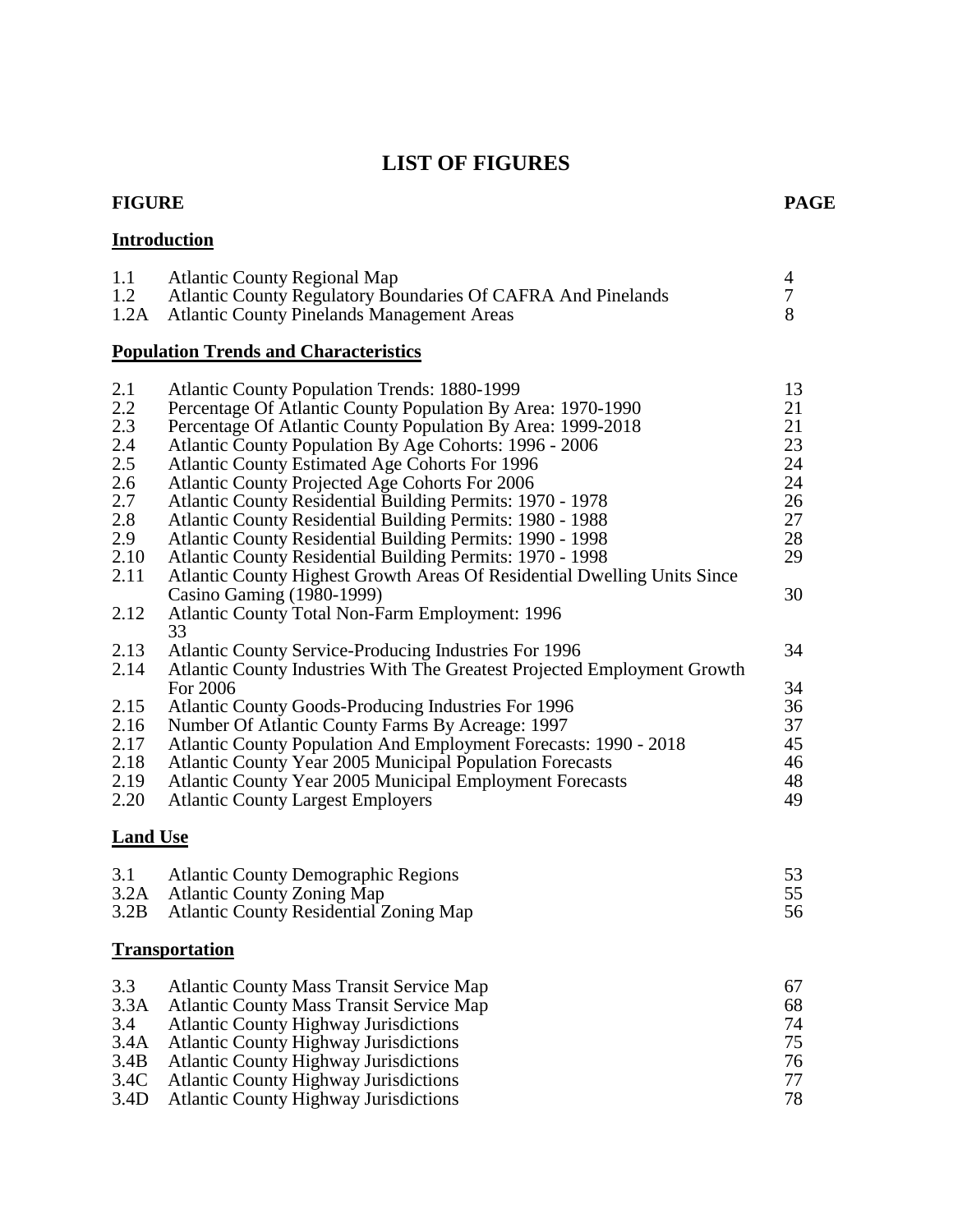## **LIST OF FIGURES**

#### **FIGURE PAGE**

## **Introduction**

| 1.1 | <b>Atlantic County Regional Map</b>                          |  |
|-----|--------------------------------------------------------------|--|
| 1.2 | Atlantic County Regulatory Boundaries Of CAFRA And Pinelands |  |
|     | 1.2A Atlantic County Pinelands Management Areas              |  |
|     |                                                              |  |

## **Population Trends and Characteristics**

| 2.1             | <b>Atlantic County Population Trends: 1880-1999</b>                      | 13 |
|-----------------|--------------------------------------------------------------------------|----|
| 2.2             | Percentage Of Atlantic County Population By Area: 1970-1990              | 21 |
| 2.3             | Percentage Of Atlantic County Population By Area: 1999-2018              | 21 |
| 2.4             | Atlantic County Population By Age Cohorts: 1996 - 2006                   | 23 |
| 2.5             | <b>Atlantic County Estimated Age Cohorts For 1996</b>                    | 24 |
| 2.6             | Atlantic County Projected Age Cohorts For 2006                           | 24 |
| 2.7             | <b>Atlantic County Residential Building Permits: 1970 - 1978</b>         | 26 |
| 2.8             | <b>Atlantic County Residential Building Permits: 1980 - 1988</b>         | 27 |
| 2.9             | Atlantic County Residential Building Permits: 1990 - 1998                | 28 |
| 2.10            | Atlantic County Residential Building Permits: 1970 - 1998                | 29 |
| 2.11            | Atlantic County Highest Growth Areas Of Residential Dwelling Units Since |    |
|                 | Casino Gaming (1980-1999)                                                | 30 |
| 2.12            | <b>Atlantic County Total Non-Farm Employment: 1996</b>                   |    |
|                 | 33                                                                       |    |
| 2.13            | <b>Atlantic County Service-Producing Industries For 1996</b>             | 34 |
| 2.14            | Atlantic County Industries With The Greatest Projected Employment Growth |    |
|                 | For 2006                                                                 | 34 |
| 2.15            | <b>Atlantic County Goods-Producing Industries For 1996</b>               | 36 |
| 2.16            | Number Of Atlantic County Farms By Acreage: 1997                         | 37 |
| 2.17            | Atlantic County Population And Employment Forecasts: 1990 - 2018         | 45 |
| 2.18            | Atlantic County Year 2005 Municipal Population Forecasts                 | 46 |
| 2.19            | <b>Atlantic County Year 2005 Municipal Employment Forecasts</b>          | 48 |
| 2.20            | <b>Atlantic County Largest Employers</b>                                 | 49 |
|                 |                                                                          |    |
| <b>Land Use</b> |                                                                          |    |
| 3.1             | <b>Atlantic County Demographic Regions</b>                               | 53 |
| 3.2A            | <b>Atlantic County Zoning Map</b>                                        | 55 |
| 3.2B            | <b>Atlantic County Residential Zoning Map</b>                            | 56 |
|                 |                                                                          |    |
|                 | <b>Transportation</b>                                                    |    |
| 3.3             | <b>Atlantic County Mass Transit Service Map</b>                          | 67 |
| 3.3A            | <b>Atlantic County Mass Transit Service Map</b>                          | 68 |
| 3.4             | <b>Atlantic County Highway Jurisdictions</b>                             | 74 |
| 3.4A            | <b>Atlantic County Highway Jurisdictions</b>                             | 75 |
| 3.4B            | <b>Atlantic County Highway Jurisdictions</b>                             | 76 |
| 3.4C            | <b>Atlantic County Highway Jurisdictions</b>                             | 77 |
| 3.4D            | <b>Atlantic County Highway Jurisdictions</b>                             | 78 |
|                 |                                                                          |    |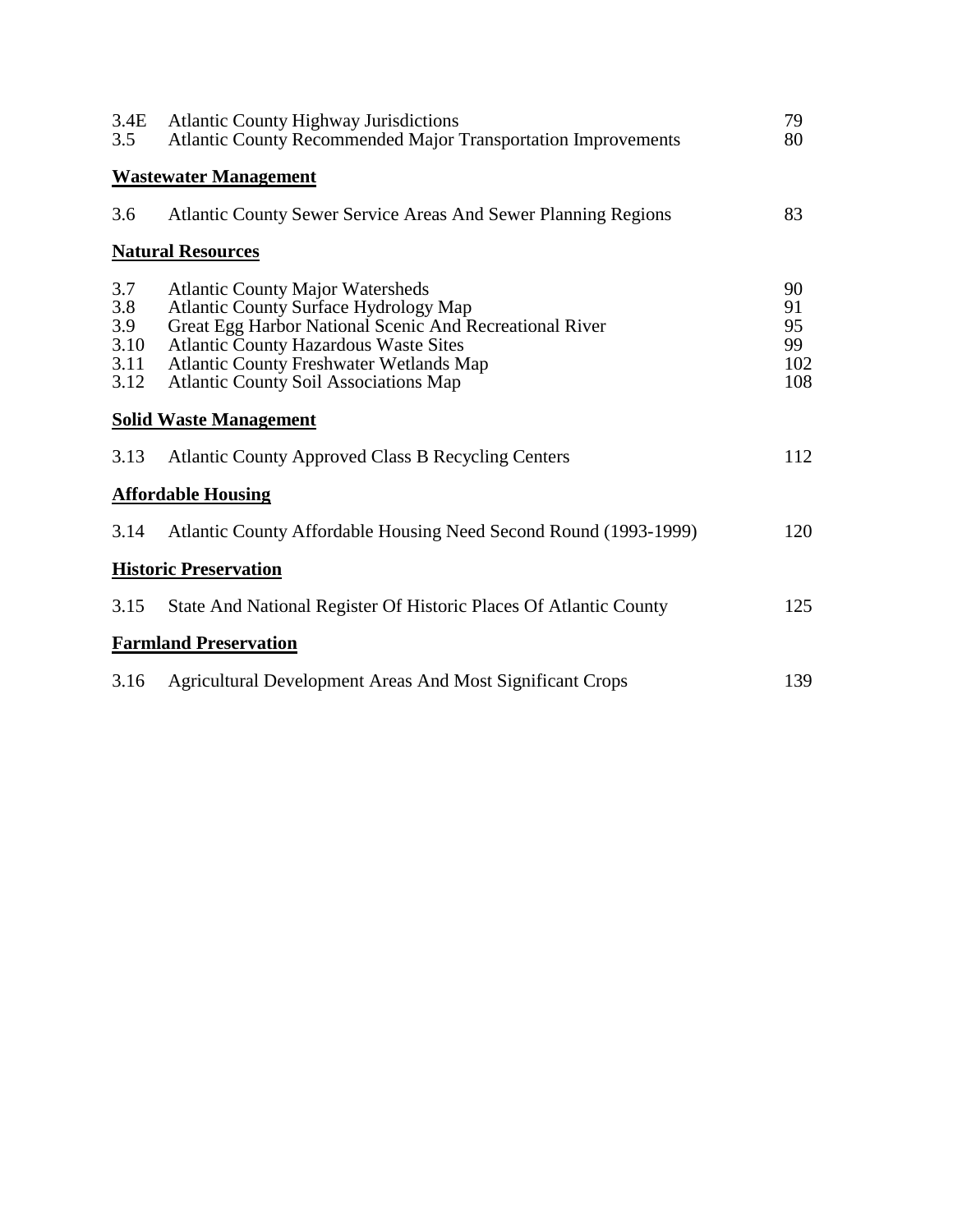| 3.4E<br>3.5                               | <b>Atlantic County Highway Jurisdictions</b><br><b>Atlantic County Recommended Major Transportation Improvements</b>                                                                                                                                                                                 | 79<br>80                           |
|-------------------------------------------|------------------------------------------------------------------------------------------------------------------------------------------------------------------------------------------------------------------------------------------------------------------------------------------------------|------------------------------------|
|                                           | <b>Wastewater Management</b>                                                                                                                                                                                                                                                                         |                                    |
| 3.6                                       | <b>Atlantic County Sewer Service Areas And Sewer Planning Regions</b>                                                                                                                                                                                                                                | 83                                 |
|                                           | <b>Natural Resources</b>                                                                                                                                                                                                                                                                             |                                    |
| 3.7<br>3.8<br>3.9<br>3.10<br>3.11<br>3.12 | <b>Atlantic County Major Watersheds</b><br><b>Atlantic County Surface Hydrology Map</b><br>Great Egg Harbor National Scenic And Recreational River<br><b>Atlantic County Hazardous Waste Sites</b><br><b>Atlantic County Freshwater Wetlands Map</b><br><b>Atlantic County Soil Associations Map</b> | 90<br>91<br>95<br>99<br>102<br>108 |
|                                           | <b>Solid Waste Management</b>                                                                                                                                                                                                                                                                        |                                    |
| 3.13                                      | <b>Atlantic County Approved Class B Recycling Centers</b>                                                                                                                                                                                                                                            | 112                                |
|                                           | <b>Affordable Housing</b>                                                                                                                                                                                                                                                                            |                                    |
| 3.14                                      | Atlantic County Affordable Housing Need Second Round (1993-1999)                                                                                                                                                                                                                                     | 120                                |
|                                           | <b>Historic Preservation</b>                                                                                                                                                                                                                                                                         |                                    |
| 3.15                                      | State And National Register Of Historic Places Of Atlantic County                                                                                                                                                                                                                                    | 125                                |
|                                           | <b>Farmland Preservation</b>                                                                                                                                                                                                                                                                         |                                    |
| 3.16                                      | <b>Agricultural Development Areas And Most Significant Crops</b>                                                                                                                                                                                                                                     | 139                                |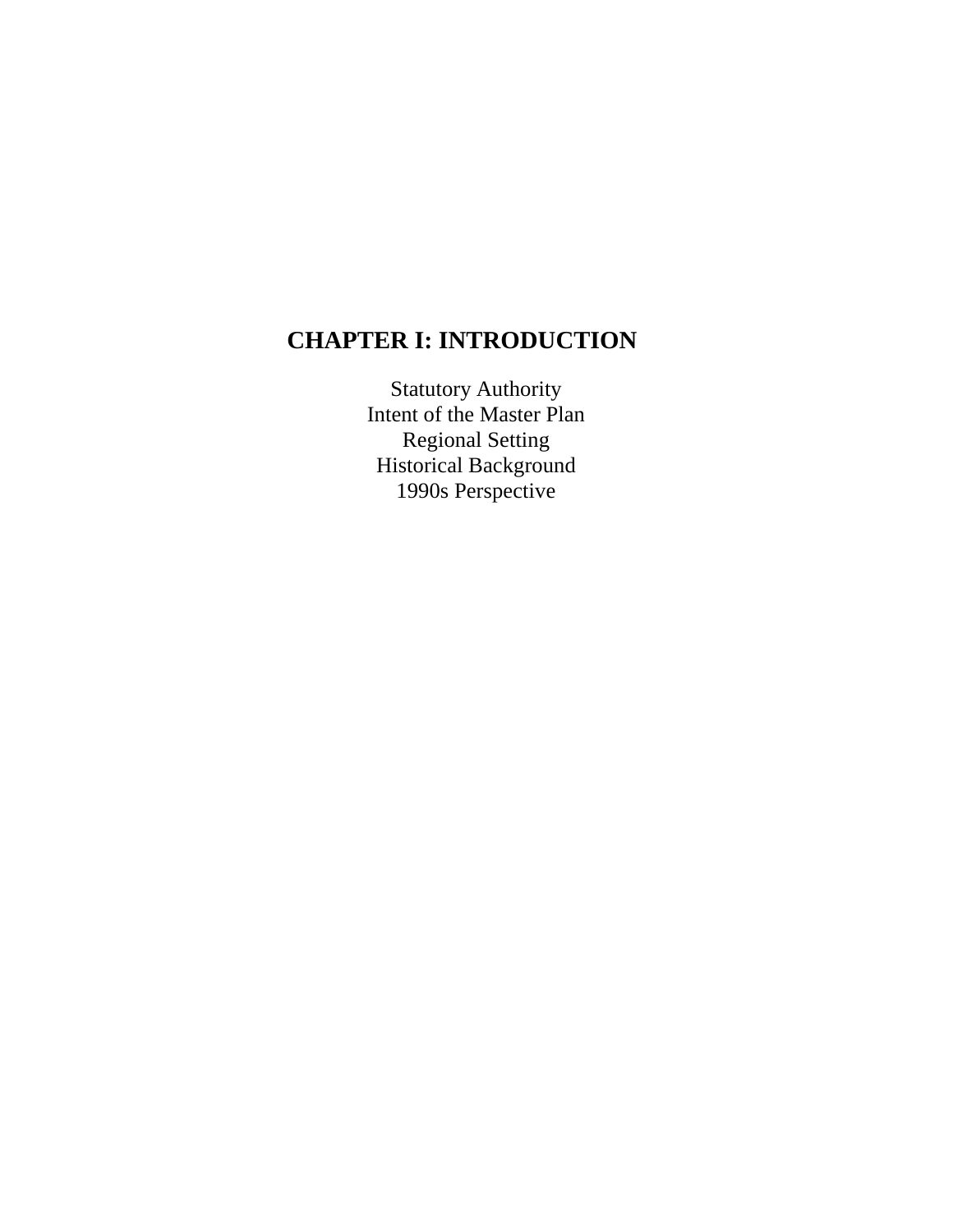## **CHAPTER I: INTRODUCTION**

Statutory Authority Intent of the Master Plan Regional Setting Historical Background 1990s Perspective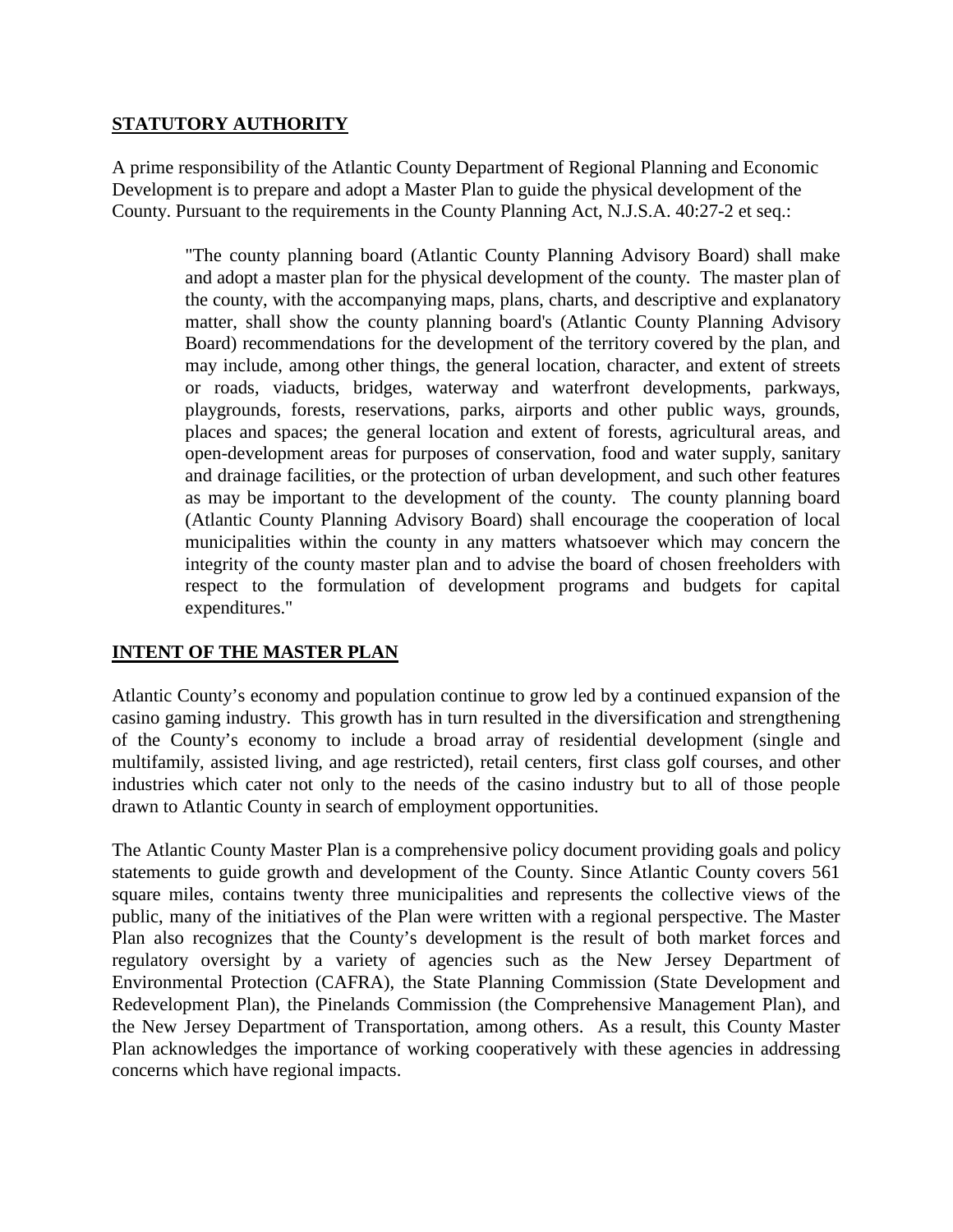## **STATUTORY AUTHORITY**

A prime responsibility of the Atlantic County Department of Regional Planning and Economic Development is to prepare and adopt a Master Plan to guide the physical development of the County. Pursuant to the requirements in the County Planning Act, N.J.S.A. 40:27-2 et seq.:

> "The county planning board (Atlantic County Planning Advisory Board) shall make and adopt a master plan for the physical development of the county. The master plan of the county, with the accompanying maps, plans, charts, and descriptive and explanatory matter, shall show the county planning board's (Atlantic County Planning Advisory Board) recommendations for the development of the territory covered by the plan, and may include, among other things, the general location, character, and extent of streets or roads, viaducts, bridges, waterway and waterfront developments, parkways, playgrounds, forests, reservations, parks, airports and other public ways, grounds, places and spaces; the general location and extent of forests, agricultural areas, and open-development areas for purposes of conservation, food and water supply, sanitary and drainage facilities, or the protection of urban development, and such other features as may be important to the development of the county. The county planning board (Atlantic County Planning Advisory Board) shall encourage the cooperation of local municipalities within the county in any matters whatsoever which may concern the integrity of the county master plan and to advise the board of chosen freeholders with respect to the formulation of development programs and budgets for capital expenditures."

## **INTENT OF THE MASTER PLAN**

Atlantic County's economy and population continue to grow led by a continued expansion of the casino gaming industry. This growth has in turn resulted in the diversification and strengthening of the County's economy to include a broad array of residential development (single and multifamily, assisted living, and age restricted), retail centers, first class golf courses, and other industries which cater not only to the needs of the casino industry but to all of those people drawn to Atlantic County in search of employment opportunities.

The Atlantic County Master Plan is a comprehensive policy document providing goals and policy statements to guide growth and development of the County. Since Atlantic County covers 561 square miles, contains twenty three municipalities and represents the collective views of the public, many of the initiatives of the Plan were written with a regional perspective. The Master Plan also recognizes that the County's development is the result of both market forces and regulatory oversight by a variety of agencies such as the New Jersey Department of Environmental Protection (CAFRA), the State Planning Commission (State Development and Redevelopment Plan), the Pinelands Commission (the Comprehensive Management Plan), and the New Jersey Department of Transportation, among others. As a result, this County Master Plan acknowledges the importance of working cooperatively with these agencies in addressing concerns which have regional impacts.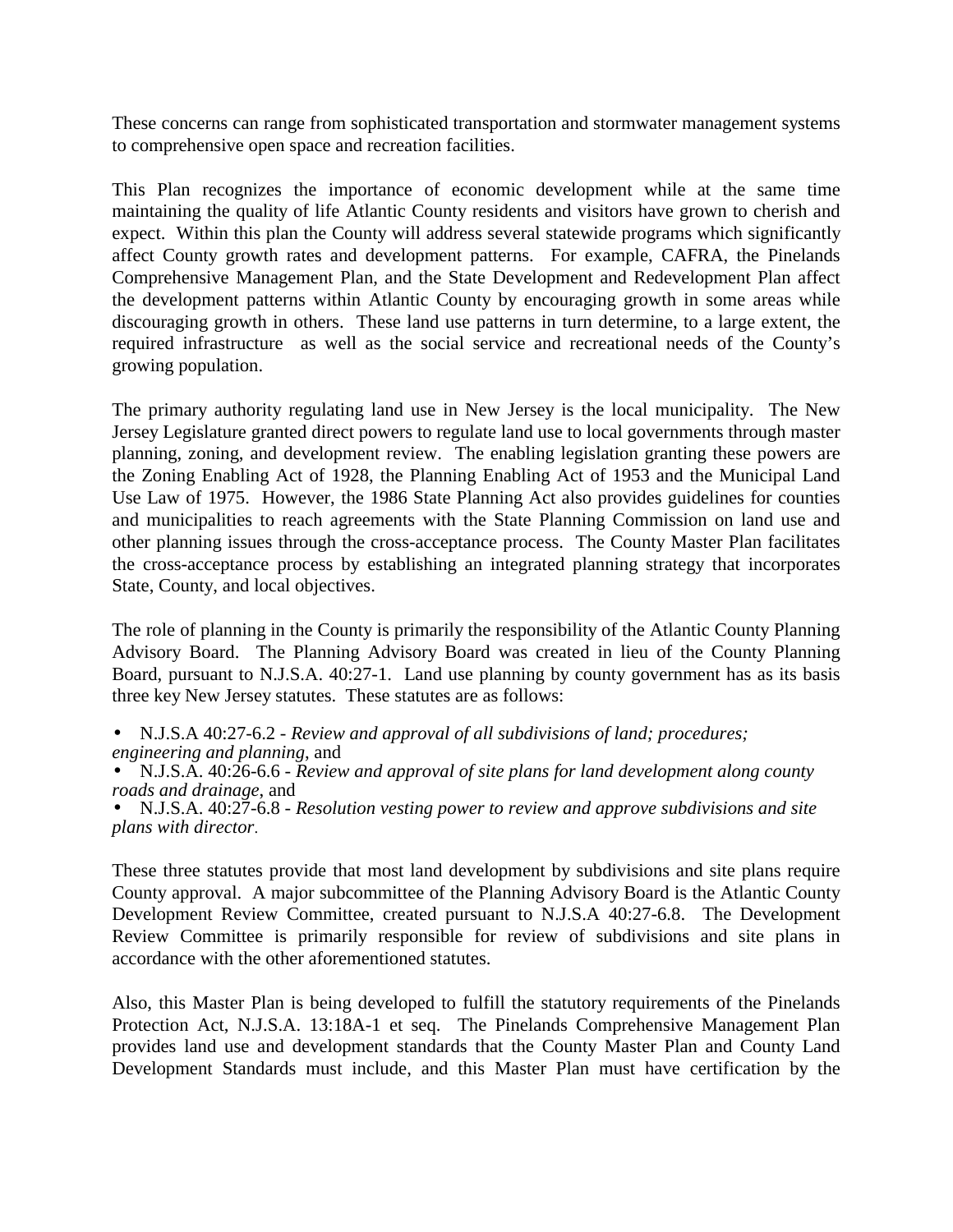These concerns can range from sophisticated transportation and stormwater management systems to comprehensive open space and recreation facilities.

This Plan recognizes the importance of economic development while at the same time maintaining the quality of life Atlantic County residents and visitors have grown to cherish and expect. Within this plan the County will address several statewide programs which significantly affect County growth rates and development patterns. For example, CAFRA, the Pinelands Comprehensive Management Plan, and the State Development and Redevelopment Plan affect the development patterns within Atlantic County by encouraging growth in some areas while discouraging growth in others. These land use patterns in turn determine, to a large extent, the required infrastructure as well as the social service and recreational needs of the County's growing population.

The primary authority regulating land use in New Jersey is the local municipality. The New Jersey Legislature granted direct powers to regulate land use to local governments through master planning, zoning, and development review. The enabling legislation granting these powers are the Zoning Enabling Act of 1928, the Planning Enabling Act of 1953 and the Municipal Land Use Law of 1975. However, the 1986 State Planning Act also provides guidelines for counties and municipalities to reach agreements with the State Planning Commission on land use and other planning issues through the cross-acceptance process. The County Master Plan facilitates the cross-acceptance process by establishing an integrated planning strategy that incorporates State, County, and local objectives.

The role of planning in the County is primarily the responsibility of the Atlantic County Planning Advisory Board. The Planning Advisory Board was created in lieu of the County Planning Board, pursuant to N.J.S.A. 40:27-1. Land use planning by county government has as its basis three key New Jersey statutes. These statutes are as follows:

- N.J.S.A 40:27-6.2 *Review and approval of all subdivisions of land; procedures; engineering and planning*, and
- N.J.S.A. 40:26-6.6 *Review and approval of site plans for land development along county roads and drainage*, and
- N.J.S.A. 40:27-6.8 *Resolution vesting power to review and approve subdivisions and site plans with director*.

These three statutes provide that most land development by subdivisions and site plans require County approval. A major subcommittee of the Planning Advisory Board is the Atlantic County Development Review Committee, created pursuant to N.J.S.A 40:27-6.8. The Development Review Committee is primarily responsible for review of subdivisions and site plans in accordance with the other aforementioned statutes.

Also, this Master Plan is being developed to fulfill the statutory requirements of the Pinelands Protection Act, N.J.S.A. 13:18A-1 et seq. The Pinelands Comprehensive Management Plan provides land use and development standards that the County Master Plan and County Land Development Standards must include, and this Master Plan must have certification by the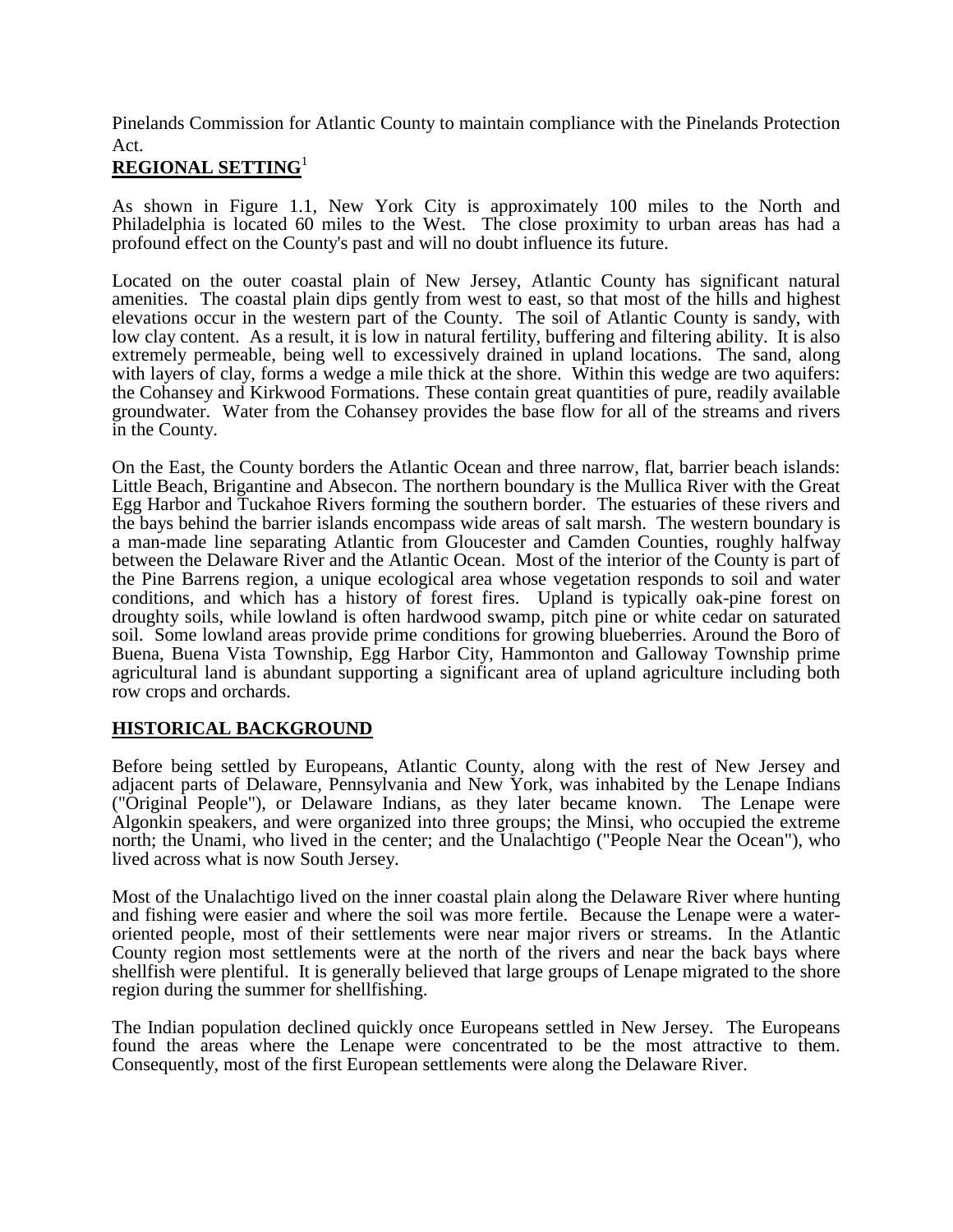Pinelands Commission for Atlantic County to maintain compliance with the Pinelands Protection Act.

## **REGIONAL SETTING**<sup>1</sup>

As shown in Figure 1.1, New York City is approximately 100 miles to the North and Philadelphia is located 60 miles to the West. The close proximity to urban areas has had a profound effect on the County's past and will no doubt influence its future.

Located on the outer coastal plain of New Jersey, Atlantic County has significant natural amenities. The coastal plain dips gently from west to east, so that most of the hills and highest elevations occur in the western part of the County. The soil of Atlantic County is sandy, with low clay content. As a result, it is low in natural fertility, buffering and filtering ability. It is also extremely permeable, being well to excessively drained in upland locations. The sand, along with layers of clay, forms a wedge a mile thick at the shore. Within this wedge are two aquifers: the Cohansey and Kirkwood Formations. These contain great quantities of pure, readily available groundwater. Water from the Cohansey provides the base flow for all of the streams and rivers in the County.

On the East, the County borders the Atlantic Ocean and three narrow, flat, barrier beach islands: Little Beach, Brigantine and Absecon. The northern boundary is the Mullica River with the Great Egg Harbor and Tuckahoe Rivers forming the southern border. The estuaries of these rivers and the bays behind the barrier islands encompass wide areas of salt marsh. The western boundary is a man-made line separating Atlantic from Gloucester and Camden Counties, roughly halfway between the Delaware River and the Atlantic Ocean. Most of the interior of the County is part of the Pine Barrens region, a unique ecological area whose vegetation responds to soil and water conditions, and which has a history of forest fires. Upland is typically oak-pine forest on droughty soils, while lowland is often hardwood swamp, pitch pine or white cedar on saturated soil. Some lowland areas provide prime conditions for growing blueberries. Around the Boro of Buena, Buena Vista Township, Egg Harbor City, Hammonton and Galloway Township prime agricultural land is abundant supporting a significant area of upland agriculture including both row crops and orchards.

## **HISTORICAL BACKGROUND**

Before being settled by Europeans, Atlantic County, along with the rest of New Jersey and adjacent parts of Delaware, Pennsylvania and New York, was inhabited by the Lenape Indians ("Original People"), or Delaware Indians, as they later became known. The Lenape were Algonkin speakers, and were organized into three groups; the Minsi, who occupied the extreme north; the Unami, who lived in the center; and the Unalachtigo ("People Near the Ocean"), who lived across what is now South Jersey.

Most of the Unalachtigo lived on the inner coastal plain along the Delaware River where hunting and fishing were easier and where the soil was more fertile. Because the Lenape were a wateroriented people, most of their settlements were near major rivers or streams. In the Atlantic County region most settlements were at the north of the rivers and near the back bays where shellfish were plentiful. It is generally believed that large groups of Lenape migrated to the shore region during the summer for shellfishing.

The Indian population declined quickly once Europeans settled in New Jersey. The Europeans found the areas where the Lenape were concentrated to be the most attractive to them. Consequently, most of the first European settlements were along the Delaware River.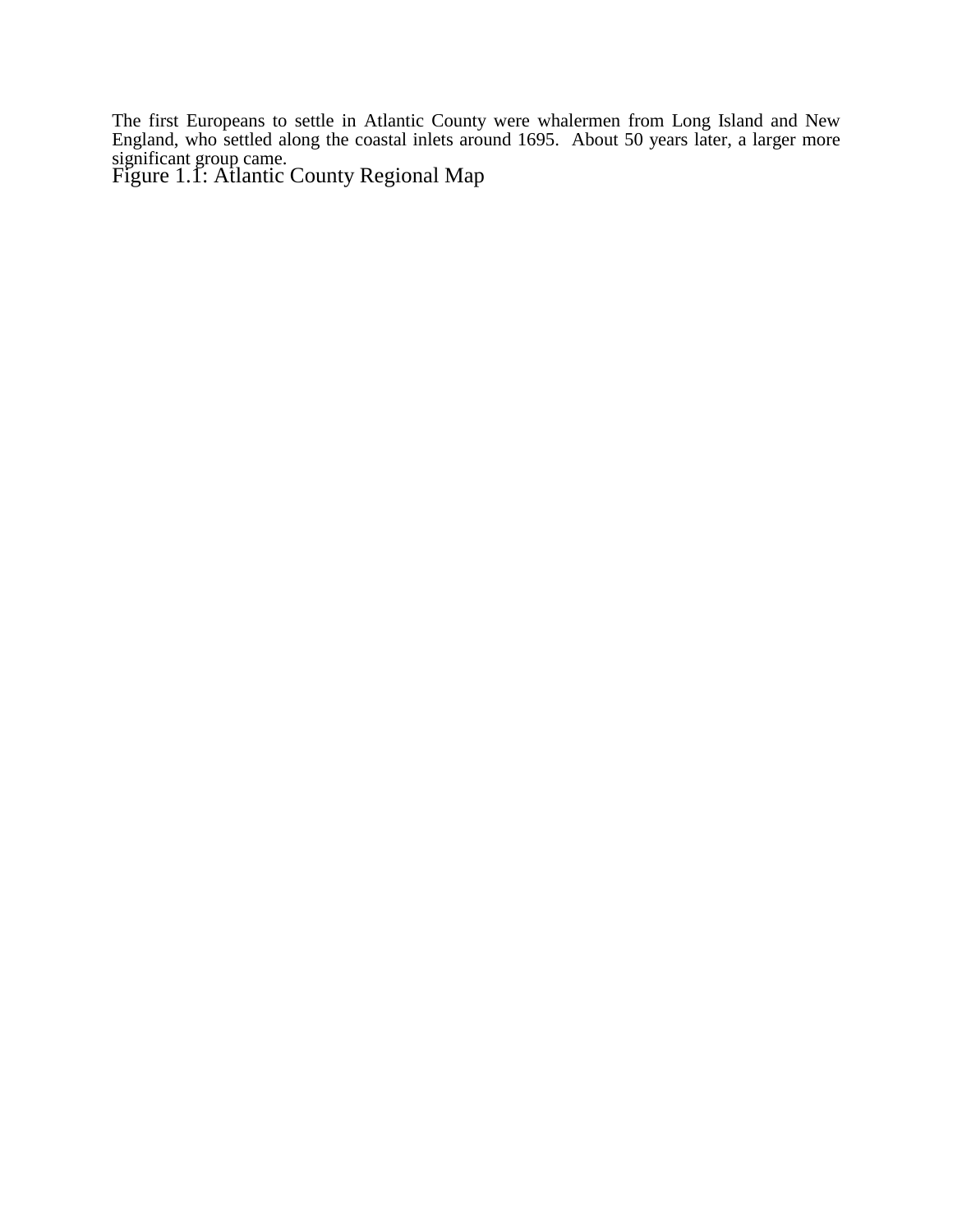The first Europeans to settle in Atlantic County were whalermen from Long Island and New England, who settled along the coastal inlets around 1695. About 50 years later, a larger more significant group came.

Figure 1.1: Atlantic County Regional Map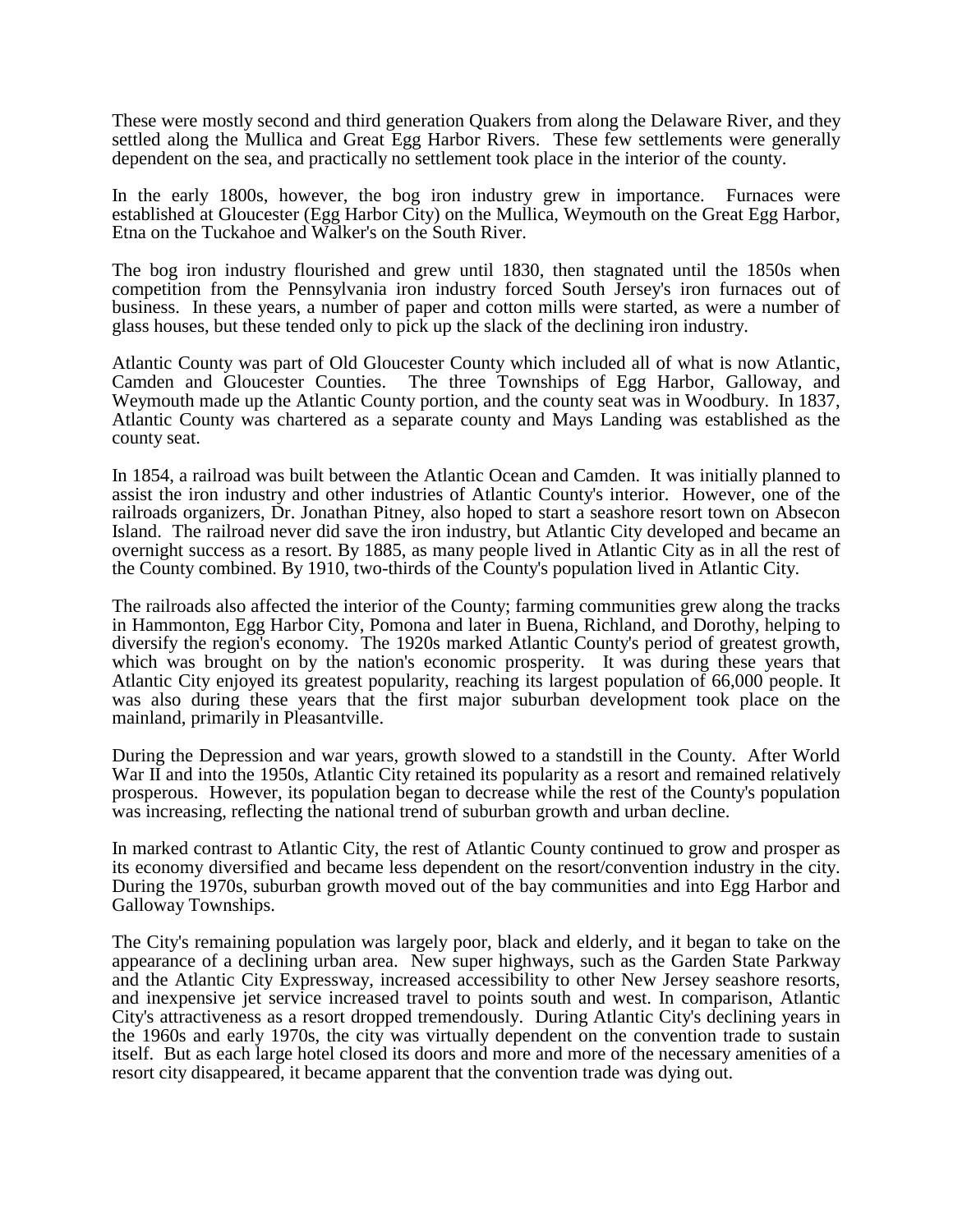These were mostly second and third generation Quakers from along the Delaware River, and they settled along the Mullica and Great Egg Harbor Rivers. These few settlements were generally dependent on the sea, and practically no settlement took place in the interior of the county.

In the early 1800s, however, the bog iron industry grew in importance. Furnaces were established at Gloucester (Egg Harbor City) on the Mullica, Weymouth on the Great Egg Harbor, Etna on the Tuckahoe and Walker's on the South River.

The bog iron industry flourished and grew until 1830, then stagnated until the 1850s when competition from the Pennsylvania iron industry forced South Jersey's iron furnaces out of business. In these years, a number of paper and cotton mills were started, as were a number of glass houses, but these tended only to pick up the slack of the declining iron industry.

Atlantic County was part of Old Gloucester County which included all of what is now Atlantic, Camden and Gloucester Counties. The three Townships of Egg Harbor, Galloway, and Weymouth made up the Atlantic County portion, and the county seat was in Woodbury. In 1837, Atlantic County was chartered as a separate county and Mays Landing was established as the county seat.

In 1854, a railroad was built between the Atlantic Ocean and Camden. It was initially planned to assist the iron industry and other industries of Atlantic County's interior. However, one of the railroads organizers, Dr. Jonathan Pitney, also hoped to start a seashore resort town on Absecon Island. The railroad never did save the iron industry, but Atlantic City developed and became an overnight success as a resort. By 1885, as many people lived in Atlantic City as in all the rest of the County combined. By 1910, two-thirds of the County's population lived in Atlantic City.

The railroads also affected the interior of the County; farming communities grew along the tracks in Hammonton, Egg Harbor City, Pomona and later in Buena, Richland, and Dorothy, helping to diversify the region's economy. The 1920s marked Atlantic County's period of greatest growth, which was brought on by the nation's economic prosperity. It was during these years that Atlantic City enjoyed its greatest popularity, reaching its largest population of 66,000 people. It was also during these years that the first major suburban development took place on the mainland, primarily in Pleasantville.

During the Depression and war years, growth slowed to a standstill in the County. After World War II and into the 1950s, Atlantic City retained its popularity as a resort and remained relatively prosperous. However, its population began to decrease while the rest of the County's population was increasing, reflecting the national trend of suburban growth and urban decline.

In marked contrast to Atlantic City, the rest of Atlantic County continued to grow and prosper as its economy diversified and became less dependent on the resort/convention industry in the city. During the 1970s, suburban growth moved out of the bay communities and into Egg Harbor and Galloway Townships.

The City's remaining population was largely poor, black and elderly, and it began to take on the appearance of a declining urban area. New super highways, such as the Garden State Parkway and the Atlantic City Expressway, increased accessibility to other New Jersey seashore resorts, and inexpensive jet service increased travel to points south and west. In comparison, Atlantic City's attractiveness as a resort dropped tremendously. During Atlantic City's declining years in the 1960s and early 1970s, the city was virtually dependent on the convention trade to sustain itself. But as each large hotel closed its doors and more and more of the necessary amenities of a resort city disappeared, it became apparent that the convention trade was dying out.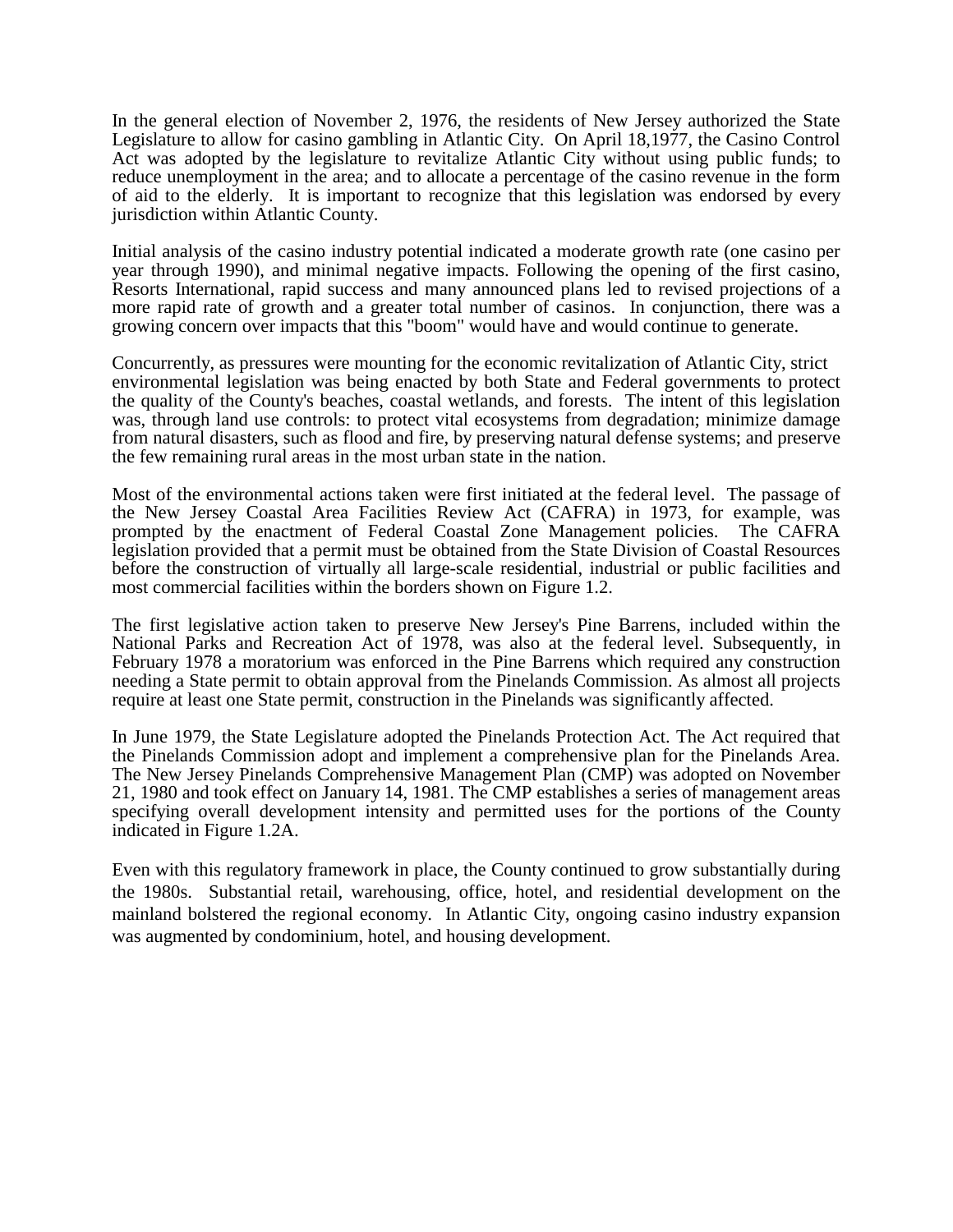In the general election of November 2, 1976, the residents of New Jersey authorized the State Legislature to allow for casino gambling in Atlantic City. On April 18,1977, the Casino Control Act was adopted by the legislature to revitalize Atlantic City without using public funds; to reduce unemployment in the area; and to allocate a percentage of the casino revenue in the form of aid to the elderly. It is important to recognize that this legislation was endorsed by every jurisdiction within Atlantic County.

Initial analysis of the casino industry potential indicated a moderate growth rate (one casino per year through 1990), and minimal negative impacts. Following the opening of the first casino, Resorts International, rapid success and many announced plans led to revised projections of a more rapid rate of growth and a greater total number of casinos. In conjunction, there was a growing concern over impacts that this "boom" would have and would continue to generate.

Concurrently, as pressures were mounting for the economic revitalization of Atlantic City, strict environmental legislation was being enacted by both State and Federal governments to protect the quality of the County's beaches, coastal wetlands, and forests. The intent of this legislation was, through land use controls: to protect vital ecosystems from degradation; minimize damage from natural disasters, such as flood and fire, by preserving natural defense systems; and preserve the few remaining rural areas in the most urban state in the nation.

Most of the environmental actions taken were first initiated at the federal level. The passage of the New Jersey Coastal Area Facilities Review Act (CAFRA) in 1973, for example, was prompted by the enactment of Federal Coastal Zone Management policies. The CAFRA legislation provided that a permit must be obtained from the State Division of Coastal Resources before the construction of virtually all large-scale residential, industrial or public facilities and most commercial facilities within the borders shown on Figure 1.2.

The first legislative action taken to preserve New Jersey's Pine Barrens, included within the National Parks and Recreation Act of 1978, was also at the federal level. Subsequently, in February 1978 a moratorium was enforced in the Pine Barrens which required any construction needing a State permit to obtain approval from the Pinelands Commission. As almost all projects require at least one State permit, construction in the Pinelands was significantly affected.

In June 1979, the State Legislature adopted the Pinelands Protection Act. The Act required that the Pinelands Commission adopt and implement a comprehensive plan for the Pinelands Area. The New Jersey Pinelands Comprehensive Management Plan (CMP) was adopted on November 21, 1980 and took effect on January 14, 1981. The CMP establishes a series of management areas specifying overall development intensity and permitted uses for the portions of the County indicated in Figure 1.2A.

Even with this regulatory framework in place, the County continued to grow substantially during the 1980s. Substantial retail, warehousing, office, hotel, and residential development on the mainland bolstered the regional economy. In Atlantic City, ongoing casino industry expansion was augmented by condominium, hotel, and housing development.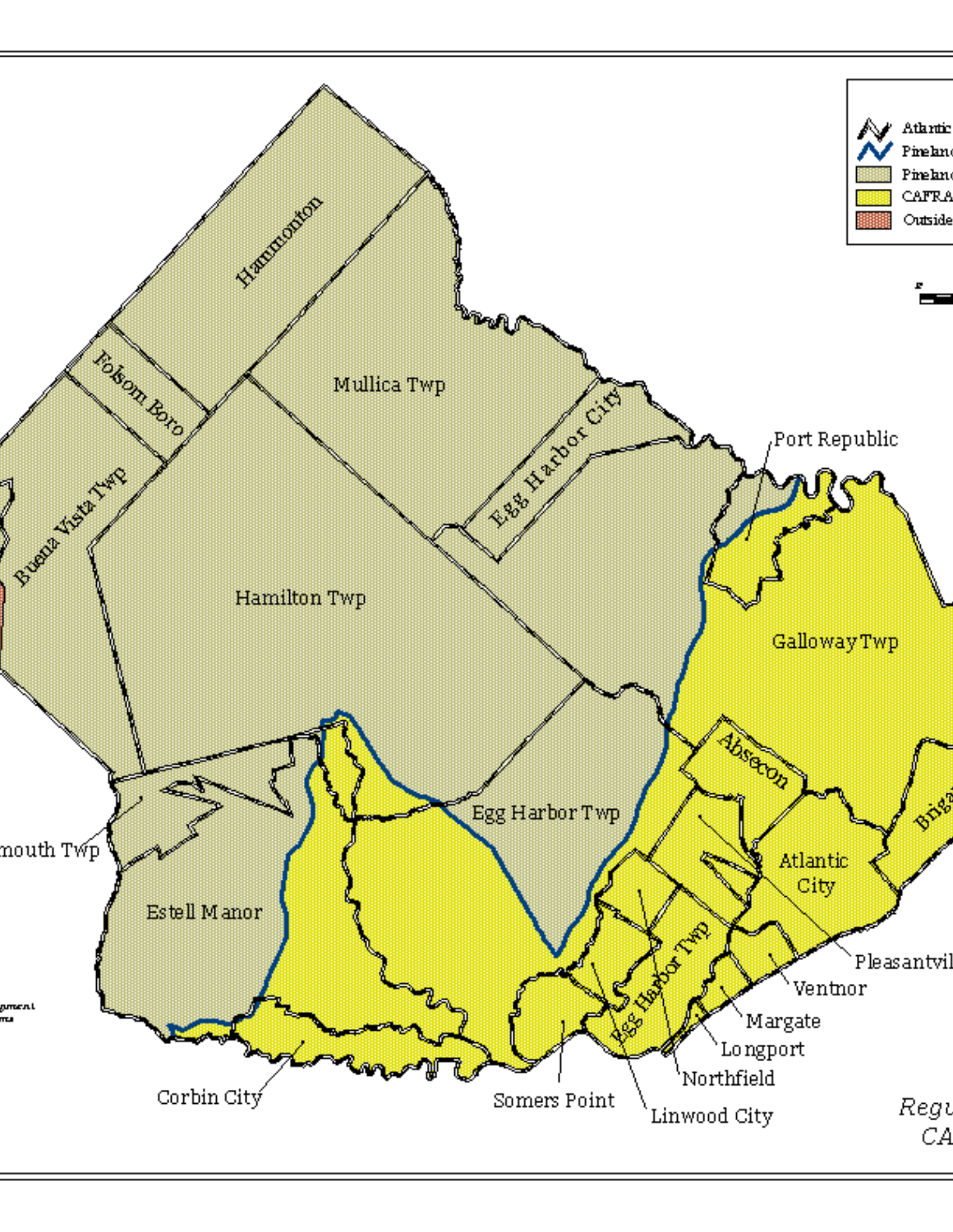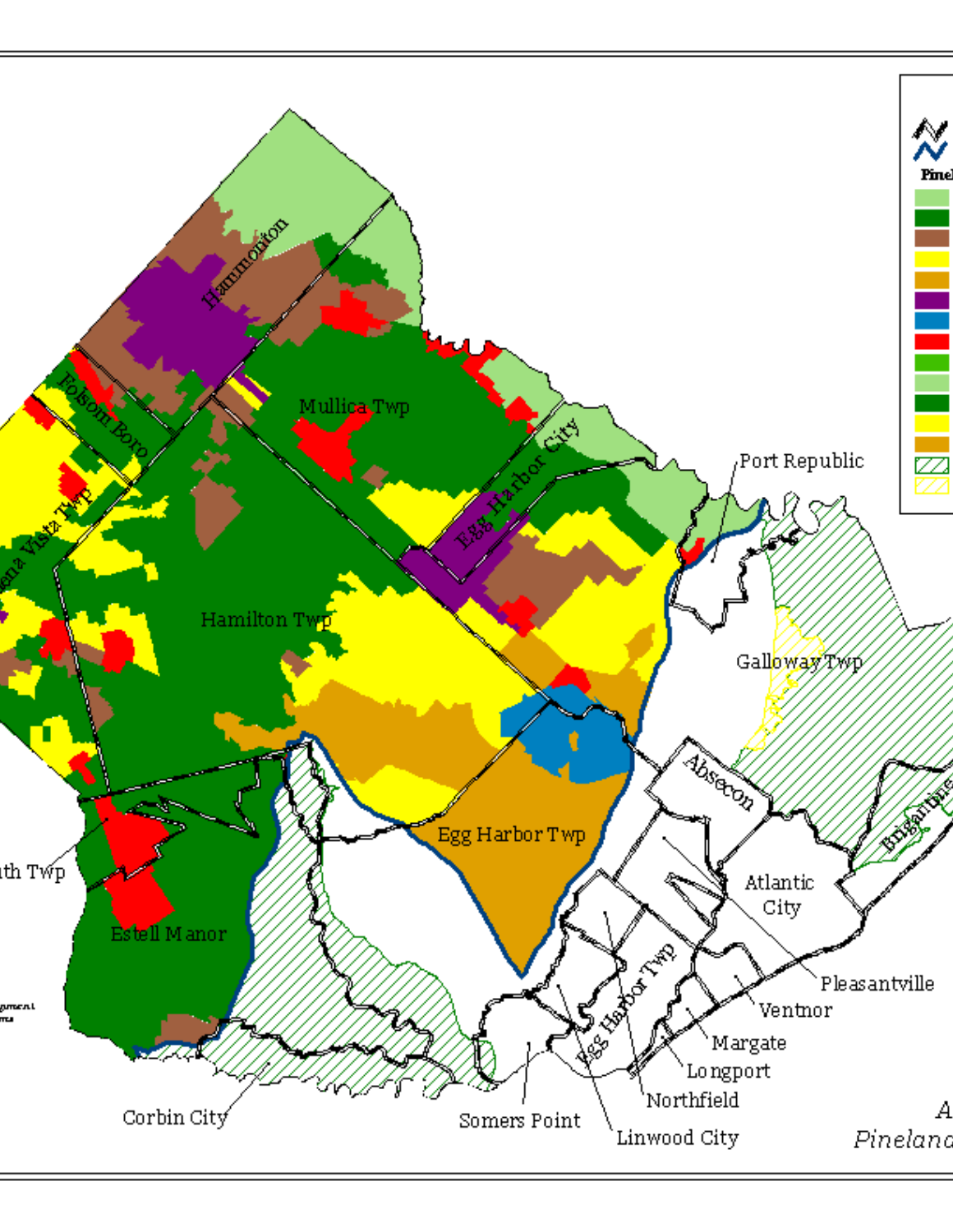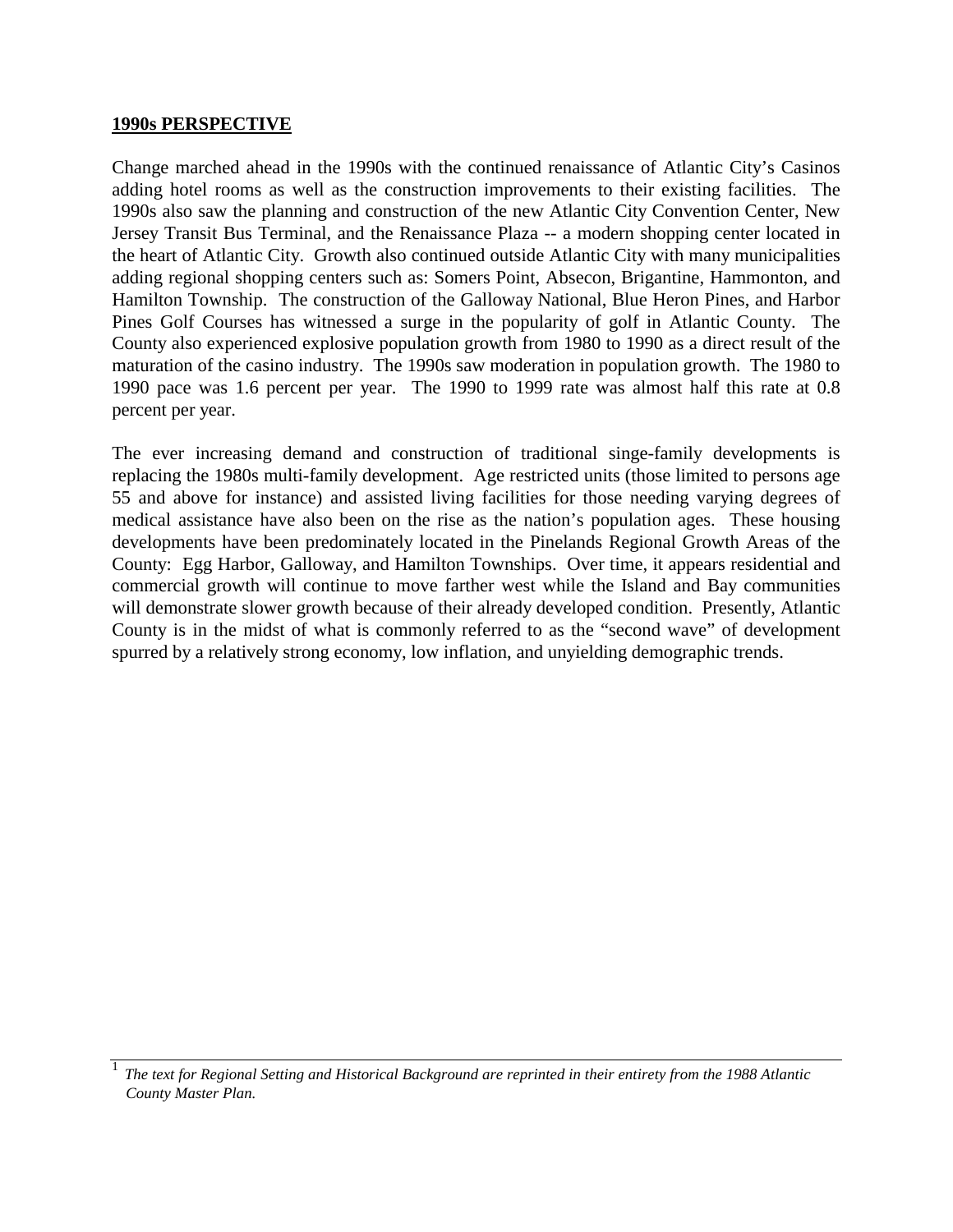#### **1990s PERSPECTIVE**

Change marched ahead in the 1990s with the continued renaissance of Atlantic City's Casinos adding hotel rooms as well as the construction improvements to their existing facilities. The 1990s also saw the planning and construction of the new Atlantic City Convention Center, New Jersey Transit Bus Terminal, and the Renaissance Plaza -- a modern shopping center located in the heart of Atlantic City. Growth also continued outside Atlantic City with many municipalities adding regional shopping centers such as: Somers Point, Absecon, Brigantine, Hammonton, and Hamilton Township. The construction of the Galloway National, Blue Heron Pines, and Harbor Pines Golf Courses has witnessed a surge in the popularity of golf in Atlantic County. The County also experienced explosive population growth from 1980 to 1990 as a direct result of the maturation of the casino industry. The 1990s saw moderation in population growth. The 1980 to 1990 pace was 1.6 percent per year. The 1990 to 1999 rate was almost half this rate at 0.8 percent per year.

The ever increasing demand and construction of traditional singe-family developments is replacing the 1980s multi-family development. Age restricted units (those limited to persons age 55 and above for instance) and assisted living facilities for those needing varying degrees of medical assistance have also been on the rise as the nation's population ages. These housing developments have been predominately located in the Pinelands Regional Growth Areas of the County: Egg Harbor, Galloway, and Hamilton Townships. Over time, it appears residential and commercial growth will continue to move farther west while the Island and Bay communities will demonstrate slower growth because of their already developed condition. Presently, Atlantic County is in the midst of what is commonly referred to as the "second wave" of development spurred by a relatively strong economy, low inflation, and unyielding demographic trends.

<sup>1</sup>*The text for Regional Setting and Historical Background are reprinted in their entirety from the 1988 Atlantic County Master Plan.*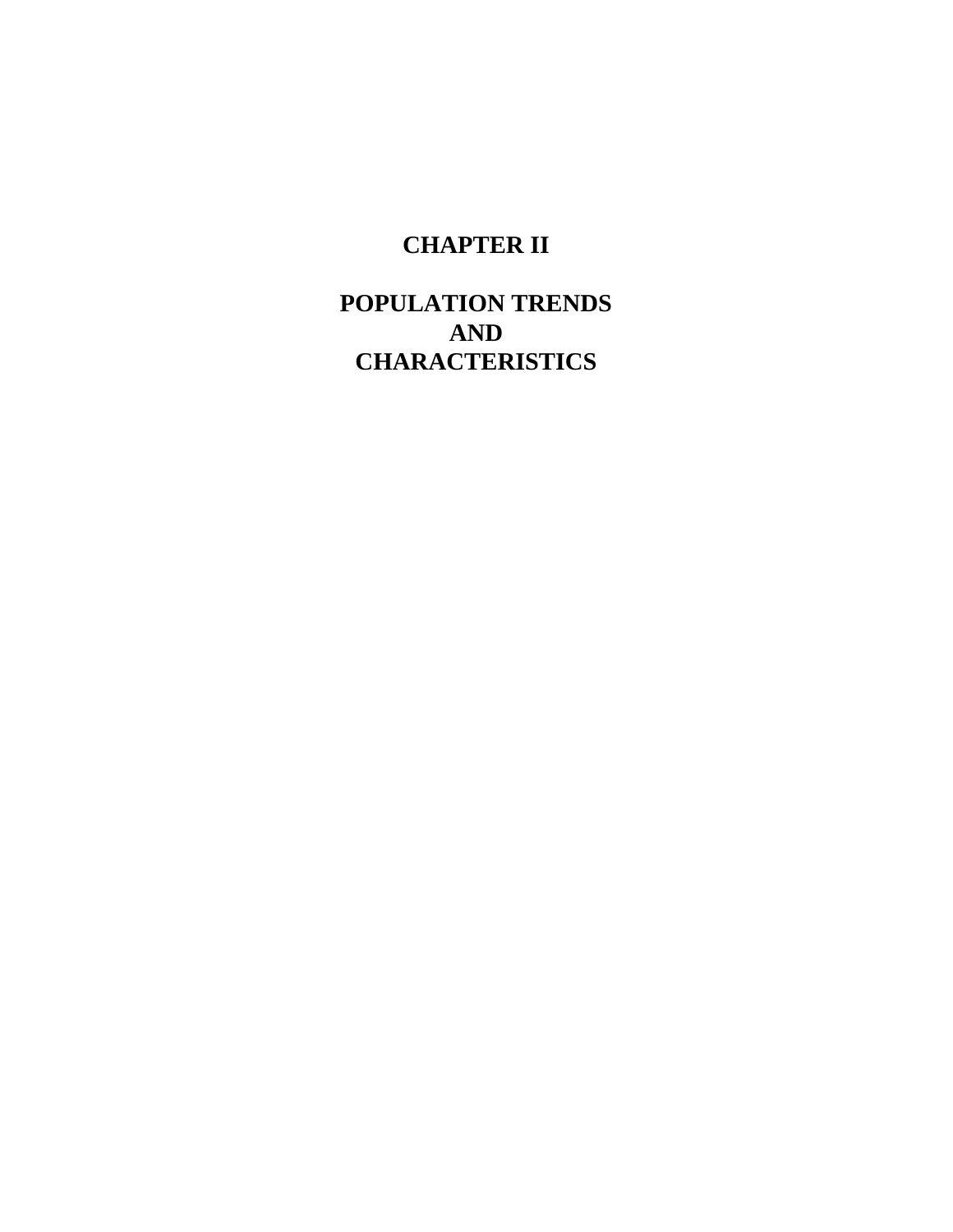## **CHAPTER II**

## **POPULATION TRENDS AND CHARACTERISTICS**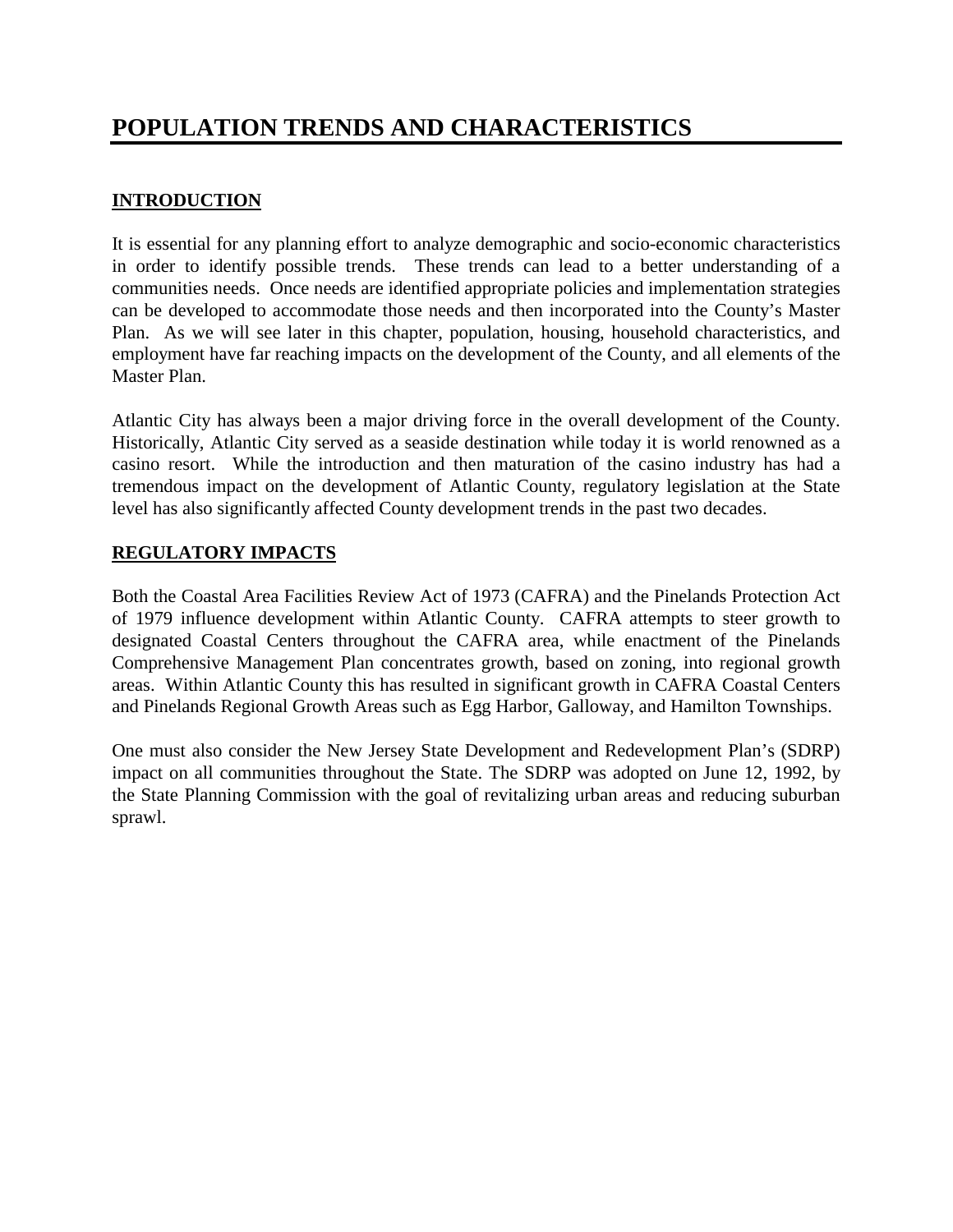## **INTRODUCTION**

It is essential for any planning effort to analyze demographic and socio-economic characteristics in order to identify possible trends. These trends can lead to a better understanding of a communities needs. Once needs are identified appropriate policies and implementation strategies can be developed to accommodate those needs and then incorporated into the County's Master Plan. As we will see later in this chapter, population, housing, household characteristics, and employment have far reaching impacts on the development of the County, and all elements of the Master Plan.

Atlantic City has always been a major driving force in the overall development of the County. Historically, Atlantic City served as a seaside destination while today it is world renowned as a casino resort. While the introduction and then maturation of the casino industry has had a tremendous impact on the development of Atlantic County, regulatory legislation at the State level has also significantly affected County development trends in the past two decades.

## **REGULATORY IMPACTS**

Both the Coastal Area Facilities Review Act of 1973 (CAFRA) and the Pinelands Protection Act of 1979 influence development within Atlantic County. CAFRA attempts to steer growth to designated Coastal Centers throughout the CAFRA area, while enactment of the Pinelands Comprehensive Management Plan concentrates growth, based on zoning, into regional growth areas. Within Atlantic County this has resulted in significant growth in CAFRA Coastal Centers and Pinelands Regional Growth Areas such as Egg Harbor, Galloway, and Hamilton Townships.

One must also consider the New Jersey State Development and Redevelopment Plan's (SDRP) impact on all communities throughout the State. The SDRP was adopted on June 12, 1992, by the State Planning Commission with the goal of revitalizing urban areas and reducing suburban sprawl.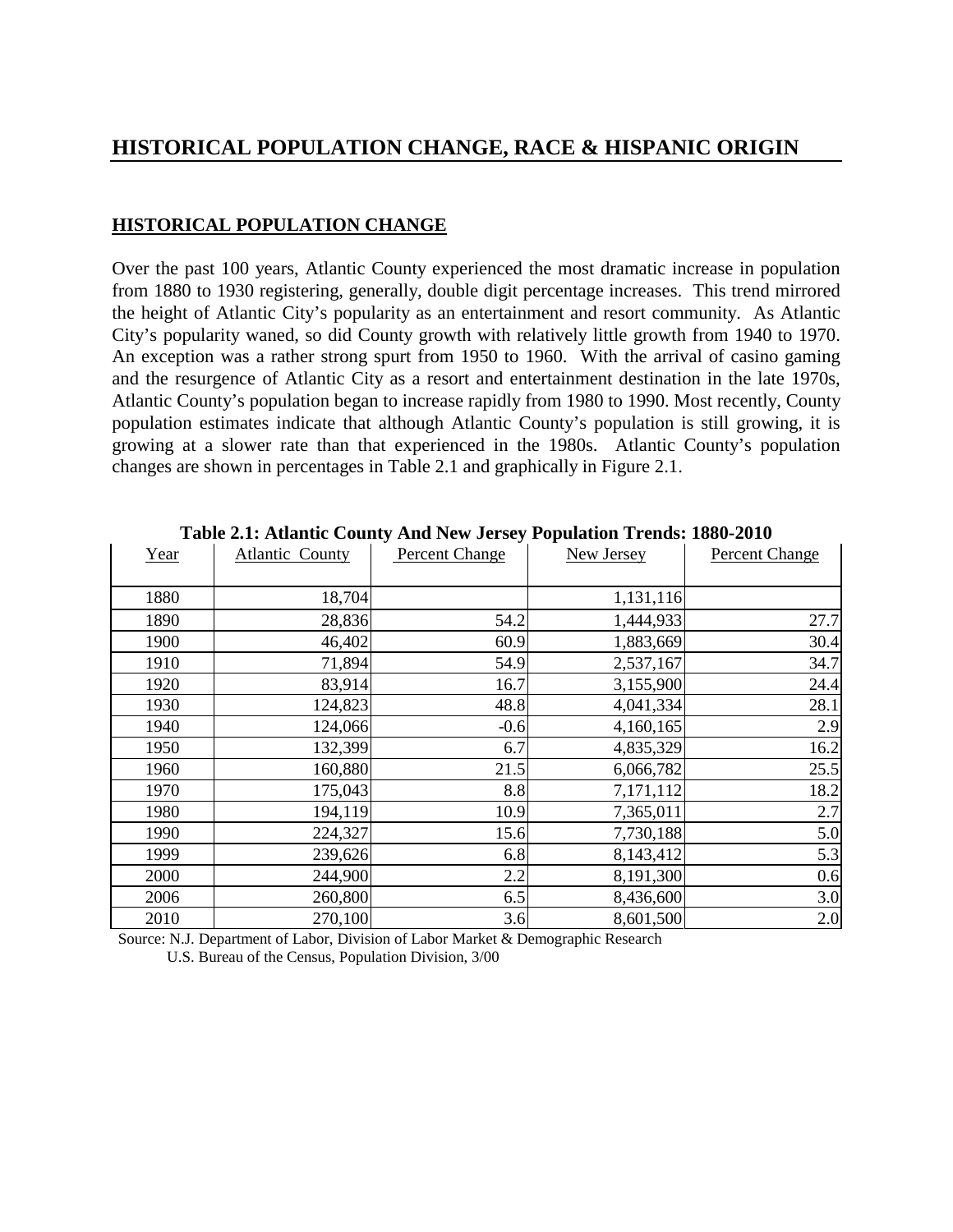## **HISTORICAL POPULATION CHANGE, RACE & HISPANIC ORIGIN**

## **HISTORICAL POPULATION CHANGE**

Over the past 100 years, Atlantic County experienced the most dramatic increase in population from 1880 to 1930 registering, generally, double digit percentage increases. This trend mirrored the height of Atlantic City's popularity as an entertainment and resort community. As Atlantic City's popularity waned, so did County growth with relatively little growth from 1940 to 1970. An exception was a rather strong spurt from 1950 to 1960. With the arrival of casino gaming and the resurgence of Atlantic City as a resort and entertainment destination in the late 1970s, Atlantic County's population began to increase rapidly from 1980 to 1990. Most recently, County population estimates indicate that although Atlantic County's population is still growing, it is growing at a slower rate than that experienced in the 1980s. Atlantic County's population changes are shown in percentages in Table 2.1 and graphically in Figure 2.1.

| Year | It sitt intumite County This Two belocy I operation Trends Tool Solo<br><b>Atlantic County</b> | <b>Percent Change</b> | New Jersey | <b>Percent Change</b> |
|------|------------------------------------------------------------------------------------------------|-----------------------|------------|-----------------------|
|      |                                                                                                |                       |            |                       |
| 1880 | 18,704                                                                                         |                       | 1,131,116  |                       |
| 1890 | 28,836                                                                                         | 54.2                  | 1,444,933  | 27.7                  |
| 1900 | 46,402                                                                                         | 60.9                  | 1,883,669  | 30.4                  |
| 1910 | 71,894                                                                                         | 54.9                  | 2,537,167  | 34.7                  |
| 1920 | 83,914                                                                                         | 16.7                  | 3,155,900  | 24.4                  |
| 1930 | 124,823                                                                                        | 48.8                  | 4,041,334  | 28.1                  |
| 1940 | 124,066                                                                                        | $-0.6$                | 4,160,165  | 2.9                   |
| 1950 | 132,399                                                                                        | 6.7                   | 4,835,329  | 16.2                  |
| 1960 | 160,880                                                                                        | 21.5                  | 6,066,782  | 25.5                  |
| 1970 | 175,043                                                                                        | 8.8                   | 7,171,112  | 18.2                  |
| 1980 | 194,119                                                                                        | 10.9                  | 7,365,011  | 2.7                   |
| 1990 | 224,327                                                                                        | 15.6                  | 7,730,188  | 5.0                   |
| 1999 | 239,626                                                                                        | 6.8                   | 8,143,412  | 5.3                   |
| 2000 | 244,900                                                                                        | 2.2                   | 8,191,300  | 0.6                   |
| 2006 | 260,800                                                                                        | 6.5                   | 8,436,600  | 3.0                   |
| 2010 | 270,100                                                                                        | 3.6                   | 8,601,500  | 2.0                   |

**Table 2.1: Atlantic County And New Jersey Population Trends: 1880-2010**

 Source: N.J. Department of Labor, Division of Labor Market & Demographic Research U.S. Bureau of the Census, Population Division, 3/00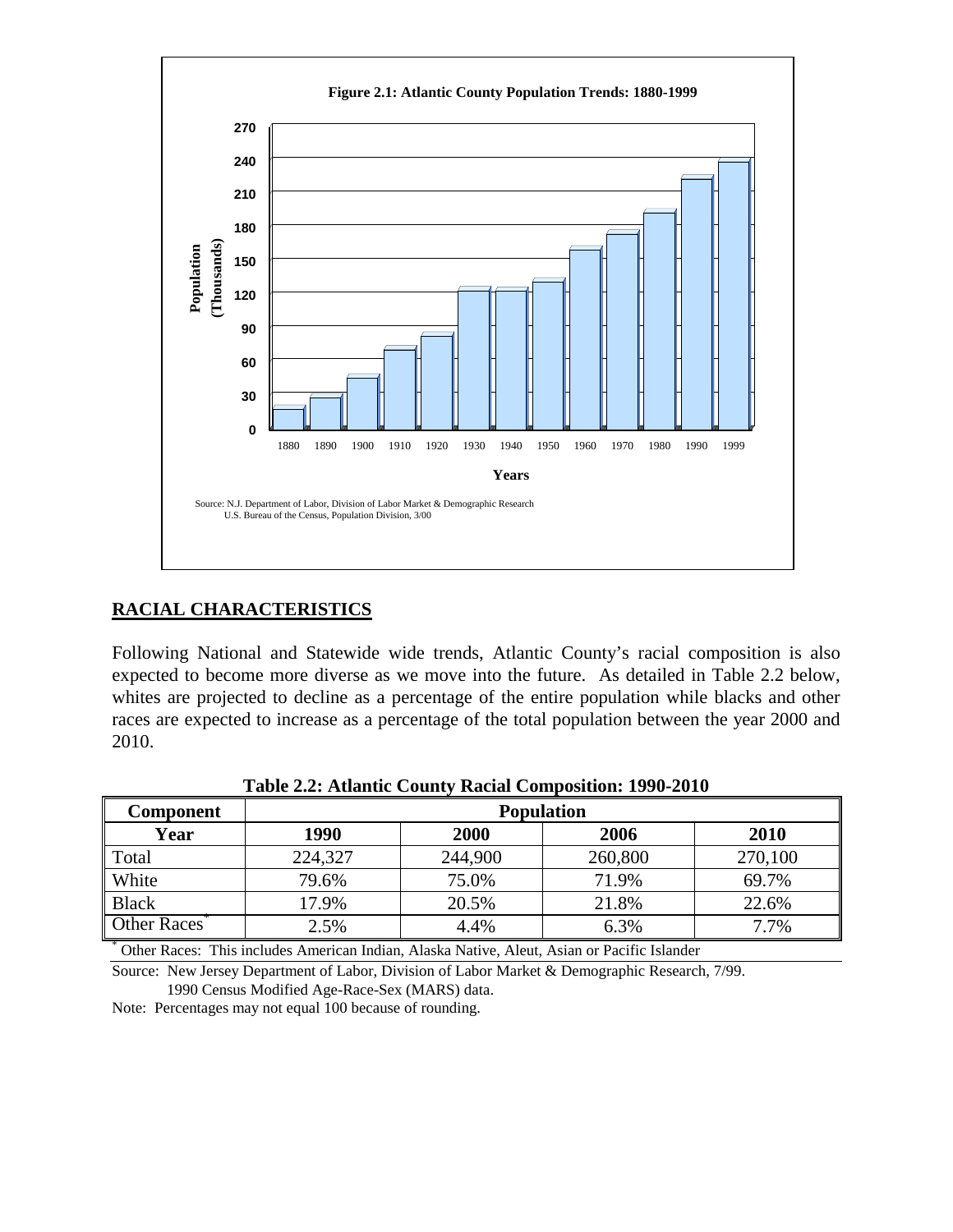

## **RACIAL CHARACTERISTICS**

Following National and Statewide wide trends, Atlantic County's racial composition is also expected to become more diverse as we move into the future. As detailed in Table 2.2 below, whites are projected to decline as a percentage of the entire population while blacks and other races are expected to increase as a percentage of the total population between the year 2000 and 2010.

| Component                                                                                   | <b>Population</b> |                      |         |         |  |  |  |  |
|---------------------------------------------------------------------------------------------|-------------------|----------------------|---------|---------|--|--|--|--|
| Year                                                                                        | 1990              | 2006<br>2000<br>2010 |         |         |  |  |  |  |
| Total                                                                                       | 224,327           | 244,900              | 260,800 | 270,100 |  |  |  |  |
| <b>White</b>                                                                                | 79.6%             | 75.0%                | 71.9%   | 69.7%   |  |  |  |  |
| <b>Black</b>                                                                                | 17.9%             | 20.5%                | 21.8%   | 22.6%   |  |  |  |  |
| Other Races <sup>®</sup>                                                                    | 2.5%              | 4.4%                 | 6.3%    | 7.7%    |  |  |  |  |
| Other Races: This includes American Indian, Alaska Native, Aleut, Asian or Pacific Islander |                   |                      |         |         |  |  |  |  |

**Table 2.2: Atlantic County Racial Composition: 1990-2010**

Source: New Jersey Department of Labor, Division of Labor Market & Demographic Research, 7/99. 1990 Census Modified Age-Race-Sex (MARS) data.

Note: Percentages may not equal 100 because of rounding.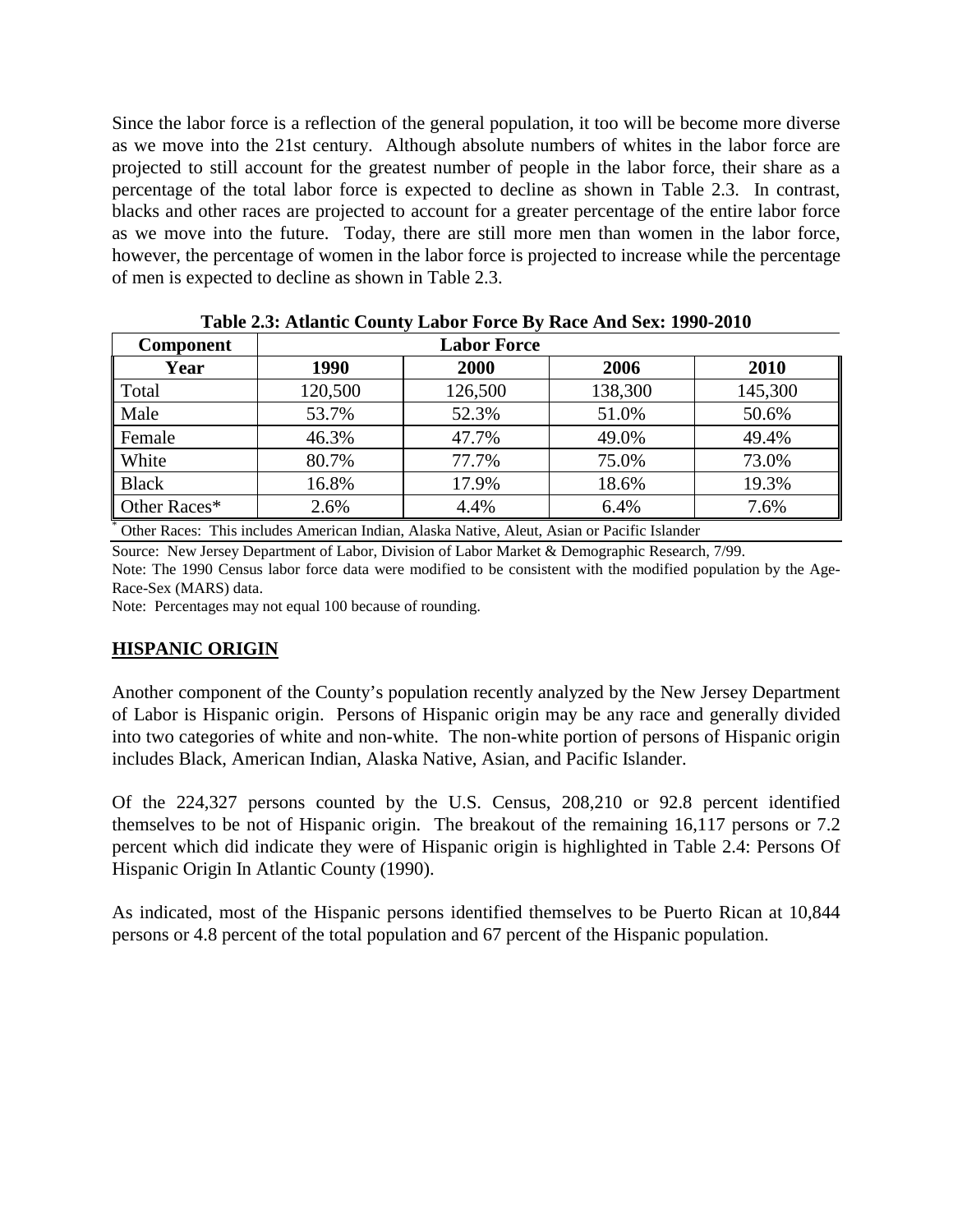Since the labor force is a reflection of the general population, it too will be become more diverse as we move into the 21st century. Although absolute numbers of whites in the labor force are projected to still account for the greatest number of people in the labor force, their share as a percentage of the total labor force is expected to decline as shown in Table 2.3. In contrast, blacks and other races are projected to account for a greater percentage of the entire labor force as we move into the future. Today, there are still more men than women in the labor force, however, the percentage of women in the labor force is projected to increase while the percentage of men is expected to decline as shown in Table 2.3.

| <b>Component</b> |                                                                                            | <b>Labor Force</b> |         |         |
|------------------|--------------------------------------------------------------------------------------------|--------------------|---------|---------|
| Year             | 1990                                                                                       | 2000               | 2006    | 2010    |
| Total            | 120,500                                                                                    | 126,500            | 138,300 | 145,300 |
| Male             | 53.7%                                                                                      | 52.3%              | 51.0%   | 50.6%   |
| Female           | 46.3%                                                                                      | 47.7%              | 49.0%   | 49.4%   |
| White            | 80.7%                                                                                      | 77.7%              | 75.0%   | 73.0%   |
| <b>Black</b>     | 16.8%                                                                                      | 17.9%              | 18.6%   | 19.3%   |
| Other Races*     | 2.6%                                                                                       | 4.4%               | 6.4%    | 7.6%    |
|                  | Other Becase This includes American Indian Algebra Native Algert Asian or Desifie Islander |                    |         |         |

**Table 2.3: Atlantic County Labor Force By Race And Sex: 1990-2010** 

Other Races: This includes American Indian, Alaska Native, Aleut, Asian or Pacific Islander

Source: New Jersey Department of Labor, Division of Labor Market & Demographic Research, 7/99. Note: The 1990 Census labor force data were modified to be consistent with the modified population by the Age-

Race-Sex (MARS) data.

Note: Percentages may not equal 100 because of rounding.

#### **HISPANIC ORIGIN**

Another component of the County's population recently analyzed by the New Jersey Department of Labor is Hispanic origin. Persons of Hispanic origin may be any race and generally divided into two categories of white and non-white. The non-white portion of persons of Hispanic origin includes Black, American Indian, Alaska Native, Asian, and Pacific Islander.

Of the 224,327 persons counted by the U.S. Census, 208,210 or 92.8 percent identified themselves to be not of Hispanic origin. The breakout of the remaining 16,117 persons or 7.2 percent which did indicate they were of Hispanic origin is highlighted in Table 2.4: Persons Of Hispanic Origin In Atlantic County (1990).

As indicated, most of the Hispanic persons identified themselves to be Puerto Rican at 10,844 persons or 4.8 percent of the total population and 67 percent of the Hispanic population.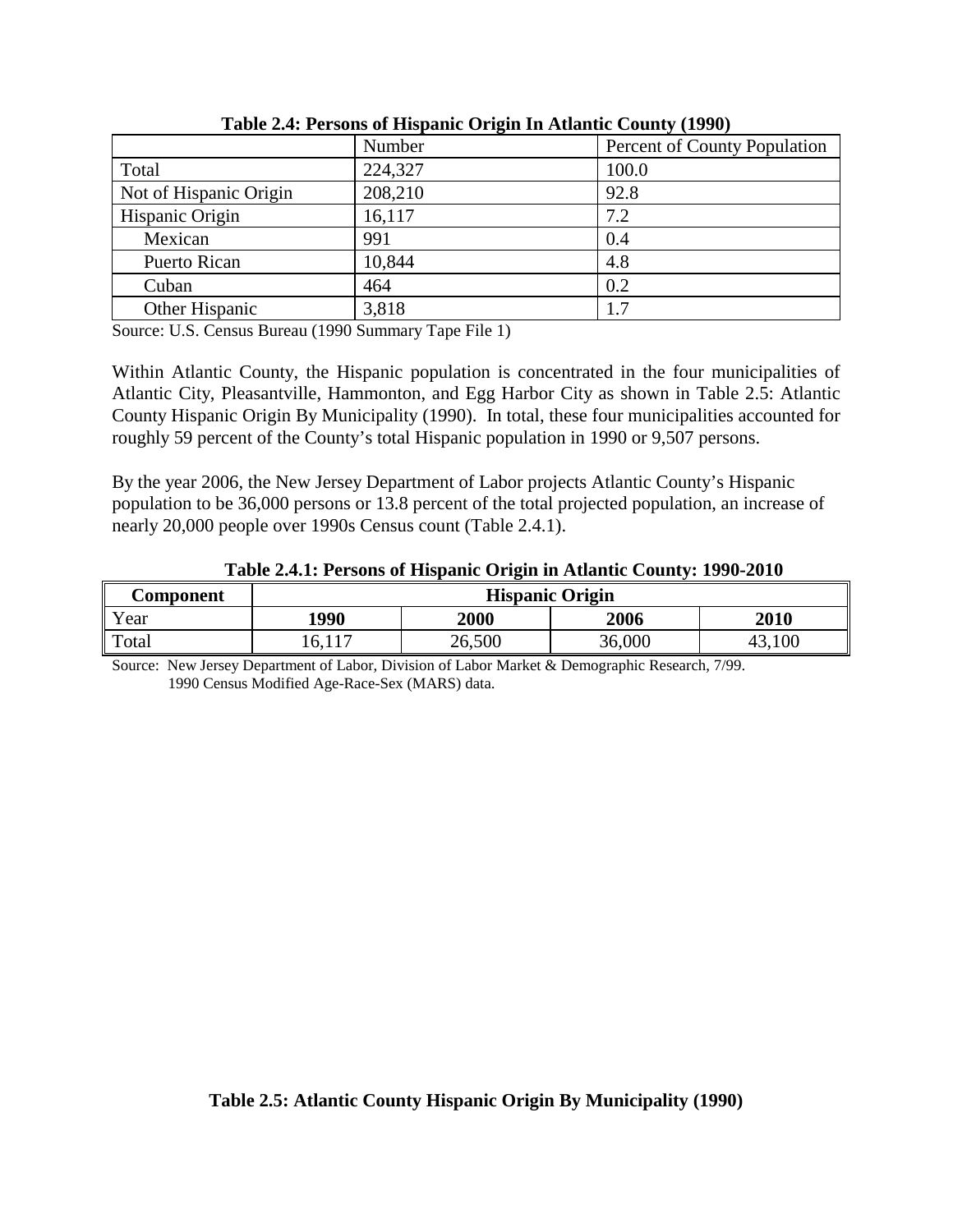|                        | Number  | Percent of County Population |
|------------------------|---------|------------------------------|
| Total                  | 224,327 | 100.0                        |
| Not of Hispanic Origin | 208,210 | 92.8                         |
| Hispanic Origin        | 16,117  | 7.2                          |
| Mexican                | 991     | 0.4                          |
| <b>Puerto Rican</b>    | 10,844  | 4.8                          |
| Cuban                  | 464     | 0.2                          |
| Other Hispanic         | 3,818   | 1.7                          |

**Table 2.4: Persons of Hispanic Origin In Atlantic County (1990)** 

Source: U.S. Census Bureau (1990 Summary Tape File 1)

Within Atlantic County, the Hispanic population is concentrated in the four municipalities of Atlantic City, Pleasantville, Hammonton, and Egg Harbor City as shown in Table 2.5: Atlantic County Hispanic Origin By Municipality (1990). In total, these four municipalities accounted for roughly 59 percent of the County's total Hispanic population in 1990 or 9,507 persons.

By the year 2006, the New Jersey Department of Labor projects Atlantic County's Hispanic population to be 36,000 persons or 13.8 percent of the total projected population, an increase of nearly 20,000 people over 1990s Census count (Table 2.4.1).

|           | Tuble studies to compute the public official in from the country, the sector |        |        |             |  |  |
|-----------|------------------------------------------------------------------------------|--------|--------|-------------|--|--|
| Component | <b>Hispanic Origin</b>                                                       |        |        |             |  |  |
| Year      | 1990                                                                         | 2000   | 2006   | <b>2010</b> |  |  |
| Total     | 16,117                                                                       | 26,500 | 36,000 |             |  |  |

**Table 2.4.1: Persons of Hispanic Origin in Atlantic County: 1990-2010** 

Source: New Jersey Department of Labor, Division of Labor Market & Demographic Research, 7/99. 1990 Census Modified Age-Race-Sex (MARS) data.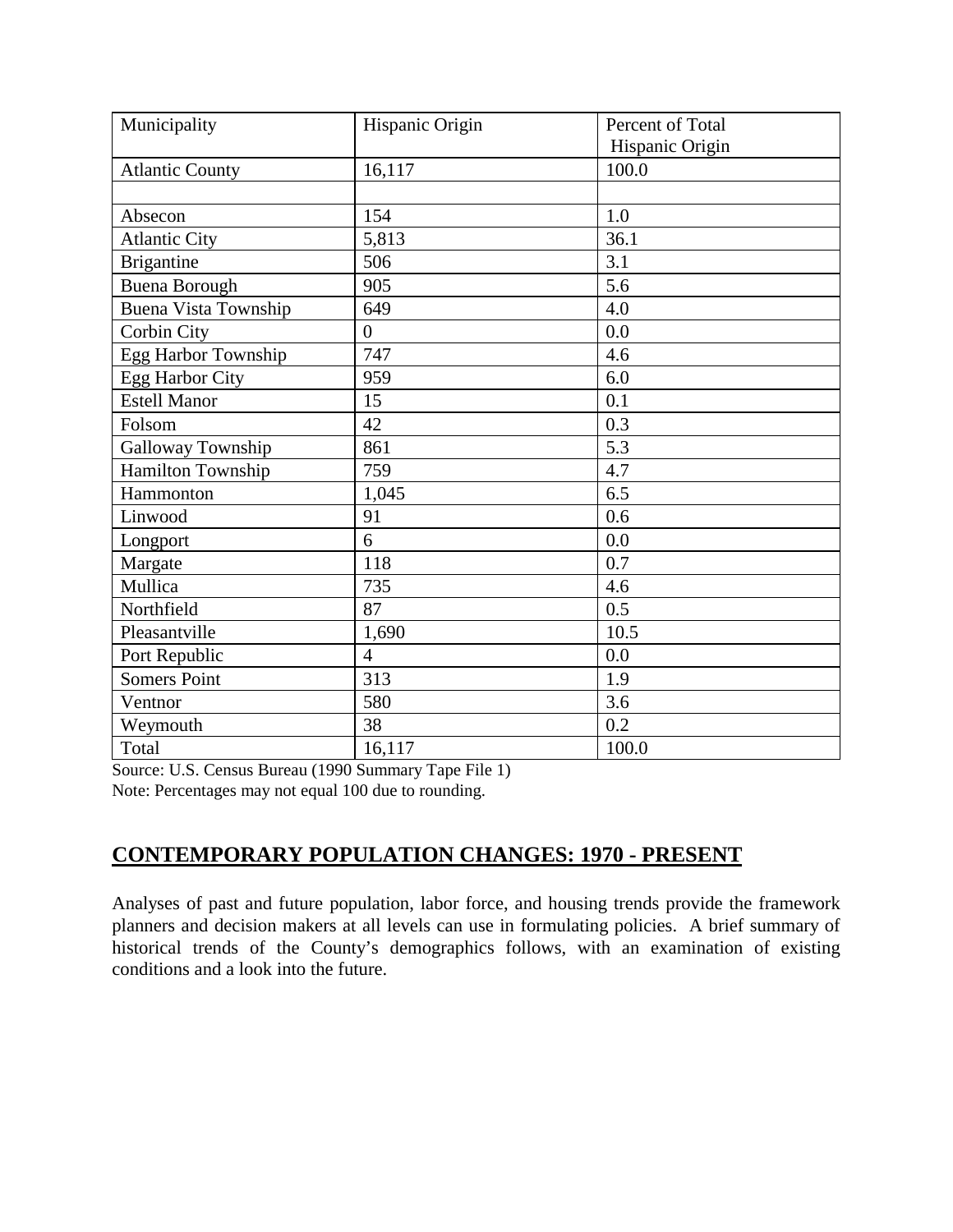| Municipality                | Hispanic Origin | Percent of Total |
|-----------------------------|-----------------|------------------|
|                             |                 | Hispanic Origin  |
| <b>Atlantic County</b>      | 16,117          | 100.0            |
|                             |                 |                  |
| Absecon                     | 154             | 1.0              |
| <b>Atlantic City</b>        | 5,813           | 36.1             |
| <b>Brigantine</b>           | 506             | 3.1              |
| <b>Buena Borough</b>        | 905             | 5.6              |
| <b>Buena Vista Township</b> | 649             | 4.0              |
| Corbin City                 | $\overline{0}$  | 0.0              |
| Egg Harbor Township         | 747             | 4.6              |
| Egg Harbor City             | 959             | 6.0              |
| <b>Estell Manor</b>         | 15              | 0.1              |
| Folsom                      | 42              | 0.3              |
| Galloway Township           | 861             | 5.3              |
| Hamilton Township           | 759             | 4.7              |
| Hammonton                   | 1,045           | 6.5              |
| Linwood                     | 91              | 0.6              |
| Longport                    | 6               | 0.0              |
| Margate                     | 118             | 0.7              |
| Mullica                     | 735             | 4.6              |
| Northfield                  | 87              | 0.5              |
| Pleasantville               | 1,690           | 10.5             |
| Port Republic               | $\overline{4}$  | 0.0              |
| <b>Somers Point</b>         | 313             | 1.9              |
| Ventnor                     | 580             | 3.6              |
| Weymouth                    | 38              | 0.2              |
| Total                       | 16,117          | 100.0            |

Source: U.S. Census Bureau (1990 Summary Tape File 1) Note: Percentages may not equal 100 due to rounding.

## **CONTEMPORARY POPULATION CHANGES: 1970 - PRESENT**

Analyses of past and future population, labor force, and housing trends provide the framework planners and decision makers at all levels can use in formulating policies. A brief summary of historical trends of the County's demographics follows, with an examination of existing conditions and a look into the future.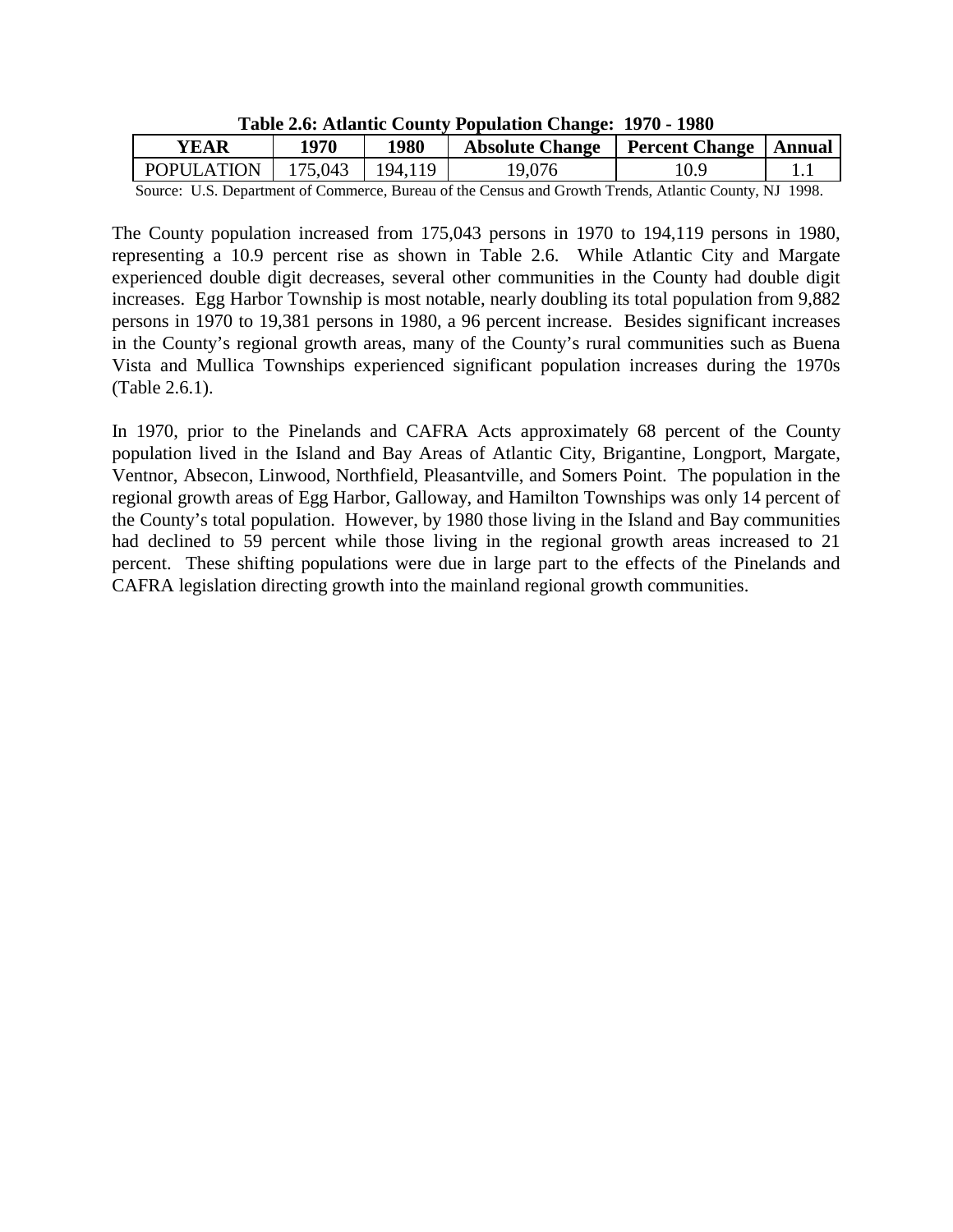| $\frac{1}{2}$                                                                                       |      |      |                                           |  |  |
|-----------------------------------------------------------------------------------------------------|------|------|-------------------------------------------|--|--|
| YEAR                                                                                                | 1970 | 1980 | Absolute Change   Percent Change   Annual |  |  |
| POPULATION   175,043   194,119                                                                      |      |      | 19,076                                    |  |  |
| Course II C. Department of Commance Dureau of the Canaus and Crowth Trends. Atlantic County NI 1000 |      |      |                                           |  |  |

**Table 2.6: Atlantic County Population Change: 1970 - 1980**

Source: U.S. Department of Commerce, Bureau of the Census and Growth Trends, Atlantic County, NJ 1998.

The County population increased from 175,043 persons in 1970 to 194,119 persons in 1980, representing a 10.9 percent rise as shown in Table 2.6. While Atlantic City and Margate experienced double digit decreases, several other communities in the County had double digit increases. Egg Harbor Township is most notable, nearly doubling its total population from 9,882 persons in 1970 to 19,381 persons in 1980, a 96 percent increase. Besides significant increases in the County's regional growth areas, many of the County's rural communities such as Buena Vista and Mullica Townships experienced significant population increases during the 1970s (Table 2.6.1).

In 1970, prior to the Pinelands and CAFRA Acts approximately 68 percent of the County population lived in the Island and Bay Areas of Atlantic City, Brigantine, Longport, Margate, Ventnor, Absecon, Linwood, Northfield, Pleasantville, and Somers Point. The population in the regional growth areas of Egg Harbor, Galloway, and Hamilton Townships was only 14 percent of the County's total population. However, by 1980 those living in the Island and Bay communities had declined to 59 percent while those living in the regional growth areas increased to 21 percent. These shifting populations were due in large part to the effects of the Pinelands and CAFRA legislation directing growth into the mainland regional growth communities.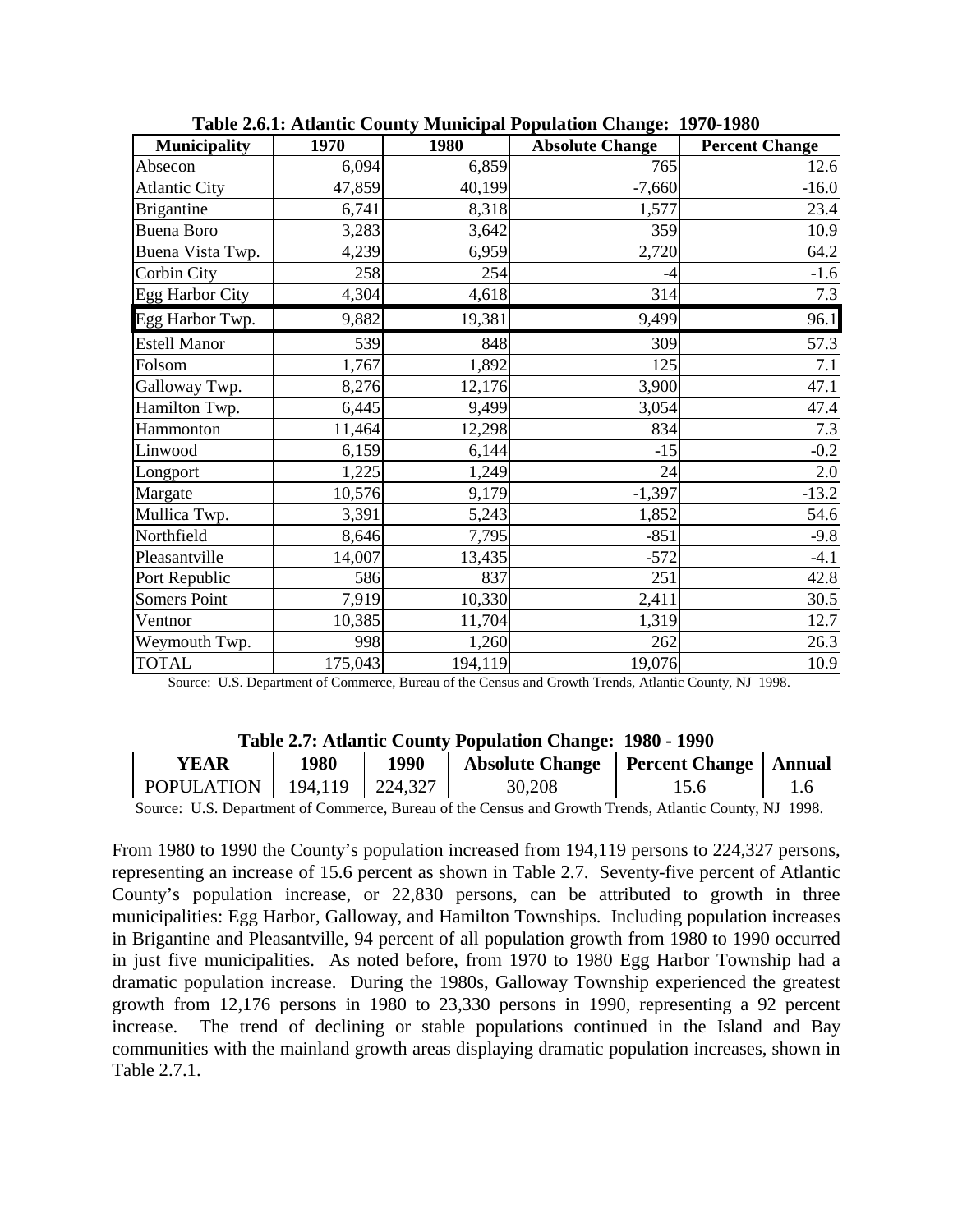| <b>Municipality</b>  | 1970    | 1980    | <b>Absolute Change</b> | <b>Percent Change</b> |
|----------------------|---------|---------|------------------------|-----------------------|
| Absecon              | 6,094   | 6,859   | 765                    | 12.6                  |
| <b>Atlantic City</b> | 47,859  | 40,199  | $-7,660$               | $-16.0$               |
| <b>Brigantine</b>    | 6,741   | 8,318   | 1,577                  | 23.4                  |
| <b>Buena Boro</b>    | 3,283   | 3,642   | 359                    | 10.9                  |
| Buena Vista Twp.     | 4,239   | 6,959   | 2,720                  | 64.2                  |
| <b>Corbin City</b>   | 258     | 254     | $-4$                   | $-1.6$                |
| Egg Harbor City      | 4,304   | 4,618   | 314                    | 7.3                   |
| Egg Harbor Twp.      | 9,882   | 19,381  | 9,499                  | 96.1                  |
| <b>Estell Manor</b>  | 539     | 848     | 309                    | 57.3                  |
| Folsom               | 1,767   | 1,892   | 125                    | 7.1                   |
| Galloway Twp.        | 8,276   | 12,176  | 3,900                  | 47.1                  |
| Hamilton Twp.        | 6,445   | 9,499   | 3,054                  | 47.4                  |
| Hammonton            | 11,464  | 12,298  | 834                    | 7.3                   |
| Linwood              | 6,159   | 6,144   | $-15$                  | $-0.2$                |
| Longport             | 1,225   | 1,249   | 24                     | $2.0\,$               |
| Margate              | 10,576  | 9,179   | $-1,397$               | $-13.2$               |
| Mullica Twp.         | 3,391   | 5,243   | 1,852                  | 54.6                  |
| Northfield           | 8,646   | 7,795   | $-851$                 | $-9.8$                |
| Pleasantville        | 14,007  | 13,435  | $-572$                 | $-4.1$                |
| Port Republic        | 586     | 837     | 251                    | 42.8                  |
| Somers Point         | 7,919   | 10,330  | 2,411                  | 30.5                  |
| Ventnor              | 10,385  | 11,704  | 1,319                  | 12.7                  |
| Weymouth Twp.        | 998     | 1,260   | 262                    | 26.3                  |
| <b>TOTAL</b>         | 175,043 | 194,119 | 19,076                 | 10.9                  |

**Table 2.6.1: Atlantic County Municipal Population Change: 1970-1980** 

Source: U.S. Department of Commerce, Bureau of the Census and Growth Trends, Atlantic County, NJ 1998.

| Table 2010 Hughlie County Topulation Changer 1700 1770 |                                    |         |                                           |                             |              |  |
|--------------------------------------------------------|------------------------------------|---------|-------------------------------------------|-----------------------------|--------------|--|
| <b>YEAR</b>                                            | 1980                               | 1990    | Absolute Change   Percent Change   Annual |                             |              |  |
| POPULATION                                             | 194.119                            | 224,327 | 30,208                                    | 15.6                        |              |  |
| $\sim$<br>TTA T                                        | $\sim$ $\sim$ $\sim$ $\sim$ $\sim$ |         | $\sim$ 1 $\sim$ 1 $\sim$                  | $\sim$ $\sim$ $\sim$ $\sim$ | $\mathbf{M}$ |  |

**Table 2.7: Atlantic County Population Change: 1980 - 1990**

Source: U.S. Department of Commerce, Bureau of the Census and Growth Trends, Atlantic County, NJ 1998.

From 1980 to 1990 the County's population increased from 194,119 persons to 224,327 persons, representing an increase of 15.6 percent as shown in Table 2.7. Seventy-five percent of Atlantic County's population increase, or 22,830 persons, can be attributed to growth in three municipalities: Egg Harbor, Galloway, and Hamilton Townships. Including population increases in Brigantine and Pleasantville, 94 percent of all population growth from 1980 to 1990 occurred in just five municipalities. As noted before, from 1970 to 1980 Egg Harbor Township had a dramatic population increase. During the 1980s, Galloway Township experienced the greatest growth from 12,176 persons in 1980 to 23,330 persons in 1990, representing a 92 percent increase. The trend of declining or stable populations continued in the Island and Bay communities with the mainland growth areas displaying dramatic population increases, shown in Table 2.7.1.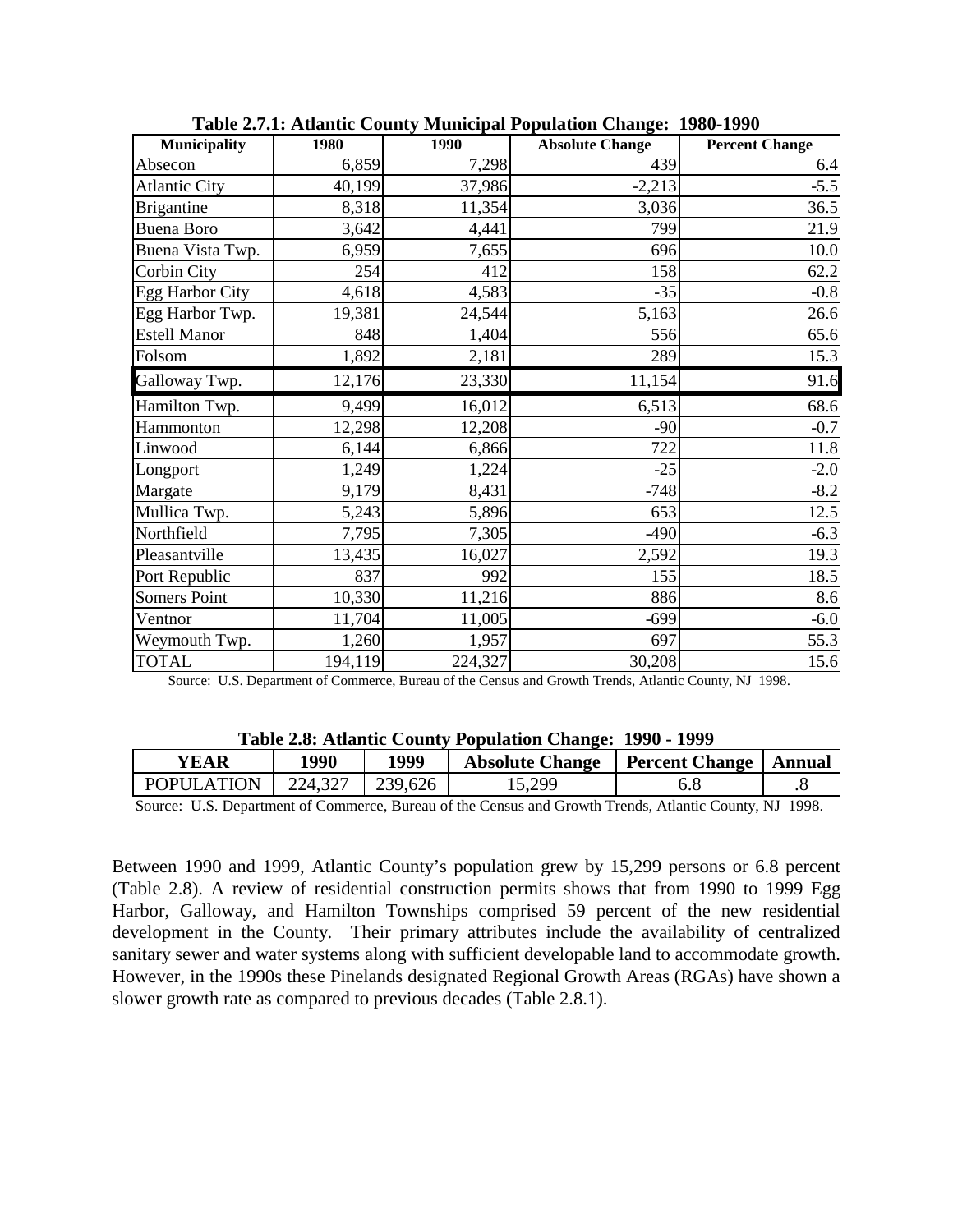| <b>Municipality</b>  | 1980    | 1990    | <b>Absolute Change</b> | <b>Percent Change</b> |
|----------------------|---------|---------|------------------------|-----------------------|
| Absecon              | 6,859   | 7,298   | 439                    | 6.4                   |
| <b>Atlantic City</b> | 40,199  | 37,986  | $-2,213$               | $-5.5$                |
| <b>Brigantine</b>    | 8,318   | 11,354  | 3,036                  | 36.5                  |
| <b>Buena Boro</b>    | 3,642   | 4,441   | 799                    | 21.9                  |
| Buena Vista Twp.     | 6,959   | 7,655   | 696                    | 10.0                  |
| Corbin City          | 254     | 412     | 158                    | 62.2                  |
| Egg Harbor City      | 4,618   | 4,583   | $-35$                  | $-0.8$                |
| Egg Harbor Twp.      | 19,381  | 24,544  | 5,163                  | 26.6                  |
| <b>Estell Manor</b>  | 848     | 1,404   | 556                    | 65.6                  |
| Folsom               | 1,892   | 2,181   | 289                    | 15.3                  |
| Galloway Twp.        | 12,176  | 23,330  | 11,154                 | 91.6                  |
| Hamilton Twp.        | 9,499   | 16,012  | 6,513                  | 68.6                  |
| Hammonton            | 12,298  | 12,208  | $-90$                  | $-0.7$                |
| Linwood              | 6,144   | 6,866   | 722                    | 11.8                  |
| Longport             | 1,249   | 1,224   | $-25$                  | $-2.0$                |
| Margate              | 9,179   | 8,431   | $-748$                 | $-8.2$                |
| Mullica Twp.         | 5,243   | 5,896   | 653                    | 12.5                  |
| Northfield           | 7,795   | 7,305   | $-490$                 | $-6.3$                |
| Pleasantville        | 13,435  | 16,027  | 2,592                  | 19.3                  |
| Port Republic        | 837     | 992     | 155                    | 18.5                  |
| Somers Point         | 10,330  | 11,216  | 886                    | 8.6                   |
| Ventnor              | 11,704  | 11,005  | $-699$                 | $-6.0$                |
| Weymouth Twp.        | 1,260   | 1,957   | 697                    | 55.3                  |
| <b>TOTAL</b>         | 194,119 | 224,327 | 30,208                 | 15.6                  |

**Table 2.7.1: Atlantic County Municipal Population Change: 1980-1990** 

Source: U.S. Department of Commerce, Bureau of the Census and Growth Trends, Atlantic County, NJ 1998.

| Table 2.8: Auantic County Fopulation Change: 1990 - 1999 |         |         |                                           |     |  |  |
|----------------------------------------------------------|---------|---------|-------------------------------------------|-----|--|--|
| YEAR                                                     | 1990    | 1999    | Absolute Change   Percent Change   Annual |     |  |  |
| <b>POPULATION</b>                                        | 224,327 | 239,626 | 15,299                                    | 6.8 |  |  |
|                                                          |         |         |                                           |     |  |  |

|  |  |  |  |  |  | Table 2.8: Atlantic County Population Change: 1990 - 1999 |
|--|--|--|--|--|--|-----------------------------------------------------------|
|--|--|--|--|--|--|-----------------------------------------------------------|

Source: U.S. Department of Commerce, Bureau of the Census and Growth Trends, Atlantic County, NJ 1998.

Between 1990 and 1999, Atlantic County's population grew by 15,299 persons or 6.8 percent (Table 2.8). A review of residential construction permits shows that from 1990 to 1999 Egg Harbor, Galloway, and Hamilton Townships comprised 59 percent of the new residential development in the County. Their primary attributes include the availability of centralized sanitary sewer and water systems along with sufficient developable land to accommodate growth. However, in the 1990s these Pinelands designated Regional Growth Areas (RGAs) have shown a slower growth rate as compared to previous decades (Table 2.8.1).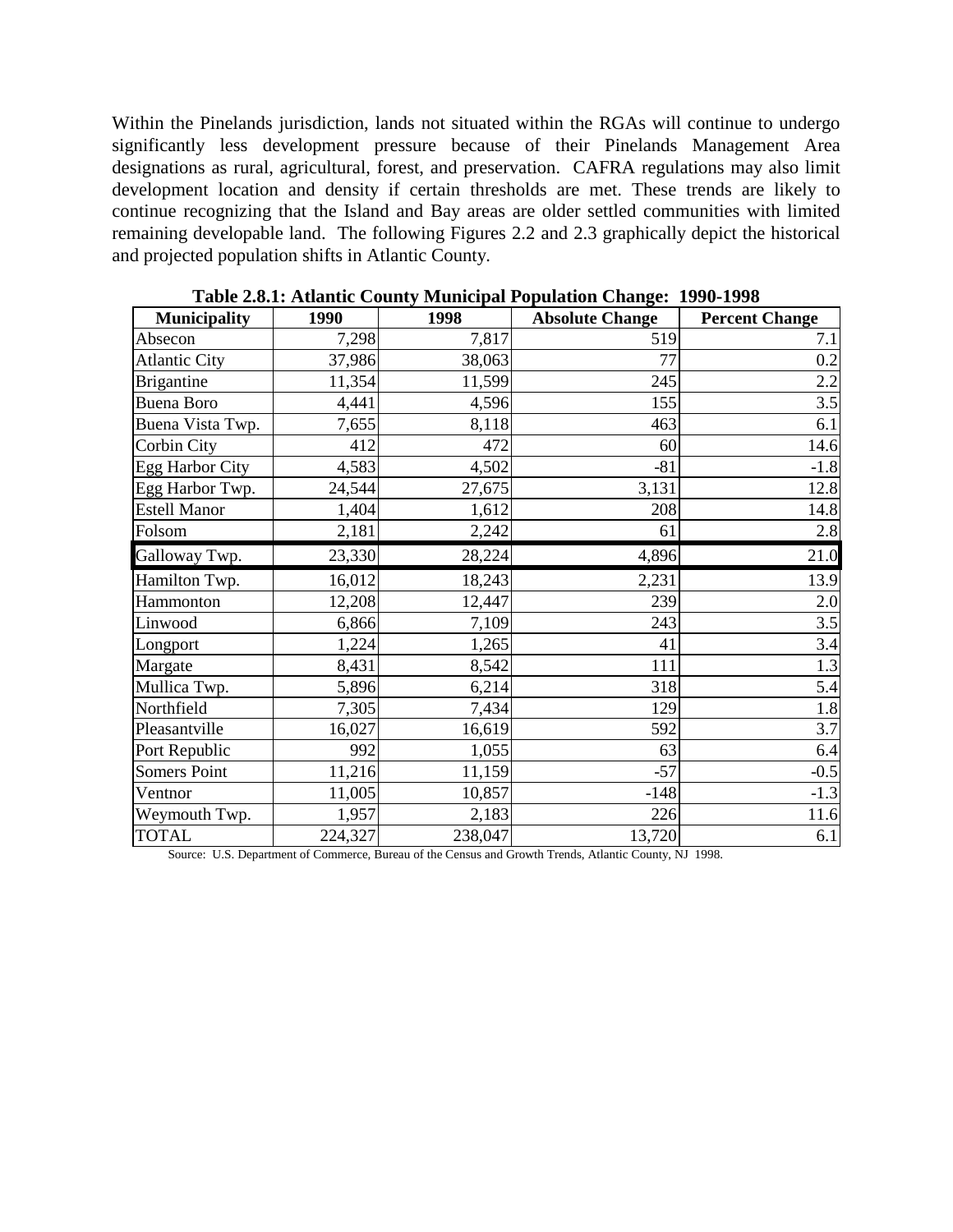Within the Pinelands jurisdiction, lands not situated within the RGAs will continue to undergo significantly less development pressure because of their Pinelands Management Area designations as rural, agricultural, forest, and preservation. CAFRA regulations may also limit development location and density if certain thresholds are met. These trends are likely to continue recognizing that the Island and Bay areas are older settled communities with limited remaining developable land. The following Figures 2.2 and 2.3 graphically depict the historical and projected population shifts in Atlantic County.

| <b>Municipality</b>  | 1990    | 1998    | o<br><b>Absolute Change</b> | <b>Percent Change</b> |
|----------------------|---------|---------|-----------------------------|-----------------------|
| Absecon              | 7,298   | 7,817   | 519                         | 7.1                   |
| <b>Atlantic City</b> | 37,986  | 38,063  | 77                          | 0.2                   |
| <b>Brigantine</b>    | 11,354  | 11,599  | 245                         | 2.2                   |
| <b>Buena Boro</b>    | 4,441   | 4,596   | 155                         | 3.5                   |
| Buena Vista Twp.     | 7,655   | 8,118   | 463                         | 6.1                   |
| Corbin City          | 412     | 472     | 60                          | 14.6                  |
| Egg Harbor City      | 4,583   | 4,502   | $-81$                       | $-1.8$                |
| Egg Harbor Twp.      | 24,544  | 27,675  | 3,131                       | 12.8                  |
| <b>Estell Manor</b>  | 1,404   | 1,612   | 208                         | 14.8                  |
| Folsom               | 2,181   | 2,242   | 61                          | $2.8\,$               |
| Galloway Twp.        | 23,330  | 28,224  | 4,896                       | 21.0                  |
| Hamilton Twp.        | 16,012  | 18,243  | 2,231                       | 13.9                  |
| Hammonton            | 12,208  | 12,447  | 239                         | 2.0                   |
| Linwood              | 6,866   | 7,109   | 243                         | 3.5                   |
| Longport             | 1,224   | 1,265   | 41                          | 3.4                   |
| Margate              | 8,431   | 8,542   | 111                         | $1.3\,$               |
| Mullica Twp.         | 5,896   | 6,214   | 318                         | 5.4                   |
| Northfield           | 7,305   | 7,434   | 129                         | 1.8                   |
| Pleasantville        | 16,027  | 16,619  | 592                         | 3.7                   |
| Port Republic        | 992     | 1,055   | 63                          | 6.4                   |
| Somers Point         | 11,216  | 11,159  | $-57$                       | $-0.5$                |
| Ventnor              | 11,005  | 10,857  | $-148$                      | $-1.3$                |
| Weymouth Twp.        | 1,957   | 2,183   | 226                         | 11.6                  |
| <b>TOTAL</b>         | 224,327 | 238,047 | 13,720                      | 6.1                   |

**Table 2.8.1: Atlantic County Municipal Population Change: 1990-1998** 

Source: U.S. Department of Commerce, Bureau of the Census and Growth Trends, Atlantic County, NJ 1998.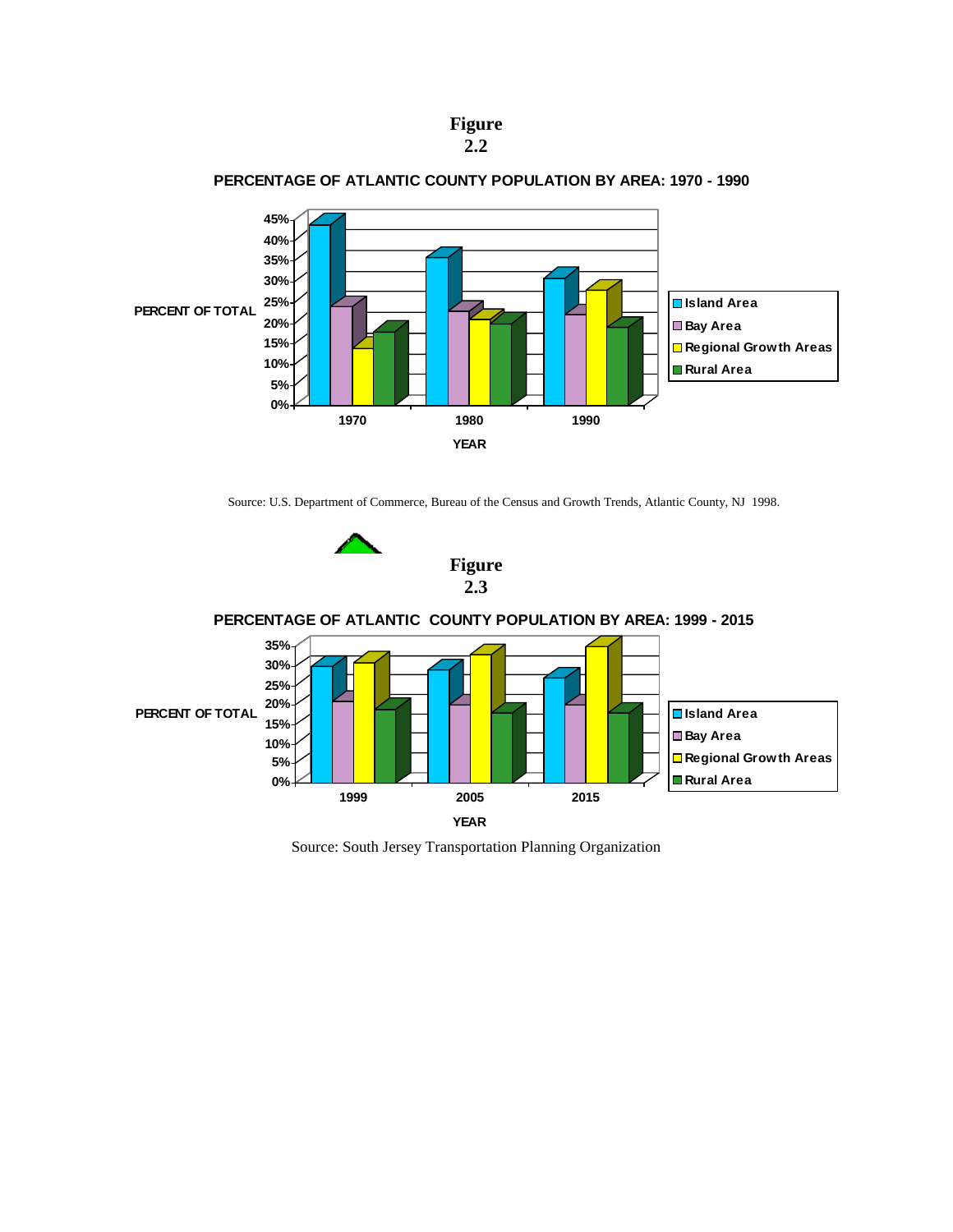



#### **PERCENTAGE OF ATLANTIC COUNTY POPULATION BY AREA: 1970 - 1990**

Source: U.S. Department of Commerce, Bureau of the Census and Growth Trends, Atlantic County, NJ 1998.





Source: South Jersey Transportation Planning Organization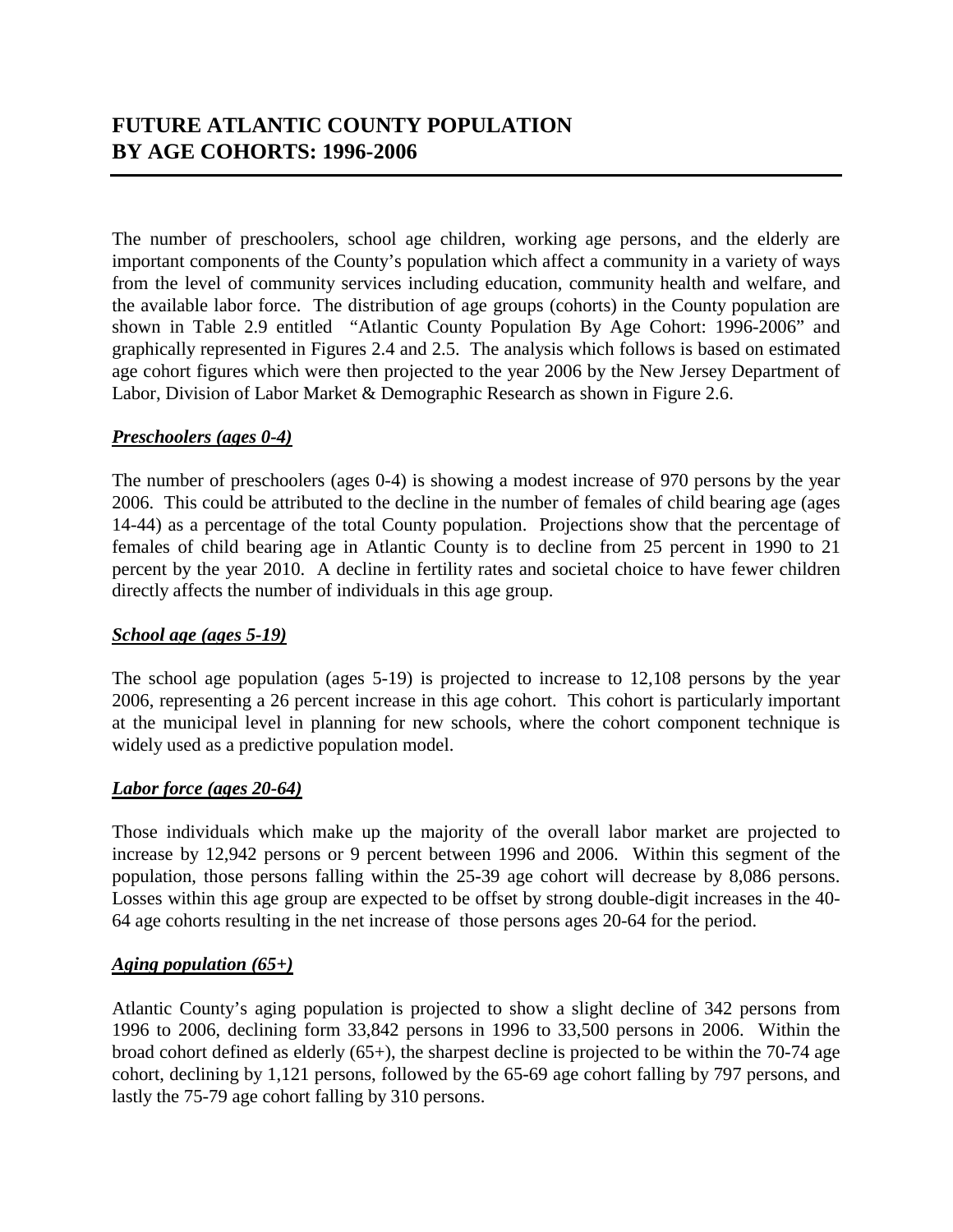The number of preschoolers, school age children, working age persons, and the elderly are important components of the County's population which affect a community in a variety of ways from the level of community services including education, community health and welfare, and the available labor force. The distribution of age groups (cohorts) in the County population are shown in Table 2.9 entitled "Atlantic County Population By Age Cohort: 1996-2006" and graphically represented in Figures 2.4 and 2.5. The analysis which follows is based on estimated age cohort figures which were then projected to the year 2006 by the New Jersey Department of Labor, Division of Labor Market & Demographic Research as shown in Figure 2.6.

## *Preschoolers (ages 0-4)*

The number of preschoolers (ages 0-4) is showing a modest increase of 970 persons by the year 2006. This could be attributed to the decline in the number of females of child bearing age (ages 14-44) as a percentage of the total County population. Projections show that the percentage of females of child bearing age in Atlantic County is to decline from 25 percent in 1990 to 21 percent by the year 2010. A decline in fertility rates and societal choice to have fewer children directly affects the number of individuals in this age group.

## *School age (ages 5-19)*

The school age population (ages 5-19) is projected to increase to 12,108 persons by the year 2006, representing a 26 percent increase in this age cohort. This cohort is particularly important at the municipal level in planning for new schools, where the cohort component technique is widely used as a predictive population model.

## *Labor force (ages 20-64)*

Those individuals which make up the majority of the overall labor market are projected to increase by 12,942 persons or 9 percent between 1996 and 2006. Within this segment of the population, those persons falling within the 25-39 age cohort will decrease by 8,086 persons. Losses within this age group are expected to be offset by strong double-digit increases in the 40- 64 age cohorts resulting in the net increase of those persons ages 20-64 for the period.

## *Aging population (65+)*

Atlantic County's aging population is projected to show a slight decline of 342 persons from 1996 to 2006, declining form 33,842 persons in 1996 to 33,500 persons in 2006. Within the broad cohort defined as elderly (65+), the sharpest decline is projected to be within the 70-74 age cohort, declining by 1,121 persons, followed by the 65-69 age cohort falling by 797 persons, and lastly the 75-79 age cohort falling by 310 persons.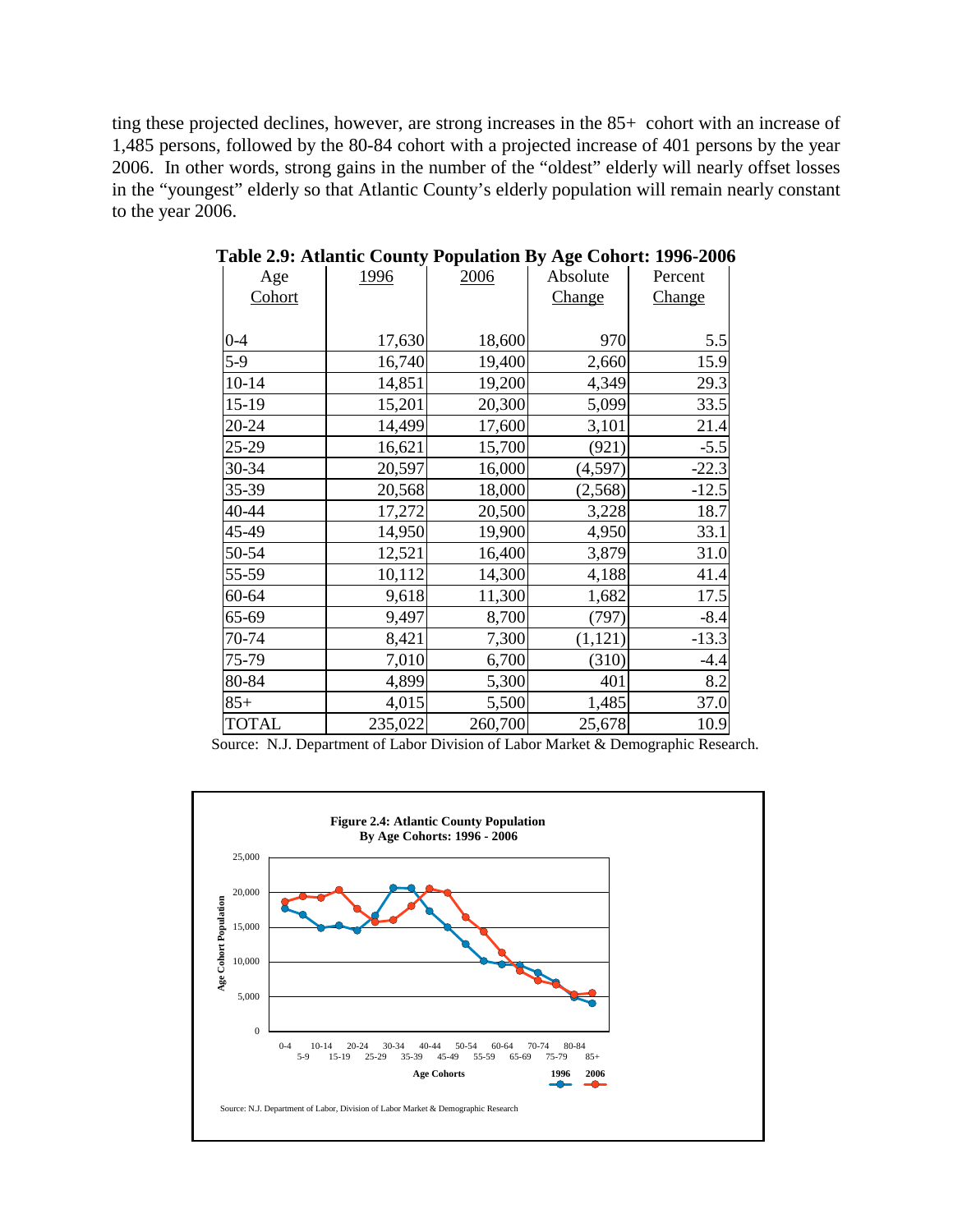ting these projected declines, however, are strong increases in the 85+ cohort with an increase of 1,485 persons, followed by the 80-84 cohort with a projected increase of 401 persons by the year 2006. In other words, strong gains in the number of the "oldest" elderly will nearly offset losses in the "youngest" elderly so that Atlantic County's elderly population will remain nearly constant to the year 2006.

| Age          | <u>1996</u> | 2006    | Absolute | Percent       |
|--------------|-------------|---------|----------|---------------|
| Cohort       |             |         | Change   | <b>Change</b> |
|              |             |         |          |               |
| $0 - 4$      | 17,630      | 18,600  | 970      | 5.5           |
| $5-9$        | 16,740      | 19,400  | 2,660    | 15.9          |
| $10 - 14$    | 14,851      | 19,200  | 4,349    | 29.3          |
| 15-19        | 15,201      | 20,300  | 5,099    | 33.5          |
| 20-24        | 14,499      | 17,600  | 3,101    | 21.4          |
| 25-29        | 16,621      | 15,700  | (921)    | $-5.5$        |
| 30-34        | 20,597      | 16,000  | (4,597)  | $-22.3$       |
| 35-39        | 20,568      | 18,000  | (2, 568) | $-12.5$       |
| 40-44        | 17,272      | 20,500  | 3,228    | 18.7          |
| 45-49        | 14,950      | 19,900  | 4,950    | 33.1          |
| 50-54        | 12,521      | 16,400  | 3,879    | 31.0          |
| 55-59        | 10,112      | 14,300  | 4,188    | 41.4          |
| 60-64        | 9,618       | 11,300  | 1,682    | 17.5          |
| 65-69        | 9,497       | 8,700   | (797)    | $-8.4$        |
| 70-74        | 8,421       | 7,300   | (1, 121) | $-13.3$       |
| 75-79        | 7,010       | 6,700   | (310)    | $-4.4$        |
| 80-84        | 4,899       | 5,300   | 401      | 8.2           |
| $85+$        | 4,015       | 5,500   | 1,485    | 37.0          |
| <b>TOTAL</b> | 235,022     | 260,700 | 25,678   | 10.9          |

**Table 2.9: Atlantic County Population By Age Cohort: 1996-2006**

Source: N.J. Department of Labor Division of Labor Market & Demographic Research.

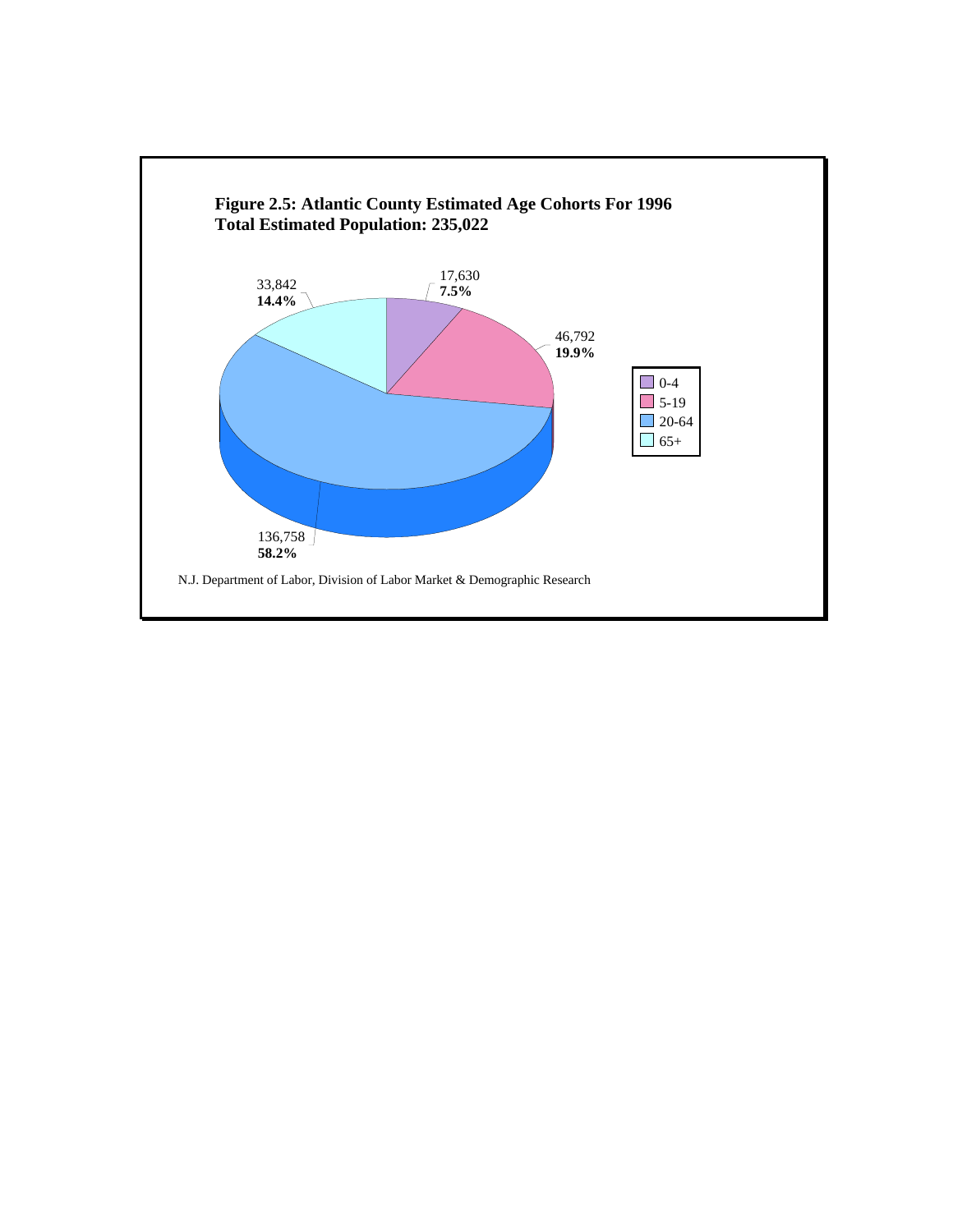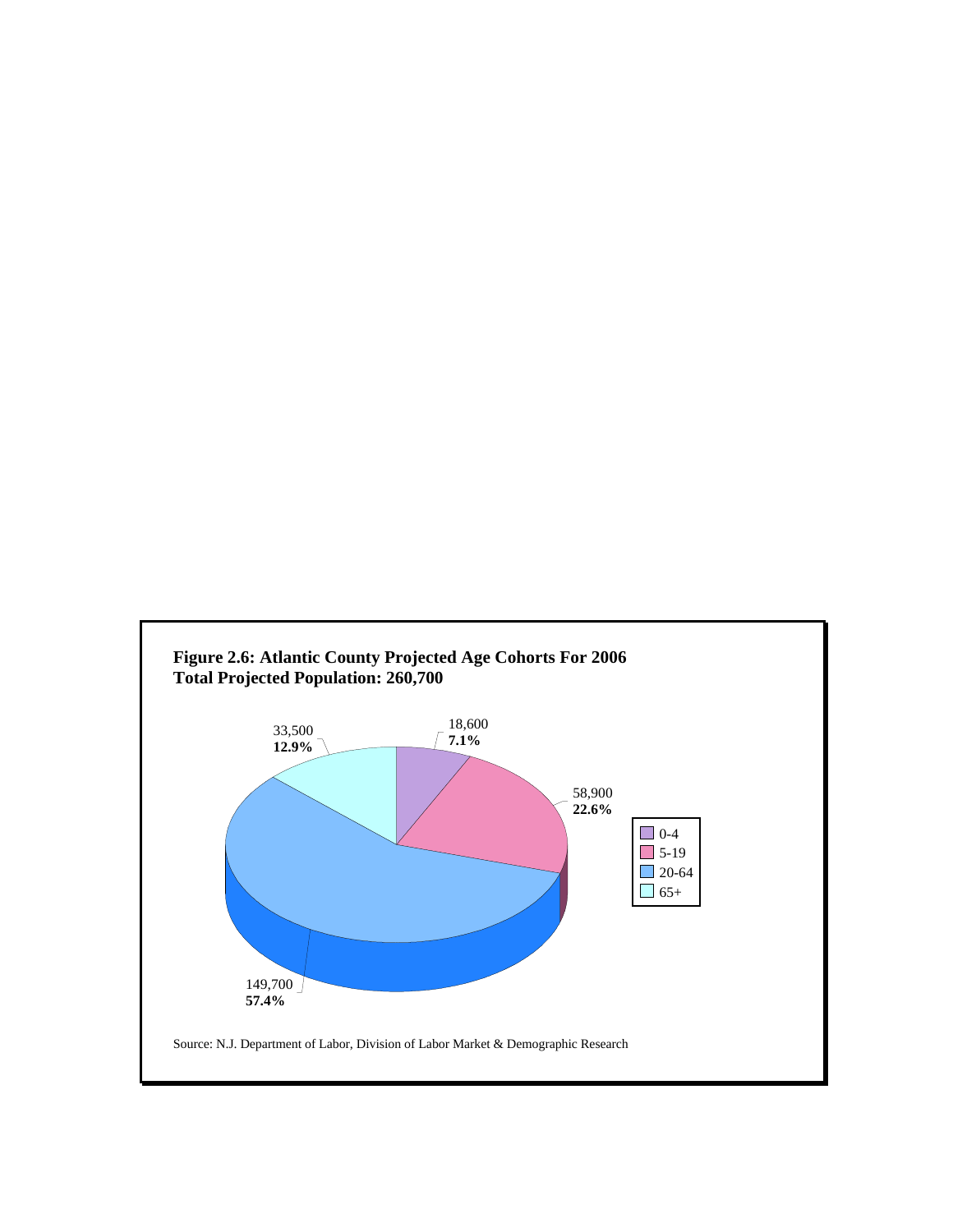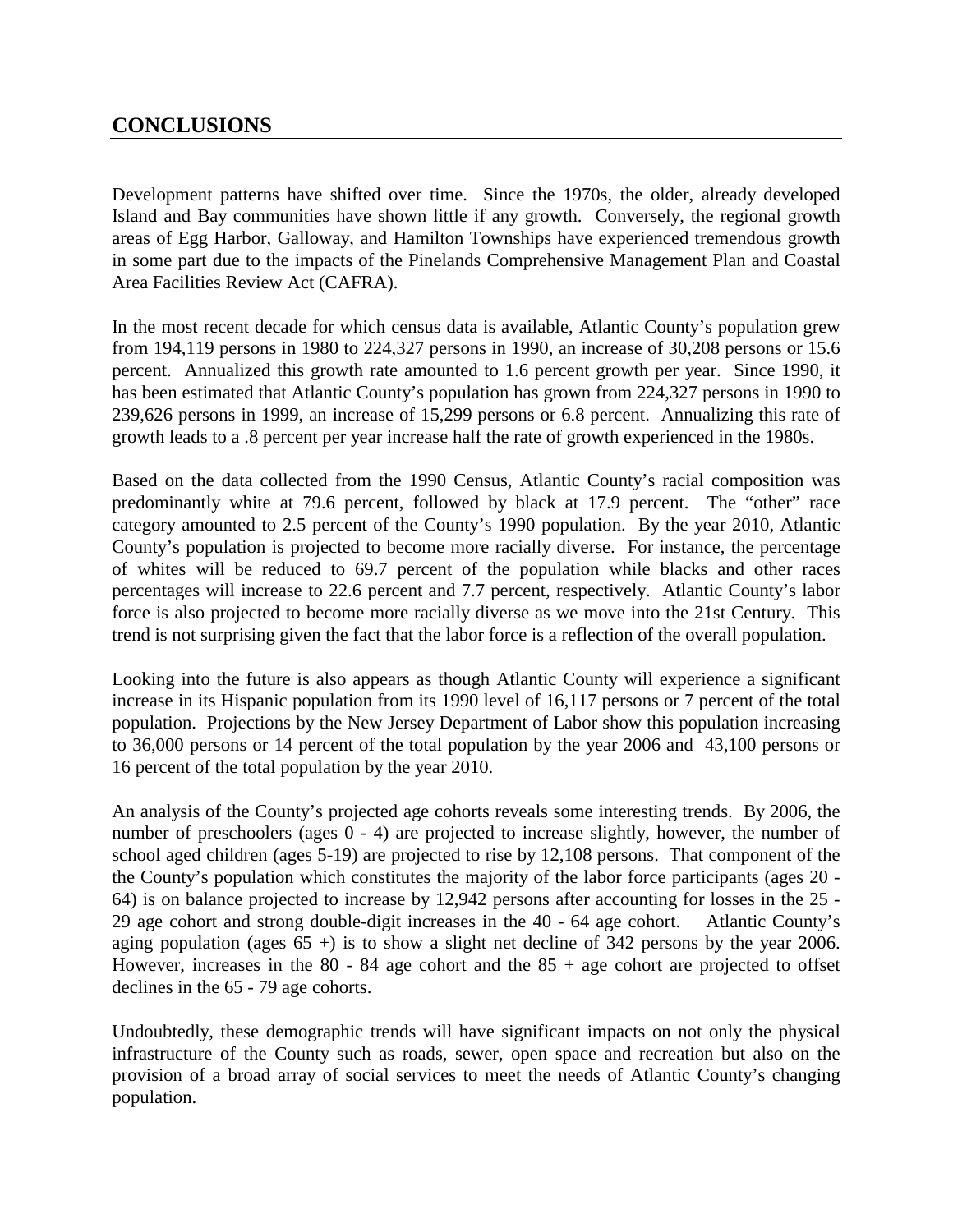## **CONCLUSIONS**

Development patterns have shifted over time. Since the 1970s, the older, already developed Island and Bay communities have shown little if any growth. Conversely, the regional growth areas of Egg Harbor, Galloway, and Hamilton Townships have experienced tremendous growth in some part due to the impacts of the Pinelands Comprehensive Management Plan and Coastal Area Facilities Review Act (CAFRA).

In the most recent decade for which census data is available, Atlantic County's population grew from 194,119 persons in 1980 to 224,327 persons in 1990, an increase of 30,208 persons or 15.6 percent. Annualized this growth rate amounted to 1.6 percent growth per year. Since 1990, it has been estimated that Atlantic County's population has grown from 224,327 persons in 1990 to 239,626 persons in 1999, an increase of 15,299 persons or 6.8 percent. Annualizing this rate of growth leads to a .8 percent per year increase half the rate of growth experienced in the 1980s.

Based on the data collected from the 1990 Census, Atlantic County's racial composition was predominantly white at 79.6 percent, followed by black at 17.9 percent. The "other" race category amounted to 2.5 percent of the County's 1990 population. By the year 2010, Atlantic County's population is projected to become more racially diverse. For instance, the percentage of whites will be reduced to 69.7 percent of the population while blacks and other races percentages will increase to 22.6 percent and 7.7 percent, respectively. Atlantic County's labor force is also projected to become more racially diverse as we move into the 21st Century. This trend is not surprising given the fact that the labor force is a reflection of the overall population.

Looking into the future is also appears as though Atlantic County will experience a significant increase in its Hispanic population from its 1990 level of 16,117 persons or 7 percent of the total population. Projections by the New Jersey Department of Labor show this population increasing to 36,000 persons or 14 percent of the total population by the year 2006 and 43,100 persons or 16 percent of the total population by the year 2010.

An analysis of the County's projected age cohorts reveals some interesting trends. By 2006, the number of preschoolers (ages  $0 - 4$ ) are projected to increase slightly, however, the number of school aged children (ages 5-19) are projected to rise by 12,108 persons. That component of the the County's population which constitutes the majority of the labor force participants (ages 20 - 64) is on balance projected to increase by 12,942 persons after accounting for losses in the 25 - 29 age cohort and strong double-digit increases in the 40 - 64 age cohort. Atlantic County's aging population (ages  $65 +$ ) is to show a slight net decline of 342 persons by the year 2006. However, increases in the  $80 - 84$  age cohort and the  $85 +$  age cohort are projected to offset declines in the 65 - 79 age cohorts.

Undoubtedly, these demographic trends will have significant impacts on not only the physical infrastructure of the County such as roads, sewer, open space and recreation but also on the provision of a broad array of social services to meet the needs of Atlantic County's changing population.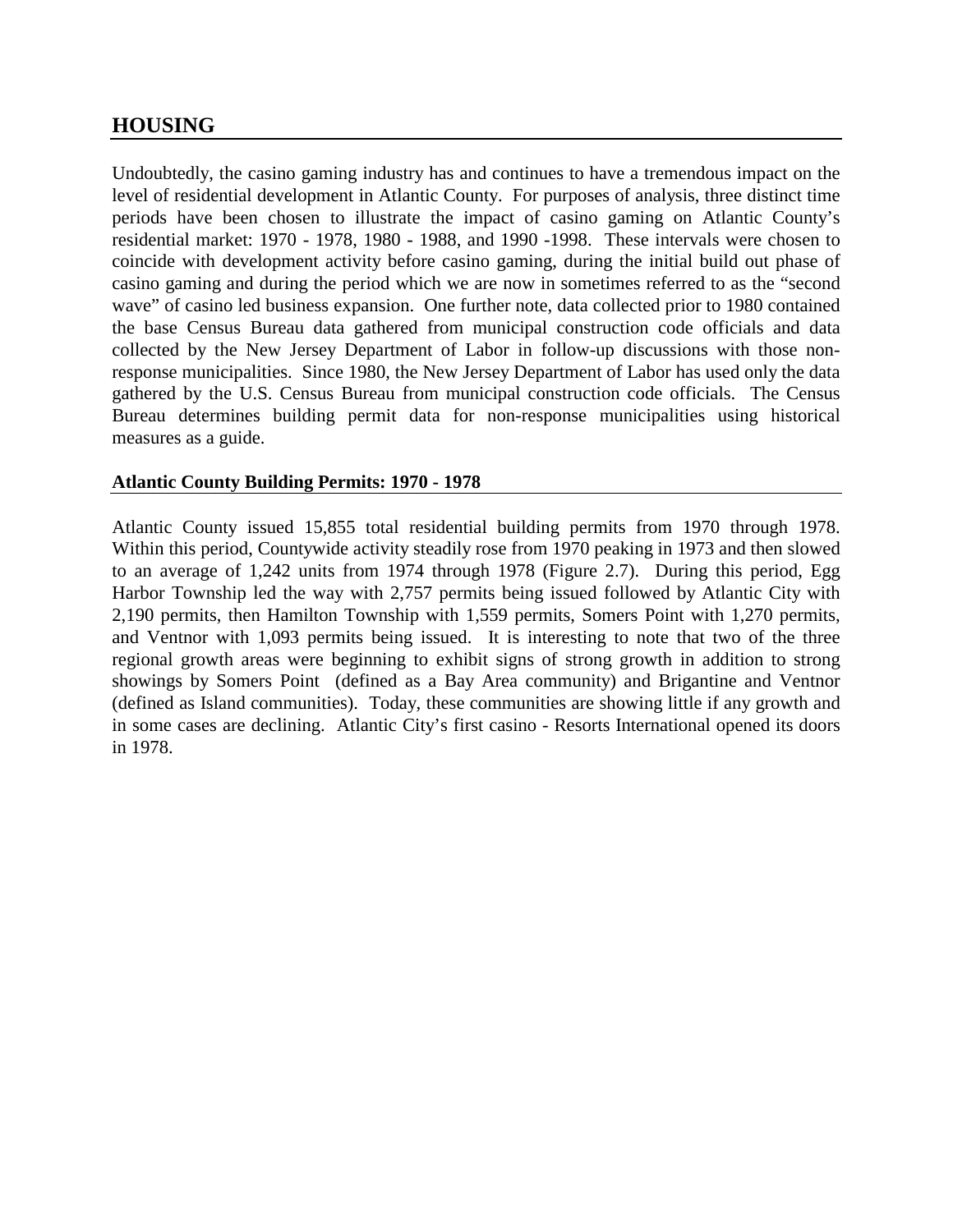## **HOUSING**

Undoubtedly, the casino gaming industry has and continues to have a tremendous impact on the level of residential development in Atlantic County. For purposes of analysis, three distinct time periods have been chosen to illustrate the impact of casino gaming on Atlantic County's residential market: 1970 - 1978, 1980 - 1988, and 1990 -1998. These intervals were chosen to coincide with development activity before casino gaming, during the initial build out phase of casino gaming and during the period which we are now in sometimes referred to as the "second wave" of casino led business expansion. One further note, data collected prior to 1980 contained the base Census Bureau data gathered from municipal construction code officials and data collected by the New Jersey Department of Labor in follow-up discussions with those nonresponse municipalities. Since 1980, the New Jersey Department of Labor has used only the data gathered by the U.S. Census Bureau from municipal construction code officials. The Census Bureau determines building permit data for non-response municipalities using historical measures as a guide.

#### **Atlantic County Building Permits: 1970 - 1978**

Atlantic County issued 15,855 total residential building permits from 1970 through 1978. Within this period, Countywide activity steadily rose from 1970 peaking in 1973 and then slowed to an average of 1,242 units from 1974 through 1978 (Figure 2.7). During this period, Egg Harbor Township led the way with 2,757 permits being issued followed by Atlantic City with 2,190 permits, then Hamilton Township with 1,559 permits, Somers Point with 1,270 permits, and Ventnor with 1,093 permits being issued. It is interesting to note that two of the three regional growth areas were beginning to exhibit signs of strong growth in addition to strong showings by Somers Point (defined as a Bay Area community) and Brigantine and Ventnor (defined as Island communities). Today, these communities are showing little if any growth and in some cases are declining. Atlantic City's first casino - Resorts International opened its doors in 1978.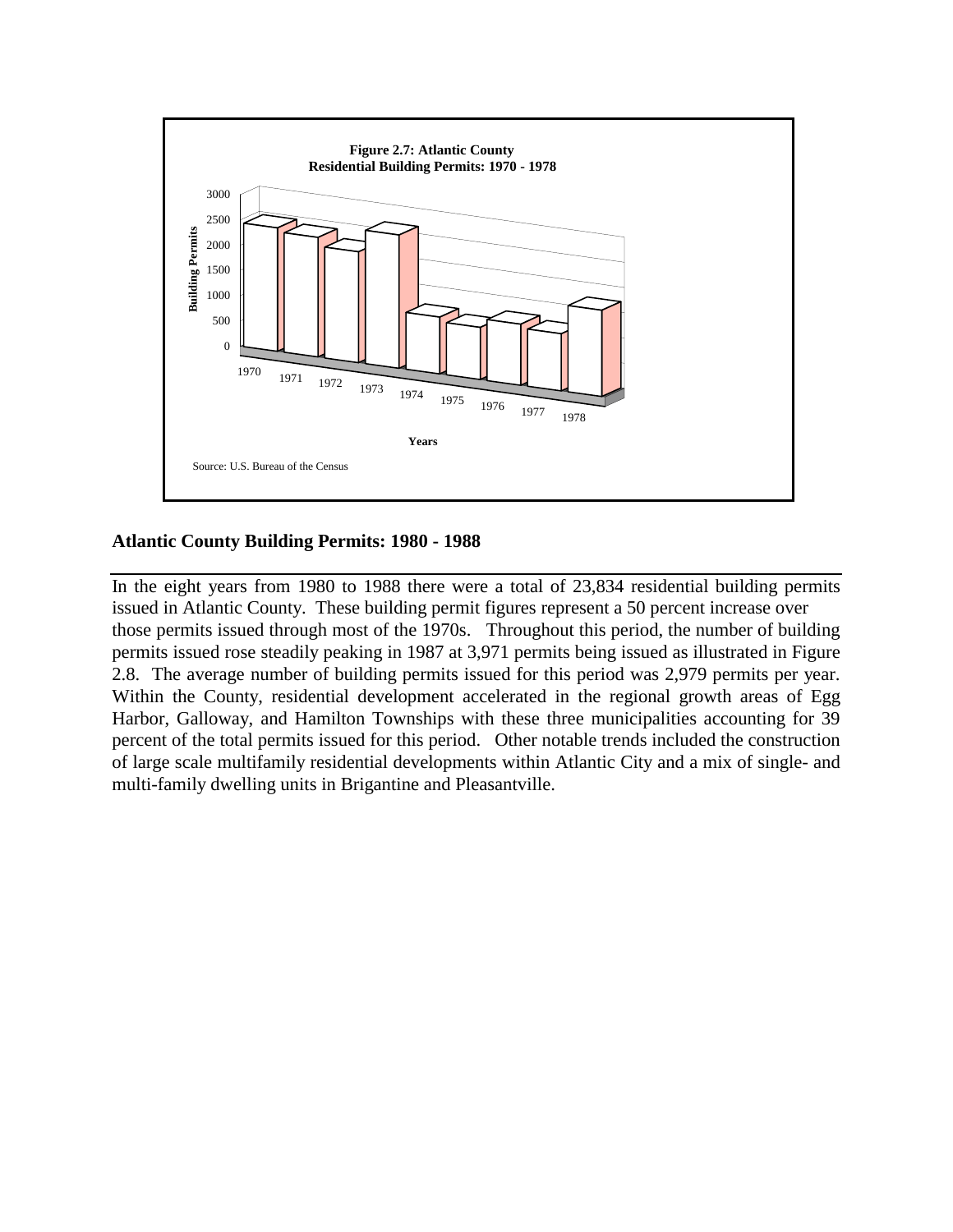

#### **Atlantic County Building Permits: 1980 - 1988**

In the eight years from 1980 to 1988 there were a total of 23,834 residential building permits issued in Atlantic County. These building permit figures represent a 50 percent increase over those permits issued through most of the 1970s. Throughout this period, the number of building permits issued rose steadily peaking in 1987 at 3,971 permits being issued as illustrated in Figure 2.8. The average number of building permits issued for this period was 2,979 permits per year. Within the County, residential development accelerated in the regional growth areas of Egg Harbor, Galloway, and Hamilton Townships with these three municipalities accounting for 39 percent of the total permits issued for this period. Other notable trends included the construction of large scale multifamily residential developments within Atlantic City and a mix of single- and multi-family dwelling units in Brigantine and Pleasantville.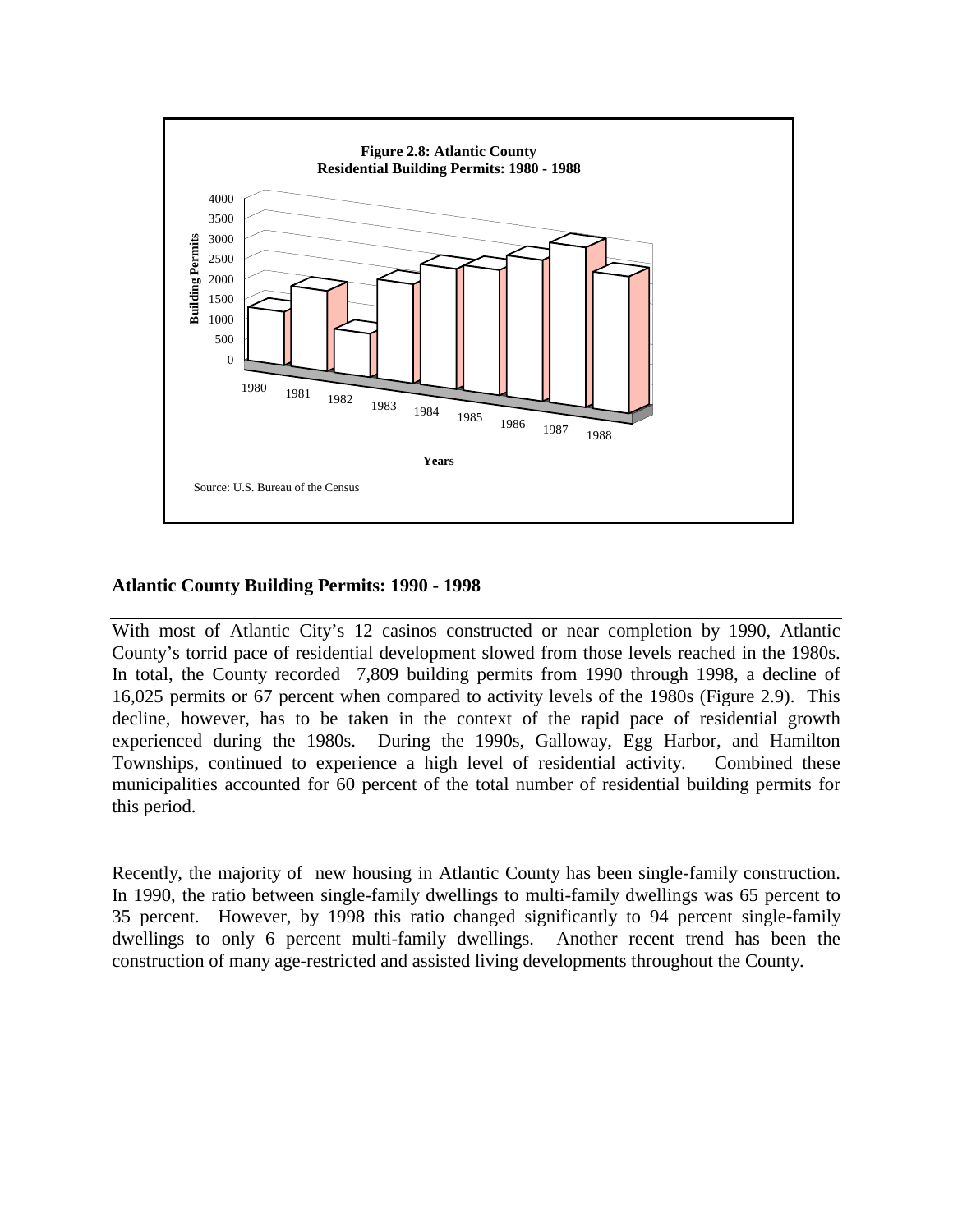

#### **Atlantic County Building Permits: 1990 - 1998**

With most of Atlantic City's 12 casinos constructed or near completion by 1990, Atlantic County's torrid pace of residential development slowed from those levels reached in the 1980s. In total, the County recorded 7,809 building permits from 1990 through 1998, a decline of 16,025 permits or 67 percent when compared to activity levels of the 1980s (Figure 2.9). This decline, however, has to be taken in the context of the rapid pace of residential growth experienced during the 1980s. During the 1990s, Galloway, Egg Harbor, and Hamilton Townships, continued to experience a high level of residential activity. Combined these municipalities accounted for 60 percent of the total number of residential building permits for this period.

Recently, the majority of new housing in Atlantic County has been single-family construction. In 1990, the ratio between single-family dwellings to multi-family dwellings was 65 percent to 35 percent. However, by 1998 this ratio changed significantly to 94 percent single-family dwellings to only 6 percent multi-family dwellings. Another recent trend has been the construction of many age-restricted and assisted living developments throughout the County.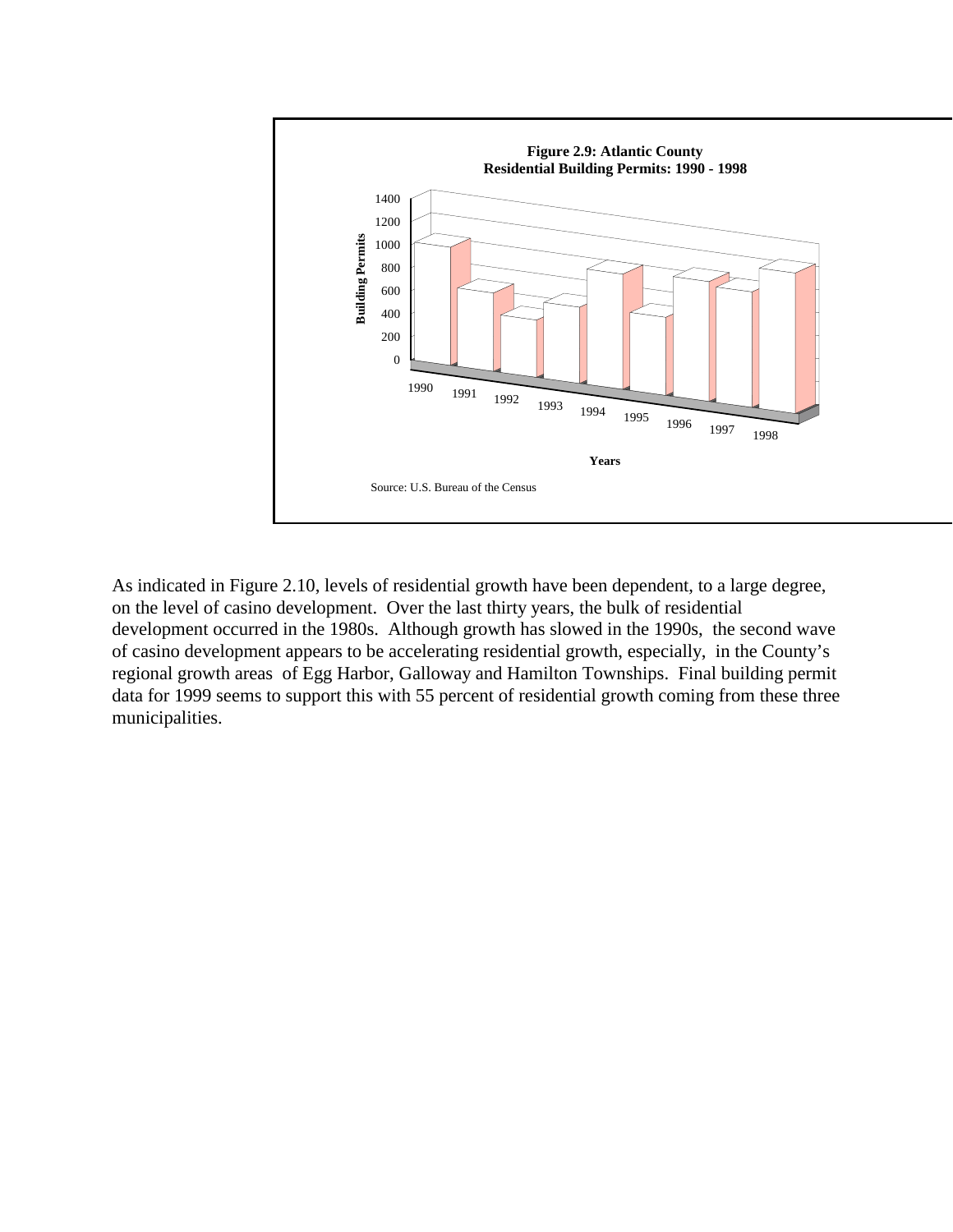

As indicated in Figure 2.10, levels of residential growth have been dependent, to a large degree, on the level of casino development. Over the last thirty years, the bulk of residential development occurred in the 1980s. Although growth has slowed in the 1990s, the second wave of casino development appears to be accelerating residential growth, especially, in the County's regional growth areas of Egg Harbor, Galloway and Hamilton Townships. Final building permit data for 1999 seems to support this with 55 percent of residential growth coming from these three municipalities.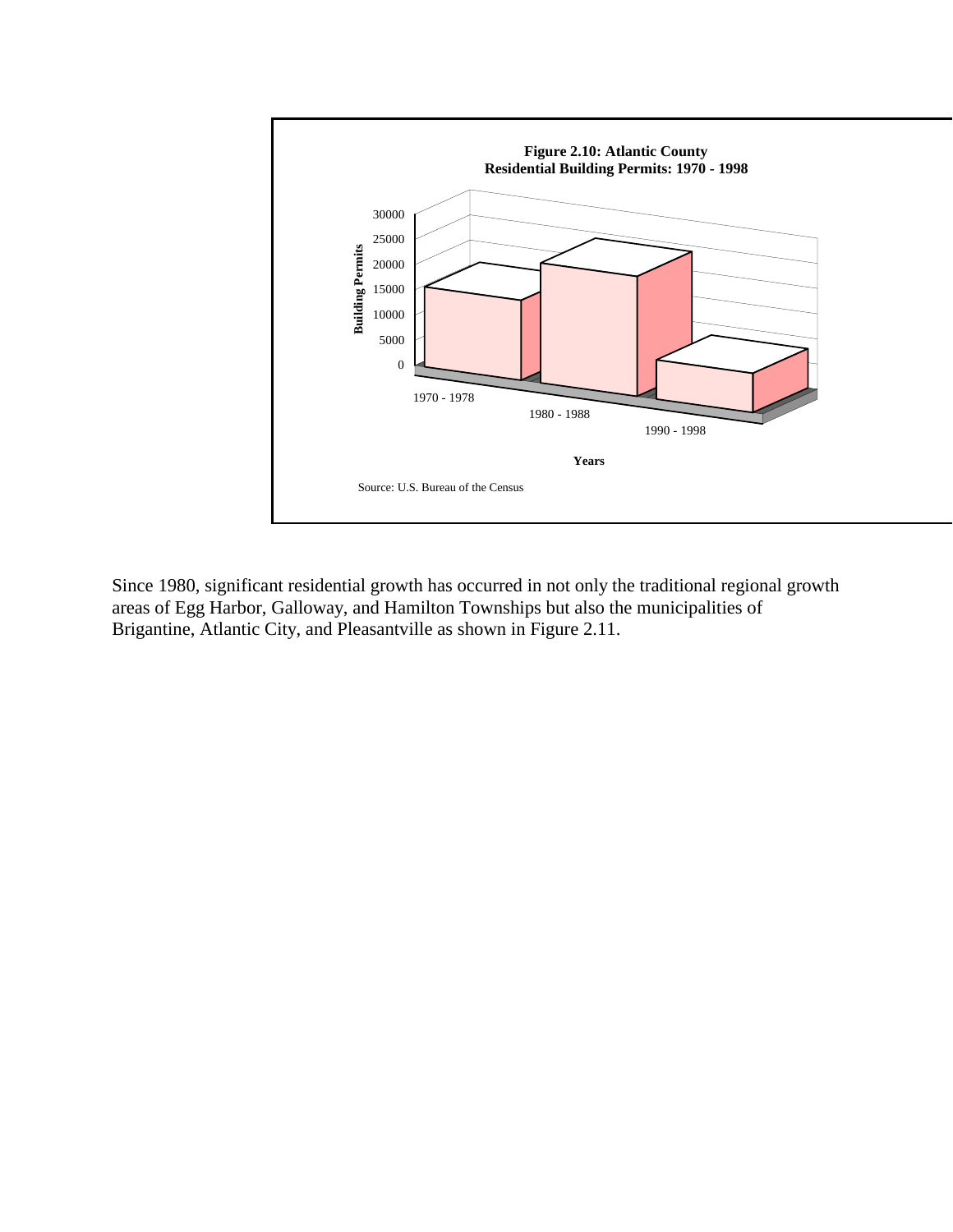

Since 1980, significant residential growth has occurred in not only the traditional regional growth areas of Egg Harbor, Galloway, and Hamilton Townships but also the municipalities of Brigantine, Atlantic City, and Pleasantville as shown in Figure 2.11.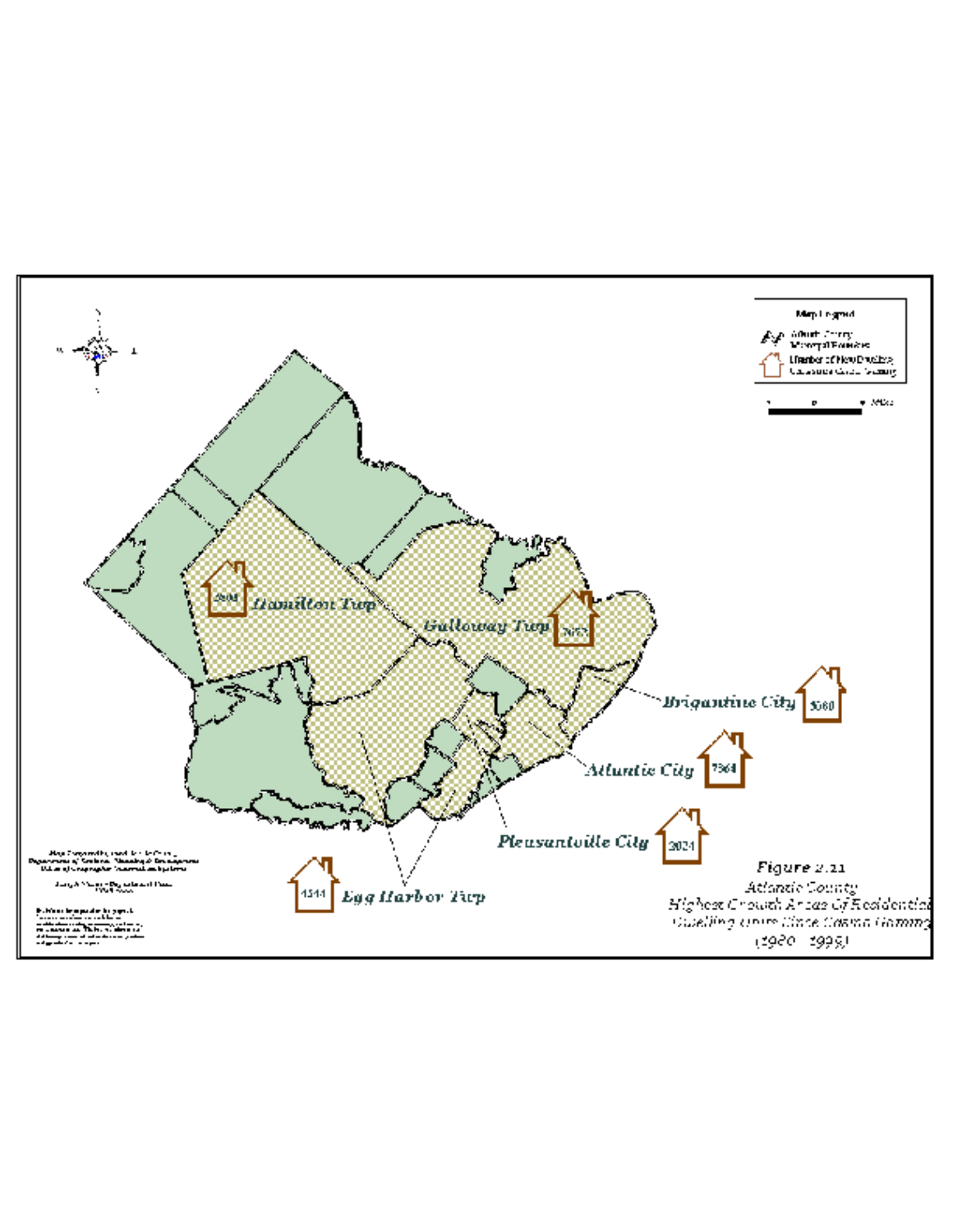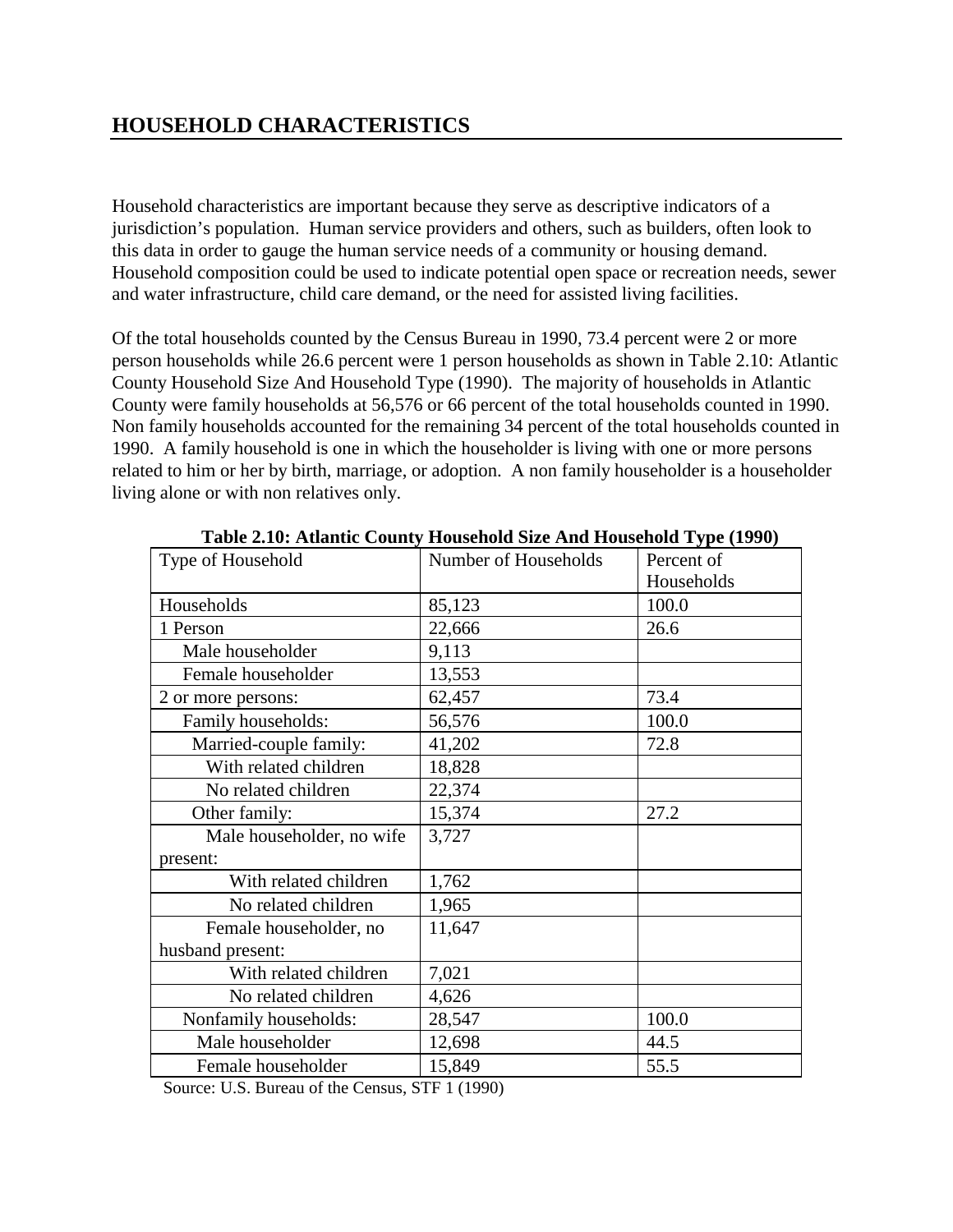## **HOUSEHOLD CHARACTERISTICS**

Household characteristics are important because they serve as descriptive indicators of a jurisdiction's population. Human service providers and others, such as builders, often look to this data in order to gauge the human service needs of a community or housing demand. Household composition could be used to indicate potential open space or recreation needs, sewer and water infrastructure, child care demand, or the need for assisted living facilities.

Of the total households counted by the Census Bureau in 1990, 73.4 percent were 2 or more person households while 26.6 percent were 1 person households as shown in Table 2.10: Atlantic County Household Size And Household Type (1990). The majority of households in Atlantic County were family households at 56,576 or 66 percent of the total households counted in 1990. Non family households accounted for the remaining 34 percent of the total households counted in 1990. A family household is one in which the householder is living with one or more persons related to him or her by birth, marriage, or adoption. A non family householder is a householder living alone or with non relatives only.

| Type of Household         | Number of Households | Percent of |  |
|---------------------------|----------------------|------------|--|
|                           |                      | Households |  |
| Households                | 85,123               | 100.0      |  |
| 1 Person                  | 22,666               | 26.6       |  |
| Male householder          | 9,113                |            |  |
| Female householder        | 13,553               |            |  |
| 2 or more persons:        | 62,457               | 73.4       |  |
| Family households:        | 56,576               | 100.0      |  |
| Married-couple family:    | 41,202               | 72.8       |  |
| With related children     | 18,828               |            |  |
| No related children       | 22,374               |            |  |
| Other family:             | 15,374               | 27.2       |  |
| Male householder, no wife | 3,727                |            |  |
| present:                  |                      |            |  |
| With related children     | 1,762                |            |  |
| No related children       | 1,965                |            |  |
| Female householder, no    | 11,647               |            |  |
| husband present:          |                      |            |  |
| With related children     | 7,021                |            |  |
| No related children       | 4,626                |            |  |
| Nonfamily households:     | 28,547               | 100.0      |  |
| Male householder          | 12,698               | 44.5       |  |
| Female householder        | 15,849               | 55.5       |  |

**Table 2.10: Atlantic County Household Size And Household Type (1990)** 

Source: U.S. Bureau of the Census, STF 1 (1990)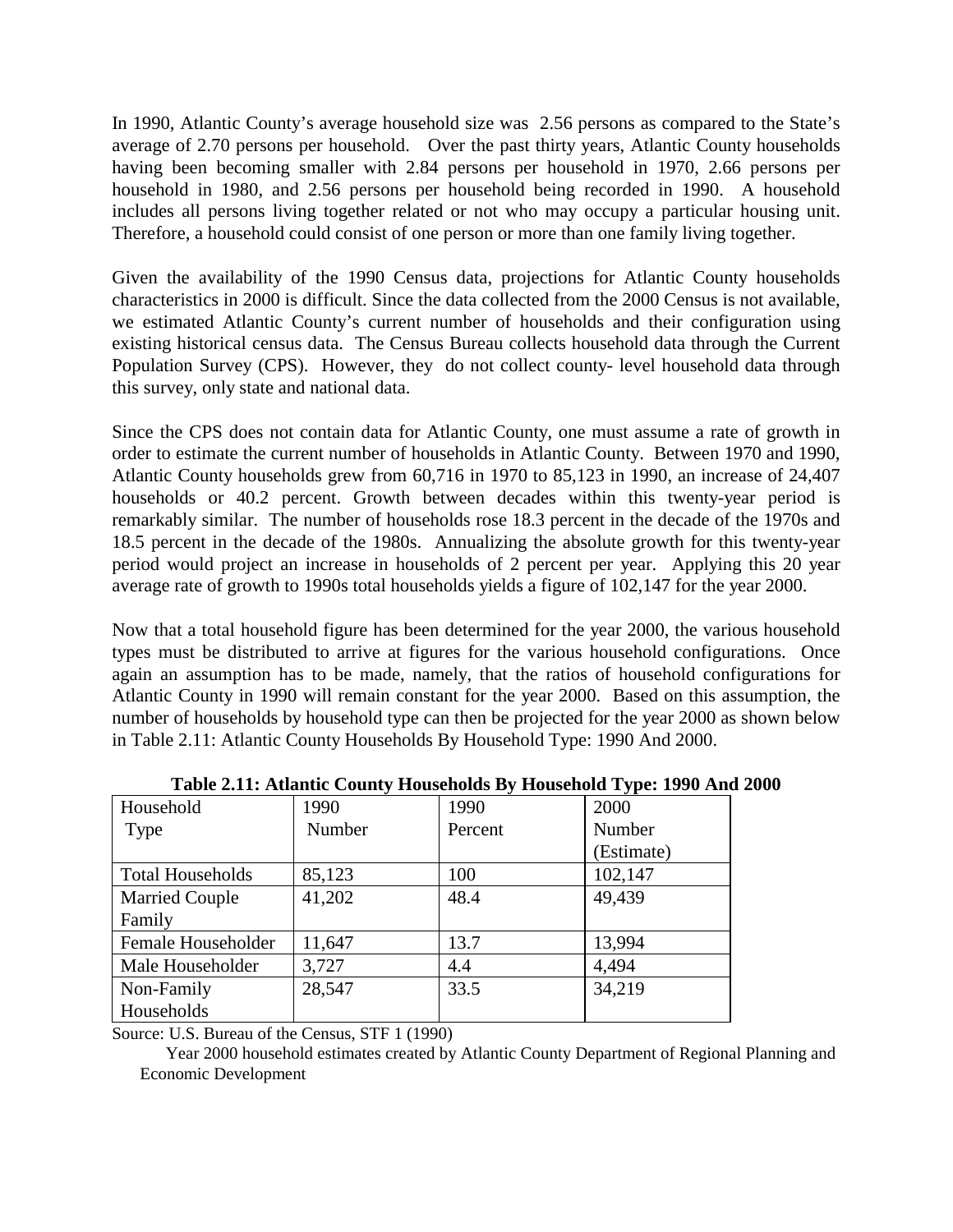In 1990, Atlantic County's average household size was 2.56 persons as compared to the State's average of 2.70 persons per household. Over the past thirty years, Atlantic County households having been becoming smaller with 2.84 persons per household in 1970, 2.66 persons per household in 1980, and 2.56 persons per household being recorded in 1990. A household includes all persons living together related or not who may occupy a particular housing unit. Therefore, a household could consist of one person or more than one family living together.

Given the availability of the 1990 Census data, projections for Atlantic County households characteristics in 2000 is difficult. Since the data collected from the 2000 Census is not available, we estimated Atlantic County's current number of households and their configuration using existing historical census data. The Census Bureau collects household data through the Current Population Survey (CPS). However, they do not collect county- level household data through this survey, only state and national data.

Since the CPS does not contain data for Atlantic County, one must assume a rate of growth in order to estimate the current number of households in Atlantic County. Between 1970 and 1990, Atlantic County households grew from 60,716 in 1970 to 85,123 in 1990, an increase of 24,407 households or 40.2 percent. Growth between decades within this twenty-year period is remarkably similar. The number of households rose 18.3 percent in the decade of the 1970s and 18.5 percent in the decade of the 1980s. Annualizing the absolute growth for this twenty-year period would project an increase in households of 2 percent per year. Applying this 20 year average rate of growth to 1990s total households yields a figure of 102,147 for the year 2000.

Now that a total household figure has been determined for the year 2000, the various household types must be distributed to arrive at figures for the various household configurations. Once again an assumption has to be made, namely, that the ratios of household configurations for Atlantic County in 1990 will remain constant for the year 2000. Based on this assumption, the number of households by household type can then be projected for the year 2000 as shown below in Table 2.11: Atlantic County Households By Household Type: 1990 And 2000.

| Household               | 1990   | 1990    | 2000       |
|-------------------------|--------|---------|------------|
| Type                    | Number | Percent | Number     |
|                         |        |         | (Estimate) |
| <b>Total Households</b> | 85,123 | 100     | 102,147    |
| <b>Married Couple</b>   | 41,202 | 48.4    | 49,439     |
| Family                  |        |         |            |
| Female Householder      | 11,647 | 13.7    | 13,994     |
| Male Householder        | 3,727  | 4.4     | 4,494      |
| Non-Family              | 28,547 | 33.5    | 34,219     |
| Households              |        |         |            |

**Table 2.11: Atlantic County Households By Household Type: 1990 And 2000** 

Source: U.S. Bureau of the Census, STF 1 (1990)

 Year 2000 household estimates created by Atlantic County Department of Regional Planning and Economic Development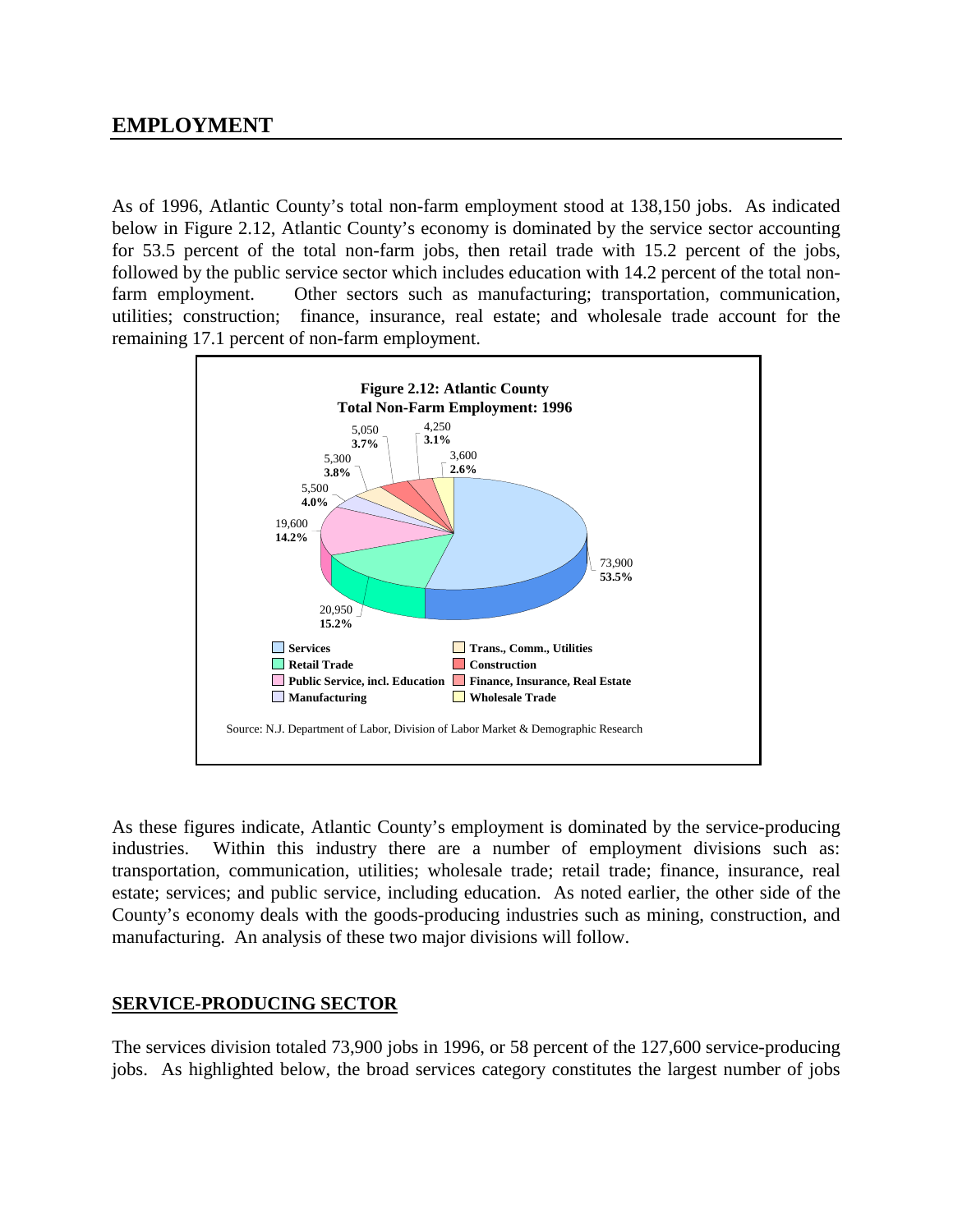## **EMPLOYMENT**

As of 1996, Atlantic County's total non-farm employment stood at 138,150 jobs. As indicated below in Figure 2.12, Atlantic County's economy is dominated by the service sector accounting for 53.5 percent of the total non-farm jobs, then retail trade with 15.2 percent of the jobs, followed by the public service sector which includes education with 14.2 percent of the total nonfarm employment. Other sectors such as manufacturing; transportation, communication, utilities; construction; finance, insurance, real estate; and wholesale trade account for the remaining 17.1 percent of non-farm employment.



As these figures indicate, Atlantic County's employment is dominated by the service-producing industries. Within this industry there are a number of employment divisions such as: transportation, communication, utilities; wholesale trade; retail trade; finance, insurance, real estate; services; and public service, including education. As noted earlier, the other side of the County's economy deals with the goods-producing industries such as mining, construction, and manufacturing. An analysis of these two major divisions will follow.

#### **SERVICE-PRODUCING SECTOR**

The services division totaled 73,900 jobs in 1996, or 58 percent of the 127,600 service-producing jobs. As highlighted below, the broad services category constitutes the largest number of jobs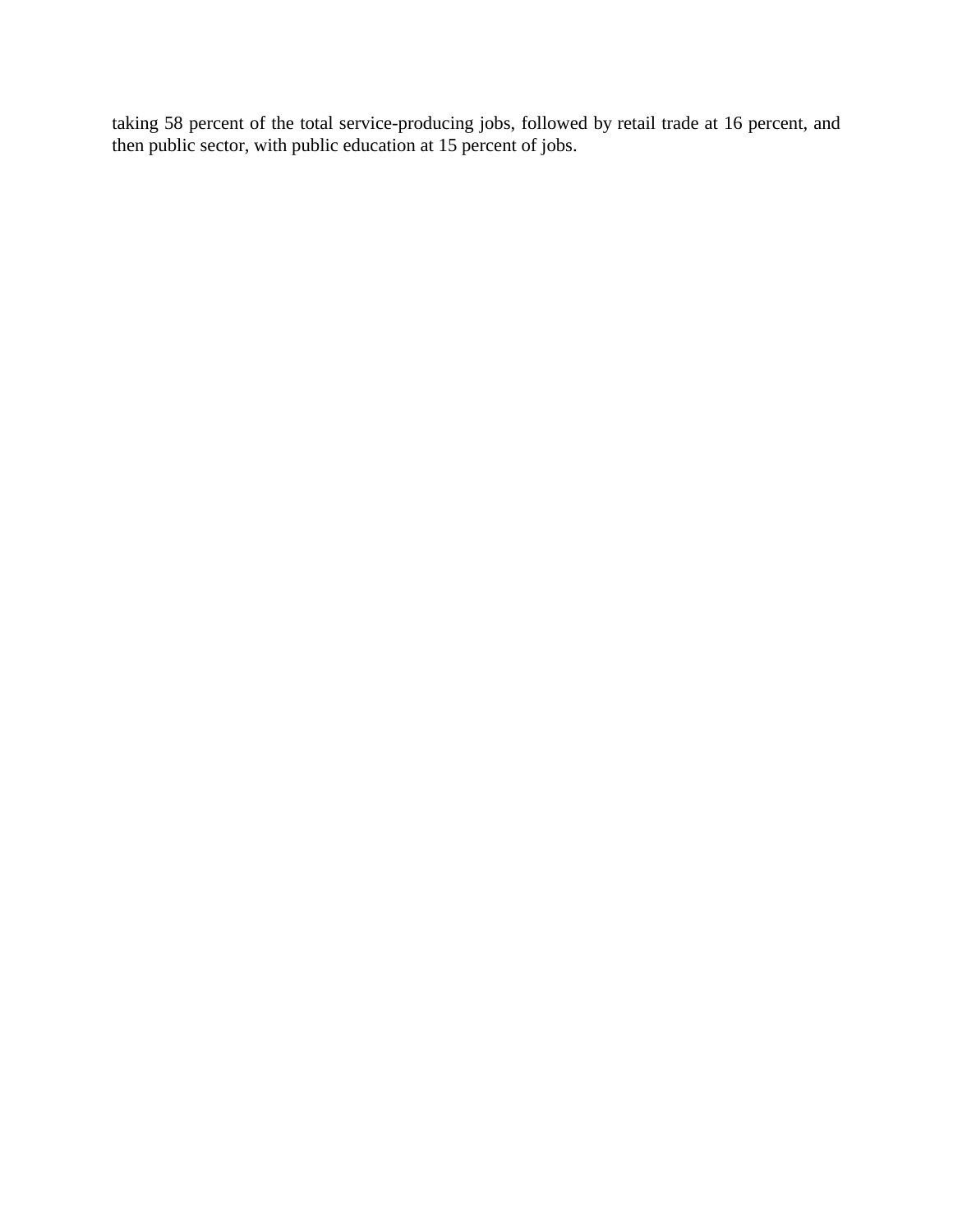taking 58 percent of the total service-producing jobs, followed by retail trade at 16 percent, and then public sector, with public education at 15 percent of jobs.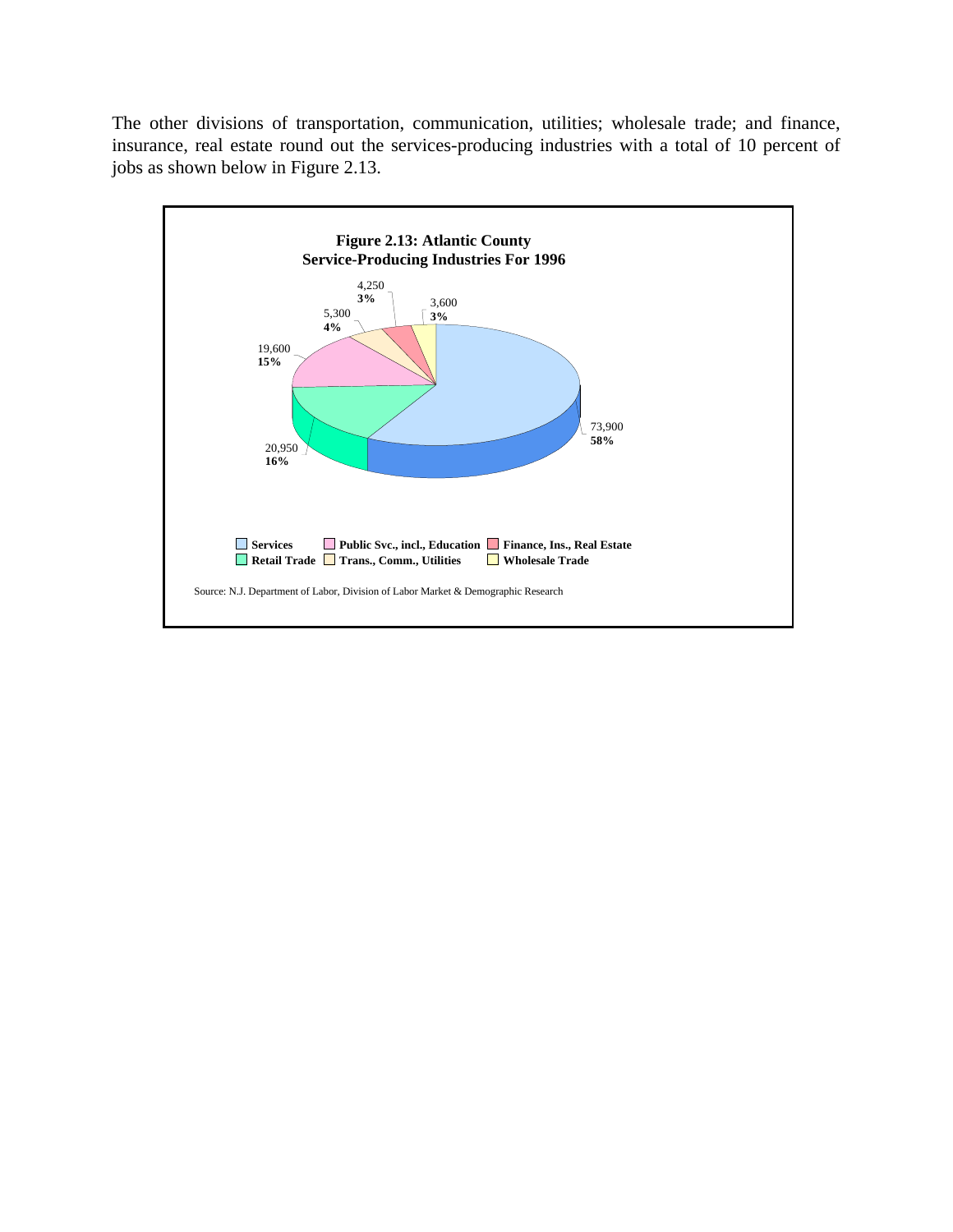The other divisions of transportation, communication, utilities; wholesale trade; and finance, insurance, real estate round out the services-producing industries with a total of 10 percent of jobs as shown below in Figure 2.13.

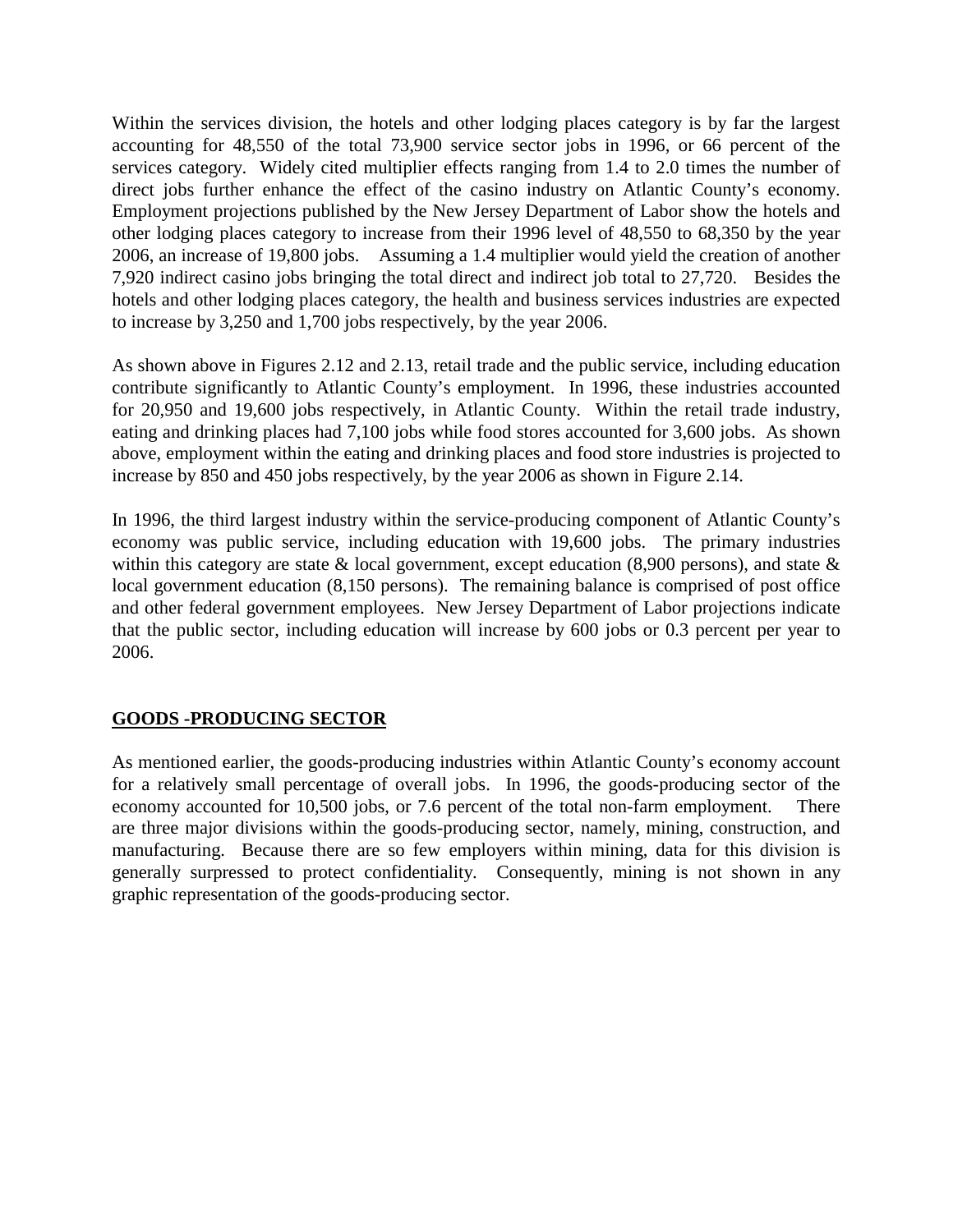Within the services division, the hotels and other lodging places category is by far the largest accounting for 48,550 of the total 73,900 service sector jobs in 1996, or 66 percent of the services category. Widely cited multiplier effects ranging from 1.4 to 2.0 times the number of direct jobs further enhance the effect of the casino industry on Atlantic County's economy. Employment projections published by the New Jersey Department of Labor show the hotels and other lodging places category to increase from their 1996 level of 48,550 to 68,350 by the year 2006, an increase of 19,800 jobs. Assuming a 1.4 multiplier would yield the creation of another 7,920 indirect casino jobs bringing the total direct and indirect job total to 27,720. Besides the hotels and other lodging places category, the health and business services industries are expected to increase by 3,250 and 1,700 jobs respectively, by the year 2006.

As shown above in Figures 2.12 and 2.13, retail trade and the public service, including education contribute significantly to Atlantic County's employment. In 1996, these industries accounted for 20,950 and 19,600 jobs respectively, in Atlantic County. Within the retail trade industry, eating and drinking places had 7,100 jobs while food stores accounted for 3,600 jobs. As shown above, employment within the eating and drinking places and food store industries is projected to increase by 850 and 450 jobs respectively, by the year 2006 as shown in Figure 2.14.

In 1996, the third largest industry within the service-producing component of Atlantic County's economy was public service, including education with 19,600 jobs. The primary industries within this category are state  $&$  local government, except education (8,900 persons), and state  $&$ local government education (8,150 persons). The remaining balance is comprised of post office and other federal government employees. New Jersey Department of Labor projections indicate that the public sector, including education will increase by 600 jobs or 0.3 percent per year to 2006.

#### **GOODS -PRODUCING SECTOR**

As mentioned earlier, the goods-producing industries within Atlantic County's economy account for a relatively small percentage of overall jobs. In 1996, the goods-producing sector of the economy accounted for 10,500 jobs, or 7.6 percent of the total non-farm employment. There are three major divisions within the goods-producing sector, namely, mining, construction, and manufacturing. Because there are so few employers within mining, data for this division is generally surpressed to protect confidentiality. Consequently, mining is not shown in any graphic representation of the goods-producing sector.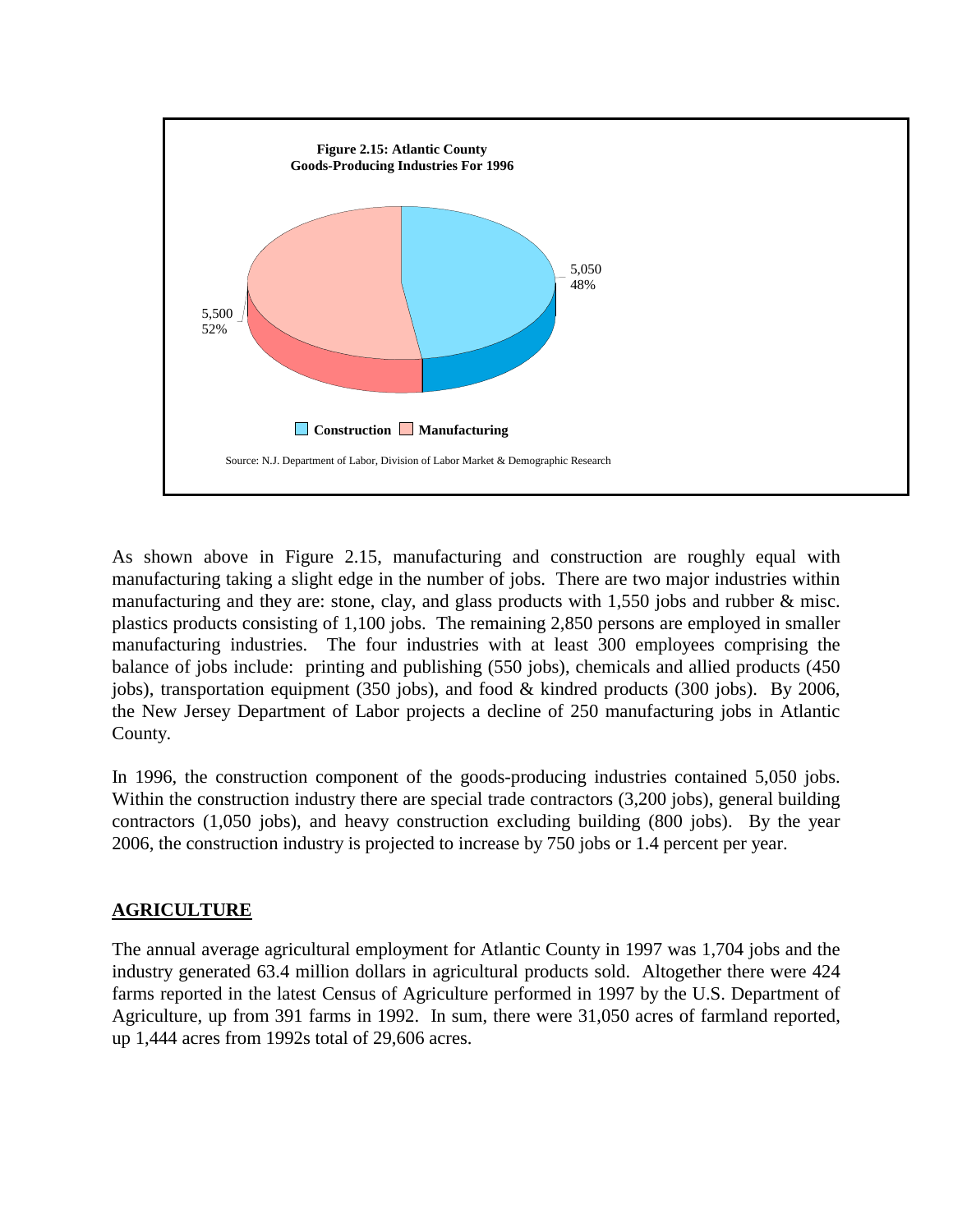

As shown above in Figure 2.15, manufacturing and construction are roughly equal with manufacturing taking a slight edge in the number of jobs. There are two major industries within manufacturing and they are: stone, clay, and glass products with 1,550 jobs and rubber & misc. plastics products consisting of 1,100 jobs. The remaining 2,850 persons are employed in smaller manufacturing industries. The four industries with at least 300 employees comprising the balance of jobs include: printing and publishing (550 jobs), chemicals and allied products (450 jobs), transportation equipment (350 jobs), and food & kindred products (300 jobs). By 2006, the New Jersey Department of Labor projects a decline of 250 manufacturing jobs in Atlantic County.

In 1996, the construction component of the goods-producing industries contained 5,050 jobs. Within the construction industry there are special trade contractors (3,200 jobs), general building contractors (1,050 jobs), and heavy construction excluding building (800 jobs). By the year 2006, the construction industry is projected to increase by 750 jobs or 1.4 percent per year.

#### **AGRICULTURE**

The annual average agricultural employment for Atlantic County in 1997 was 1,704 jobs and the industry generated 63.4 million dollars in agricultural products sold. Altogether there were 424 farms reported in the latest Census of Agriculture performed in 1997 by the U.S. Department of Agriculture, up from 391 farms in 1992. In sum, there were 31,050 acres of farmland reported, up 1,444 acres from 1992s total of 29,606 acres.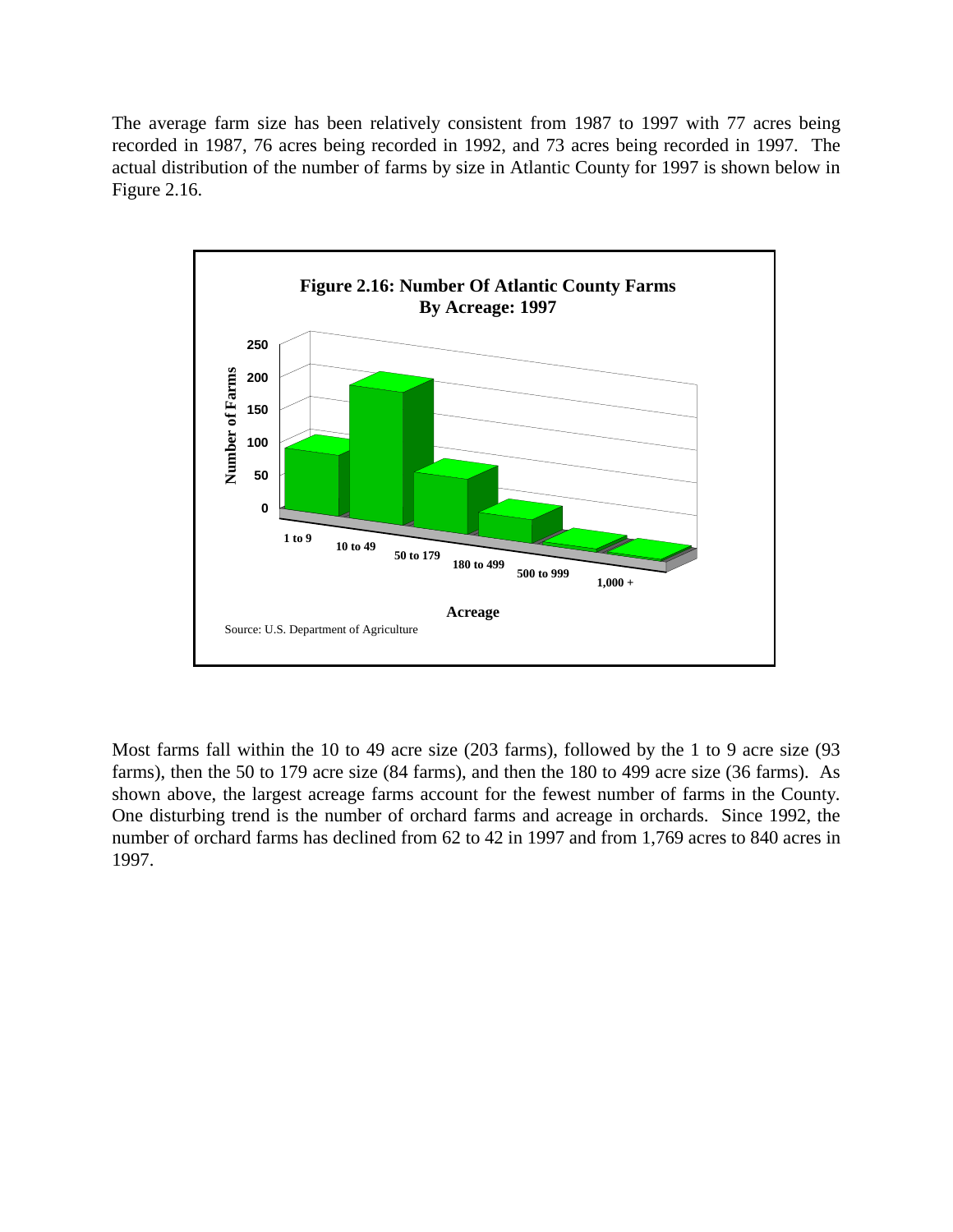The average farm size has been relatively consistent from 1987 to 1997 with 77 acres being recorded in 1987, 76 acres being recorded in 1992, and 73 acres being recorded in 1997. The actual distribution of the number of farms by size in Atlantic County for 1997 is shown below in Figure 2.16.



Most farms fall within the 10 to 49 acre size (203 farms), followed by the 1 to 9 acre size (93 farms), then the 50 to 179 acre size (84 farms), and then the 180 to 499 acre size (36 farms). As shown above, the largest acreage farms account for the fewest number of farms in the County. One disturbing trend is the number of orchard farms and acreage in orchards. Since 1992, the number of orchard farms has declined from 62 to 42 in 1997 and from 1,769 acres to 840 acres in 1997.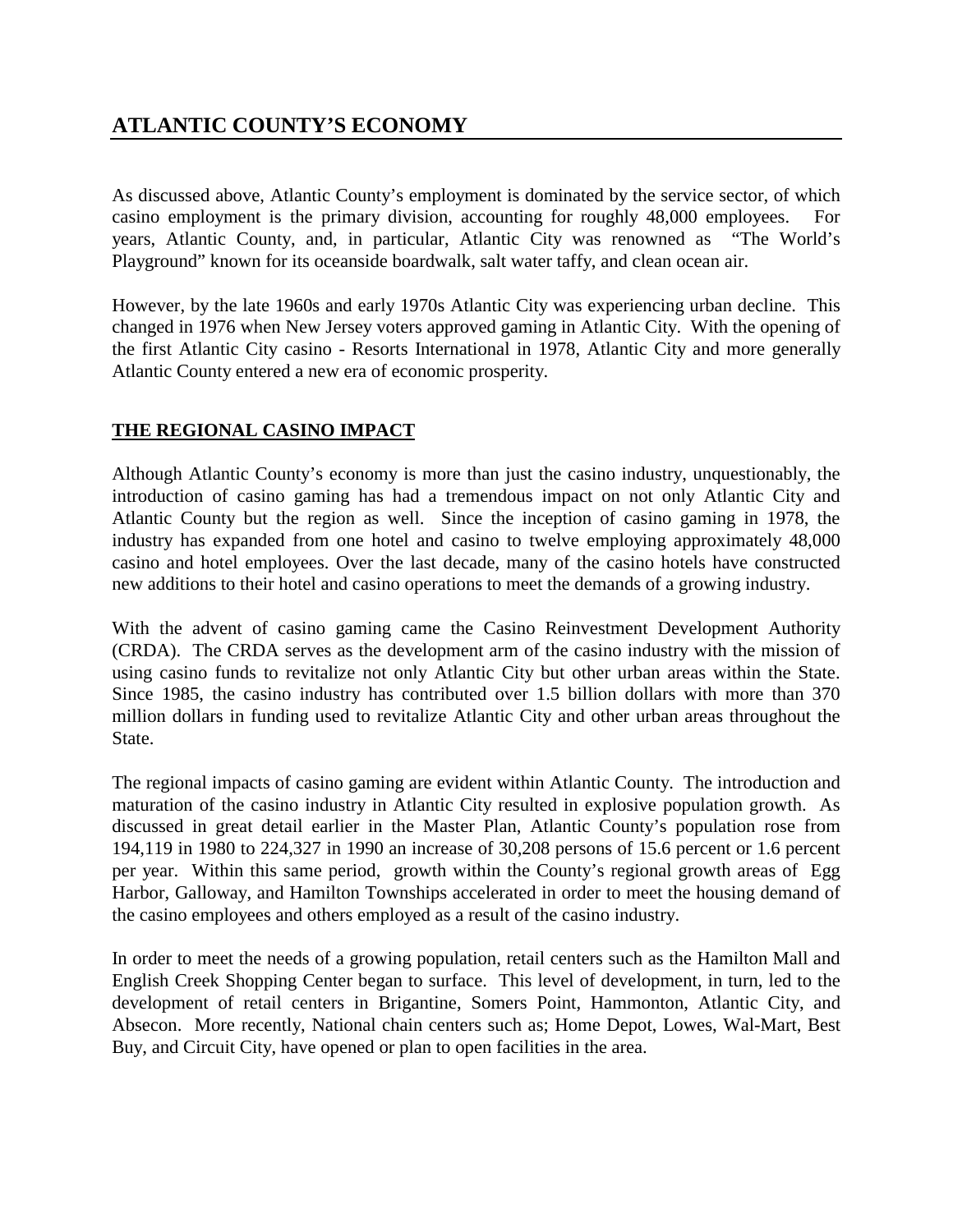# **ATLANTIC COUNTY'S ECONOMY**

As discussed above, Atlantic County's employment is dominated by the service sector, of which casino employment is the primary division, accounting for roughly 48,000 employees. For years, Atlantic County, and, in particular, Atlantic City was renowned as "The World's Playground" known for its oceanside boardwalk, salt water taffy, and clean ocean air.

However, by the late 1960s and early 1970s Atlantic City was experiencing urban decline. This changed in 1976 when New Jersey voters approved gaming in Atlantic City. With the opening of the first Atlantic City casino - Resorts International in 1978, Atlantic City and more generally Atlantic County entered a new era of economic prosperity.

#### **THE REGIONAL CASINO IMPACT**

Although Atlantic County's economy is more than just the casino industry, unquestionably, the introduction of casino gaming has had a tremendous impact on not only Atlantic City and Atlantic County but the region as well. Since the inception of casino gaming in 1978, the industry has expanded from one hotel and casino to twelve employing approximately 48,000 casino and hotel employees. Over the last decade, many of the casino hotels have constructed new additions to their hotel and casino operations to meet the demands of a growing industry.

With the advent of casino gaming came the Casino Reinvestment Development Authority (CRDA). The CRDA serves as the development arm of the casino industry with the mission of using casino funds to revitalize not only Atlantic City but other urban areas within the State. Since 1985, the casino industry has contributed over 1.5 billion dollars with more than 370 million dollars in funding used to revitalize Atlantic City and other urban areas throughout the State.

The regional impacts of casino gaming are evident within Atlantic County. The introduction and maturation of the casino industry in Atlantic City resulted in explosive population growth. As discussed in great detail earlier in the Master Plan, Atlantic County's population rose from 194,119 in 1980 to 224,327 in 1990 an increase of 30,208 persons of 15.6 percent or 1.6 percent per year. Within this same period, growth within the County's regional growth areas of Egg Harbor, Galloway, and Hamilton Townships accelerated in order to meet the housing demand of the casino employees and others employed as a result of the casino industry.

In order to meet the needs of a growing population, retail centers such as the Hamilton Mall and English Creek Shopping Center began to surface. This level of development, in turn, led to the development of retail centers in Brigantine, Somers Point, Hammonton, Atlantic City, and Absecon. More recently, National chain centers such as; Home Depot, Lowes, Wal-Mart, Best Buy, and Circuit City, have opened or plan to open facilities in the area.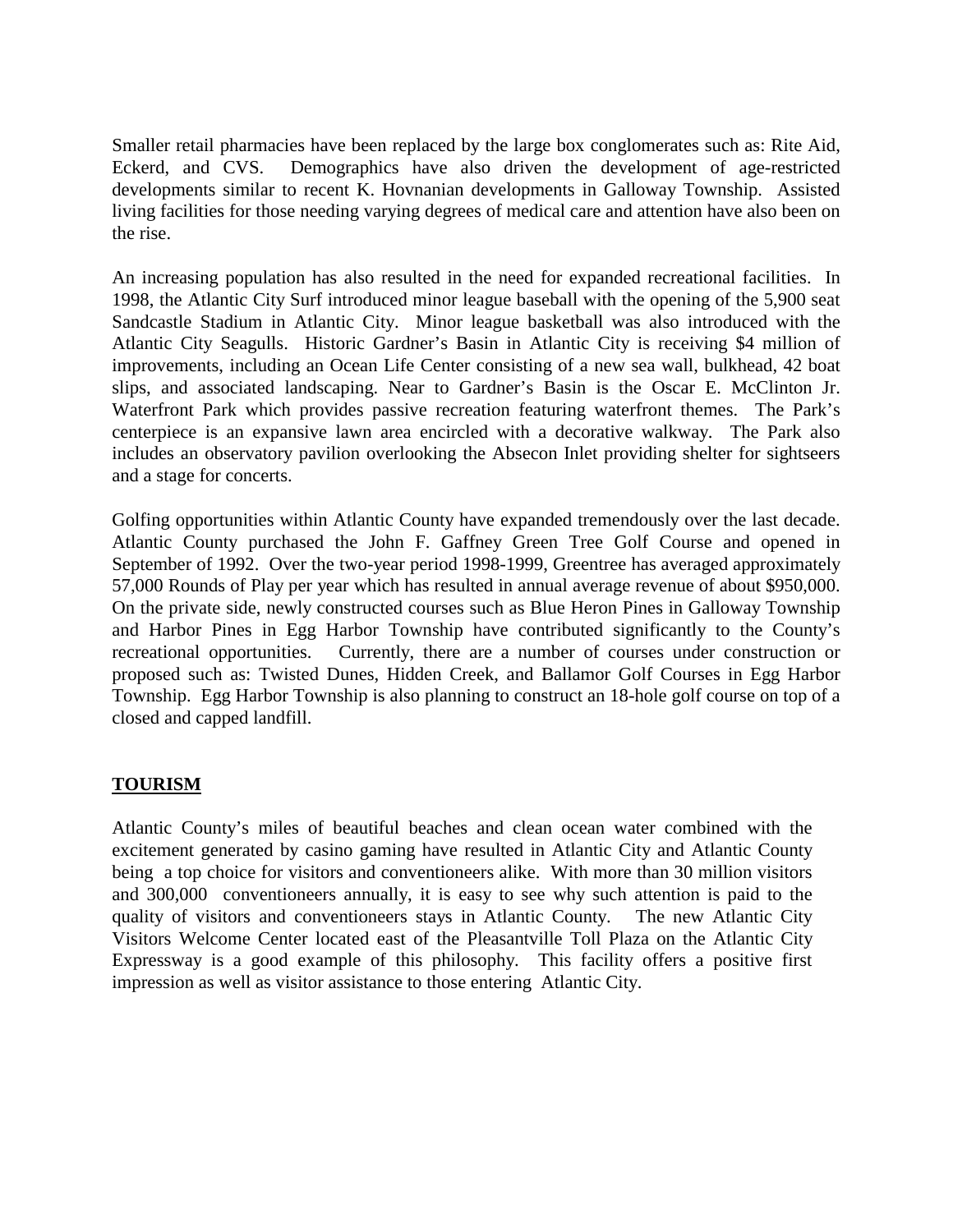Smaller retail pharmacies have been replaced by the large box conglomerates such as: Rite Aid, Eckerd, and CVS. Demographics have also driven the development of age-restricted developments similar to recent K. Hovnanian developments in Galloway Township. Assisted living facilities for those needing varying degrees of medical care and attention have also been on the rise.

An increasing population has also resulted in the need for expanded recreational facilities. In 1998, the Atlantic City Surf introduced minor league baseball with the opening of the 5,900 seat Sandcastle Stadium in Atlantic City. Minor league basketball was also introduced with the Atlantic City Seagulls. Historic Gardner's Basin in Atlantic City is receiving \$4 million of improvements, including an Ocean Life Center consisting of a new sea wall, bulkhead, 42 boat slips, and associated landscaping. Near to Gardner's Basin is the Oscar E. McClinton Jr. Waterfront Park which provides passive recreation featuring waterfront themes. The Park's centerpiece is an expansive lawn area encircled with a decorative walkway. The Park also includes an observatory pavilion overlooking the Absecon Inlet providing shelter for sightseers and a stage for concerts.

Golfing opportunities within Atlantic County have expanded tremendously over the last decade. Atlantic County purchased the John F. Gaffney Green Tree Golf Course and opened in September of 1992. Over the two-year period 1998-1999, Greentree has averaged approximately 57,000 Rounds of Play per year which has resulted in annual average revenue of about \$950,000. On the private side, newly constructed courses such as Blue Heron Pines in Galloway Township and Harbor Pines in Egg Harbor Township have contributed significantly to the County's recreational opportunities. Currently, there are a number of courses under construction or proposed such as: Twisted Dunes, Hidden Creek, and Ballamor Golf Courses in Egg Harbor Township. Egg Harbor Township is also planning to construct an 18-hole golf course on top of a closed and capped landfill.

#### **TOURISM**

Atlantic County's miles of beautiful beaches and clean ocean water combined with the excitement generated by casino gaming have resulted in Atlantic City and Atlantic County being a top choice for visitors and conventioneers alike. With more than 30 million visitors and 300,000 conventioneers annually, it is easy to see why such attention is paid to the quality of visitors and conventioneers stays in Atlantic County. The new Atlantic City Visitors Welcome Center located east of the Pleasantville Toll Plaza on the Atlantic City Expressway is a good example of this philosophy. This facility offers a positive first impression as well as visitor assistance to those entering Atlantic City.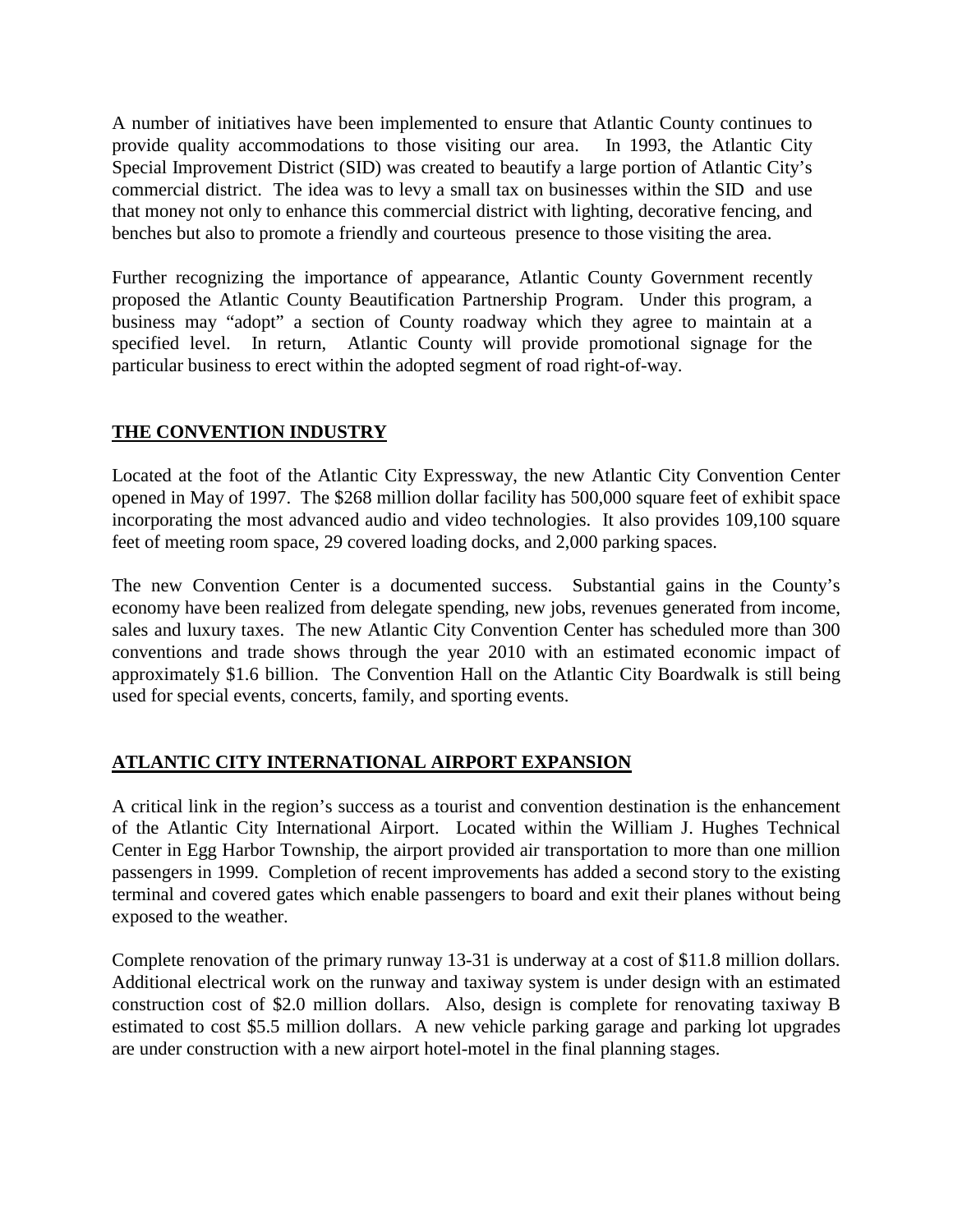A number of initiatives have been implemented to ensure that Atlantic County continues to provide quality accommodations to those visiting our area. In 1993, the Atlantic City Special Improvement District (SID) was created to beautify a large portion of Atlantic City's commercial district. The idea was to levy a small tax on businesses within the SID and use that money not only to enhance this commercial district with lighting, decorative fencing, and benches but also to promote a friendly and courteous presence to those visiting the area.

Further recognizing the importance of appearance, Atlantic County Government recently proposed the Atlantic County Beautification Partnership Program. Under this program, a business may "adopt" a section of County roadway which they agree to maintain at a specified level. In return, Atlantic County will provide promotional signage for the particular business to erect within the adopted segment of road right-of-way.

#### **THE CONVENTION INDUSTRY**

Located at the foot of the Atlantic City Expressway, the new Atlantic City Convention Center opened in May of 1997. The \$268 million dollar facility has 500,000 square feet of exhibit space incorporating the most advanced audio and video technologies. It also provides 109,100 square feet of meeting room space, 29 covered loading docks, and 2,000 parking spaces.

The new Convention Center is a documented success. Substantial gains in the County's economy have been realized from delegate spending, new jobs, revenues generated from income, sales and luxury taxes. The new Atlantic City Convention Center has scheduled more than 300 conventions and trade shows through the year 2010 with an estimated economic impact of approximately \$1.6 billion. The Convention Hall on the Atlantic City Boardwalk is still being used for special events, concerts, family, and sporting events.

### **ATLANTIC CITY INTERNATIONAL AIRPORT EXPANSION**

A critical link in the region's success as a tourist and convention destination is the enhancement of the Atlantic City International Airport. Located within the William J. Hughes Technical Center in Egg Harbor Township, the airport provided air transportation to more than one million passengers in 1999. Completion of recent improvements has added a second story to the existing terminal and covered gates which enable passengers to board and exit their planes without being exposed to the weather.

Complete renovation of the primary runway 13-31 is underway at a cost of \$11.8 million dollars. Additional electrical work on the runway and taxiway system is under design with an estimated construction cost of \$2.0 million dollars. Also, design is complete for renovating taxiway B estimated to cost \$5.5 million dollars. A new vehicle parking garage and parking lot upgrades are under construction with a new airport hotel-motel in the final planning stages.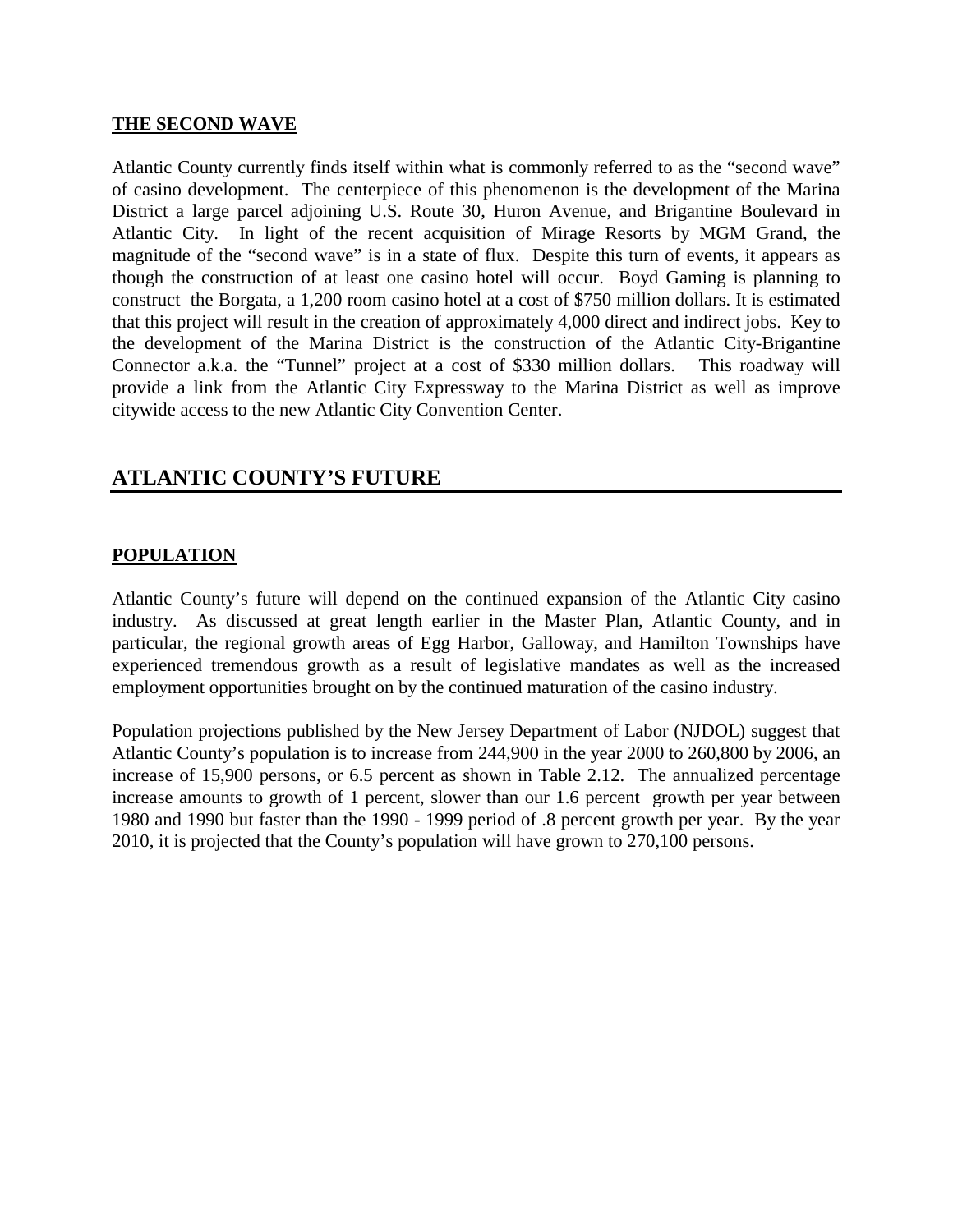#### **THE SECOND WAVE**

Atlantic County currently finds itself within what is commonly referred to as the "second wave" of casino development. The centerpiece of this phenomenon is the development of the Marina District a large parcel adjoining U.S. Route 30, Huron Avenue, and Brigantine Boulevard in Atlantic City. In light of the recent acquisition of Mirage Resorts by MGM Grand, the magnitude of the "second wave" is in a state of flux. Despite this turn of events, it appears as though the construction of at least one casino hotel will occur. Boyd Gaming is planning to construct the Borgata, a 1,200 room casino hotel at a cost of \$750 million dollars. It is estimated that this project will result in the creation of approximately 4,000 direct and indirect jobs. Key to the development of the Marina District is the construction of the Atlantic City-Brigantine Connector a.k.a. the "Tunnel" project at a cost of \$330 million dollars. This roadway will provide a link from the Atlantic City Expressway to the Marina District as well as improve citywide access to the new Atlantic City Convention Center.

## **ATLANTIC COUNTY'S FUTURE**

#### **POPULATION**

Atlantic County's future will depend on the continued expansion of the Atlantic City casino industry. As discussed at great length earlier in the Master Plan, Atlantic County, and in particular, the regional growth areas of Egg Harbor, Galloway, and Hamilton Townships have experienced tremendous growth as a result of legislative mandates as well as the increased employment opportunities brought on by the continued maturation of the casino industry.

Population projections published by the New Jersey Department of Labor (NJDOL) suggest that Atlantic County's population is to increase from 244,900 in the year 2000 to 260,800 by 2006, an increase of 15,900 persons, or 6.5 percent as shown in Table 2.12. The annualized percentage increase amounts to growth of 1 percent, slower than our 1.6 percent growth per year between 1980 and 1990 but faster than the 1990 - 1999 period of .8 percent growth per year. By the year 2010, it is projected that the County's population will have grown to 270,100 persons.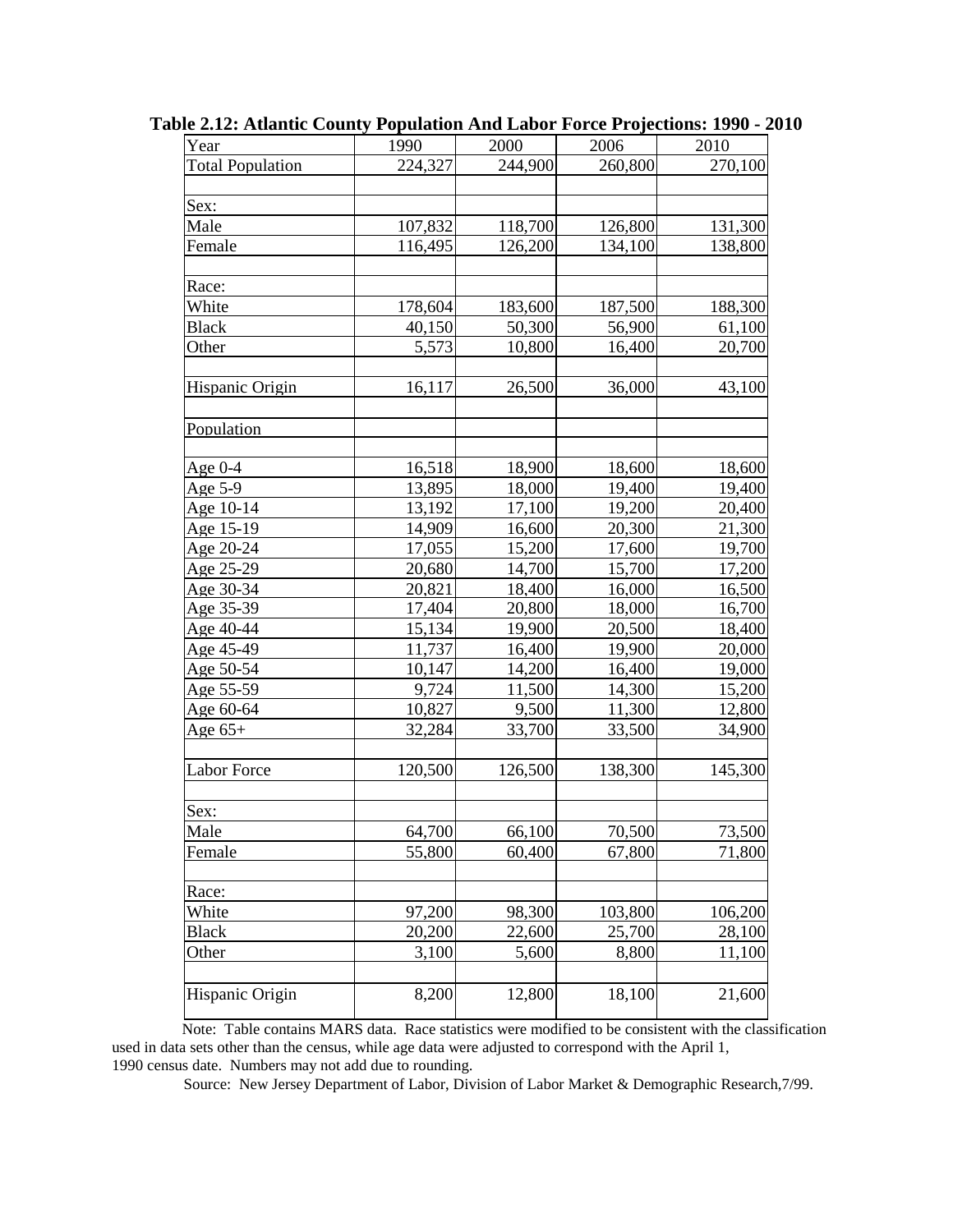| <b>Total Population</b><br>224,327<br>244,900<br>260,800<br>Sex:<br>107,832<br>118,700<br>Male<br>126,800<br>Female<br>116,495<br>126,200<br>134,100<br>Race:<br>White<br>178,604<br>183,600<br>187,500<br>50,300<br>56,900<br><b>Black</b><br>40,150<br>5,573<br>16,400<br>Other<br>10,800<br>Hispanic Origin<br>16,117<br>26,500<br>36,000<br>Population<br>16,518<br>18,600<br>Age $0-4$<br>18,900<br>Age 5-9<br>13,895<br>18,000<br>19,400<br>13,192<br>17,100<br>19,200<br>Age 10-14<br>Age 15-19<br>16,600<br>20,300<br>14,909<br>17,055<br>15,200<br>Age 20-24<br>17,600<br>Age 25-29<br>20,680<br>14,700<br>15,700<br>20,821<br>18,400<br>Age 30-34<br>16,000<br>Age 35-39<br>17,404<br>20,800<br>18,000<br>Age 40-44<br>15,134<br>19,900<br>20,500<br>Age 45-49<br>11,737<br>16,400<br>19,900<br>Age 50-54<br>10,147<br>14,200<br>16,400<br>Age 55-59<br>9,724<br>14,300<br>11,500<br>9,500<br>11,300<br>Age 60-64<br>10,827<br>33,500<br>32,284<br>33,700<br>Age $65+$<br><b>Labor Force</b><br>120,500<br>126,500<br>138,300<br>145,300<br>Sex:<br>64,700<br>70,500<br>73,500<br>Male<br>66,100<br>55,800<br>60,400<br>Female<br>67,800<br>71,800<br>Race:<br>White<br>97,200<br>98,300<br>103,800<br>106,200<br><b>Black</b><br>20,200<br>22,600<br>25,700<br>28,100<br>Other<br>3,100<br>5,600<br>8,800<br>11,100 | Year | 1990 | 2000 | 2006 | 2010    |
|--------------------------------------------------------------------------------------------------------------------------------------------------------------------------------------------------------------------------------------------------------------------------------------------------------------------------------------------------------------------------------------------------------------------------------------------------------------------------------------------------------------------------------------------------------------------------------------------------------------------------------------------------------------------------------------------------------------------------------------------------------------------------------------------------------------------------------------------------------------------------------------------------------------------------------------------------------------------------------------------------------------------------------------------------------------------------------------------------------------------------------------------------------------------------------------------------------------------------------------------------------------------------------------------------------------------------------|------|------|------|------|---------|
|                                                                                                                                                                                                                                                                                                                                                                                                                                                                                                                                                                                                                                                                                                                                                                                                                                                                                                                                                                                                                                                                                                                                                                                                                                                                                                                                |      |      |      |      | 270,100 |
|                                                                                                                                                                                                                                                                                                                                                                                                                                                                                                                                                                                                                                                                                                                                                                                                                                                                                                                                                                                                                                                                                                                                                                                                                                                                                                                                |      |      |      |      |         |
|                                                                                                                                                                                                                                                                                                                                                                                                                                                                                                                                                                                                                                                                                                                                                                                                                                                                                                                                                                                                                                                                                                                                                                                                                                                                                                                                |      |      |      |      |         |
|                                                                                                                                                                                                                                                                                                                                                                                                                                                                                                                                                                                                                                                                                                                                                                                                                                                                                                                                                                                                                                                                                                                                                                                                                                                                                                                                |      |      |      |      | 131,300 |
|                                                                                                                                                                                                                                                                                                                                                                                                                                                                                                                                                                                                                                                                                                                                                                                                                                                                                                                                                                                                                                                                                                                                                                                                                                                                                                                                |      |      |      |      | 138,800 |
|                                                                                                                                                                                                                                                                                                                                                                                                                                                                                                                                                                                                                                                                                                                                                                                                                                                                                                                                                                                                                                                                                                                                                                                                                                                                                                                                |      |      |      |      |         |
|                                                                                                                                                                                                                                                                                                                                                                                                                                                                                                                                                                                                                                                                                                                                                                                                                                                                                                                                                                                                                                                                                                                                                                                                                                                                                                                                |      |      |      |      |         |
|                                                                                                                                                                                                                                                                                                                                                                                                                                                                                                                                                                                                                                                                                                                                                                                                                                                                                                                                                                                                                                                                                                                                                                                                                                                                                                                                |      |      |      |      | 188,300 |
|                                                                                                                                                                                                                                                                                                                                                                                                                                                                                                                                                                                                                                                                                                                                                                                                                                                                                                                                                                                                                                                                                                                                                                                                                                                                                                                                |      |      |      |      | 61,100  |
|                                                                                                                                                                                                                                                                                                                                                                                                                                                                                                                                                                                                                                                                                                                                                                                                                                                                                                                                                                                                                                                                                                                                                                                                                                                                                                                                |      |      |      |      | 20,700  |
|                                                                                                                                                                                                                                                                                                                                                                                                                                                                                                                                                                                                                                                                                                                                                                                                                                                                                                                                                                                                                                                                                                                                                                                                                                                                                                                                |      |      |      |      |         |
|                                                                                                                                                                                                                                                                                                                                                                                                                                                                                                                                                                                                                                                                                                                                                                                                                                                                                                                                                                                                                                                                                                                                                                                                                                                                                                                                |      |      |      |      | 43,100  |
|                                                                                                                                                                                                                                                                                                                                                                                                                                                                                                                                                                                                                                                                                                                                                                                                                                                                                                                                                                                                                                                                                                                                                                                                                                                                                                                                |      |      |      |      |         |
|                                                                                                                                                                                                                                                                                                                                                                                                                                                                                                                                                                                                                                                                                                                                                                                                                                                                                                                                                                                                                                                                                                                                                                                                                                                                                                                                |      |      |      |      |         |
|                                                                                                                                                                                                                                                                                                                                                                                                                                                                                                                                                                                                                                                                                                                                                                                                                                                                                                                                                                                                                                                                                                                                                                                                                                                                                                                                |      |      |      |      |         |
|                                                                                                                                                                                                                                                                                                                                                                                                                                                                                                                                                                                                                                                                                                                                                                                                                                                                                                                                                                                                                                                                                                                                                                                                                                                                                                                                |      |      |      |      | 18,600  |
|                                                                                                                                                                                                                                                                                                                                                                                                                                                                                                                                                                                                                                                                                                                                                                                                                                                                                                                                                                                                                                                                                                                                                                                                                                                                                                                                |      |      |      |      | 19,400  |
|                                                                                                                                                                                                                                                                                                                                                                                                                                                                                                                                                                                                                                                                                                                                                                                                                                                                                                                                                                                                                                                                                                                                                                                                                                                                                                                                |      |      |      |      | 20,400  |
|                                                                                                                                                                                                                                                                                                                                                                                                                                                                                                                                                                                                                                                                                                                                                                                                                                                                                                                                                                                                                                                                                                                                                                                                                                                                                                                                |      |      |      |      | 21,300  |
|                                                                                                                                                                                                                                                                                                                                                                                                                                                                                                                                                                                                                                                                                                                                                                                                                                                                                                                                                                                                                                                                                                                                                                                                                                                                                                                                |      |      |      |      | 19,700  |
|                                                                                                                                                                                                                                                                                                                                                                                                                                                                                                                                                                                                                                                                                                                                                                                                                                                                                                                                                                                                                                                                                                                                                                                                                                                                                                                                |      |      |      |      | 17,200  |
|                                                                                                                                                                                                                                                                                                                                                                                                                                                                                                                                                                                                                                                                                                                                                                                                                                                                                                                                                                                                                                                                                                                                                                                                                                                                                                                                |      |      |      |      | 16,500  |
|                                                                                                                                                                                                                                                                                                                                                                                                                                                                                                                                                                                                                                                                                                                                                                                                                                                                                                                                                                                                                                                                                                                                                                                                                                                                                                                                |      |      |      |      | 16,700  |
|                                                                                                                                                                                                                                                                                                                                                                                                                                                                                                                                                                                                                                                                                                                                                                                                                                                                                                                                                                                                                                                                                                                                                                                                                                                                                                                                |      |      |      |      | 18,400  |
|                                                                                                                                                                                                                                                                                                                                                                                                                                                                                                                                                                                                                                                                                                                                                                                                                                                                                                                                                                                                                                                                                                                                                                                                                                                                                                                                |      |      |      |      | 20,000  |
|                                                                                                                                                                                                                                                                                                                                                                                                                                                                                                                                                                                                                                                                                                                                                                                                                                                                                                                                                                                                                                                                                                                                                                                                                                                                                                                                |      |      |      |      | 19,000  |
|                                                                                                                                                                                                                                                                                                                                                                                                                                                                                                                                                                                                                                                                                                                                                                                                                                                                                                                                                                                                                                                                                                                                                                                                                                                                                                                                |      |      |      |      | 15,200  |
|                                                                                                                                                                                                                                                                                                                                                                                                                                                                                                                                                                                                                                                                                                                                                                                                                                                                                                                                                                                                                                                                                                                                                                                                                                                                                                                                |      |      |      |      | 12,800  |
|                                                                                                                                                                                                                                                                                                                                                                                                                                                                                                                                                                                                                                                                                                                                                                                                                                                                                                                                                                                                                                                                                                                                                                                                                                                                                                                                |      |      |      |      | 34,900  |
|                                                                                                                                                                                                                                                                                                                                                                                                                                                                                                                                                                                                                                                                                                                                                                                                                                                                                                                                                                                                                                                                                                                                                                                                                                                                                                                                |      |      |      |      |         |
|                                                                                                                                                                                                                                                                                                                                                                                                                                                                                                                                                                                                                                                                                                                                                                                                                                                                                                                                                                                                                                                                                                                                                                                                                                                                                                                                |      |      |      |      |         |
|                                                                                                                                                                                                                                                                                                                                                                                                                                                                                                                                                                                                                                                                                                                                                                                                                                                                                                                                                                                                                                                                                                                                                                                                                                                                                                                                |      |      |      |      |         |
|                                                                                                                                                                                                                                                                                                                                                                                                                                                                                                                                                                                                                                                                                                                                                                                                                                                                                                                                                                                                                                                                                                                                                                                                                                                                                                                                |      |      |      |      |         |
|                                                                                                                                                                                                                                                                                                                                                                                                                                                                                                                                                                                                                                                                                                                                                                                                                                                                                                                                                                                                                                                                                                                                                                                                                                                                                                                                |      |      |      |      |         |
|                                                                                                                                                                                                                                                                                                                                                                                                                                                                                                                                                                                                                                                                                                                                                                                                                                                                                                                                                                                                                                                                                                                                                                                                                                                                                                                                |      |      |      |      |         |
|                                                                                                                                                                                                                                                                                                                                                                                                                                                                                                                                                                                                                                                                                                                                                                                                                                                                                                                                                                                                                                                                                                                                                                                                                                                                                                                                |      |      |      |      |         |
|                                                                                                                                                                                                                                                                                                                                                                                                                                                                                                                                                                                                                                                                                                                                                                                                                                                                                                                                                                                                                                                                                                                                                                                                                                                                                                                                |      |      |      |      |         |
|                                                                                                                                                                                                                                                                                                                                                                                                                                                                                                                                                                                                                                                                                                                                                                                                                                                                                                                                                                                                                                                                                                                                                                                                                                                                                                                                |      |      |      |      |         |
|                                                                                                                                                                                                                                                                                                                                                                                                                                                                                                                                                                                                                                                                                                                                                                                                                                                                                                                                                                                                                                                                                                                                                                                                                                                                                                                                |      |      |      |      |         |
|                                                                                                                                                                                                                                                                                                                                                                                                                                                                                                                                                                                                                                                                                                                                                                                                                                                                                                                                                                                                                                                                                                                                                                                                                                                                                                                                |      |      |      |      |         |
|                                                                                                                                                                                                                                                                                                                                                                                                                                                                                                                                                                                                                                                                                                                                                                                                                                                                                                                                                                                                                                                                                                                                                                                                                                                                                                                                |      |      |      |      |         |
|                                                                                                                                                                                                                                                                                                                                                                                                                                                                                                                                                                                                                                                                                                                                                                                                                                                                                                                                                                                                                                                                                                                                                                                                                                                                                                                                |      |      |      |      |         |
| 8,200<br>12,800<br>18,100<br>Hispanic Origin                                                                                                                                                                                                                                                                                                                                                                                                                                                                                                                                                                                                                                                                                                                                                                                                                                                                                                                                                                                                                                                                                                                                                                                                                                                                                   |      |      |      |      | 21,600  |

**Table 2.12: Atlantic County Population And Labor Force Projections: 1990 - 2010**

 Note: Table contains MARS data. Race statistics were modified to be consistent with the classification used in data sets other than the census, while age data were adjusted to correspond with the April 1, 1990 census date. Numbers may not add due to rounding.

Source: New Jersey Department of Labor, Division of Labor Market & Demographic Research,7/99.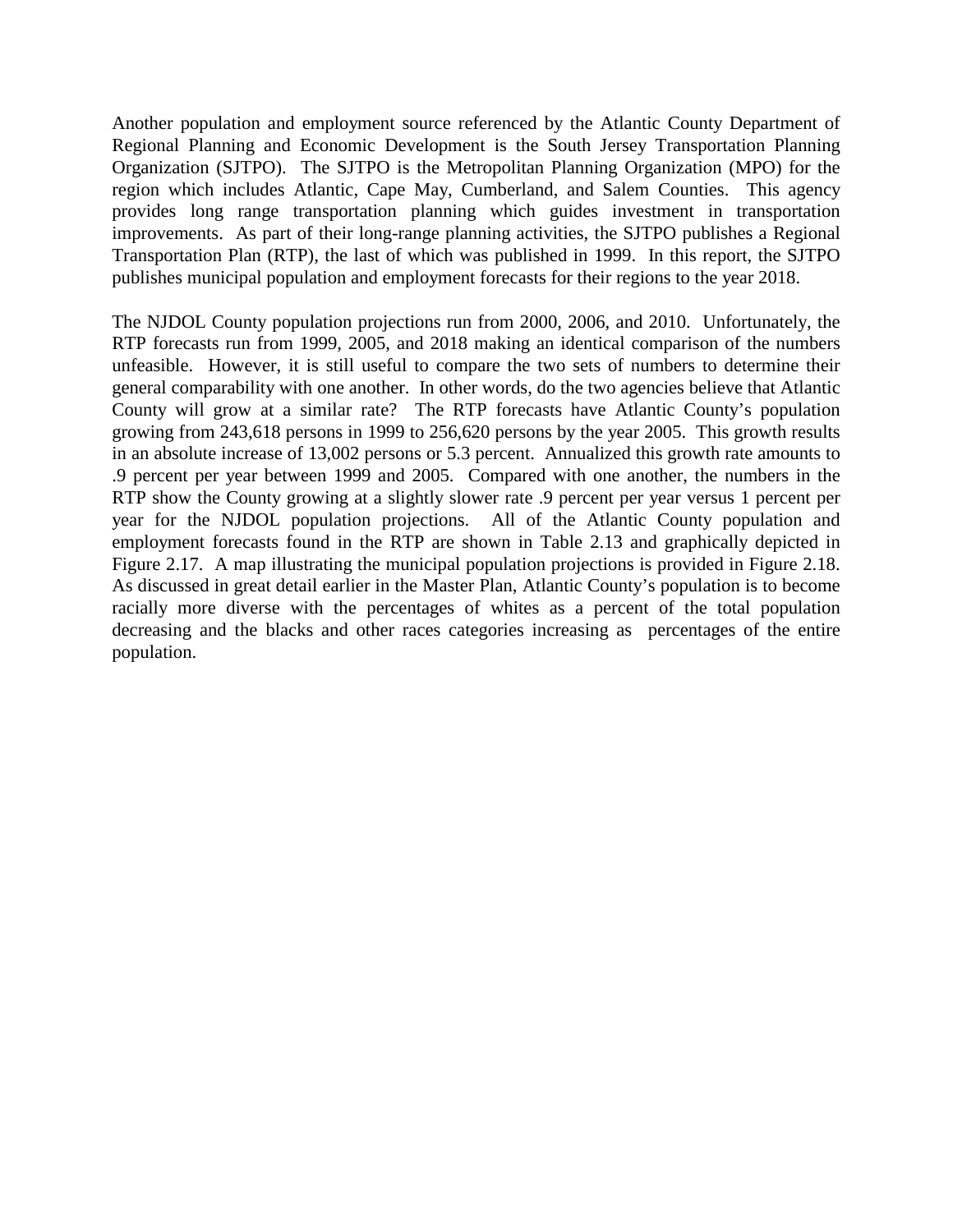Another population and employment source referenced by the Atlantic County Department of Regional Planning and Economic Development is the South Jersey Transportation Planning Organization (SJTPO). The SJTPO is the Metropolitan Planning Organization (MPO) for the region which includes Atlantic, Cape May, Cumberland, and Salem Counties. This agency provides long range transportation planning which guides investment in transportation improvements. As part of their long-range planning activities, the SJTPO publishes a Regional Transportation Plan (RTP), the last of which was published in 1999. In this report, the SJTPO publishes municipal population and employment forecasts for their regions to the year 2018.

The NJDOL County population projections run from 2000, 2006, and 2010. Unfortunately, the RTP forecasts run from 1999, 2005, and 2018 making an identical comparison of the numbers unfeasible. However, it is still useful to compare the two sets of numbers to determine their general comparability with one another. In other words, do the two agencies believe that Atlantic County will grow at a similar rate? The RTP forecasts have Atlantic County's population growing from 243,618 persons in 1999 to 256,620 persons by the year 2005. This growth results in an absolute increase of 13,002 persons or 5.3 percent. Annualized this growth rate amounts to .9 percent per year between 1999 and 2005. Compared with one another, the numbers in the RTP show the County growing at a slightly slower rate .9 percent per year versus 1 percent per year for the NJDOL population projections. All of the Atlantic County population and employment forecasts found in the RTP are shown in Table 2.13 and graphically depicted in Figure 2.17. A map illustrating the municipal population projections is provided in Figure 2.18. As discussed in great detail earlier in the Master Plan, Atlantic County's population is to become racially more diverse with the percentages of whites as a percent of the total population decreasing and the blacks and other races categories increasing as percentages of the entire population.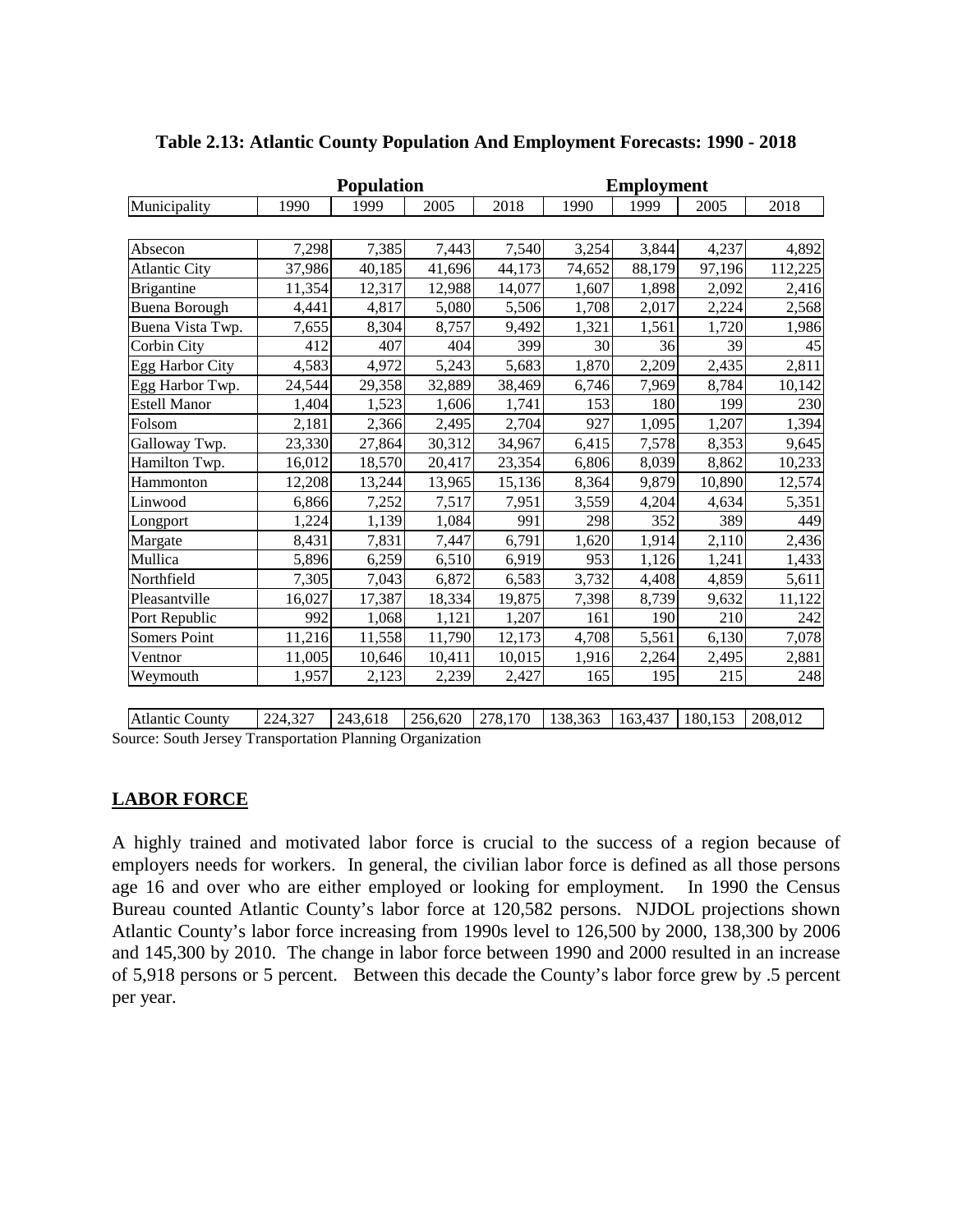|                      |        | <b>Population</b> |        |        |        | <b>Employment</b> |        |         |
|----------------------|--------|-------------------|--------|--------|--------|-------------------|--------|---------|
| Municipality         | 1990   | 1999              | 2005   | 2018   | 1990   | 1999              | 2005   | 2018    |
|                      |        |                   |        |        |        |                   |        |         |
| Absecon              | 7,298  | 7,385             | 7,443  | 7,540  | 3,254  | 3,844             | 4,237  | 4,892   |
| <b>Atlantic City</b> | 37,986 | 40,185            | 41,696 | 44,173 | 74,652 | 88,179            | 97,196 | 112,225 |
| <b>Brigantine</b>    | 11,354 | 12,317            | 12,988 | 14,077 | 1,607  | 1,898             | 2,092  | 2,416   |
| <b>Buena Borough</b> | 4,441  | 4,817             | 5,080  | 5,506  | 1,708  | 2,017             | 2,224  | 2,568   |
| Buena Vista Twp.     | 7,655  | 8,304             | 8,757  | 9,492  | 1,321  | 1,561             | 1,720  | 1,986   |
| Corbin City          | 412    | 407               | 404    | 399    | 30     | 36                | 39     | 45      |
| Egg Harbor City      | 4,583  | 4,972             | 5,243  | 5,683  | 1,870  | 2,209             | 2,435  | 2,811   |
| Egg Harbor Twp.      | 24,544 | 29,358            | 32,889 | 38,469 | 6,746  | 7,969             | 8,784  | 10,142  |
| <b>Estell Manor</b>  | 1,404  | 1,523             | 1,606  | 1,741  | 153    | 180               | 199    | 230     |
| Folsom               | 2,181  | 2,366             | 2,495  | 2,704  | 927    | 1,095             | 1,207  | 1,394   |
| Galloway Twp.        | 23,330 | 27,864            | 30,312 | 34,967 | 6,415  | 7,578             | 8,353  | 9,645   |
| Hamilton Twp.        | 16,012 | 18,570            | 20,417 | 23,354 | 6,806  | 8,039             | 8,862  | 10,233  |
| Hammonton            | 12,208 | 13,244            | 13,965 | 15,136 | 8,364  | 9,879             | 10,890 | 12,574  |
| Linwood              | 6,866  | 7,252             | 7,517  | 7,951  | 3,559  | 4,204             | 4,634  | 5,351   |
| Longport             | 1,224  | 1,139             | 1,084  | 991    | 298    | 352               | 389    | 449     |
| Margate              | 8,431  | 7,831             | 7,447  | 6,791  | 1,620  | 1,914             | 2,110  | 2,436   |
| Mullica              | 5,896  | 6,259             | 6,510  | 6,919  | 953    | 1,126             | 1,241  | 1,433   |
| Northfield           | 7,305  | 7,043             | 6,872  | 6,583  | 3,732  | 4,408             | 4,859  | 5,611   |
| Pleasantville        | 16,027 | 17,387            | 18,334 | 19,875 | 7,398  | 8,739             | 9,632  | 11,122  |
| Port Republic        | 992    | 1,068             | 1,121  | 1,207  | 161    | 190               | 210    | 242     |
| <b>Somers Point</b>  | 11,216 | 11,558            | 11,790 | 12,173 | 4,708  | 5,561             | 6,130  | 7,078   |
| Ventnor              | 11,005 | 10,646            | 10,411 | 10,015 | 1,916  | 2,264             | 2,495  | 2,881   |
| Weymouth             | 1,957  | 2,123             | 2,239  | 2,427  | 165    | 195               | 215    | 248     |

#### **Table 2.13: Atlantic County Population And Employment Forecasts: 1990 - 2018**

Atlantic County 224,327 243,618 256,620 278,170 138,363 163,437 180,153 208,012 Source: South Jersey Transportation Planning Organization

#### **LABOR FORCE**

A highly trained and motivated labor force is crucial to the success of a region because of employers needs for workers. In general, the civilian labor force is defined as all those persons age 16 and over who are either employed or looking for employment. In 1990 the Census Bureau counted Atlantic County's labor force at 120,582 persons. NJDOL projections shown Atlantic County's labor force increasing from 1990s level to 126,500 by 2000, 138,300 by 2006 and 145,300 by 2010. The change in labor force between 1990 and 2000 resulted in an increase of 5,918 persons or 5 percent. Between this decade the County's labor force grew by .5 percent per year.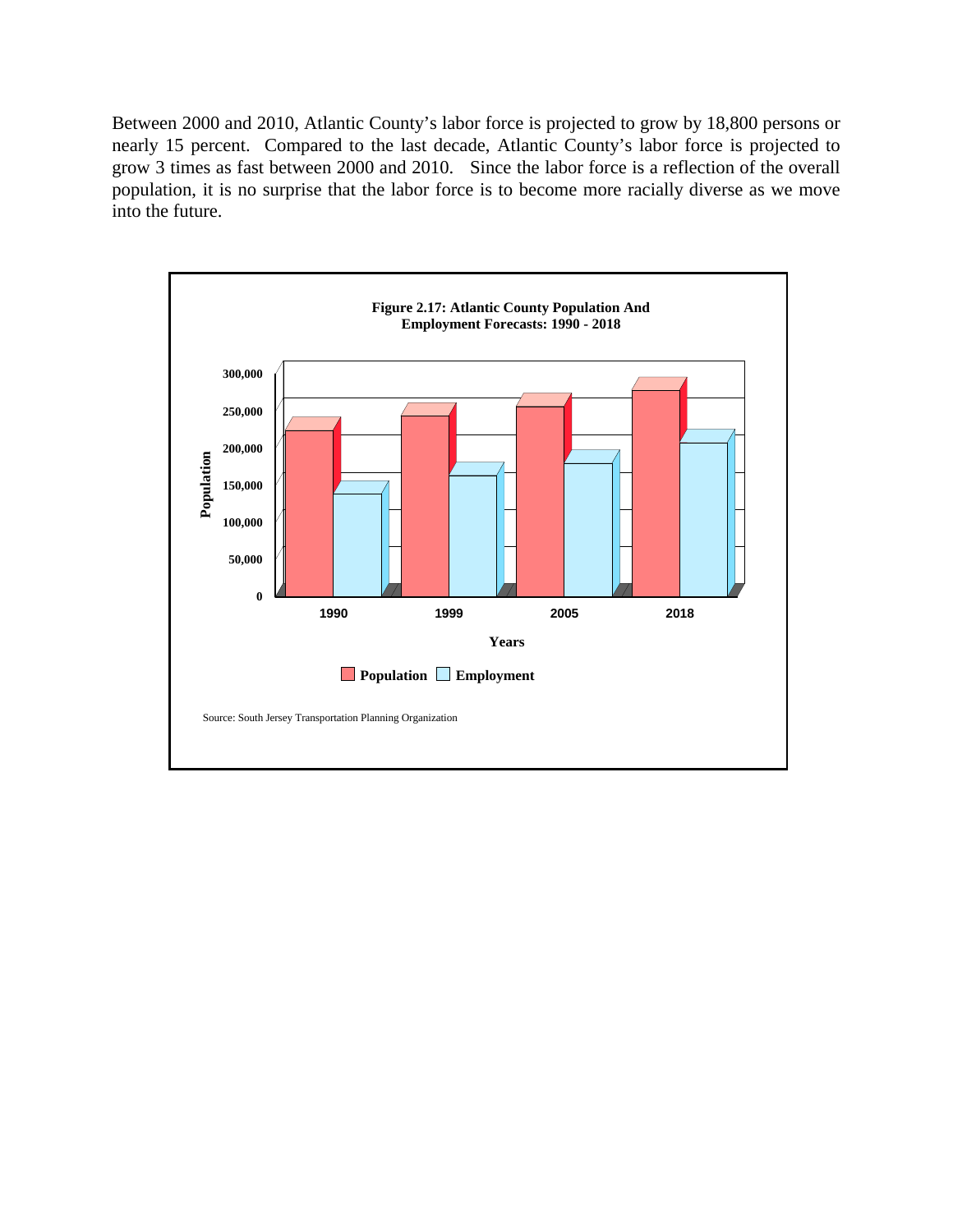Between 2000 and 2010, Atlantic County's labor force is projected to grow by 18,800 persons or nearly 15 percent. Compared to the last decade, Atlantic County's labor force is projected to grow 3 times as fast between 2000 and 2010. Since the labor force is a reflection of the overall population, it is no surprise that the labor force is to become more racially diverse as we move into the future.

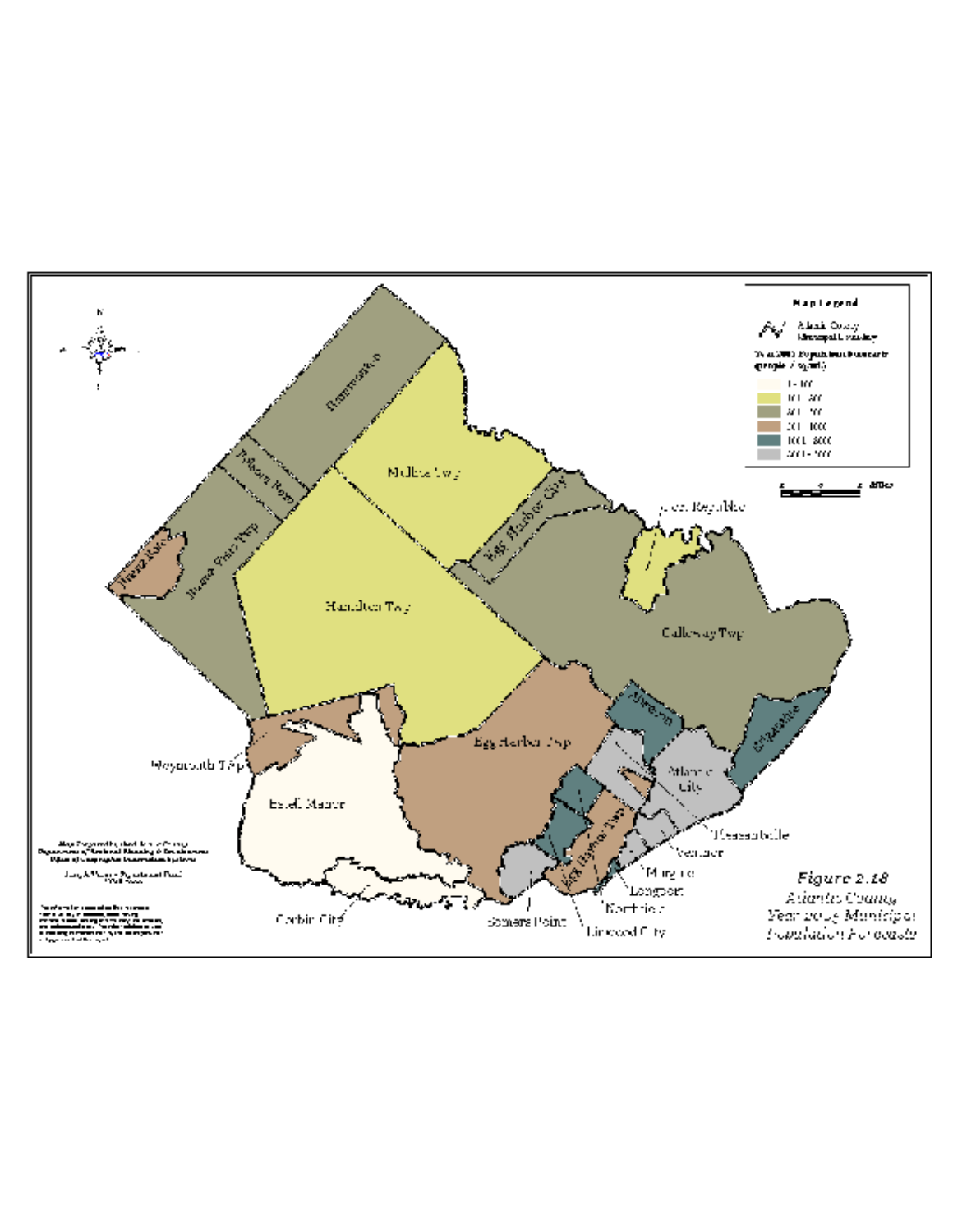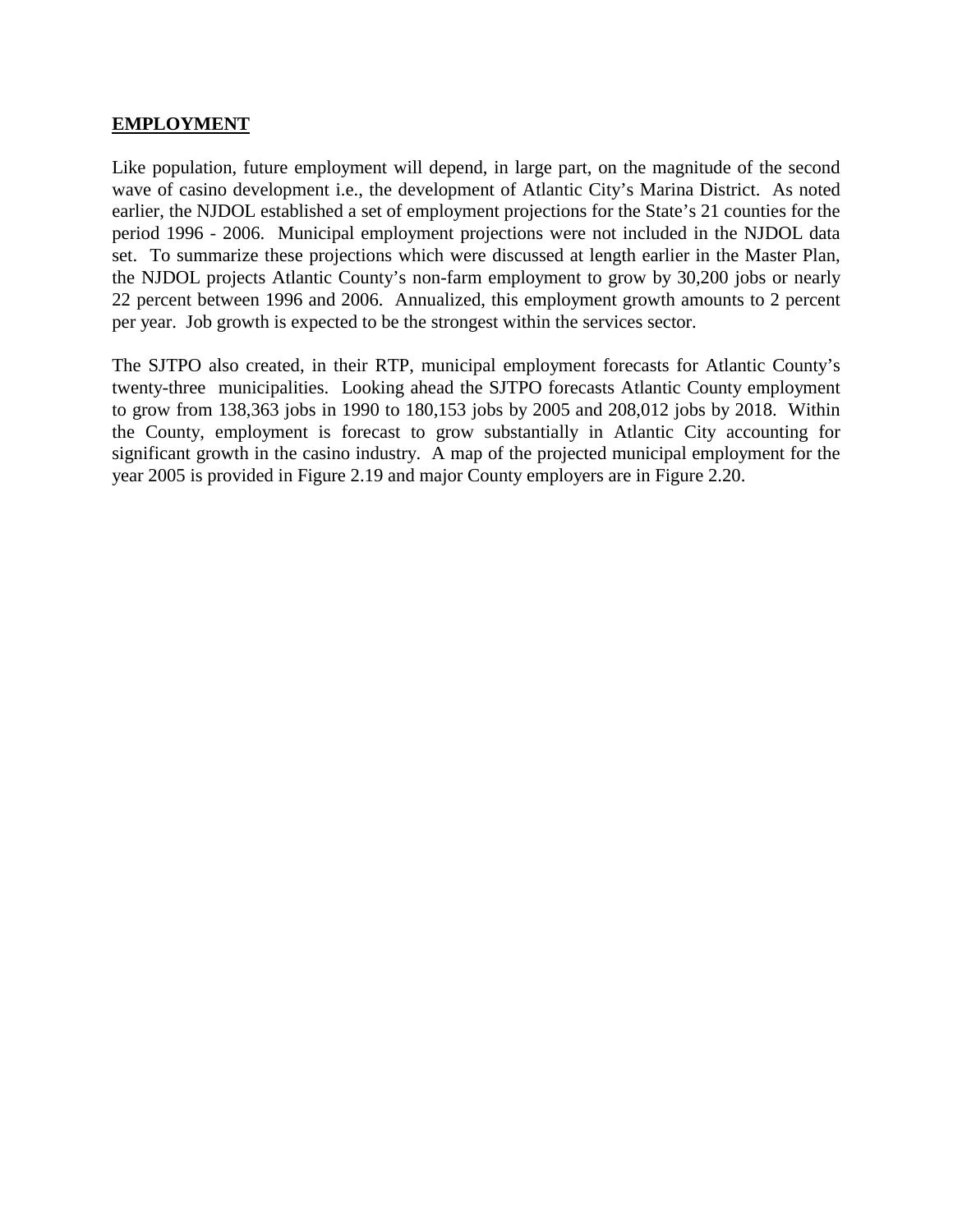#### **EMPLOYMENT**

Like population, future employment will depend, in large part, on the magnitude of the second wave of casino development i.e., the development of Atlantic City's Marina District. As noted earlier, the NJDOL established a set of employment projections for the State's 21 counties for the period 1996 - 2006. Municipal employment projections were not included in the NJDOL data set. To summarize these projections which were discussed at length earlier in the Master Plan, the NJDOL projects Atlantic County's non-farm employment to grow by 30,200 jobs or nearly 22 percent between 1996 and 2006. Annualized, this employment growth amounts to 2 percent per year. Job growth is expected to be the strongest within the services sector.

The SJTPO also created, in their RTP, municipal employment forecasts for Atlantic County's twenty-three municipalities. Looking ahead the SJTPO forecasts Atlantic County employment to grow from 138,363 jobs in 1990 to 180,153 jobs by 2005 and 208,012 jobs by 2018. Within the County, employment is forecast to grow substantially in Atlantic City accounting for significant growth in the casino industry. A map of the projected municipal employment for the year 2005 is provided in Figure 2.19 and major County employers are in Figure 2.20.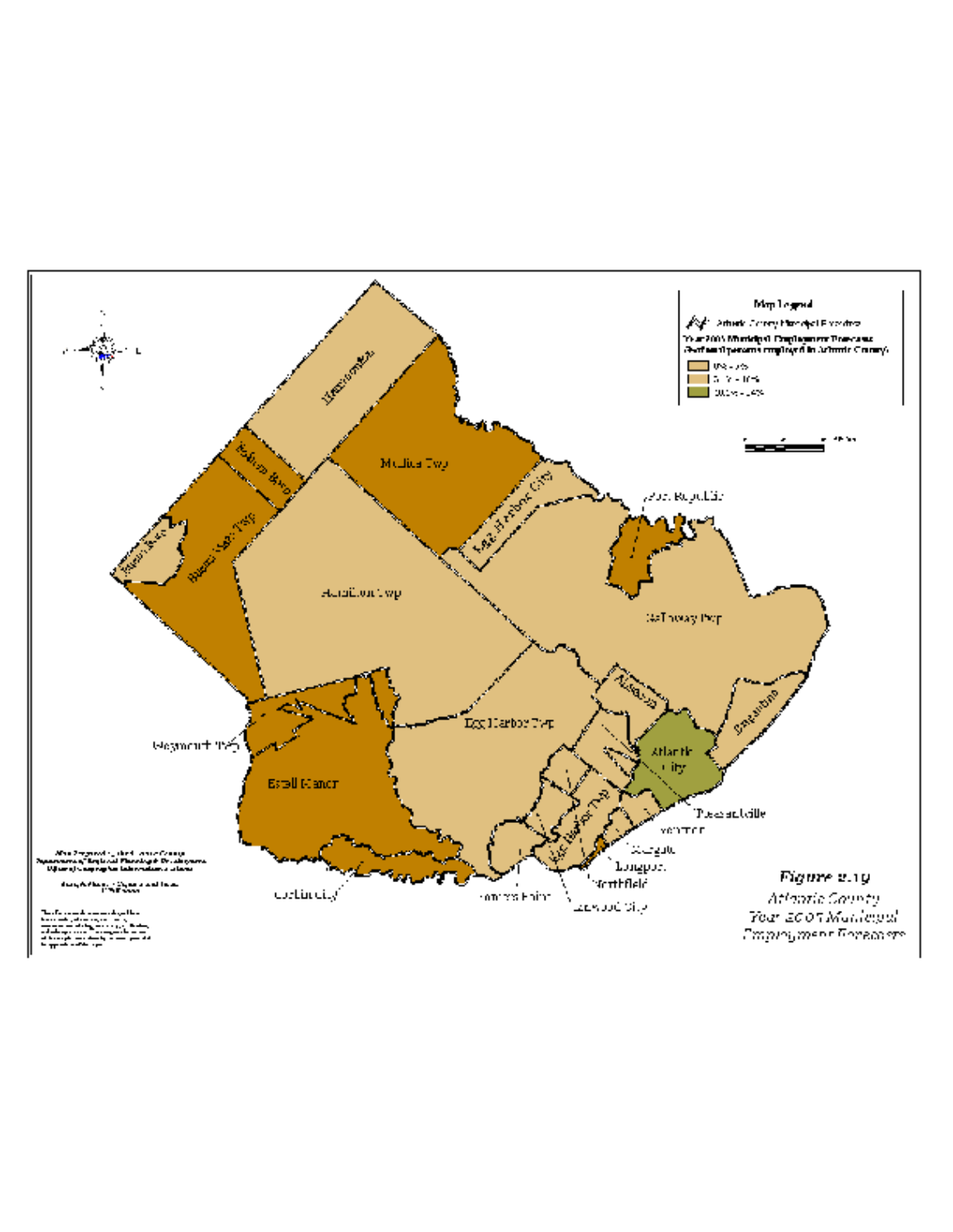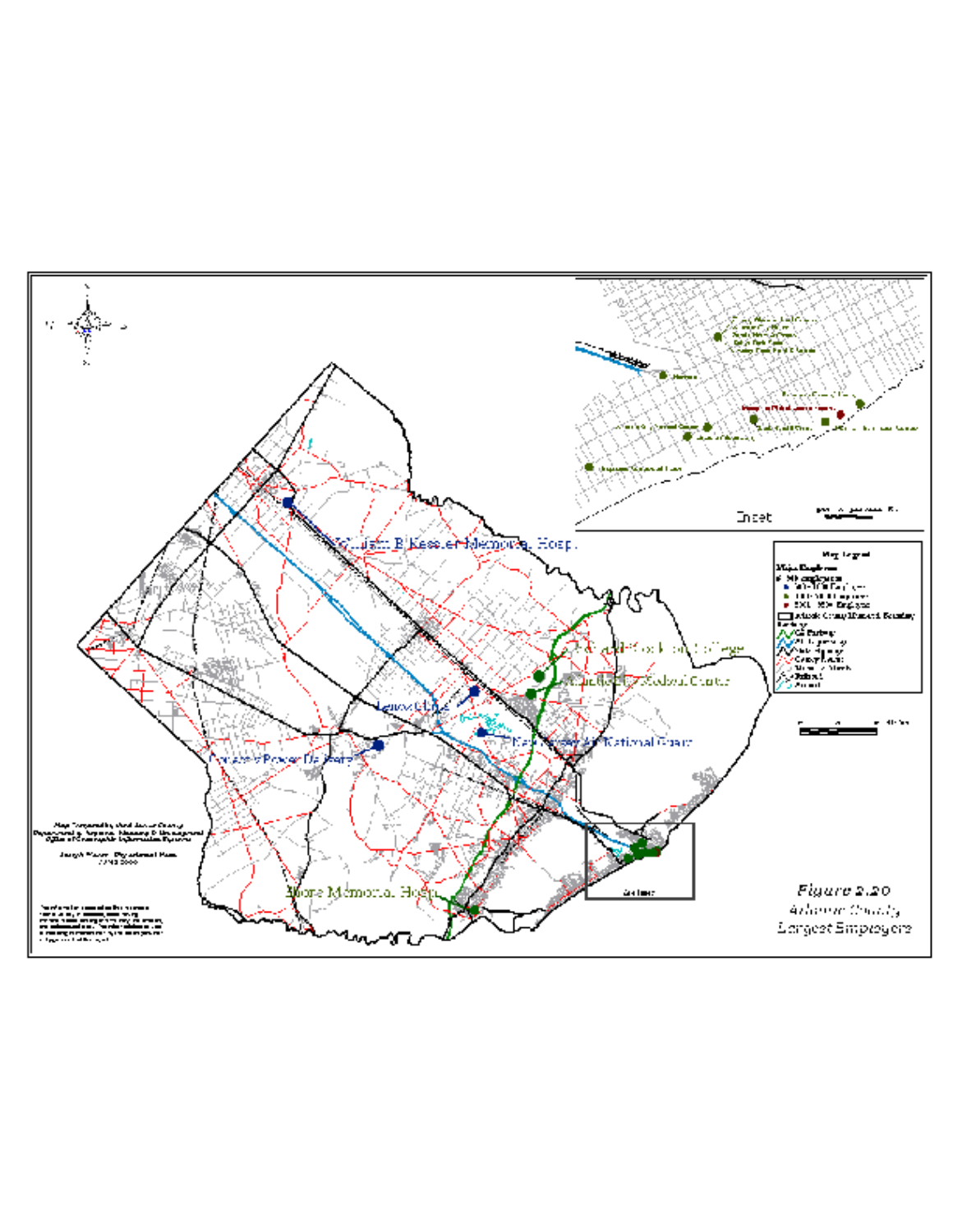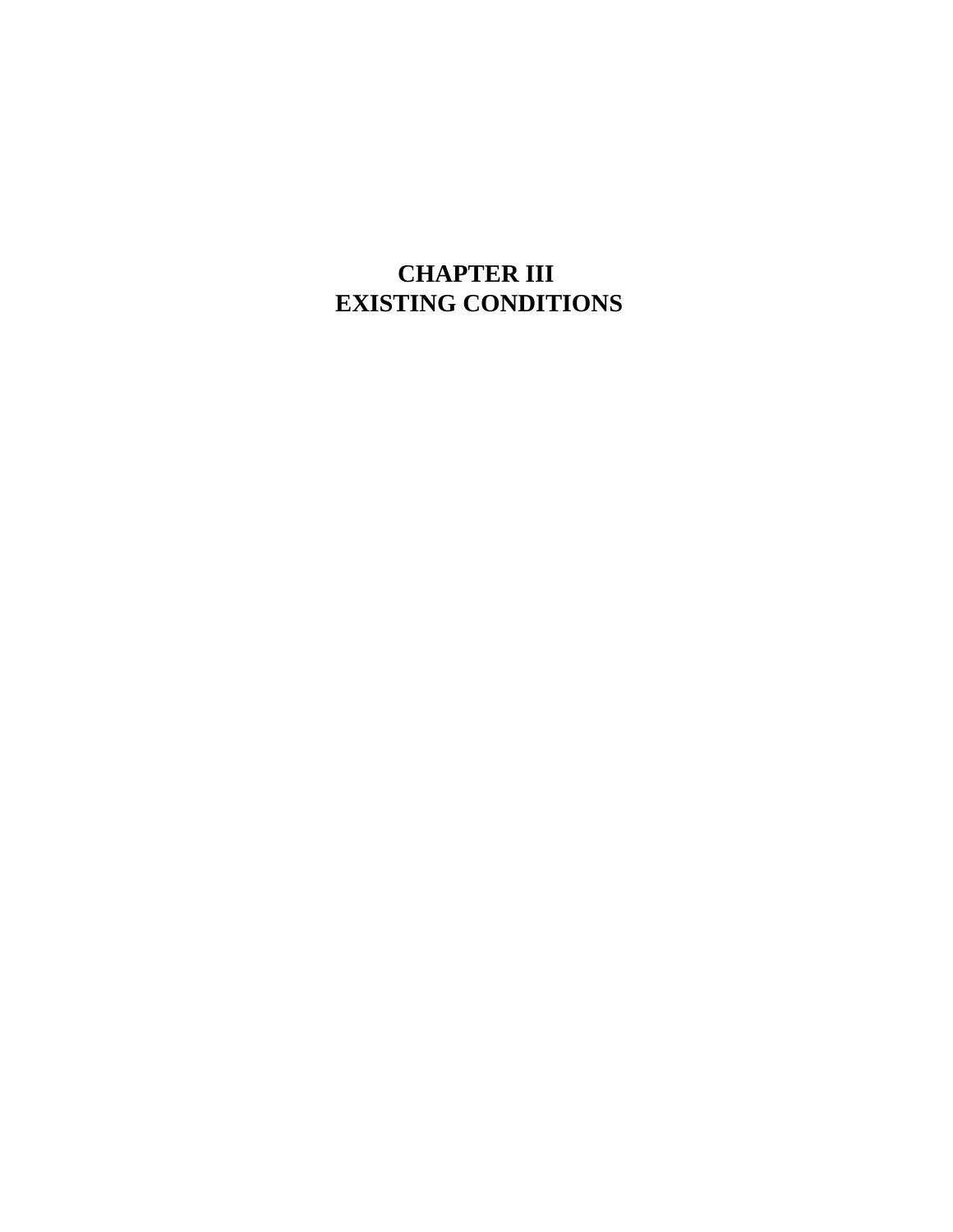# **CHAPTER III EXISTING CONDITIONS**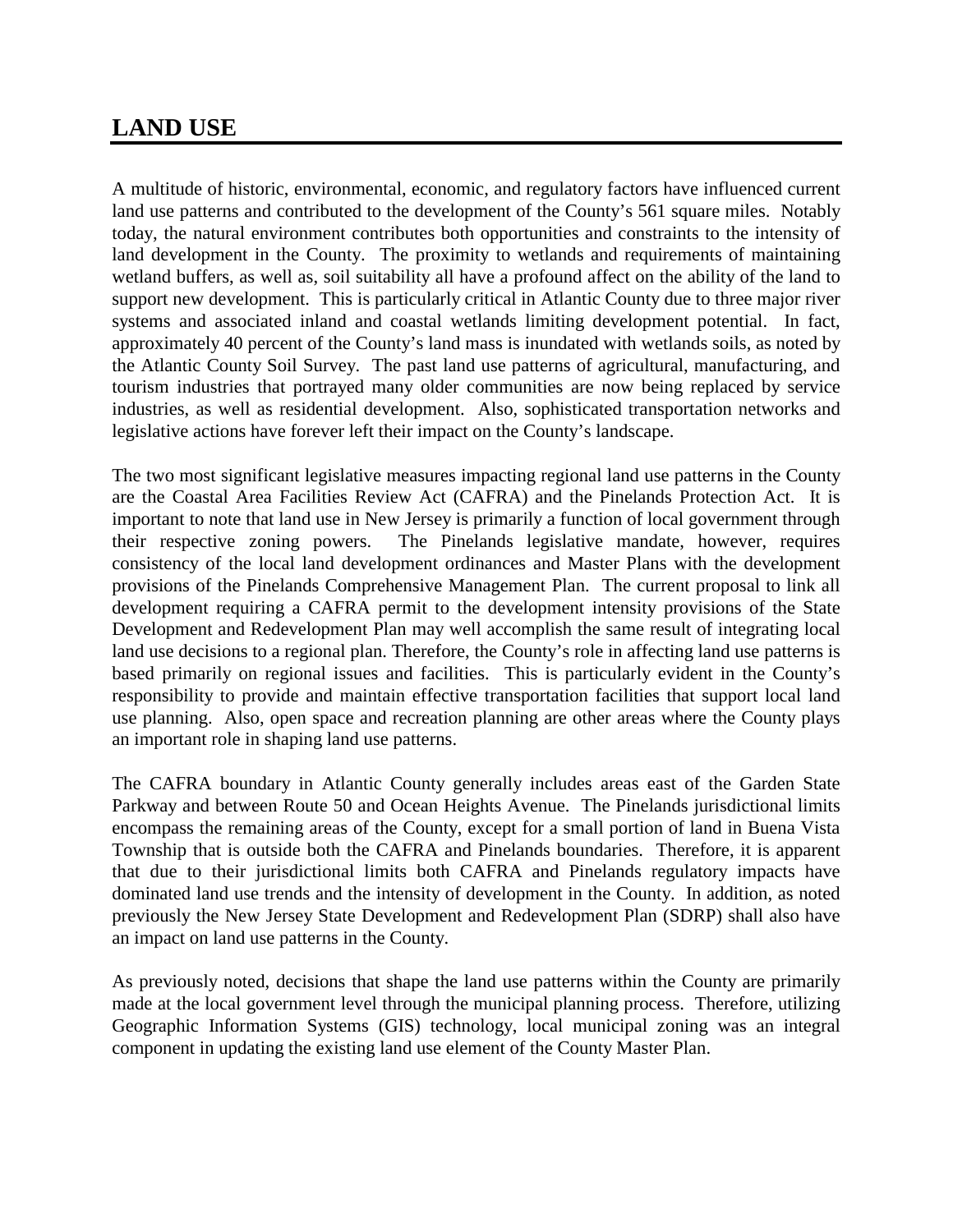# **LAND USE**

A multitude of historic, environmental, economic, and regulatory factors have influenced current land use patterns and contributed to the development of the County's 561 square miles. Notably today, the natural environment contributes both opportunities and constraints to the intensity of land development in the County. The proximity to wetlands and requirements of maintaining wetland buffers, as well as, soil suitability all have a profound affect on the ability of the land to support new development. This is particularly critical in Atlantic County due to three major river systems and associated inland and coastal wetlands limiting development potential. In fact, approximately 40 percent of the County's land mass is inundated with wetlands soils, as noted by the Atlantic County Soil Survey. The past land use patterns of agricultural, manufacturing, and tourism industries that portrayed many older communities are now being replaced by service industries, as well as residential development. Also, sophisticated transportation networks and legislative actions have forever left their impact on the County's landscape.

The two most significant legislative measures impacting regional land use patterns in the County are the Coastal Area Facilities Review Act (CAFRA) and the Pinelands Protection Act. It is important to note that land use in New Jersey is primarily a function of local government through their respective zoning powers. The Pinelands legislative mandate, however, requires consistency of the local land development ordinances and Master Plans with the development provisions of the Pinelands Comprehensive Management Plan. The current proposal to link all development requiring a CAFRA permit to the development intensity provisions of the State Development and Redevelopment Plan may well accomplish the same result of integrating local land use decisions to a regional plan. Therefore, the County's role in affecting land use patterns is based primarily on regional issues and facilities. This is particularly evident in the County's responsibility to provide and maintain effective transportation facilities that support local land use planning. Also, open space and recreation planning are other areas where the County plays an important role in shaping land use patterns.

The CAFRA boundary in Atlantic County generally includes areas east of the Garden State Parkway and between Route 50 and Ocean Heights Avenue. The Pinelands jurisdictional limits encompass the remaining areas of the County, except for a small portion of land in Buena Vista Township that is outside both the CAFRA and Pinelands boundaries. Therefore, it is apparent that due to their jurisdictional limits both CAFRA and Pinelands regulatory impacts have dominated land use trends and the intensity of development in the County. In addition, as noted previously the New Jersey State Development and Redevelopment Plan (SDRP) shall also have an impact on land use patterns in the County.

As previously noted, decisions that shape the land use patterns within the County are primarily made at the local government level through the municipal planning process. Therefore, utilizing Geographic Information Systems (GIS) technology, local municipal zoning was an integral component in updating the existing land use element of the County Master Plan.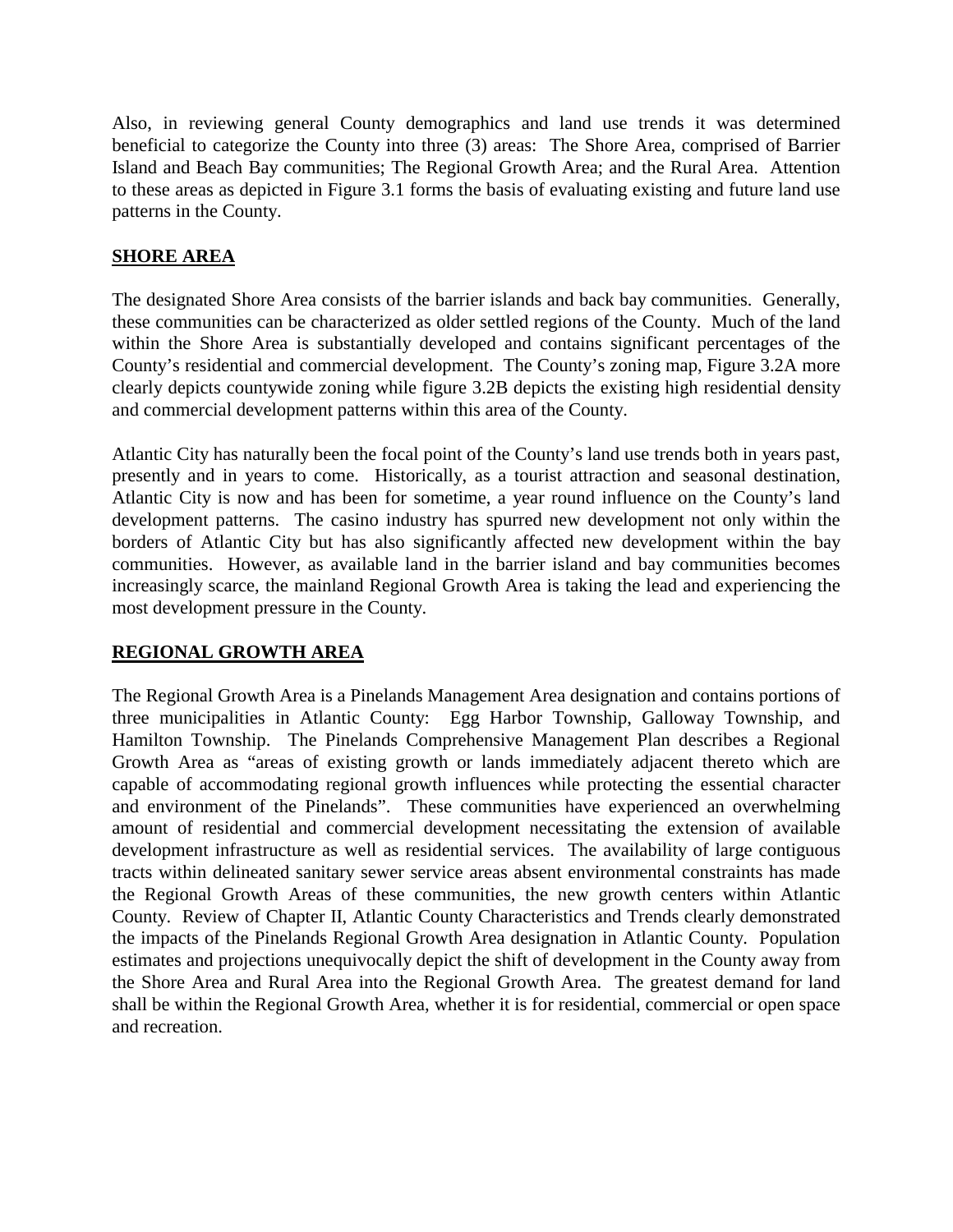Also, in reviewing general County demographics and land use trends it was determined beneficial to categorize the County into three (3) areas: The Shore Area, comprised of Barrier Island and Beach Bay communities; The Regional Growth Area; and the Rural Area. Attention to these areas as depicted in Figure 3.1 forms the basis of evaluating existing and future land use patterns in the County.

#### **SHORE AREA**

The designated Shore Area consists of the barrier islands and back bay communities. Generally, these communities can be characterized as older settled regions of the County. Much of the land within the Shore Area is substantially developed and contains significant percentages of the County's residential and commercial development. The County's zoning map, Figure 3.2A more clearly depicts countywide zoning while figure 3.2B depicts the existing high residential density and commercial development patterns within this area of the County.

Atlantic City has naturally been the focal point of the County's land use trends both in years past, presently and in years to come. Historically, as a tourist attraction and seasonal destination, Atlantic City is now and has been for sometime, a year round influence on the County's land development patterns. The casino industry has spurred new development not only within the borders of Atlantic City but has also significantly affected new development within the bay communities. However, as available land in the barrier island and bay communities becomes increasingly scarce, the mainland Regional Growth Area is taking the lead and experiencing the most development pressure in the County.

#### **REGIONAL GROWTH AREA**

The Regional Growth Area is a Pinelands Management Area designation and contains portions of three municipalities in Atlantic County: Egg Harbor Township, Galloway Township, and Hamilton Township. The Pinelands Comprehensive Management Plan describes a Regional Growth Area as "areas of existing growth or lands immediately adjacent thereto which are capable of accommodating regional growth influences while protecting the essential character and environment of the Pinelands". These communities have experienced an overwhelming amount of residential and commercial development necessitating the extension of available development infrastructure as well as residential services. The availability of large contiguous tracts within delineated sanitary sewer service areas absent environmental constraints has made the Regional Growth Areas of these communities, the new growth centers within Atlantic County. Review of Chapter II, Atlantic County Characteristics and Trends clearly demonstrated the impacts of the Pinelands Regional Growth Area designation in Atlantic County. Population estimates and projections unequivocally depict the shift of development in the County away from the Shore Area and Rural Area into the Regional Growth Area. The greatest demand for land shall be within the Regional Growth Area, whether it is for residential, commercial or open space and recreation.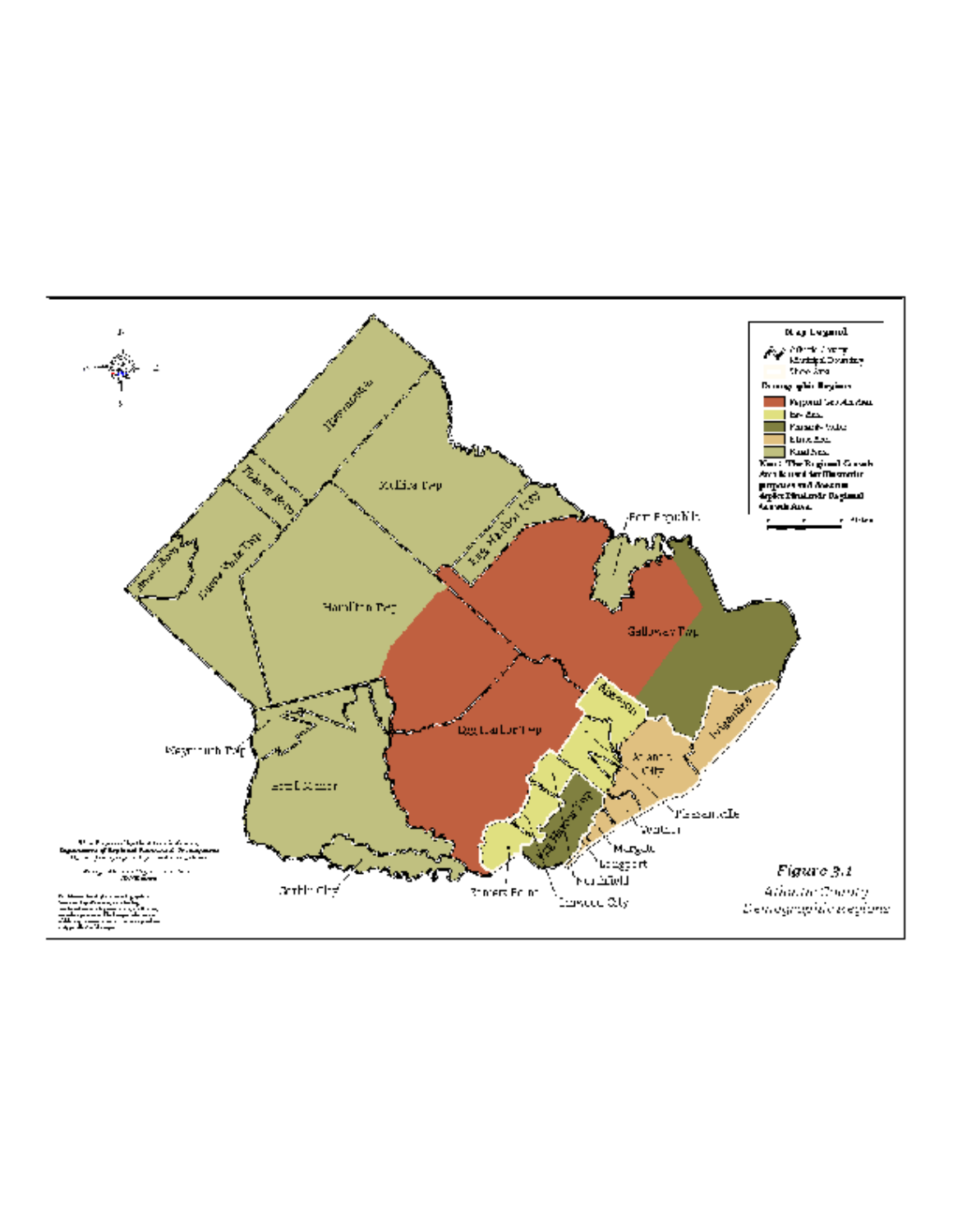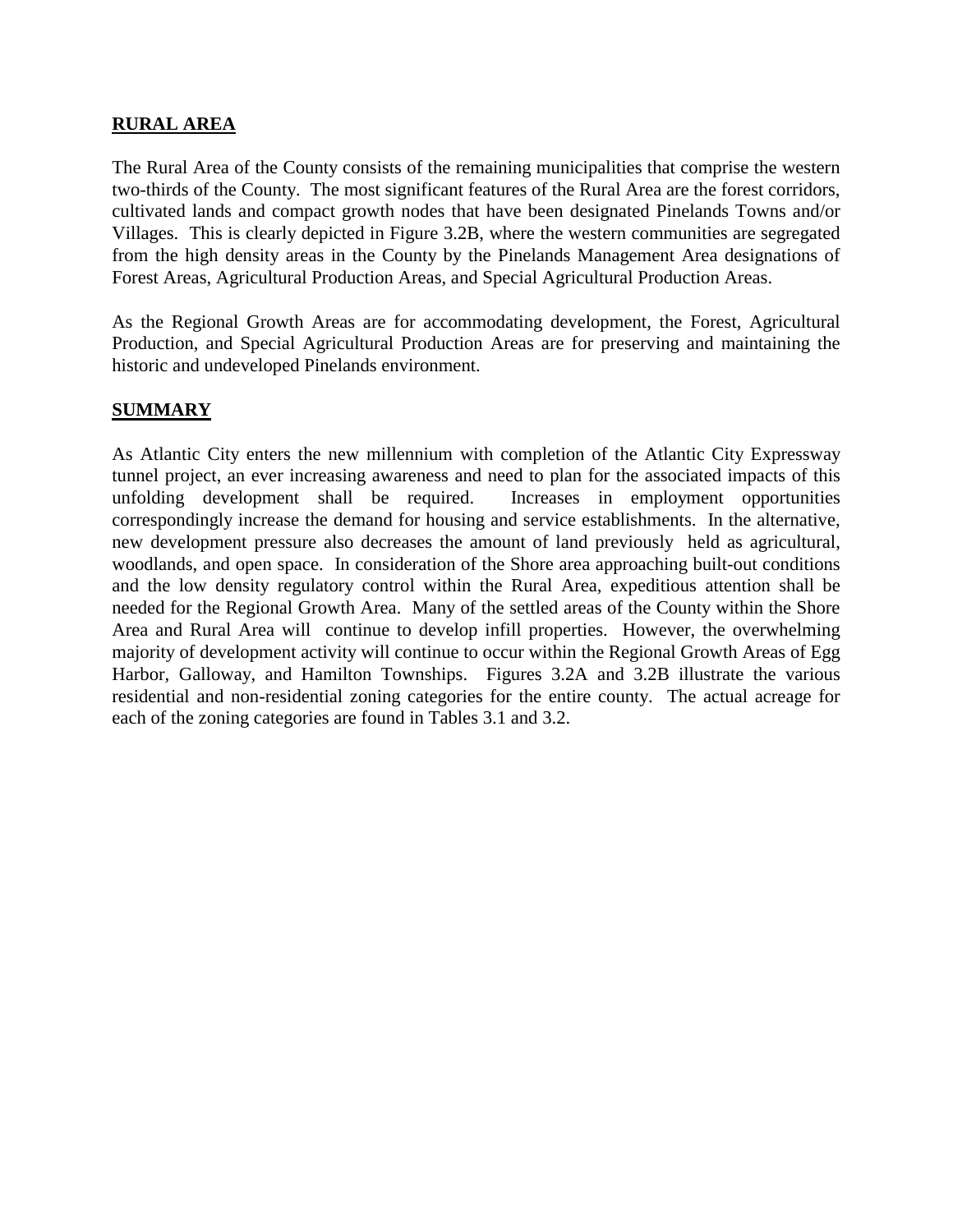#### **RURAL AREA**

The Rural Area of the County consists of the remaining municipalities that comprise the western two-thirds of the County. The most significant features of the Rural Area are the forest corridors, cultivated lands and compact growth nodes that have been designated Pinelands Towns and/or Villages. This is clearly depicted in Figure 3.2B, where the western communities are segregated from the high density areas in the County by the Pinelands Management Area designations of Forest Areas, Agricultural Production Areas, and Special Agricultural Production Areas.

As the Regional Growth Areas are for accommodating development, the Forest, Agricultural Production, and Special Agricultural Production Areas are for preserving and maintaining the historic and undeveloped Pinelands environment.

#### **SUMMARY**

As Atlantic City enters the new millennium with completion of the Atlantic City Expressway tunnel project, an ever increasing awareness and need to plan for the associated impacts of this unfolding development shall be required. Increases in employment opportunities correspondingly increase the demand for housing and service establishments. In the alternative, new development pressure also decreases the amount of land previously held as agricultural, woodlands, and open space. In consideration of the Shore area approaching built-out conditions and the low density regulatory control within the Rural Area, expeditious attention shall be needed for the Regional Growth Area. Many of the settled areas of the County within the Shore Area and Rural Area will continue to develop infill properties. However, the overwhelming majority of development activity will continue to occur within the Regional Growth Areas of Egg Harbor, Galloway, and Hamilton Townships. Figures 3.2A and 3.2B illustrate the various residential and non-residential zoning categories for the entire county. The actual acreage for each of the zoning categories are found in Tables 3.1 and 3.2.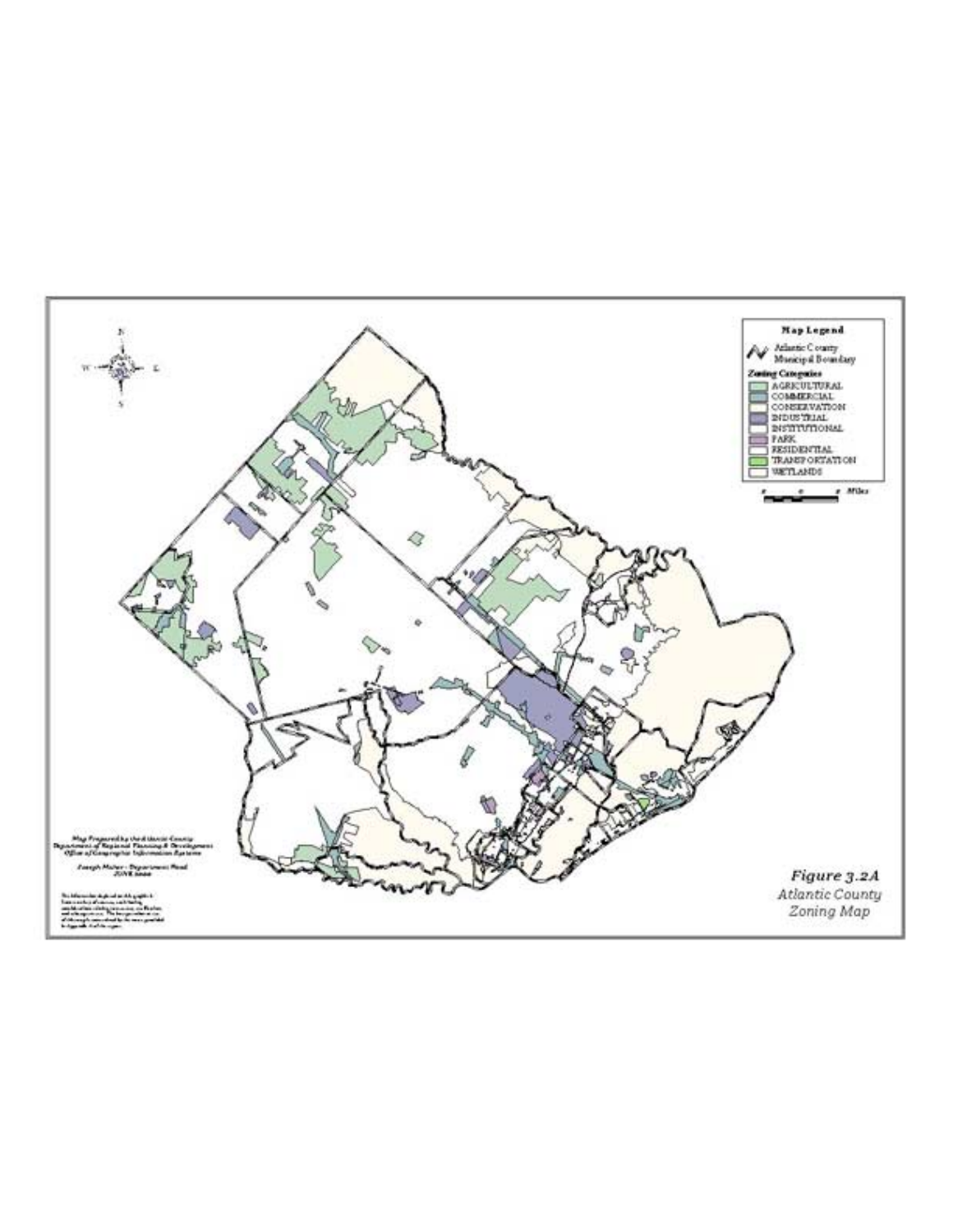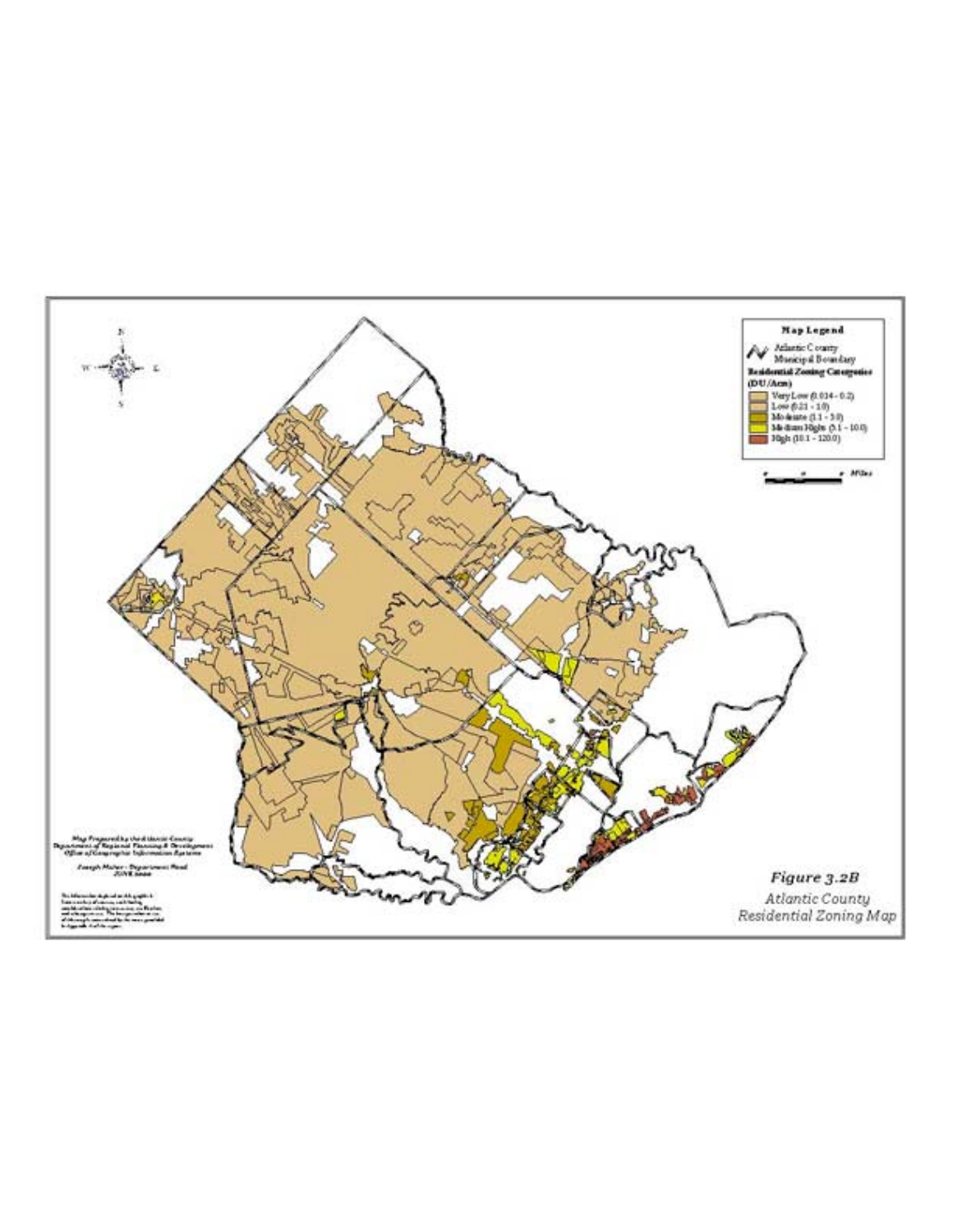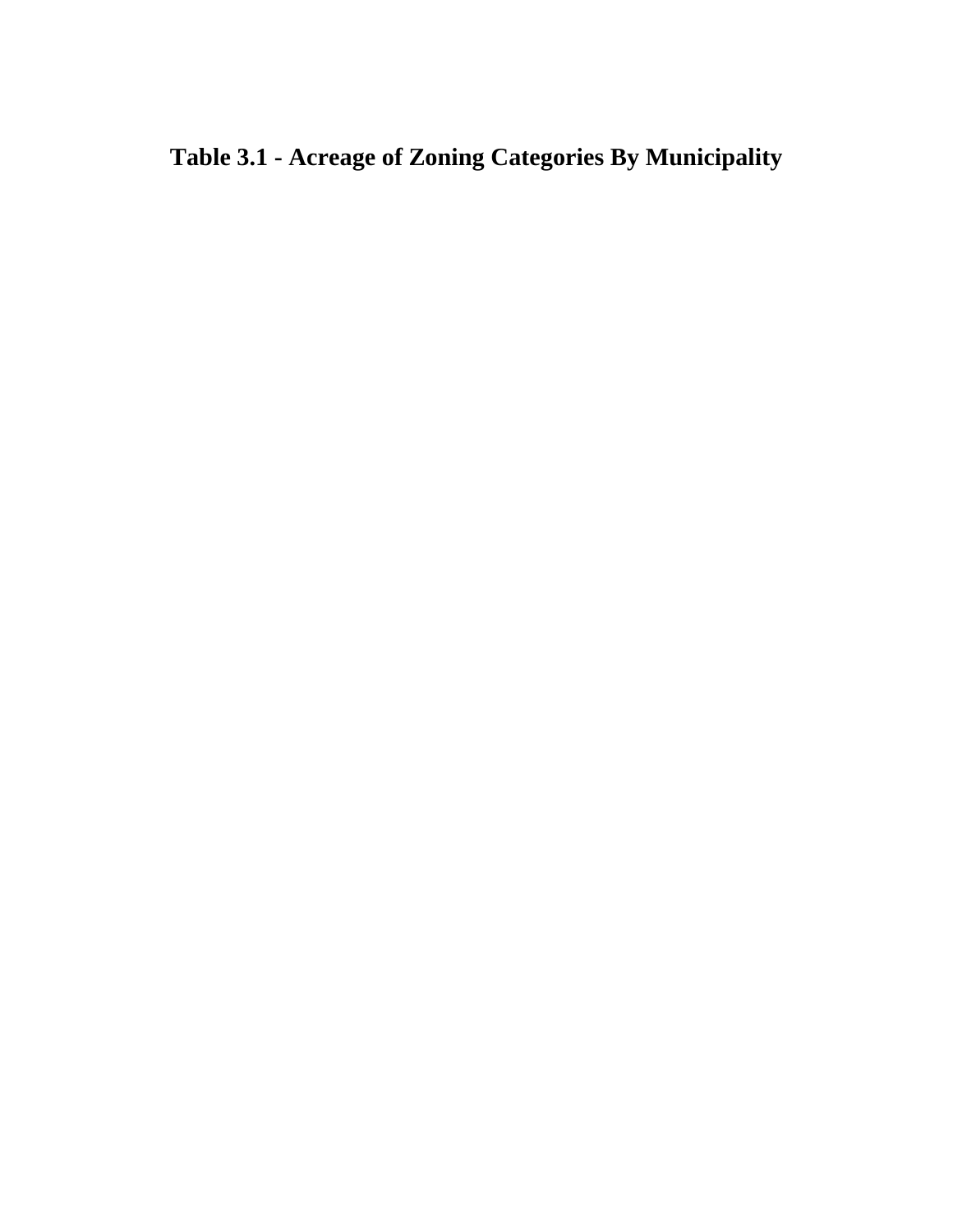# **Table 3.1 - Acreage of Zoning Categories By Municipality**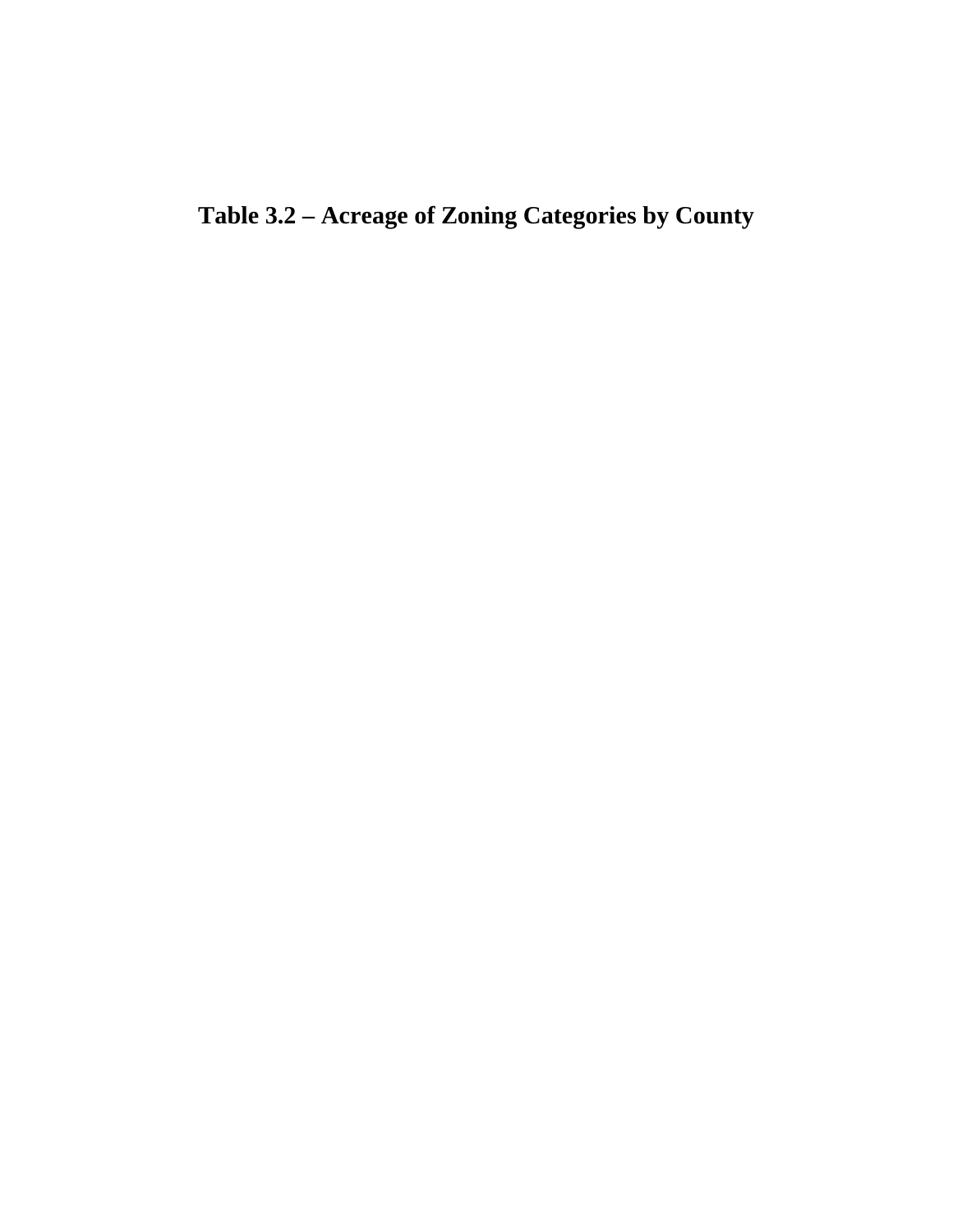**Table 3.2 – Acreage of Zoning Categories by County**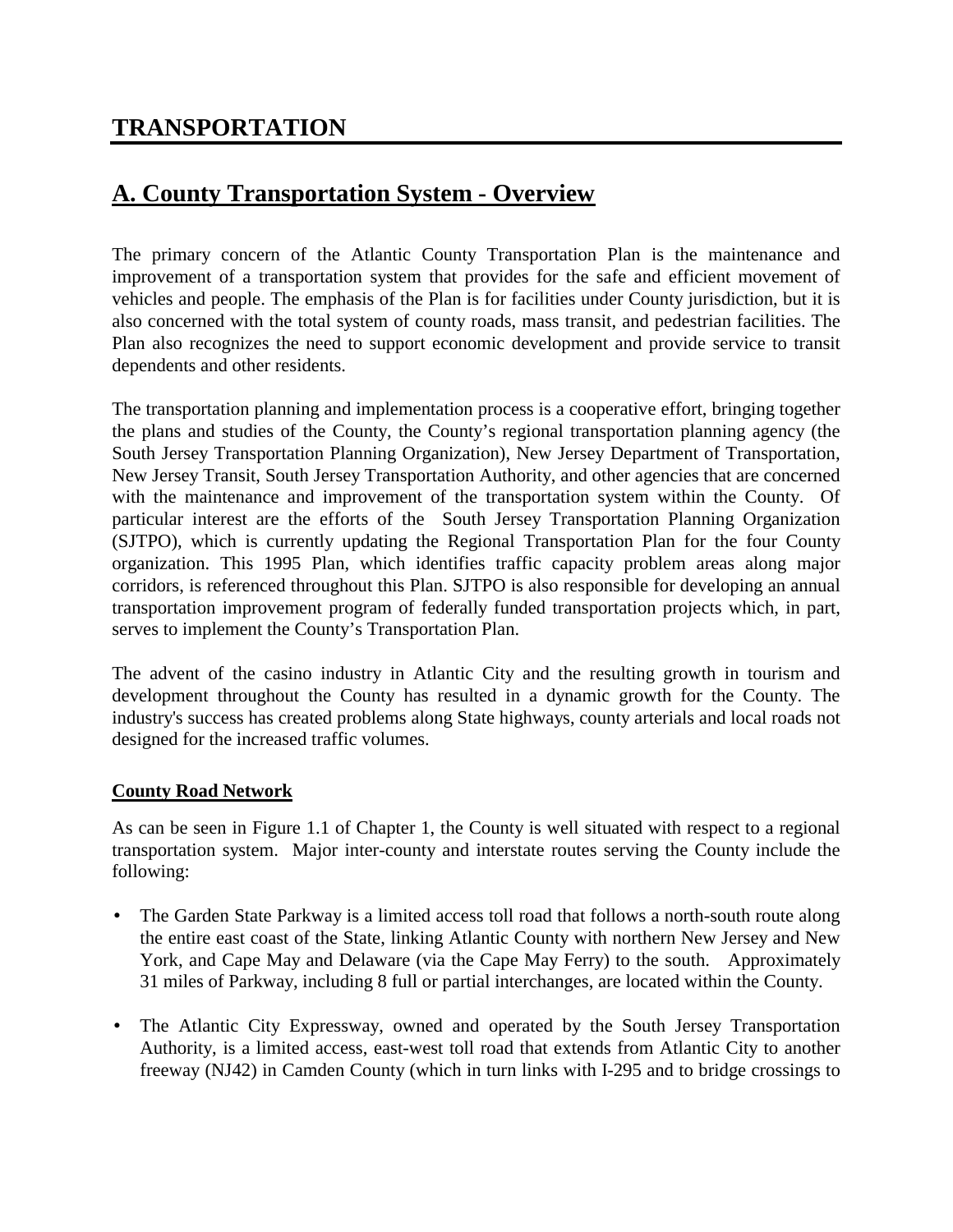# **TRANSPORTATION**

# **A. County Transportation System - Overview**

The primary concern of the Atlantic County Transportation Plan is the maintenance and improvement of a transportation system that provides for the safe and efficient movement of vehicles and people. The emphasis of the Plan is for facilities under County jurisdiction, but it is also concerned with the total system of county roads, mass transit, and pedestrian facilities. The Plan also recognizes the need to support economic development and provide service to transit dependents and other residents.

The transportation planning and implementation process is a cooperative effort, bringing together the plans and studies of the County, the County's regional transportation planning agency (the South Jersey Transportation Planning Organization), New Jersey Department of Transportation, New Jersey Transit, South Jersey Transportation Authority, and other agencies that are concerned with the maintenance and improvement of the transportation system within the County. Of particular interest are the efforts of the South Jersey Transportation Planning Organization (SJTPO), which is currently updating the Regional Transportation Plan for the four County organization. This 1995 Plan, which identifies traffic capacity problem areas along major corridors, is referenced throughout this Plan. SJTPO is also responsible for developing an annual transportation improvement program of federally funded transportation projects which, in part, serves to implement the County's Transportation Plan.

The advent of the casino industry in Atlantic City and the resulting growth in tourism and development throughout the County has resulted in a dynamic growth for the County. The industry's success has created problems along State highways, county arterials and local roads not designed for the increased traffic volumes.

#### **County Road Network**

As can be seen in Figure 1.1 of Chapter 1, the County is well situated with respect to a regional transportation system. Major inter-county and interstate routes serving the County include the following:

- The Garden State Parkway is a limited access toll road that follows a north-south route along the entire east coast of the State, linking Atlantic County with northern New Jersey and New York, and Cape May and Delaware (via the Cape May Ferry) to the south. Approximately 31 miles of Parkway, including 8 full or partial interchanges, are located within the County.
- The Atlantic City Expressway, owned and operated by the South Jersey Transportation Authority, is a limited access, east-west toll road that extends from Atlantic City to another freeway (NJ42) in Camden County (which in turn links with I-295 and to bridge crossings to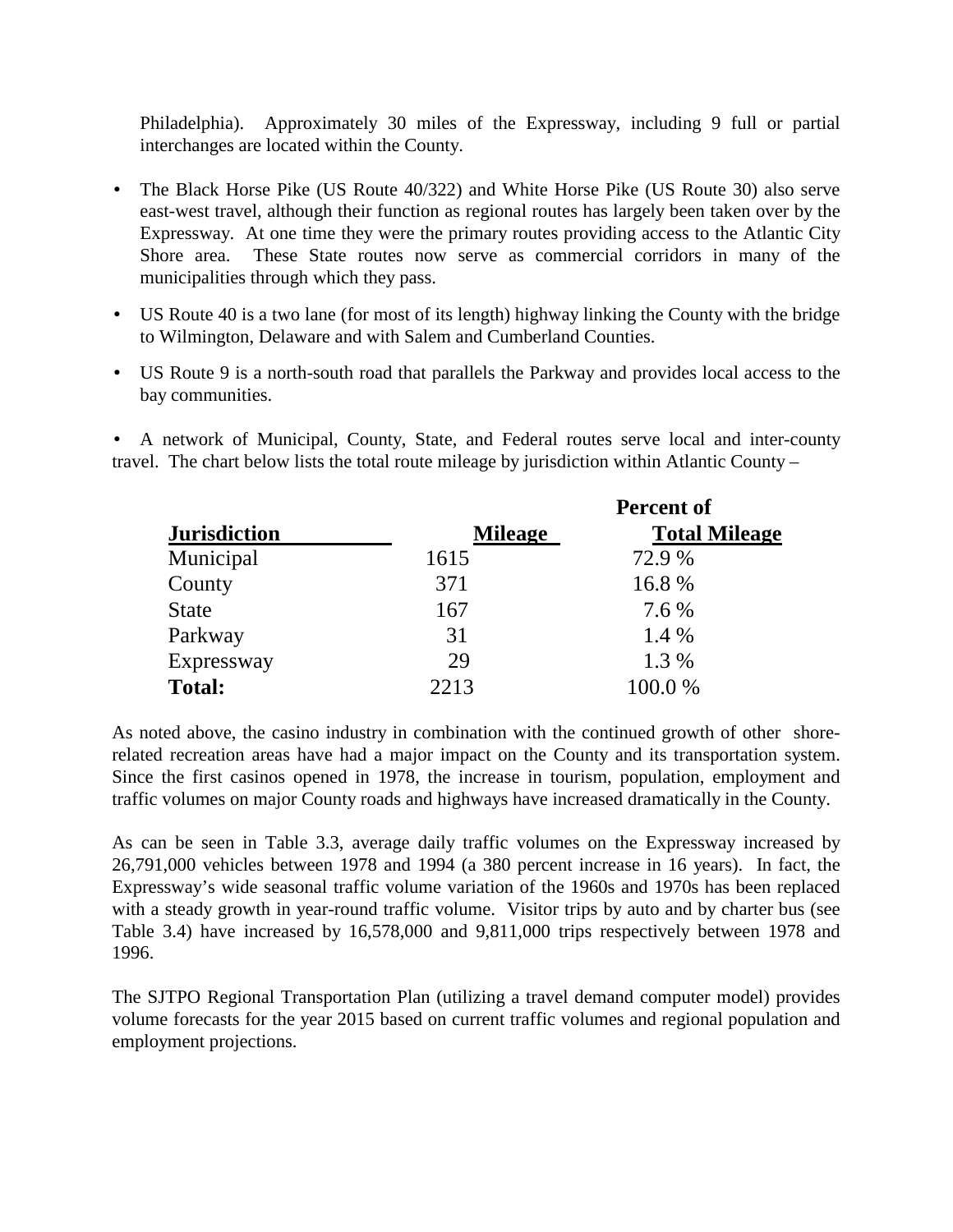Philadelphia). Approximately 30 miles of the Expressway, including 9 full or partial interchanges are located within the County.

- The Black Horse Pike (US Route 40/322) and White Horse Pike (US Route 30) also serve east-west travel, although their function as regional routes has largely been taken over by the Expressway. At one time they were the primary routes providing access to the Atlantic City Shore area. These State routes now serve as commercial corridors in many of the municipalities through which they pass.
- US Route 40 is a two lane (for most of its length) highway linking the County with the bridge to Wilmington, Delaware and with Salem and Cumberland Counties.
- US Route 9 is a north-south road that parallels the Parkway and provides local access to the bay communities.

• A network of Municipal, County, State, and Federal routes serve local and inter-county travel. The chart below lists the total route mileage by jurisdiction within Atlantic County –

|                     |                | <b>Percent of</b>    |  |  |  |  |
|---------------------|----------------|----------------------|--|--|--|--|
| <b>Jurisdiction</b> | <b>Mileage</b> | <b>Total Mileage</b> |  |  |  |  |
| Municipal           | 1615           | 72.9 %               |  |  |  |  |
| County              | 371            | 16.8 %               |  |  |  |  |
| <b>State</b>        | 167            | 7.6 %                |  |  |  |  |
| Parkway             | 31             | 1.4 %                |  |  |  |  |
| Expressway          | 29             | 1.3 %                |  |  |  |  |
| <b>Total:</b>       | 2213           | 100.0%               |  |  |  |  |

As noted above, the casino industry in combination with the continued growth of other shorerelated recreation areas have had a major impact on the County and its transportation system. Since the first casinos opened in 1978, the increase in tourism, population, employment and traffic volumes on major County roads and highways have increased dramatically in the County.

As can be seen in Table 3.3, average daily traffic volumes on the Expressway increased by 26,791,000 vehicles between 1978 and 1994 (a 380 percent increase in 16 years). In fact, the Expressway's wide seasonal traffic volume variation of the 1960s and 1970s has been replaced with a steady growth in year-round traffic volume. Visitor trips by auto and by charter bus (see Table 3.4) have increased by 16,578,000 and 9,811,000 trips respectively between 1978 and 1996.

The SJTPO Regional Transportation Plan (utilizing a travel demand computer model) provides volume forecasts for the year 2015 based on current traffic volumes and regional population and employment projections.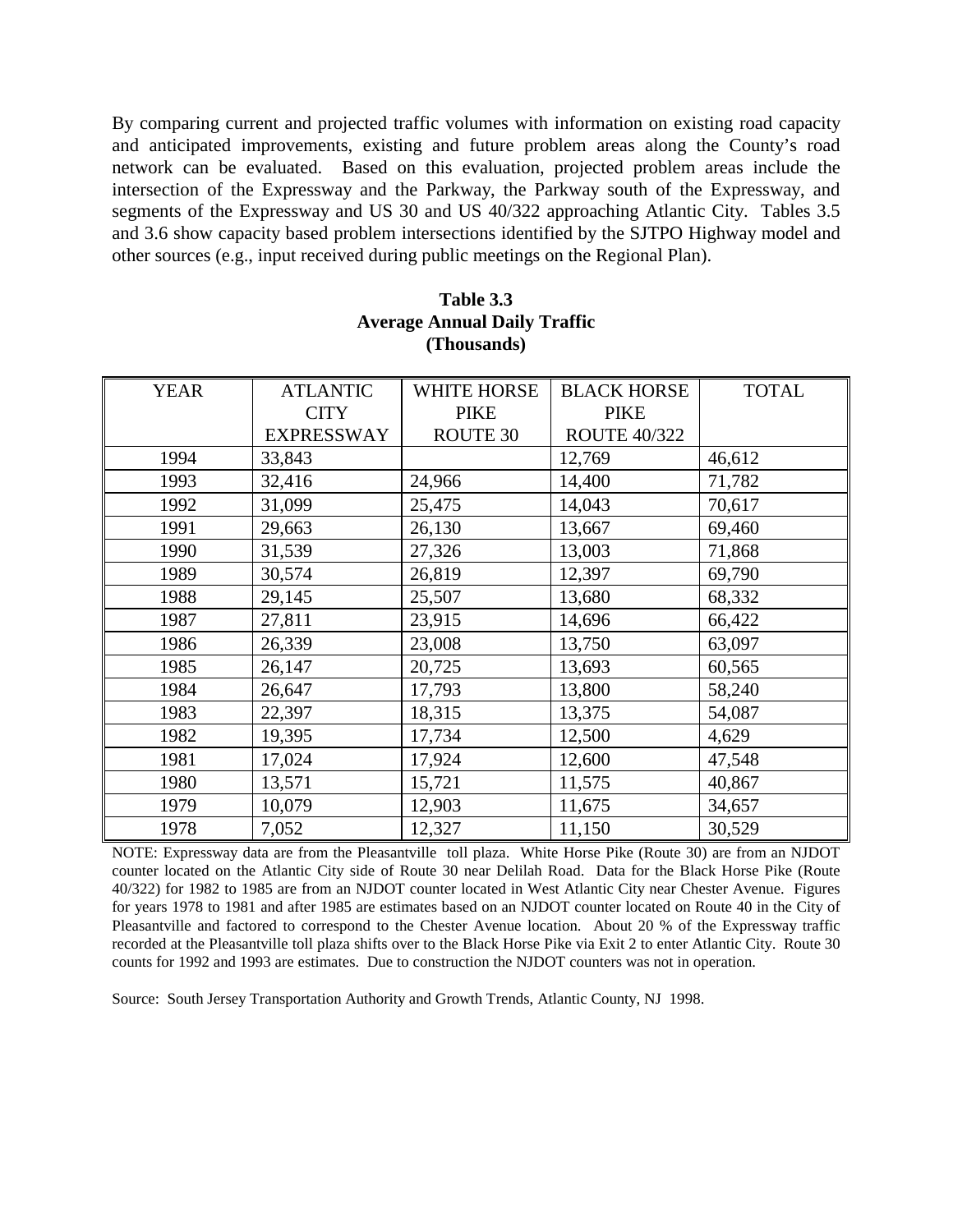By comparing current and projected traffic volumes with information on existing road capacity and anticipated improvements, existing and future problem areas along the County's road network can be evaluated. Based on this evaluation, projected problem areas include the intersection of the Expressway and the Parkway, the Parkway south of the Expressway, and segments of the Expressway and US 30 and US 40/322 approaching Atlantic City. Tables 3.5 and 3.6 show capacity based problem intersections identified by the SJTPO Highway model and other sources (e.g., input received during public meetings on the Regional Plan).

| <b>YEAR</b> | <b>ATLANTIC</b>   | <b>WHITE HORSE</b> | <b>BLACK HORSE</b>  | <b>TOTAL</b> |
|-------------|-------------------|--------------------|---------------------|--------------|
|             | <b>CITY</b>       | <b>PIKE</b>        | <b>PIKE</b>         |              |
|             | <b>EXPRESSWAY</b> | ROUTE 30           | <b>ROUTE 40/322</b> |              |
| 1994        | 33,843            |                    | 12,769              | 46,612       |
| 1993        | 32,416            | 24,966             | 14,400              | 71,782       |
| 1992        | 31,099            | 25,475             | 14,043              | 70,617       |
| 1991        | 29,663            | 26,130             | 13,667              | 69,460       |
| 1990        | 31,539            | 27,326             | 13,003              | 71,868       |
| 1989        | 30,574            | 26,819             | 12,397              | 69,790       |
| 1988        | 29,145            | 25,507             | 13,680              | 68,332       |
| 1987        | 27,811            | 23,915             | 14,696              | 66,422       |
| 1986        | 26,339            | 23,008             | 13,750              | 63,097       |
| 1985        | 26,147            | 20,725             | 13,693              | 60,565       |
| 1984        | 26,647            | 17,793             | 13,800              | 58,240       |
| 1983        | 22,397            | 18,315             | 13,375              | 54,087       |
| 1982        | 19,395            | 17,734             | 12,500              | 4,629        |
| 1981        | 17,024            | 17,924             | 12,600              | 47,548       |
| 1980        | 13,571            | 15,721             | 11,575              | 40,867       |
| 1979        | 10,079            | 12,903             | 11,675              | 34,657       |
| 1978        | 7,052             | 12,327             | 11,150              | 30,529       |

### **Table 3.3 Average Annual Daily Traffic (Thousands)**

NOTE: Expressway data are from the Pleasantville toll plaza. White Horse Pike (Route 30) are from an NJDOT counter located on the Atlantic City side of Route 30 near Delilah Road. Data for the Black Horse Pike (Route 40/322) for 1982 to 1985 are from an NJDOT counter located in West Atlantic City near Chester Avenue. Figures for years 1978 to 1981 and after 1985 are estimates based on an NJDOT counter located on Route 40 in the City of Pleasantville and factored to correspond to the Chester Avenue location. About 20 % of the Expressway traffic recorded at the Pleasantville toll plaza shifts over to the Black Horse Pike via Exit 2 to enter Atlantic City. Route 30 counts for 1992 and 1993 are estimates. Due to construction the NJDOT counters was not in operation.

Source: South Jersey Transportation Authority and Growth Trends, Atlantic County, NJ 1998.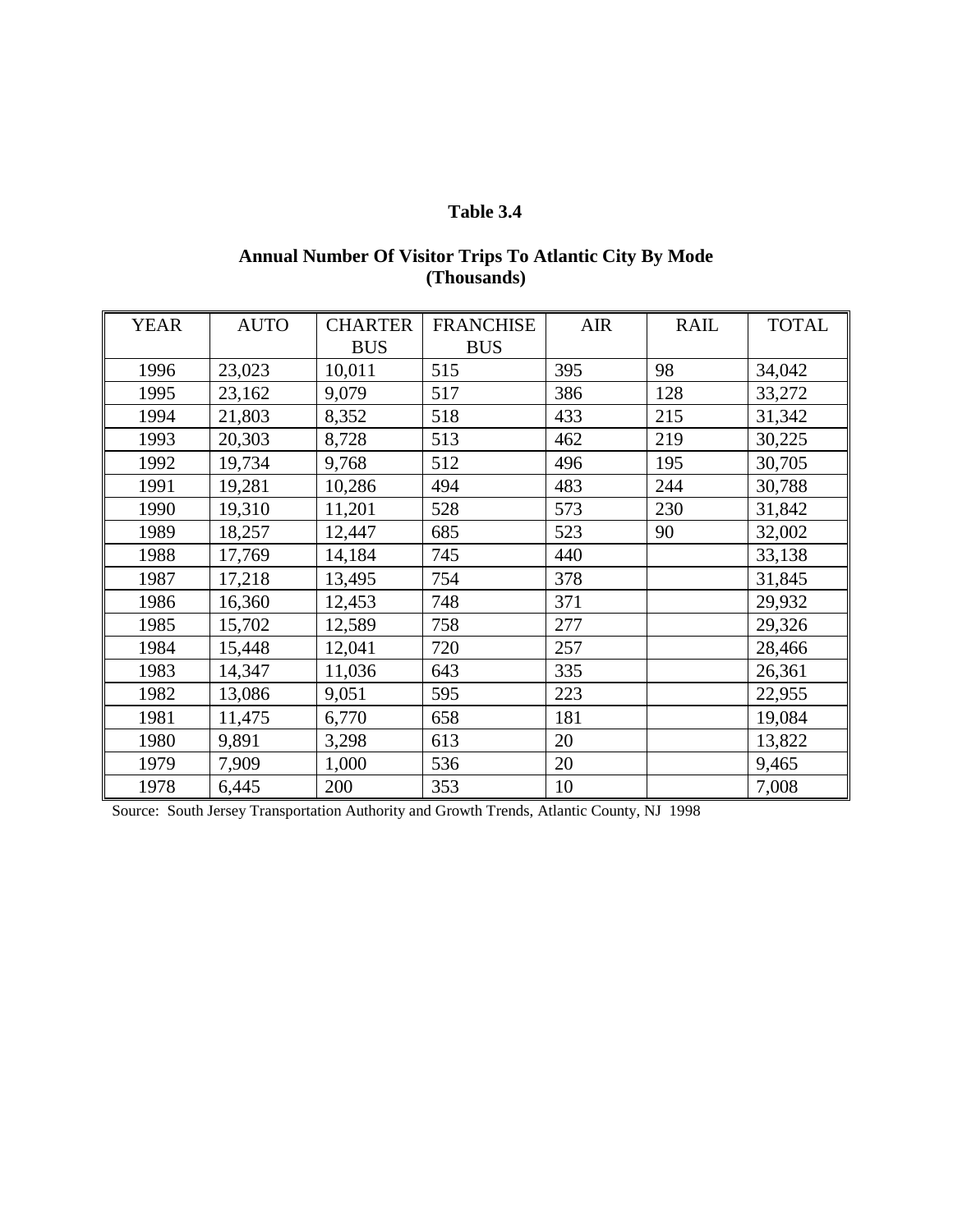## **Table 3.4**

## **Annual Number Of Visitor Trips To Atlantic City By Mode (Thousands)**

| <b>YEAR</b> | <b>AUTO</b> | <b>CHARTER</b><br><b>BUS</b> | <b>FRANCHISE</b><br><b>BUS</b> | <b>AIR</b> | <b>RAIL</b> | <b>TOTAL</b> |
|-------------|-------------|------------------------------|--------------------------------|------------|-------------|--------------|
| 1996        | 23,023      | 10,011                       | 515                            | 395        | 98          | 34,042       |
| 1995        | 23,162      | 9,079                        | 517                            | 386        | 128         | 33,272       |
| 1994        | 21,803      | 8,352                        | 518                            | 433        | 215         | 31,342       |
| 1993        | 20,303      | 8,728                        | 513                            | 462        | 219         | 30,225       |
| 1992        | 19,734      | 9,768                        | 512                            | 496        | 195         | 30,705       |
| 1991        | 19,281      | 10,286                       | 494                            | 483        | 244         | 30,788       |
| 1990        | 19,310      | 11,201                       | 528                            | 573        | 230         | 31,842       |
| 1989        | 18,257      | 12,447                       | 685                            | 523        | 90          | 32,002       |
| 1988        | 17,769      | 14,184                       | 745                            | 440        |             | 33,138       |
| 1987        | 17,218      | 13,495                       | 754                            | 378        |             | 31,845       |
| 1986        | 16,360      | 12,453                       | 748                            | 371        |             | 29,932       |
| 1985        | 15,702      | 12,589                       | 758                            | 277        |             | 29,326       |
| 1984        | 15,448      | 12,041                       | 720                            | 257        |             | 28,466       |
| 1983        | 14,347      | 11,036                       | 643                            | 335        |             | 26,361       |
| 1982        | 13,086      | 9,051                        | 595                            | 223        |             | 22,955       |
| 1981        | 11,475      | 6,770                        | 658                            | 181        |             | 19,084       |
| 1980        | 9,891       | 3,298                        | 613                            | 20         |             | 13,822       |
| 1979        | 7,909       | 1,000                        | 536                            | 20         |             | 9,465        |
| 1978        | 6,445       | 200                          | 353                            | 10         |             | 7,008        |

Source: South Jersey Transportation Authority and Growth Trends, Atlantic County, NJ 1998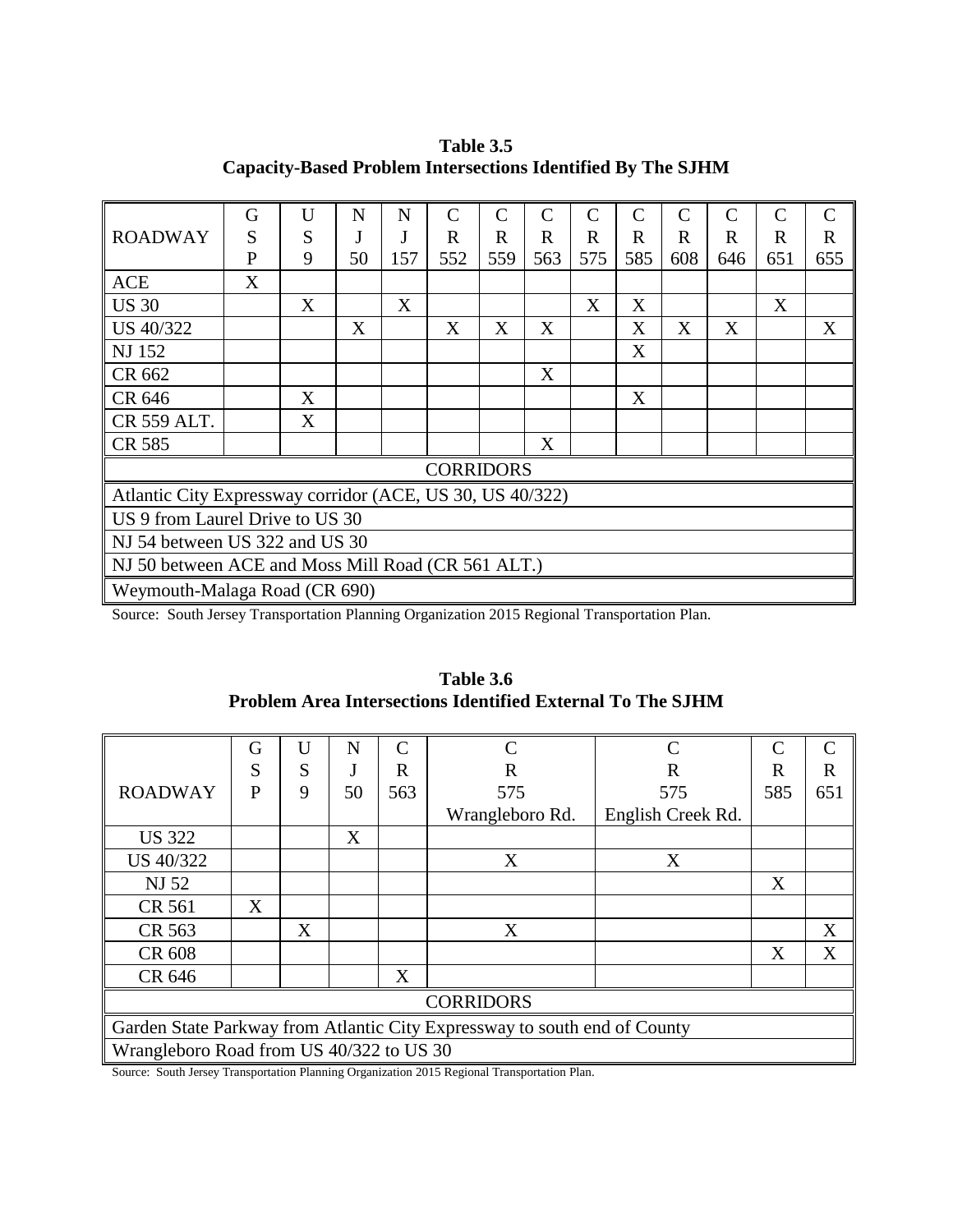**Table 3.5 Capacity-Based Problem Intersections Identified By The SJHM**

|                                                           | G                             | U | N  | N   | $\mathcal{C}$    | $\mathsf{C}$                          | $\mathsf{C}$ | $\mathcal{C}$ | $\overline{C}$ | $\mathsf{C}$                                     | $\mathcal{C}$ | $\mathcal{C}$ | $\mathcal{C}$ |
|-----------------------------------------------------------|-------------------------------|---|----|-----|------------------|---------------------------------------|--------------|---------------|----------------|--------------------------------------------------|---------------|---------------|---------------|
| <b>ROADWAY</b>                                            | S                             | S |    |     | $\mathbf R$      | R                                     | $\mathbf R$  | R             | R              | $\mathbf R$                                      | $\mathbf R$   | $\mathbf R$   | $\mathbf R$   |
|                                                           | P                             | 9 | 50 | 157 | 552              | 559                                   | 563          | 575           | 585            | 608                                              | 646           | 651           | 655           |
| <b>ACE</b>                                                | X                             |   |    |     |                  |                                       |              |               |                |                                                  |               |               |               |
| <b>US 30</b>                                              |                               | X |    | X   |                  |                                       |              | X             | X              |                                                  |               | X             |               |
| <b>US 40/322</b>                                          |                               |   | X  |     | X                | X                                     | X            |               | X              | X                                                | X             |               | X             |
| <b>NJ 152</b>                                             |                               |   |    |     |                  |                                       |              |               | X              |                                                  |               |               |               |
| CR 662                                                    |                               |   |    |     |                  |                                       | X            |               |                |                                                  |               |               |               |
| CR 646                                                    |                               | X |    |     |                  |                                       |              |               | X              |                                                  |               |               |               |
| CR 559 ALT.                                               |                               | X |    |     |                  |                                       |              |               |                |                                                  |               |               |               |
| CR 585                                                    |                               |   |    |     |                  |                                       | X            |               |                |                                                  |               |               |               |
|                                                           |                               |   |    |     | <b>CORRIDORS</b> |                                       |              |               |                |                                                  |               |               |               |
| Atlantic City Expressway corridor (ACE, US 30, US 40/322) |                               |   |    |     |                  |                                       |              |               |                |                                                  |               |               |               |
| US 9 from Laurel Drive to US 30                           |                               |   |    |     |                  |                                       |              |               |                |                                                  |               |               |               |
| NJ 54 between US 322 and US 30                            |                               |   |    |     |                  |                                       |              |               |                |                                                  |               |               |               |
| NJ 50 between ACE and Moss Mill Road (CR 561 ALT.)        |                               |   |    |     |                  |                                       |              |               |                |                                                  |               |               |               |
|                                                           | Weymouth-Malaga Road (CR 690) |   |    |     |                  |                                       |              |               |                |                                                  |               |               |               |
| $\alpha$ $\alpha$ $\alpha$ $\alpha$ $\alpha$ $\beta$      |                               |   |    |     |                  | $\cdot \cdot$ $\cdot$ $\cdot$ $\cdot$ |              | $\sim$        |                | $\sim$ $\sim$ $\sim$ $\sim$ $\sim$ $\sim$ $\sim$ |               |               |               |

Source: South Jersey Transportation Planning Organization 2015 Regional Transportation Plan.

|                                          | G                                                                         | U | N  | $\mathcal{C}$ | $\mathcal{C}$   | $\mathcal{C}$     | C   | $\mathcal{C}_{\mathcal{C}}$ |  |
|------------------------------------------|---------------------------------------------------------------------------|---|----|---------------|-----------------|-------------------|-----|-----------------------------|--|
|                                          | S                                                                         | S |    | R             | R               | R                 | R   | R                           |  |
| <b>ROADWAY</b>                           | P                                                                         | 9 | 50 | 563           | 575             | 575               | 585 | 651                         |  |
|                                          |                                                                           |   |    |               | Wrangleboro Rd. | English Creek Rd. |     |                             |  |
| <b>US 322</b>                            |                                                                           |   | X  |               |                 |                   |     |                             |  |
| US 40/322                                |                                                                           |   |    |               | X               | X                 |     |                             |  |
| <b>NJ 52</b>                             |                                                                           |   |    |               |                 |                   | X   |                             |  |
| CR 561                                   | X                                                                         |   |    |               |                 |                   |     |                             |  |
| CR 563                                   |                                                                           | X |    |               | X               |                   |     | X                           |  |
| CR 608                                   |                                                                           |   |    |               |                 |                   | X   | X                           |  |
| CR 646                                   |                                                                           |   |    | X             |                 |                   |     |                             |  |
| <b>CORRIDORS</b>                         |                                                                           |   |    |               |                 |                   |     |                             |  |
|                                          | Garden State Parkway from Atlantic City Expressway to south end of County |   |    |               |                 |                   |     |                             |  |
| Wrangleboro Road from US 40/322 to US 30 |                                                                           |   |    |               |                 |                   |     |                             |  |

**Table 3.6 Problem Area Intersections Identified External To The SJHM**

Source: South Jersey Transportation Planning Organization 2015 Regional Transportation Plan.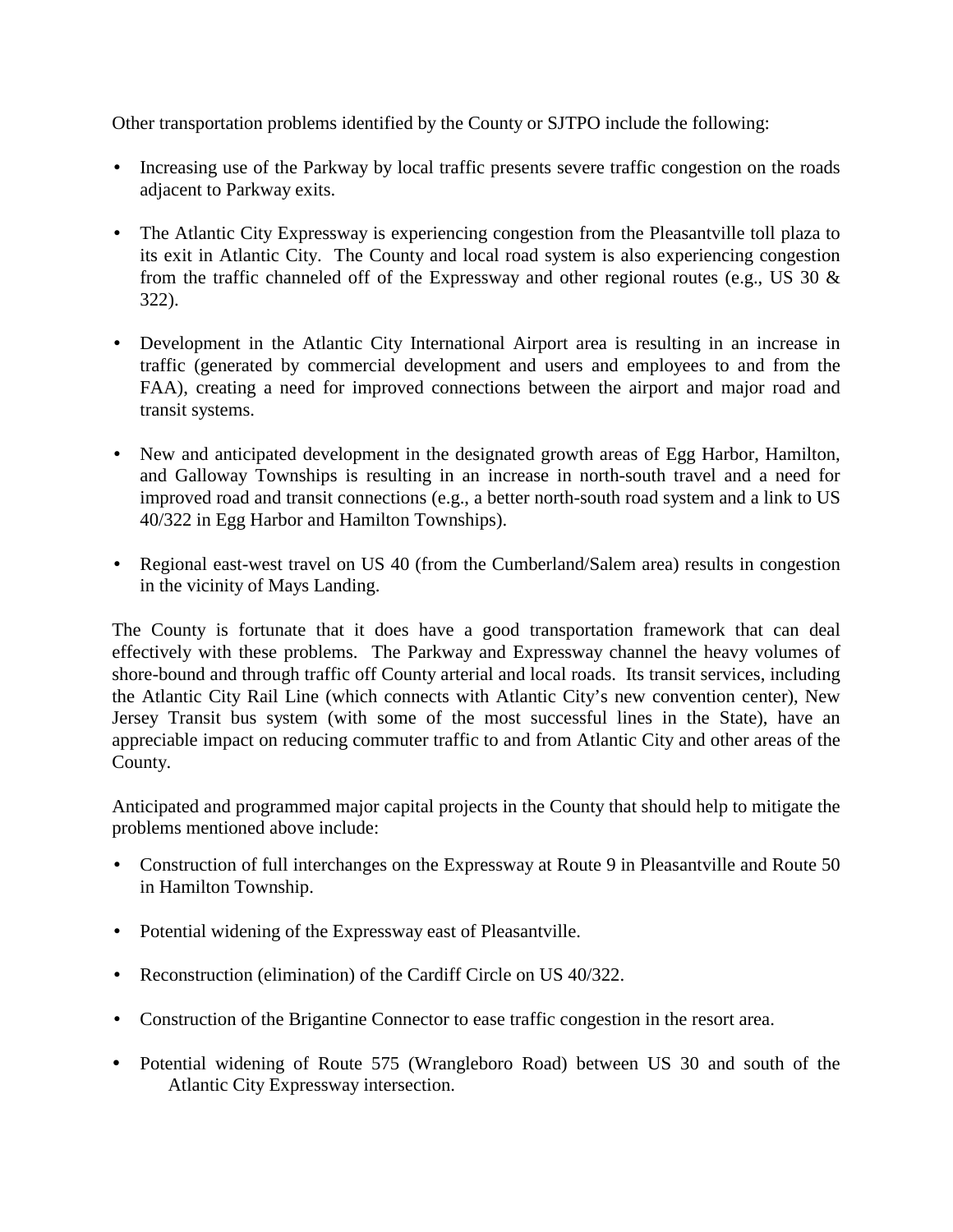Other transportation problems identified by the County or SJTPO include the following:

- Increasing use of the Parkway by local traffic presents severe traffic congestion on the roads adjacent to Parkway exits.
- The Atlantic City Expressway is experiencing congestion from the Pleasantville toll plaza to its exit in Atlantic City. The County and local road system is also experiencing congestion from the traffic channeled off of the Expressway and other regional routes (e.g., US 30  $\&$ 322).
- Development in the Atlantic City International Airport area is resulting in an increase in traffic (generated by commercial development and users and employees to and from the FAA), creating a need for improved connections between the airport and major road and transit systems.
- New and anticipated development in the designated growth areas of Egg Harbor, Hamilton, and Galloway Townships is resulting in an increase in north-south travel and a need for improved road and transit connections (e.g., a better north-south road system and a link to US 40/322 in Egg Harbor and Hamilton Townships).
- Regional east-west travel on US 40 (from the Cumberland/Salem area) results in congestion in the vicinity of Mays Landing.

The County is fortunate that it does have a good transportation framework that can deal effectively with these problems. The Parkway and Expressway channel the heavy volumes of shore-bound and through traffic off County arterial and local roads. Its transit services, including the Atlantic City Rail Line (which connects with Atlantic City's new convention center), New Jersey Transit bus system (with some of the most successful lines in the State), have an appreciable impact on reducing commuter traffic to and from Atlantic City and other areas of the County.

Anticipated and programmed major capital projects in the County that should help to mitigate the problems mentioned above include:

- Construction of full interchanges on the Expressway at Route 9 in Pleasantville and Route 50 in Hamilton Township.
- Potential widening of the Expressway east of Pleasantville.
- Reconstruction (elimination) of the Cardiff Circle on US 40/322.
- Construction of the Brigantine Connector to ease traffic congestion in the resort area.
- " Potential widening of Route 575 (Wrangleboro Road) between US 30 and south of the Atlantic City Expressway intersection.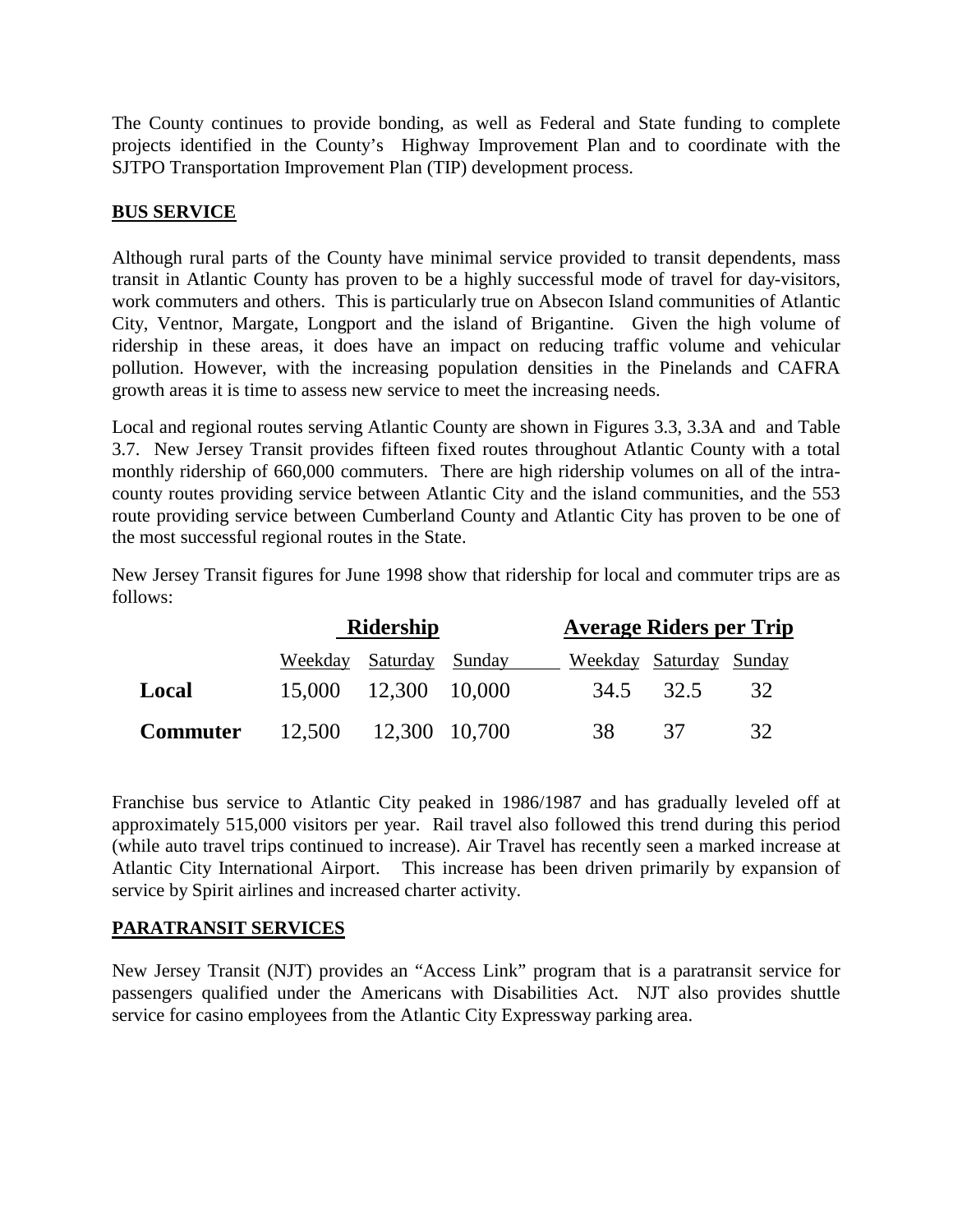The County continues to provide bonding, as well as Federal and State funding to complete projects identified in the County's Highway Improvement Plan and to coordinate with the SJTPO Transportation Improvement Plan (TIP) development process.

### **BUS SERVICE**

Although rural parts of the County have minimal service provided to transit dependents, mass transit in Atlantic County has proven to be a highly successful mode of travel for day-visitors, work commuters and others. This is particularly true on Absecon Island communities of Atlantic City, Ventnor, Margate, Longport and the island of Brigantine. Given the high volume of ridership in these areas, it does have an impact on reducing traffic volume and vehicular pollution. However, with the increasing population densities in the Pinelands and CAFRA growth areas it is time to assess new service to meet the increasing needs.

Local and regional routes serving Atlantic County are shown in Figures 3.3, 3.3A and and Table 3.7.New Jersey Transit provides fifteen fixed routes throughout Atlantic County with a total monthly ridership of 660,000 commuters. There are high ridership volumes on all of the intracounty routes providing service between Atlantic City and the island communities, and the 553 route providing service between Cumberland County and Atlantic City has proven to be one of the most successful regional routes in the State.

New Jersey Transit figures for June 1998 show that ridership for local and commuter trips are as follows:

|                 |                      | Ridership            | <b>Average Riders per Trip</b> |           |    |  |  |
|-----------------|----------------------|----------------------|--------------------------------|-----------|----|--|--|
|                 | Weekday              | Saturday Sunday      | Weekday Saturday Sunday        |           |    |  |  |
| Local           |                      | 15,000 12,300 10,000 |                                | 34.5 32.5 | 32 |  |  |
| <b>Commuter</b> | 12,500 12,300 10,700 |                      | 38                             | 37        | 32 |  |  |

Franchise bus service to Atlantic City peaked in 1986/1987 and has gradually leveled off at approximately 515,000 visitors per year. Rail travel also followed this trend during this period (while auto travel trips continued to increase). Air Travel has recently seen a marked increase at Atlantic City International Airport. This increase has been driven primarily by expansion of service by Spirit airlines and increased charter activity.

### **PARATRANSIT SERVICES**

New Jersey Transit (NJT) provides an "Access Link" program that is a paratransit service for passengers qualified under the Americans with Disabilities Act. NJT also provides shuttle service for casino employees from the Atlantic City Expressway parking area.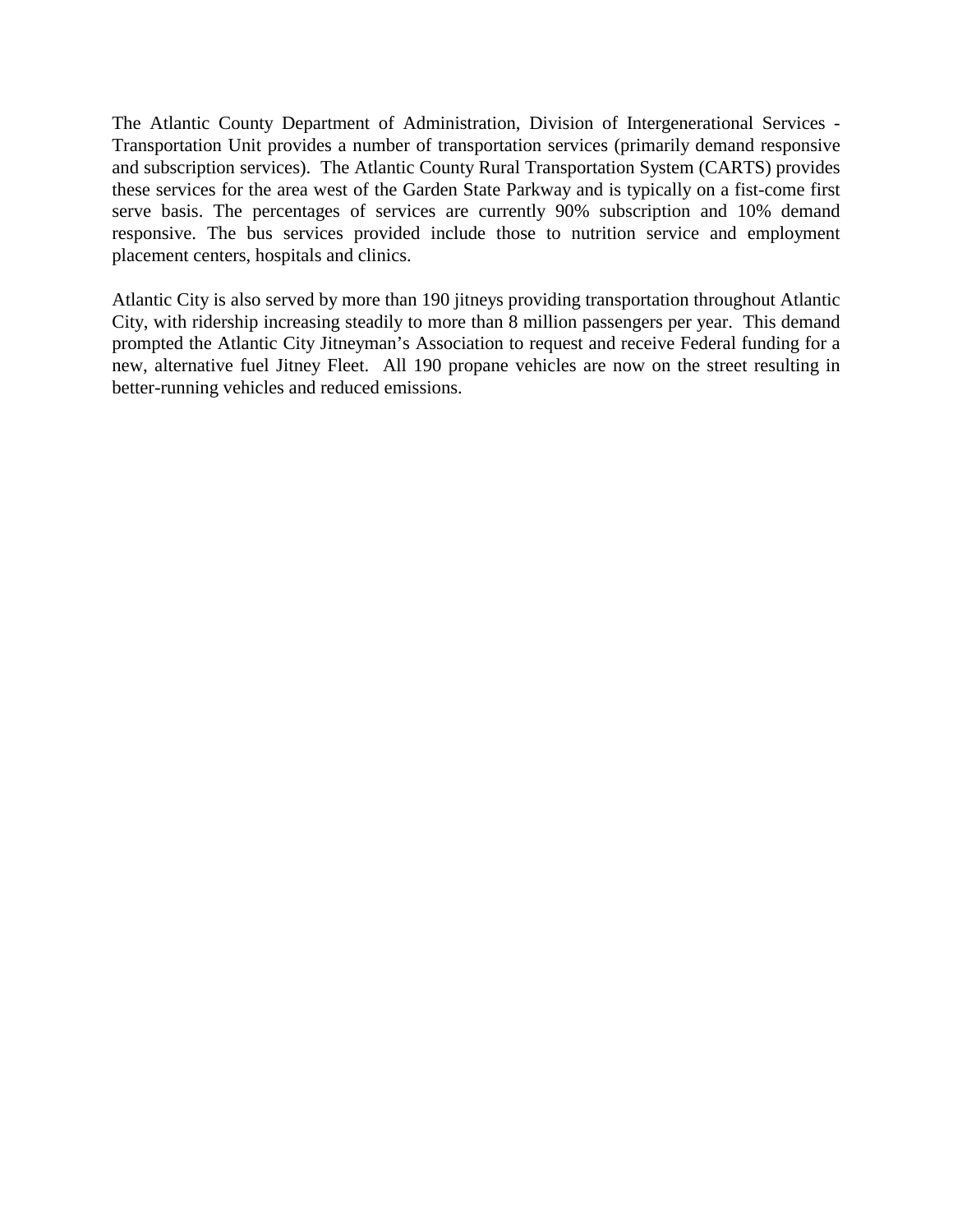The Atlantic County Department of Administration, Division of Intergenerational Services - Transportation Unit provides a number of transportation services (primarily demand responsive and subscription services). The Atlantic County Rural Transportation System (CARTS) provides these services for the area west of the Garden State Parkway and is typically on a fist-come first serve basis. The percentages of services are currently 90% subscription and 10% demand responsive. The bus services provided include those to nutrition service and employment placement centers, hospitals and clinics.

Atlantic City is also served by more than 190 jitneys providing transportation throughout Atlantic City, with ridership increasing steadily to more than 8 million passengers per year. This demand prompted the Atlantic City Jitneyman's Association to request and receive Federal funding for a new, alternative fuel Jitney Fleet. All 190 propane vehicles are now on the street resulting in better-running vehicles and reduced emissions.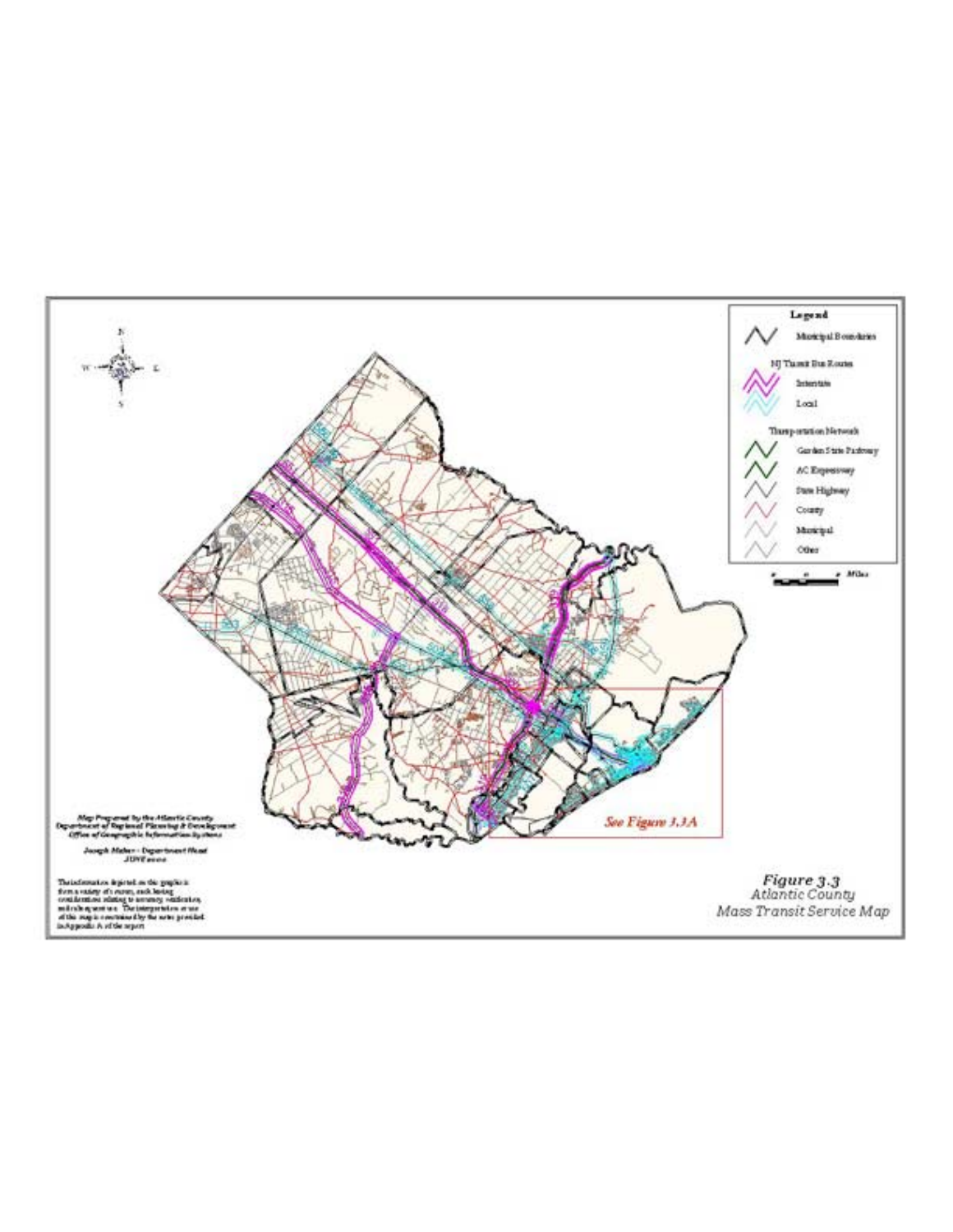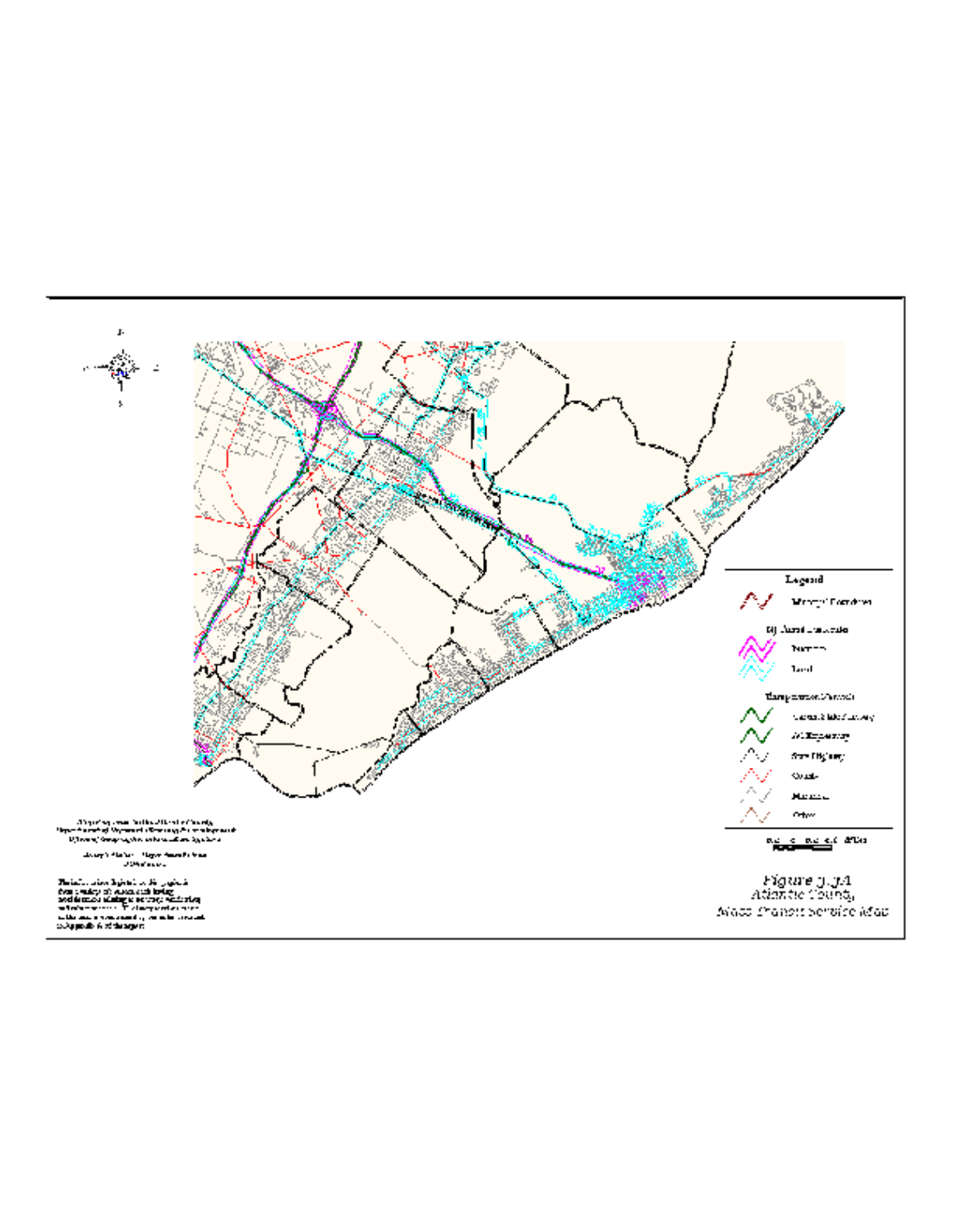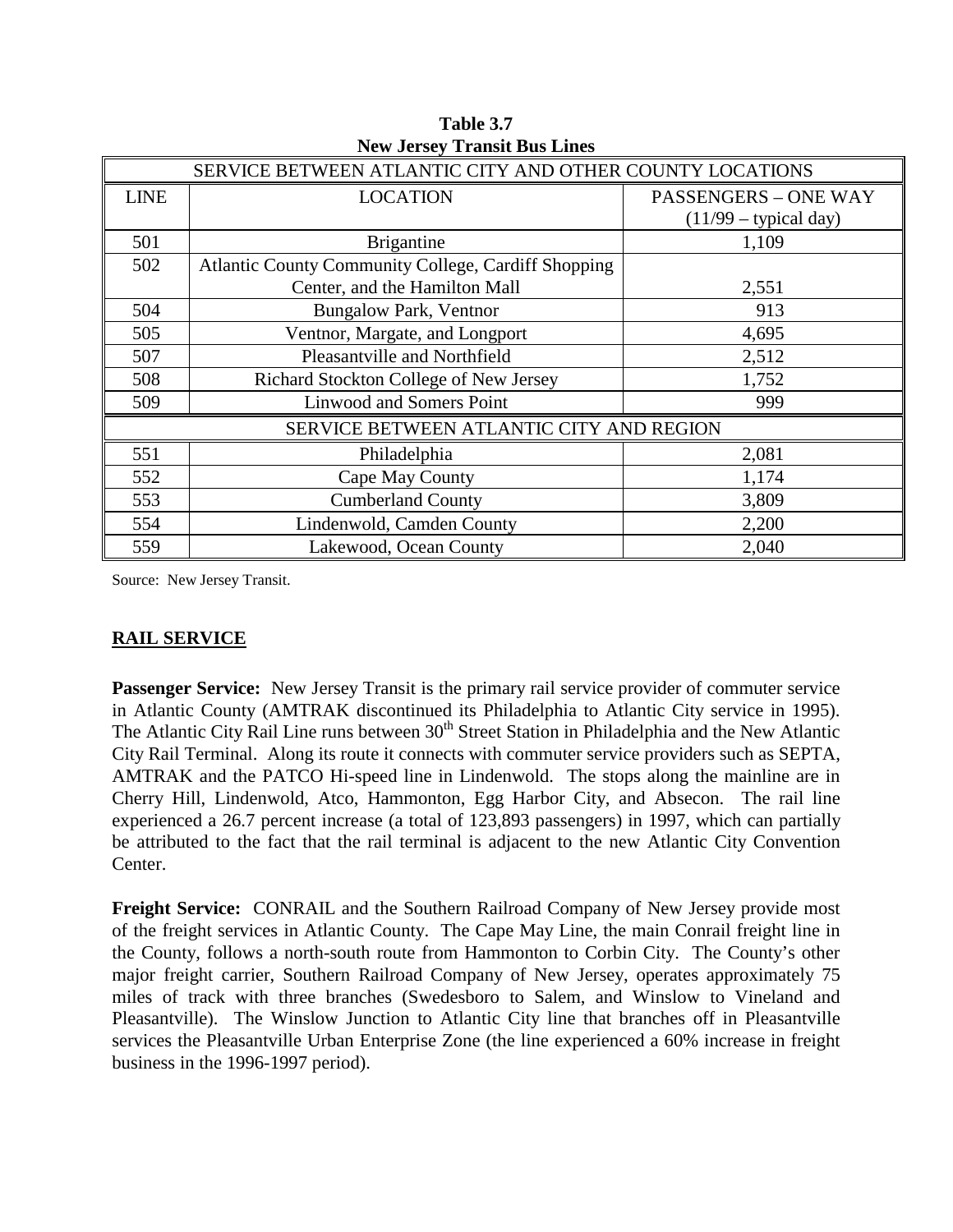|             | SERVICE BETWEEN ATLANTIC CITY AND OTHER COUNTY LOCATIONS   |                             |  |  |  |  |  |  |
|-------------|------------------------------------------------------------|-----------------------------|--|--|--|--|--|--|
| <b>LINE</b> | <b>LOCATION</b>                                            | <b>PASSENGERS - ONE WAY</b> |  |  |  |  |  |  |
|             |                                                            | $(11/99 - typical day)$     |  |  |  |  |  |  |
| 501         | <b>Brigantine</b>                                          | 1,109                       |  |  |  |  |  |  |
| 502         | <b>Atlantic County Community College, Cardiff Shopping</b> |                             |  |  |  |  |  |  |
|             | Center, and the Hamilton Mall                              | 2,551                       |  |  |  |  |  |  |
| 504         | <b>Bungalow Park, Ventnor</b>                              | 913                         |  |  |  |  |  |  |
| 505         | Ventnor, Margate, and Longport                             | 4,695                       |  |  |  |  |  |  |
| 507         | Pleasantville and Northfield                               | 2,512                       |  |  |  |  |  |  |
| 508         | Richard Stockton College of New Jersey                     | 1,752                       |  |  |  |  |  |  |
| 509         | <b>Linwood and Somers Point</b>                            | 999                         |  |  |  |  |  |  |
|             | SERVICE BETWEEN ATLANTIC CITY AND REGION                   |                             |  |  |  |  |  |  |
| 551         | Philadelphia                                               | 2,081                       |  |  |  |  |  |  |
| 552         | Cape May County                                            | 1,174                       |  |  |  |  |  |  |
| 553         | <b>Cumberland County</b><br>3,809                          |                             |  |  |  |  |  |  |
| 554         | Lindenwold, Camden County                                  | 2,200                       |  |  |  |  |  |  |
| 559         | Lakewood, Ocean County                                     | 2,040                       |  |  |  |  |  |  |

**Table 3.7 New Jersey Transit Bus Lines**

Source: New Jersey Transit.

### **RAIL SERVICE**

Passenger Service: New Jersey Transit is the primary rail service provider of commuter service in Atlantic County (AMTRAK discontinued its Philadelphia to Atlantic City service in 1995). The Atlantic City Rail Line runs between 30<sup>th</sup> Street Station in Philadelphia and the New Atlantic City Rail Terminal. Along its route it connects with commuter service providers such as SEPTA, AMTRAK and the PATCO Hi-speed line in Lindenwold. The stops along the mainline are in Cherry Hill, Lindenwold, Atco, Hammonton, Egg Harbor City, and Absecon. The rail line experienced a 26.7 percent increase (a total of 123,893 passengers) in 1997, which can partially be attributed to the fact that the rail terminal is adjacent to the new Atlantic City Convention Center.

**Freight Service:** CONRAIL and the Southern Railroad Company of New Jersey provide most of the freight services in Atlantic County. The Cape May Line, the main Conrail freight line in the County, follows a north-south route from Hammonton to Corbin City. The County's other major freight carrier, Southern Railroad Company of New Jersey, operates approximately 75 miles of track with three branches (Swedesboro to Salem, and Winslow to Vineland and Pleasantville). The Winslow Junction to Atlantic City line that branches off in Pleasantville services the Pleasantville Urban Enterprise Zone (the line experienced a 60% increase in freight business in the 1996-1997 period).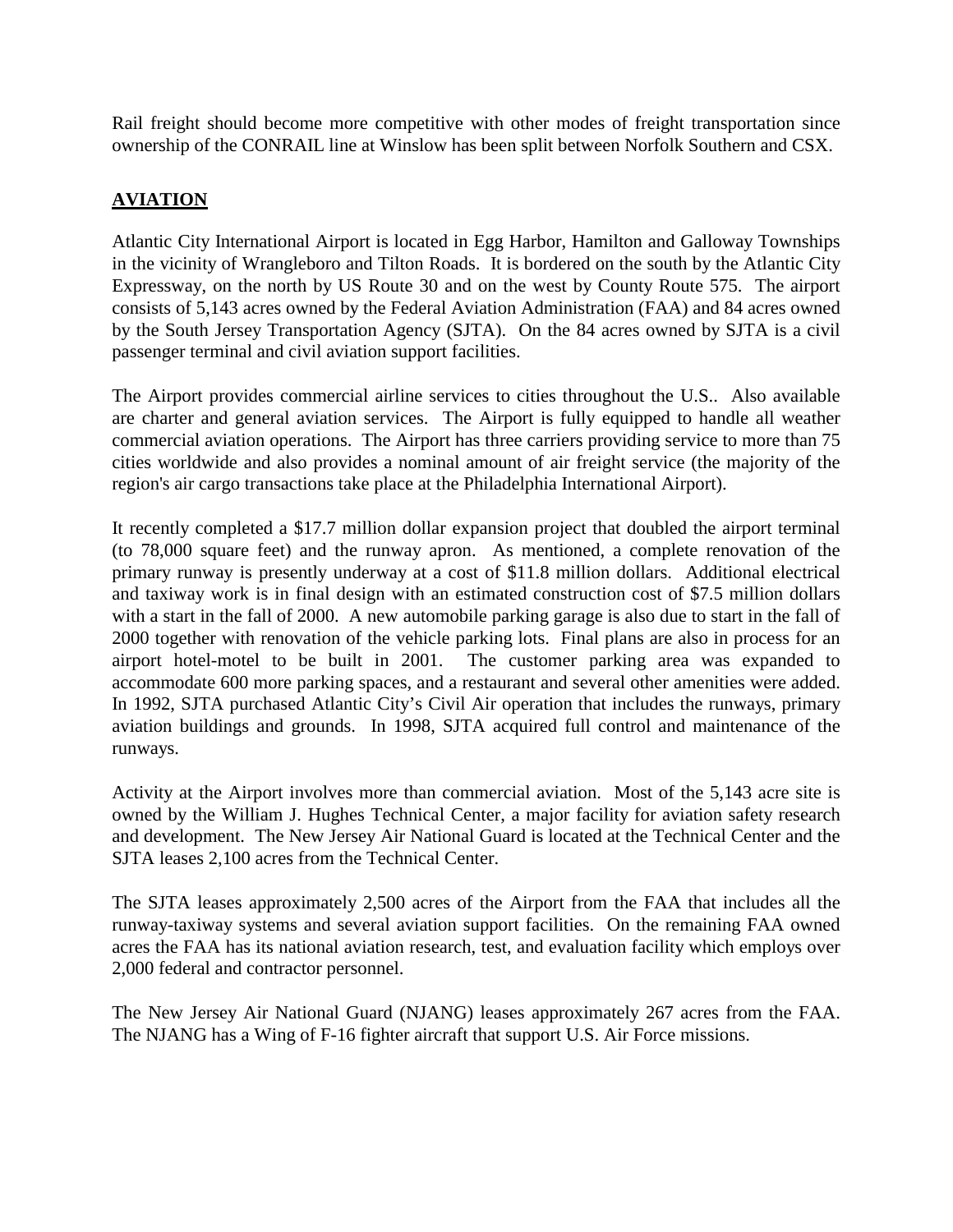Rail freight should become more competitive with other modes of freight transportation since ownership of the CONRAIL line at Winslow has been split between Norfolk Southern and CSX.

## **AVIATION**

Atlantic City International Airport is located in Egg Harbor, Hamilton and Galloway Townships in the vicinity of Wrangleboro and Tilton Roads. It is bordered on the south by the Atlantic City Expressway, on the north by US Route 30 and on the west by County Route 575. The airport consists of 5,143 acres owned by the Federal Aviation Administration (FAA) and 84 acres owned by the South Jersey Transportation Agency (SJTA). On the 84 acres owned by SJTA is a civil passenger terminal and civil aviation support facilities.

The Airport provides commercial airline services to cities throughout the U.S.. Also available are charter and general aviation services. The Airport is fully equipped to handle all weather commercial aviation operations. The Airport has three carriers providing service to more than 75 cities worldwide and also provides a nominal amount of air freight service (the majority of the region's air cargo transactions take place at the Philadelphia International Airport).

It recently completed a \$17.7 million dollar expansion project that doubled the airport terminal (to 78,000 square feet) and the runway apron. As mentioned, a complete renovation of the primary runway is presently underway at a cost of \$11.8 million dollars. Additional electrical and taxiway work is in final design with an estimated construction cost of \$7.5 million dollars with a start in the fall of 2000. A new automobile parking garage is also due to start in the fall of 2000 together with renovation of the vehicle parking lots. Final plans are also in process for an airport hotel-motel to be built in 2001. The customer parking area was expanded to accommodate 600 more parking spaces, and a restaurant and several other amenities were added. In 1992, SJTA purchased Atlantic City's Civil Air operation that includes the runways, primary aviation buildings and grounds. In 1998, SJTA acquired full control and maintenance of the runways.

Activity at the Airport involves more than commercial aviation. Most of the 5,143 acre site is owned by the William J. Hughes Technical Center, a major facility for aviation safety research and development. The New Jersey Air National Guard is located at the Technical Center and the SJTA leases 2,100 acres from the Technical Center.

The SJTA leases approximately 2,500 acres of the Airport from the FAA that includes all the runway-taxiway systems and several aviation support facilities. On the remaining FAA owned acres the FAA has its national aviation research, test, and evaluation facility which employs over 2,000 federal and contractor personnel.

The New Jersey Air National Guard (NJANG) leases approximately 267 acres from the FAA. The NJANG has a Wing of F-16 fighter aircraft that support U.S. Air Force missions.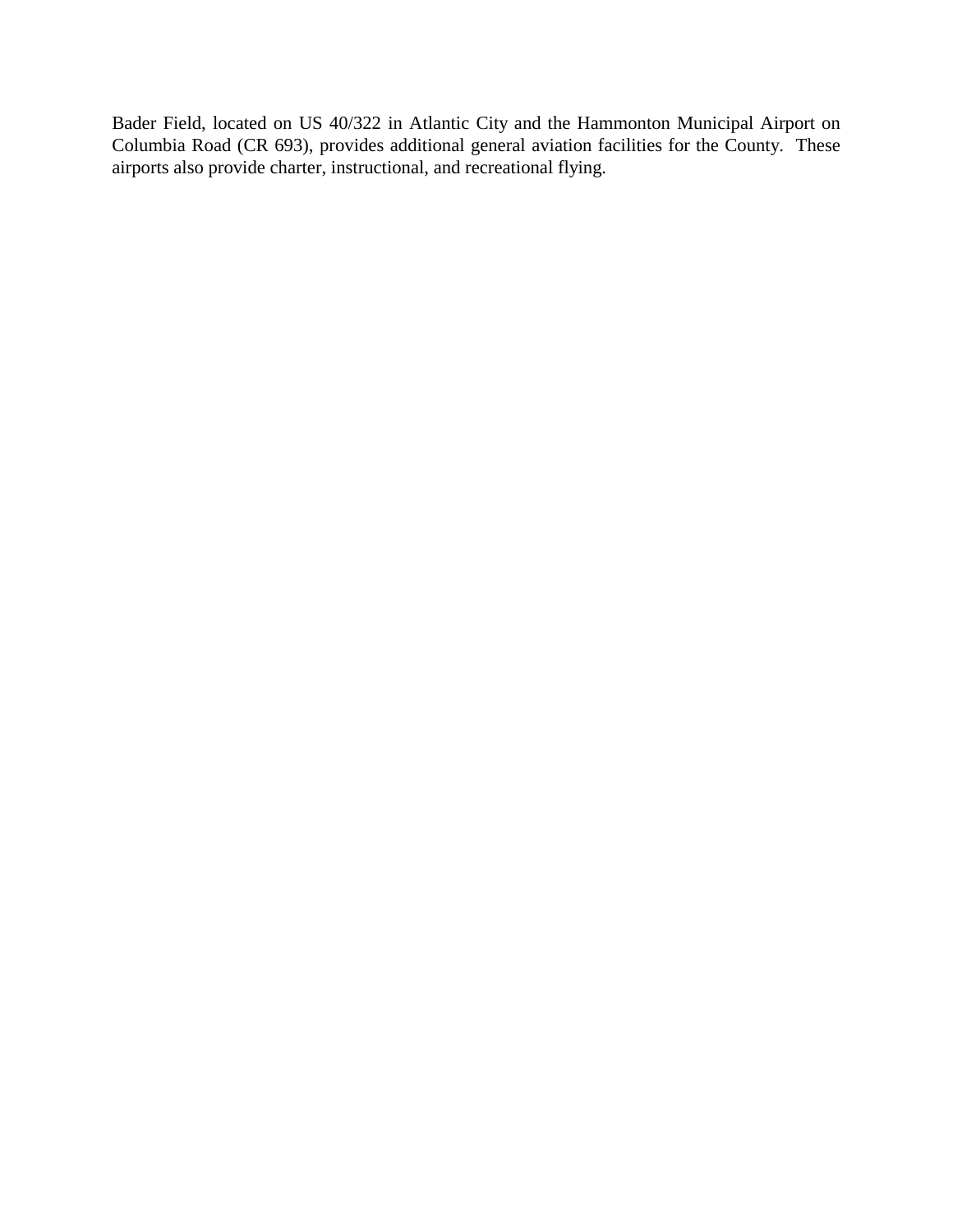Bader Field, located on US 40/322 in Atlantic City and the Hammonton Municipal Airport on Columbia Road (CR 693), provides additional general aviation facilities for the County. These airports also provide charter, instructional, and recreational flying.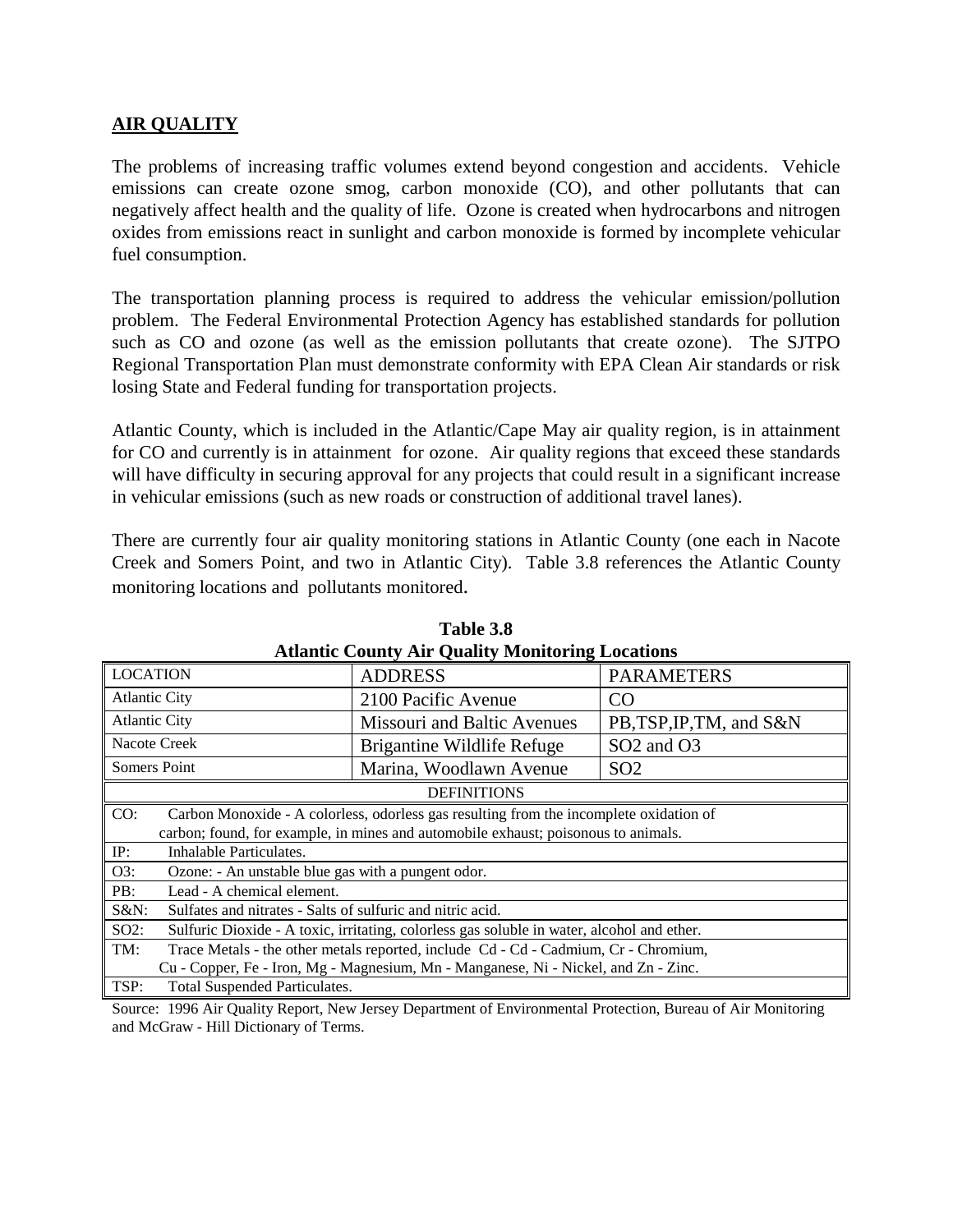#### **AIR QUALITY**

The problems of increasing traffic volumes extend beyond congestion and accidents. Vehicle emissions can create ozone smog, carbon monoxide (CO), and other pollutants that can negatively affect health and the quality of life. Ozone is created when hydrocarbons and nitrogen oxides from emissions react in sunlight and carbon monoxide is formed by incomplete vehicular fuel consumption.

The transportation planning process is required to address the vehicular emission/pollution problem. The Federal Environmental Protection Agency has established standards for pollution such as CO and ozone (as well as the emission pollutants that create ozone). The SJTPO Regional Transportation Plan must demonstrate conformity with EPA Clean Air standards or risk losing State and Federal funding for transportation projects.

Atlantic County, which is included in the Atlantic/Cape May air quality region, is in attainment for CO and currently is in attainment for ozone. Air quality regions that exceed these standards will have difficulty in securing approval for any projects that could result in a significant increase in vehicular emissions (such as new roads or construction of additional travel lanes).

There are currently four air quality monitoring stations in Atlantic County (one each in Nacote Creek and Somers Point, and two in Atlantic City). Table 3.8 references the Atlantic County monitoring locations and pollutants monitored.

| Auantic County All Quanty Monitoring Locations                                                |                                                                                            |                                    |  |  |  |  |  |
|-----------------------------------------------------------------------------------------------|--------------------------------------------------------------------------------------------|------------------------------------|--|--|--|--|--|
| <b>LOCATION</b>                                                                               | <b>ADDRESS</b>                                                                             | <b>PARAMETERS</b>                  |  |  |  |  |  |
| <b>Atlantic City</b>                                                                          | 2100 Pacific Avenue                                                                        | CO.                                |  |  |  |  |  |
| <b>Atlantic City</b>                                                                          | Missouri and Baltic Avenues                                                                | PB,TSP, IP, TM, and S&N            |  |  |  |  |  |
| Nacote Creek                                                                                  | Brigantine Wildlife Refuge                                                                 | SO <sub>2</sub> and O <sub>3</sub> |  |  |  |  |  |
| Somers Point                                                                                  | Marina, Woodlawn Avenue                                                                    | SO <sub>2</sub>                    |  |  |  |  |  |
| <b>DEFINITIONS</b>                                                                            |                                                                                            |                                    |  |  |  |  |  |
| CO:<br>Carbon Monoxide - A colorless, odorless gas resulting from the incomplete oxidation of |                                                                                            |                                    |  |  |  |  |  |
|                                                                                               | carbon; found, for example, in mines and automobile exhaust; poisonous to animals.         |                                    |  |  |  |  |  |
| Inhalable Particulates.<br>IP:                                                                |                                                                                            |                                    |  |  |  |  |  |
| O3:<br>Ozone: - An unstable blue gas with a pungent odor.                                     |                                                                                            |                                    |  |  |  |  |  |
| PB:<br>Lead - A chemical element.                                                             |                                                                                            |                                    |  |  |  |  |  |
| $S&N$ :<br>Sulfates and nitrates - Salts of sulfuric and nitric acid.                         |                                                                                            |                                    |  |  |  |  |  |
| $SO2$ :                                                                                       | Sulfuric Dioxide - A toxic, irritating, colorless gas soluble in water, alcohol and ether. |                                    |  |  |  |  |  |
| TM:                                                                                           | Trace Metals - the other metals reported, include Cd - Cd - Cadmium, Cr - Chromium,        |                                    |  |  |  |  |  |
|                                                                                               | Cu - Copper, Fe - Iron, Mg - Magnesium, Mn - Manganese, Ni - Nickel, and Zn - Zinc.        |                                    |  |  |  |  |  |
| TSP:<br>Total Suspended Particulates.                                                         |                                                                                            |                                    |  |  |  |  |  |

**Table 3.8 Atlantic County Air Quality Monitoring Locations**

Source: 1996 Air Quality Report, New Jersey Department of Environmental Protection, Bureau of Air Monitoring and McGraw - Hill Dictionary of Terms.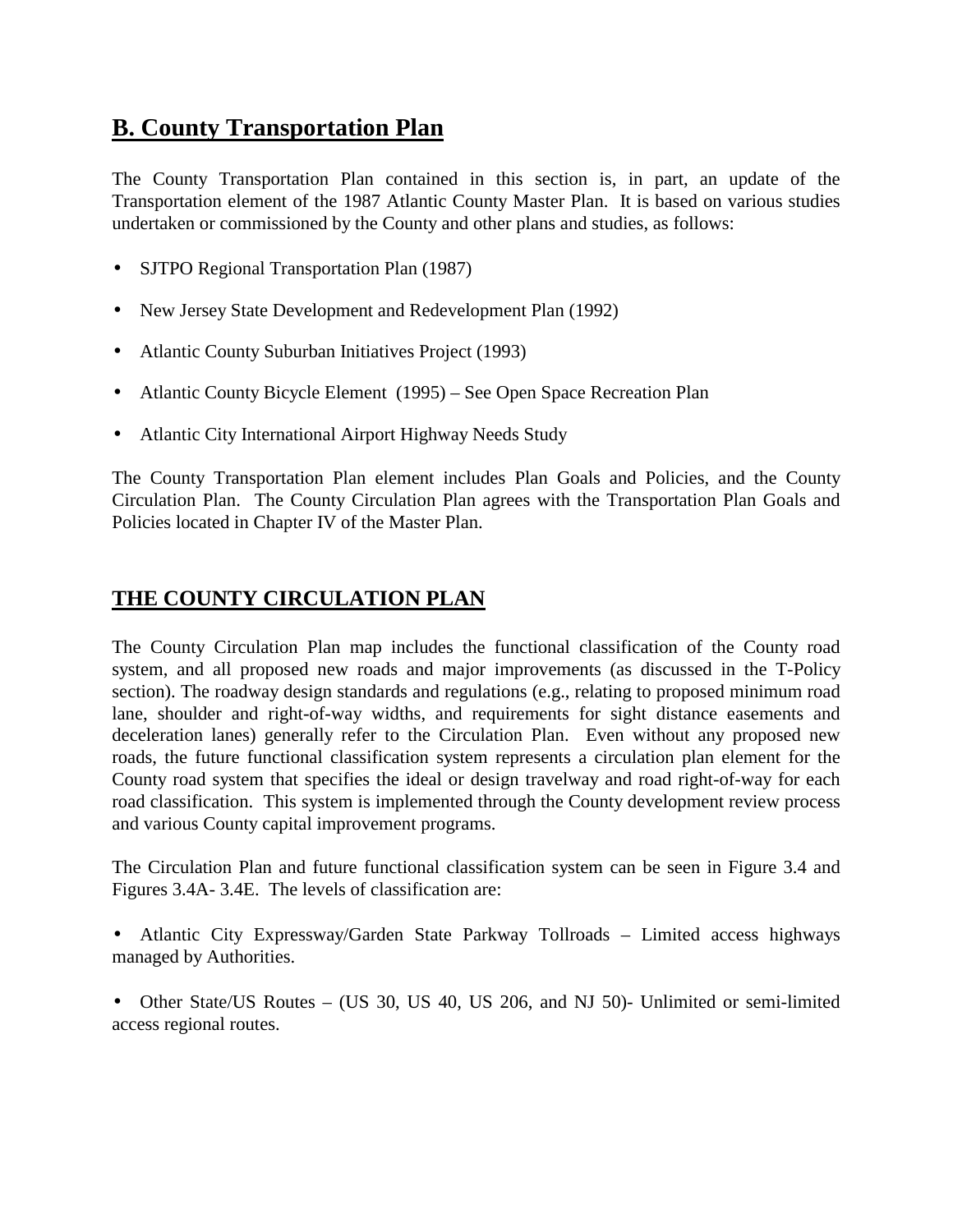# **B. County Transportation Plan**

The County Transportation Plan contained in this section is, in part, an update of the Transportation element of the 1987 Atlantic County Master Plan. It is based on various studies undertaken or commissioned by the County and other plans and studies, as follows:

- SJTPO Regional Transportation Plan (1987)
- New Jersey State Development and Redevelopment Plan (1992)
- Atlantic County Suburban Initiatives Project (1993)
- Atlantic County Bicycle Element (1995) See Open Space Recreation Plan
- Atlantic City International Airport Highway Needs Study

The County Transportation Plan element includes Plan Goals and Policies, and the County Circulation Plan. The County Circulation Plan agrees with the Transportation Plan Goals and Policies located in Chapter IV of the Master Plan.

## **THE COUNTY CIRCULATION PLAN**

The County Circulation Plan map includes the functional classification of the County road system, and all proposed new roads and major improvements (as discussed in the T-Policy section). The roadway design standards and regulations (e.g., relating to proposed minimum road lane, shoulder and right-of-way widths, and requirements for sight distance easements and deceleration lanes) generally refer to the Circulation Plan. Even without any proposed new roads, the future functional classification system represents a circulation plan element for the County road system that specifies the ideal or design travelway and road right-of-way for each road classification. This system is implemented through the County development review process and various County capital improvement programs.

The Circulation Plan and future functional classification system can be seen in Figure 3.4 and Figures 3.4A- 3.4E. The levels of classification are:

- Atlantic City Expressway/Garden State Parkway Tollroads Limited access highways managed by Authorities.
- Other State/US Routes (US 30, US 40, US 206, and NJ 50)- Unlimited or semi-limited access regional routes.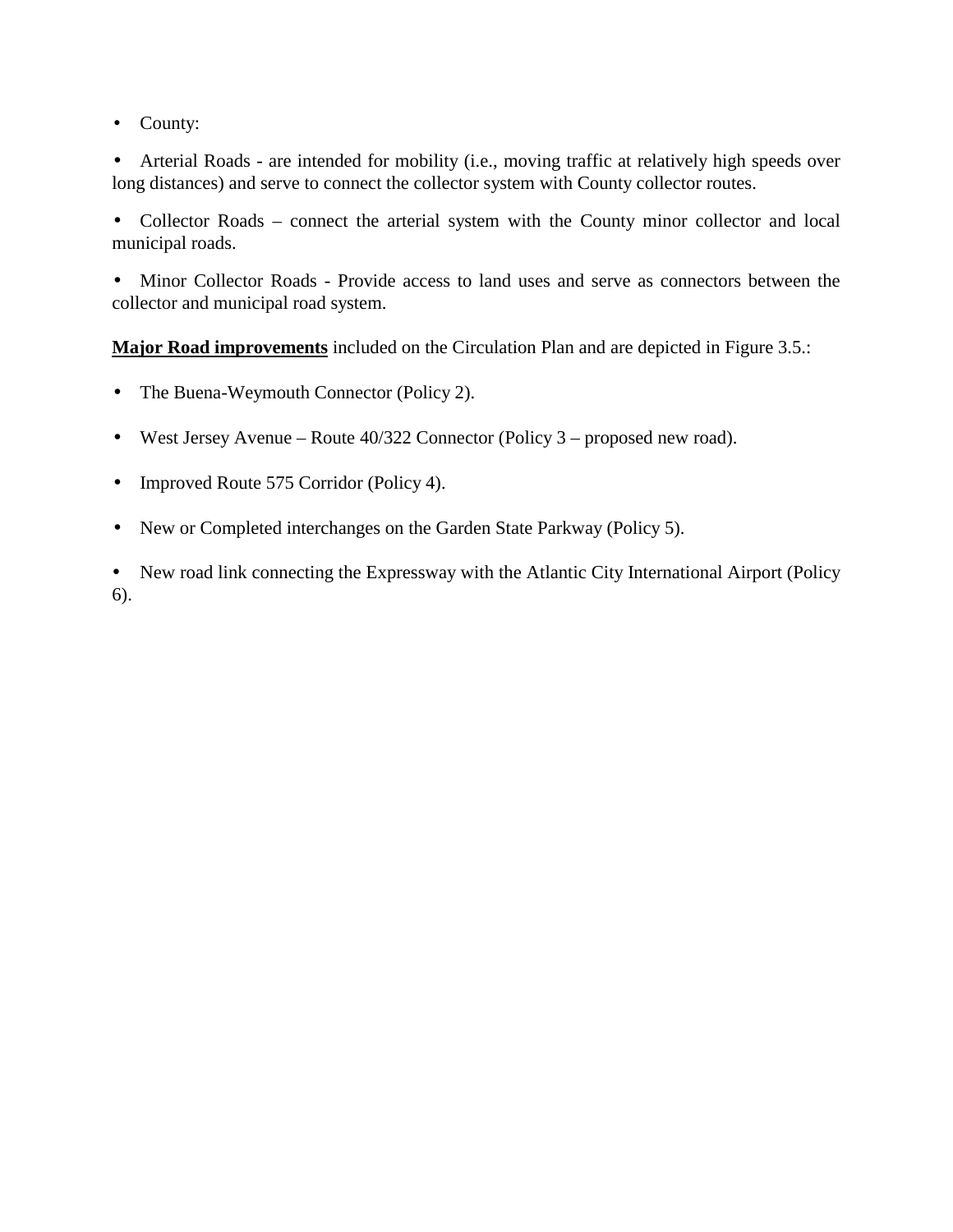• County:

• Arterial Roads - are intended for mobility (i.e., moving traffic at relatively high speeds over long distances) and serve to connect the collector system with County collector routes.

• Collector Roads – connect the arterial system with the County minor collector and local municipal roads.

• Minor Collector Roads - Provide access to land uses and serve as connectors between the collector and municipal road system.

**Major Road improvements** included on the Circulation Plan and are depicted in Figure 3.5.:

- The Buena-Weymouth Connector (Policy 2).
- West Jersey Avenue Route 40/322 Connector (Policy 3 proposed new road).
- Improved Route 575 Corridor (Policy 4).
- New or Completed interchanges on the Garden State Parkway (Policy 5).

• New road link connecting the Expressway with the Atlantic City International Airport (Policy 6).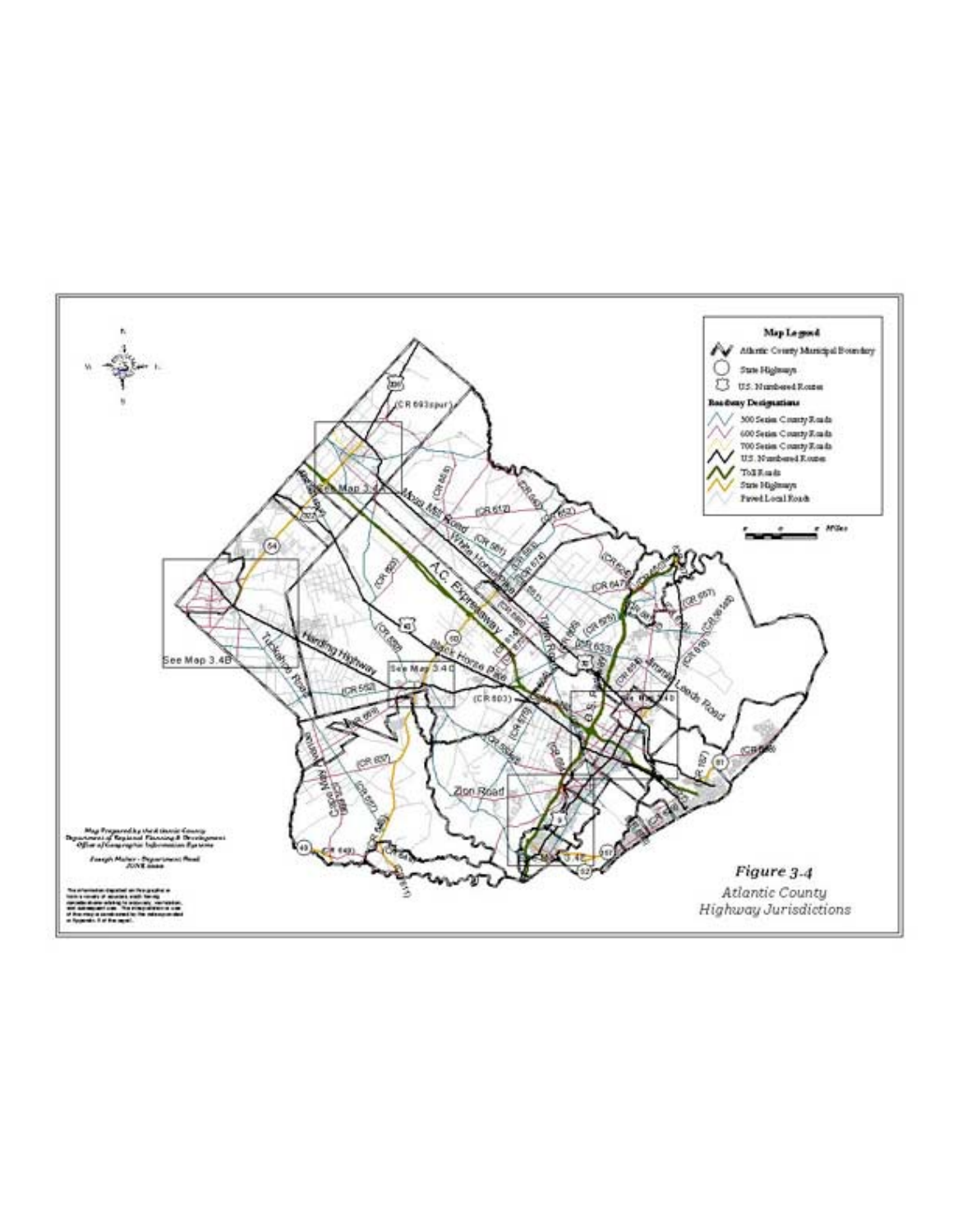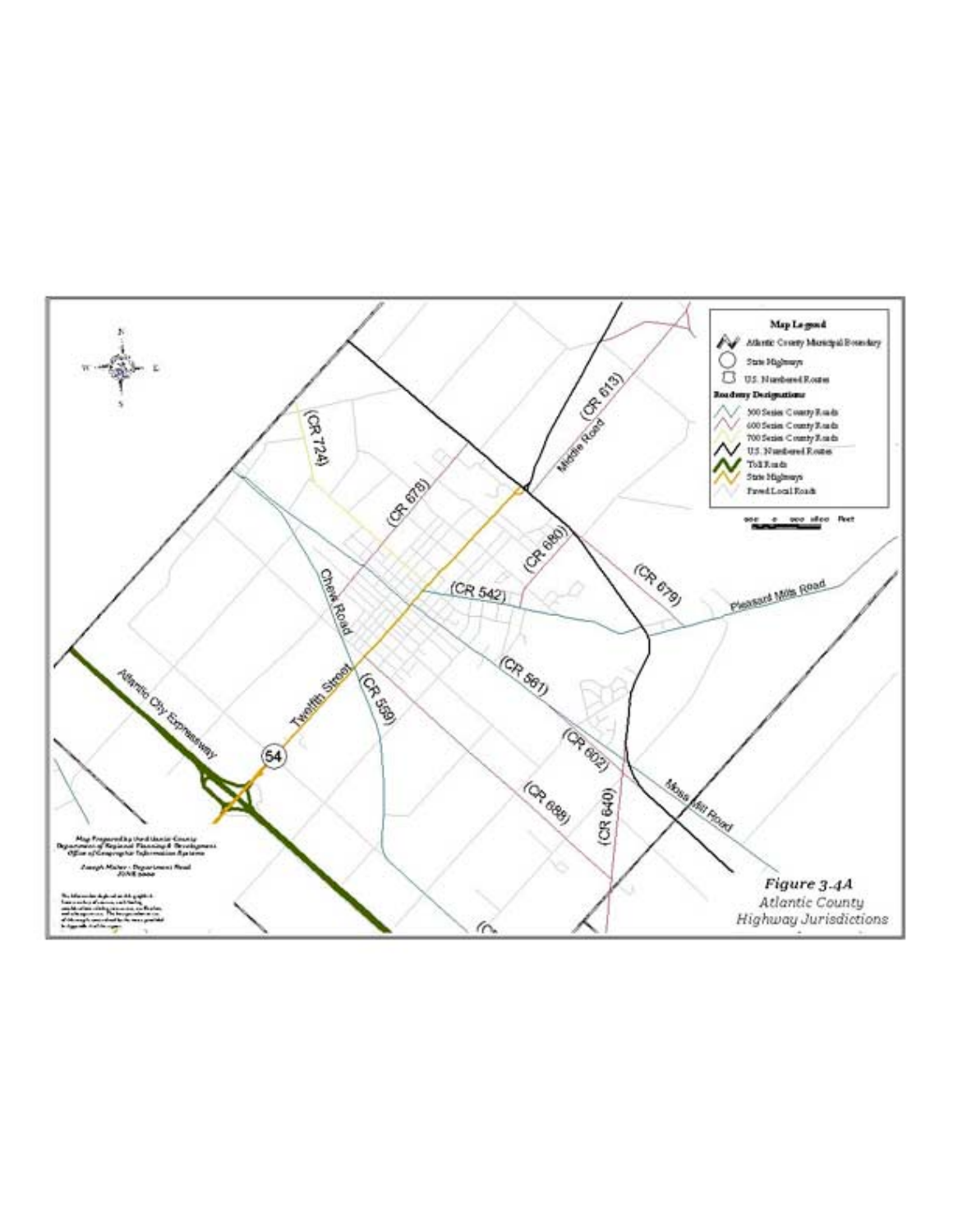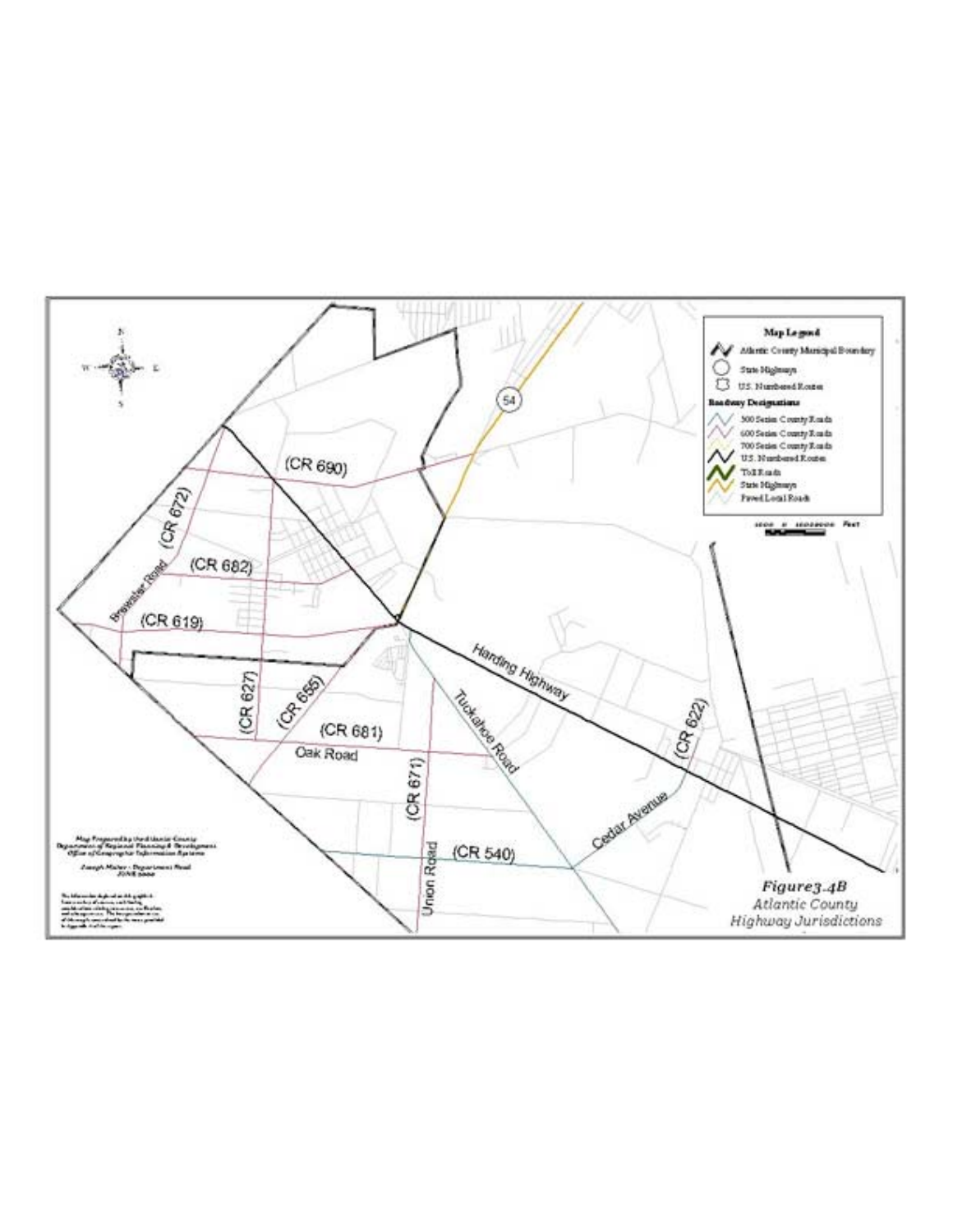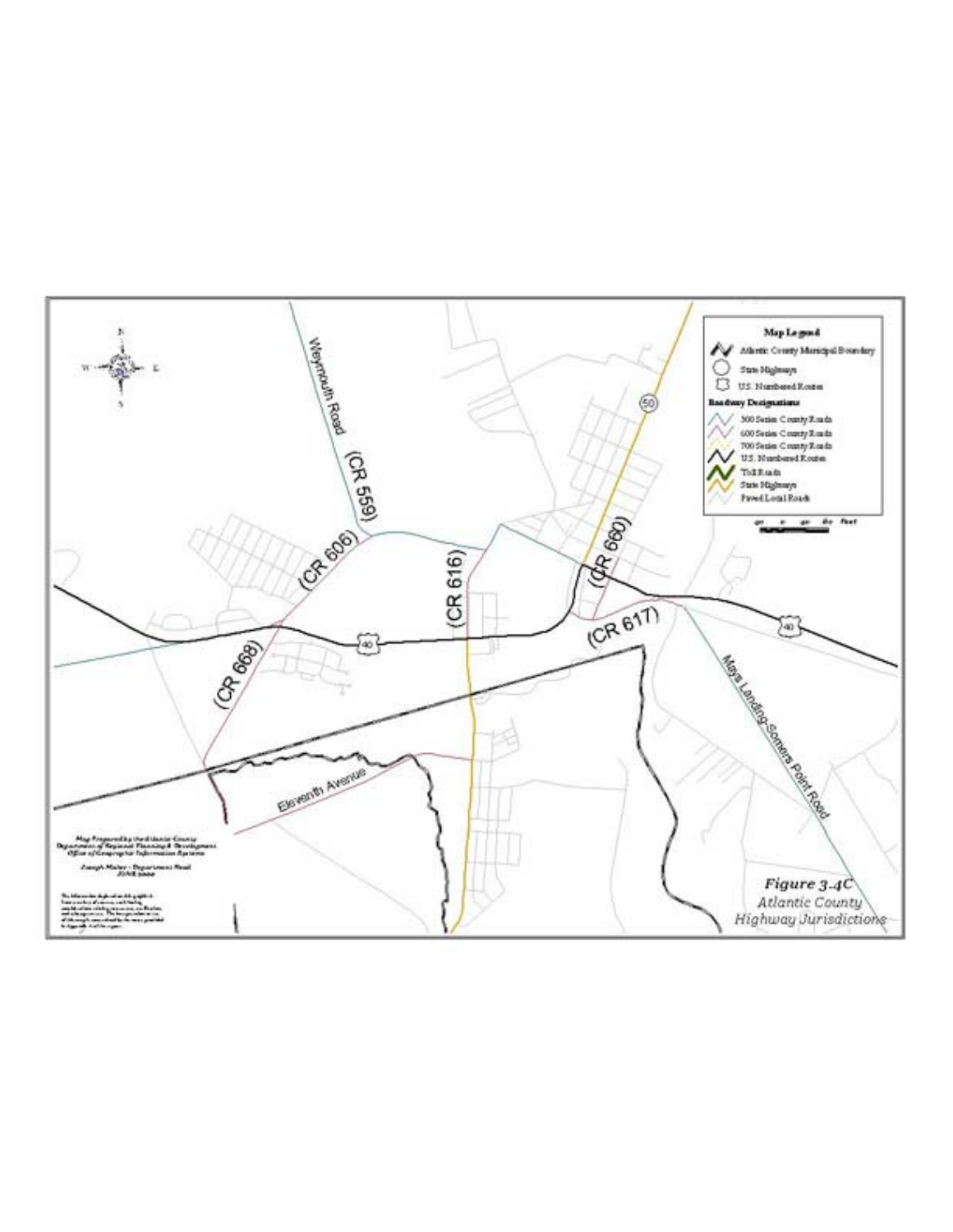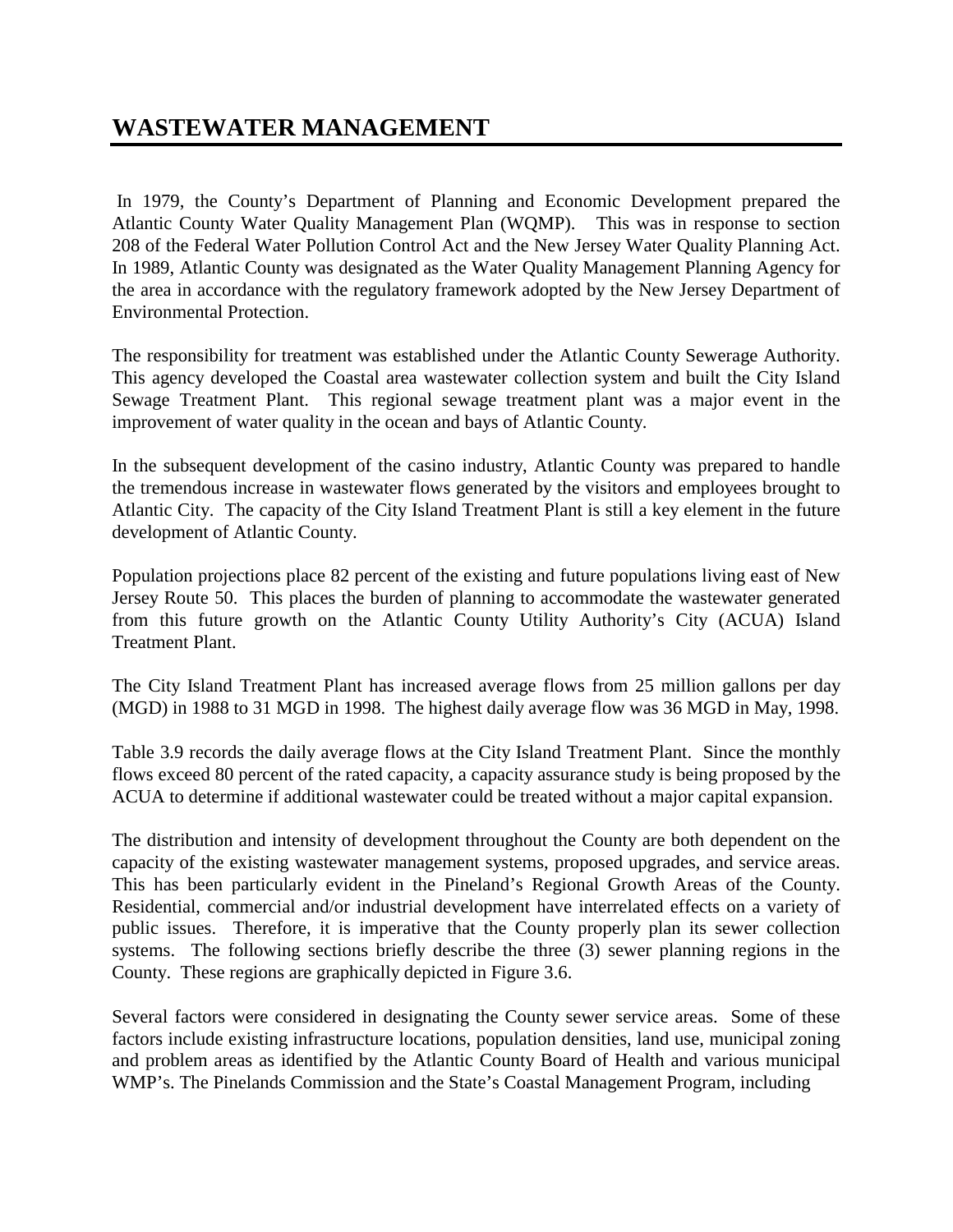## **WASTEWATER MANAGEMENT**

 In 1979, the County's Department of Planning and Economic Development prepared the Atlantic County Water Quality Management Plan (WQMP). This was in response to section 208 of the Federal Water Pollution Control Act and the New Jersey Water Quality Planning Act. In 1989, Atlantic County was designated as the Water Quality Management Planning Agency for the area in accordance with the regulatory framework adopted by the New Jersey Department of Environmental Protection.

The responsibility for treatment was established under the Atlantic County Sewerage Authority. This agency developed the Coastal area wastewater collection system and built the City Island Sewage Treatment Plant. This regional sewage treatment plant was a major event in the improvement of water quality in the ocean and bays of Atlantic County.

In the subsequent development of the casino industry, Atlantic County was prepared to handle the tremendous increase in wastewater flows generated by the visitors and employees brought to Atlantic City. The capacity of the City Island Treatment Plant is still a key element in the future development of Atlantic County.

Population projections place 82 percent of the existing and future populations living east of New Jersey Route 50. This places the burden of planning to accommodate the wastewater generated from this future growth on the Atlantic County Utility Authority's City (ACUA) Island Treatment Plant.

The City Island Treatment Plant has increased average flows from 25 million gallons per day (MGD) in 1988 to 31 MGD in 1998. The highest daily average flow was 36 MGD in May, 1998.

Table 3.9 records the daily average flows at the City Island Treatment Plant. Since the monthly flows exceed 80 percent of the rated capacity, a capacity assurance study is being proposed by the ACUA to determine if additional wastewater could be treated without a major capital expansion.

The distribution and intensity of development throughout the County are both dependent on the capacity of the existing wastewater management systems, proposed upgrades, and service areas. This has been particularly evident in the Pineland's Regional Growth Areas of the County. Residential, commercial and/or industrial development have interrelated effects on a variety of public issues. Therefore, it is imperative that the County properly plan its sewer collection systems. The following sections briefly describe the three (3) sewer planning regions in the County. These regions are graphically depicted in Figure 3.6.

Several factors were considered in designating the County sewer service areas. Some of these factors include existing infrastructure locations, population densities, land use, municipal zoning and problem areas as identified by the Atlantic County Board of Health and various municipal WMP's. The Pinelands Commission and the State's Coastal Management Program, including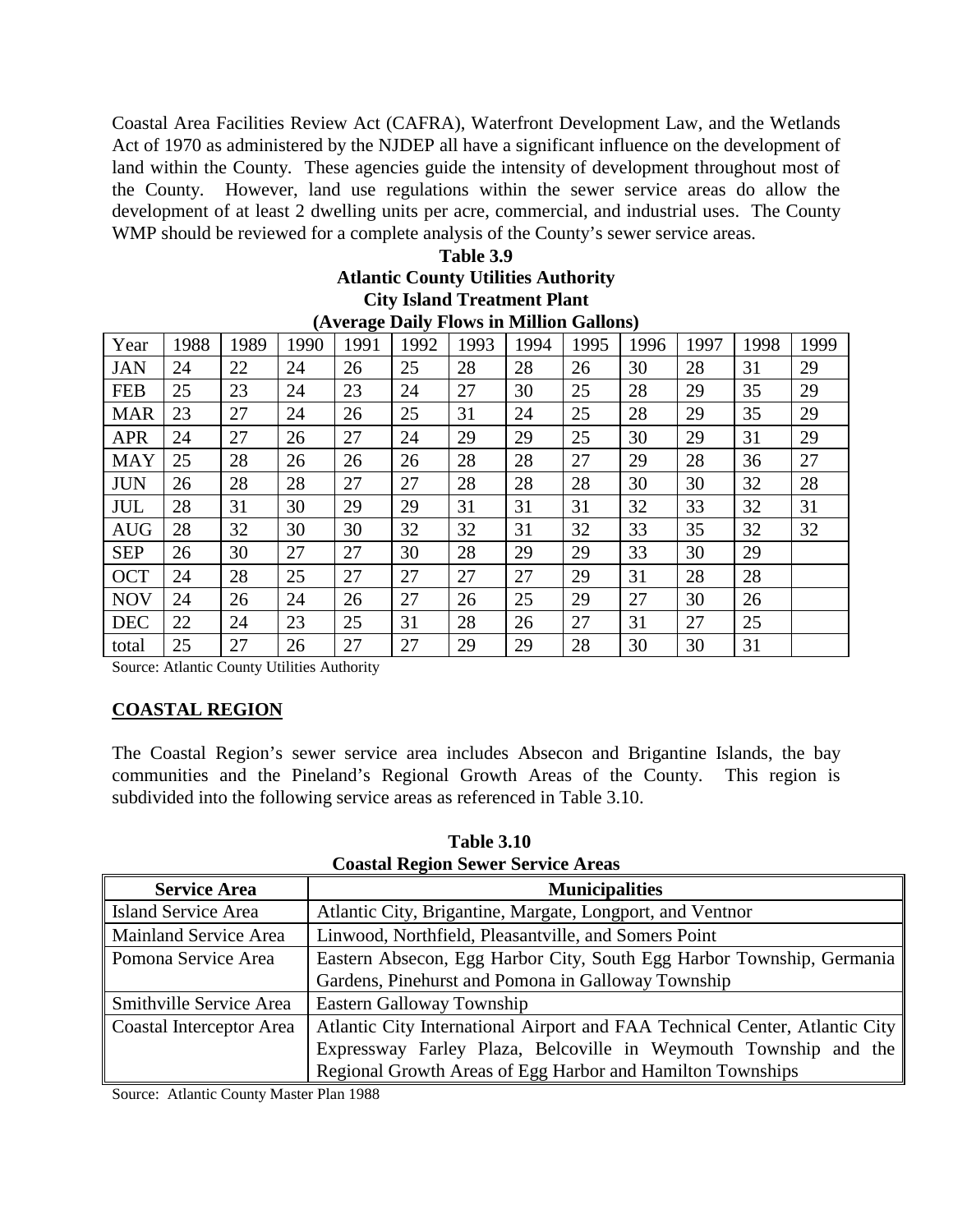Coastal Area Facilities Review Act (CAFRA), Waterfront Development Law, and the Wetlands Act of 1970 as administered by the NJDEP all have a significant influence on the development of land within the County. These agencies guide the intensity of development throughout most of the County. However, land use regulations within the sewer service areas do allow the development of at least 2 dwelling units per acre, commercial, and industrial uses. The County WMP should be reviewed for a complete analysis of the County's sewer service areas.

| Table 3.9                                  |
|--------------------------------------------|
| <b>Atlantic County Utilities Authority</b> |
| <b>City Island Treatment Plant</b>         |
| (Average Daily Flows in Million Gallons)   |

|            |      |      |      | (22.22) |      |      |      |      |      |      |      |      |
|------------|------|------|------|---------|------|------|------|------|------|------|------|------|
| Year       | 1988 | 1989 | 1990 | 1991    | 1992 | 1993 | 1994 | 1995 | 1996 | 1997 | 1998 | 1999 |
| JAN        | 24   | 22   | 24   | 26      | 25   | 28   | 28   | 26   | 30   | 28   | 31   | 29   |
| <b>FEB</b> | 25   | 23   | 24   | 23      | 24   | 27   | 30   | 25   | 28   | 29   | 35   | 29   |
| <b>MAR</b> | 23   | 27   | 24   | 26      | 25   | 31   | 24   | 25   | 28   | 29   | 35   | 29   |
| <b>APR</b> | 24   | 27   | 26   | 27      | 24   | 29   | 29   | 25   | 30   | 29   | 31   | 29   |
| <b>MAY</b> | 25   | 28   | 26   | 26      | 26   | 28   | 28   | 27   | 29   | 28   | 36   | 27   |
| <b>JUN</b> | 26   | 28   | 28   | 27      | 27   | 28   | 28   | 28   | 30   | 30   | 32   | 28   |
| JUL        | 28   | 31   | 30   | 29      | 29   | 31   | 31   | 31   | 32   | 33   | 32   | 31   |
| <b>AUG</b> | 28   | 32   | 30   | 30      | 32   | 32   | 31   | 32   | 33   | 35   | 32   | 32   |
| <b>SEP</b> | 26   | 30   | 27   | 27      | 30   | 28   | 29   | 29   | 33   | 30   | 29   |      |
| <b>OCT</b> | 24   | 28   | 25   | 27      | 27   | 27   | 27   | 29   | 31   | 28   | 28   |      |
| <b>NOV</b> | 24   | 26   | 24   | 26      | 27   | 26   | 25   | 29   | 27   | 30   | 26   |      |
| <b>DEC</b> | 22   | 24   | 23   | 25      | 31   | 28   | 26   | 27   | 31   | 27   | 25   |      |
| total      | 25   | 27   | 26   | 27      | 27   | 29   | 29   | 28   | 30   | 30   | 31   |      |

Source: Atlantic County Utilities Authority

### **COASTAL REGION**

The Coastal Region's sewer service area includes Absecon and Brigantine Islands, the bay communities and the Pineland's Regional Growth Areas of the County. This region is subdivided into the following service areas as referenced in Table 3.10.

| Coastal Region Sewer Service Areas |                                                                             |  |  |  |  |  |
|------------------------------------|-----------------------------------------------------------------------------|--|--|--|--|--|
| <b>Service Area</b>                | <b>Municipalities</b>                                                       |  |  |  |  |  |
| <b>Island Service Area</b>         | Atlantic City, Brigantine, Margate, Longport, and Ventnor                   |  |  |  |  |  |
| Mainland Service Area              | Linwood, Northfield, Pleasantville, and Somers Point                        |  |  |  |  |  |
| Domona Service Area                | Eastern Absecon, Egg Harbor City, South Egg Harbor Township, Germania       |  |  |  |  |  |
|                                    | Gardens, Pinehurst and Pomona in Galloway Township                          |  |  |  |  |  |
| Smithville Service Area            | Eastern Galloway Township                                                   |  |  |  |  |  |
| Coastal Interceptor Area           | Atlantic City International Airport and FAA Technical Center, Atlantic City |  |  |  |  |  |
|                                    | Expressway Farley Plaza, Belcoville in Weymouth Township and the            |  |  |  |  |  |
|                                    | Regional Growth Areas of Egg Harbor and Hamilton Townships                  |  |  |  |  |  |

 **Table 3.10 Coastal Region Sewer Service Areas**

Source: Atlantic County Master Plan 1988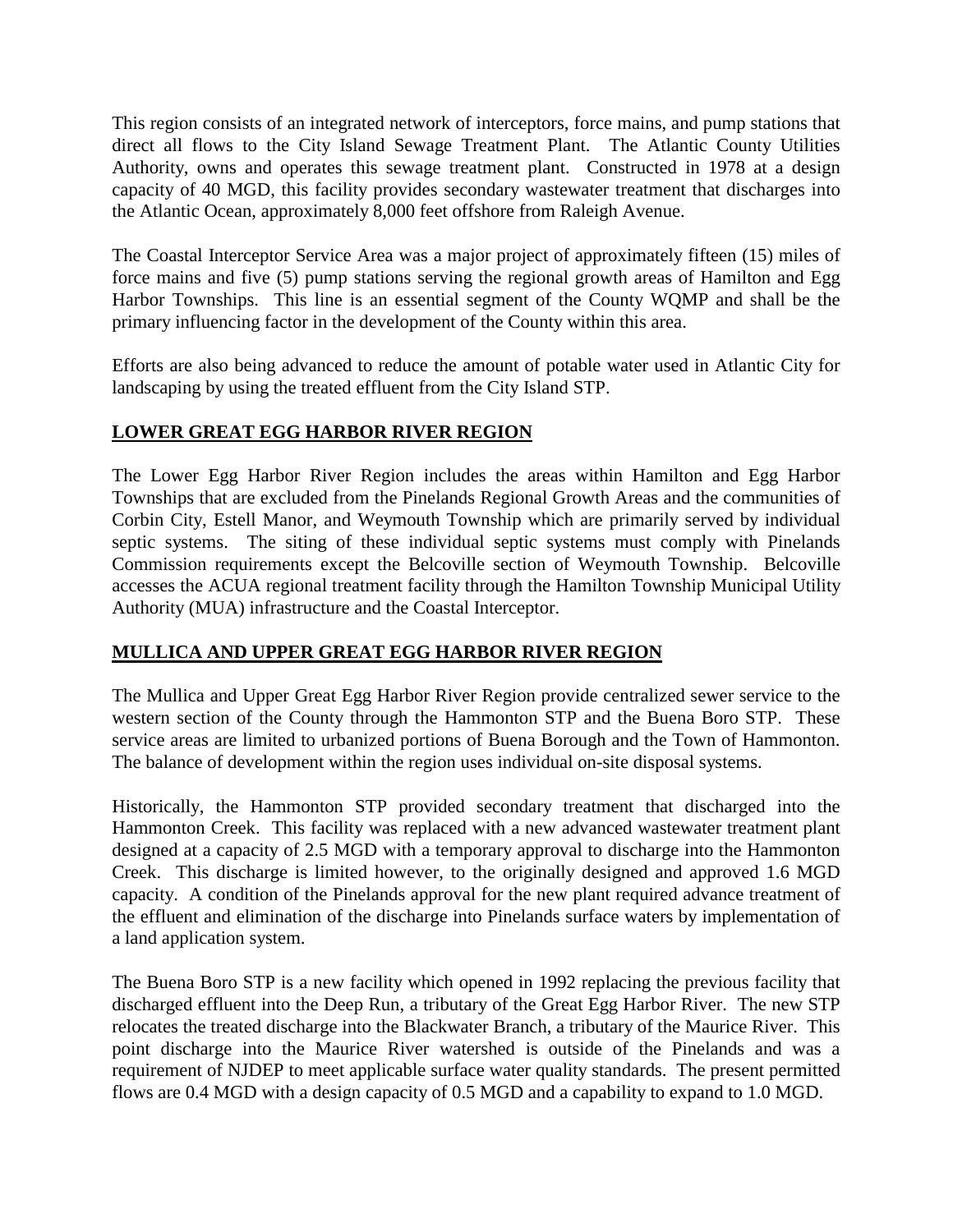This region consists of an integrated network of interceptors, force mains, and pump stations that direct all flows to the City Island Sewage Treatment Plant. The Atlantic County Utilities Authority, owns and operates this sewage treatment plant. Constructed in 1978 at a design capacity of 40 MGD, this facility provides secondary wastewater treatment that discharges into the Atlantic Ocean, approximately 8,000 feet offshore from Raleigh Avenue.

The Coastal Interceptor Service Area was a major project of approximately fifteen (15) miles of force mains and five (5) pump stations serving the regional growth areas of Hamilton and Egg Harbor Townships. This line is an essential segment of the County WQMP and shall be the primary influencing factor in the development of the County within this area.

Efforts are also being advanced to reduce the amount of potable water used in Atlantic City for landscaping by using the treated effluent from the City Island STP.

### **LOWER GREAT EGG HARBOR RIVER REGION**

The Lower Egg Harbor River Region includes the areas within Hamilton and Egg Harbor Townships that are excluded from the Pinelands Regional Growth Areas and the communities of Corbin City, Estell Manor, and Weymouth Township which are primarily served by individual septic systems. The siting of these individual septic systems must comply with Pinelands Commission requirements except the Belcoville section of Weymouth Township. Belcoville accesses the ACUA regional treatment facility through the Hamilton Township Municipal Utility Authority (MUA) infrastructure and the Coastal Interceptor.

## **MULLICA AND UPPER GREAT EGG HARBOR RIVER REGION**

The Mullica and Upper Great Egg Harbor River Region provide centralized sewer service to the western section of the County through the Hammonton STP and the Buena Boro STP. These service areas are limited to urbanized portions of Buena Borough and the Town of Hammonton. The balance of development within the region uses individual on-site disposal systems.

Historically, the Hammonton STP provided secondary treatment that discharged into the Hammonton Creek. This facility was replaced with a new advanced wastewater treatment plant designed at a capacity of 2.5 MGD with a temporary approval to discharge into the Hammonton Creek. This discharge is limited however, to the originally designed and approved 1.6 MGD capacity. A condition of the Pinelands approval for the new plant required advance treatment of the effluent and elimination of the discharge into Pinelands surface waters by implementation of a land application system.

The Buena Boro STP is a new facility which opened in 1992 replacing the previous facility that discharged effluent into the Deep Run, a tributary of the Great Egg Harbor River. The new STP relocates the treated discharge into the Blackwater Branch, a tributary of the Maurice River. This point discharge into the Maurice River watershed is outside of the Pinelands and was a requirement of NJDEP to meet applicable surface water quality standards. The present permitted flows are 0.4 MGD with a design capacity of 0.5 MGD and a capability to expand to 1.0 MGD.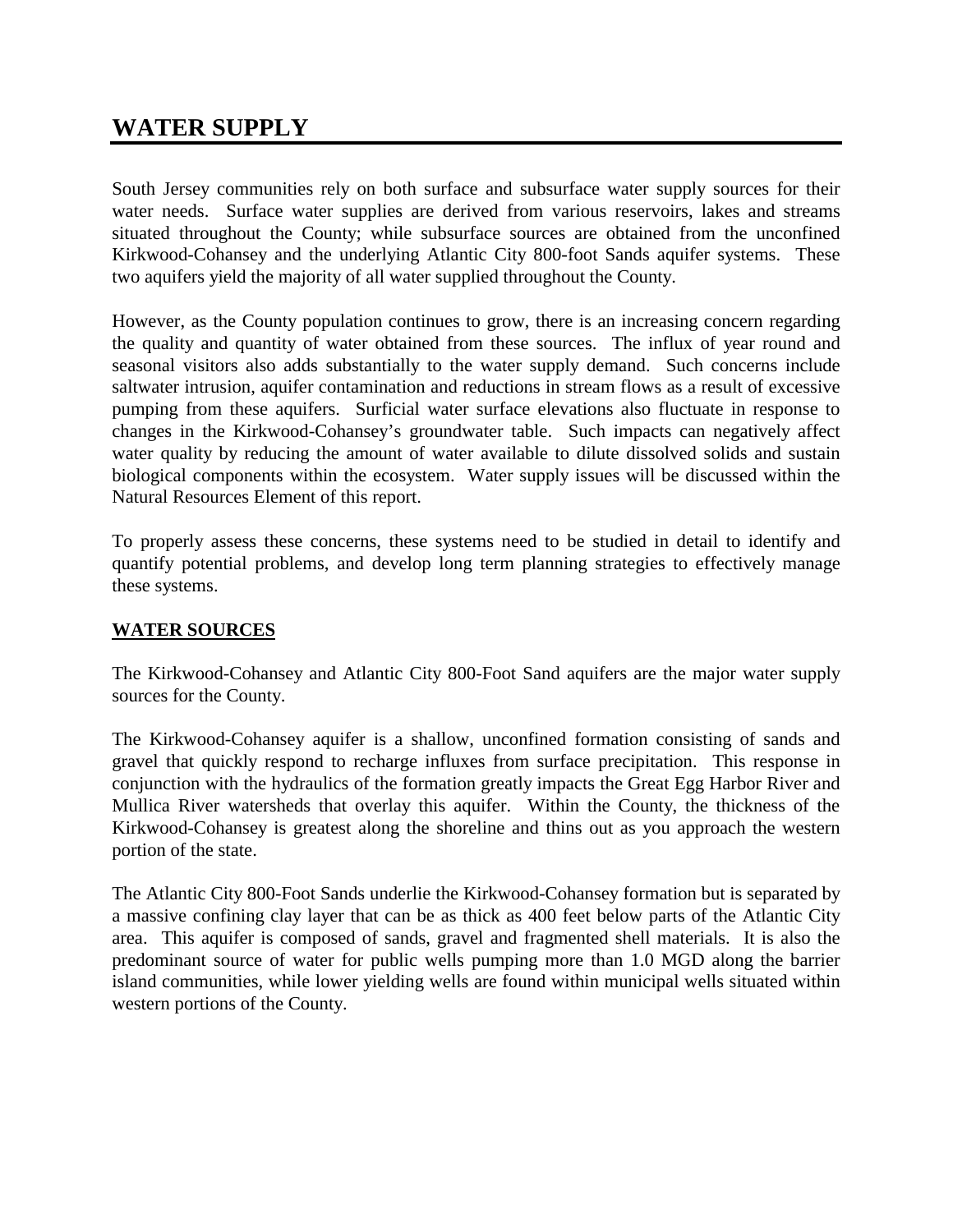## **WATER SUPPLY**

South Jersey communities rely on both surface and subsurface water supply sources for their water needs. Surface water supplies are derived from various reservoirs, lakes and streams situated throughout the County; while subsurface sources are obtained from the unconfined Kirkwood-Cohansey and the underlying Atlantic City 800-foot Sands aquifer systems. These two aquifers yield the majority of all water supplied throughout the County.

However, as the County population continues to grow, there is an increasing concern regarding the quality and quantity of water obtained from these sources. The influx of year round and seasonal visitors also adds substantially to the water supply demand. Such concerns include saltwater intrusion, aquifer contamination and reductions in stream flows as a result of excessive pumping from these aquifers. Surficial water surface elevations also fluctuate in response to changes in the Kirkwood-Cohansey's groundwater table. Such impacts can negatively affect water quality by reducing the amount of water available to dilute dissolved solids and sustain biological components within the ecosystem. Water supply issues will be discussed within the Natural Resources Element of this report.

To properly assess these concerns, these systems need to be studied in detail to identify and quantify potential problems, and develop long term planning strategies to effectively manage these systems.

### **WATER SOURCES**

The Kirkwood-Cohansey and Atlantic City 800-Foot Sand aquifers are the major water supply sources for the County.

The Kirkwood-Cohansey aquifer is a shallow, unconfined formation consisting of sands and gravel that quickly respond to recharge influxes from surface precipitation. This response in conjunction with the hydraulics of the formation greatly impacts the Great Egg Harbor River and Mullica River watersheds that overlay this aquifer. Within the County, the thickness of the Kirkwood-Cohansey is greatest along the shoreline and thins out as you approach the western portion of the state.

The Atlantic City 800-Foot Sands underlie the Kirkwood-Cohansey formation but is separated by a massive confining clay layer that can be as thick as 400 feet below parts of the Atlantic City area. This aquifer is composed of sands, gravel and fragmented shell materials. It is also the predominant source of water for public wells pumping more than 1.0 MGD along the barrier island communities, while lower yielding wells are found within municipal wells situated within western portions of the County.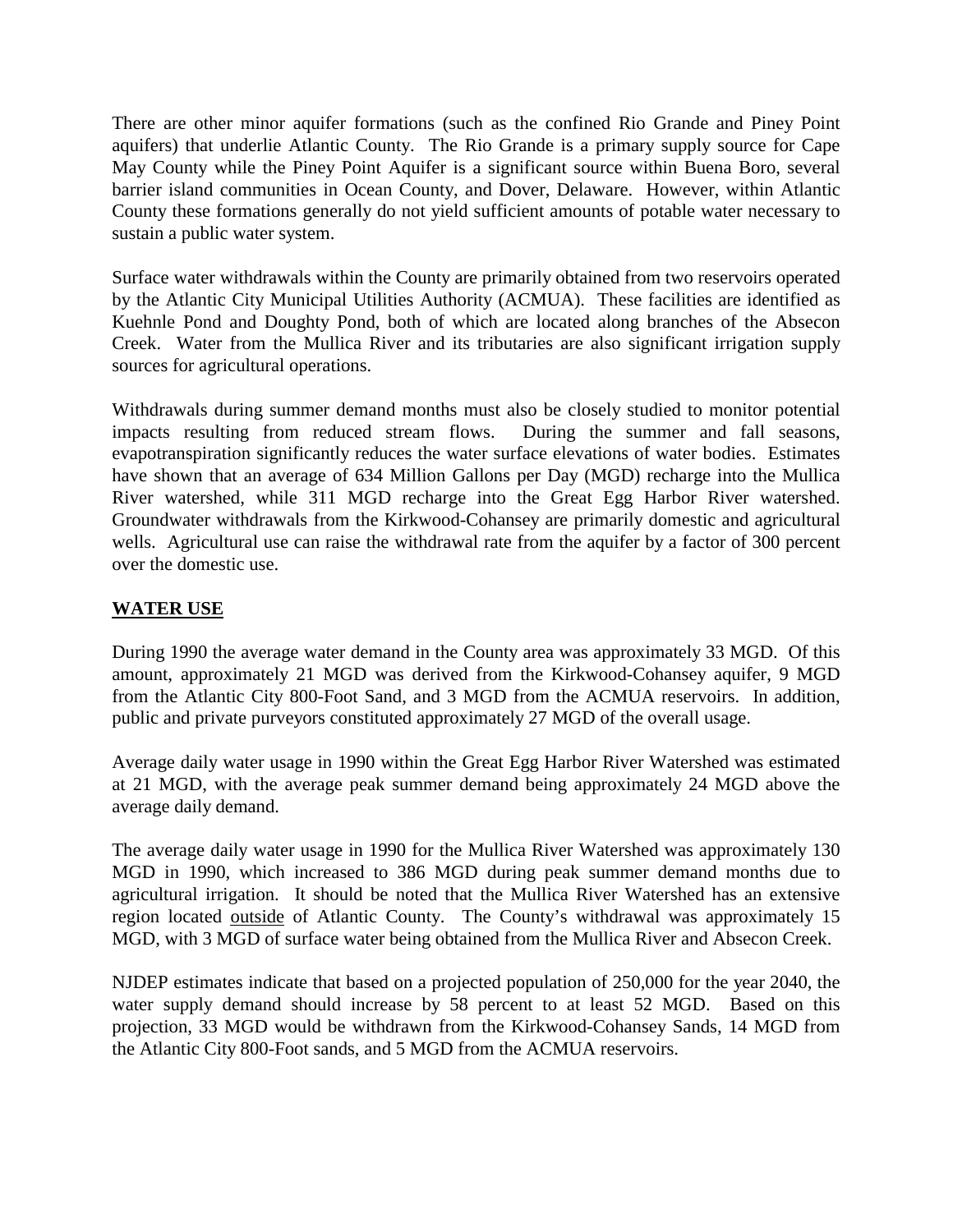There are other minor aquifer formations (such as the confined Rio Grande and Piney Point aquifers) that underlie Atlantic County. The Rio Grande is a primary supply source for Cape May County while the Piney Point Aquifer is a significant source within Buena Boro, several barrier island communities in Ocean County, and Dover, Delaware. However, within Atlantic County these formations generally do not yield sufficient amounts of potable water necessary to sustain a public water system.

Surface water withdrawals within the County are primarily obtained from two reservoirs operated by the Atlantic City Municipal Utilities Authority (ACMUA). These facilities are identified as Kuehnle Pond and Doughty Pond, both of which are located along branches of the Absecon Creek. Water from the Mullica River and its tributaries are also significant irrigation supply sources for agricultural operations.

Withdrawals during summer demand months must also be closely studied to monitor potential impacts resulting from reduced stream flows. During the summer and fall seasons, evapotranspiration significantly reduces the water surface elevations of water bodies. Estimates have shown that an average of 634 Million Gallons per Day (MGD) recharge into the Mullica River watershed, while 311 MGD recharge into the Great Egg Harbor River watershed. Groundwater withdrawals from the Kirkwood-Cohansey are primarily domestic and agricultural wells. Agricultural use can raise the withdrawal rate from the aquifer by a factor of 300 percent over the domestic use.

## **WATER USE**

During 1990 the average water demand in the County area was approximately 33 MGD. Of this amount, approximately 21 MGD was derived from the Kirkwood-Cohansey aquifer, 9 MGD from the Atlantic City 800-Foot Sand, and 3 MGD from the ACMUA reservoirs. In addition, public and private purveyors constituted approximately 27 MGD of the overall usage.

Average daily water usage in 1990 within the Great Egg Harbor River Watershed was estimated at 21 MGD, with the average peak summer demand being approximately 24 MGD above the average daily demand.

The average daily water usage in 1990 for the Mullica River Watershed was approximately 130 MGD in 1990, which increased to 386 MGD during peak summer demand months due to agricultural irrigation. It should be noted that the Mullica River Watershed has an extensive region located outside of Atlantic County. The County's withdrawal was approximately 15 MGD, with 3 MGD of surface water being obtained from the Mullica River and Absecon Creek.

NJDEP estimates indicate that based on a projected population of 250,000 for the year 2040, the water supply demand should increase by 58 percent to at least 52 MGD. Based on this projection, 33 MGD would be withdrawn from the Kirkwood-Cohansey Sands, 14 MGD from the Atlantic City 800-Foot sands, and 5 MGD from the ACMUA reservoirs.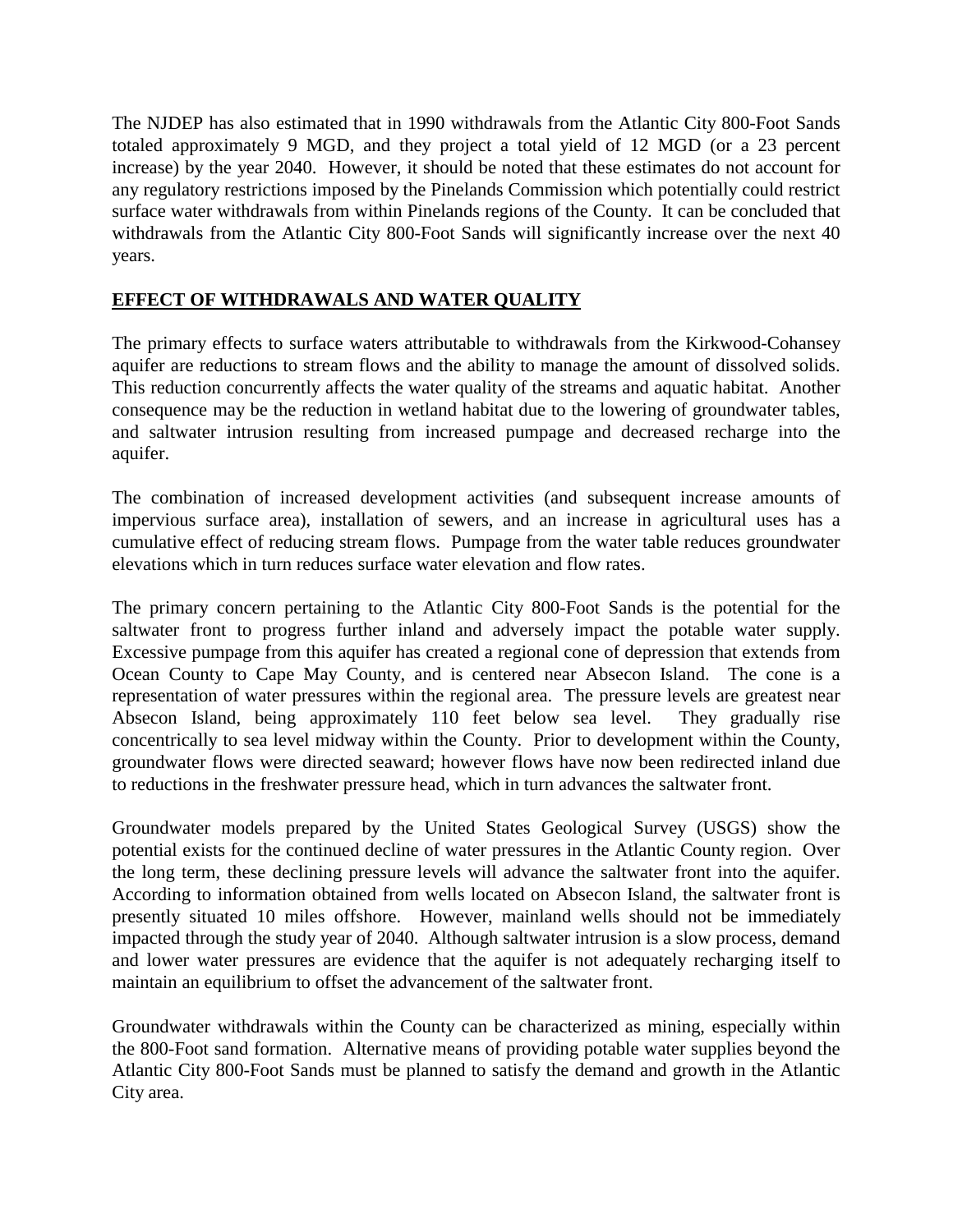The NJDEP has also estimated that in 1990 withdrawals from the Atlantic City 800-Foot Sands totaled approximately 9 MGD, and they project a total yield of 12 MGD (or a 23 percent increase) by the year 2040. However, it should be noted that these estimates do not account for any regulatory restrictions imposed by the Pinelands Commission which potentially could restrict surface water withdrawals from within Pinelands regions of the County. It can be concluded that withdrawals from the Atlantic City 800-Foot Sands will significantly increase over the next 40 years.

## **EFFECT OF WITHDRAWALS AND WATER QUALITY**

The primary effects to surface waters attributable to withdrawals from the Kirkwood-Cohansey aquifer are reductions to stream flows and the ability to manage the amount of dissolved solids. This reduction concurrently affects the water quality of the streams and aquatic habitat. Another consequence may be the reduction in wetland habitat due to the lowering of groundwater tables, and saltwater intrusion resulting from increased pumpage and decreased recharge into the aquifer.

The combination of increased development activities (and subsequent increase amounts of impervious surface area), installation of sewers, and an increase in agricultural uses has a cumulative effect of reducing stream flows. Pumpage from the water table reduces groundwater elevations which in turn reduces surface water elevation and flow rates.

The primary concern pertaining to the Atlantic City 800-Foot Sands is the potential for the saltwater front to progress further inland and adversely impact the potable water supply. Excessive pumpage from this aquifer has created a regional cone of depression that extends from Ocean County to Cape May County, and is centered near Absecon Island. The cone is a representation of water pressures within the regional area. The pressure levels are greatest near Absecon Island, being approximately 110 feet below sea level. They gradually rise concentrically to sea level midway within the County. Prior to development within the County, groundwater flows were directed seaward; however flows have now been redirected inland due to reductions in the freshwater pressure head, which in turn advances the saltwater front.

Groundwater models prepared by the United States Geological Survey (USGS) show the potential exists for the continued decline of water pressures in the Atlantic County region. Over the long term, these declining pressure levels will advance the saltwater front into the aquifer. According to information obtained from wells located on Absecon Island, the saltwater front is presently situated 10 miles offshore. However, mainland wells should not be immediately impacted through the study year of 2040. Although saltwater intrusion is a slow process, demand and lower water pressures are evidence that the aquifer is not adequately recharging itself to maintain an equilibrium to offset the advancement of the saltwater front.

Groundwater withdrawals within the County can be characterized as mining, especially within the 800-Foot sand formation. Alternative means of providing potable water supplies beyond the Atlantic City 800-Foot Sands must be planned to satisfy the demand and growth in the Atlantic City area.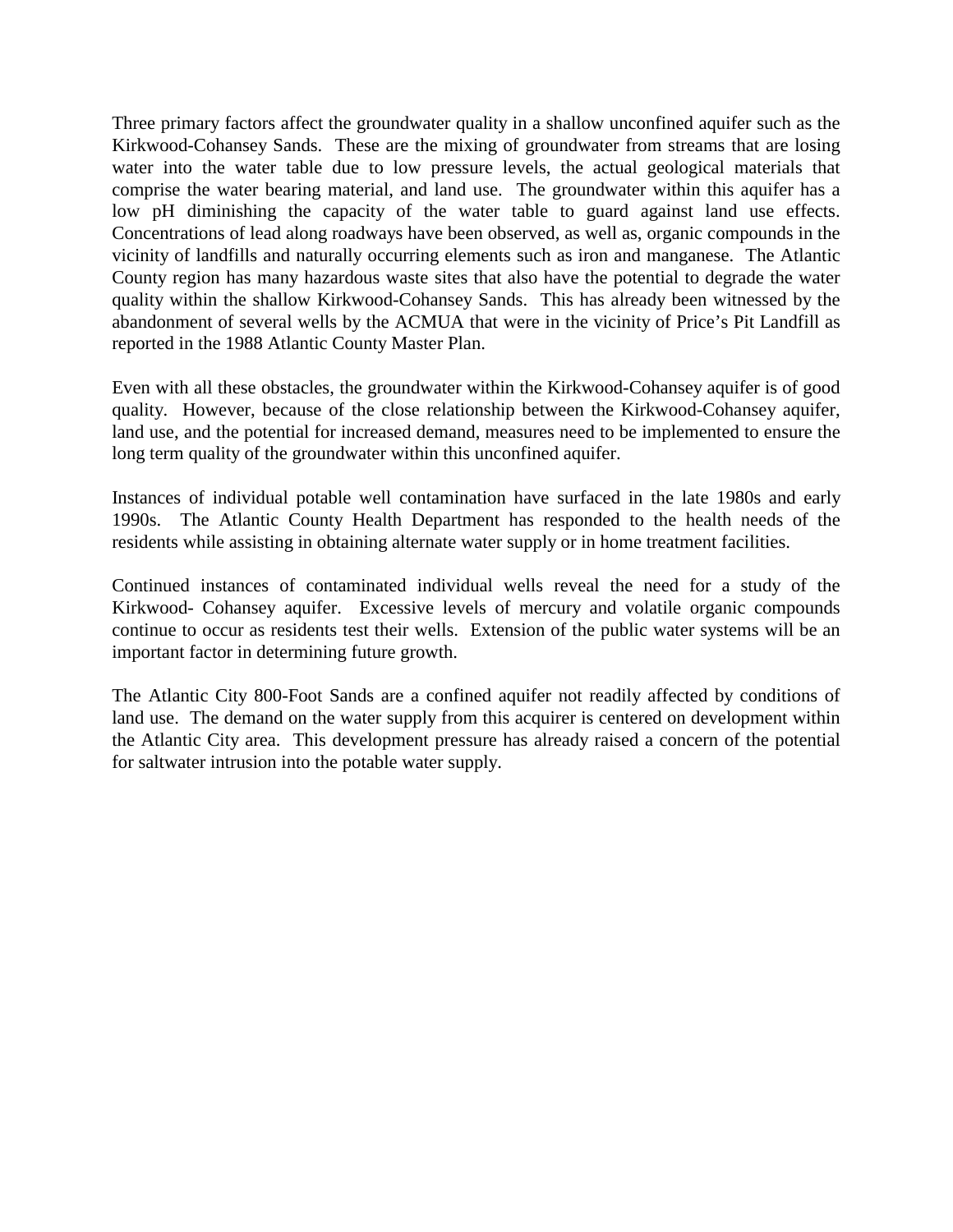Three primary factors affect the groundwater quality in a shallow unconfined aquifer such as the Kirkwood-Cohansey Sands. These are the mixing of groundwater from streams that are losing water into the water table due to low pressure levels, the actual geological materials that comprise the water bearing material, and land use. The groundwater within this aquifer has a low pH diminishing the capacity of the water table to guard against land use effects. Concentrations of lead along roadways have been observed, as well as, organic compounds in the vicinity of landfills and naturally occurring elements such as iron and manganese. The Atlantic County region has many hazardous waste sites that also have the potential to degrade the water quality within the shallow Kirkwood-Cohansey Sands. This has already been witnessed by the abandonment of several wells by the ACMUA that were in the vicinity of Price's Pit Landfill as reported in the 1988 Atlantic County Master Plan.

Even with all these obstacles, the groundwater within the Kirkwood-Cohansey aquifer is of good quality. However, because of the close relationship between the Kirkwood-Cohansey aquifer, land use, and the potential for increased demand, measures need to be implemented to ensure the long term quality of the groundwater within this unconfined aquifer.

Instances of individual potable well contamination have surfaced in the late 1980s and early 1990s. The Atlantic County Health Department has responded to the health needs of the residents while assisting in obtaining alternate water supply or in home treatment facilities.

Continued instances of contaminated individual wells reveal the need for a study of the Kirkwood- Cohansey aquifer. Excessive levels of mercury and volatile organic compounds continue to occur as residents test their wells. Extension of the public water systems will be an important factor in determining future growth.

The Atlantic City 800-Foot Sands are a confined aquifer not readily affected by conditions of land use. The demand on the water supply from this acquirer is centered on development within the Atlantic City area. This development pressure has already raised a concern of the potential for saltwater intrusion into the potable water supply.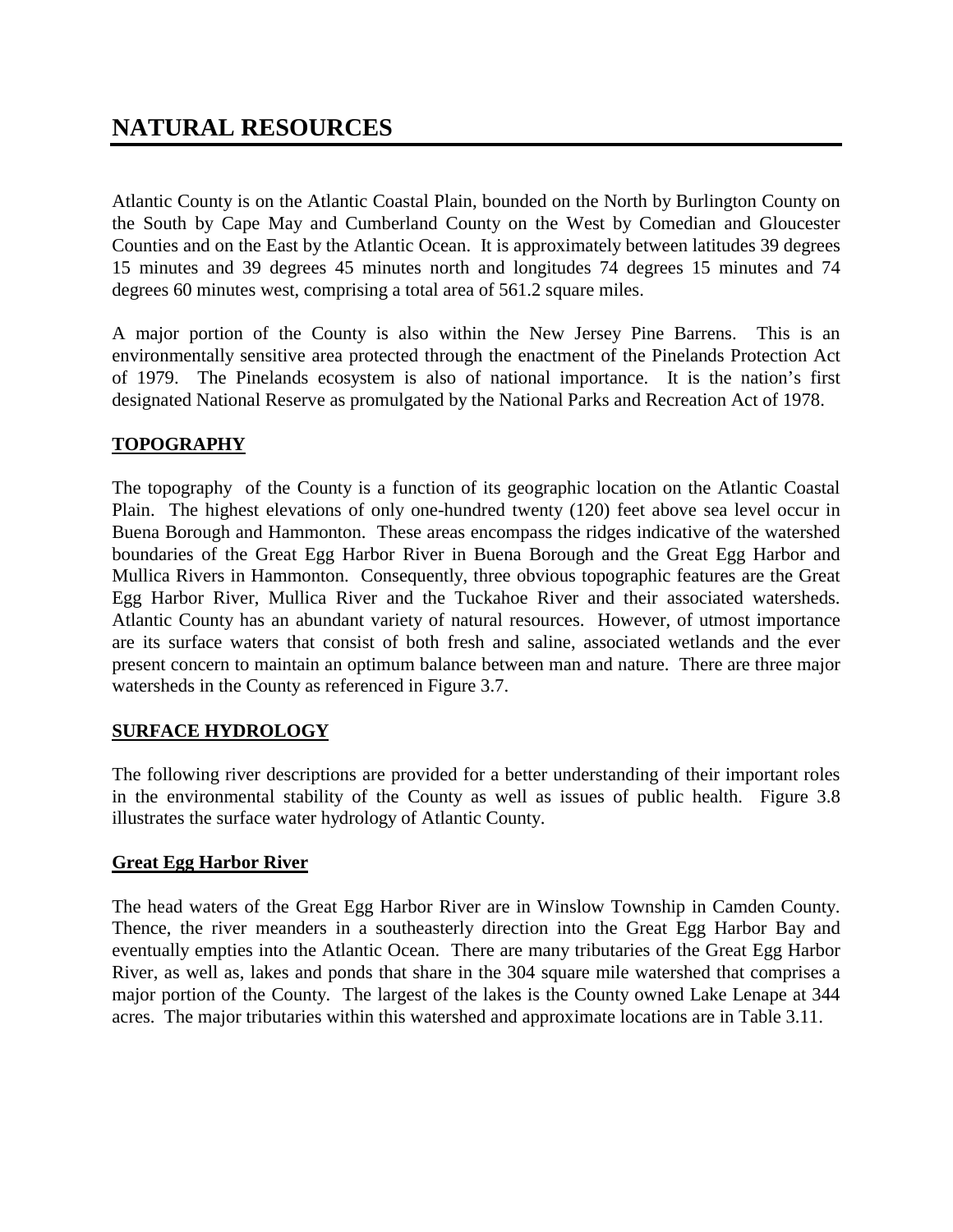Atlantic County is on the Atlantic Coastal Plain, bounded on the North by Burlington County on the South by Cape May and Cumberland County on the West by Comedian and Gloucester Counties and on the East by the Atlantic Ocean. It is approximately between latitudes 39 degrees 15 minutes and 39 degrees 45 minutes north and longitudes 74 degrees 15 minutes and 74 degrees 60 minutes west, comprising a total area of 561.2 square miles.

A major portion of the County is also within the New Jersey Pine Barrens. This is an environmentally sensitive area protected through the enactment of the Pinelands Protection Act of 1979. The Pinelands ecosystem is also of national importance. It is the nation's first designated National Reserve as promulgated by the National Parks and Recreation Act of 1978.

## **TOPOGRAPHY**

The topography of the County is a function of its geographic location on the Atlantic Coastal Plain. The highest elevations of only one-hundred twenty (120) feet above sea level occur in Buena Borough and Hammonton. These areas encompass the ridges indicative of the watershed boundaries of the Great Egg Harbor River in Buena Borough and the Great Egg Harbor and Mullica Rivers in Hammonton. Consequently, three obvious topographic features are the Great Egg Harbor River, Mullica River and the Tuckahoe River and their associated watersheds. Atlantic County has an abundant variety of natural resources. However, of utmost importance are its surface waters that consist of both fresh and saline, associated wetlands and the ever present concern to maintain an optimum balance between man and nature. There are three major watersheds in the County as referenced in Figure 3.7.

## **SURFACE HYDROLOGY**

The following river descriptions are provided for a better understanding of their important roles in the environmental stability of the County as well as issues of public health. Figure 3.8 illustrates the surface water hydrology of Atlantic County.

## **Great Egg Harbor River**

The head waters of the Great Egg Harbor River are in Winslow Township in Camden County. Thence, the river meanders in a southeasterly direction into the Great Egg Harbor Bay and eventually empties into the Atlantic Ocean. There are many tributaries of the Great Egg Harbor River, as well as, lakes and ponds that share in the 304 square mile watershed that comprises a major portion of the County. The largest of the lakes is the County owned Lake Lenape at 344 acres. The major tributaries within this watershed and approximate locations are in Table 3.11.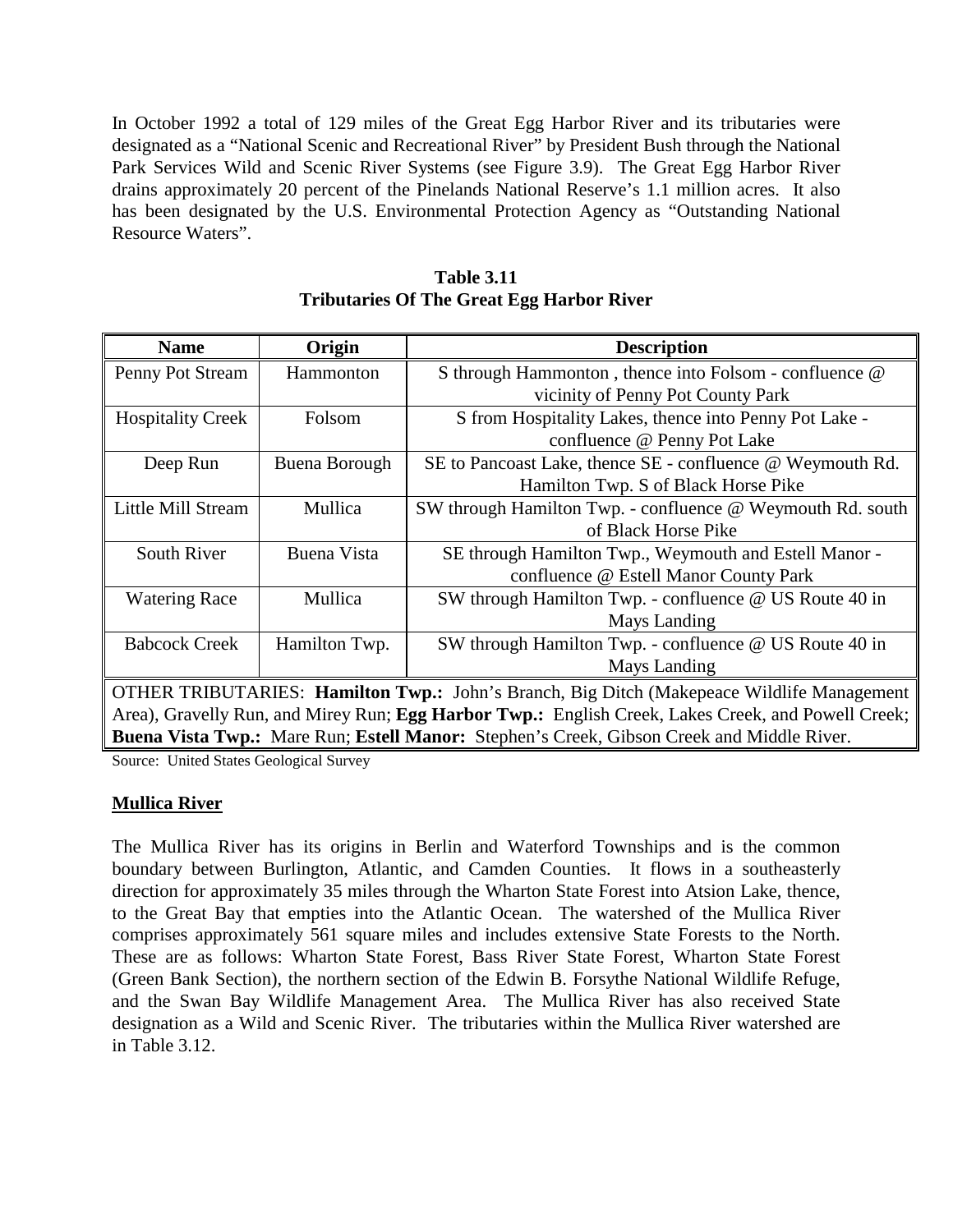In October 1992 a total of 129 miles of the Great Egg Harbor River and its tributaries were designated as a "National Scenic and Recreational River" by President Bush through the National Park Services Wild and Scenic River Systems (see Figure 3.9). The Great Egg Harbor River drains approximately 20 percent of the Pinelands National Reserve's 1.1 million acres. It also has been designated by the U.S. Environmental Protection Agency as "Outstanding National Resource Waters".

| <b>Name</b>                                                                                        | Origin                                                                                    | <b>Description</b>                                                                        |  |  |  |  |
|----------------------------------------------------------------------------------------------------|-------------------------------------------------------------------------------------------|-------------------------------------------------------------------------------------------|--|--|--|--|
| Penny Pot Stream                                                                                   | Hammonton                                                                                 | S through Hammonton, thence into Folsom - confluence @                                    |  |  |  |  |
|                                                                                                    |                                                                                           | vicinity of Penny Pot County Park                                                         |  |  |  |  |
| <b>Hospitality Creek</b>                                                                           | Folsom                                                                                    | S from Hospitality Lakes, thence into Penny Pot Lake -                                    |  |  |  |  |
|                                                                                                    |                                                                                           | confluence @ Penny Pot Lake                                                               |  |  |  |  |
| Deep Run                                                                                           | Buena Borough                                                                             | SE to Pancoast Lake, thence SE - confluence @ Weymouth Rd.                                |  |  |  |  |
|                                                                                                    |                                                                                           | Hamilton Twp. S of Black Horse Pike                                                       |  |  |  |  |
| Little Mill Stream                                                                                 | Mullica                                                                                   | SW through Hamilton Twp. - confluence @ Weymouth Rd. south                                |  |  |  |  |
|                                                                                                    |                                                                                           | of Black Horse Pike                                                                       |  |  |  |  |
| South River                                                                                        | Buena Vista                                                                               | SE through Hamilton Twp., Weymouth and Estell Manor -                                     |  |  |  |  |
|                                                                                                    |                                                                                           | confluence @ Estell Manor County Park                                                     |  |  |  |  |
| <b>Watering Race</b>                                                                               | Mullica                                                                                   | SW through Hamilton Twp. - confluence @ US Route 40 in                                    |  |  |  |  |
|                                                                                                    |                                                                                           | Mays Landing                                                                              |  |  |  |  |
| <b>Babcock Creek</b>                                                                               | Hamilton Twp.                                                                             | SW through Hamilton Twp. - confluence @ US Route 40 in                                    |  |  |  |  |
|                                                                                                    |                                                                                           | Mays Landing                                                                              |  |  |  |  |
|                                                                                                    | OTHER TRIBUTARIES: Hamilton Twp.: John's Branch, Big Ditch (Makepeace Wildlife Management |                                                                                           |  |  |  |  |
| Area), Gravelly Run, and Mirey Run; Egg Harbor Twp.: English Creek, Lakes Creek, and Powell Creek; |                                                                                           |                                                                                           |  |  |  |  |
|                                                                                                    |                                                                                           | Buena Vista Twp.: Mare Run; Estell Manor: Stephen's Creek, Gibson Creek and Middle River. |  |  |  |  |

**Table 3.11 Tributaries Of The Great Egg Harbor River**

Source: United States Geological Survey

### **Mullica River**

The Mullica River has its origins in Berlin and Waterford Townships and is the common boundary between Burlington, Atlantic, and Camden Counties. It flows in a southeasterly direction for approximately 35 miles through the Wharton State Forest into Atsion Lake, thence, to the Great Bay that empties into the Atlantic Ocean. The watershed of the Mullica River comprises approximately 561 square miles and includes extensive State Forests to the North. These are as follows: Wharton State Forest, Bass River State Forest, Wharton State Forest (Green Bank Section), the northern section of the Edwin B. Forsythe National Wildlife Refuge, and the Swan Bay Wildlife Management Area. The Mullica River has also received State designation as a Wild and Scenic River. The tributaries within the Mullica River watershed are in Table 3.12.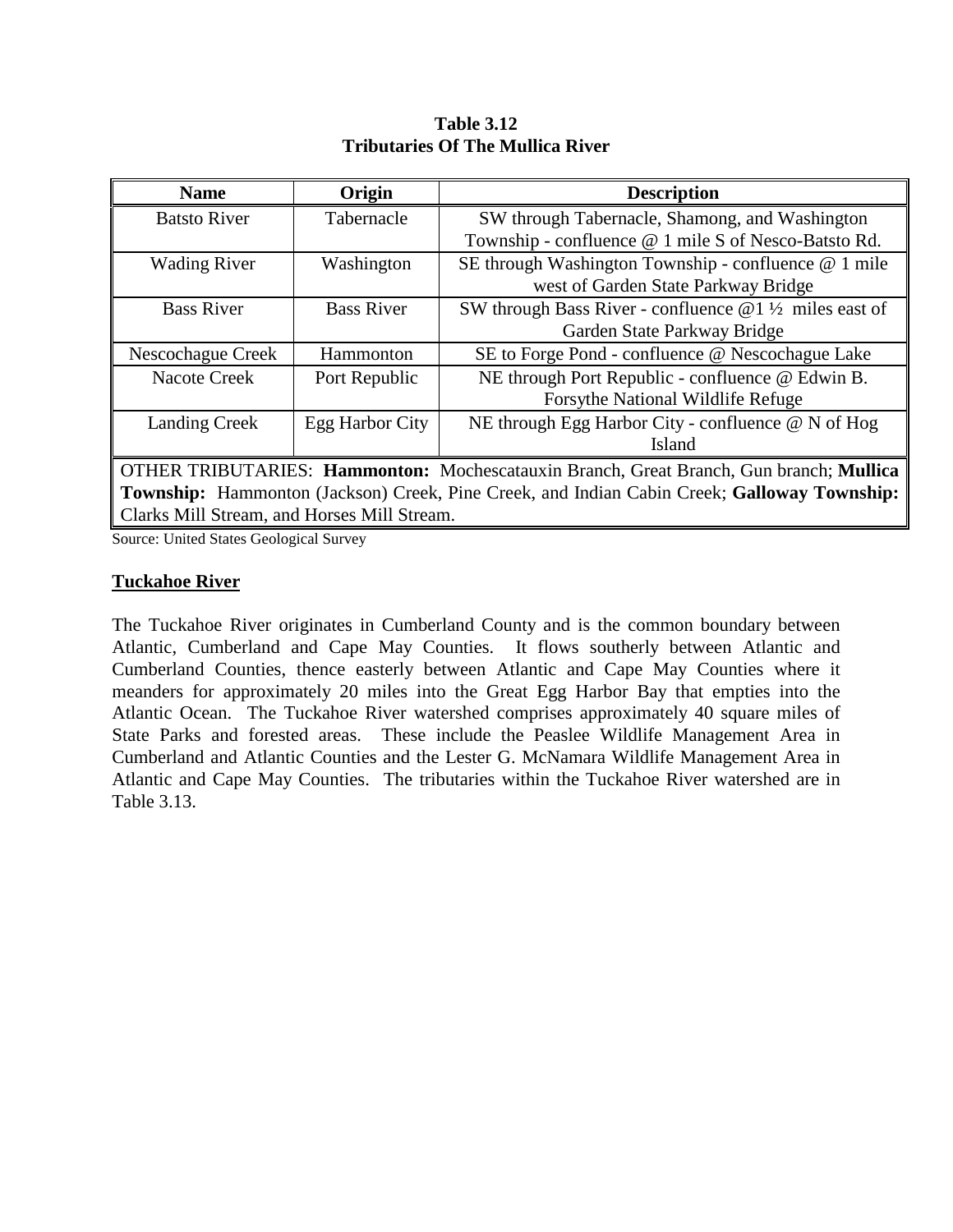| <b>Name</b>                                                                                        | Origin            | <b>Description</b>                                               |  |  |
|----------------------------------------------------------------------------------------------------|-------------------|------------------------------------------------------------------|--|--|
| <b>Batsto River</b>                                                                                | Tabernacle        | SW through Tabernacle, Shamong, and Washington                   |  |  |
|                                                                                                    |                   | Township - confluence @ 1 mile S of Nesco-Batsto Rd.             |  |  |
| <b>Wading River</b>                                                                                | Washington        | SE through Washington Township - confluence @ 1 mile             |  |  |
|                                                                                                    |                   | west of Garden State Parkway Bridge                              |  |  |
| <b>Bass River</b>                                                                                  | <b>Bass River</b> | SW through Bass River - confluence $@1\frac{1}{2}$ miles east of |  |  |
|                                                                                                    |                   | Garden State Parkway Bridge                                      |  |  |
| Nescochague Creek                                                                                  | Hammonton         | SE to Forge Pond - confluence @ Nescochague Lake                 |  |  |
| Nacote Creek                                                                                       | Port Republic     | NE through Port Republic - confluence @ Edwin B.                 |  |  |
|                                                                                                    |                   | Forsythe National Wildlife Refuge                                |  |  |
| <b>Landing Creek</b>                                                                               | Egg Harbor City   | NE through Egg Harbor City - confluence @ N of Hog               |  |  |
|                                                                                                    |                   | Island                                                           |  |  |
| OTHER TRIBUTARIES: Hammonton: Mochescatauxin Branch, Great Branch, Gun branch; Mullica             |                   |                                                                  |  |  |
| <b>Township:</b> Hammonton (Jackson) Creek, Pine Creek, and Indian Cabin Creek; Galloway Township: |                   |                                                                  |  |  |
| Clarks Mill Stream, and Horses Mill Stream.                                                        |                   |                                                                  |  |  |

**Table 3.12 Tributaries Of The Mullica River**

Source: United States Geological Survey

#### **Tuckahoe River**

The Tuckahoe River originates in Cumberland County and is the common boundary between Atlantic, Cumberland and Cape May Counties. It flows southerly between Atlantic and Cumberland Counties, thence easterly between Atlantic and Cape May Counties where it meanders for approximately 20 miles into the Great Egg Harbor Bay that empties into the Atlantic Ocean. The Tuckahoe River watershed comprises approximately 40 square miles of State Parks and forested areas. These include the Peaslee Wildlife Management Area in Cumberland and Atlantic Counties and the Lester G. McNamara Wildlife Management Area in Atlantic and Cape May Counties. The tributaries within the Tuckahoe River watershed are in Table 3.13.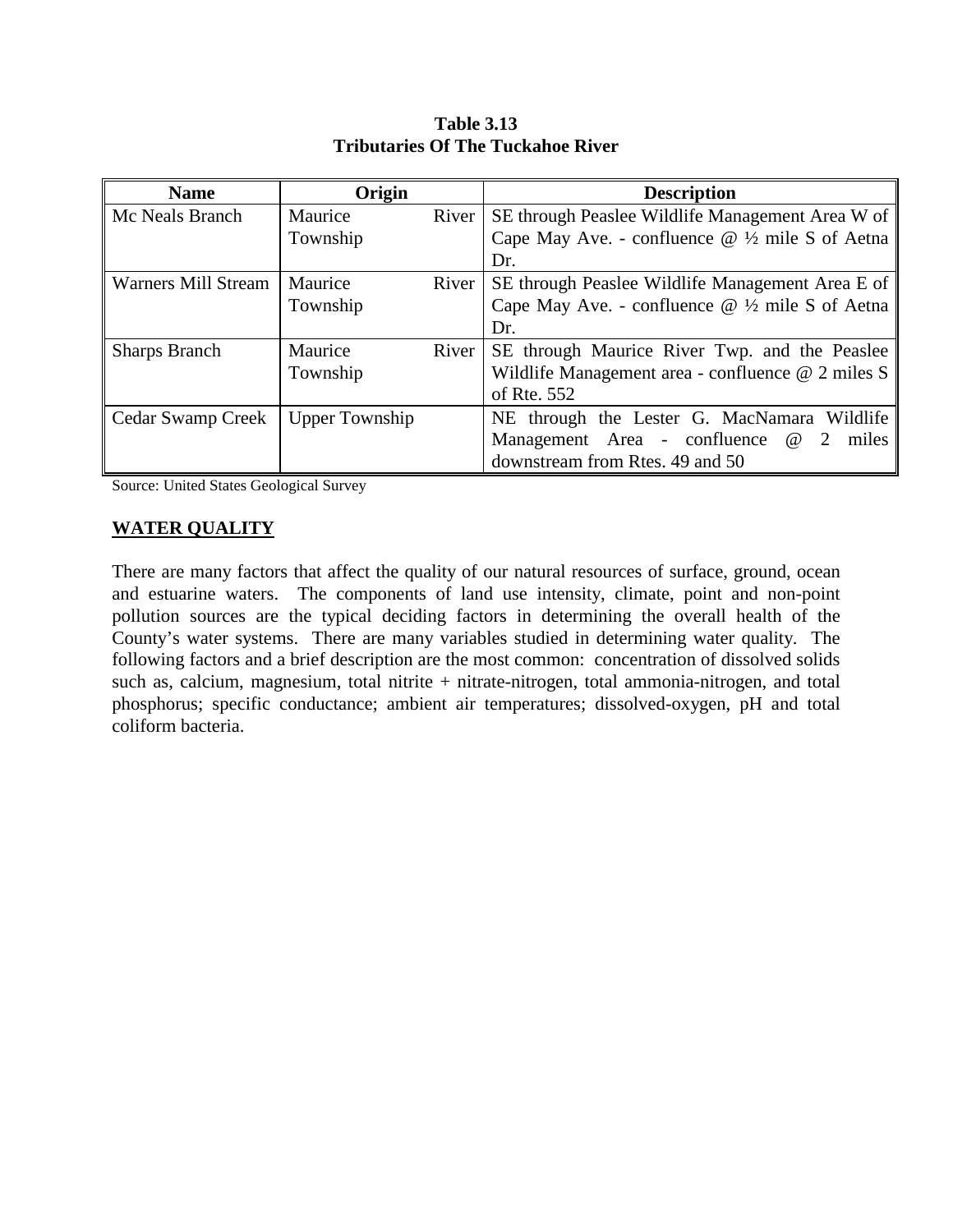| <b>Name</b>                | Origin                |       | <b>Description</b>                                            |
|----------------------------|-----------------------|-------|---------------------------------------------------------------|
| Mc Neals Branch            | Maurice               | River | SE through Peaslee Wildlife Management Area W of              |
|                            | Township              |       | Cape May Ave. - confluence $@ \frac{1}{2}$ mile S of Aetna    |
|                            |                       |       | Dr.                                                           |
| <b>Warners Mill Stream</b> | Maurice               | River | SE through Peaslee Wildlife Management Area E of              |
|                            | Township              |       | Cape May Ave. - confluence $@$ ½ mile S of Aetna              |
|                            |                       |       | Dr.                                                           |
| <b>Sharps Branch</b>       | Maurice               | River | SE through Maurice River Twp. and the Peaslee                 |
|                            | Township              |       | Wildlife Management area - confluence $@$ 2 miles S           |
|                            |                       |       | of Rte. 552                                                   |
| Cedar Swamp Creek          | <b>Upper Township</b> |       | NE through the Lester G. MacNamara Wildlife                   |
|                            |                       |       | Management Area - confluence<br>$^{\copyright}$<br>2<br>miles |
|                            |                       |       | downstream from Rtes. 49 and 50                               |

**Table 3.13 Tributaries Of The Tuckahoe River**

Source: United States Geological Survey

#### **WATER QUALITY**

There are many factors that affect the quality of our natural resources of surface, ground, ocean and estuarine waters. The components of land use intensity, climate, point and non-point pollution sources are the typical deciding factors in determining the overall health of the County's water systems. There are many variables studied in determining water quality. The following factors and a brief description are the most common: concentration of dissolved solids such as, calcium, magnesium, total nitrite + nitrate-nitrogen, total ammonia-nitrogen, and total phosphorus; specific conductance; ambient air temperatures; dissolved-oxygen, pH and total coliform bacteria.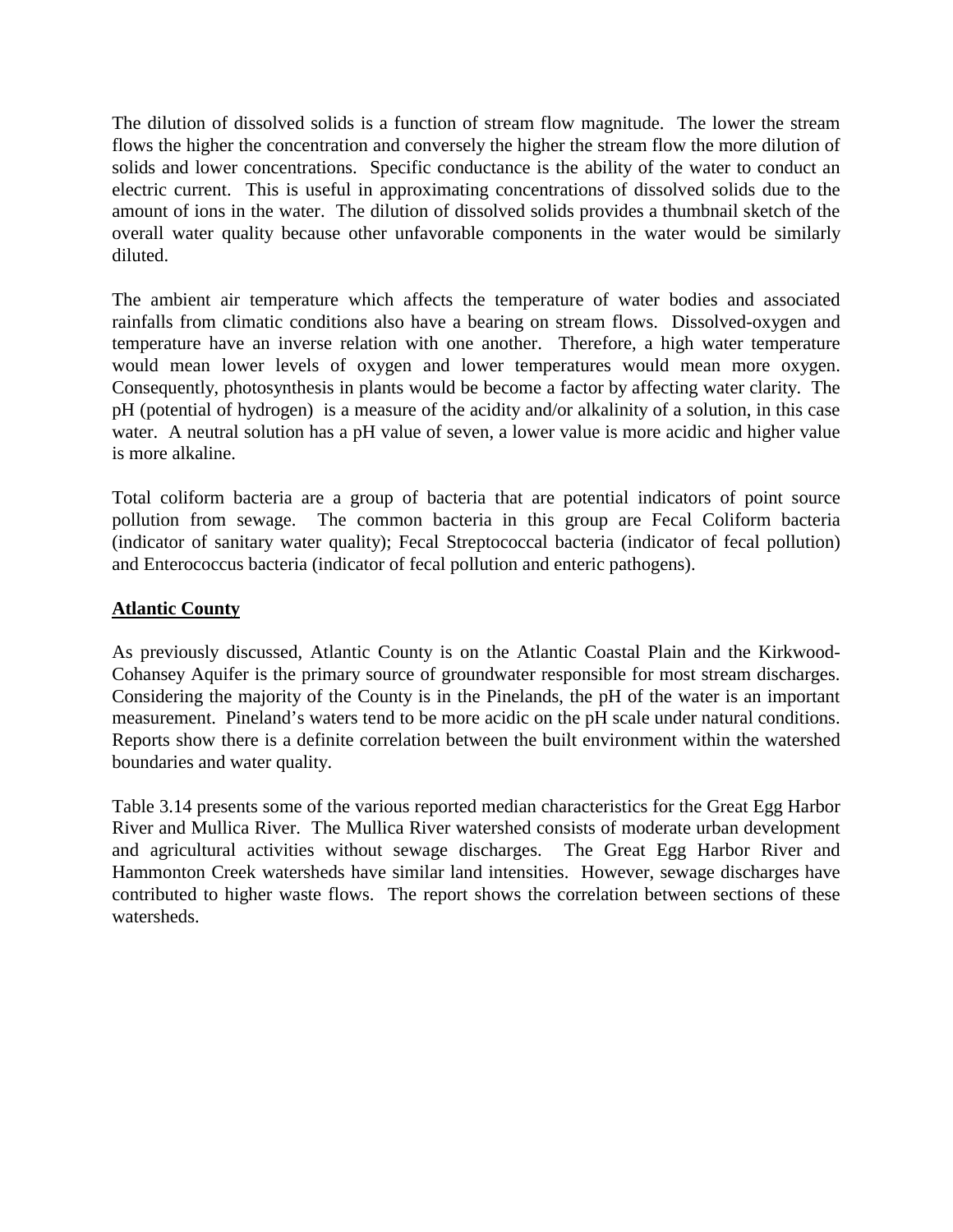The dilution of dissolved solids is a function of stream flow magnitude. The lower the stream flows the higher the concentration and conversely the higher the stream flow the more dilution of solids and lower concentrations. Specific conductance is the ability of the water to conduct an electric current. This is useful in approximating concentrations of dissolved solids due to the amount of ions in the water. The dilution of dissolved solids provides a thumbnail sketch of the overall water quality because other unfavorable components in the water would be similarly diluted.

The ambient air temperature which affects the temperature of water bodies and associated rainfalls from climatic conditions also have a bearing on stream flows. Dissolved-oxygen and temperature have an inverse relation with one another. Therefore, a high water temperature would mean lower levels of oxygen and lower temperatures would mean more oxygen. Consequently, photosynthesis in plants would be become a factor by affecting water clarity. The pH (potential of hydrogen) is a measure of the acidity and/or alkalinity of a solution, in this case water. A neutral solution has a pH value of seven, a lower value is more acidic and higher value is more alkaline.

Total coliform bacteria are a group of bacteria that are potential indicators of point source pollution from sewage. The common bacteria in this group are Fecal Coliform bacteria (indicator of sanitary water quality); Fecal Streptococcal bacteria (indicator of fecal pollution) and Enterococcus bacteria (indicator of fecal pollution and enteric pathogens).

#### **Atlantic County**

As previously discussed, Atlantic County is on the Atlantic Coastal Plain and the Kirkwood-Cohansey Aquifer is the primary source of groundwater responsible for most stream discharges. Considering the majority of the County is in the Pinelands, the pH of the water is an important measurement. Pineland's waters tend to be more acidic on the pH scale under natural conditions. Reports show there is a definite correlation between the built environment within the watershed boundaries and water quality.

Table 3.14 presents some of the various reported median characteristics for the Great Egg Harbor River and Mullica River. The Mullica River watershed consists of moderate urban development and agricultural activities without sewage discharges. The Great Egg Harbor River and Hammonton Creek watersheds have similar land intensities. However, sewage discharges have contributed to higher waste flows. The report shows the correlation between sections of these watersheds.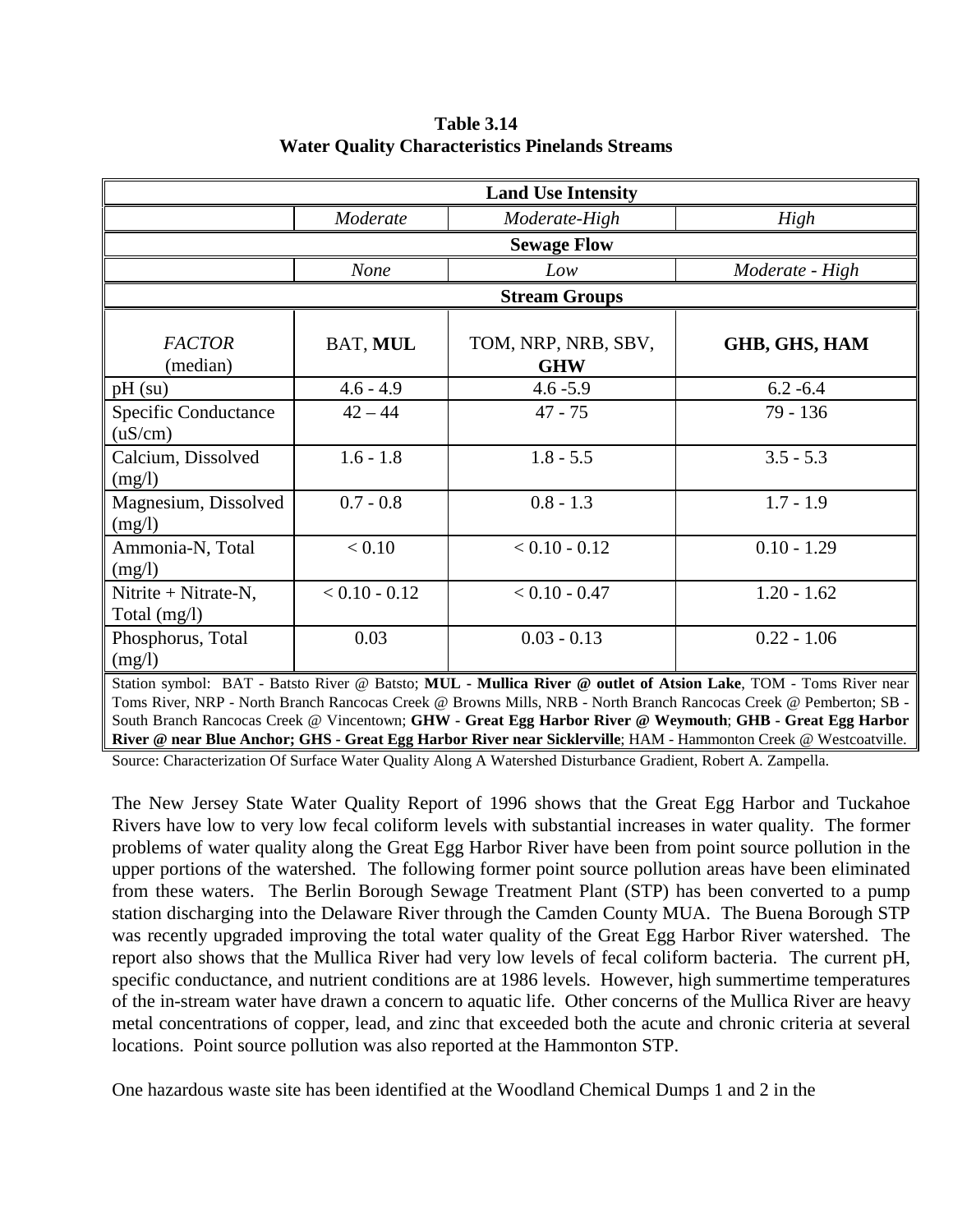| <b>Land Use Intensity</b>                                                                                                                                                                                                                                                                                                                                                                                                                                             |                 |                 |                 |  |  |  |  |  |
|-----------------------------------------------------------------------------------------------------------------------------------------------------------------------------------------------------------------------------------------------------------------------------------------------------------------------------------------------------------------------------------------------------------------------------------------------------------------------|-----------------|-----------------|-----------------|--|--|--|--|--|
|                                                                                                                                                                                                                                                                                                                                                                                                                                                                       | Moderate        | Moderate-High   | High            |  |  |  |  |  |
| <b>Sewage Flow</b>                                                                                                                                                                                                                                                                                                                                                                                                                                                    |                 |                 |                 |  |  |  |  |  |
|                                                                                                                                                                                                                                                                                                                                                                                                                                                                       | None            | Low             | Moderate - High |  |  |  |  |  |
| <b>Stream Groups</b>                                                                                                                                                                                                                                                                                                                                                                                                                                                  |                 |                 |                 |  |  |  |  |  |
| <b>FACTOR</b><br>BAT, MUL<br>TOM, NRP, NRB, SBV,<br><b>GHB, GHS, HAM</b><br><b>GHW</b><br>(median)                                                                                                                                                                                                                                                                                                                                                                    |                 |                 |                 |  |  |  |  |  |
| $pH$ (su)                                                                                                                                                                                                                                                                                                                                                                                                                                                             | $4.6 - 4.9$     | $4.6 - 5.9$     | $6.2 - 6.4$     |  |  |  |  |  |
| Specific Conductance<br>(uS/cm)                                                                                                                                                                                                                                                                                                                                                                                                                                       | $42 - 44$       | $47 - 75$       | 79 - 136        |  |  |  |  |  |
| Calcium, Dissolved<br>(mg/l)                                                                                                                                                                                                                                                                                                                                                                                                                                          | $1.6 - 1.8$     | $1.8 - 5.5$     | $3.5 - 5.3$     |  |  |  |  |  |
| Magnesium, Dissolved<br>(mg/l)                                                                                                                                                                                                                                                                                                                                                                                                                                        | $0.7 - 0.8$     | $0.8 - 1.3$     | $1.7 - 1.9$     |  |  |  |  |  |
| Ammonia-N, Total<br>(mg/l)                                                                                                                                                                                                                                                                                                                                                                                                                                            | < 0.10          | $< 0.10 - 0.12$ | $0.10 - 1.29$   |  |  |  |  |  |
| Nitrite + Nitrate-N,<br>Total (mg/l)                                                                                                                                                                                                                                                                                                                                                                                                                                  | $< 0.10 - 0.12$ | $< 0.10 - 0.47$ | $1.20 - 1.62$   |  |  |  |  |  |
| Phosphorus, Total<br>(mg/l)                                                                                                                                                                                                                                                                                                                                                                                                                                           | 0.03            | $0.03 - 0.13$   | $0.22 - 1.06$   |  |  |  |  |  |
| Station symbol: BAT - Batsto River @ Batsto; MUL - Mullica River @ outlet of Atsion Lake, TOM - Toms River near<br>Toms River, NRP - North Branch Rancocas Creek @ Browns Mills, NRB - North Branch Rancocas Creek @ Pemberton; SB -<br>South Branch Rancocas Creek @ Vincentown; GHW - Great Egg Harbor River @ Weymouth; GHB - Great Egg Harbor<br>River @ near Blue Anchor; GHS - Great Egg Harbor River near Sicklerville; HAM - Hammonton Creek @ Westcoatville. |                 |                 |                 |  |  |  |  |  |

#### **Table 3.14 Water Quality Characteristics Pinelands Streams**

Source: Characterization Of Surface Water Quality Along A Watershed Disturbance Gradient, Robert A. Zampella.

The New Jersey State Water Quality Report of 1996 shows that the Great Egg Harbor and Tuckahoe Rivers have low to very low fecal coliform levels with substantial increases in water quality. The former problems of water quality along the Great Egg Harbor River have been from point source pollution in the upper portions of the watershed. The following former point source pollution areas have been eliminated from these waters. The Berlin Borough Sewage Treatment Plant (STP) has been converted to a pump station discharging into the Delaware River through the Camden County MUA. The Buena Borough STP was recently upgraded improving the total water quality of the Great Egg Harbor River watershed. The report also shows that the Mullica River had very low levels of fecal coliform bacteria. The current pH, specific conductance, and nutrient conditions are at 1986 levels. However, high summertime temperatures of the in-stream water have drawn a concern to aquatic life. Other concerns of the Mullica River are heavy metal concentrations of copper, lead, and zinc that exceeded both the acute and chronic criteria at several locations. Point source pollution was also reported at the Hammonton STP.

One hazardous waste site has been identified at the Woodland Chemical Dumps 1 and 2 in the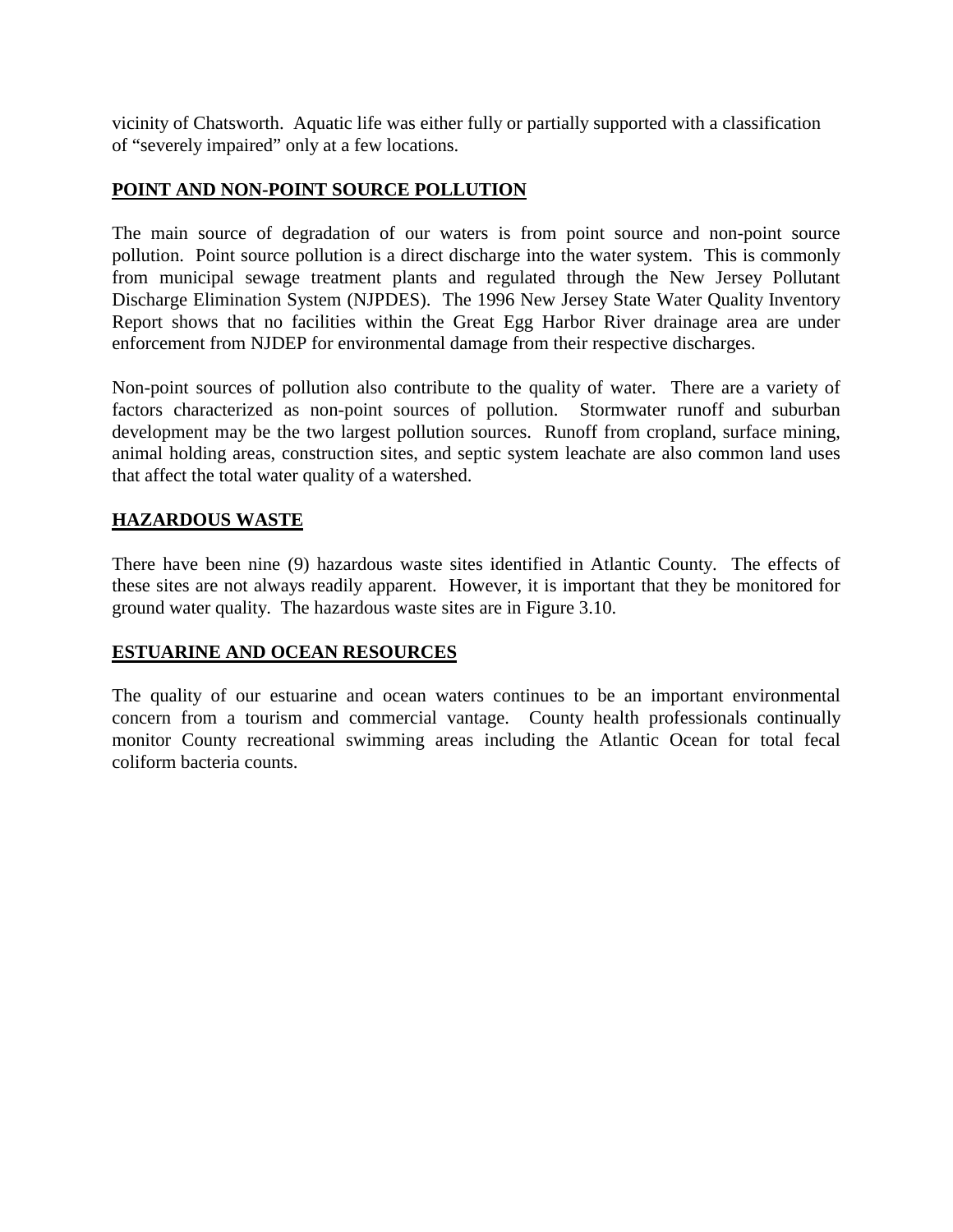vicinity of Chatsworth. Aquatic life was either fully or partially supported with a classification of "severely impaired" only at a few locations.

#### **POINT AND NON-POINT SOURCE POLLUTION**

The main source of degradation of our waters is from point source and non-point source pollution. Point source pollution is a direct discharge into the water system. This is commonly from municipal sewage treatment plants and regulated through the New Jersey Pollutant Discharge Elimination System (NJPDES). The 1996 New Jersey State Water Quality Inventory Report shows that no facilities within the Great Egg Harbor River drainage area are under enforcement from NJDEP for environmental damage from their respective discharges.

Non-point sources of pollution also contribute to the quality of water. There are a variety of factors characterized as non-point sources of pollution. Stormwater runoff and suburban development may be the two largest pollution sources. Runoff from cropland, surface mining, animal holding areas, construction sites, and septic system leachate are also common land uses that affect the total water quality of a watershed.

## **HAZARDOUS WASTE**

There have been nine (9) hazardous waste sites identified in Atlantic County. The effects of these sites are not always readily apparent. However, it is important that they be monitored for ground water quality. The hazardous waste sites are in Figure 3.10.

#### **ESTUARINE AND OCEAN RESOURCES**

The quality of our estuarine and ocean waters continues to be an important environmental concern from a tourism and commercial vantage. County health professionals continually monitor County recreational swimming areas including the Atlantic Ocean for total fecal coliform bacteria counts.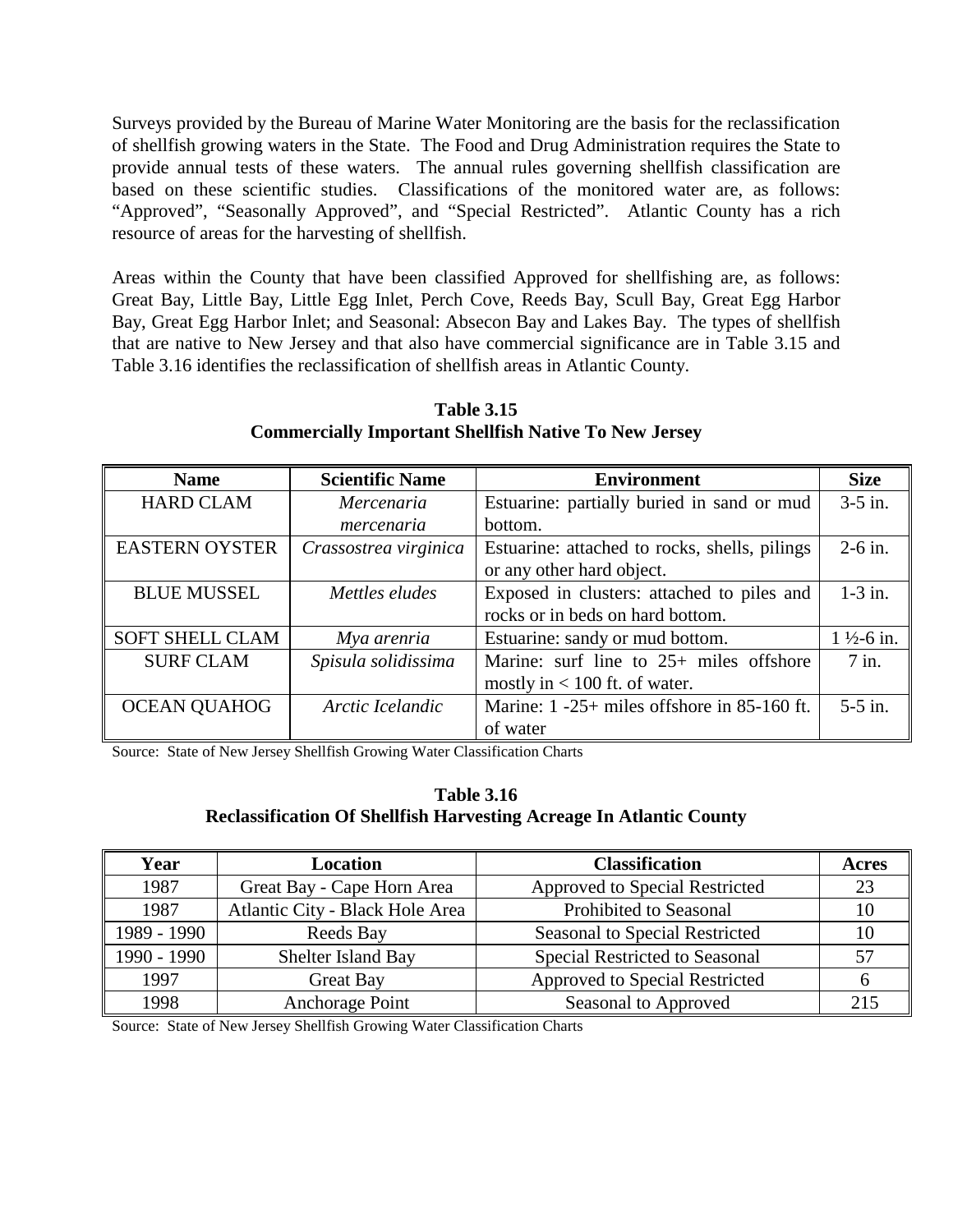Surveys provided by the Bureau of Marine Water Monitoring are the basis for the reclassification of shellfish growing waters in the State. The Food and Drug Administration requires the State to provide annual tests of these waters. The annual rules governing shellfish classification are based on these scientific studies. Classifications of the monitored water are, as follows: "Approved", "Seasonally Approved", and "Special Restricted". Atlantic County has a rich resource of areas for the harvesting of shellfish.

Areas within the County that have been classified Approved for shellfishing are, as follows: Great Bay, Little Bay, Little Egg Inlet, Perch Cove, Reeds Bay, Scull Bay, Great Egg Harbor Bay, Great Egg Harbor Inlet; and Seasonal: Absecon Bay and Lakes Bay. The types of shellfish that are native to New Jersey and that also have commercial significance are in Table 3.15 and Table 3.16 identifies the reclassification of shellfish areas in Atlantic County.

| <b>Name</b>            | <b>Scientific Name</b> | <b>Environment</b>                              | <b>Size</b>           |
|------------------------|------------------------|-------------------------------------------------|-----------------------|
| <b>HARD CLAM</b>       | <i>Mercenaria</i>      | Estuarine: partially buried in sand or mud      | $3-5$ in.             |
|                        | mercenaria             | bottom.                                         |                       |
| <b>EASTERN OYSTER</b>  | Crassostrea virginica  | Estuarine: attached to rocks, shells, pilings   | $2-6$ in.             |
|                        |                        | or any other hard object.                       |                       |
| <b>BLUE MUSSEL</b>     | Mettles eludes         | Exposed in clusters: attached to piles and      | $1-3$ in.             |
|                        |                        | rocks or in beds on hard bottom.                |                       |
| <b>SOFT SHELL CLAM</b> | Mya arenria            | Estuarine: sandy or mud bottom.                 | $1\frac{1}{2}$ -6 in. |
| <b>SURF CLAM</b>       | Spisula solidissima    | Marine: surf line to 25+ miles offshore         | $7$ in.               |
|                        |                        | mostly in $< 100$ ft. of water.                 |                       |
| <b>OCEAN QUAHOG</b>    | Arctic Icelandic       | Marine: $1 - 25$ + miles offshore in 85-160 ft. | $5-5$ in.             |
|                        |                        | of water                                        |                       |

**Table 3.15 Commercially Important Shellfish Native To New Jersey**

Source: State of New Jersey Shellfish Growing Water Classification Charts

#### **Table 3.16 Reclassification Of Shellfish Harvesting Acreage In Atlantic County**

| Year        | Location                        | <b>Classification</b>                 | Acres |
|-------------|---------------------------------|---------------------------------------|-------|
| 1987        | Great Bay - Cape Horn Area      | Approved to Special Restricted        | 23    |
| 1987        | Atlantic City - Black Hole Area | Prohibited to Seasonal                | 10    |
| 1989 - 1990 | Reeds Bay                       | <b>Seasonal to Special Restricted</b> | 10    |
| 1990 - 1990 | Shelter Island Bay              | Special Restricted to Seasonal        | 57    |
| 1997        | <b>Great Bay</b>                | Approved to Special Restricted        |       |
| 1998        | Anchorage Point                 | Seasonal to Approved                  | 215   |

Source: State of New Jersey Shellfish Growing Water Classification Charts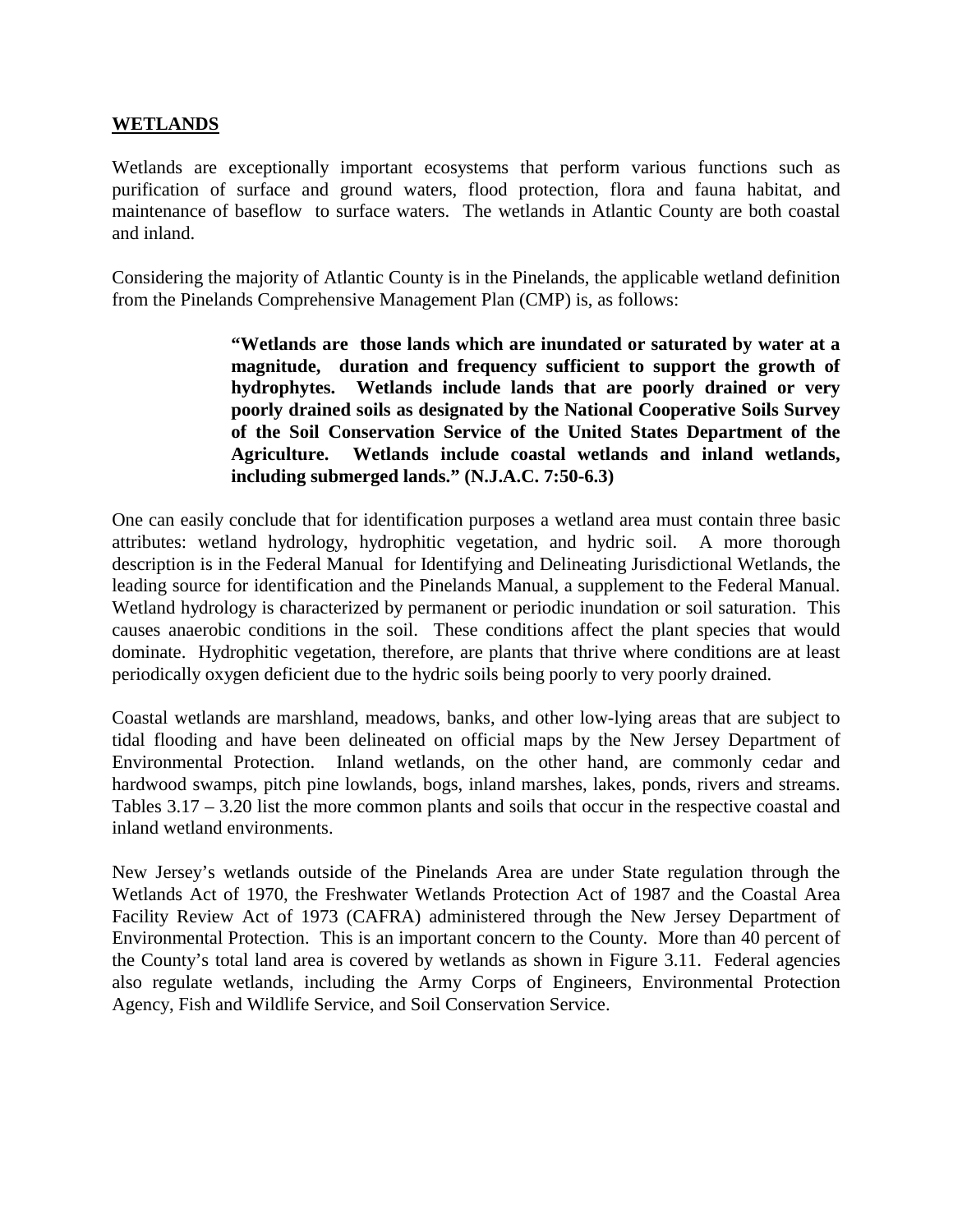#### **WETLANDS**

Wetlands are exceptionally important ecosystems that perform various functions such as purification of surface and ground waters, flood protection, flora and fauna habitat, and maintenance of baseflow to surface waters. The wetlands in Atlantic County are both coastal and inland.

Considering the majority of Atlantic County is in the Pinelands, the applicable wetland definition from the Pinelands Comprehensive Management Plan (CMP) is, as follows:

> **"Wetlands are those lands which are inundated or saturated by water at a magnitude, duration and frequency sufficient to support the growth of hydrophytes. Wetlands include lands that are poorly drained or very poorly drained soils as designated by the National Cooperative Soils Survey of the Soil Conservation Service of the United States Department of the Agriculture. Wetlands include coastal wetlands and inland wetlands, including submerged lands." (N.J.A.C. 7:50-6.3)**

One can easily conclude that for identification purposes a wetland area must contain three basic attributes: wetland hydrology, hydrophitic vegetation, and hydric soil. A more thorough description is in the Federal Manual for Identifying and Delineating Jurisdictional Wetlands, the leading source for identification and the Pinelands Manual, a supplement to the Federal Manual. Wetland hydrology is characterized by permanent or periodic inundation or soil saturation. This causes anaerobic conditions in the soil. These conditions affect the plant species that would dominate. Hydrophitic vegetation, therefore, are plants that thrive where conditions are at least periodically oxygen deficient due to the hydric soils being poorly to very poorly drained.

Coastal wetlands are marshland, meadows, banks, and other low-lying areas that are subject to tidal flooding and have been delineated on official maps by the New Jersey Department of Environmental Protection. Inland wetlands, on the other hand, are commonly cedar and hardwood swamps, pitch pine lowlands, bogs, inland marshes, lakes, ponds, rivers and streams. Tables 3.17 – 3.20 list the more common plants and soils that occur in the respective coastal and inland wetland environments.

New Jersey's wetlands outside of the Pinelands Area are under State regulation through the Wetlands Act of 1970, the Freshwater Wetlands Protection Act of 1987 and the Coastal Area Facility Review Act of 1973 (CAFRA) administered through the New Jersey Department of Environmental Protection. This is an important concern to the County. More than 40 percent of the County's total land area is covered by wetlands as shown in Figure 3.11. Federal agencies also regulate wetlands, including the Army Corps of Engineers, Environmental Protection Agency, Fish and Wildlife Service, and Soil Conservation Service.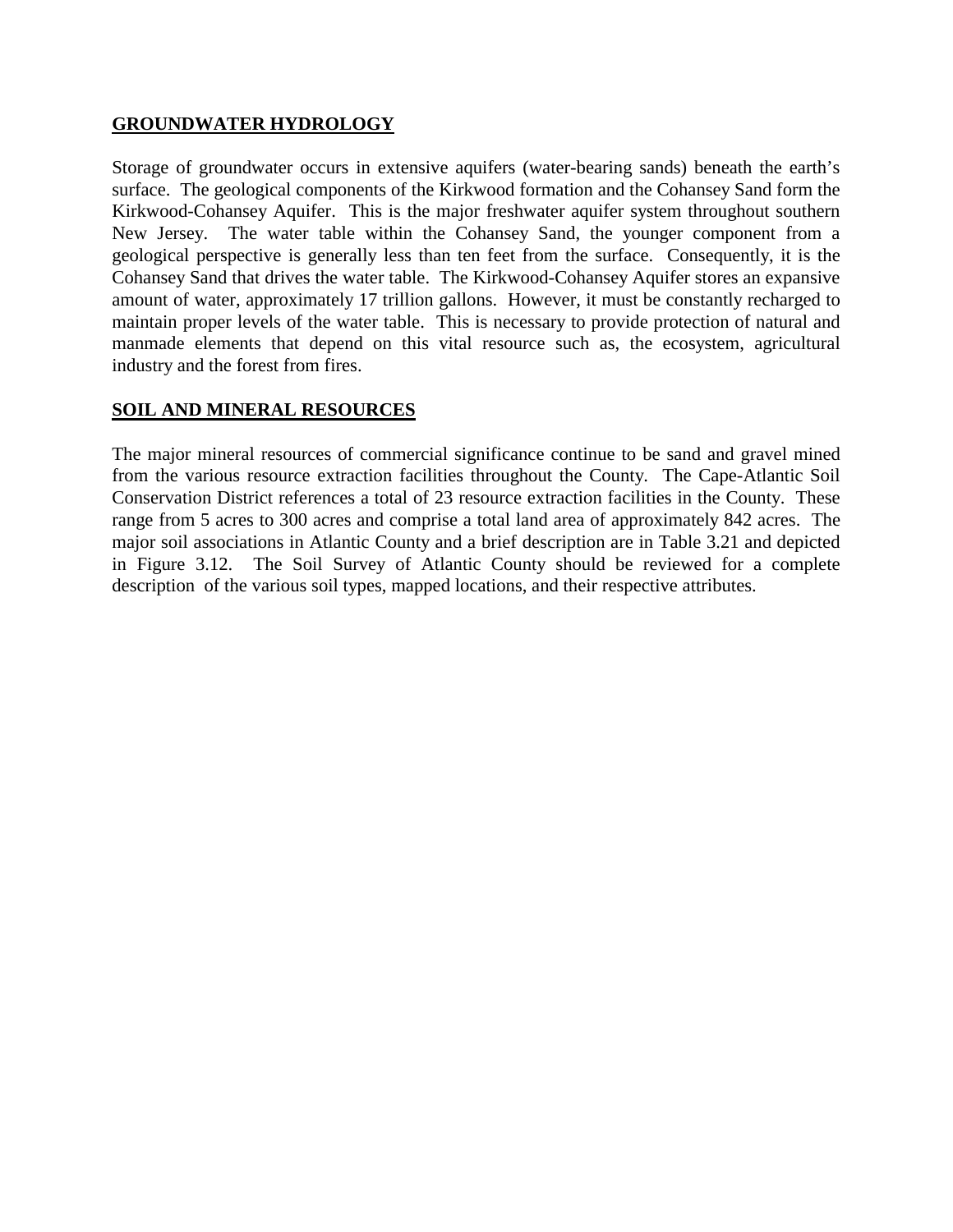#### **GROUNDWATER HYDROLOGY**

Storage of groundwater occurs in extensive aquifers (water-bearing sands) beneath the earth's surface. The geological components of the Kirkwood formation and the Cohansey Sand form the Kirkwood-Cohansey Aquifer. This is the major freshwater aquifer system throughout southern New Jersey. The water table within the Cohansey Sand, the younger component from a geological perspective is generally less than ten feet from the surface. Consequently, it is the Cohansey Sand that drives the water table. The Kirkwood-Cohansey Aquifer stores an expansive amount of water, approximately 17 trillion gallons. However, it must be constantly recharged to maintain proper levels of the water table. This is necessary to provide protection of natural and manmade elements that depend on this vital resource such as, the ecosystem, agricultural industry and the forest from fires.

#### **SOIL AND MINERAL RESOURCES**

The major mineral resources of commercial significance continue to be sand and gravel mined from the various resource extraction facilities throughout the County. The Cape-Atlantic Soil Conservation District references a total of 23 resource extraction facilities in the County. These range from 5 acres to 300 acres and comprise a total land area of approximately 842 acres. The major soil associations in Atlantic County and a brief description are in Table 3.21 and depicted in Figure 3.12. The Soil Survey of Atlantic County should be reviewed for a complete description of the various soil types, mapped locations, and their respective attributes.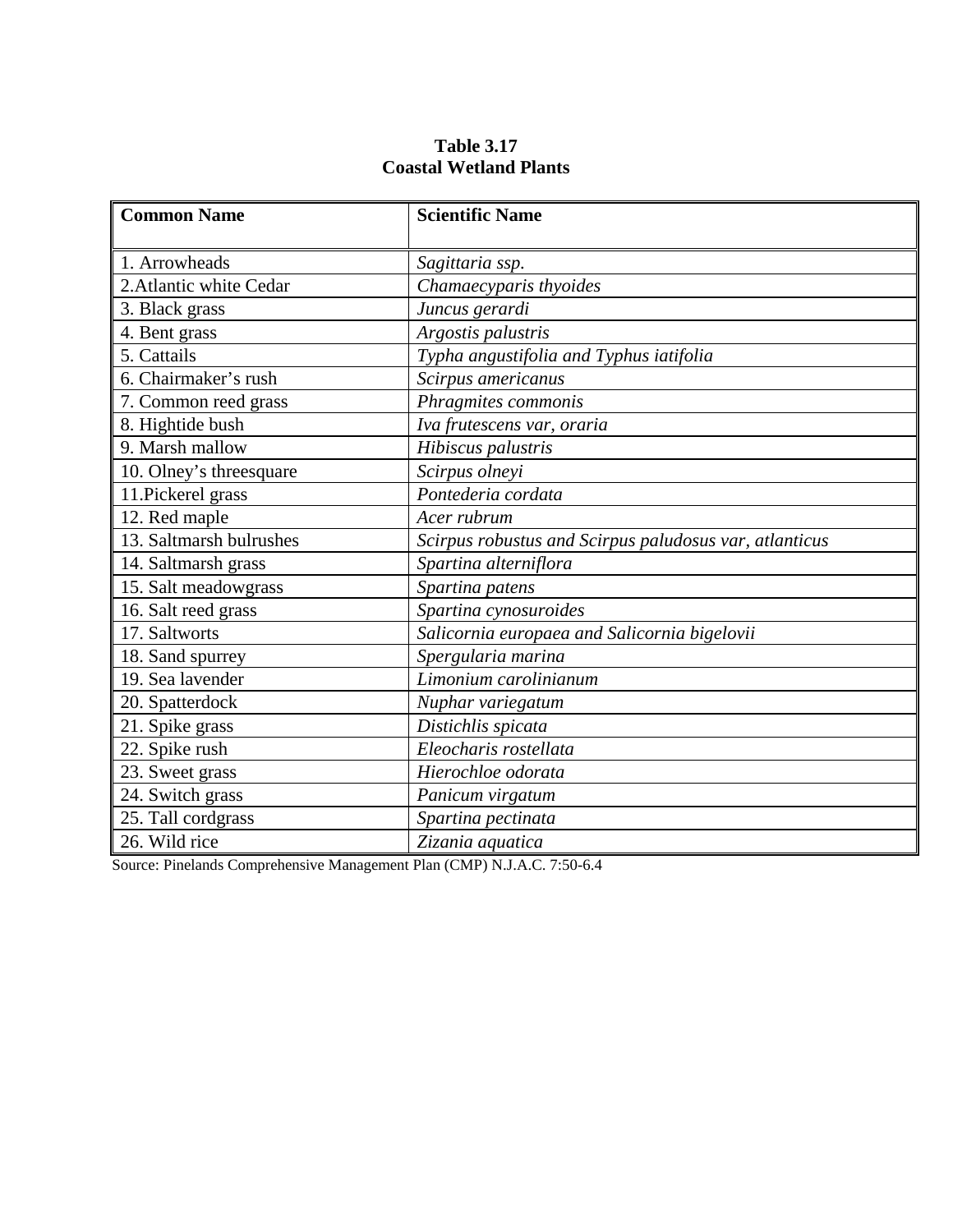| <b>Common Name</b>      | <b>Scientific Name</b>                                 |
|-------------------------|--------------------------------------------------------|
| 1. Arrowheads           | Sagittaria ssp.                                        |
| 2. Atlantic white Cedar | Chamaecyparis thyoides                                 |
| 3. Black grass          | Juncus gerardi                                         |
| 4. Bent grass           | Argostis palustris                                     |
| 5. Cattails             | Typha angustifolia and Typhus iatifolia                |
| 6. Chairmaker's rush    | Scirpus americanus                                     |
| 7. Common reed grass    | Phragmites commonis                                    |
| 8. Hightide bush        | Iva frutescens var, oraria                             |
| 9. Marsh mallow         | Hibiscus palustris                                     |
| 10. Olney's threesquare | Scirpus olneyi                                         |
| 11. Pickerel grass      | Pontederia cordata                                     |
| 12. Red maple           | Acer rubrum                                            |
| 13. Saltmarsh bulrushes | Scirpus robustus and Scirpus paludosus var, atlanticus |
| 14. Saltmarsh grass     | Spartina alterniflora                                  |
| 15. Salt meadowgrass    | Spartina patens                                        |
| 16. Salt reed grass     | Spartina cynosuroides                                  |
| 17. Saltworts           | Salicornia europaea and Salicornia bigelovii           |
| 18. Sand spurrey        | Spergularia marina                                     |
| 19. Sea lavender        | Limonium carolinianum                                  |
| 20. Spatterdock         | Nuphar variegatum                                      |
| 21. Spike grass         | Distichlis spicata                                     |
| 22. Spike rush          | Eleocharis rostellata                                  |
| 23. Sweet grass         | Hierochloe odorata                                     |
| 24. Switch grass        | Panicum virgatum                                       |
| 25. Tall cordgrass      | Spartina pectinata                                     |
| 26. Wild rice           | Zizania aquatica                                       |

## **Table 3.17 Coastal Wetland Plants**

Source: Pinelands Comprehensive Management Plan (CMP) N.J.A.C. 7:50-6.4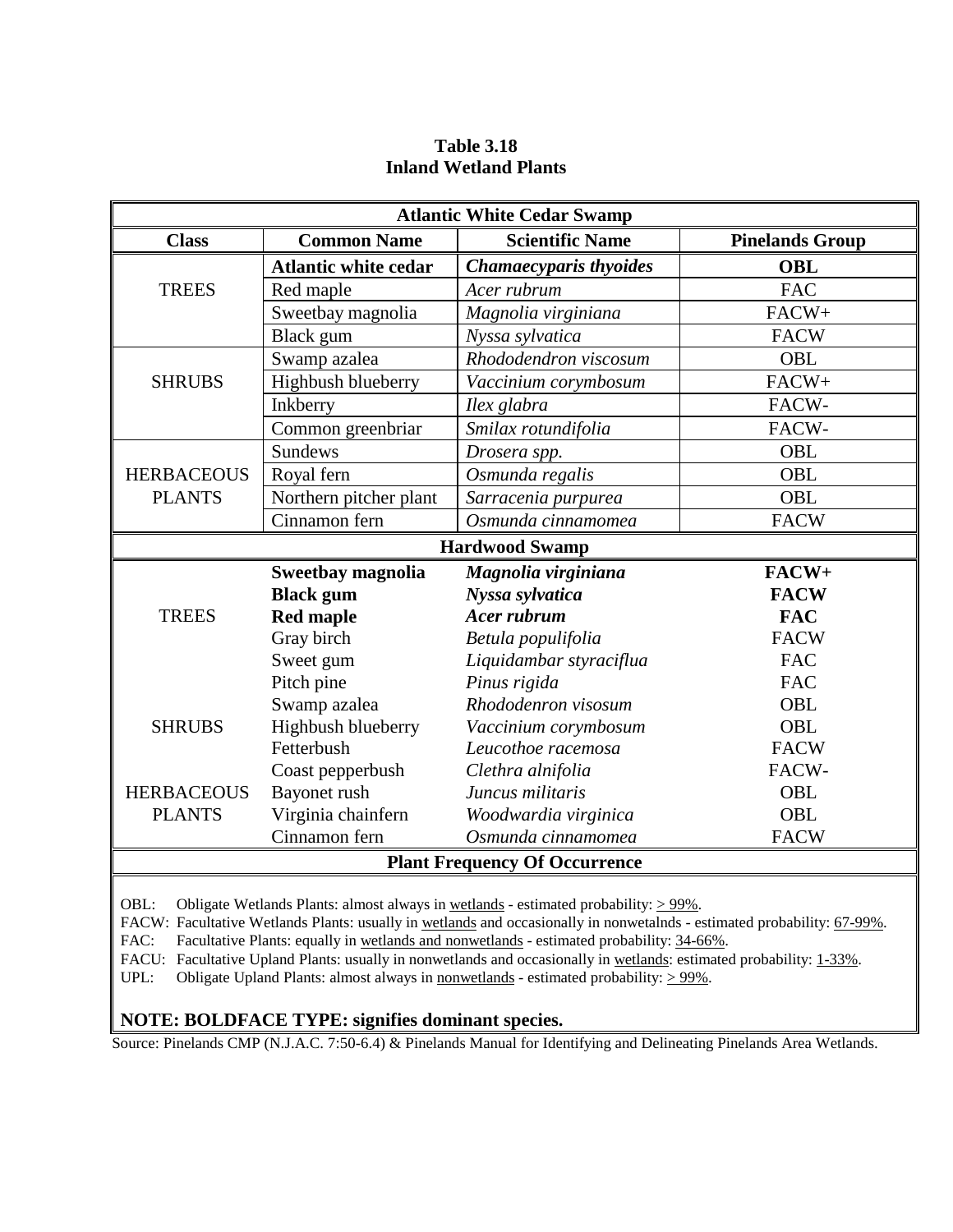| <b>Atlantic White Cedar Swamp</b> |                             |                                      |                        |  |  |
|-----------------------------------|-----------------------------|--------------------------------------|------------------------|--|--|
| <b>Class</b>                      | <b>Common Name</b>          | <b>Scientific Name</b>               | <b>Pinelands Group</b> |  |  |
|                                   | <b>Atlantic white cedar</b> | Chamaecyparis thyoides               | <b>OBL</b>             |  |  |
| <b>TREES</b>                      | Red maple                   | Acer rubrum                          | <b>FAC</b>             |  |  |
|                                   | Sweetbay magnolia           | Magnolia virginiana                  | FACW+                  |  |  |
|                                   | Black gum                   | Nyssa sylvatica                      | <b>FACW</b>            |  |  |
|                                   | Swamp azalea                | Rhododendron viscosum                | OBL                    |  |  |
| <b>SHRUBS</b>                     | Highbush blueberry          | Vaccinium corymbosum                 | FACW+                  |  |  |
|                                   | Inkberry                    | Ilex glabra                          | FACW-                  |  |  |
|                                   | Common greenbriar           | Smilax rotundifolia                  | FACW-                  |  |  |
|                                   | <b>Sundews</b>              | Drosera spp.                         | OBL                    |  |  |
| <b>HERBACEOUS</b>                 | Royal fern                  | Osmunda regalis                      | <b>OBL</b>             |  |  |
| <b>PLANTS</b>                     | Northern pitcher plant      | Sarracenia purpurea                  | OBL                    |  |  |
|                                   | Cinnamon fern               | Osmunda cinnamomea                   | <b>FACW</b>            |  |  |
|                                   |                             | <b>Hardwood Swamp</b>                |                        |  |  |
|                                   | Sweetbay magnolia           | Magnolia virginiana                  | FACW+                  |  |  |
|                                   | <b>Black</b> gum            | Nyssa sylvatica                      | <b>FACW</b>            |  |  |
| <b>TREES</b>                      | <b>Red maple</b>            | <b>Acer rubrum</b>                   | <b>FAC</b>             |  |  |
|                                   | Gray birch                  | Betula populifolia                   | <b>FACW</b>            |  |  |
|                                   | Sweet gum                   | Liquidambar styraciflua              | <b>FAC</b>             |  |  |
|                                   | Pitch pine                  | Pinus rigida                         | <b>FAC</b>             |  |  |
|                                   | Swamp azalea                | Rhododenron visosum                  | OBL                    |  |  |
| <b>SHRUBS</b>                     | Highbush blueberry          | Vaccinium corymbosum                 | OBL                    |  |  |
|                                   | Fetterbush                  | Leucothoe racemosa                   | <b>FACW</b>            |  |  |
|                                   | Coast pepperbush            | Clethra alnifolia                    | FACW-                  |  |  |
| <b>HERBACEOUS</b>                 | Bayonet rush                | Juncus militaris                     | OBL                    |  |  |
| <b>PLANTS</b>                     | Virginia chainfern          | Woodwardia virginica                 | <b>OBL</b>             |  |  |
|                                   | Cinnamon fern               | Osmunda cinnamomea                   | <b>FACW</b>            |  |  |
|                                   |                             | <b>Plant Frequency Of Occurrence</b> |                        |  |  |

## **Table 3.18 Inland Wetland Plants**

OBL: Obligate Wetlands Plants: almost always in <u>wetlands</u> - estimated probability:  $> 99\%$ .

FACW: Facultative Wetlands Plants: usually in wetlands and occasionally in nonwetalnds - estimated probability: 67-99%.

FAC: Facultative Plants: equally in wetlands and nonwetlands - estimated probability: 34-66%.

FACU: Facultative Upland Plants: usually in nonwetlands and occasionally in wetlands: estimated probability: 1-33%.

UPL: Obligate Upland Plants: almost always in nonwetlands - estimated probability:  $> 99\%$ .

#### **NOTE: BOLDFACE TYPE: signifies dominant species.**

Source: Pinelands CMP (N.J.A.C. 7:50-6.4) & Pinelands Manual for Identifying and Delineating Pinelands Area Wetlands.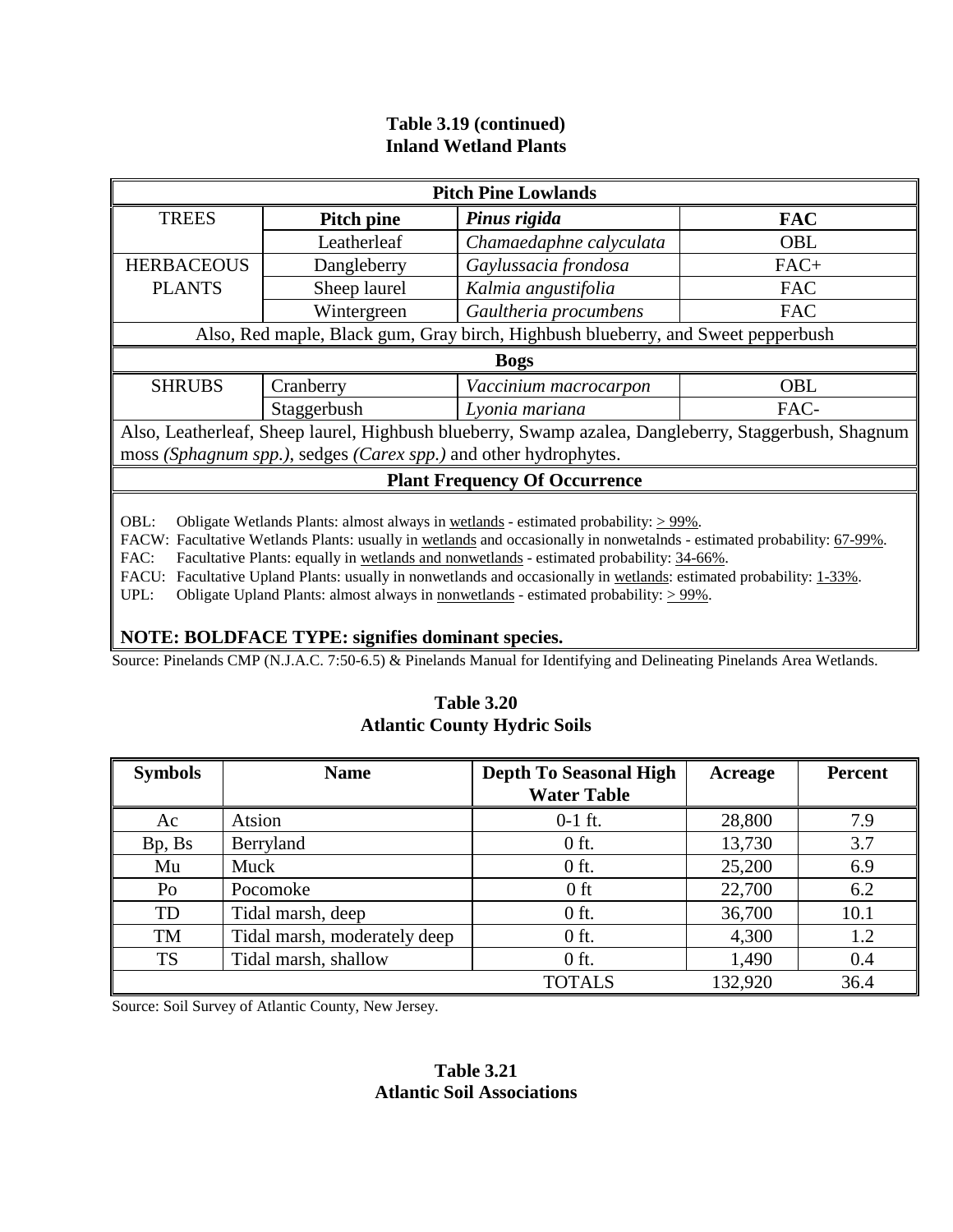## **Table 3.19 (continued) Inland Wetland Plants**

| <b>Pitch Pine Lowlands</b>    |             |                                                                                  |                                                                                               |  |  |  |
|-------------------------------|-------------|----------------------------------------------------------------------------------|-----------------------------------------------------------------------------------------------|--|--|--|
| <b>TREES</b>                  | Pitch pine  | Pinus rigida                                                                     | <b>FAC</b>                                                                                    |  |  |  |
|                               | Leatherleaf | Chamaedaphne calyculata                                                          | <b>OBL</b>                                                                                    |  |  |  |
| <b>HERBACEOUS</b>             | Dangleberry | Gaylussacia frondosa                                                             | $FAC+$                                                                                        |  |  |  |
| <b>PLANTS</b><br>Sheep laurel |             | Kalmia angustifolia                                                              | <b>FAC</b>                                                                                    |  |  |  |
|                               | Wintergreen | Gaultheria procumbens                                                            | <b>FAC</b>                                                                                    |  |  |  |
|                               |             | Also, Red maple, Black gum, Gray birch, Highbush blueberry, and Sweet pepperbush |                                                                                               |  |  |  |
|                               |             | <b>Bogs</b>                                                                      |                                                                                               |  |  |  |
| <b>SHRUBS</b>                 | Cranberry   | Vaccinium macrocarpon                                                            | OBL                                                                                           |  |  |  |
|                               | Staggerbush | Lyonia mariana                                                                   | FAC-                                                                                          |  |  |  |
|                               |             |                                                                                  | Also Lostbarlost Sheep Joural Highbush blueberry Swamp azeles Dengleberry Steggerbush Sheepum |  |  |  |

Also, Leatherleaf, Sheep laurel, Highbush blueberry, Swamp azalea, Dangleberry, Staggerbush, Shagnum moss *(Sphagnum spp.)*, sedges *(Carex spp.)* and other hydrophytes.

#### **Plant Frequency Of Occurrence**

OBL: Obligate Wetlands Plants: almost always in wetlands - estimated probability:  $> 99\%$ .

FACW: Facultative Wetlands Plants: usually in wetlands and occasionally in nonwetalnds - estimated probability: 67-99%.

FAC: Facultative Plants: equally in wetlands and nonwetlands - estimated probability: 34-66%.

FACU: Facultative Upland Plants: usually in nonwetlands and occasionally in wetlands: estimated probability: 1-33%.

UPL: Obligate Upland Plants: almost always in nonwetlands - estimated probability:  $> 99\%$ .

#### **NOTE: BOLDFACE TYPE: signifies dominant species.**

Source: Pinelands CMP (N.J.A.C. 7:50-6.5) & Pinelands Manual for Identifying and Delineating Pinelands Area Wetlands.

#### **Table 3.20 Atlantic County Hydric Soils**

| <b>Symbols</b> | <b>Name</b>                  | <b>Depth To Seasonal High</b><br><b>Water Table</b> | Acreage | <b>Percent</b> |
|----------------|------------------------------|-----------------------------------------------------|---------|----------------|
| Ac             | Atsion                       | $0-1$ ft.                                           | 28,800  | 7.9            |
| Bp, Bs         | Berryland                    | $0$ ft.                                             | 13,730  | 3.7            |
| Mu             | Muck                         | $0$ ft.                                             | 25,200  | 6.9            |
| Po             | Pocomoke                     | $0$ ft                                              | 22,700  | 6.2            |
| TD             | Tidal marsh, deep            | $0$ ft.                                             | 36,700  | 10.1           |
| <b>TM</b>      | Tidal marsh, moderately deep | $0$ ft.                                             | 4,300   | 1.2            |
| <b>TS</b>      | Tidal marsh, shallow         | $0$ ft.                                             | 1,490   | 0.4            |
|                |                              | <b>TOTALS</b>                                       | 132,920 | 36.4           |

Source: Soil Survey of Atlantic County, New Jersey.

#### **Table 3.21 Atlantic Soil Associations**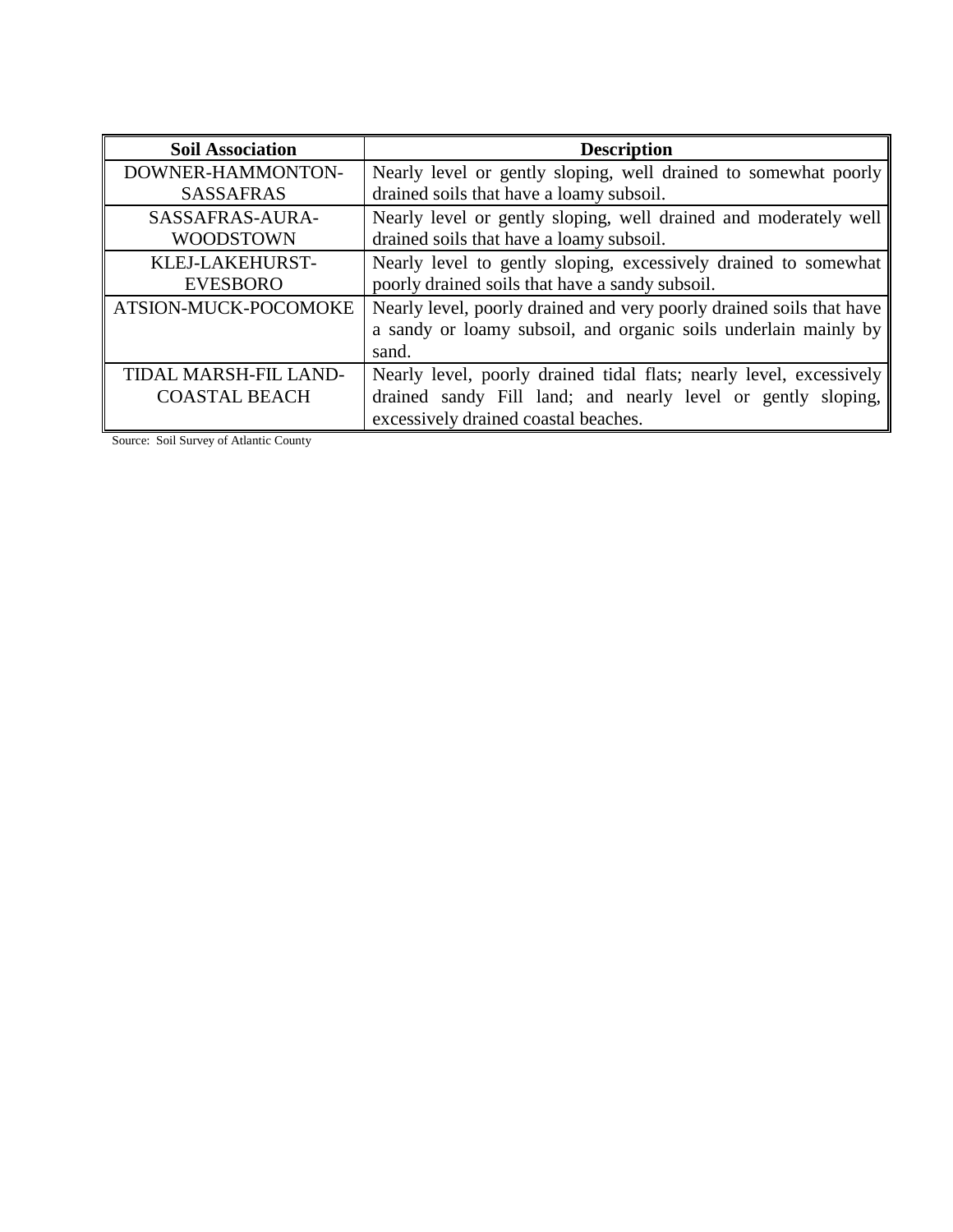| <b>Soil Association</b>      | <b>Description</b>                                                   |
|------------------------------|----------------------------------------------------------------------|
| DOWNER-HAMMONTON-            | Nearly level or gently sloping, well drained to somewhat poorly      |
| <b>SASSAFRAS</b>             | drained soils that have a loamy subsoil.                             |
| SASSAFRAS-AURA-              | Nearly level or gently sloping, well drained and moderately well     |
| <b>WOODSTOWN</b>             | drained soils that have a loamy subsoil.                             |
| KLEJ-LAKEHURST-              | Nearly level to gently sloping, excessively drained to somewhat      |
| <b>EVESBORO</b>              | poorly drained soils that have a sandy subsoil.                      |
| ATSION-MUCK-POCOMOKE         | Nearly level, poorly drained and very poorly drained soils that have |
|                              | a sandy or loamy subsoil, and organic soils underlain mainly by      |
|                              | sand.                                                                |
| <b>TIDAL MARSH-FIL LAND-</b> | Nearly level, poorly drained tidal flats; nearly level, excessively  |
| <b>COASTAL BEACH</b>         | drained sandy Fill land; and nearly level or gently sloping,         |
|                              | excessively drained coastal beaches.                                 |

Source: Soil Survey of Atlantic County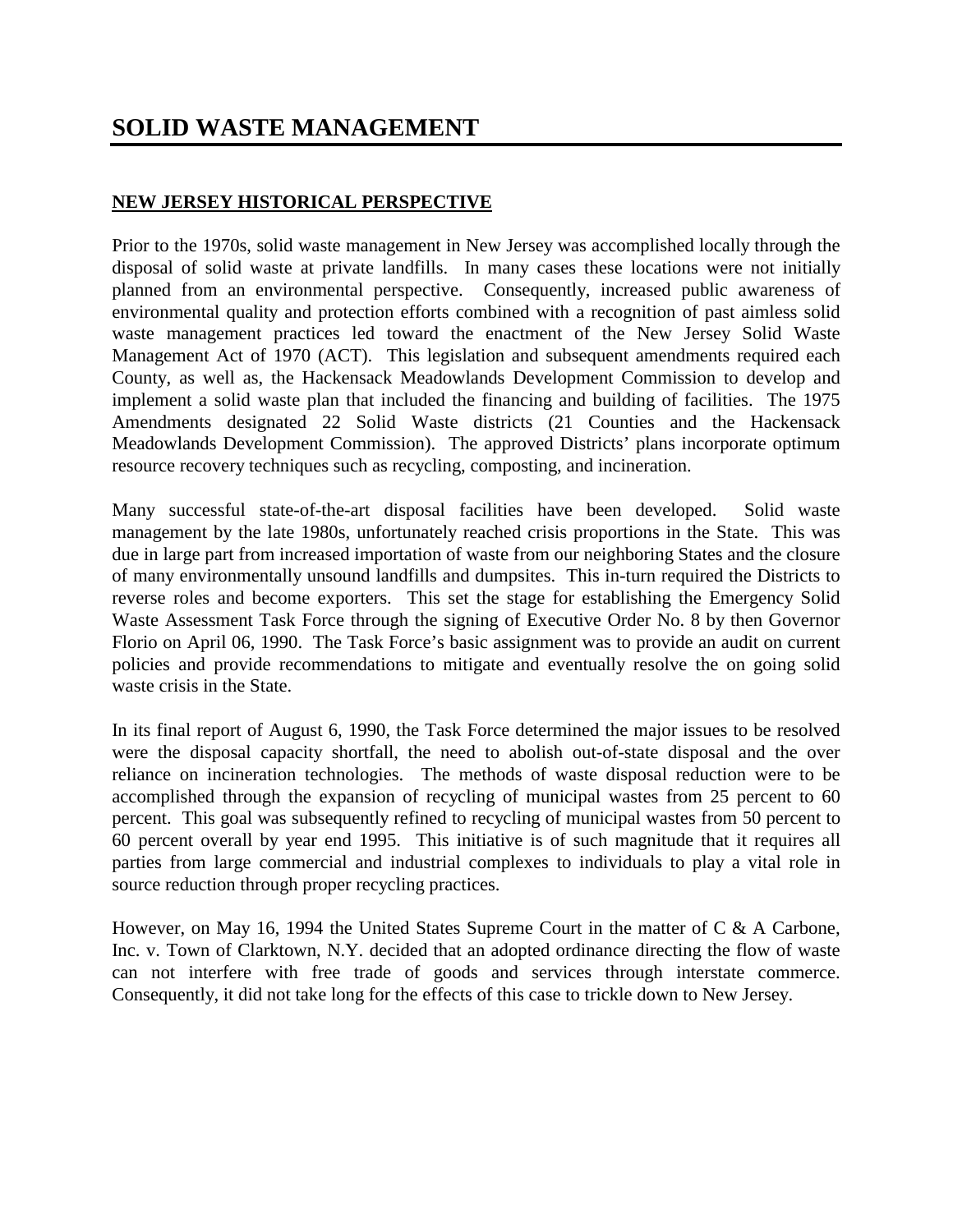# **SOLID WASTE MANAGEMENT**

#### **NEW JERSEY HISTORICAL PERSPECTIVE**

Prior to the 1970s, solid waste management in New Jersey was accomplished locally through the disposal of solid waste at private landfills. In many cases these locations were not initially planned from an environmental perspective. Consequently, increased public awareness of environmental quality and protection efforts combined with a recognition of past aimless solid waste management practices led toward the enactment of the New Jersey Solid Waste Management Act of 1970 (ACT). This legislation and subsequent amendments required each County, as well as, the Hackensack Meadowlands Development Commission to develop and implement a solid waste plan that included the financing and building of facilities. The 1975 Amendments designated 22 Solid Waste districts (21 Counties and the Hackensack Meadowlands Development Commission). The approved Districts' plans incorporate optimum resource recovery techniques such as recycling, composting, and incineration.

Many successful state-of-the-art disposal facilities have been developed. Solid waste management by the late 1980s, unfortunately reached crisis proportions in the State. This was due in large part from increased importation of waste from our neighboring States and the closure of many environmentally unsound landfills and dumpsites. This in-turn required the Districts to reverse roles and become exporters. This set the stage for establishing the Emergency Solid Waste Assessment Task Force through the signing of Executive Order No. 8 by then Governor Florio on April 06, 1990. The Task Force's basic assignment was to provide an audit on current policies and provide recommendations to mitigate and eventually resolve the on going solid waste crisis in the State.

In its final report of August 6, 1990, the Task Force determined the major issues to be resolved were the disposal capacity shortfall, the need to abolish out-of-state disposal and the over reliance on incineration technologies. The methods of waste disposal reduction were to be accomplished through the expansion of recycling of municipal wastes from 25 percent to 60 percent. This goal was subsequently refined to recycling of municipal wastes from 50 percent to 60 percent overall by year end 1995. This initiative is of such magnitude that it requires all parties from large commercial and industrial complexes to individuals to play a vital role in source reduction through proper recycling practices.

However, on May 16, 1994 the United States Supreme Court in the matter of C & A Carbone, Inc. v. Town of Clarktown, N.Y. decided that an adopted ordinance directing the flow of waste can not interfere with free trade of goods and services through interstate commerce. Consequently, it did not take long for the effects of this case to trickle down to New Jersey.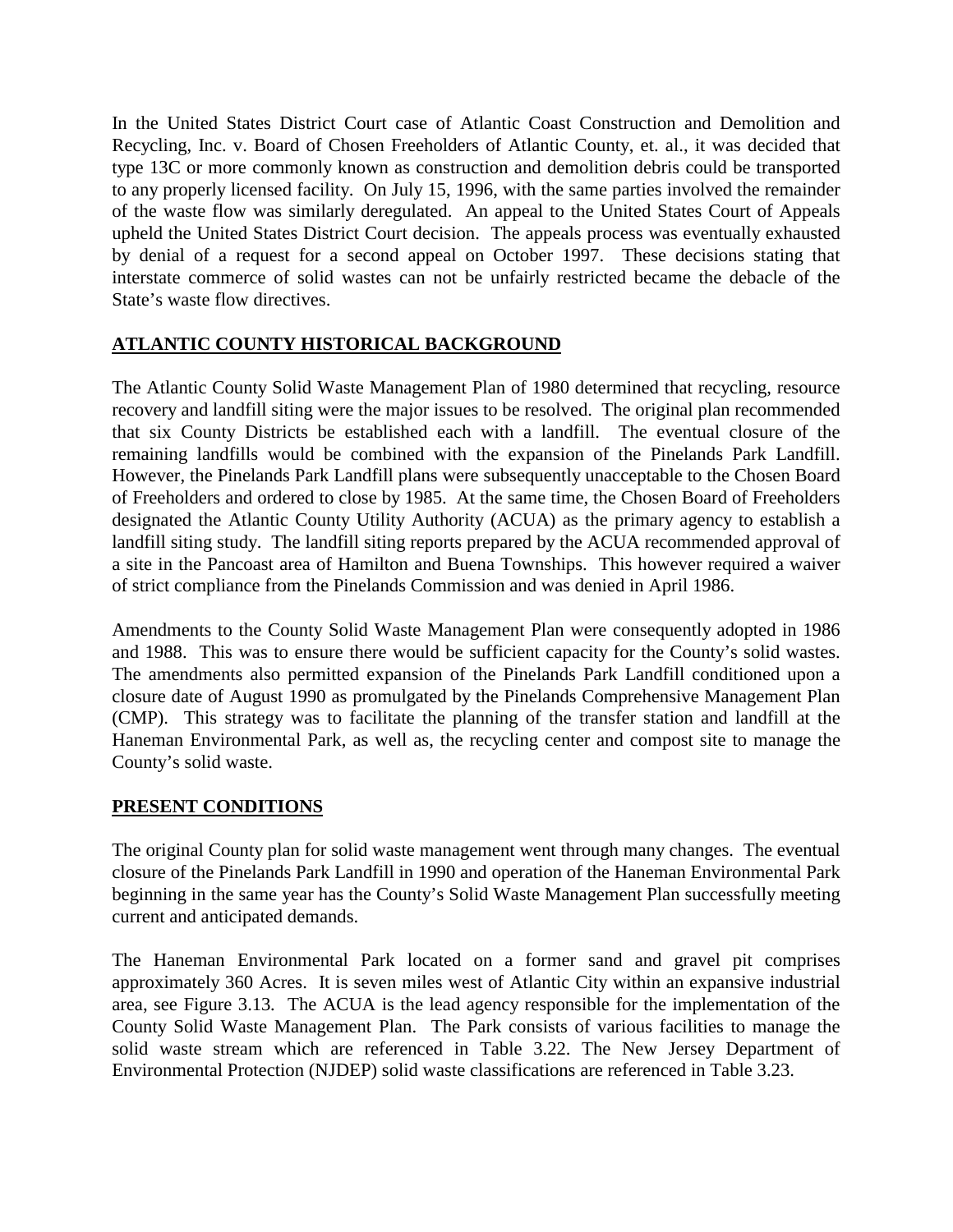In the United States District Court case of Atlantic Coast Construction and Demolition and Recycling, Inc. v. Board of Chosen Freeholders of Atlantic County, et. al., it was decided that type 13C or more commonly known as construction and demolition debris could be transported to any properly licensed facility. On July 15, 1996, with the same parties involved the remainder of the waste flow was similarly deregulated. An appeal to the United States Court of Appeals upheld the United States District Court decision. The appeals process was eventually exhausted by denial of a request for a second appeal on October 1997. These decisions stating that interstate commerce of solid wastes can not be unfairly restricted became the debacle of the State's waste flow directives.

## **ATLANTIC COUNTY HISTORICAL BACKGROUND**

The Atlantic County Solid Waste Management Plan of 1980 determined that recycling, resource recovery and landfill siting were the major issues to be resolved. The original plan recommended that six County Districts be established each with a landfill. The eventual closure of the remaining landfills would be combined with the expansion of the Pinelands Park Landfill. However, the Pinelands Park Landfill plans were subsequently unacceptable to the Chosen Board of Freeholders and ordered to close by 1985. At the same time, the Chosen Board of Freeholders designated the Atlantic County Utility Authority (ACUA) as the primary agency to establish a landfill siting study. The landfill siting reports prepared by the ACUA recommended approval of a site in the Pancoast area of Hamilton and Buena Townships. This however required a waiver of strict compliance from the Pinelands Commission and was denied in April 1986.

Amendments to the County Solid Waste Management Plan were consequently adopted in 1986 and 1988. This was to ensure there would be sufficient capacity for the County's solid wastes. The amendments also permitted expansion of the Pinelands Park Landfill conditioned upon a closure date of August 1990 as promulgated by the Pinelands Comprehensive Management Plan (CMP). This strategy was to facilitate the planning of the transfer station and landfill at the Haneman Environmental Park, as well as, the recycling center and compost site to manage the County's solid waste.

#### **PRESENT CONDITIONS**

The original County plan for solid waste management went through many changes. The eventual closure of the Pinelands Park Landfill in 1990 and operation of the Haneman Environmental Park beginning in the same year has the County's Solid Waste Management Plan successfully meeting current and anticipated demands.

The Haneman Environmental Park located on a former sand and gravel pit comprises approximately 360 Acres. It is seven miles west of Atlantic City within an expansive industrial area, see Figure 3.13*.* The ACUA is the lead agency responsible for the implementation of the County Solid Waste Management Plan. The Park consists of various facilities to manage the solid waste stream which are referenced in Table 3.22. The New Jersey Department of Environmental Protection (NJDEP) solid waste classifications are referenced in Table 3.23.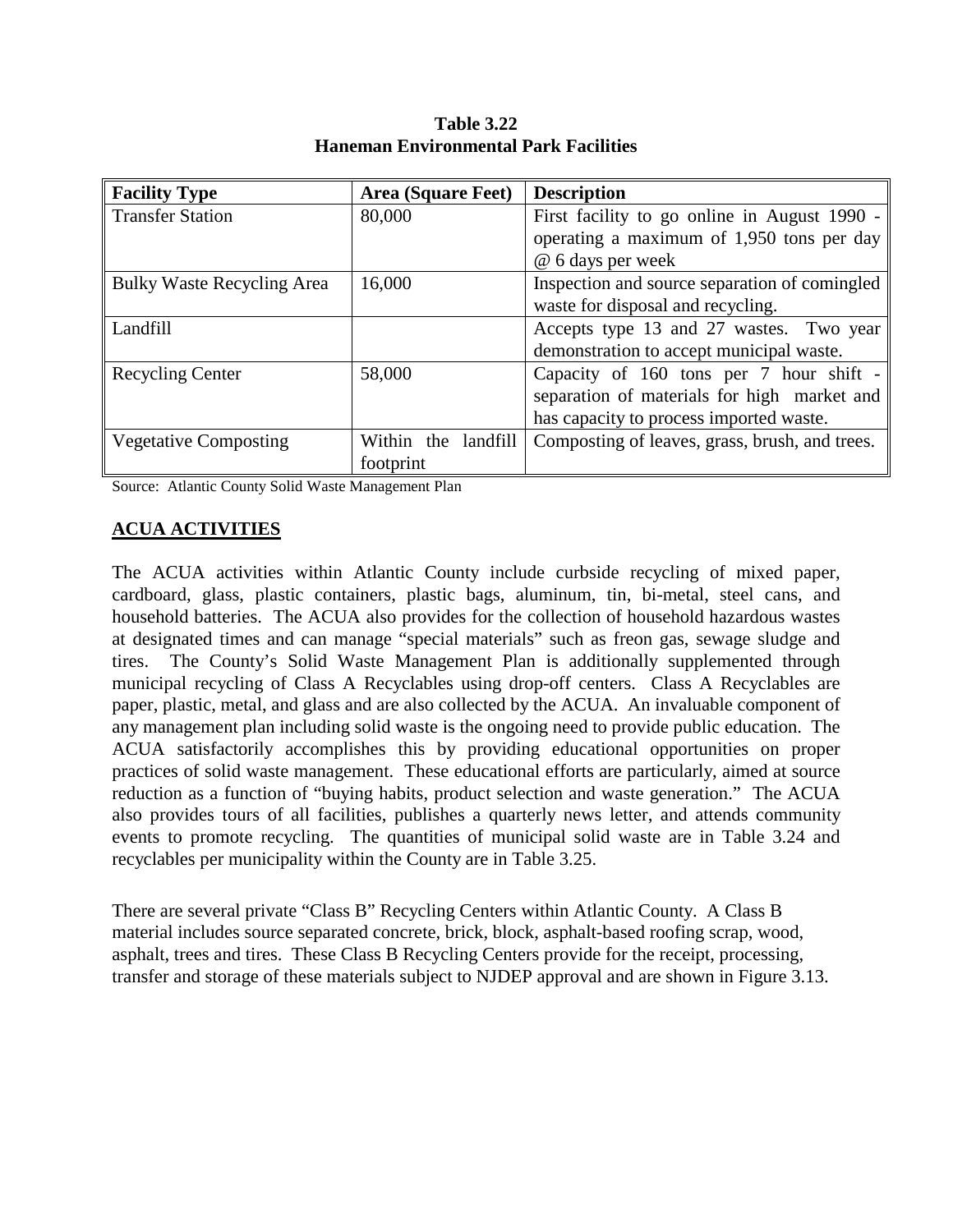| <b>Facility Type</b>              | <b>Area (Square Feet)</b> | <b>Description</b>                             |
|-----------------------------------|---------------------------|------------------------------------------------|
| <b>Transfer Station</b>           | 80,000                    | First facility to go online in August 1990 -   |
|                                   |                           | operating a maximum of 1,950 tons per day      |
|                                   |                           | @ 6 days per week                              |
| <b>Bulky Waste Recycling Area</b> | 16,000                    | Inspection and source separation of comingled  |
|                                   |                           | waste for disposal and recycling.              |
| Landfill                          |                           | Accepts type 13 and 27 wastes. Two year        |
|                                   |                           | demonstration to accept municipal waste.       |
| <b>Recycling Center</b>           | 58,000                    | Capacity of 160 tons per 7 hour shift -        |
|                                   |                           | separation of materials for high market and    |
|                                   |                           | has capacity to process imported waste.        |
| <b>Vegetative Composting</b>      | Within the<br>landfill    | Composting of leaves, grass, brush, and trees. |
|                                   | footprint                 |                                                |

**Table 3.22 Haneman Environmental Park Facilities**

Source: Atlantic County Solid Waste Management Plan

#### **ACUA ACTIVITIES**

The ACUA activities within Atlantic County include curbside recycling of mixed paper, cardboard, glass, plastic containers, plastic bags, aluminum, tin, bi-metal, steel cans, and household batteries. The ACUA also provides for the collection of household hazardous wastes at designated times and can manage "special materials" such as freon gas, sewage sludge and tires. The County's Solid Waste Management Plan is additionally supplemented through municipal recycling of Class A Recyclables using drop-off centers. Class A Recyclables are paper, plastic, metal, and glass and are also collected by the ACUA. An invaluable component of any management plan including solid waste is the ongoing need to provide public education. The ACUA satisfactorily accomplishes this by providing educational opportunities on proper practices of solid waste management. These educational efforts are particularly, aimed at source reduction as a function of "buying habits, product selection and waste generation." The ACUA also provides tours of all facilities, publishes a quarterly news letter, and attends community events to promote recycling. The quantities of municipal solid waste are in Table 3.24 and recyclables per municipality within the County are in Table 3.25.

There are several private "Class B" Recycling Centers within Atlantic County. A Class B material includes source separated concrete, brick, block, asphalt-based roofing scrap, wood, asphalt, trees and tires. These Class B Recycling Centers provide for the receipt, processing, transfer and storage of these materials subject to NJDEP approval and are shown in Figure 3.13.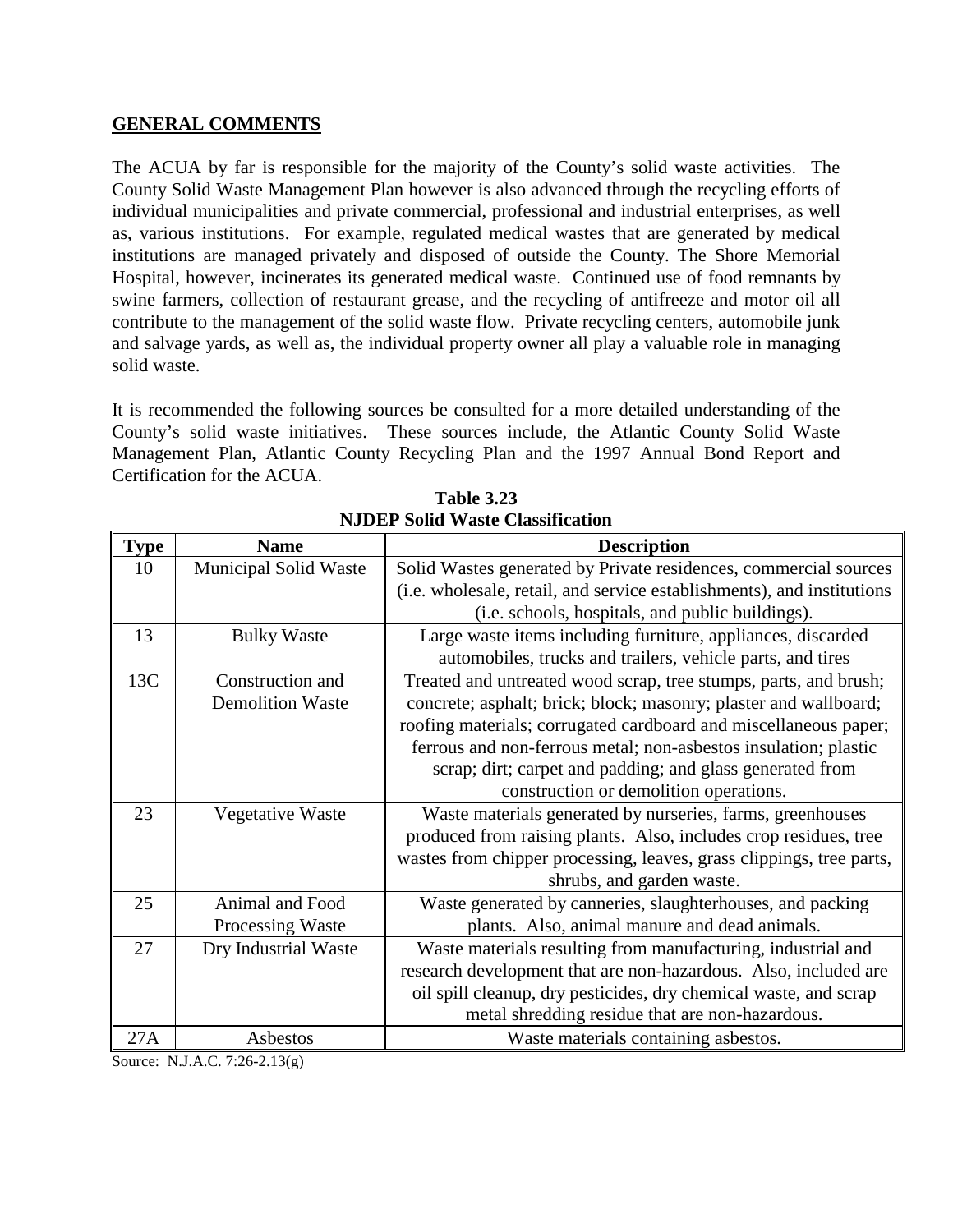#### **GENERAL COMMENTS**

The ACUA by far is responsible for the majority of the County's solid waste activities. The County Solid Waste Management Plan however is also advanced through the recycling efforts of individual municipalities and private commercial, professional and industrial enterprises, as well as, various institutions. For example, regulated medical wastes that are generated by medical institutions are managed privately and disposed of outside the County. The Shore Memorial Hospital, however, incinerates its generated medical waste. Continued use of food remnants by swine farmers, collection of restaurant grease, and the recycling of antifreeze and motor oil all contribute to the management of the solid waste flow. Private recycling centers, automobile junk and salvage yards, as well as, the individual property owner all play a valuable role in managing solid waste.

It is recommended the following sources be consulted for a more detailed understanding of the County's solid waste initiatives. These sources include, the Atlantic County Solid Waste Management Plan, Atlantic County Recycling Plan and the 1997 Annual Bond Report and Certification for the ACUA.

| <b>Type</b> | <b>Name</b>                  | <b>Description</b>                                                     |
|-------------|------------------------------|------------------------------------------------------------------------|
| 10          | <b>Municipal Solid Waste</b> | Solid Wastes generated by Private residences, commercial sources       |
|             |                              | (i.e. wholesale, retail, and service establishments), and institutions |
|             |                              | (i.e. schools, hospitals, and public buildings).                       |
| 13          | <b>Bulky Waste</b>           | Large waste items including furniture, appliances, discarded           |
|             |                              | automobiles, trucks and trailers, vehicle parts, and tires             |
| 13C         | Construction and             | Treated and untreated wood scrap, tree stumps, parts, and brush;       |
|             | <b>Demolition Waste</b>      | concrete; asphalt; brick; block; masonry; plaster and wallboard;       |
|             |                              | roofing materials; corrugated cardboard and miscellaneous paper;       |
|             |                              | ferrous and non-ferrous metal; non-asbestos insulation; plastic        |
|             |                              | scrap; dirt; carpet and padding; and glass generated from              |
|             |                              | construction or demolition operations.                                 |
| 23          | Vegetative Waste             | Waste materials generated by nurseries, farms, greenhouses             |
|             |                              | produced from raising plants. Also, includes crop residues, tree       |
|             |                              | wastes from chipper processing, leaves, grass clippings, tree parts,   |
|             |                              | shrubs, and garden waste.                                              |
| 25          | Animal and Food              | Waste generated by canneries, slaughterhouses, and packing             |
|             | Processing Waste             | plants. Also, animal manure and dead animals.                          |
| 27          | Dry Industrial Waste         | Waste materials resulting from manufacturing, industrial and           |
|             |                              | research development that are non-hazardous. Also, included are        |
|             |                              | oil spill cleanup, dry pesticides, dry chemical waste, and scrap       |
|             |                              | metal shredding residue that are non-hazardous.                        |
| 27A         | Asbestos                     | Waste materials containing asbestos.                                   |

**Table 3.23 NJDEP Solid Waste Classification**

Source: N.J.A.C. 7:26-2.13(g)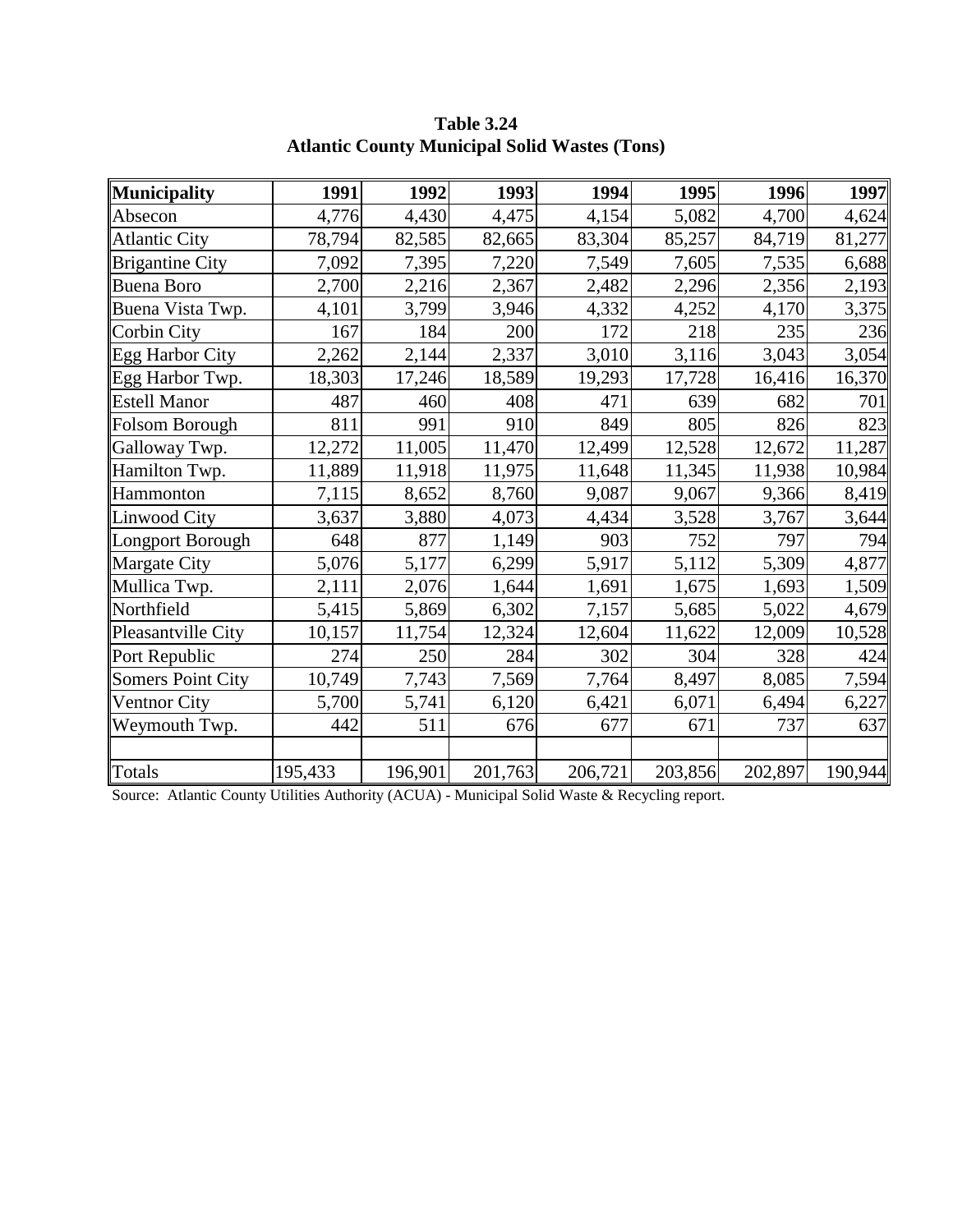| <b>Municipality</b>      | 1991    | 1992    | 1993    | 1994    | 1995    | 1996    | 1997    |
|--------------------------|---------|---------|---------|---------|---------|---------|---------|
| Absecon                  | 4,776   | 4,430   | 4,475   | 4,154   | 5,082   | 4,700   | 4,624   |
| <b>Atlantic City</b>     | 78,794  | 82,585  | 82,665  | 83,304  | 85,257  | 84,719  | 81,277  |
| <b>Brigantine City</b>   | 7,092   | 7,395   | 7,220   | 7,549   | 7,605   | 7,535   | 6,688   |
| <b>Buena Boro</b>        | 2,700   | 2,216   | 2,367   | 2,482   | 2,296   | 2,356   | 2,193   |
| Buena Vista Twp.         | 4,101   | 3,799   | 3,946   | 4,332   | 4,252   | 4,170   | 3,375   |
| Corbin City              | 167     | 184     | 200     | 172     | 218     | 235     | 236     |
| <b>Egg Harbor City</b>   | 2,262   | 2,144   | 2,337   | 3,010   | 3,116   | 3,043   | 3,054   |
| Egg Harbor Twp.          | 18,303  | 17,246  | 18,589  | 19,293  | 17,728  | 16,416  | 16,370  |
| <b>Estell Manor</b>      | 487     | 460     | 408     | 471     | 639     | 682     | 701     |
| Folsom Borough           | 811     | 991     | 910     | 849     | 805     | 826     | 823     |
| Galloway Twp.            | 12,272  | 11,005  | 11,470  | 12,499  | 12,528  | 12,672  | 11,287  |
| Hamilton Twp.            | 11,889  | 11,918  | 11,975  | 11,648  | 11,345  | 11,938  | 10,984  |
| Hammonton                | 7,115   | 8,652   | 8,760   | 9,087   | 9,067   | 9,366   | 8,419   |
| <b>Linwood City</b>      | 3,637   | 3,880   | 4,073   | 4,434   | 3,528   | 3,767   | 3,644   |
| Longport Borough         | 648     | 877     | 1,149   | 903     | 752     | 797     | 794     |
| Margate City             | 5,076   | 5,177   | 6,299   | 5,917   | 5,112   | 5,309   | 4,877   |
| Mullica Twp.             | 2,111   | 2,076   | 1,644   | 1,691   | 1,675   | 1,693   | 1,509   |
| Northfield               | 5,415   | 5,869   | 6,302   | 7,157   | 5,685   | 5,022   | 4,679   |
| Pleasantville City       | 10,157  | 11,754  | 12,324  | 12,604  | 11,622  | 12,009  | 10,528  |
| Port Republic            | 274     | 250     | 284     | 302     | 304     | 328     | 424     |
| <b>Somers Point City</b> | 10,749  | 7,743   | 7,569   | 7,764   | 8,497   | 8,085   | 7,594   |
| Ventnor City             | 5,700   | 5,741   | 6,120   | 6,421   | 6,071   | 6,494   | 6,227   |
| Weymouth Twp.            | 442     | 511     | 676     | 677     | 671     | 737     | 637     |
|                          |         |         |         |         |         |         |         |
| Totals                   | 195,433 | 196,901 | 201,763 | 206,721 | 203,856 | 202,897 | 190,944 |

**Table 3.24 Atlantic County Municipal Solid Wastes (Tons)**

Source: Atlantic County Utilities Authority (ACUA) - Municipal Solid Waste & Recycling report.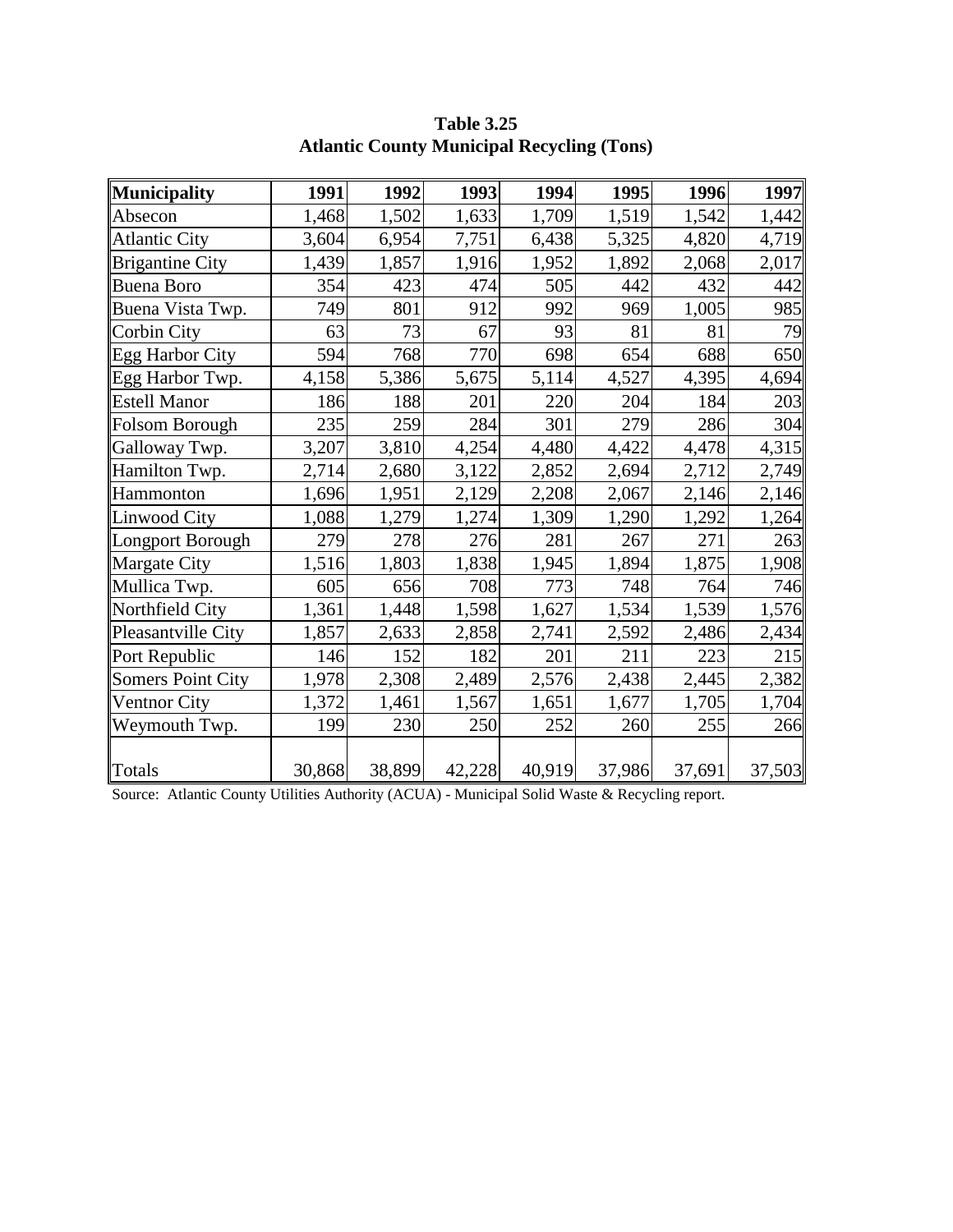| Municipality             | 1991   | 1992   | 1993   | 1994   | 1995   | 1996   | 1997   |
|--------------------------|--------|--------|--------|--------|--------|--------|--------|
| Absecon                  | 1,468  | 1,502  | 1,633  | 1,709  | 1,519  | 1,542  | 1,442  |
| <b>Atlantic City</b>     | 3,604  | 6,954  | 7,751  | 6,438  | 5,325  | 4,820  | 4,719  |
| <b>Brigantine City</b>   | 1,439  | 1,857  | 1,916  | 1,952  | 1,892  | 2,068  | 2,017  |
| <b>Buena Boro</b>        | 354    | 423    | 474    | 505    | 442    | 432    | 442    |
| Buena Vista Twp.         | 749    | 801    | 912    | 992    | 969    | 1,005  | 985    |
| Corbin City              | 63     | 73     | 67     | 93     | 81     | 81     | 79     |
| <b>Egg Harbor City</b>   | 594    | 768    | 770    | 698    | 654    | 688    | 650    |
| Egg Harbor Twp.          | 4,158  | 5,386  | 5,675  | 5,114  | 4,527  | 4,395  | 4,694  |
| <b>Estell Manor</b>      | 186    | 188    | 201    | 220    | 204    | 184    | 203    |
| <b>Folsom Borough</b>    | 235    | 259    | 284    | 301    | 279    | 286    | 304    |
| Galloway Twp.            | 3,207  | 3,810  | 4,254  | 4,480  | 4,422  | 4,478  | 4,315  |
| Hamilton Twp.            | 2,714  | 2,680  | 3,122  | 2,852  | 2,694  | 2,712  | 2,749  |
| Hammonton                | 1,696  | 1,951  | 2,129  | 2,208  | 2,067  | 2,146  | 2,146  |
| Linwood City             | 1,088  | 1,279  | 1,274  | 1,309  | 1,290  | 1,292  | 1,264  |
| <b>Longport Borough</b>  | 279    | 278    | 276    | 281    | 267    | 271    | 263    |
| Margate City             | 1,516  | 1,803  | 1,838  | 1,945  | 1,894  | 1,875  | 1,908  |
| Mullica Twp.             | 605    | 656    | 708    | 773    | 748    | 764    | 746    |
| Northfield City          | 1,361  | 1,448  | 1,598  | 1,627  | 1,534  | 1,539  | 1,576  |
| Pleasantville City       | 1,857  | 2,633  | 2,858  | 2,741  | 2,592  | 2,486  | 2,434  |
| Port Republic            | 146    | 152    | 182    | 201    | 211    | 223    | 215    |
| <b>Somers Point City</b> | 1,978  | 2,308  | 2,489  | 2,576  | 2,438  | 2,445  | 2,382  |
| Ventnor City             | 1,372  | 1,461  | 1,567  | 1,651  | 1,677  | 1,705  | 1,704  |
| Weymouth Twp.            | 199    | 230    | 250    | 252    | 260    | 255    | 266    |
| Totals                   | 30,868 | 38,899 | 42,228 | 40,919 | 37,986 | 37,691 | 37,503 |

**Table 3.25 Atlantic County Municipal Recycling (Tons)**

Source: Atlantic County Utilities Authority (ACUA) - Municipal Solid Waste & Recycling report.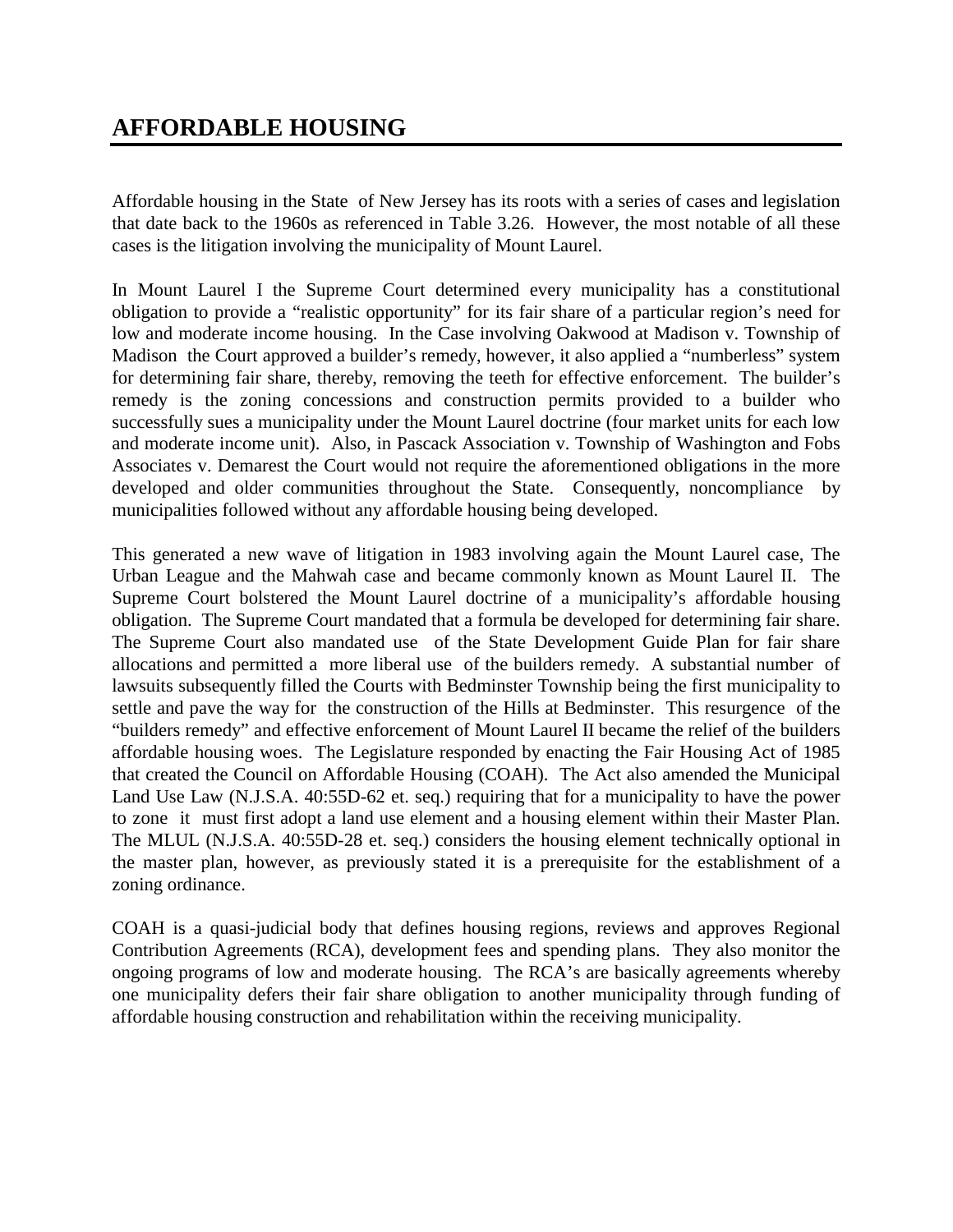Affordable housing in the State of New Jersey has its roots with a series of cases and legislation that date back to the 1960s as referenced in Table 3.26. However, the most notable of all these cases is the litigation involving the municipality of Mount Laurel.

In Mount Laurel I the Supreme Court determined every municipality has a constitutional obligation to provide a "realistic opportunity" for its fair share of a particular region's need for low and moderate income housing. In the Case involving Oakwood at Madison v. Township of Madison the Court approved a builder's remedy, however, it also applied a "numberless" system for determining fair share, thereby, removing the teeth for effective enforcement. The builder's remedy is the zoning concessions and construction permits provided to a builder who successfully sues a municipality under the Mount Laurel doctrine (four market units for each low and moderate income unit). Also, in Pascack Association v. Township of Washington and Fobs Associates v. Demarest the Court would not require the aforementioned obligations in the more developed and older communities throughout the State. Consequently, noncompliance by municipalities followed without any affordable housing being developed.

This generated a new wave of litigation in 1983 involving again the Mount Laurel case, The Urban League and the Mahwah case and became commonly known as Mount Laurel II. The Supreme Court bolstered the Mount Laurel doctrine of a municipality's affordable housing obligation. The Supreme Court mandated that a formula be developed for determining fair share. The Supreme Court also mandated use of the State Development Guide Plan for fair share allocations and permitted a more liberal use of the builders remedy. A substantial number of lawsuits subsequently filled the Courts with Bedminster Township being the first municipality to settle and pave the way for the construction of the Hills at Bedminster. This resurgence of the "builders remedy" and effective enforcement of Mount Laurel II became the relief of the builders affordable housing woes. The Legislature responded by enacting the Fair Housing Act of 1985 that created the Council on Affordable Housing (COAH). The Act also amended the Municipal Land Use Law (N.J.S.A. 40:55D-62 et. seq.) requiring that for a municipality to have the power to zone it must first adopt a land use element and a housing element within their Master Plan. The MLUL (N.J.S.A. 40:55D-28 et. seq.) considers the housing element technically optional in the master plan, however, as previously stated it is a prerequisite for the establishment of a zoning ordinance.

COAH is a quasi-judicial body that defines housing regions, reviews and approves Regional Contribution Agreements (RCA), development fees and spending plans. They also monitor the ongoing programs of low and moderate housing. The RCA's are basically agreements whereby one municipality defers their fair share obligation to another municipality through funding of affordable housing construction and rehabilitation within the receiving municipality.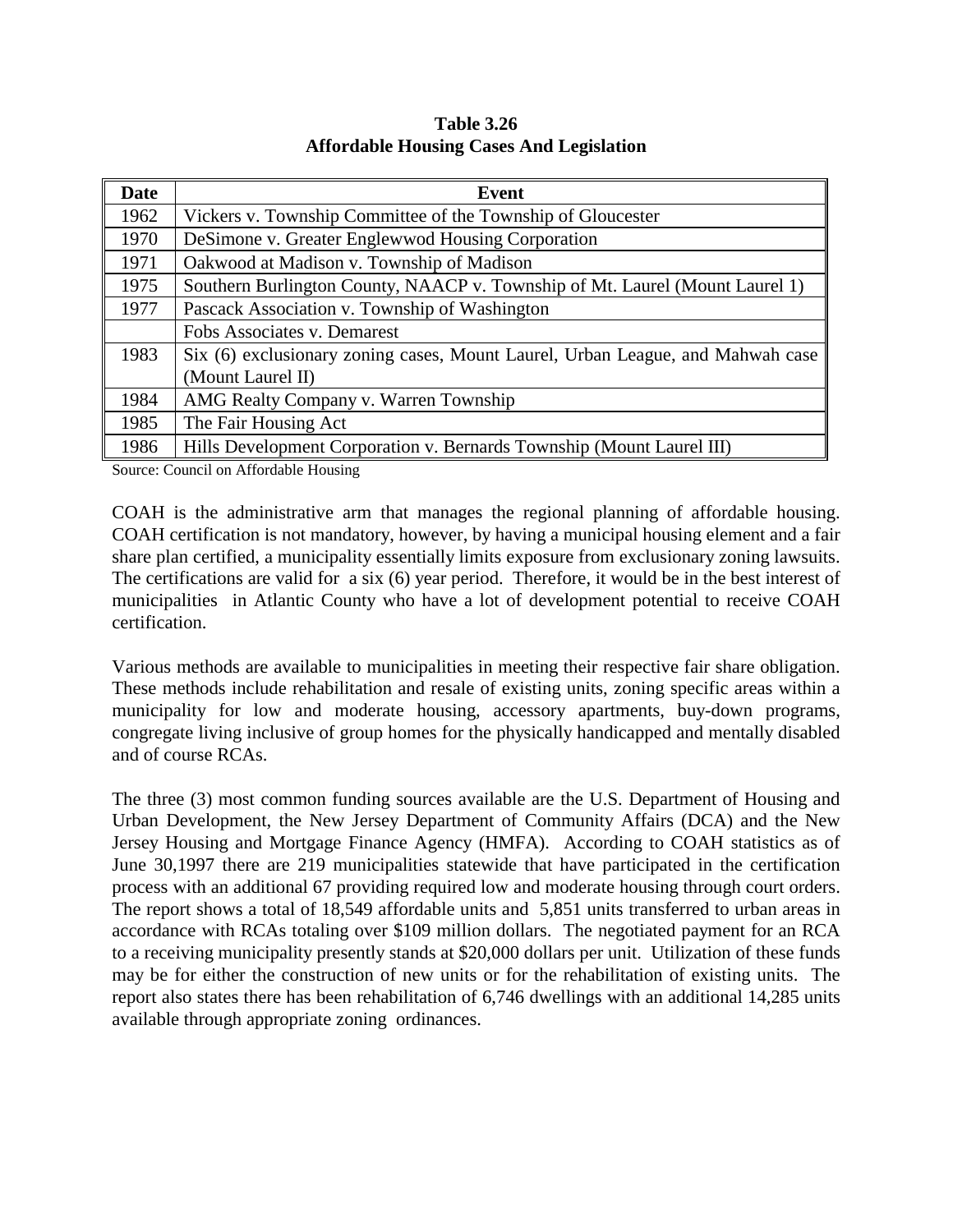| <b>Date</b> | Event                                                                          |
|-------------|--------------------------------------------------------------------------------|
| 1962        | Vickers v. Township Committee of the Township of Gloucester                    |
| 1970        | DeSimone v. Greater Englewwod Housing Corporation                              |
| 1971        | Oakwood at Madison v. Township of Madison                                      |
| 1975        | Southern Burlington County, NAACP v. Township of Mt. Laurel (Mount Laurel 1)   |
| 1977        | Pascack Association v. Township of Washington                                  |
|             | Fobs Associates v. Demarest                                                    |
| 1983        | Six (6) exclusionary zoning cases, Mount Laurel, Urban League, and Mahwah case |
|             | (Mount Laurel II)                                                              |
| 1984        | AMG Realty Company v. Warren Township                                          |
| 1985        | The Fair Housing Act                                                           |
| 1986        | Hills Development Corporation v. Bernards Township (Mount Laurel III)          |

**Table 3.26 Affordable Housing Cases And Legislation**

Source: Council on Affordable Housing

COAH is the administrative arm that manages the regional planning of affordable housing. COAH certification is not mandatory, however, by having a municipal housing element and a fair share plan certified, a municipality essentially limits exposure from exclusionary zoning lawsuits. The certifications are valid for a six (6) year period. Therefore, it would be in the best interest of municipalities in Atlantic County who have a lot of development potential to receive COAH certification.

Various methods are available to municipalities in meeting their respective fair share obligation. These methods include rehabilitation and resale of existing units, zoning specific areas within a municipality for low and moderate housing, accessory apartments, buy-down programs, congregate living inclusive of group homes for the physically handicapped and mentally disabled and of course RCAs.

The three (3) most common funding sources available are the U.S. Department of Housing and Urban Development, the New Jersey Department of Community Affairs (DCA) and the New Jersey Housing and Mortgage Finance Agency (HMFA). According to COAH statistics as of June 30,1997 there are 219 municipalities statewide that have participated in the certification process with an additional 67 providing required low and moderate housing through court orders. The report shows a total of 18,549 affordable units and 5,851 units transferred to urban areas in accordance with RCAs totaling over \$109 million dollars. The negotiated payment for an RCA to a receiving municipality presently stands at \$20,000 dollars per unit. Utilization of these funds may be for either the construction of new units or for the rehabilitation of existing units. The report also states there has been rehabilitation of 6,746 dwellings with an additional 14,285 units available through appropriate zoning ordinances.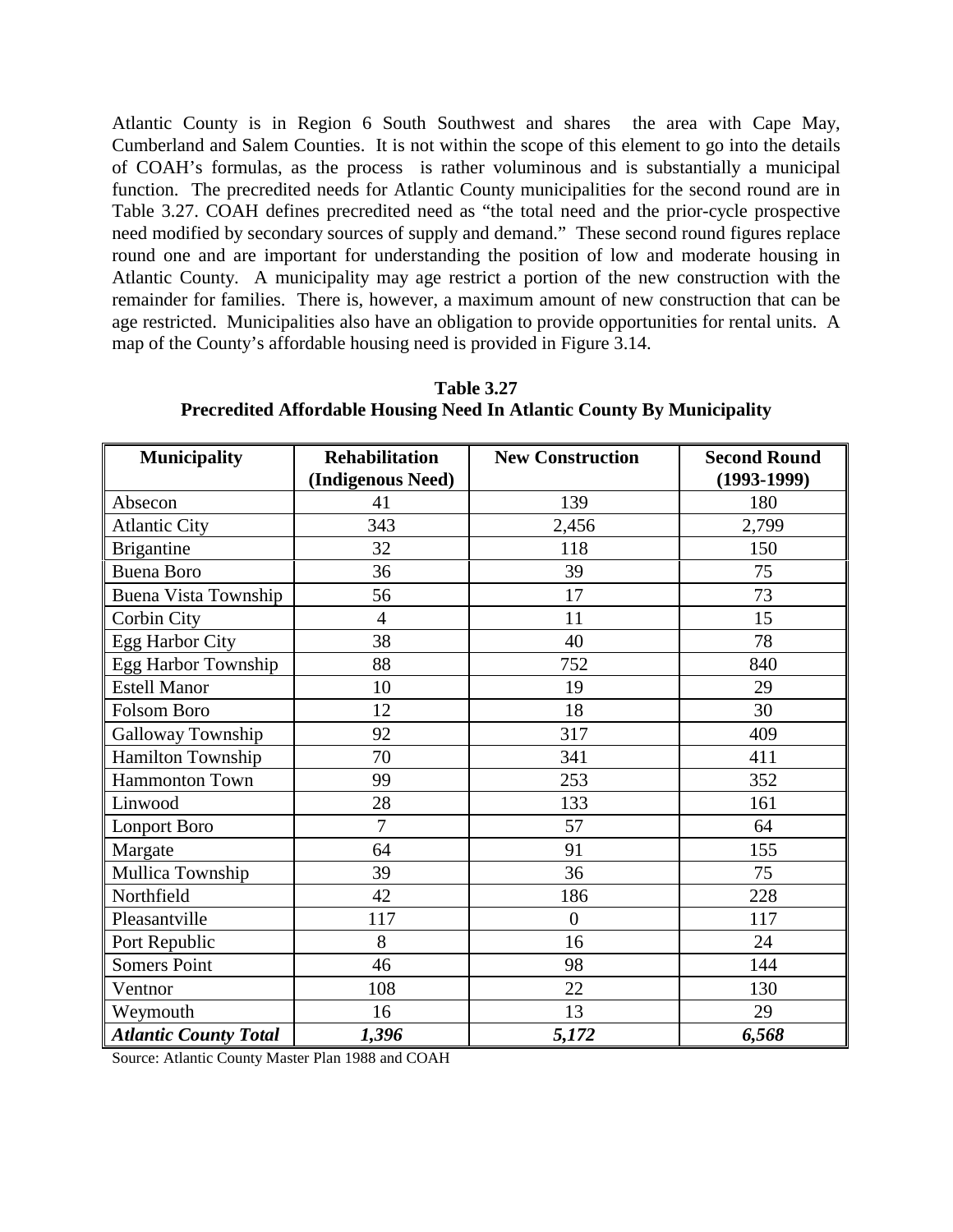Atlantic County is in Region 6 South Southwest and shares the area with Cape May, Cumberland and Salem Counties. It is not within the scope of this element to go into the details of COAH's formulas, as the process is rather voluminous and is substantially a municipal function. The precredited needs for Atlantic County municipalities for the second round are in Table 3.27. COAH defines precredited need as "the total need and the prior-cycle prospective need modified by secondary sources of supply and demand." These second round figures replace round one and are important for understanding the position of low and moderate housing in Atlantic County. A municipality may age restrict a portion of the new construction with the remainder for families. There is, however, a maximum amount of new construction that can be age restricted. Municipalities also have an obligation to provide opportunities for rental units. A map of the County's affordable housing need is provided in Figure 3.14.

| <b>Municipality</b>          | <b>Rehabilitation</b> | <b>New Construction</b> | <b>Second Round</b> |  |
|------------------------------|-----------------------|-------------------------|---------------------|--|
|                              | (Indigenous Need)     |                         | $(1993-1999)$       |  |
| Absecon                      | 41                    | 139                     | 180                 |  |
| <b>Atlantic City</b>         | 343                   | 2,456                   | 2,799               |  |
| <b>Brigantine</b>            | 32                    | 118                     | 150                 |  |
| <b>Buena Boro</b>            | 36                    | 39                      | 75                  |  |
| <b>Buena Vista Township</b>  | 56                    | 17                      | 73                  |  |
| Corbin City                  | $\overline{4}$        | 11                      | 15                  |  |
| Egg Harbor City              | 38                    | 40                      | 78                  |  |
| Egg Harbor Township          | 88                    | 752                     | 840                 |  |
| <b>Estell Manor</b>          | 10                    | 19                      | 29                  |  |
| Folsom Boro                  | 12                    | 18                      | 30                  |  |
| Galloway Township            | 92                    | 317                     | 409                 |  |
| Hamilton Township            | 70                    | 341                     | 411                 |  |
| <b>Hammonton Town</b>        | 99                    | 253                     | 352                 |  |
| Linwood                      | 28                    | 133                     | 161                 |  |
| Lonport Boro                 | 7                     | 57                      | 64                  |  |
| Margate                      | 64                    | 91                      | 155                 |  |
| Mullica Township             | 39                    | 36                      | 75                  |  |
| Northfield                   | 42                    | 186                     | 228                 |  |
| Pleasantville                | 117                   | $\overline{0}$          | 117                 |  |
| Port Republic                | 8                     | 16                      | 24                  |  |
| <b>Somers Point</b>          | 46                    | 98                      | 144                 |  |
| Ventnor                      | 108                   | 22                      | 130                 |  |
| Weymouth                     | 16                    | 13                      | 29                  |  |
| <b>Atlantic County Total</b> | 1,396                 | 5,172                   | 6,568               |  |

**Table 3.27 Precredited Affordable Housing Need In Atlantic County By Municipality**

Source: Atlantic County Master Plan 1988 and COAH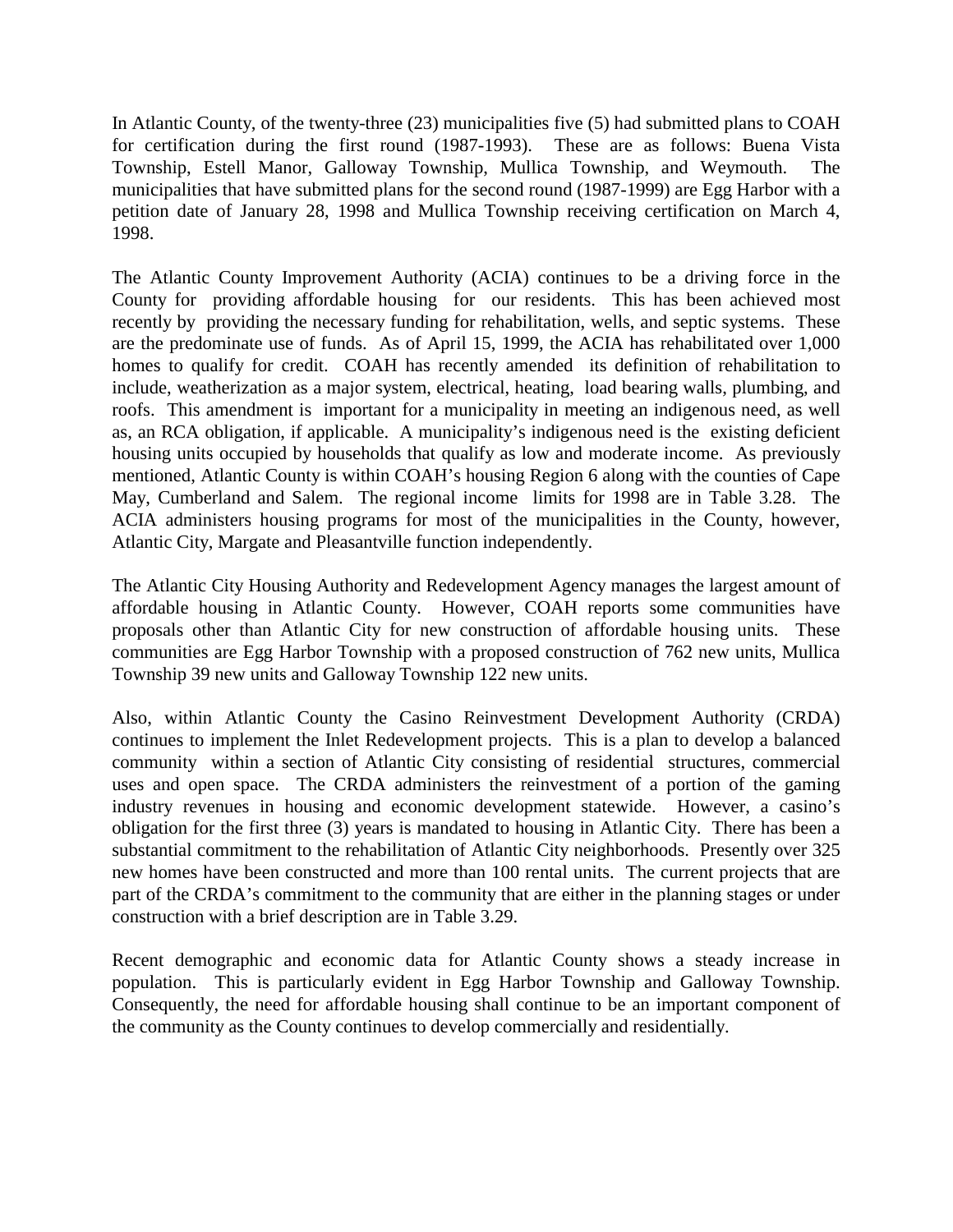In Atlantic County, of the twenty-three (23) municipalities five (5) had submitted plans to COAH for certification during the first round (1987-1993). These are as follows: Buena Vista Township, Estell Manor, Galloway Township, Mullica Township, and Weymouth. The municipalities that have submitted plans for the second round (1987-1999) are Egg Harbor with a petition date of January 28, 1998 and Mullica Township receiving certification on March 4, 1998.

The Atlantic County Improvement Authority (ACIA) continues to be a driving force in the County for providing affordable housing for our residents. This has been achieved most recently by providing the necessary funding for rehabilitation, wells, and septic systems. These are the predominate use of funds. As of April 15, 1999, the ACIA has rehabilitated over 1,000 homes to qualify for credit. COAH has recently amended its definition of rehabilitation to include, weatherization as a major system, electrical, heating, load bearing walls, plumbing, and roofs. This amendment is important for a municipality in meeting an indigenous need, as well as, an RCA obligation, if applicable. A municipality's indigenous need is the existing deficient housing units occupied by households that qualify as low and moderate income. As previously mentioned, Atlantic County is within COAH's housing Region 6 along with the counties of Cape May, Cumberland and Salem. The regional income limits for 1998 are in Table 3.28. The ACIA administers housing programs for most of the municipalities in the County, however, Atlantic City, Margate and Pleasantville function independently.

The Atlantic City Housing Authority and Redevelopment Agency manages the largest amount of affordable housing in Atlantic County. However, COAH reports some communities have proposals other than Atlantic City for new construction of affordable housing units. These communities are Egg Harbor Township with a proposed construction of 762 new units, Mullica Township 39 new units and Galloway Township 122 new units.

Also, within Atlantic County the Casino Reinvestment Development Authority (CRDA) continues to implement the Inlet Redevelopment projects. This is a plan to develop a balanced community within a section of Atlantic City consisting of residential structures, commercial uses and open space. The CRDA administers the reinvestment of a portion of the gaming industry revenues in housing and economic development statewide. However, a casino's obligation for the first three (3) years is mandated to housing in Atlantic City. There has been a substantial commitment to the rehabilitation of Atlantic City neighborhoods. Presently over 325 new homes have been constructed and more than 100 rental units. The current projects that are part of the CRDA's commitment to the community that are either in the planning stages or under construction with a brief description are in Table 3.29.

Recent demographic and economic data for Atlantic County shows a steady increase in population. This is particularly evident in Egg Harbor Township and Galloway Township. Consequently, the need for affordable housing shall continue to be an important component of the community as the County continues to develop commercially and residentially.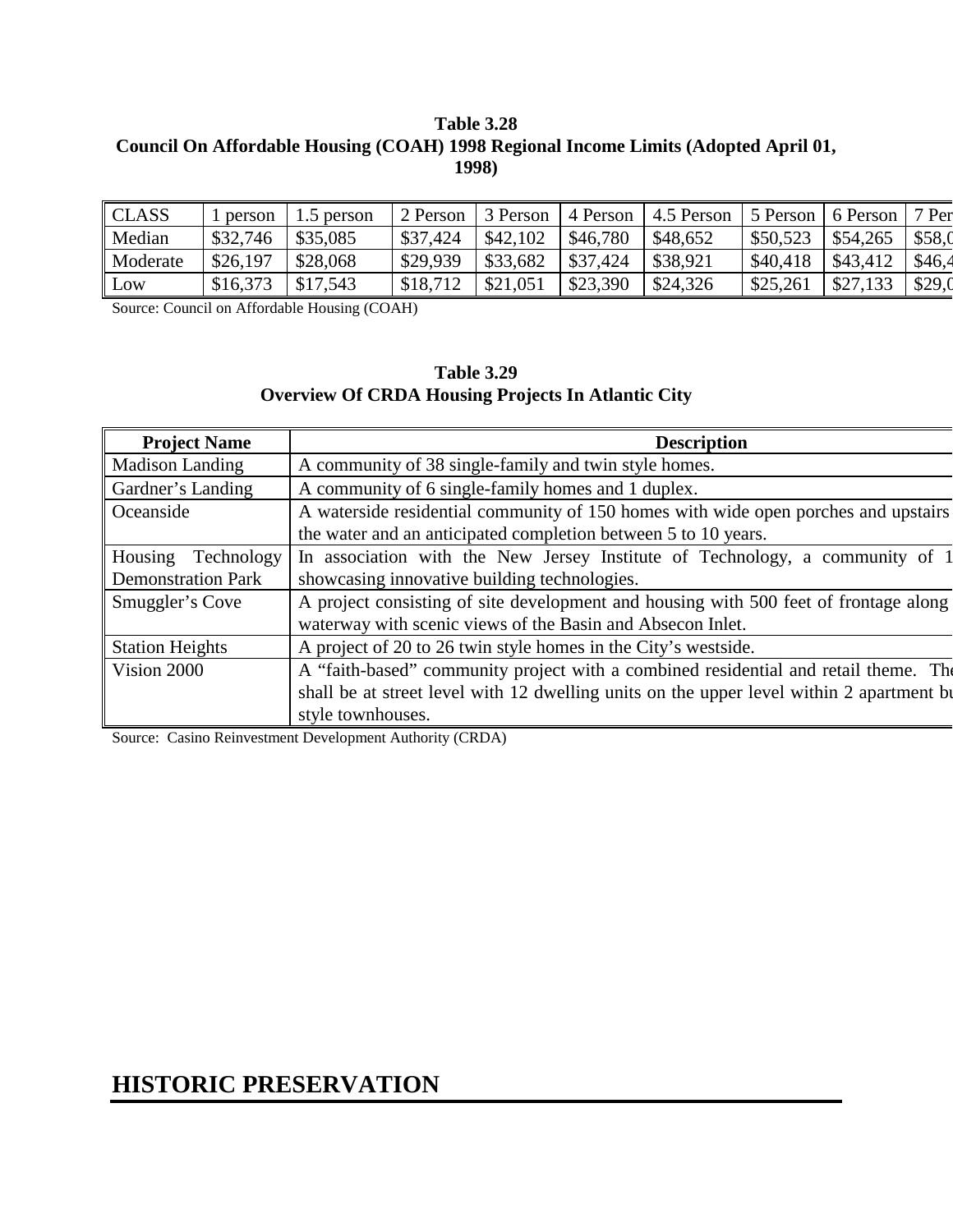## **Table 3.28 Council On Affordable Housing (COAH) 1998 Regional Income Limits (Adopted April 01, 1998)**

| $\ $ CLASS | person   | 1.5 person | 2 Person | 3 Person           |                                | 4 Person $\vert$ 4.5 Person |                      | 5 Person 6 Person | 7 Per  |
|------------|----------|------------|----------|--------------------|--------------------------------|-----------------------------|----------------------|-------------------|--------|
| Median     | \$32,746 | \$35,085   | \$37,424 | \$42,102           | \$46,780                       | \$48,652                    | $$50,523$   \$54,265 |                   | \$58,0 |
| Moderate   | \$26,197 | \$28,068   | \$29.939 | $\frac{$33,682}{}$ | $\frac{1}{337,424}$ \ \$38,921 |                             | $$40,418$   \$43,412 |                   | \$46,4 |
| Low        | \$16,373 | \$17,543   | \$18,712 | \$21,051           | \$23,390                       | \$24,326                    | \$25,261             | \$27,133          | \$29,0 |

Source: Council on Affordable Housing (COAH)

#### **Table 3.29 Overview Of CRDA Housing Projects In Atlantic City**

| <b>Project Name</b>       | <b>Description</b>                                                                       |
|---------------------------|------------------------------------------------------------------------------------------|
| <b>Madison Landing</b>    | A community of 38 single-family and twin style homes.                                    |
| Gardner's Landing         | A community of 6 single-family homes and 1 duplex.                                       |
| Oceanside                 | A waterside residential community of 150 homes with wide open porches and upstairs       |
|                           | the water and an anticipated completion between 5 to 10 years.                           |
| Housing<br>Technology     | In association with the New Jersey Institute of Technology, a community of 1             |
| <b>Demonstration Park</b> | showcasing innovative building technologies.                                             |
| Smuggler's Cove           | A project consisting of site development and housing with 500 feet of frontage along     |
|                           | waterway with scenic views of the Basin and Absecon Inlet.                               |
| <b>Station Heights</b>    | A project of 20 to 26 twin style homes in the City's westside.                           |
| Vision 2000               | A "faith-based" community project with a combined residential and retail theme. The      |
|                           | shall be at street level with 12 dwelling units on the upper level within 2 apartment bu |
|                           | style townhouses.                                                                        |

Source: Casino Reinvestment Development Authority (CRDA)

## **HISTORIC PRESERVATION**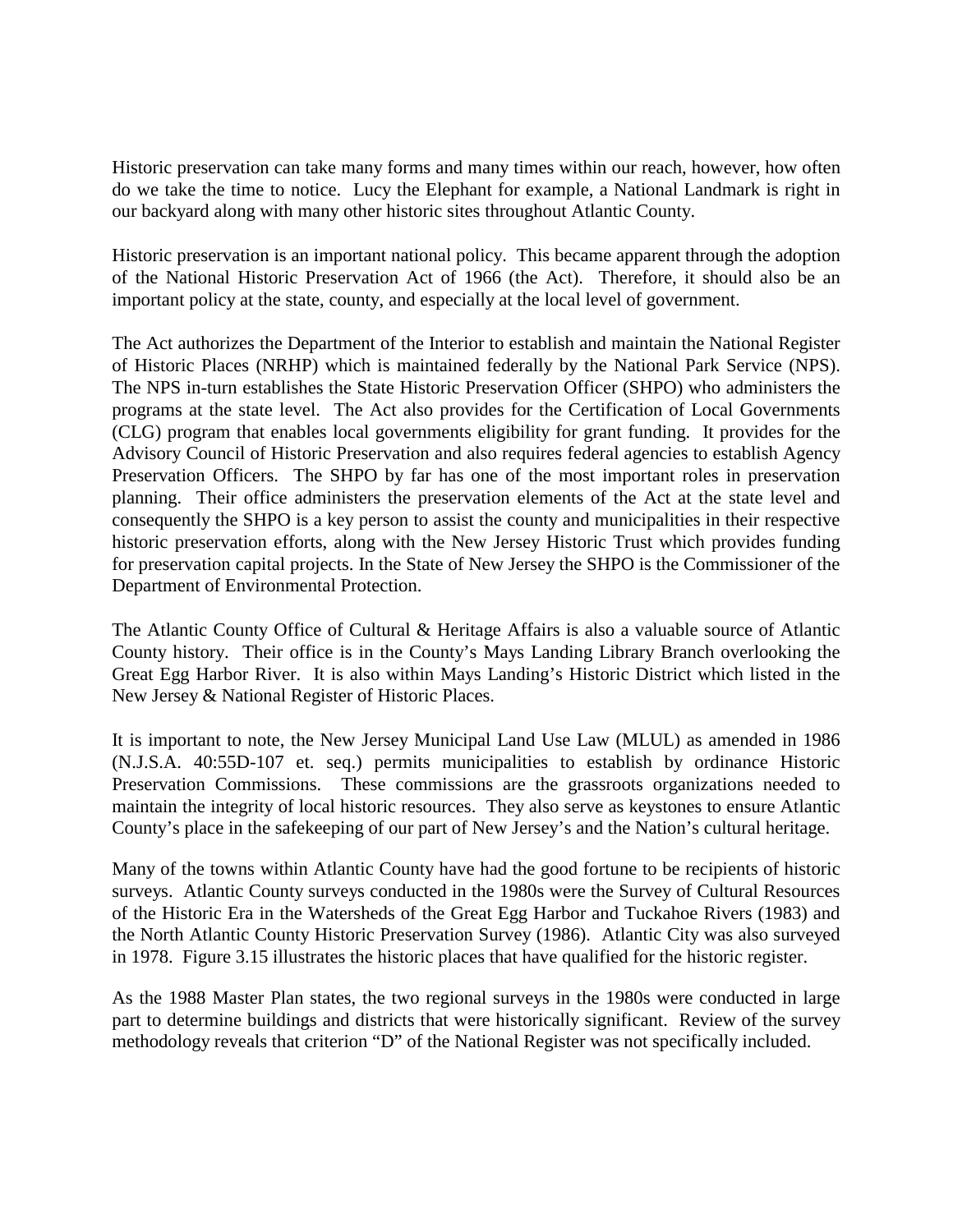Historic preservation can take many forms and many times within our reach, however, how often do we take the time to notice. Lucy the Elephant for example, a National Landmark is right in our backyard along with many other historic sites throughout Atlantic County.

Historic preservation is an important national policy. This became apparent through the adoption of the National Historic Preservation Act of 1966 (the Act). Therefore, it should also be an important policy at the state, county, and especially at the local level of government.

The Act authorizes the Department of the Interior to establish and maintain the National Register of Historic Places (NRHP) which is maintained federally by the National Park Service (NPS). The NPS in-turn establishes the State Historic Preservation Officer (SHPO) who administers the programs at the state level. The Act also provides for the Certification of Local Governments (CLG) program that enables local governments eligibility for grant funding. It provides for the Advisory Council of Historic Preservation and also requires federal agencies to establish Agency Preservation Officers. The SHPO by far has one of the most important roles in preservation planning. Their office administers the preservation elements of the Act at the state level and consequently the SHPO is a key person to assist the county and municipalities in their respective historic preservation efforts, along with the New Jersey Historic Trust which provides funding for preservation capital projects. In the State of New Jersey the SHPO is the Commissioner of the Department of Environmental Protection.

The Atlantic County Office of Cultural & Heritage Affairs is also a valuable source of Atlantic County history. Their office is in the County's Mays Landing Library Branch overlooking the Great Egg Harbor River. It is also within Mays Landing's Historic District which listed in the New Jersey & National Register of Historic Places.

It is important to note, the New Jersey Municipal Land Use Law (MLUL) as amended in 1986 (N.J.S.A. 40:55D-107 et. seq.) permits municipalities to establish by ordinance Historic Preservation Commissions. These commissions are the grassroots organizations needed to maintain the integrity of local historic resources. They also serve as keystones to ensure Atlantic County's place in the safekeeping of our part of New Jersey's and the Nation's cultural heritage.

Many of the towns within Atlantic County have had the good fortune to be recipients of historic surveys. Atlantic County surveys conducted in the 1980s were the Survey of Cultural Resources of the Historic Era in the Watersheds of the Great Egg Harbor and Tuckahoe Rivers (1983) and the North Atlantic County Historic Preservation Survey (1986). Atlantic City was also surveyed in 1978. Figure 3.15 illustrates the historic places that have qualified for the historic register.

As the 1988 Master Plan states, the two regional surveys in the 1980s were conducted in large part to determine buildings and districts that were historically significant. Review of the survey methodology reveals that criterion "D" of the National Register was not specifically included.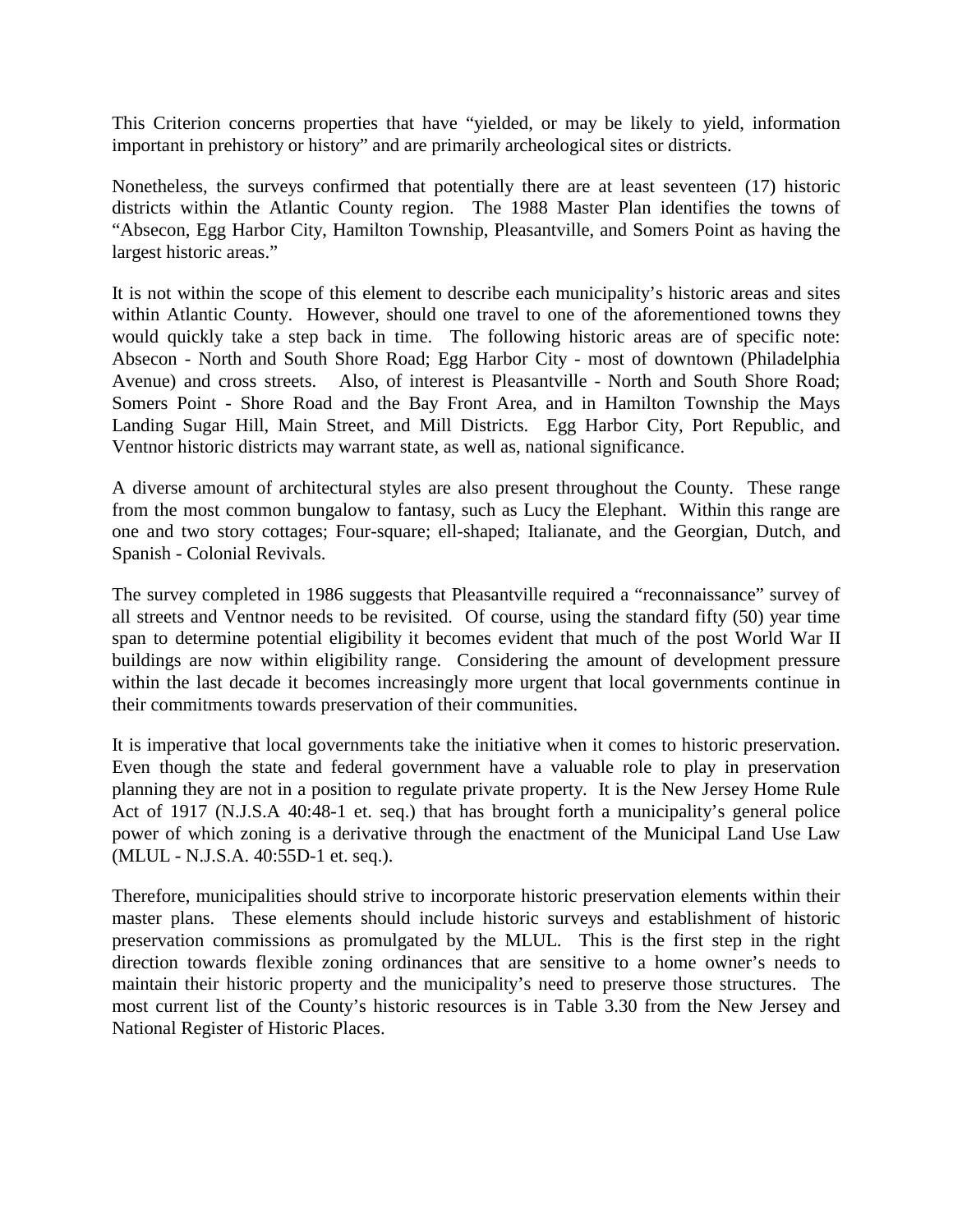This Criterion concerns properties that have "yielded, or may be likely to yield, information important in prehistory or history" and are primarily archeological sites or districts.

Nonetheless, the surveys confirmed that potentially there are at least seventeen (17) historic districts within the Atlantic County region. The 1988 Master Plan identifies the towns of "Absecon, Egg Harbor City, Hamilton Township, Pleasantville, and Somers Point as having the largest historic areas."

It is not within the scope of this element to describe each municipality's historic areas and sites within Atlantic County. However, should one travel to one of the aforementioned towns they would quickly take a step back in time. The following historic areas are of specific note: Absecon - North and South Shore Road; Egg Harbor City - most of downtown (Philadelphia Avenue) and cross streets. Also, of interest is Pleasantville - North and South Shore Road; Somers Point - Shore Road and the Bay Front Area, and in Hamilton Township the Mays Landing Sugar Hill, Main Street, and Mill Districts. Egg Harbor City, Port Republic, and Ventnor historic districts may warrant state, as well as, national significance.

A diverse amount of architectural styles are also present throughout the County. These range from the most common bungalow to fantasy, such as Lucy the Elephant. Within this range are one and two story cottages; Four-square; ell-shaped; Italianate, and the Georgian, Dutch, and Spanish - Colonial Revivals.

The survey completed in 1986 suggests that Pleasantville required a "reconnaissance" survey of all streets and Ventnor needs to be revisited. Of course, using the standard fifty (50) year time span to determine potential eligibility it becomes evident that much of the post World War II buildings are now within eligibility range. Considering the amount of development pressure within the last decade it becomes increasingly more urgent that local governments continue in their commitments towards preservation of their communities.

It is imperative that local governments take the initiative when it comes to historic preservation. Even though the state and federal government have a valuable role to play in preservation planning they are not in a position to regulate private property. It is the New Jersey Home Rule Act of 1917 (N.J.S.A 40:48-1 et. seq.) that has brought forth a municipality's general police power of which zoning is a derivative through the enactment of the Municipal Land Use Law (MLUL - N.J.S.A. 40:55D-1 et. seq.).

Therefore, municipalities should strive to incorporate historic preservation elements within their master plans. These elements should include historic surveys and establishment of historic preservation commissions as promulgated by the MLUL. This is the first step in the right direction towards flexible zoning ordinances that are sensitive to a home owner's needs to maintain their historic property and the municipality's need to preserve those structures. The most current list of the County's historic resources is in Table 3.30 from the New Jersey and National Register of Historic Places.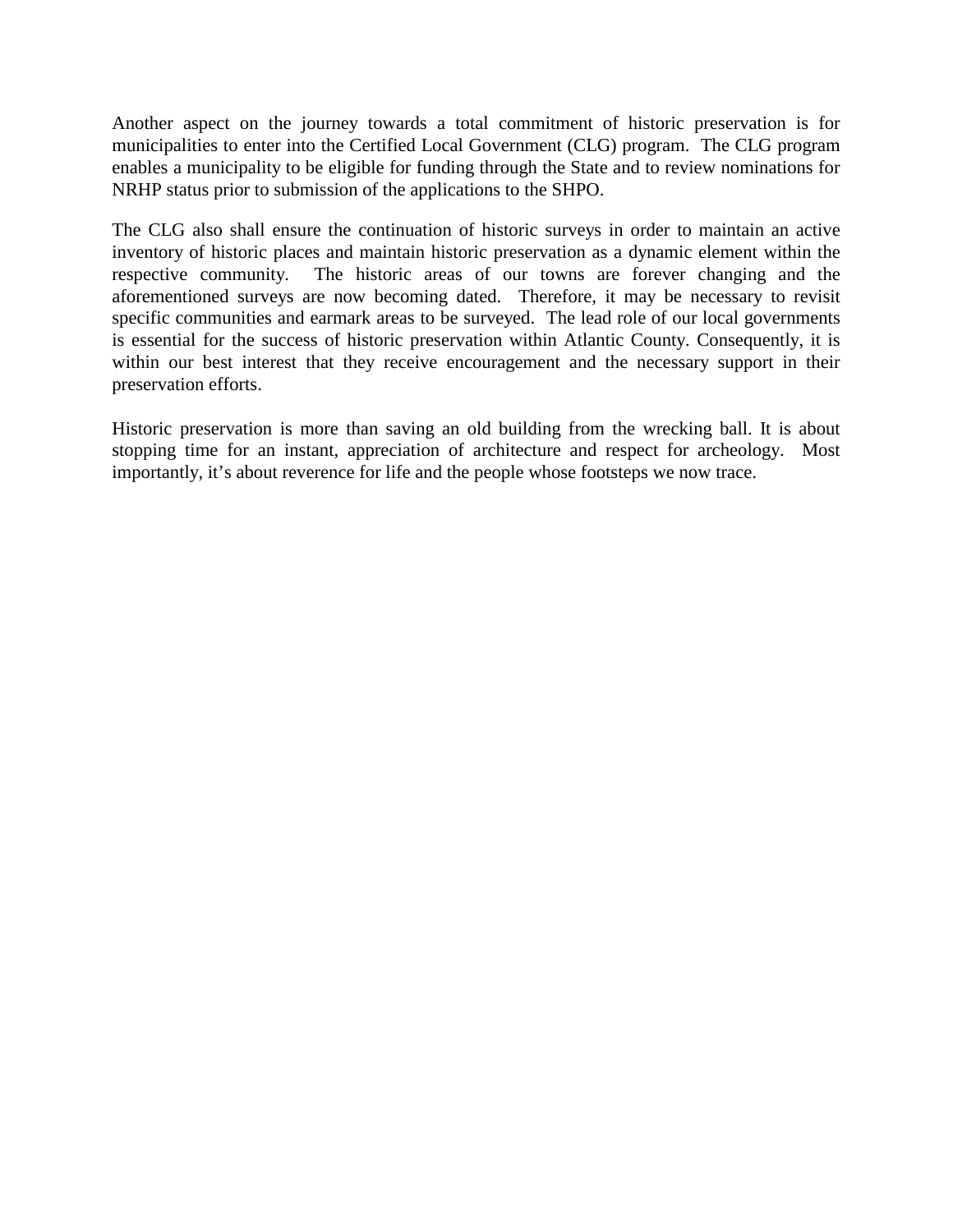Another aspect on the journey towards a total commitment of historic preservation is for municipalities to enter into the Certified Local Government (CLG) program. The CLG program enables a municipality to be eligible for funding through the State and to review nominations for NRHP status prior to submission of the applications to the SHPO.

The CLG also shall ensure the continuation of historic surveys in order to maintain an active inventory of historic places and maintain historic preservation as a dynamic element within the respective community. The historic areas of our towns are forever changing and the aforementioned surveys are now becoming dated. Therefore, it may be necessary to revisit specific communities and earmark areas to be surveyed. The lead role of our local governments is essential for the success of historic preservation within Atlantic County. Consequently, it is within our best interest that they receive encouragement and the necessary support in their preservation efforts.

Historic preservation is more than saving an old building from the wrecking ball. It is about stopping time for an instant, appreciation of architecture and respect for archeology. Most importantly, it's about reverence for life and the people whose footsteps we now trace.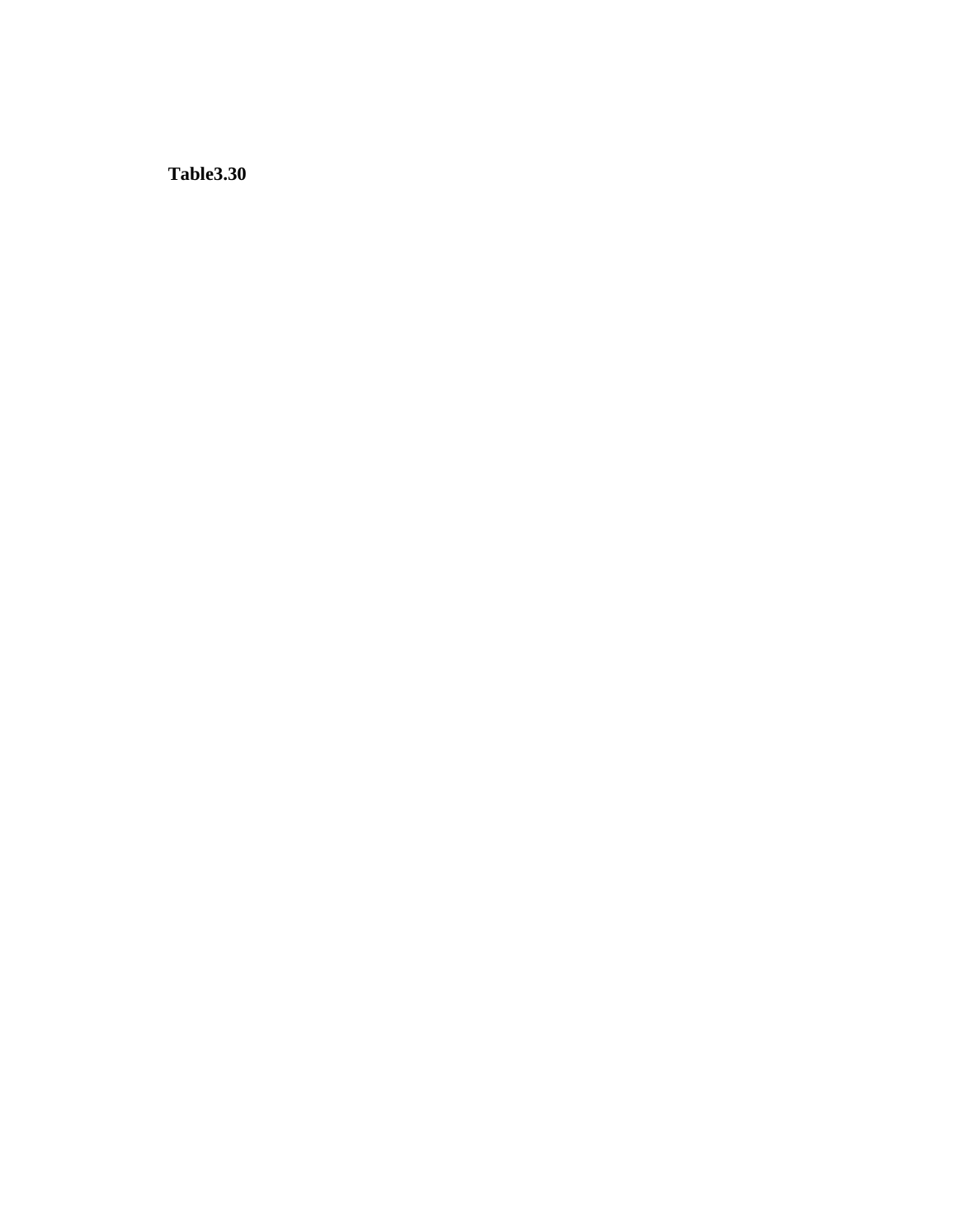**Table3.30**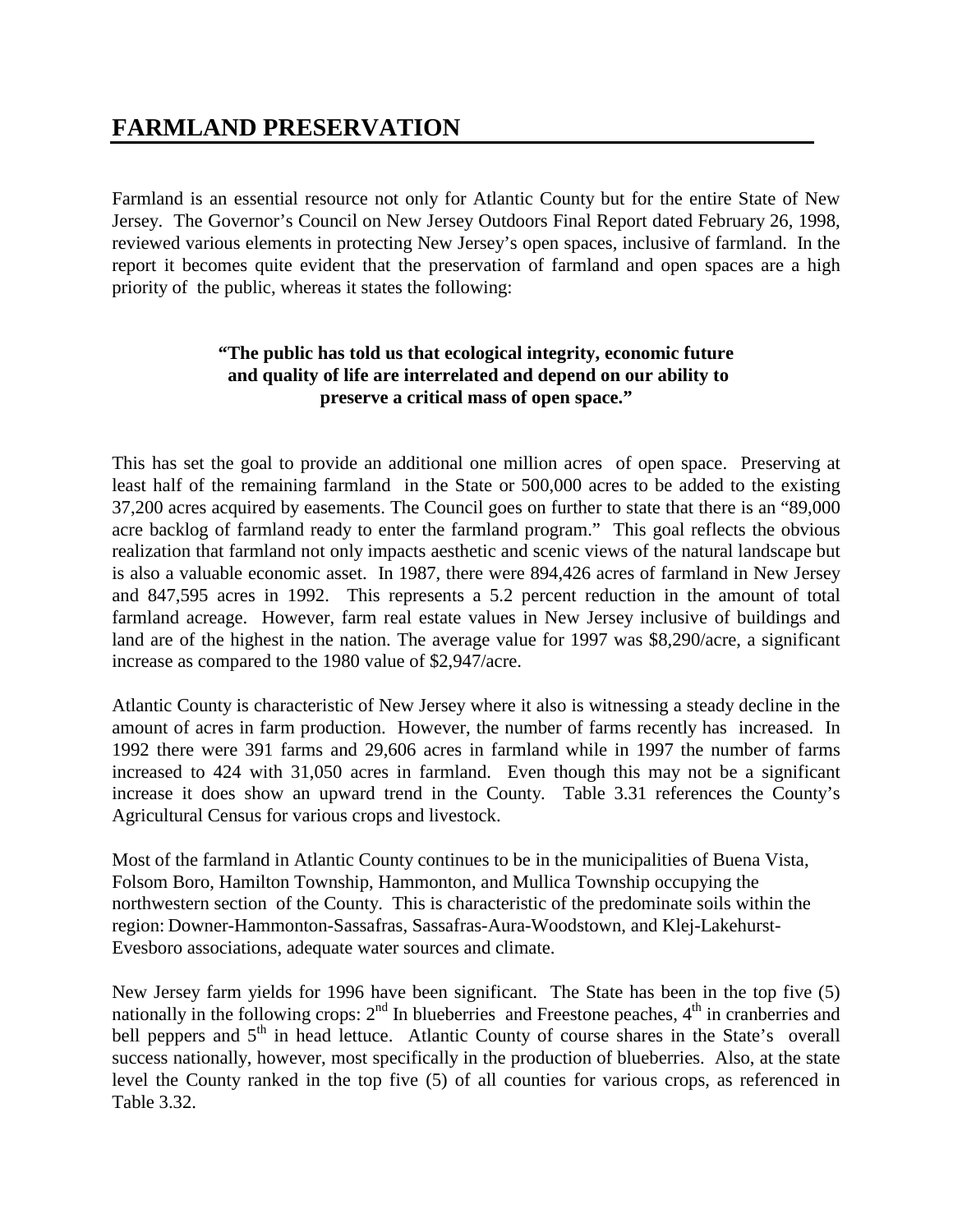## **FARMLAND PRESERVATION**

Farmland is an essential resource not only for Atlantic County but for the entire State of New Jersey. The Governor's Council on New Jersey Outdoors Final Report dated February 26, 1998, reviewed various elements in protecting New Jersey's open spaces, inclusive of farmland. In the report it becomes quite evident that the preservation of farmland and open spaces are a high priority of the public, whereas it states the following:

## **"The public has told us that ecological integrity, economic future and quality of life are interrelated and depend on our ability to preserve a critical mass of open space."**

This has set the goal to provide an additional one million acres of open space. Preserving at least half of the remaining farmland in the State or 500,000 acres to be added to the existing 37,200 acres acquired by easements. The Council goes on further to state that there is an "89,000 acre backlog of farmland ready to enter the farmland program." This goal reflects the obvious realization that farmland not only impacts aesthetic and scenic views of the natural landscape but is also a valuable economic asset. In 1987, there were 894,426 acres of farmland in New Jersey and 847,595 acres in 1992. This represents a 5.2 percent reduction in the amount of total farmland acreage. However, farm real estate values in New Jersey inclusive of buildings and land are of the highest in the nation. The average value for 1997 was \$8,290/acre, a significant increase as compared to the 1980 value of \$2,947/acre.

Atlantic County is characteristic of New Jersey where it also is witnessing a steady decline in the amount of acres in farm production. However, the number of farms recently has increased. In 1992 there were 391 farms and 29,606 acres in farmland while in 1997 the number of farms increased to 424 with 31,050 acres in farmland. Even though this may not be a significant increase it does show an upward trend in the County. Table 3.31 references the County's Agricultural Census for various crops and livestock.

Most of the farmland in Atlantic County continues to be in the municipalities of Buena Vista, Folsom Boro, Hamilton Township, Hammonton, and Mullica Township occupying the northwestern section of the County. This is characteristic of the predominate soils within the region: Downer-Hammonton-Sassafras, Sassafras-Aura-Woodstown, and Klej-Lakehurst-Evesboro associations, adequate water sources and climate.

New Jersey farm yields for 1996 have been significant. The State has been in the top five (5) nationally in the following crops:  $2<sup>nd</sup>$  In blueberries and Freestone peaches,  $4<sup>th</sup>$  in cranberries and bell peppers and 5<sup>th</sup> in head lettuce. Atlantic County of course shares in the State's overall success nationally, however, most specifically in the production of blueberries. Also, at the state level the County ranked in the top five (5) of all counties for various crops, as referenced in Table 3.32.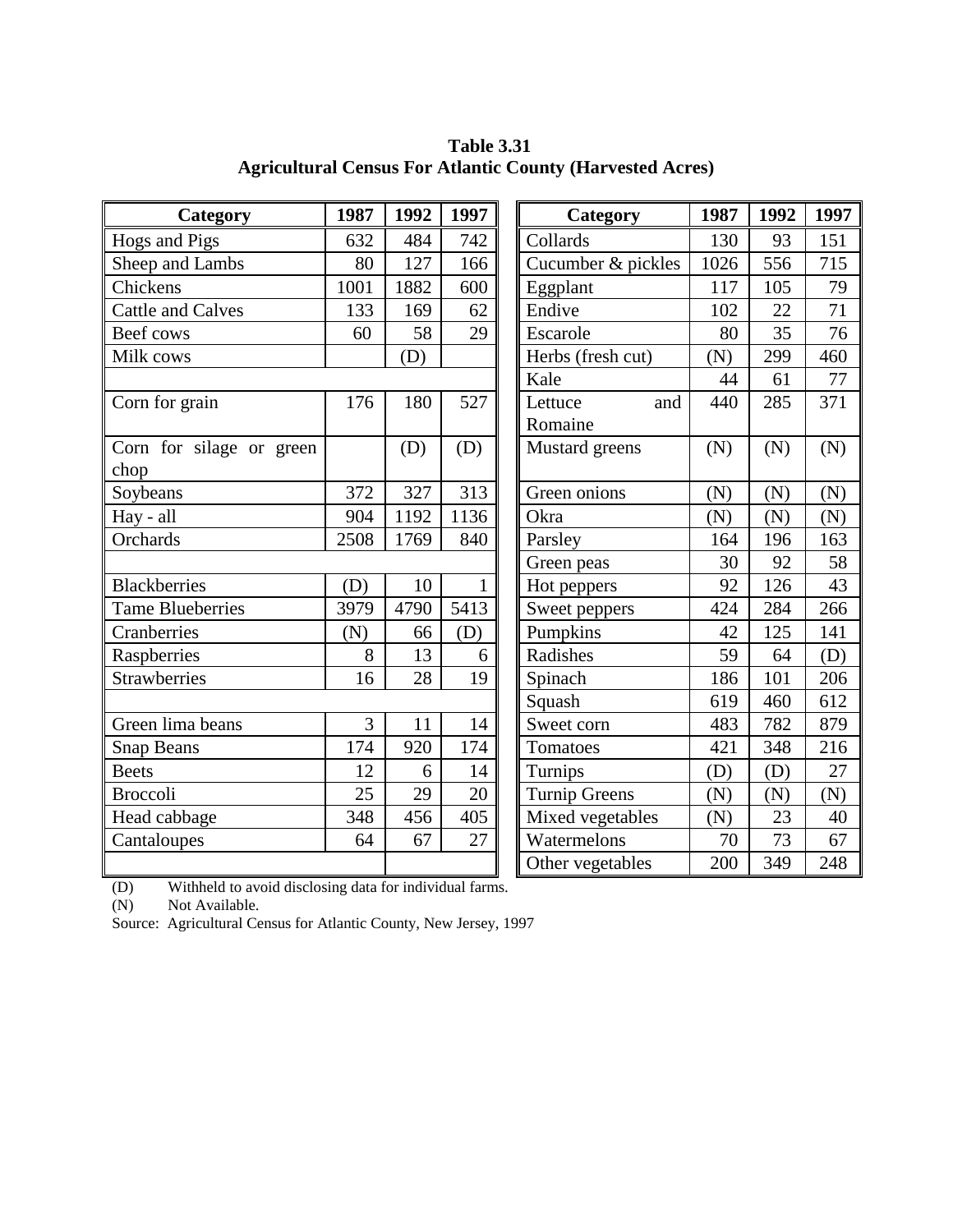| Category                 | 1987 | 1992 | 1997         | Category             | 1987 | 1992 | 1997 |
|--------------------------|------|------|--------------|----------------------|------|------|------|
| Hogs and Pigs            | 632  | 484  | 742          | Collards             | 130  | 93   | 151  |
| Sheep and Lambs          | 80   | 127  | 166          | Cucumber & pickles   | 1026 | 556  | 715  |
| Chickens                 | 1001 | 1882 | 600          | Eggplant             | 117  | 105  | 79   |
| <b>Cattle and Calves</b> | 133  | 169  | 62           | Endive               | 102  | 22   | 71   |
| Beef cows                | 60   | 58   | 29           | Escarole             | 80   | 35   | 76   |
| Milk cows                |      | (D)  |              | Herbs (fresh cut)    | (N)  | 299  | 460  |
|                          |      |      |              | Kale                 | 44   | 61   | 77   |
| Corn for grain           | 176  | 180  | 527          | Lettuce<br>and       | 440  | 285  | 371  |
|                          |      |      |              | Romaine              |      |      |      |
| Corn for silage or green |      | (D)  | (D)          | Mustard greens       | (N)  | (N)  | (N)  |
| chop                     |      |      |              |                      |      |      |      |
| Soybeans                 | 372  | 327  | 313          | Green onions         | (N)  | (N)  | (N)  |
| Hay - all                | 904  | 1192 | 1136         | Okra                 | (N)  | (N)  | (N)  |
| Orchards                 | 2508 | 1769 | 840          | Parsley              | 164  | 196  | 163  |
|                          |      |      |              | Green peas           | 30   | 92   | 58   |
| <b>Blackberries</b>      | (D)  | 10   | $\mathbf{1}$ | Hot peppers          | 92   | 126  | 43   |
| <b>Tame Blueberries</b>  | 3979 | 4790 | 5413         | Sweet peppers        | 424  | 284  | 266  |
| Cranberries              | (N)  | 66   | (D)          | Pumpkins             | 42   | 125  | 141  |
| Raspberries              | 8    | 13   | 6            | Radishes             | 59   | 64   | (D)  |
| <b>Strawberries</b>      | 16   | 28   | 19           | Spinach              | 186  | 101  | 206  |
|                          |      |      |              | Squash               | 619  | 460  | 612  |
| Green lima beans         | 3    | 11   | 14           | Sweet corn           | 483  | 782  | 879  |
| <b>Snap Beans</b>        | 174  | 920  | 174          | Tomatoes             | 421  | 348  | 216  |
| <b>Beets</b>             | 12   | 6    | 14           | Turnips              | (D)  | (D)  | 27   |
| <b>Broccoli</b>          | 25   | 29   | 20           | <b>Turnip Greens</b> | (N)  | (N)  | (N)  |
| Head cabbage             | 348  | 456  | 405          | Mixed vegetables     | (N)  | 23   | 40   |
| Cantaloupes              | 64   | 67   | 27           | Watermelons          | 70   | 73   | 67   |
|                          |      |      |              | Other vegetables     | 200  | 349  | 248  |

 **Table 3.31 Agricultural Census For Atlantic County (Harvested Acres)**

(D) Withheld to avoid disclosing data for individual farms.

(N) Not Available.

Source: Agricultural Census for Atlantic County, New Jersey, 1997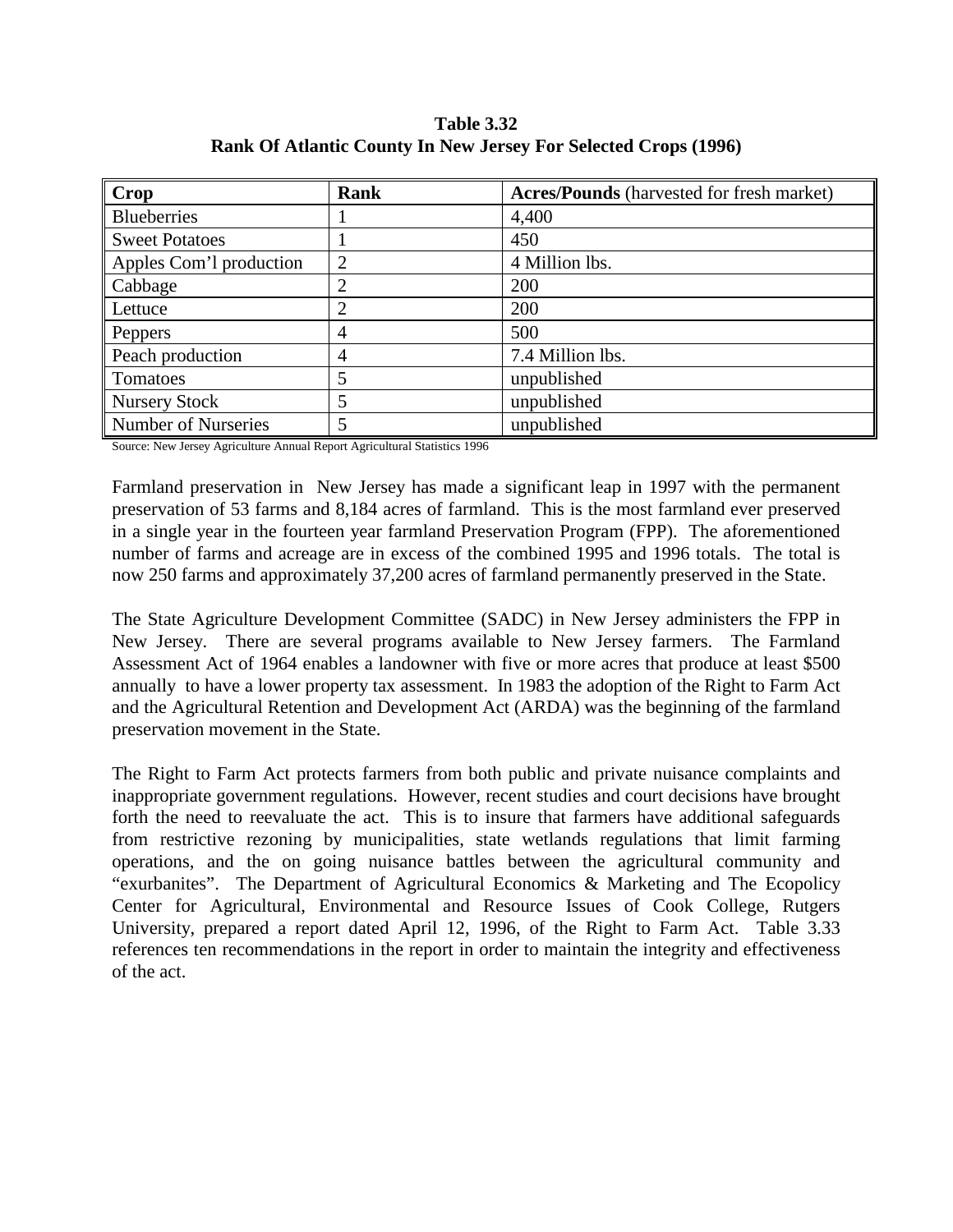| <b>Table 3.32</b>                                               |
|-----------------------------------------------------------------|
| Rank Of Atlantic County In New Jersey For Selected Crops (1996) |

| Crop                       | Rank | <b>Acres/Pounds</b> (harvested for fresh market) |
|----------------------------|------|--------------------------------------------------|
| <b>Blueberries</b>         |      | 4,400                                            |
| <b>Sweet Potatoes</b>      |      | 450                                              |
| Apples Com'l production    | 2    | 4 Million lbs.                                   |
| Cabbage                    | 2    | 200                                              |
| Lettuce                    | 2    | 200                                              |
| Peppers                    | 4    | 500                                              |
| Peach production           | 4    | 7.4 Million lbs.                                 |
| Tomatoes                   |      | unpublished                                      |
| <b>Nursery Stock</b>       |      | unpublished                                      |
| <b>Number of Nurseries</b> |      | unpublished                                      |

Source: New Jersey Agriculture Annual Report Agricultural Statistics 1996

Farmland preservation in New Jersey has made a significant leap in 1997 with the permanent preservation of 53 farms and 8,184 acres of farmland. This is the most farmland ever preserved in a single year in the fourteen year farmland Preservation Program (FPP). The aforementioned number of farms and acreage are in excess of the combined 1995 and 1996 totals. The total is now 250 farms and approximately 37,200 acres of farmland permanently preserved in the State.

The State Agriculture Development Committee (SADC) in New Jersey administers the FPP in New Jersey. There are several programs available to New Jersey farmers. The Farmland Assessment Act of 1964 enables a landowner with five or more acres that produce at least \$500 annually to have a lower property tax assessment. In 1983 the adoption of the Right to Farm Act and the Agricultural Retention and Development Act (ARDA) was the beginning of the farmland preservation movement in the State.

The Right to Farm Act protects farmers from both public and private nuisance complaints and inappropriate government regulations. However, recent studies and court decisions have brought forth the need to reevaluate the act. This is to insure that farmers have additional safeguards from restrictive rezoning by municipalities, state wetlands regulations that limit farming operations, and the on going nuisance battles between the agricultural community and "exurbanites". The Department of Agricultural Economics & Marketing and The Ecopolicy Center for Agricultural, Environmental and Resource Issues of Cook College, Rutgers University, prepared a report dated April 12, 1996, of the Right to Farm Act. Table 3.33 references ten recommendations in the report in order to maintain the integrity and effectiveness of the act.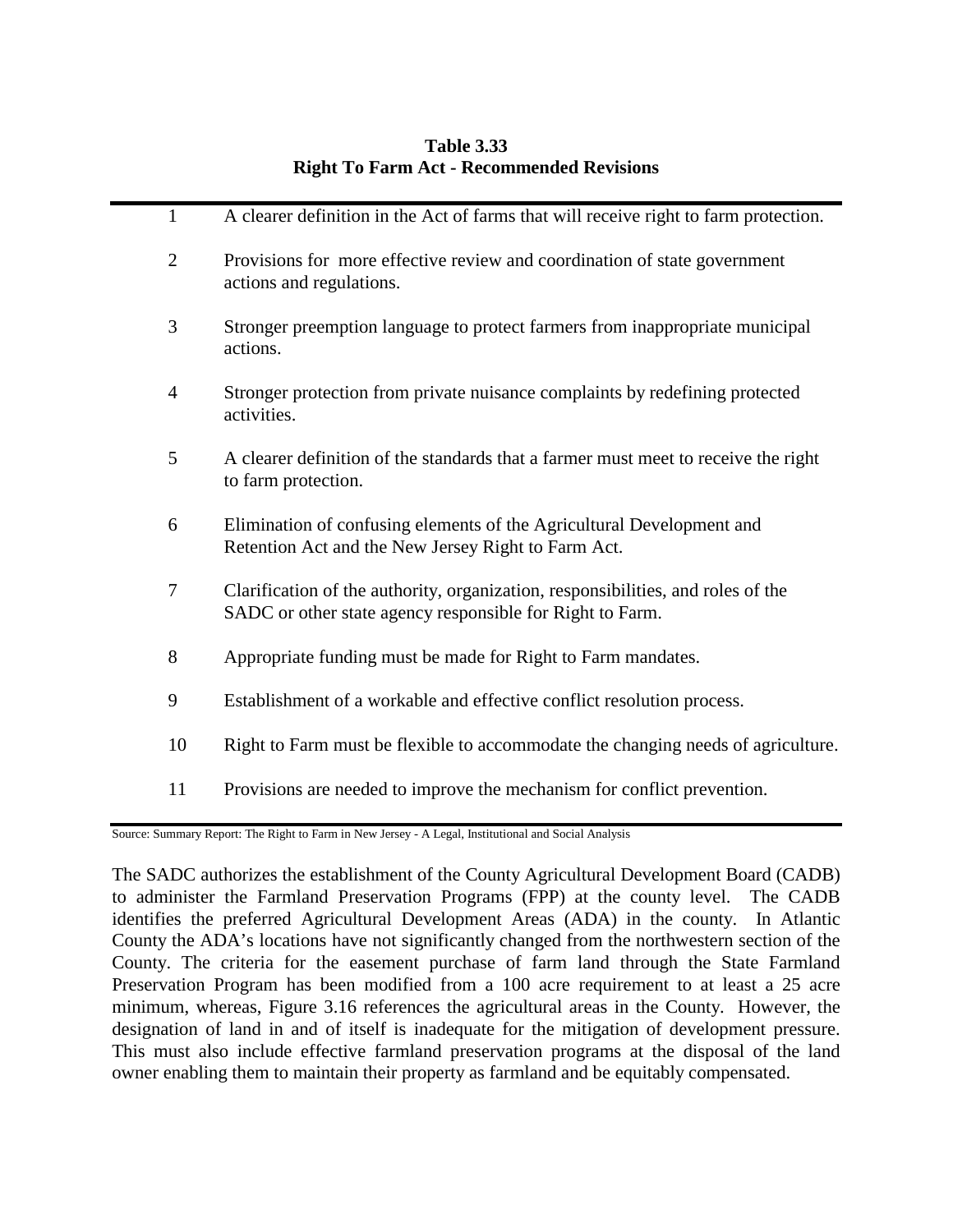## **Table 3.33 Right To Farm Act - Recommended Revisions**

| $\mathbf{1}$   | A clearer definition in the Act of farms that will receive right to farm protection.                                                          |
|----------------|-----------------------------------------------------------------------------------------------------------------------------------------------|
| $\overline{2}$ | Provisions for more effective review and coordination of state government<br>actions and regulations.                                         |
| 3              | Stronger preemption language to protect farmers from inappropriate municipal<br>actions.                                                      |
| $\overline{4}$ | Stronger protection from private nuisance complaints by redefining protected<br>activities.                                                   |
| 5              | A clearer definition of the standards that a farmer must meet to receive the right<br>to farm protection.                                     |
| 6              | Elimination of confusing elements of the Agricultural Development and<br>Retention Act and the New Jersey Right to Farm Act.                  |
| $\tau$         | Clarification of the authority, organization, responsibilities, and roles of the<br>SADC or other state agency responsible for Right to Farm. |
| 8              | Appropriate funding must be made for Right to Farm mandates.                                                                                  |
| 9              | Establishment of a workable and effective conflict resolution process.                                                                        |
| 10             | Right to Farm must be flexible to accommodate the changing needs of agriculture.                                                              |
| 11             | Provisions are needed to improve the mechanism for conflict prevention.                                                                       |
|                |                                                                                                                                               |

Source: Summary Report: The Right to Farm in New Jersey - A Legal, Institutional and Social Analysis

The SADC authorizes the establishment of the County Agricultural Development Board (CADB) to administer the Farmland Preservation Programs (FPP) at the county level. The CADB identifies the preferred Agricultural Development Areas (ADA) in the county. In Atlantic County the ADA's locations have not significantly changed from the northwestern section of the County. The criteria for the easement purchase of farm land through the State Farmland Preservation Program has been modified from a 100 acre requirement to at least a 25 acre minimum, whereas, Figure 3.16 references the agricultural areas in the County. However, the designation of land in and of itself is inadequate for the mitigation of development pressure. This must also include effective farmland preservation programs at the disposal of the land owner enabling them to maintain their property as farmland and be equitably compensated.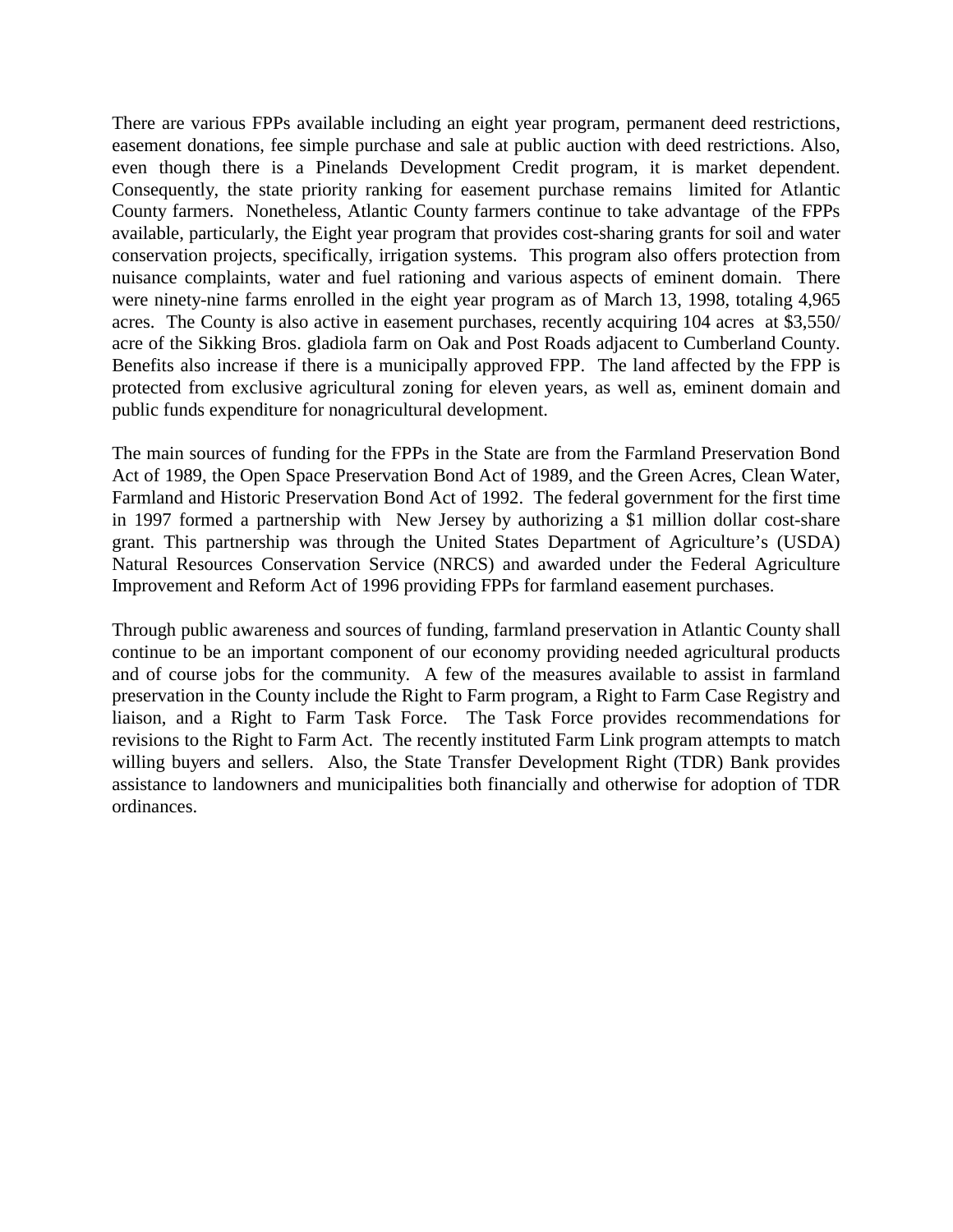There are various FPPs available including an eight year program, permanent deed restrictions, easement donations, fee simple purchase and sale at public auction with deed restrictions. Also, even though there is a Pinelands Development Credit program, it is market dependent. Consequently, the state priority ranking for easement purchase remains limited for Atlantic County farmers. Nonetheless, Atlantic County farmers continue to take advantage of the FPPs available, particularly, the Eight year program that provides cost-sharing grants for soil and water conservation projects, specifically, irrigation systems. This program also offers protection from nuisance complaints, water and fuel rationing and various aspects of eminent domain. There were ninety-nine farms enrolled in the eight year program as of March 13, 1998, totaling 4,965 acres. The County is also active in easement purchases, recently acquiring 104 acres at \$3,550/ acre of the Sikking Bros. gladiola farm on Oak and Post Roads adjacent to Cumberland County. Benefits also increase if there is a municipally approved FPP. The land affected by the FPP is protected from exclusive agricultural zoning for eleven years, as well as, eminent domain and public funds expenditure for nonagricultural development.

The main sources of funding for the FPPs in the State are from the Farmland Preservation Bond Act of 1989, the Open Space Preservation Bond Act of 1989, and the Green Acres, Clean Water, Farmland and Historic Preservation Bond Act of 1992. The federal government for the first time in 1997 formed a partnership with New Jersey by authorizing a \$1 million dollar cost-share grant. This partnership was through the United States Department of Agriculture's (USDA) Natural Resources Conservation Service (NRCS) and awarded under the Federal Agriculture Improvement and Reform Act of 1996 providing FPPs for farmland easement purchases.

Through public awareness and sources of funding, farmland preservation in Atlantic County shall continue to be an important component of our economy providing needed agricultural products and of course jobs for the community. A few of the measures available to assist in farmland preservation in the County include the Right to Farm program, a Right to Farm Case Registry and liaison, and a Right to Farm Task Force. The Task Force provides recommendations for revisions to the Right to Farm Act. The recently instituted Farm Link program attempts to match willing buyers and sellers. Also, the State Transfer Development Right (TDR) Bank provides assistance to landowners and municipalities both financially and otherwise for adoption of TDR ordinances.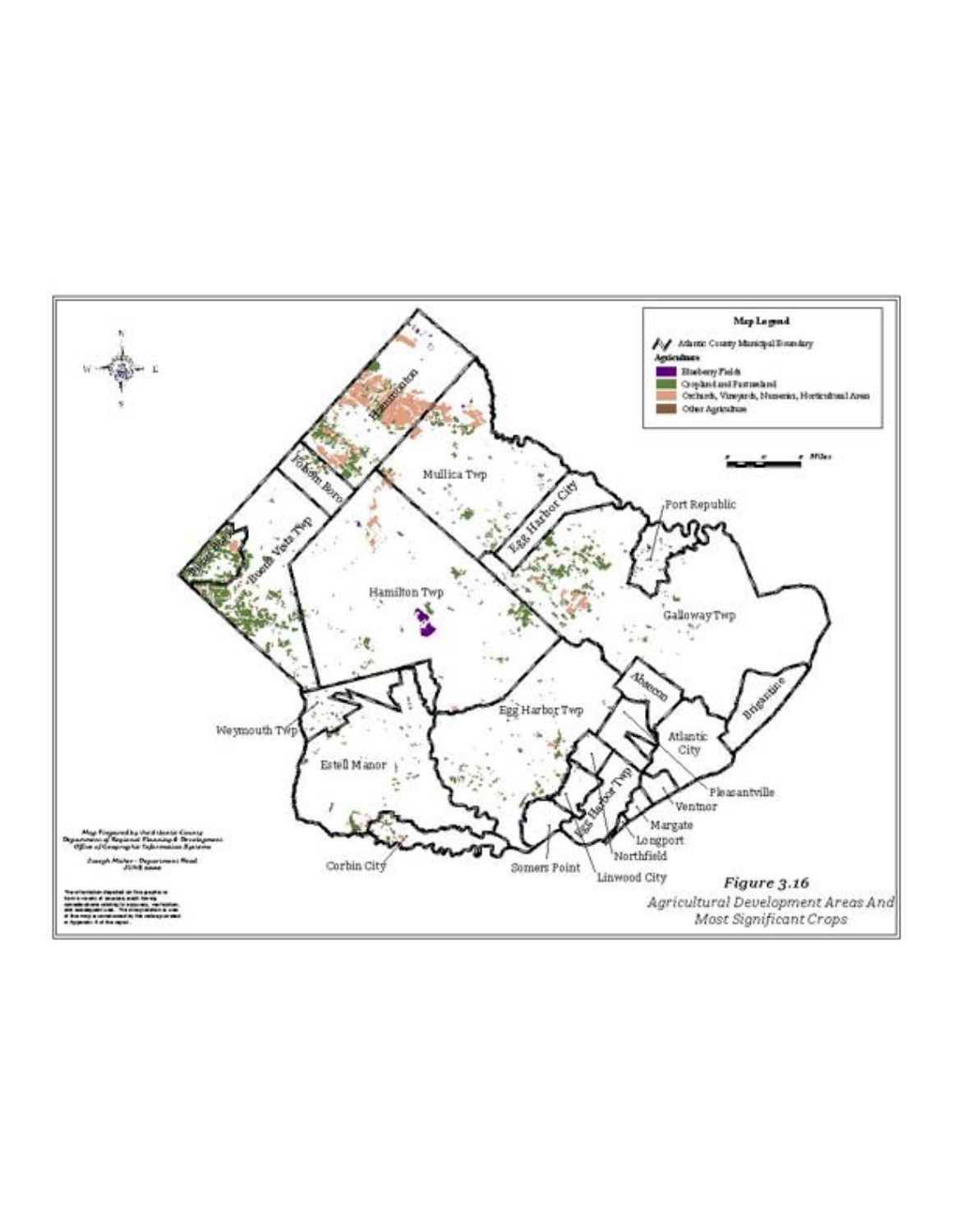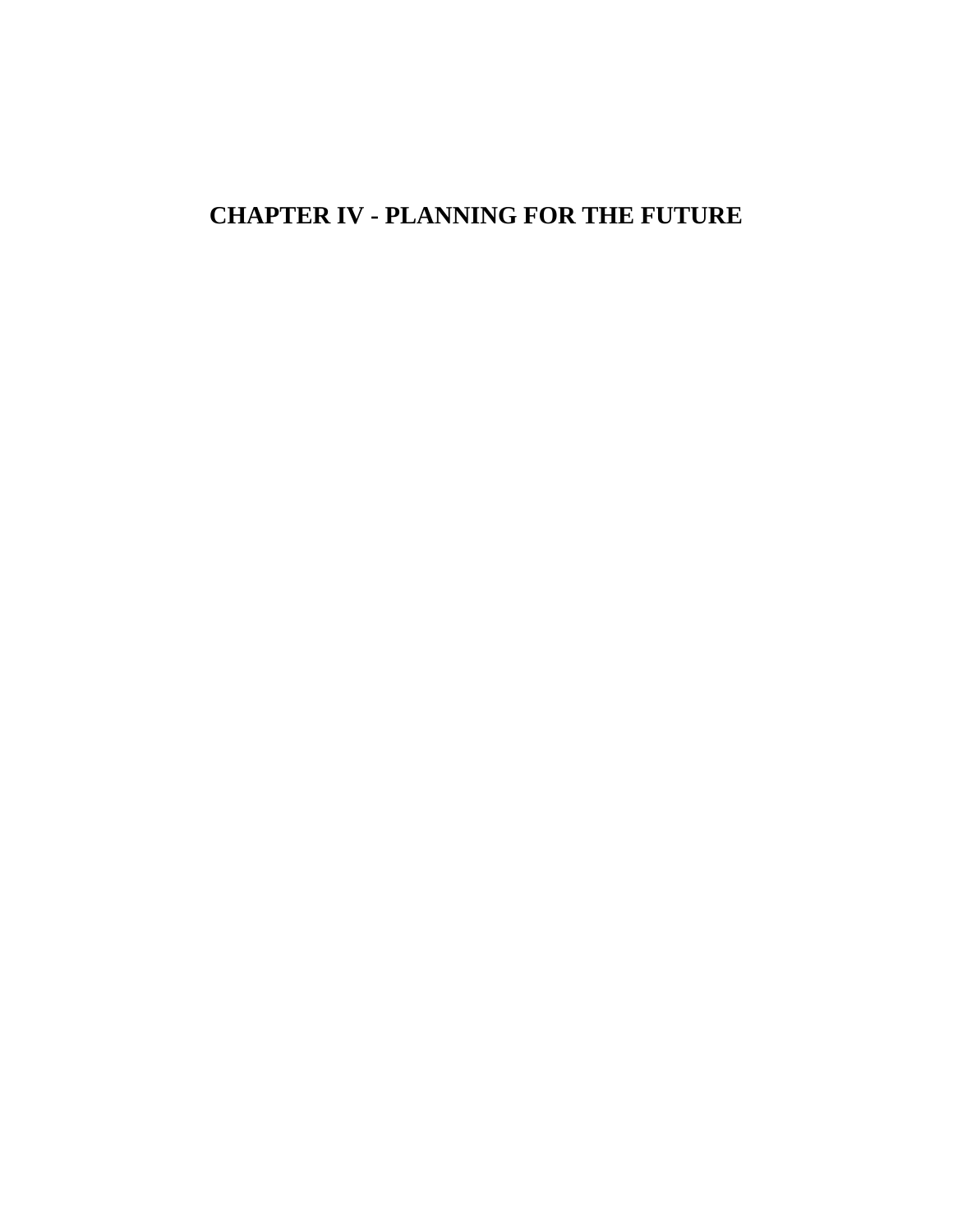# **CHAPTER IV - PLANNING FOR THE FUTURE**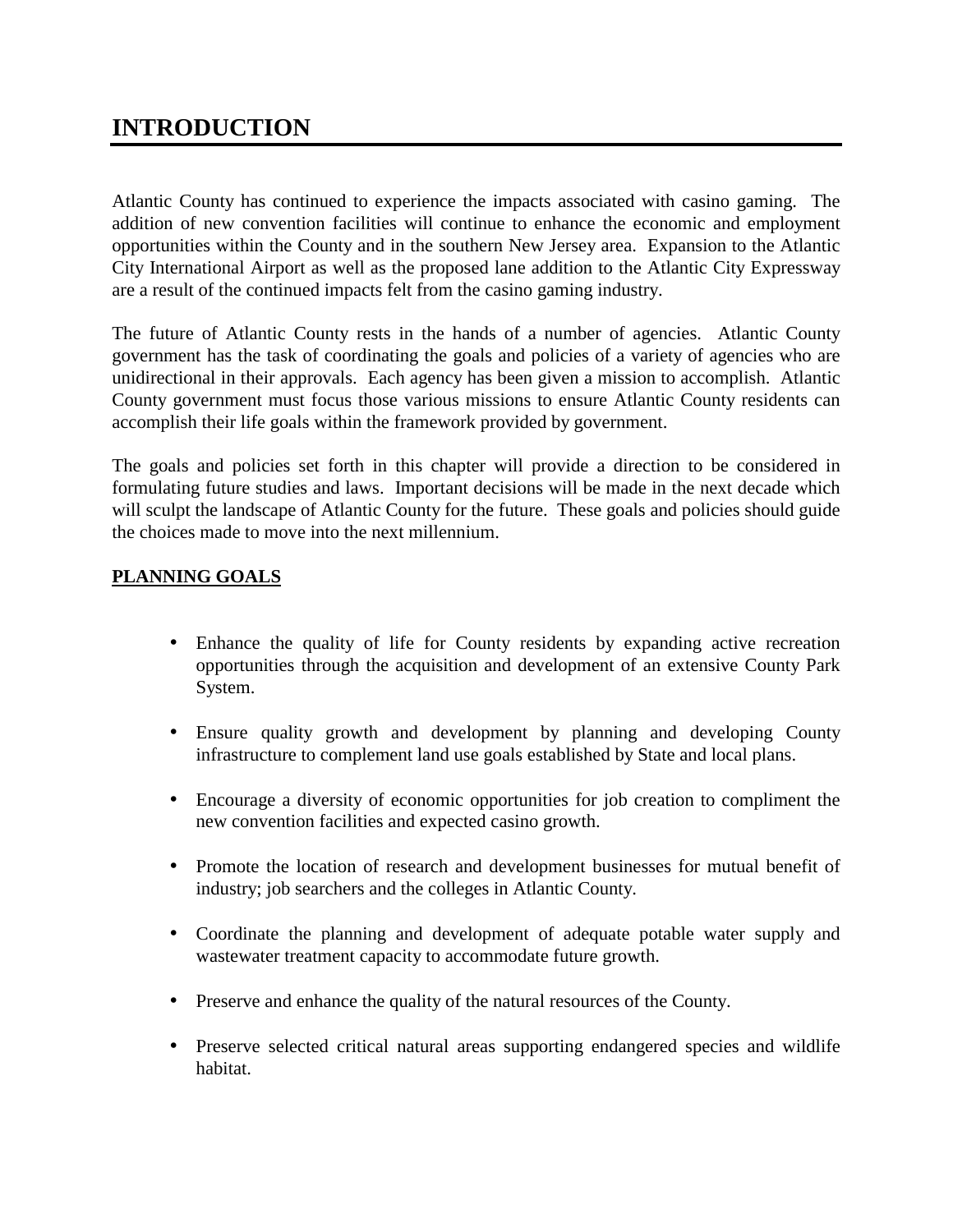# **INTRODUCTION**

Atlantic County has continued to experience the impacts associated with casino gaming. The addition of new convention facilities will continue to enhance the economic and employment opportunities within the County and in the southern New Jersey area. Expansion to the Atlantic City International Airport as well as the proposed lane addition to the Atlantic City Expressway are a result of the continued impacts felt from the casino gaming industry.

The future of Atlantic County rests in the hands of a number of agencies. Atlantic County government has the task of coordinating the goals and policies of a variety of agencies who are unidirectional in their approvals. Each agency has been given a mission to accomplish. Atlantic County government must focus those various missions to ensure Atlantic County residents can accomplish their life goals within the framework provided by government.

The goals and policies set forth in this chapter will provide a direction to be considered in formulating future studies and laws. Important decisions will be made in the next decade which will sculpt the landscape of Atlantic County for the future. These goals and policies should guide the choices made to move into the next millennium.

#### **PLANNING GOALS**

- Enhance the quality of life for County residents by expanding active recreation opportunities through the acquisition and development of an extensive County Park System.
- Ensure quality growth and development by planning and developing County infrastructure to complement land use goals established by State and local plans.
- Encourage a diversity of economic opportunities for job creation to compliment the new convention facilities and expected casino growth.
- Promote the location of research and development businesses for mutual benefit of industry; job searchers and the colleges in Atlantic County.
- Coordinate the planning and development of adequate potable water supply and wastewater treatment capacity to accommodate future growth.
- Preserve and enhance the quality of the natural resources of the County.
- Preserve selected critical natural areas supporting endangered species and wildlife habitat.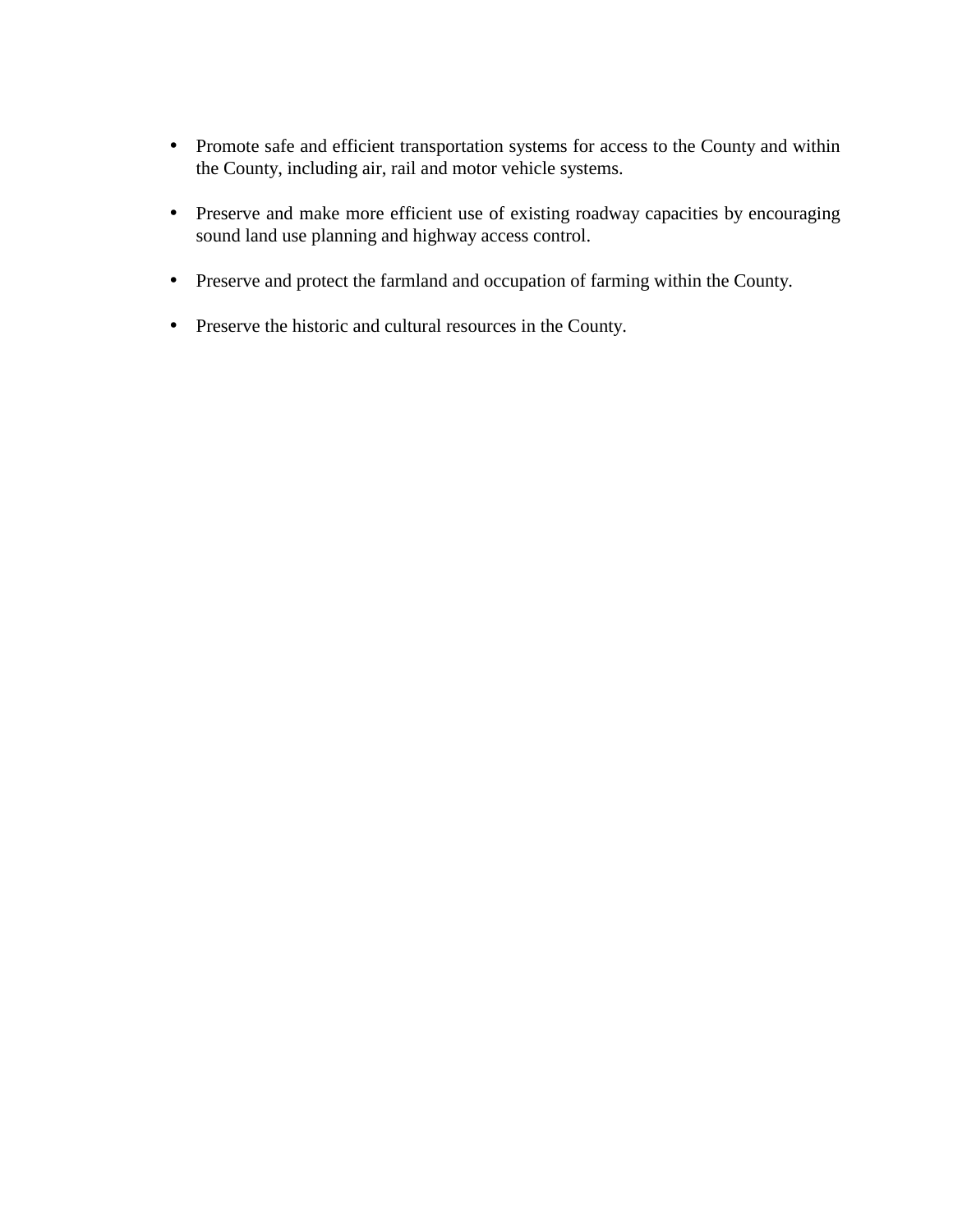- Promote safe and efficient transportation systems for access to the County and within the County, including air, rail and motor vehicle systems.
- Preserve and make more efficient use of existing roadway capacities by encouraging sound land use planning and highway access control.
- Preserve and protect the farmland and occupation of farming within the County.
- Preserve the historic and cultural resources in the County.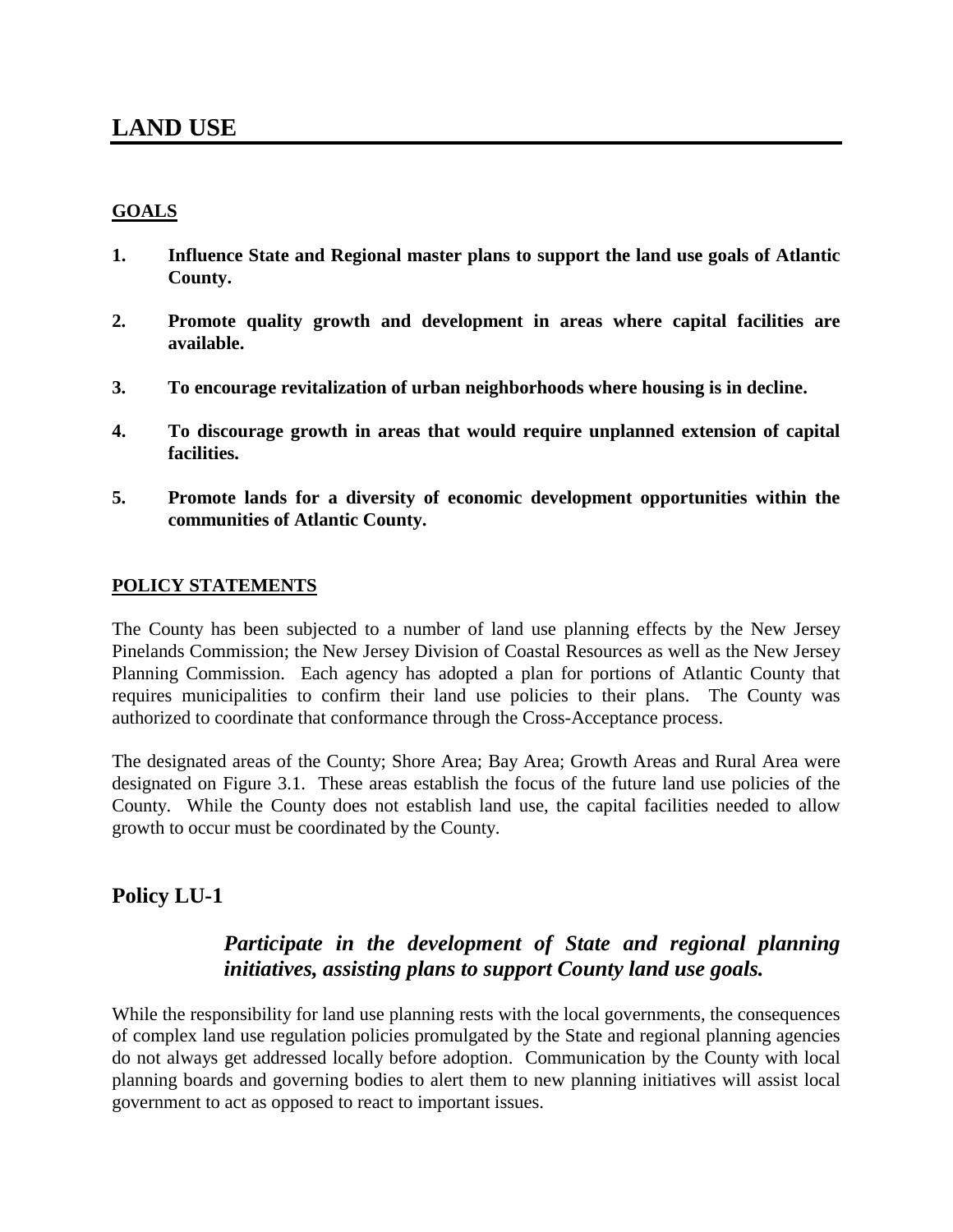#### **GOALS**

- **1. Influence State and Regional master plans to support the land use goals of Atlantic County.**
- **2. Promote quality growth and development in areas where capital facilities are available.**
- **3. To encourage revitalization of urban neighborhoods where housing is in decline.**
- **4. To discourage growth in areas that would require unplanned extension of capital facilities.**
- **5. Promote lands for a diversity of economic development opportunities within the communities of Atlantic County.**

#### **POLICY STATEMENTS**

The County has been subjected to a number of land use planning effects by the New Jersey Pinelands Commission; the New Jersey Division of Coastal Resources as well as the New Jersey Planning Commission. Each agency has adopted a plan for portions of Atlantic County that requires municipalities to confirm their land use policies to their plans. The County was authorized to coordinate that conformance through the Cross-Acceptance process.

The designated areas of the County; Shore Area; Bay Area; Growth Areas and Rural Area were designated on Figure 3.1. These areas establish the focus of the future land use policies of the County. While the County does not establish land use, the capital facilities needed to allow growth to occur must be coordinated by the County.

### **Policy LU-1**

### *Participate in the development of State and regional planning initiatives, assisting plans to support County land use goals.*

While the responsibility for land use planning rests with the local governments, the consequences of complex land use regulation policies promulgated by the State and regional planning agencies do not always get addressed locally before adoption. Communication by the County with local planning boards and governing bodies to alert them to new planning initiatives will assist local government to act as opposed to react to important issues.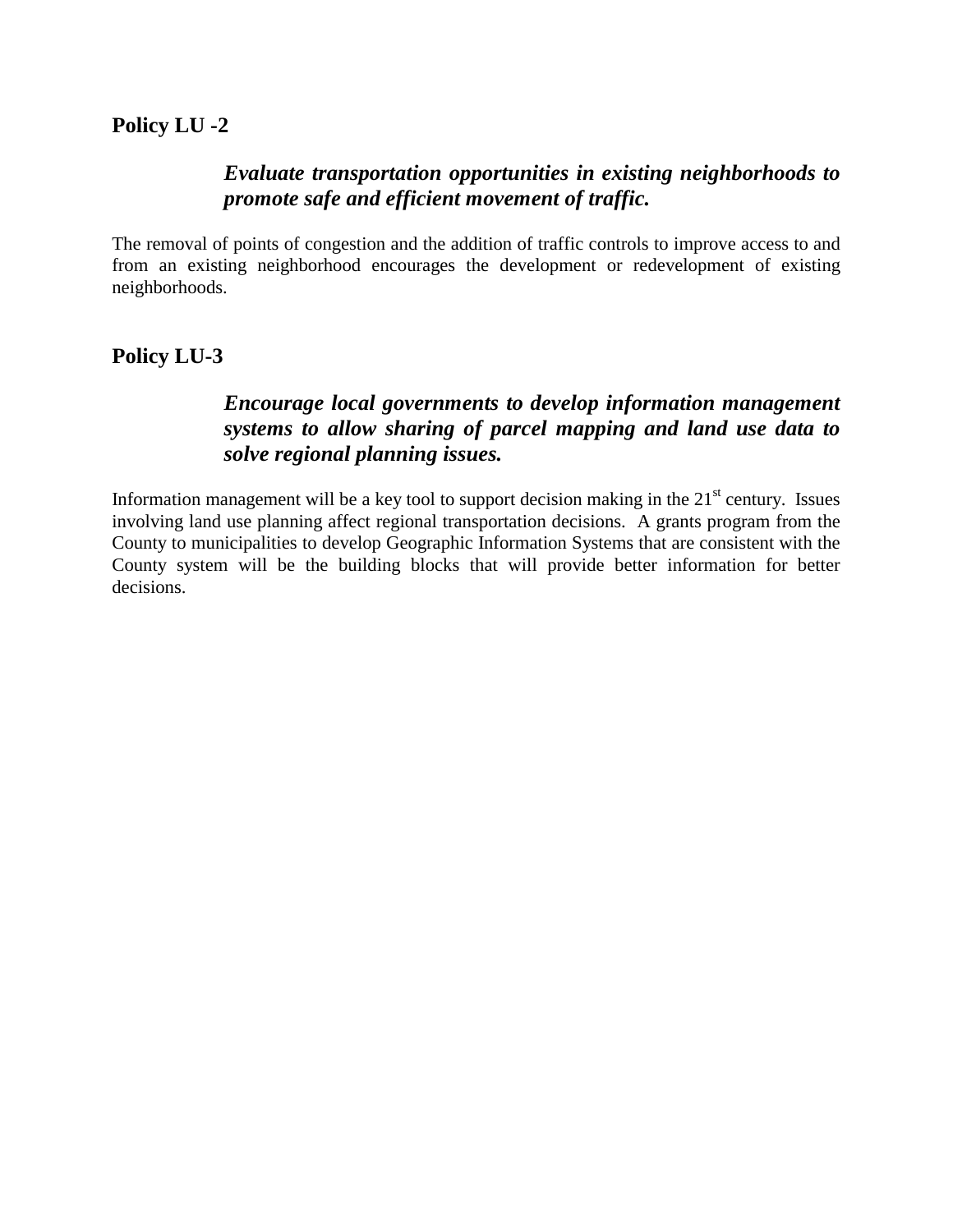### *Evaluate transportation opportunities in existing neighborhoods to promote safe and efficient movement of traffic.*

The removal of points of congestion and the addition of traffic controls to improve access to and from an existing neighborhood encourages the development or redevelopment of existing neighborhoods.

### **Policy LU-3**

### *Encourage local governments to develop information management systems to allow sharing of parcel mapping and land use data to solve regional planning issues.*

Information management will be a key tool to support decision making in the  $21<sup>st</sup>$  century. Issues involving land use planning affect regional transportation decisions. A grants program from the County to municipalities to develop Geographic Information Systems that are consistent with the County system will be the building blocks that will provide better information for better decisions.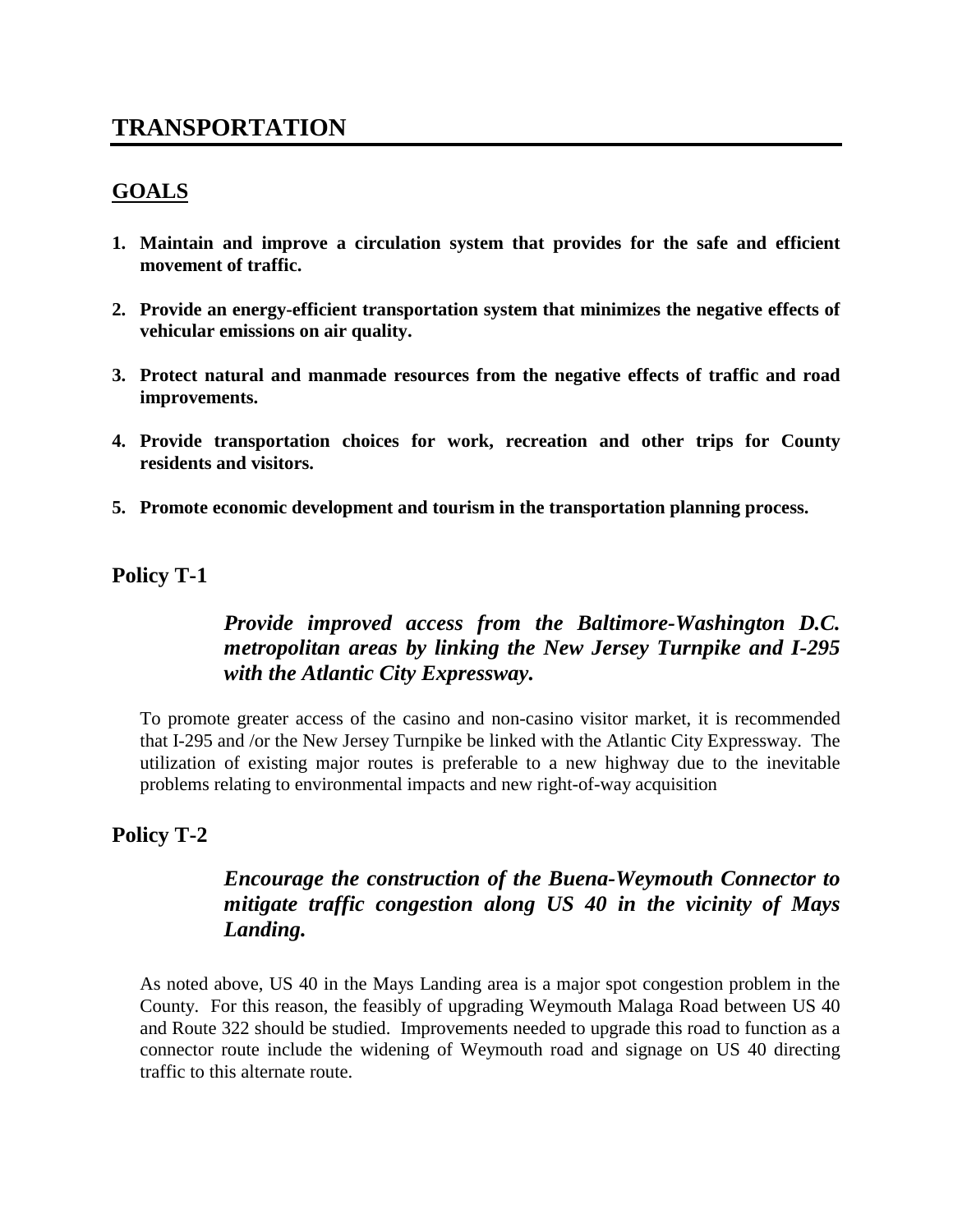# **TRANSPORTATION**

#### **GOALS**

- **1. Maintain and improve a circulation system that provides for the safe and efficient movement of traffic.**
- **2. Provide an energy-efficient transportation system that minimizes the negative effects of vehicular emissions on air quality.**
- **3. Protect natural and manmade resources from the negative effects of traffic and road improvements.**
- **4. Provide transportation choices for work, recreation and other trips for County residents and visitors.**
- **5. Promote economic development and tourism in the transportation planning process.**

#### **Policy T-1**

## *Provide improved access from the Baltimore-Washington D.C. metropolitan areas by linking the New Jersey Turnpike and I-295 with the Atlantic City Expressway.*

To promote greater access of the casino and non-casino visitor market, it is recommended that I-295 and /or the New Jersey Turnpike be linked with the Atlantic City Expressway. The utilization of existing major routes is preferable to a new highway due to the inevitable problems relating to environmental impacts and new right-of-way acquisition

#### **Policy T-2**

### *Encourage the construction of the Buena-Weymouth Connector to mitigate traffic congestion along US 40 in the vicinity of Mays Landing.*

As noted above, US 40 in the Mays Landing area is a major spot congestion problem in the County. For this reason, the feasibly of upgrading Weymouth Malaga Road between US 40 and Route 322 should be studied. Improvements needed to upgrade this road to function as a connector route include the widening of Weymouth road and signage on US 40 directing traffic to this alternate route.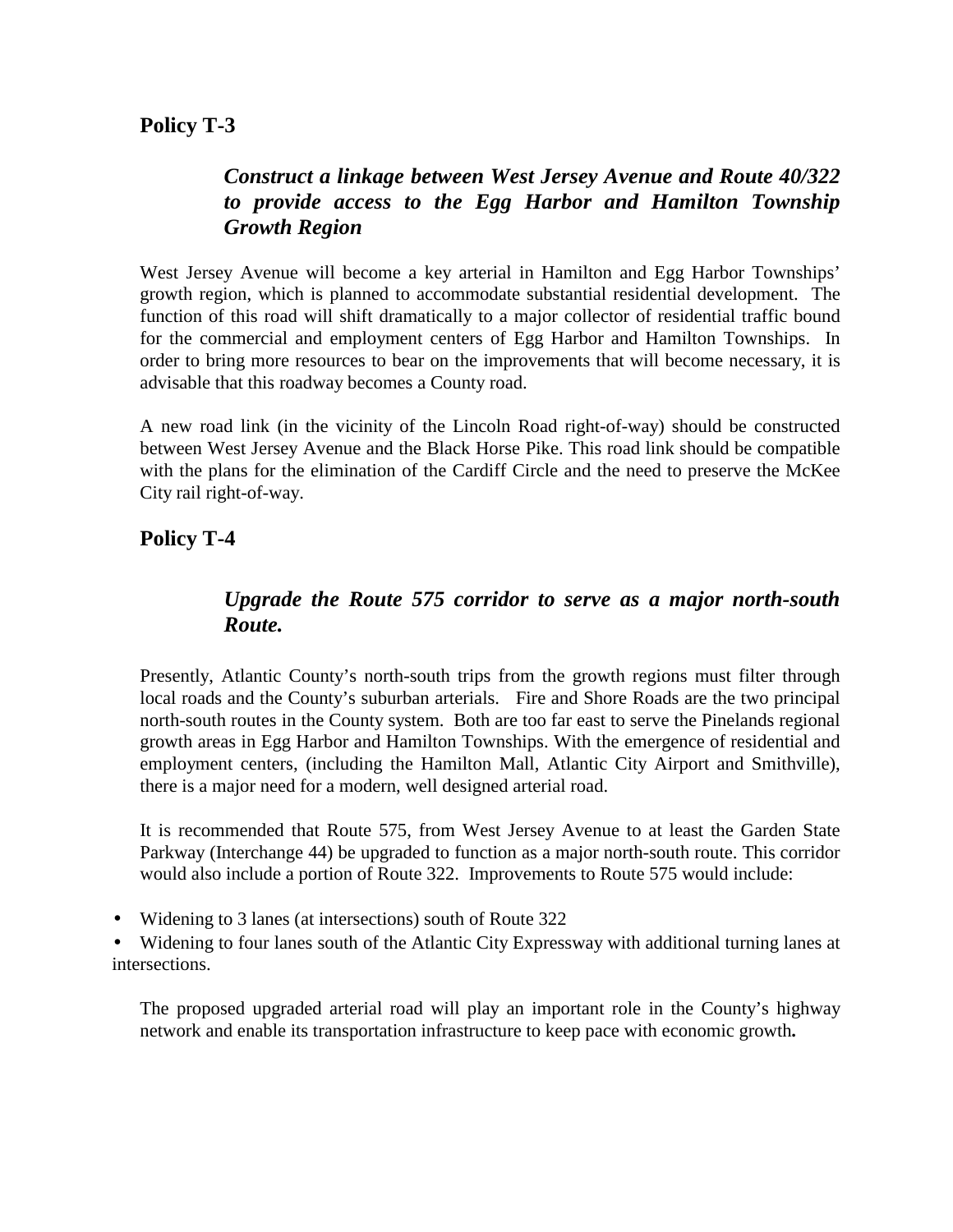# *Construct a linkage between West Jersey Avenue and Route 40/322 to provide access to the Egg Harbor and Hamilton Township Growth Region*

West Jersey Avenue will become a key arterial in Hamilton and Egg Harbor Townships' growth region, which is planned to accommodate substantial residential development. The function of this road will shift dramatically to a major collector of residential traffic bound for the commercial and employment centers of Egg Harbor and Hamilton Townships. In order to bring more resources to bear on the improvements that will become necessary, it is advisable that this roadway becomes a County road.

A new road link (in the vicinity of the Lincoln Road right-of-way) should be constructed between West Jersey Avenue and the Black Horse Pike. This road link should be compatible with the plans for the elimination of the Cardiff Circle and the need to preserve the McKee City rail right-of-way.

## **Policy T-4**

## *Upgrade the Route 575 corridor to serve as a major north-south Route.*

Presently, Atlantic County's north-south trips from the growth regions must filter through local roads and the County's suburban arterials. Fire and Shore Roads are the two principal north-south routes in the County system. Both are too far east to serve the Pinelands regional growth areas in Egg Harbor and Hamilton Townships. With the emergence of residential and employment centers, (including the Hamilton Mall, Atlantic City Airport and Smithville), there is a major need for a modern, well designed arterial road.

It is recommended that Route 575, from West Jersey Avenue to at least the Garden State Parkway (Interchange 44) be upgraded to function as a major north-south route. This corridor would also include a portion of Route 322. Improvements to Route 575 would include:

• Widening to 3 lanes (at intersections) south of Route 322

• Widening to four lanes south of the Atlantic City Expressway with additional turning lanes at intersections.

The proposed upgraded arterial road will play an important role in the County's highway network and enable its transportation infrastructure to keep pace with economic growth**.**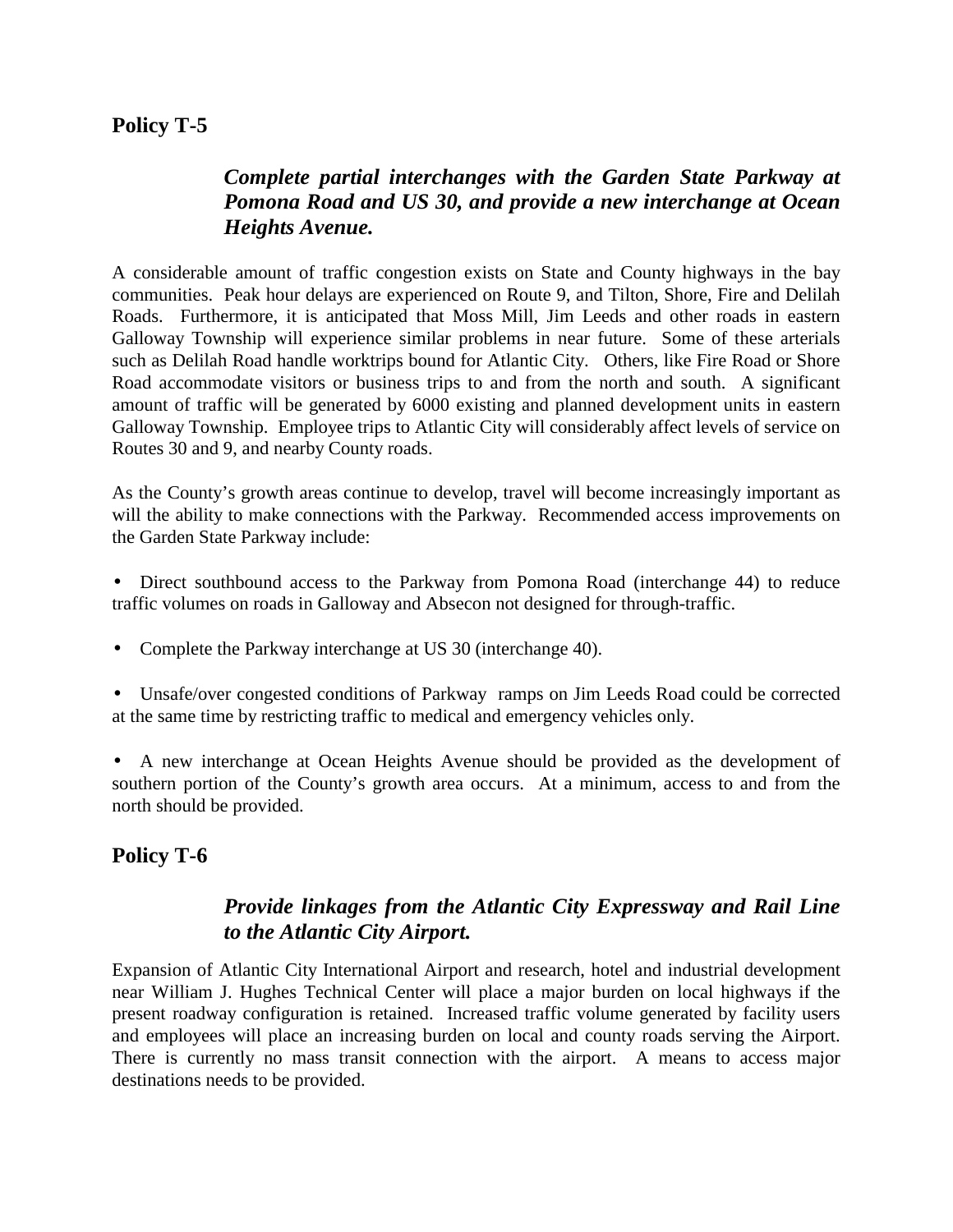## *Complete partial interchanges with the Garden State Parkway at Pomona Road and US 30, and provide a new interchange at Ocean Heights Avenue.*

A considerable amount of traffic congestion exists on State and County highways in the bay communities. Peak hour delays are experienced on Route 9, and Tilton, Shore, Fire and Delilah Roads. Furthermore, it is anticipated that Moss Mill, Jim Leeds and other roads in eastern Galloway Township will experience similar problems in near future. Some of these arterials such as Delilah Road handle worktrips bound for Atlantic City. Others, like Fire Road or Shore Road accommodate visitors or business trips to and from the north and south. A significant amount of traffic will be generated by 6000 existing and planned development units in eastern Galloway Township. Employee trips to Atlantic City will considerably affect levels of service on Routes 30 and 9, and nearby County roads.

As the County's growth areas continue to develop, travel will become increasingly important as will the ability to make connections with the Parkway. Recommended access improvements on the Garden State Parkway include:

- Direct southbound access to the Parkway from Pomona Road (interchange 44) to reduce traffic volumes on roads in Galloway and Absecon not designed for through-traffic.
- Complete the Parkway interchange at US 30 (interchange 40).
- Unsafe/over congested conditions of Parkway ramps on Jim Leeds Road could be corrected at the same time by restricting traffic to medical and emergency vehicles only.

• A new interchange at Ocean Heights Avenue should be provided as the development of southern portion of the County's growth area occurs. At a minimum, access to and from the north should be provided.

### **Policy T-6**

### *Provide linkages from the Atlantic City Expressway and Rail Line to the Atlantic City Airport.*

Expansion of Atlantic City International Airport and research, hotel and industrial development near William J. Hughes Technical Center will place a major burden on local highways if the present roadway configuration is retained. Increased traffic volume generated by facility users and employees will place an increasing burden on local and county roads serving the Airport. There is currently no mass transit connection with the airport. A means to access major destinations needs to be provided.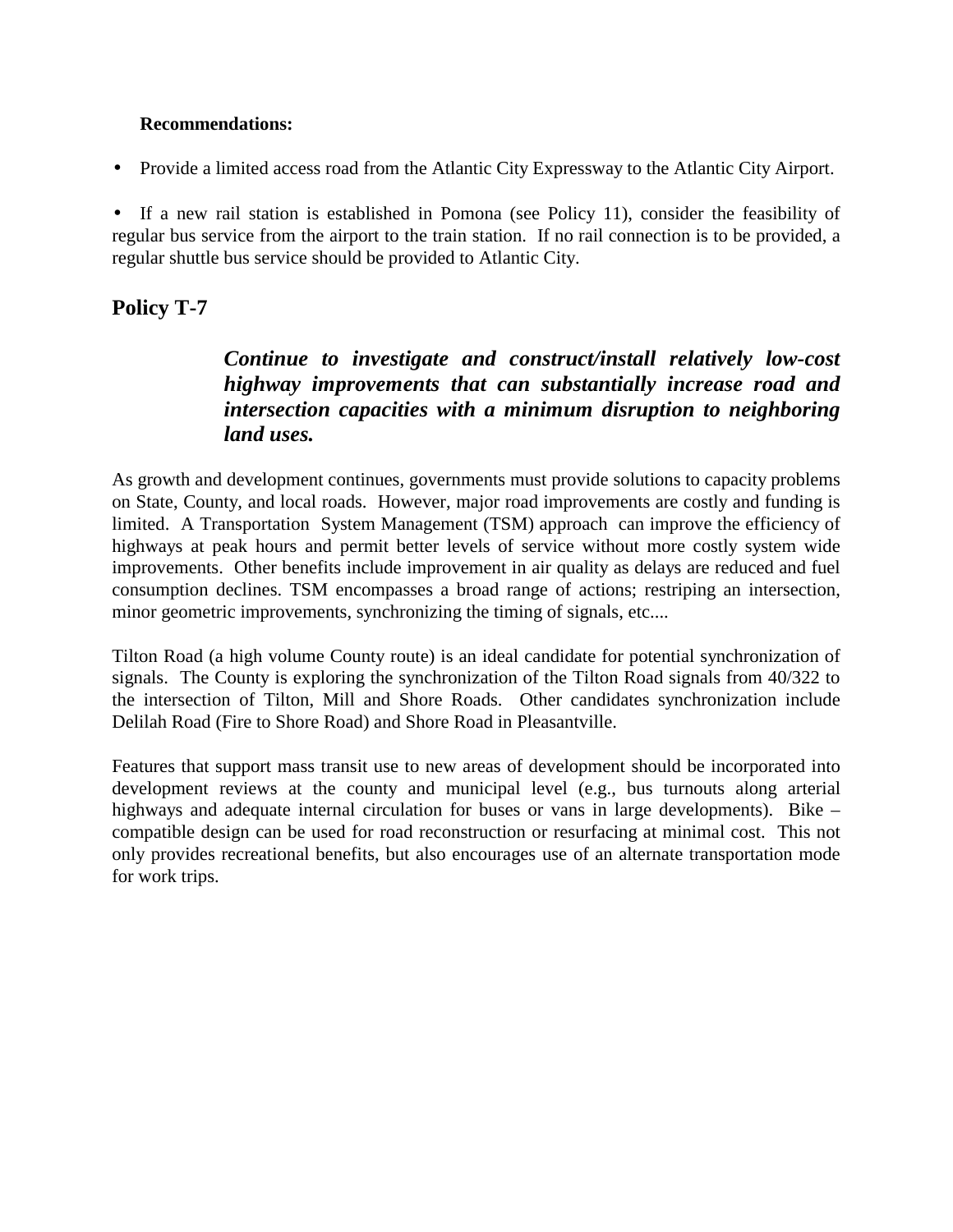#### **Recommendations:**

• Provide a limited access road from the Atlantic City Expressway to the Atlantic City Airport.

• If a new rail station is established in Pomona (see Policy 11), consider the feasibility of regular bus service from the airport to the train station. If no rail connection is to be provided, a regular shuttle bus service should be provided to Atlantic City.

### **Policy T-7**

## *Continue to investigate and construct/install relatively low-cost highway improvements that can substantially increase road and intersection capacities with a minimum disruption to neighboring land uses.*

As growth and development continues, governments must provide solutions to capacity problems on State, County, and local roads. However, major road improvements are costly and funding is limited. A Transportation System Management (TSM) approach can improve the efficiency of highways at peak hours and permit better levels of service without more costly system wide improvements. Other benefits include improvement in air quality as delays are reduced and fuel consumption declines. TSM encompasses a broad range of actions; restriping an intersection, minor geometric improvements, synchronizing the timing of signals, etc....

Tilton Road (a high volume County route) is an ideal candidate for potential synchronization of signals. The County is exploring the synchronization of the Tilton Road signals from 40/322 to the intersection of Tilton, Mill and Shore Roads. Other candidates synchronization include Delilah Road (Fire to Shore Road) and Shore Road in Pleasantville.

Features that support mass transit use to new areas of development should be incorporated into development reviews at the county and municipal level (e.g., bus turnouts along arterial highways and adequate internal circulation for buses or vans in large developments). Bike – compatible design can be used for road reconstruction or resurfacing at minimal cost. This not only provides recreational benefits, but also encourages use of an alternate transportation mode for work trips.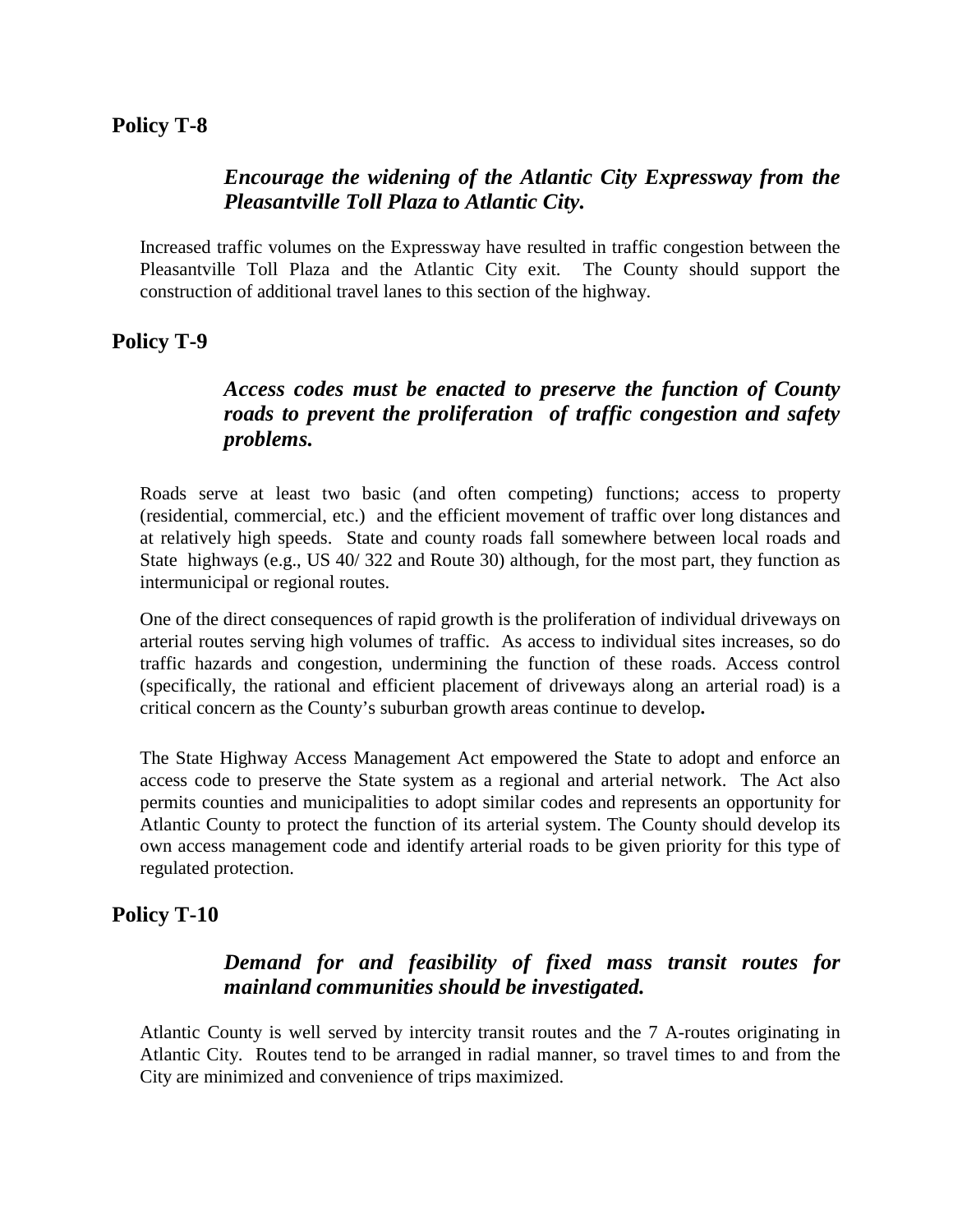### *Encourage the widening of the Atlantic City Expressway from the Pleasantville Toll Plaza to Atlantic City.*

Increased traffic volumes on the Expressway have resulted in traffic congestion between the Pleasantville Toll Plaza and the Atlantic City exit. The County should support the construction of additional travel lanes to this section of the highway.

### **Policy T-9**

# *Access codes must be enacted to preserve the function of County roads to prevent the proliferation of traffic congestion and safety problems.*

Roads serve at least two basic (and often competing) functions; access to property (residential, commercial, etc.) and the efficient movement of traffic over long distances and at relatively high speeds. State and county roads fall somewhere between local roads and State highways (e.g., US 40/ 322 and Route 30) although, for the most part, they function as intermunicipal or regional routes.

One of the direct consequences of rapid growth is the proliferation of individual driveways on arterial routes serving high volumes of traffic. As access to individual sites increases, so do traffic hazards and congestion, undermining the function of these roads. Access control (specifically, the rational and efficient placement of driveways along an arterial road) is a critical concern as the County's suburban growth areas continue to develop**.**

The State Highway Access Management Act empowered the State to adopt and enforce an access code to preserve the State system as a regional and arterial network. The Act also permits counties and municipalities to adopt similar codes and represents an opportunity for Atlantic County to protect the function of its arterial system. The County should develop its own access management code and identify arterial roads to be given priority for this type of regulated protection.

### **Policy T-10**

## *Demand for and feasibility of fixed mass transit routes for mainland communities should be investigated.*

Atlantic County is well served by intercity transit routes and the 7 A-routes originating in Atlantic City. Routes tend to be arranged in radial manner, so travel times to and from the City are minimized and convenience of trips maximized.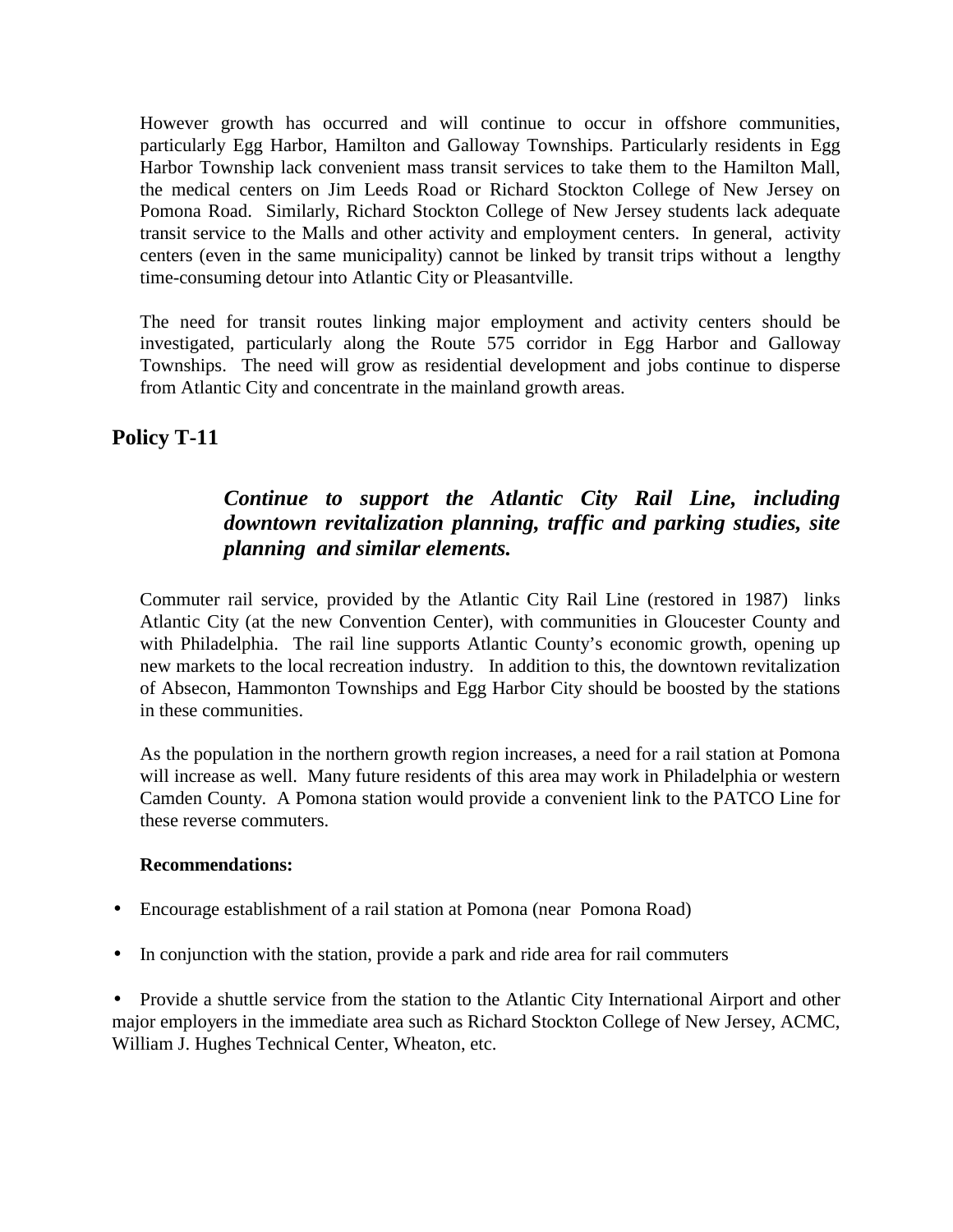However growth has occurred and will continue to occur in offshore communities, particularly Egg Harbor, Hamilton and Galloway Townships. Particularly residents in Egg Harbor Township lack convenient mass transit services to take them to the Hamilton Mall, the medical centers on Jim Leeds Road or Richard Stockton College of New Jersey on Pomona Road. Similarly, Richard Stockton College of New Jersey students lack adequate transit service to the Malls and other activity and employment centers. In general, activity centers (even in the same municipality) cannot be linked by transit trips without a lengthy time-consuming detour into Atlantic City or Pleasantville.

The need for transit routes linking major employment and activity centers should be investigated, particularly along the Route 575 corridor in Egg Harbor and Galloway Townships. The need will grow as residential development and jobs continue to disperse from Atlantic City and concentrate in the mainland growth areas.

### **Policy T-11**

### *Continue to support the Atlantic City Rail Line, including downtown revitalization planning, traffic and parking studies, site planning and similar elements.*

Commuter rail service, provided by the Atlantic City Rail Line (restored in 1987) links Atlantic City (at the new Convention Center), with communities in Gloucester County and with Philadelphia. The rail line supports Atlantic County's economic growth, opening up new markets to the local recreation industry. In addition to this, the downtown revitalization of Absecon, Hammonton Townships and Egg Harbor City should be boosted by the stations in these communities.

As the population in the northern growth region increases, a need for a rail station at Pomona will increase as well. Many future residents of this area may work in Philadelphia or western Camden County. A Pomona station would provide a convenient link to the PATCO Line for these reverse commuters.

#### **Recommendations:**

- Encourage establishment of a rail station at Pomona (near Pomona Road)
- In conjunction with the station, provide a park and ride area for rail commuters

• Provide a shuttle service from the station to the Atlantic City International Airport and other major employers in the immediate area such as Richard Stockton College of New Jersey, ACMC, William J. Hughes Technical Center, Wheaton, etc.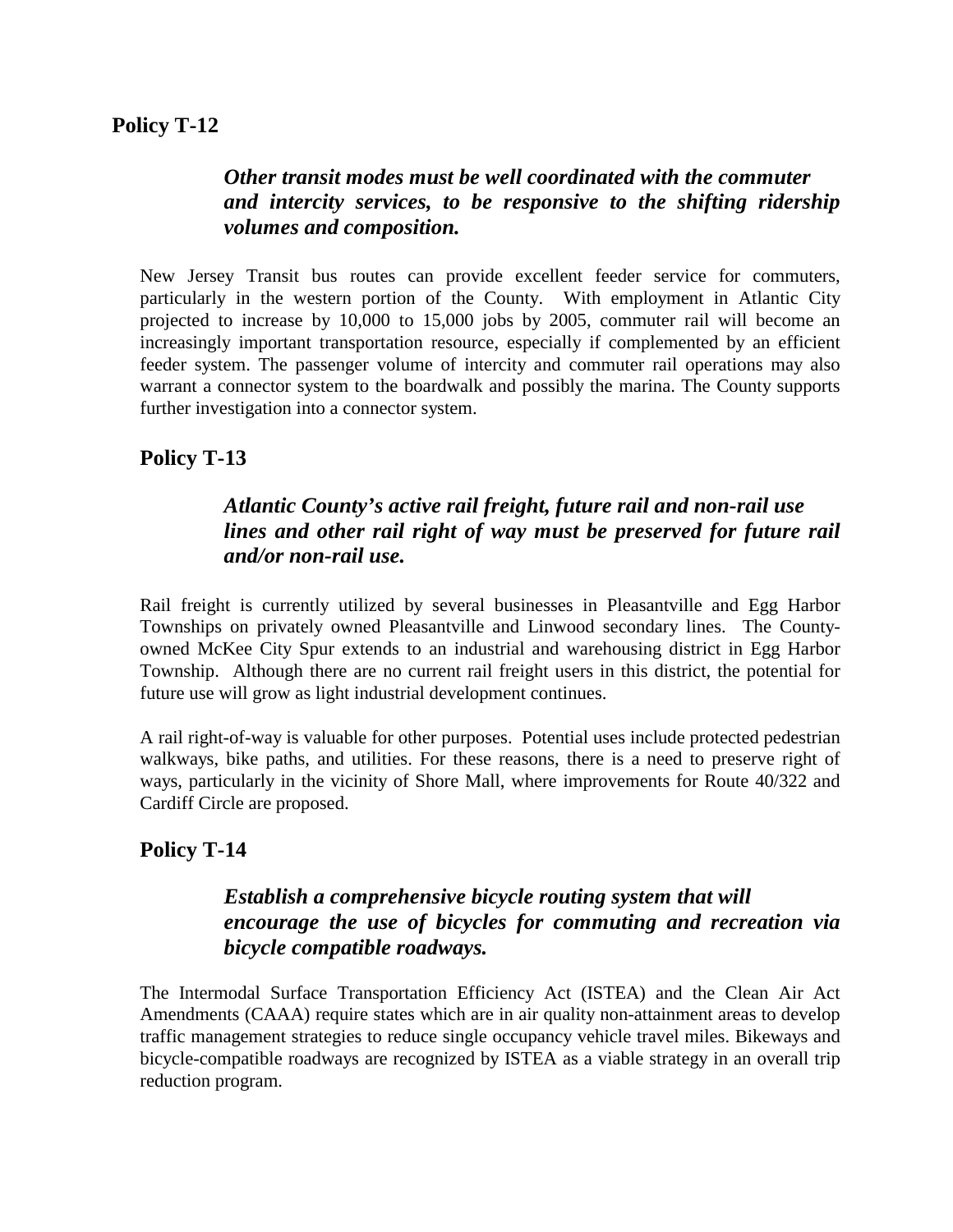## *Other transit modes must be well coordinated with the commuter and intercity services, to be responsive to the shifting ridership volumes and composition.*

New Jersey Transit bus routes can provide excellent feeder service for commuters, particularly in the western portion of the County. With employment in Atlantic City projected to increase by 10,000 to 15,000 jobs by 2005, commuter rail will become an increasingly important transportation resource, especially if complemented by an efficient feeder system. The passenger volume of intercity and commuter rail operations may also warrant a connector system to the boardwalk and possibly the marina. The County supports further investigation into a connector system.

# **Policy T-13**

# *Atlantic County's active rail freight, future rail and non-rail use lines and other rail right of way must be preserved for future rail and/or non-rail use.*

Rail freight is currently utilized by several businesses in Pleasantville and Egg Harbor Townships on privately owned Pleasantville and Linwood secondary lines. The Countyowned McKee City Spur extends to an industrial and warehousing district in Egg Harbor Township. Although there are no current rail freight users in this district, the potential for future use will grow as light industrial development continues.

A rail right-of-way is valuable for other purposes. Potential uses include protected pedestrian walkways, bike paths, and utilities. For these reasons, there is a need to preserve right of ways, particularly in the vicinity of Shore Mall, where improvements for Route 40/322 and Cardiff Circle are proposed.

# **Policy T-14**

### *Establish a comprehensive bicycle routing system that will encourage the use of bicycles for commuting and recreation via bicycle compatible roadways.*

The Intermodal Surface Transportation Efficiency Act (ISTEA) and the Clean Air Act Amendments (CAAA) require states which are in air quality non-attainment areas to develop traffic management strategies to reduce single occupancy vehicle travel miles. Bikeways and bicycle-compatible roadways are recognized by ISTEA as a viable strategy in an overall trip reduction program.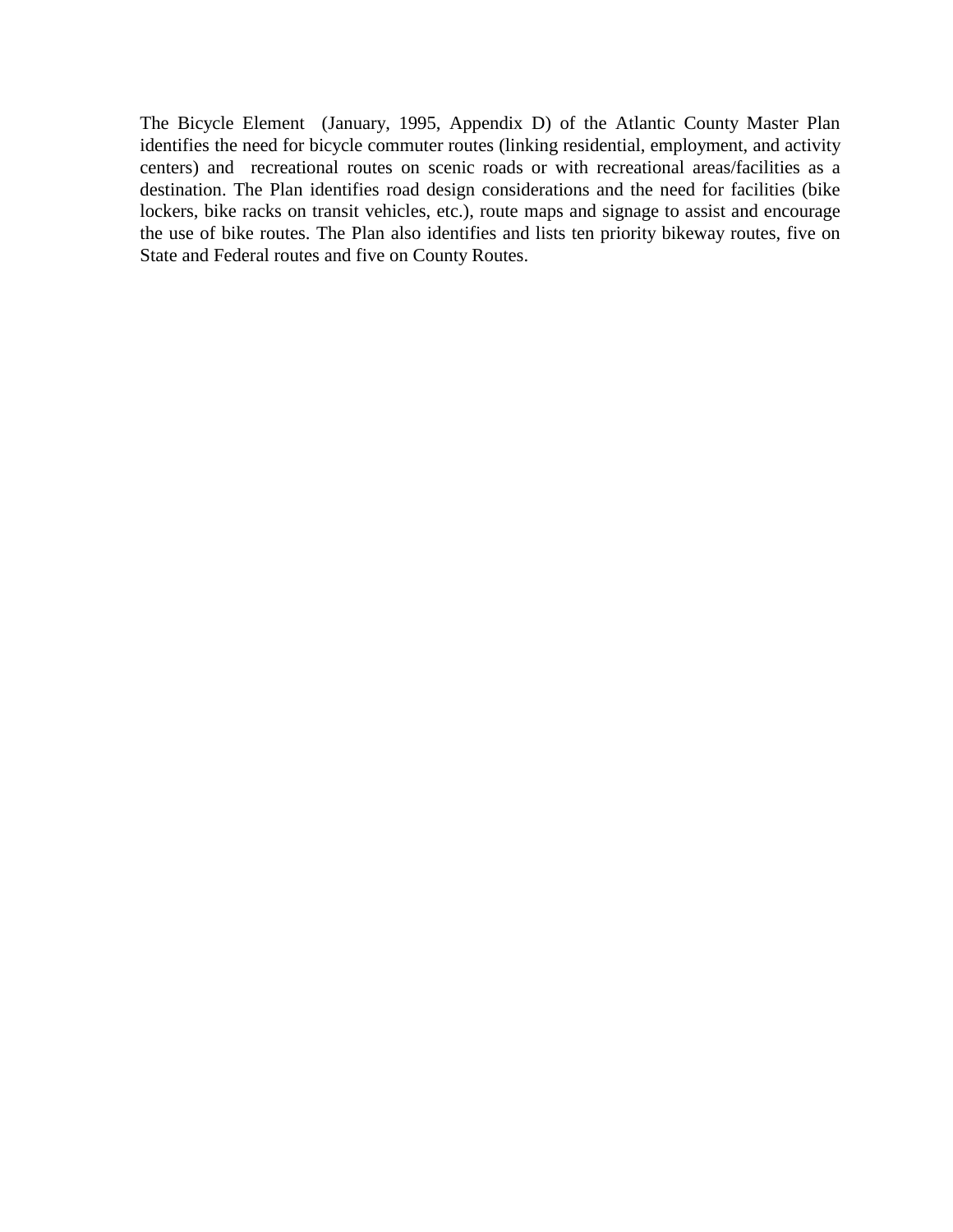The Bicycle Element (January, 1995, Appendix D) of the Atlantic County Master Plan identifies the need for bicycle commuter routes (linking residential, employment, and activity centers) and recreational routes on scenic roads or with recreational areas/facilities as a destination. The Plan identifies road design considerations and the need for facilities (bike lockers, bike racks on transit vehicles, etc.), route maps and signage to assist and encourage the use of bike routes. The Plan also identifies and lists ten priority bikeway routes, five on State and Federal routes and five on County Routes.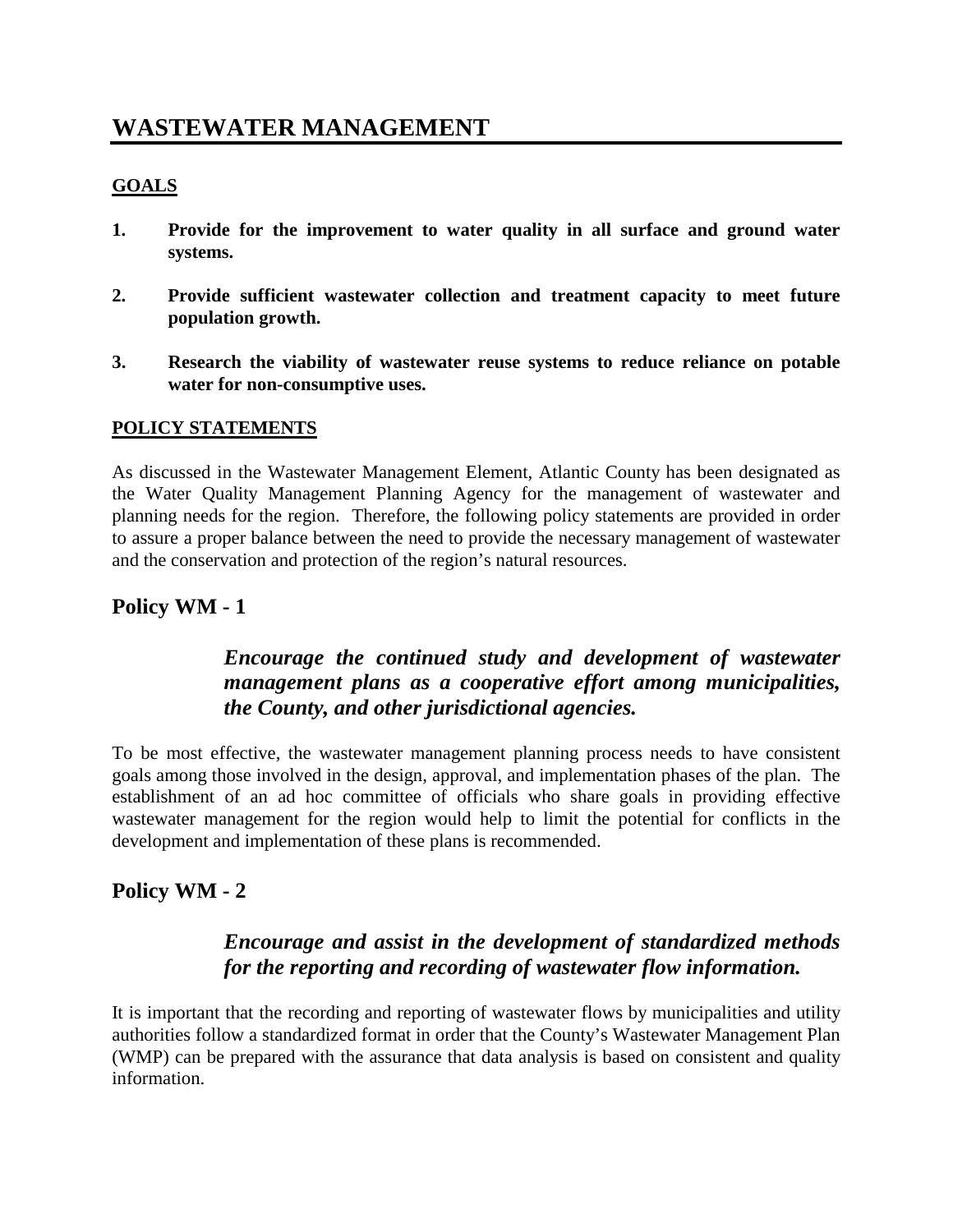# **WASTEWATER MANAGEMENT**

#### **GOALS**

- **1. Provide for the improvement to water quality in all surface and ground water systems.**
- **2. Provide sufficient wastewater collection and treatment capacity to meet future population growth.**
- **3. Research the viability of wastewater reuse systems to reduce reliance on potable water for non-consumptive uses.**

#### **POLICY STATEMENTS**

As discussed in the Wastewater Management Element, Atlantic County has been designated as the Water Quality Management Planning Agency for the management of wastewater and planning needs for the region. Therefore, the following policy statements are provided in order to assure a proper balance between the need to provide the necessary management of wastewater and the conservation and protection of the region's natural resources.

#### **Policy WM - 1**

### *Encourage the continued study and development of wastewater management plans as a cooperative effort among municipalities, the County, and other jurisdictional agencies.*

To be most effective, the wastewater management planning process needs to have consistent goals among those involved in the design, approval, and implementation phases of the plan. The establishment of an ad hoc committee of officials who share goals in providing effective wastewater management for the region would help to limit the potential for conflicts in the development and implementation of these plans is recommended.

#### **Policy WM - 2**

### *Encourage and assist in the development of standardized methods for the reporting and recording of wastewater flow information.*

It is important that the recording and reporting of wastewater flows by municipalities and utility authorities follow a standardized format in order that the County's Wastewater Management Plan (WMP) can be prepared with the assurance that data analysis is based on consistent and quality information.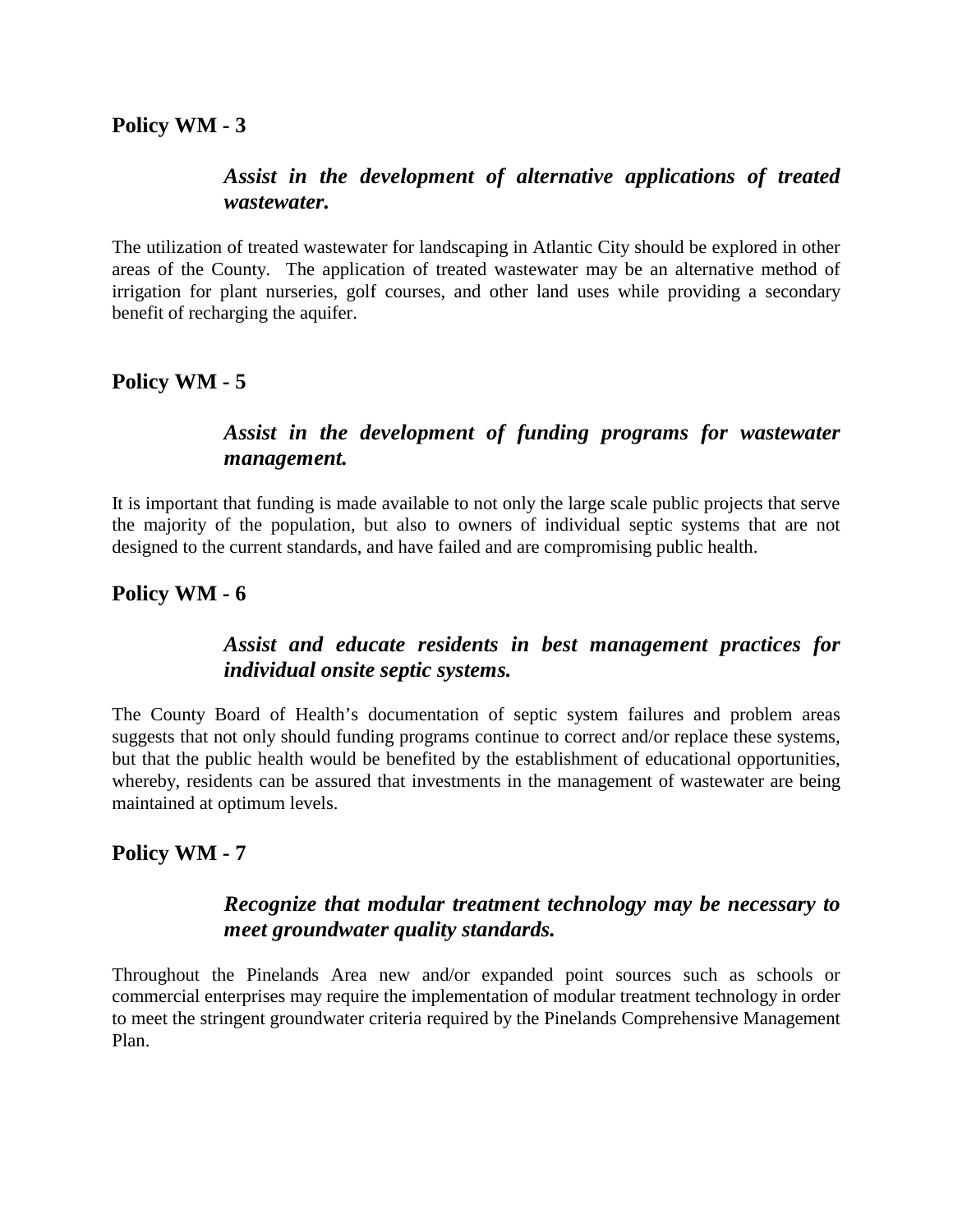#### **Policy WM - 3**

### *Assist in the development of alternative applications of treated wastewater.*

The utilization of treated wastewater for landscaping in Atlantic City should be explored in other areas of the County. The application of treated wastewater may be an alternative method of irrigation for plant nurseries, golf courses, and other land uses while providing a secondary benefit of recharging the aquifer.

#### **Policy WM - 5**

### *Assist in the development of funding programs for wastewater management.*

It is important that funding is made available to not only the large scale public projects that serve the majority of the population, but also to owners of individual septic systems that are not designed to the current standards, and have failed and are compromising public health.

#### **Policy WM - 6**

### *Assist and educate residents in best management practices for individual onsite septic systems.*

The County Board of Health's documentation of septic system failures and problem areas suggests that not only should funding programs continue to correct and/or replace these systems, but that the public health would be benefited by the establishment of educational opportunities, whereby, residents can be assured that investments in the management of wastewater are being maintained at optimum levels.

#### **Policy WM - 7**

#### *Recognize that modular treatment technology may be necessary to meet groundwater quality standards.*

Throughout the Pinelands Area new and/or expanded point sources such as schools or commercial enterprises may require the implementation of modular treatment technology in order to meet the stringent groundwater criteria required by the Pinelands Comprehensive Management Plan.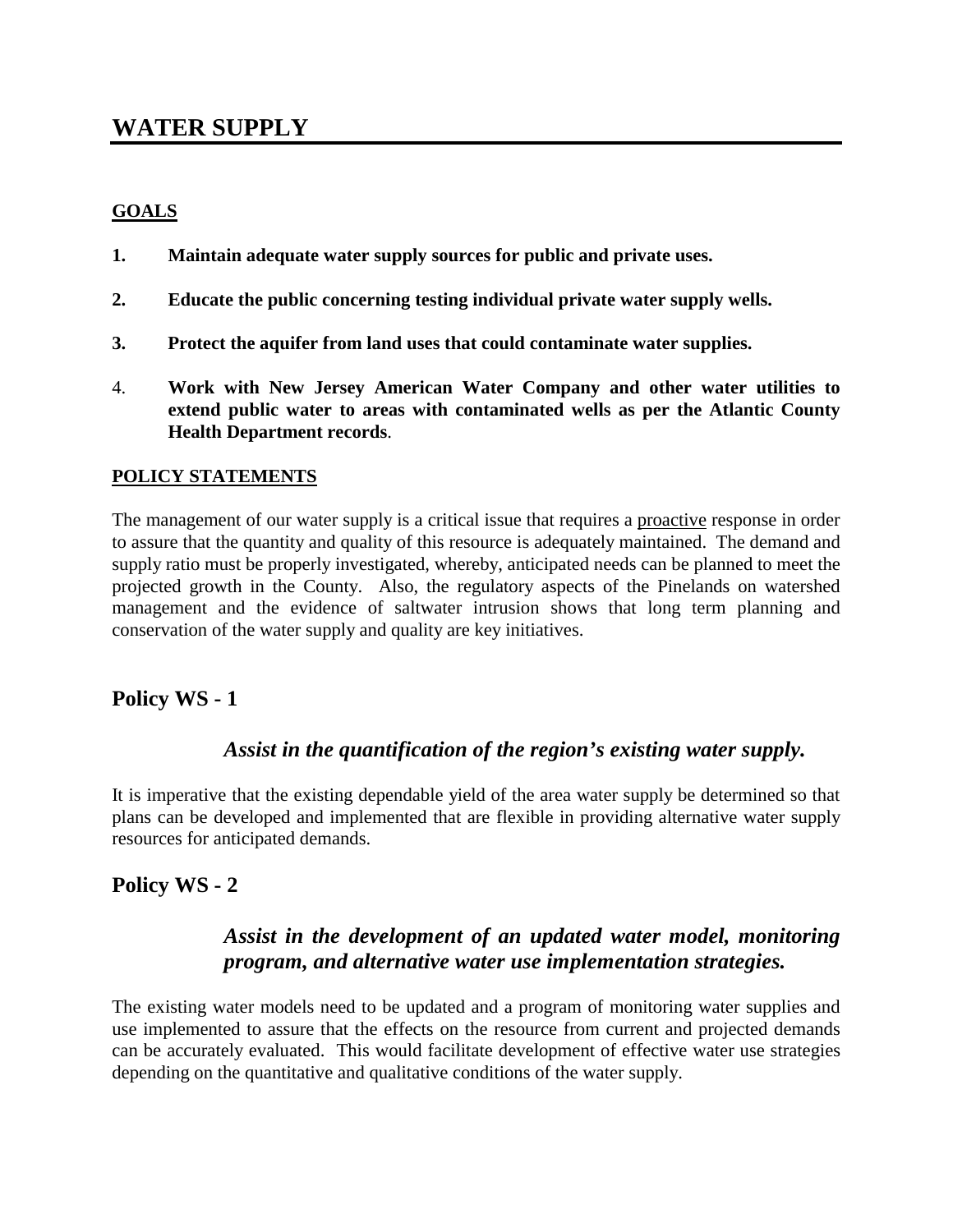# **WATER SUPPLY**

#### **GOALS**

- **1. Maintain adequate water supply sources for public and private uses.**
- **2. Educate the public concerning testing individual private water supply wells.**
- **3. Protect the aquifer from land uses that could contaminate water supplies.**
- 4. **Work with New Jersey American Water Company and other water utilities to extend public water to areas with contaminated wells as per the Atlantic County Health Department records**.

#### **POLICY STATEMENTS**

The management of our water supply is a critical issue that requires a proactive response in order to assure that the quantity and quality of this resource is adequately maintained. The demand and supply ratio must be properly investigated, whereby, anticipated needs can be planned to meet the projected growth in the County. Also, the regulatory aspects of the Pinelands on watershed management and the evidence of saltwater intrusion shows that long term planning and conservation of the water supply and quality are key initiatives.

#### **Policy WS - 1**

#### *Assist in the quantification of the region's existing water supply.*

It is imperative that the existing dependable yield of the area water supply be determined so that plans can be developed and implemented that are flexible in providing alternative water supply resources for anticipated demands.

#### **Policy WS - 2**

#### *Assist in the development of an updated water model, monitoring program, and alternative water use implementation strategies.*

The existing water models need to be updated and a program of monitoring water supplies and use implemented to assure that the effects on the resource from current and projected demands can be accurately evaluated. This would facilitate development of effective water use strategies depending on the quantitative and qualitative conditions of the water supply.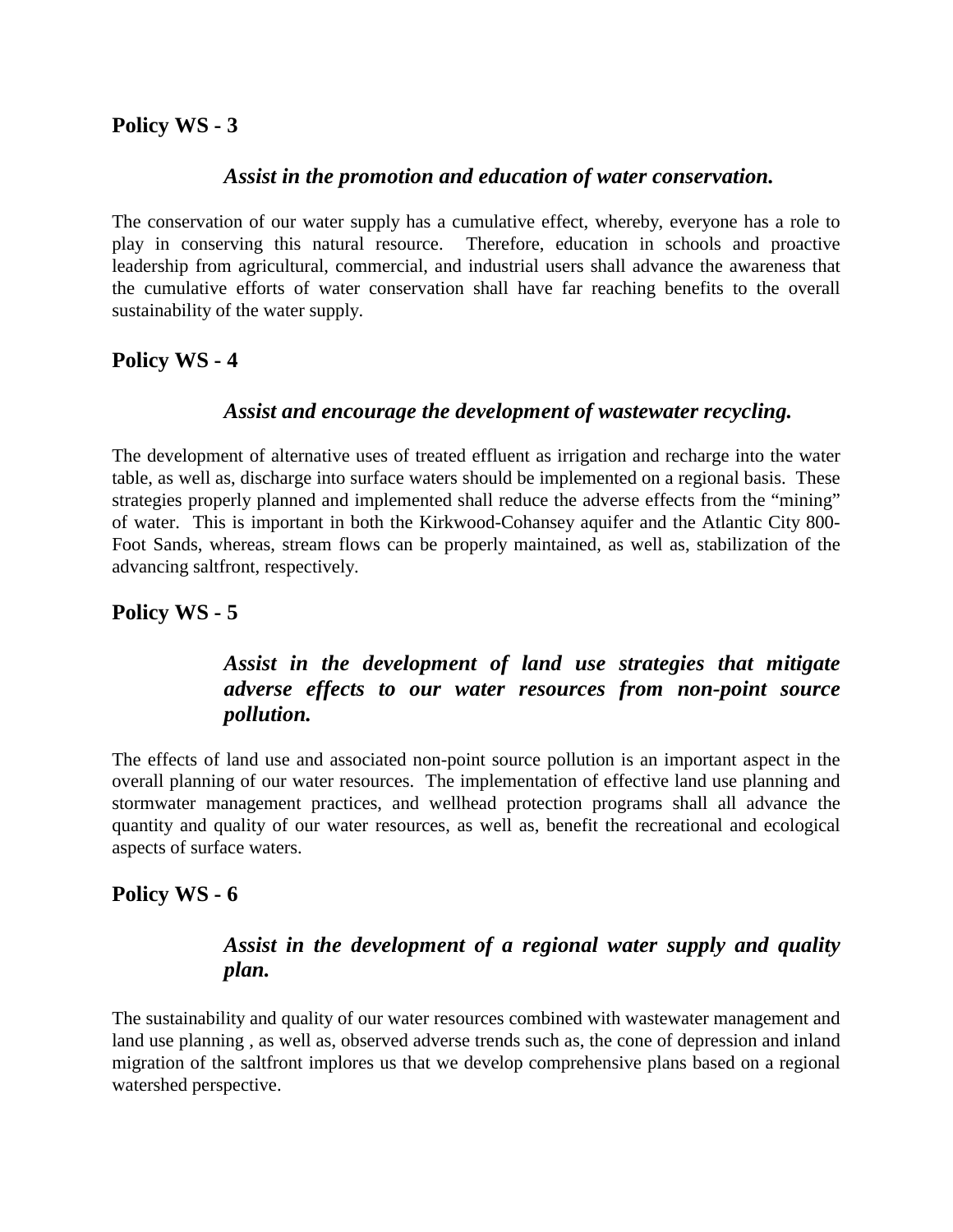#### **Policy WS - 3**

#### *Assist in the promotion and education of water conservation.*

The conservation of our water supply has a cumulative effect, whereby, everyone has a role to play in conserving this natural resource. Therefore, education in schools and proactive leadership from agricultural, commercial, and industrial users shall advance the awareness that the cumulative efforts of water conservation shall have far reaching benefits to the overall sustainability of the water supply.

#### **Policy WS - 4**

#### *Assist and encourage the development of wastewater recycling.*

The development of alternative uses of treated effluent as irrigation and recharge into the water table, as well as, discharge into surface waters should be implemented on a regional basis. These strategies properly planned and implemented shall reduce the adverse effects from the "mining" of water. This is important in both the Kirkwood-Cohansey aquifer and the Atlantic City 800- Foot Sands, whereas, stream flows can be properly maintained, as well as, stabilization of the advancing saltfront, respectively.

#### **Policy WS - 5**

### *Assist in the development of land use strategies that mitigate adverse effects to our water resources from non-point source pollution.*

The effects of land use and associated non-point source pollution is an important aspect in the overall planning of our water resources. The implementation of effective land use planning and stormwater management practices, and wellhead protection programs shall all advance the quantity and quality of our water resources, as well as, benefit the recreational and ecological aspects of surface waters.

#### **Policy WS - 6**

### *Assist in the development of a regional water supply and quality plan.*

The sustainability and quality of our water resources combined with wastewater management and land use planning , as well as, observed adverse trends such as, the cone of depression and inland migration of the saltfront implores us that we develop comprehensive plans based on a regional watershed perspective.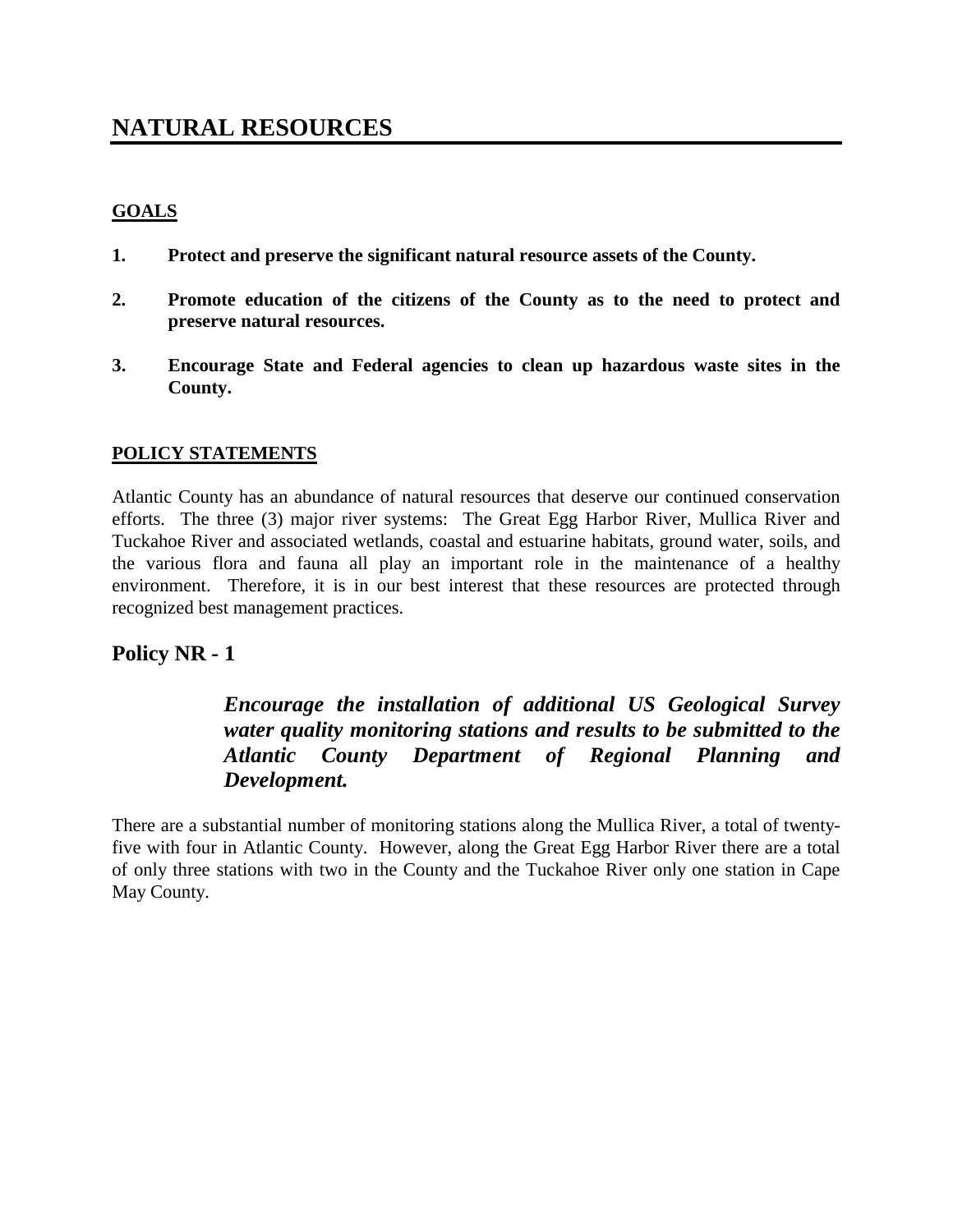# **NATURAL RESOURCES**

#### **GOALS**

- **1. Protect and preserve the significant natural resource assets of the County.**
- **2. Promote education of the citizens of the County as to the need to protect and preserve natural resources.**
- **3. Encourage State and Federal agencies to clean up hazardous waste sites in the County.**

#### **POLICY STATEMENTS**

Atlantic County has an abundance of natural resources that deserve our continued conservation efforts. The three (3) major river systems: The Great Egg Harbor River, Mullica River and Tuckahoe River and associated wetlands, coastal and estuarine habitats, ground water, soils, and the various flora and fauna all play an important role in the maintenance of a healthy environment. Therefore, it is in our best interest that these resources are protected through recognized best management practices.

#### **Policy NR - 1**

## *Encourage the installation of additional US Geological Survey water quality monitoring stations and results to be submitted to the Atlantic County Department of Regional Planning and Development.*

There are a substantial number of monitoring stations along the Mullica River, a total of twentyfive with four in Atlantic County. However, along the Great Egg Harbor River there are a total of only three stations with two in the County and the Tuckahoe River only one station in Cape May County.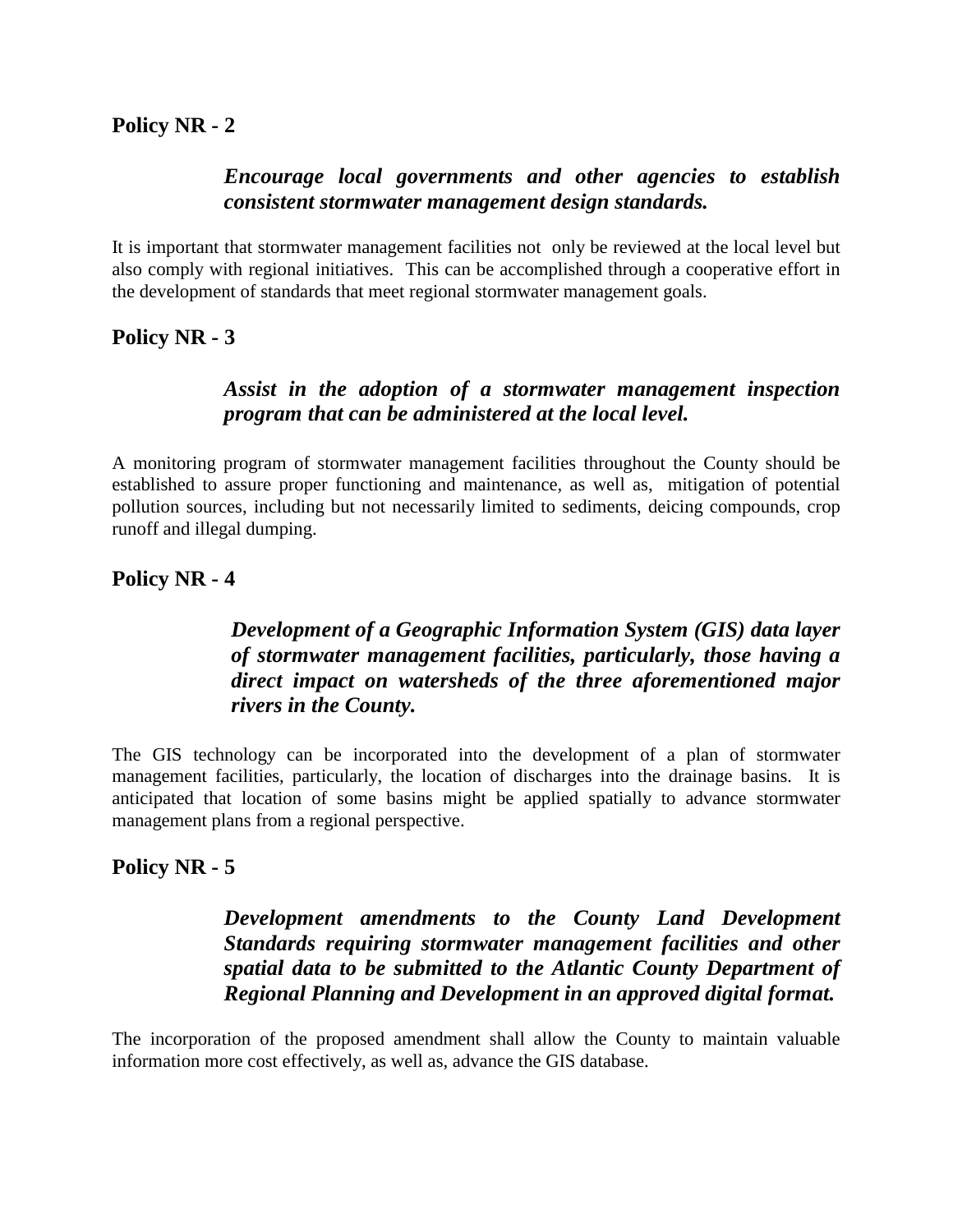#### *Encourage local governments and other agencies to establish consistent stormwater management design standards.*

It is important that stormwater management facilities not only be reviewed at the local level but also comply with regional initiatives. This can be accomplished through a cooperative effort in the development of standards that meet regional stormwater management goals.

**Policy NR - 3** 

### *Assist in the adoption of a stormwater management inspection program that can be administered at the local level.*

A monitoring program of stormwater management facilities throughout the County should be established to assure proper functioning and maintenance, as well as, mitigation of potential pollution sources, including but not necessarily limited to sediments, deicing compounds, crop runoff and illegal dumping.

**Policy NR - 4** 

## *Development of a Geographic Information System (GIS) data layer of stormwater management facilities, particularly, those having a direct impact on watersheds of the three aforementioned major rivers in the County.*

The GIS technology can be incorporated into the development of a plan of stormwater management facilities, particularly, the location of discharges into the drainage basins. It is anticipated that location of some basins might be applied spatially to advance stormwater management plans from a regional perspective.

### **Policy NR - 5**

## *Development amendments to the County Land Development Standards requiring stormwater management facilities and other spatial data to be submitted to the Atlantic County Department of Regional Planning and Development in an approved digital format.*

The incorporation of the proposed amendment shall allow the County to maintain valuable information more cost effectively, as well as, advance the GIS database.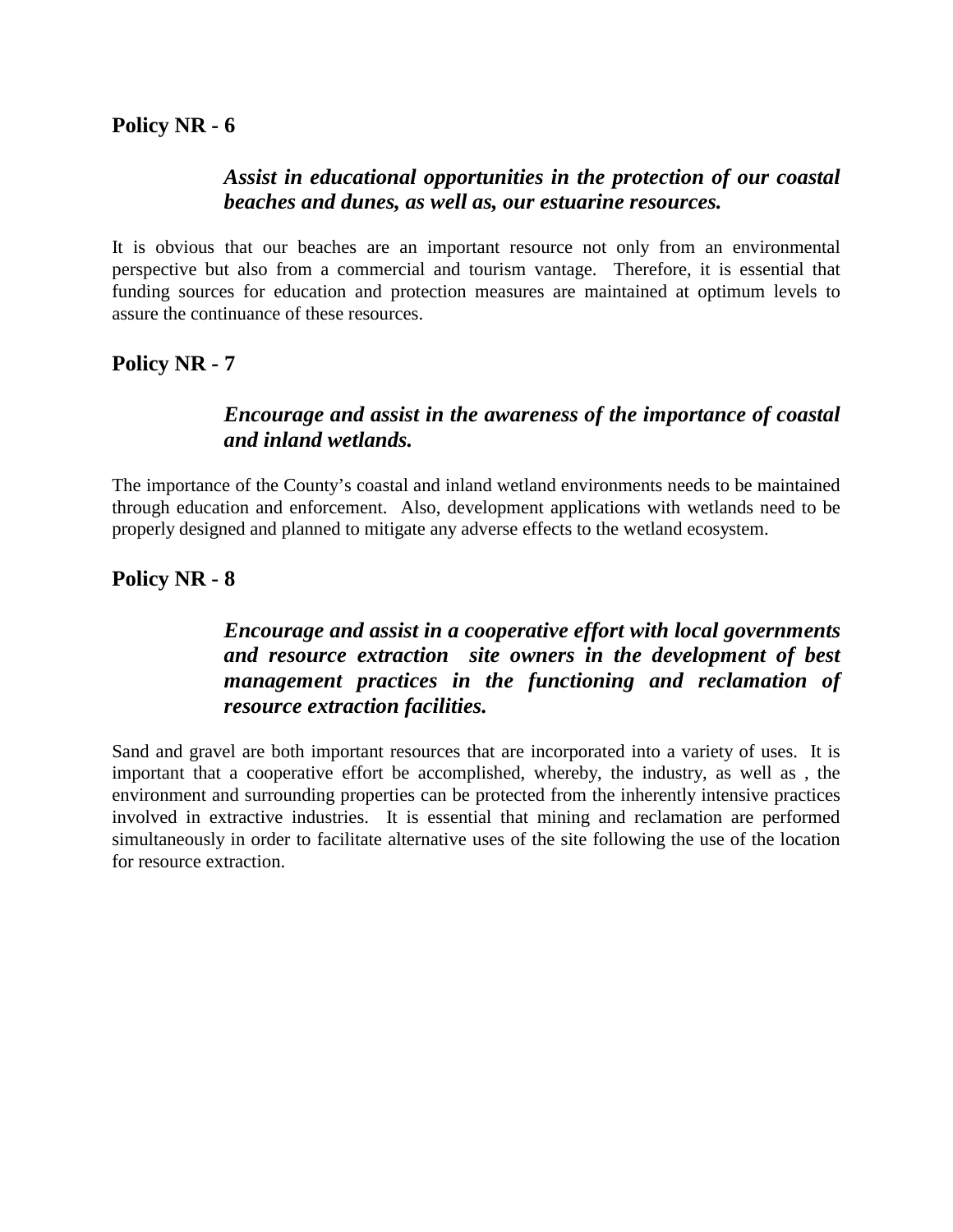#### *Assist in educational opportunities in the protection of our coastal beaches and dunes, as well as, our estuarine resources.*

It is obvious that our beaches are an important resource not only from an environmental perspective but also from a commercial and tourism vantage. Therefore, it is essential that funding sources for education and protection measures are maintained at optimum levels to assure the continuance of these resources.

**Policy NR - 7** 

#### *Encourage and assist in the awareness of the importance of coastal and inland wetlands.*

The importance of the County's coastal and inland wetland environments needs to be maintained through education and enforcement. Also, development applications with wetlands need to be properly designed and planned to mitigate any adverse effects to the wetland ecosystem.

#### **Policy NR - 8**

## *Encourage and assist in a cooperative effort with local governments and resource extraction site owners in the development of best management practices in the functioning and reclamation of resource extraction facilities.*

Sand and gravel are both important resources that are incorporated into a variety of uses. It is important that a cooperative effort be accomplished, whereby, the industry, as well as , the environment and surrounding properties can be protected from the inherently intensive practices involved in extractive industries. It is essential that mining and reclamation are performed simultaneously in order to facilitate alternative uses of the site following the use of the location for resource extraction.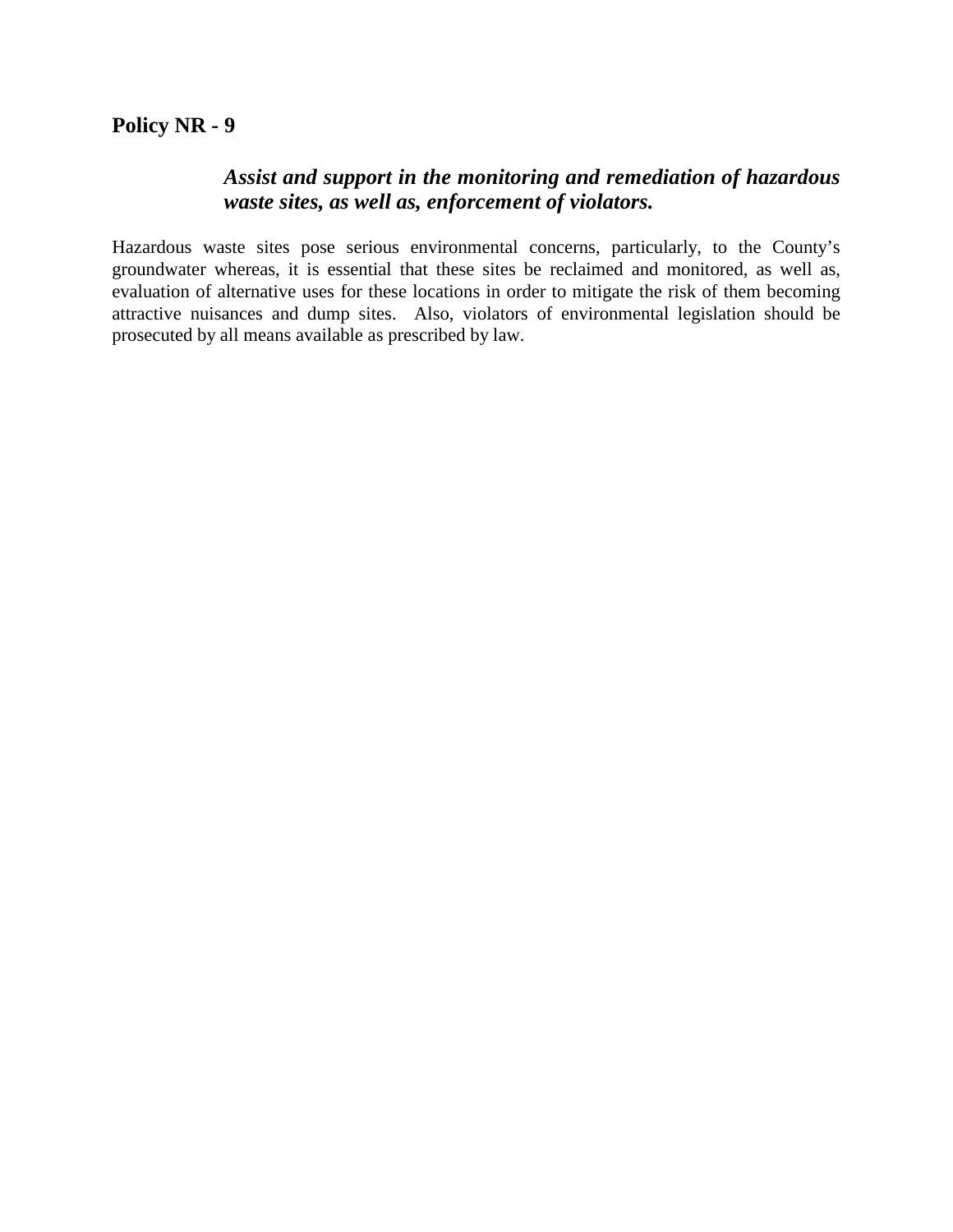### **Policy NR - 9**

#### *Assist and support in the monitoring and remediation of hazardous waste sites, as well as, enforcement of violators.*

Hazardous waste sites pose serious environmental concerns, particularly, to the County's groundwater whereas, it is essential that these sites be reclaimed and monitored, as well as, evaluation of alternative uses for these locations in order to mitigate the risk of them becoming attractive nuisances and dump sites. Also, violators of environmental legislation should be prosecuted by all means available as prescribed by law.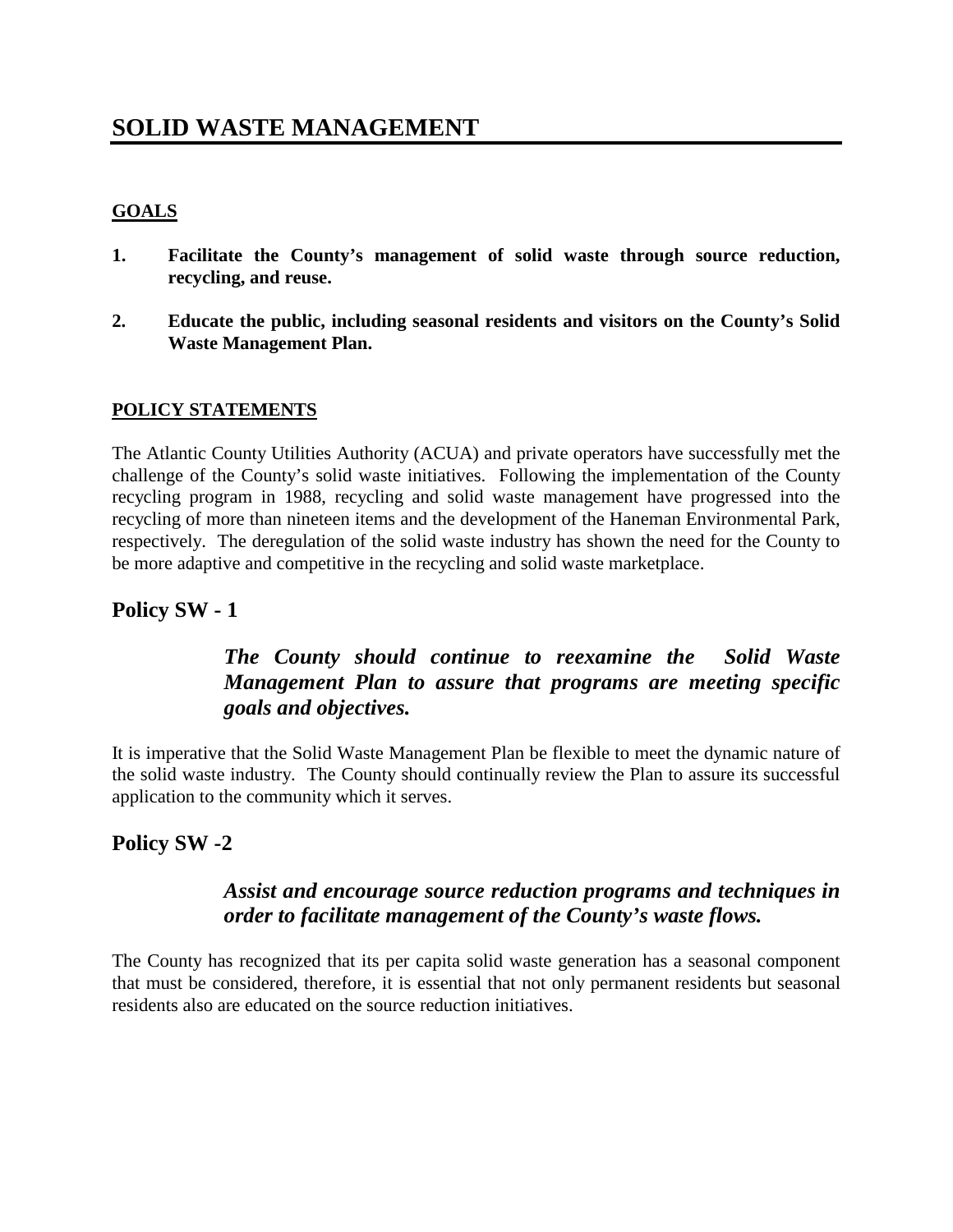# **SOLID WASTE MANAGEMENT**

#### **GOALS**

- **1. Facilitate the County's management of solid waste through source reduction, recycling, and reuse.**
- **2. Educate the public, including seasonal residents and visitors on the County's Solid Waste Management Plan.**

#### **POLICY STATEMENTS**

The Atlantic County Utilities Authority (ACUA) and private operators have successfully met the challenge of the County's solid waste initiatives. Following the implementation of the County recycling program in 1988, recycling and solid waste management have progressed into the recycling of more than nineteen items and the development of the Haneman Environmental Park, respectively. The deregulation of the solid waste industry has shown the need for the County to be more adaptive and competitive in the recycling and solid waste marketplace.

### **Policy SW - 1**

# *The County should continue to reexamine the Solid Waste Management Plan to assure that programs are meeting specific goals and objectives.*

It is imperative that the Solid Waste Management Plan be flexible to meet the dynamic nature of the solid waste industry. The County should continually review the Plan to assure its successful application to the community which it serves.

### **Policy SW -2**

### *Assist and encourage source reduction programs and techniques in order to facilitate management of the County's waste flows.*

The County has recognized that its per capita solid waste generation has a seasonal component that must be considered, therefore, it is essential that not only permanent residents but seasonal residents also are educated on the source reduction initiatives.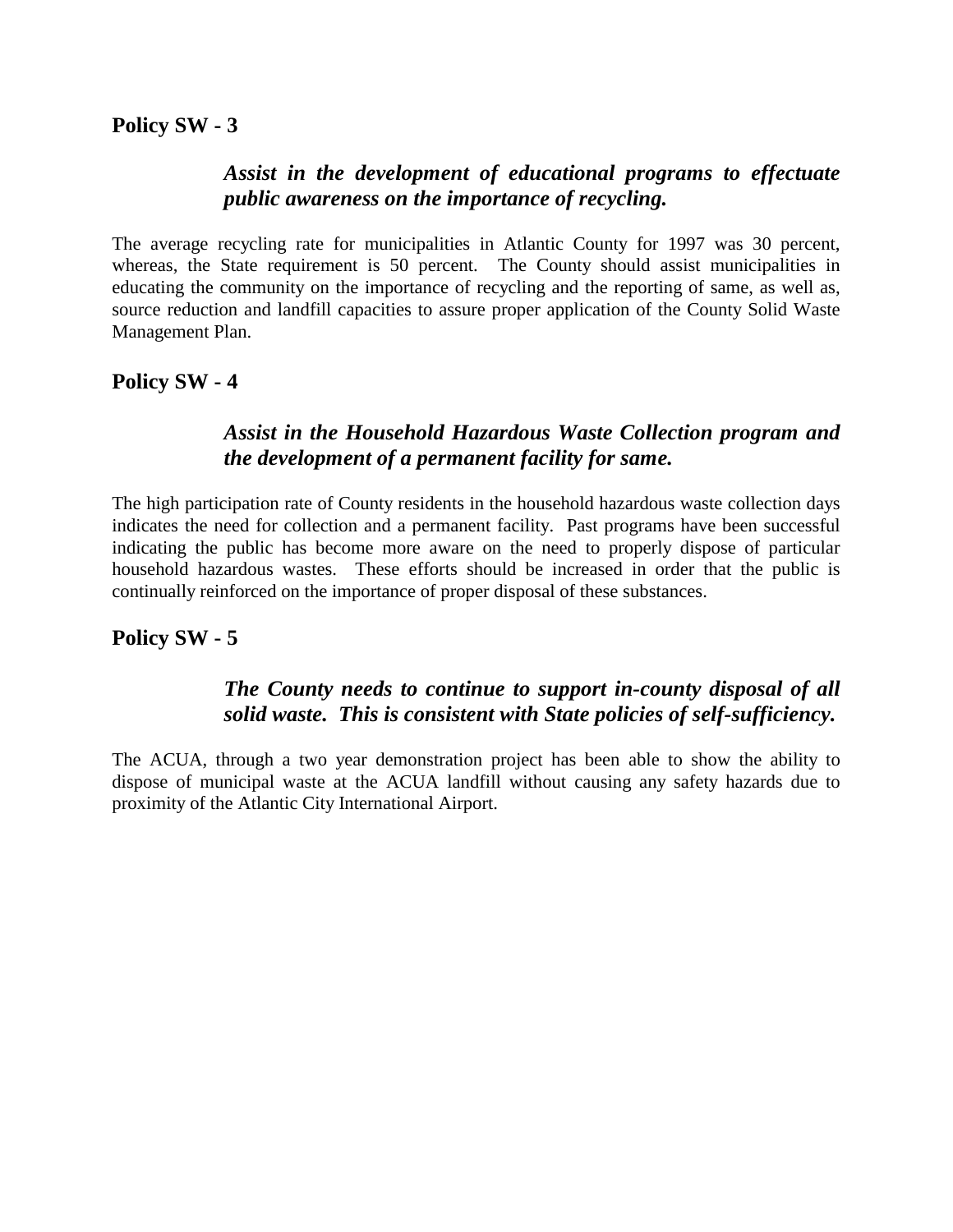#### *Assist in the development of educational programs to effectuate public awareness on the importance of recycling.*

The average recycling rate for municipalities in Atlantic County for 1997 was 30 percent, whereas, the State requirement is 50 percent. The County should assist municipalities in educating the community on the importance of recycling and the reporting of same, as well as, source reduction and landfill capacities to assure proper application of the County Solid Waste Management Plan.

### **Policy SW - 4**

#### *Assist in the Household Hazardous Waste Collection program and the development of a permanent facility for same.*

The high participation rate of County residents in the household hazardous waste collection days indicates the need for collection and a permanent facility. Past programs have been successful indicating the public has become more aware on the need to properly dispose of particular household hazardous wastes. These efforts should be increased in order that the public is continually reinforced on the importance of proper disposal of these substances.

#### **Policy SW - 5**

#### *The County needs to continue to support in-county disposal of all solid waste. This is consistent with State policies of self-sufficiency.*

The ACUA, through a two year demonstration project has been able to show the ability to dispose of municipal waste at the ACUA landfill without causing any safety hazards due to proximity of the Atlantic City International Airport.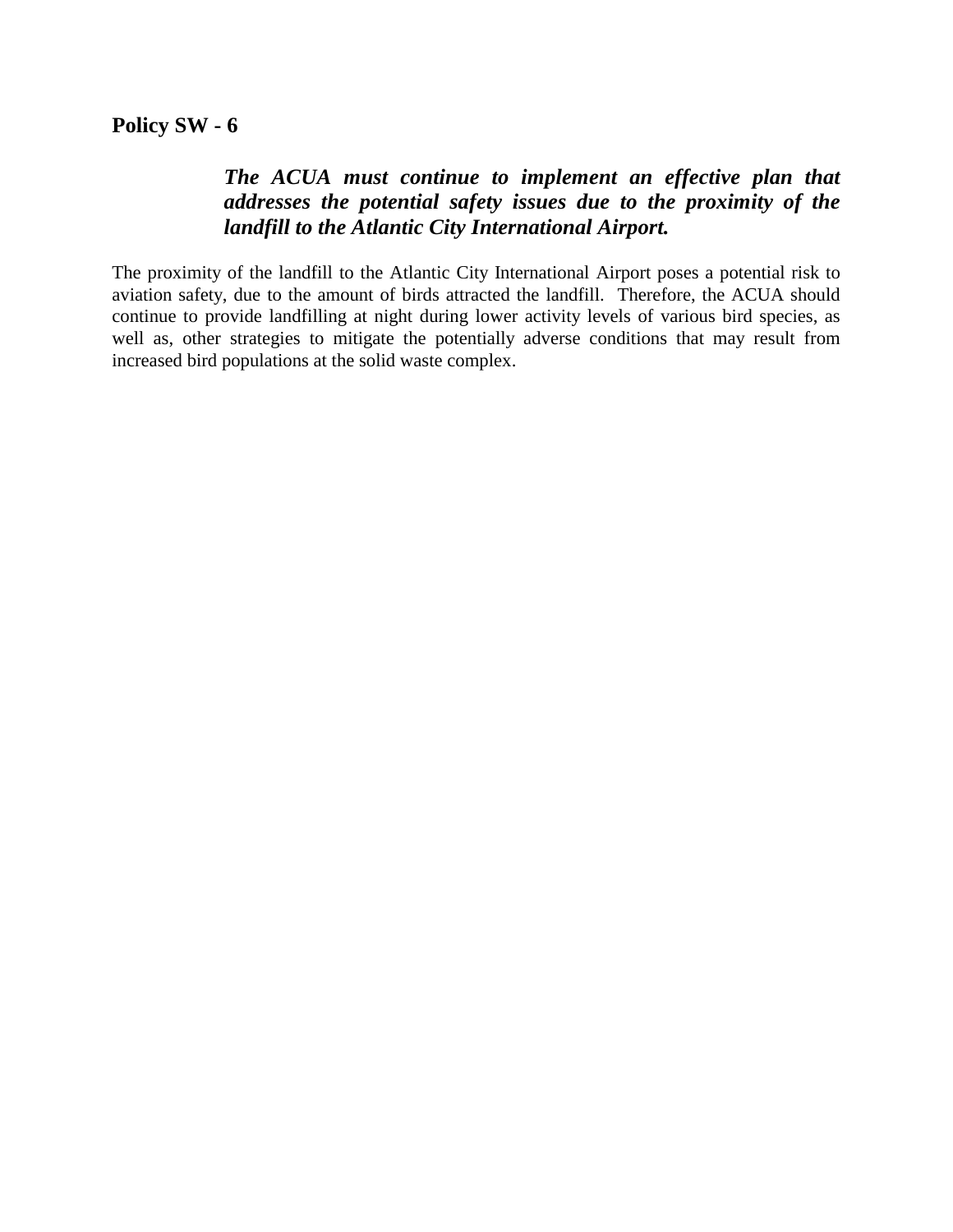### *The ACUA must continue to implement an effective plan that addresses the potential safety issues due to the proximity of the landfill to the Atlantic City International Airport.*

The proximity of the landfill to the Atlantic City International Airport poses a potential risk to aviation safety, due to the amount of birds attracted the landfill. Therefore, the ACUA should continue to provide landfilling at night during lower activity levels of various bird species, as well as, other strategies to mitigate the potentially adverse conditions that may result from increased bird populations at the solid waste complex.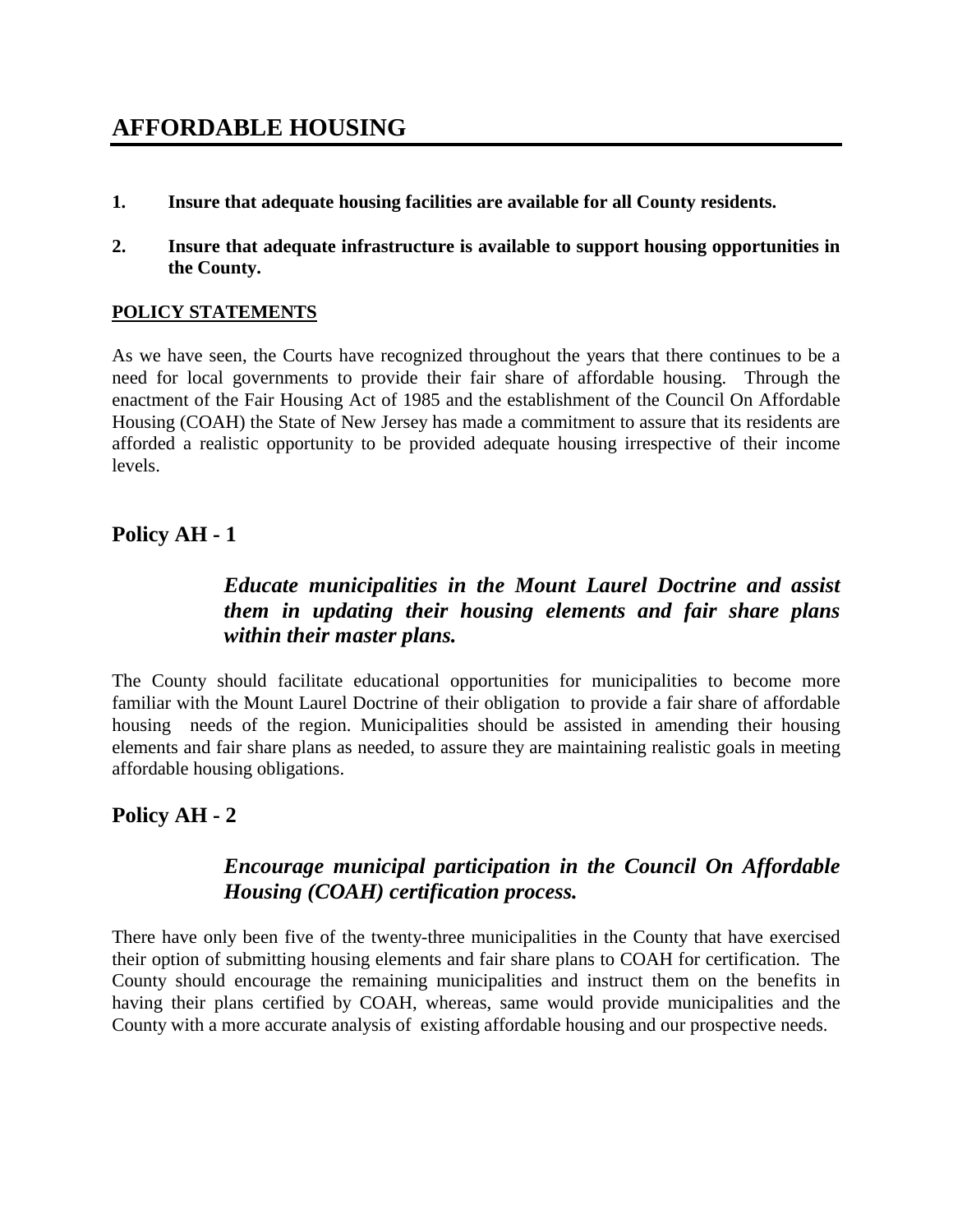- **1. Insure that adequate housing facilities are available for all County residents.**
- **2. Insure that adequate infrastructure is available to support housing opportunities in the County.**

#### **POLICY STATEMENTS**

As we have seen, the Courts have recognized throughout the years that there continues to be a need for local governments to provide their fair share of affordable housing. Through the enactment of the Fair Housing Act of 1985 and the establishment of the Council On Affordable Housing (COAH) the State of New Jersey has made a commitment to assure that its residents are afforded a realistic opportunity to be provided adequate housing irrespective of their income levels.

#### **Policy AH - 1**

## *Educate municipalities in the Mount Laurel Doctrine and assist them in updating their housing elements and fair share plans within their master plans.*

The County should facilitate educational opportunities for municipalities to become more familiar with the Mount Laurel Doctrine of their obligation to provide a fair share of affordable housing needs of the region. Municipalities should be assisted in amending their housing elements and fair share plans as needed, to assure they are maintaining realistic goals in meeting affordable housing obligations.

# **Policy AH - 2**

### *Encourage municipal participation in the Council On Affordable Housing (COAH) certification process.*

There have only been five of the twenty-three municipalities in the County that have exercised their option of submitting housing elements and fair share plans to COAH for certification. The County should encourage the remaining municipalities and instruct them on the benefits in having their plans certified by COAH, whereas, same would provide municipalities and the County with a more accurate analysis of existing affordable housing and our prospective needs.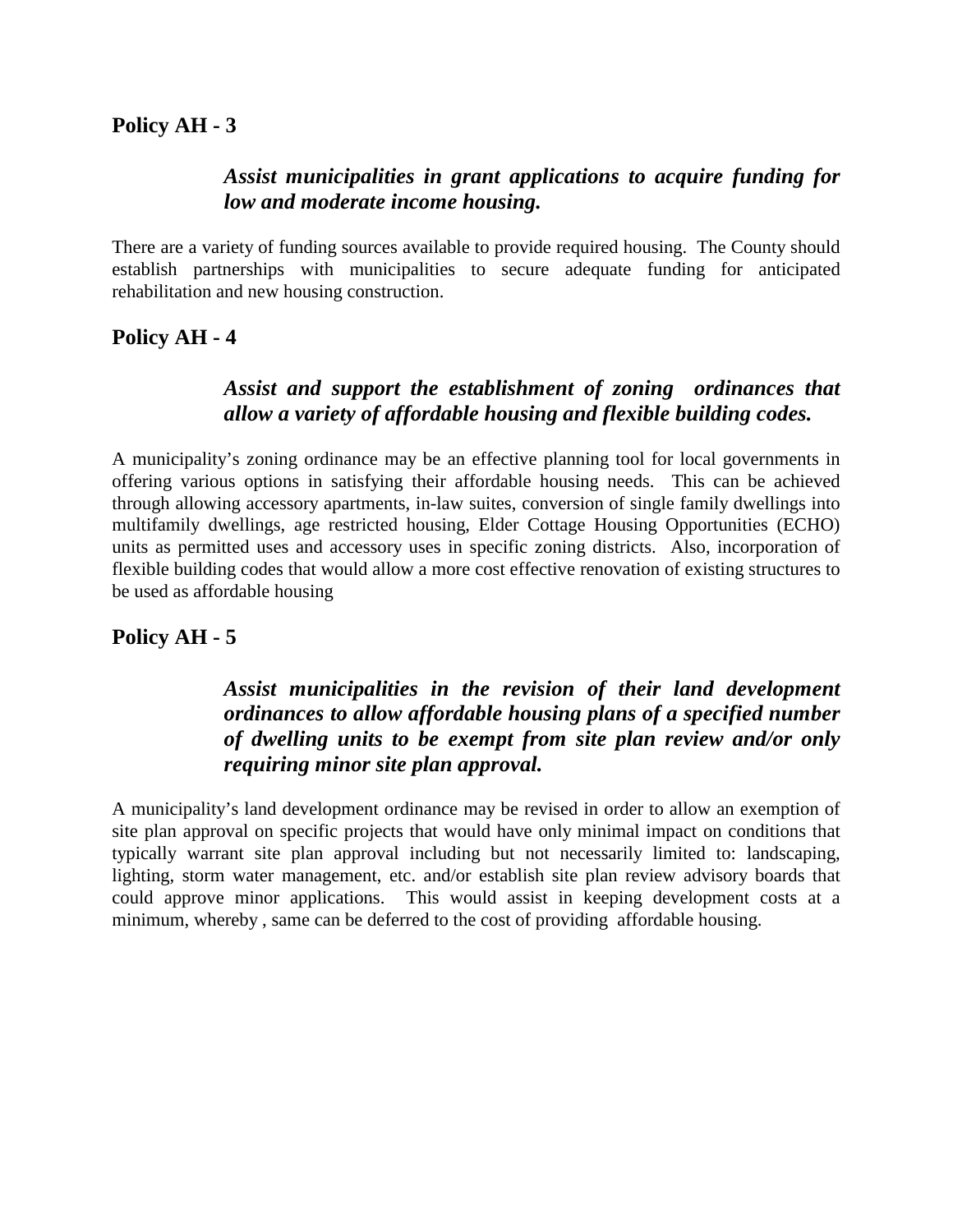#### *Assist municipalities in grant applications to acquire funding for low and moderate income housing.*

There are a variety of funding sources available to provide required housing. The County should establish partnerships with municipalities to secure adequate funding for anticipated rehabilitation and new housing construction.

#### **Policy AH - 4**

### *Assist and support the establishment of zoning ordinances that allow a variety of affordable housing and flexible building codes.*

A municipality's zoning ordinance may be an effective planning tool for local governments in offering various options in satisfying their affordable housing needs. This can be achieved through allowing accessory apartments, in-law suites, conversion of single family dwellings into multifamily dwellings, age restricted housing, Elder Cottage Housing Opportunities (ECHO) units as permitted uses and accessory uses in specific zoning districts. Also, incorporation of flexible building codes that would allow a more cost effective renovation of existing structures to be used as affordable housing

#### **Policy AH - 5**

## *Assist municipalities in the revision of their land development ordinances to allow affordable housing plans of a specified number of dwelling units to be exempt from site plan review and/or only requiring minor site plan approval.*

A municipality's land development ordinance may be revised in order to allow an exemption of site plan approval on specific projects that would have only minimal impact on conditions that typically warrant site plan approval including but not necessarily limited to: landscaping, lighting, storm water management, etc. and/or establish site plan review advisory boards that could approve minor applications. This would assist in keeping development costs at a minimum, whereby , same can be deferred to the cost of providing affordable housing.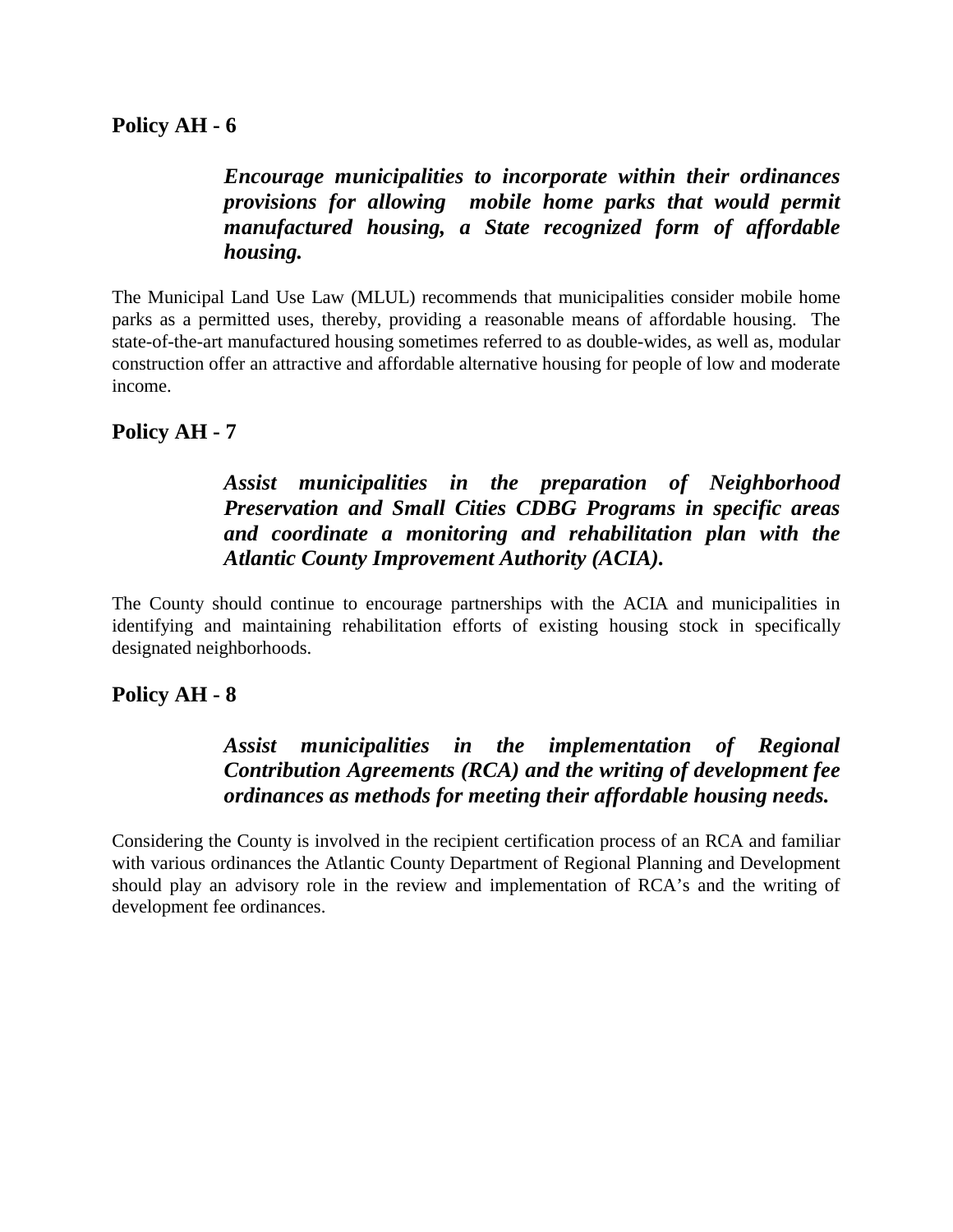*Encourage municipalities to incorporate within their ordinances provisions for allowing mobile home parks that would permit manufactured housing, a State recognized form of affordable housing.* 

The Municipal Land Use Law (MLUL) recommends that municipalities consider mobile home parks as a permitted uses, thereby, providing a reasonable means of affordable housing. The state-of-the-art manufactured housing sometimes referred to as double-wides, as well as, modular construction offer an attractive and affordable alternative housing for people of low and moderate income.

#### **Policy AH - 7**

### *Assist municipalities in the preparation of Neighborhood Preservation and Small Cities CDBG Programs in specific areas and coordinate a monitoring and rehabilitation plan with the Atlantic County Improvement Authority (ACIA).*

The County should continue to encourage partnerships with the ACIA and municipalities in identifying and maintaining rehabilitation efforts of existing housing stock in specifically designated neighborhoods.

#### **Policy AH - 8**

### *Assist municipalities in the implementation of Regional Contribution Agreements (RCA) and the writing of development fee ordinances as methods for meeting their affordable housing needs.*

Considering the County is involved in the recipient certification process of an RCA and familiar with various ordinances the Atlantic County Department of Regional Planning and Development should play an advisory role in the review and implementation of RCA's and the writing of development fee ordinances.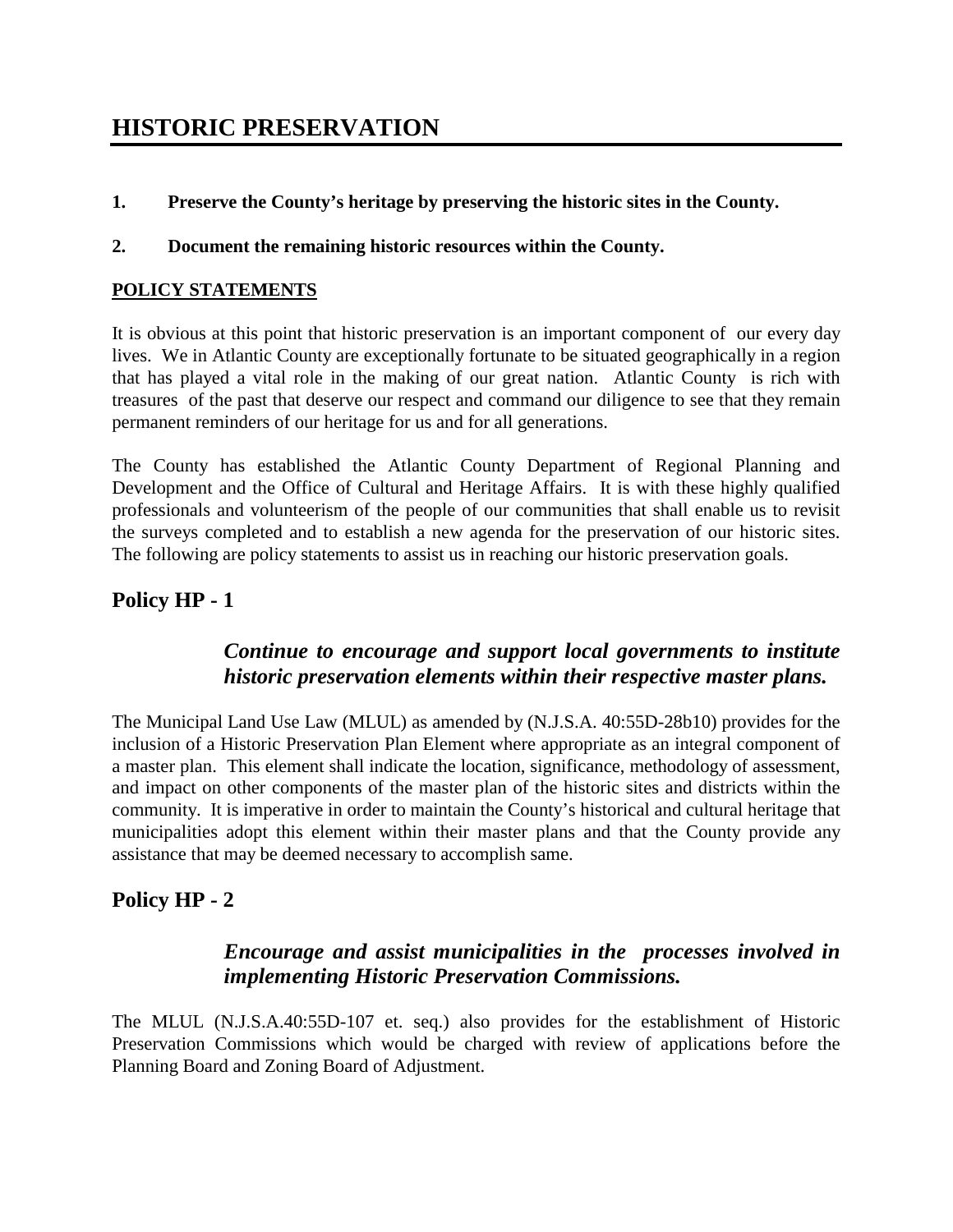# **HISTORIC PRESERVATION**

**1. Preserve the County's heritage by preserving the historic sites in the County.** 

#### **2. Document the remaining historic resources within the County.**

#### **POLICY STATEMENTS**

It is obvious at this point that historic preservation is an important component of our every day lives. We in Atlantic County are exceptionally fortunate to be situated geographically in a region that has played a vital role in the making of our great nation. Atlantic County is rich with treasures of the past that deserve our respect and command our diligence to see that they remain permanent reminders of our heritage for us and for all generations.

The County has established the Atlantic County Department of Regional Planning and Development and the Office of Cultural and Heritage Affairs. It is with these highly qualified professionals and volunteerism of the people of our communities that shall enable us to revisit the surveys completed and to establish a new agenda for the preservation of our historic sites. The following are policy statements to assist us in reaching our historic preservation goals.

### **Policy HP - 1**

#### *Continue to encourage and support local governments to institute historic preservation elements within their respective master plans.*

The Municipal Land Use Law (MLUL) as amended by (N.J.S.A. 40:55D-28b10) provides for the inclusion of a Historic Preservation Plan Element where appropriate as an integral component of a master plan. This element shall indicate the location, significance, methodology of assessment, and impact on other components of the master plan of the historic sites and districts within the community. It is imperative in order to maintain the County's historical and cultural heritage that municipalities adopt this element within their master plans and that the County provide any assistance that may be deemed necessary to accomplish same.

### **Policy HP - 2**

#### *Encourage and assist municipalities in the processes involved in implementing Historic Preservation Commissions.*

The MLUL (N.J.S.A.40:55D-107 et. seq.) also provides for the establishment of Historic Preservation Commissions which would be charged with review of applications before the Planning Board and Zoning Board of Adjustment.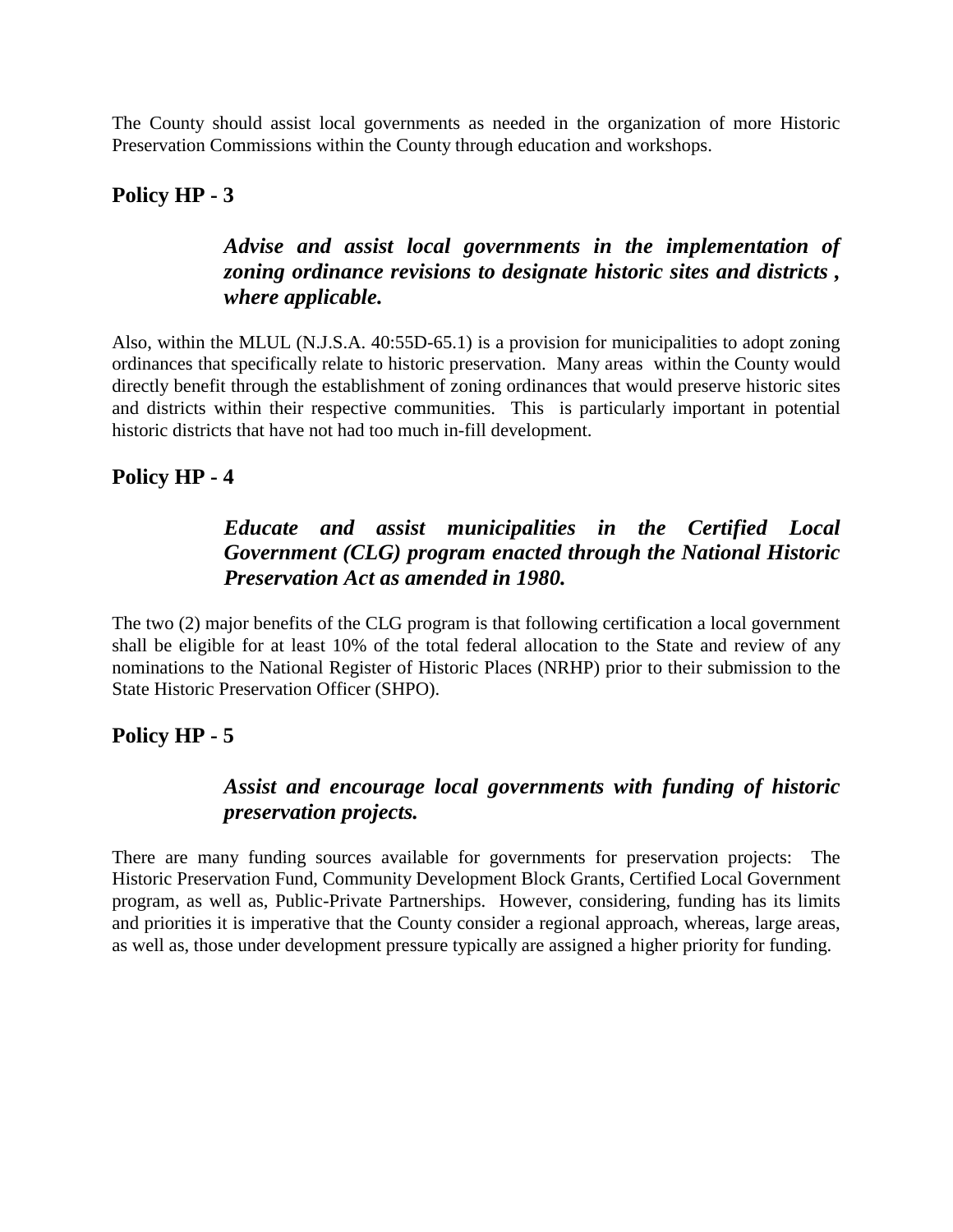The County should assist local governments as needed in the organization of more Historic Preservation Commissions within the County through education and workshops.

### **Policy HP - 3**

# *Advise and assist local governments in the implementation of zoning ordinance revisions to designate historic sites and districts , where applicable.*

Also, within the MLUL (N.J.S.A. 40:55D-65.1) is a provision for municipalities to adopt zoning ordinances that specifically relate to historic preservation. Many areas within the County would directly benefit through the establishment of zoning ordinances that would preserve historic sites and districts within their respective communities. This is particularly important in potential historic districts that have not had too much in-fill development.

### **Policy HP - 4**

## *Educate and assist municipalities in the Certified Local Government (CLG) program enacted through the National Historic Preservation Act as amended in 1980.*

The two (2) major benefits of the CLG program is that following certification a local government shall be eligible for at least 10% of the total federal allocation to the State and review of any nominations to the National Register of Historic Places (NRHP) prior to their submission to the State Historic Preservation Officer (SHPO).

#### **Policy HP - 5**

## *Assist and encourage local governments with funding of historic preservation projects.*

There are many funding sources available for governments for preservation projects: The Historic Preservation Fund, Community Development Block Grants, Certified Local Government program, as well as, Public-Private Partnerships. However, considering, funding has its limits and priorities it is imperative that the County consider a regional approach, whereas, large areas, as well as, those under development pressure typically are assigned a higher priority for funding.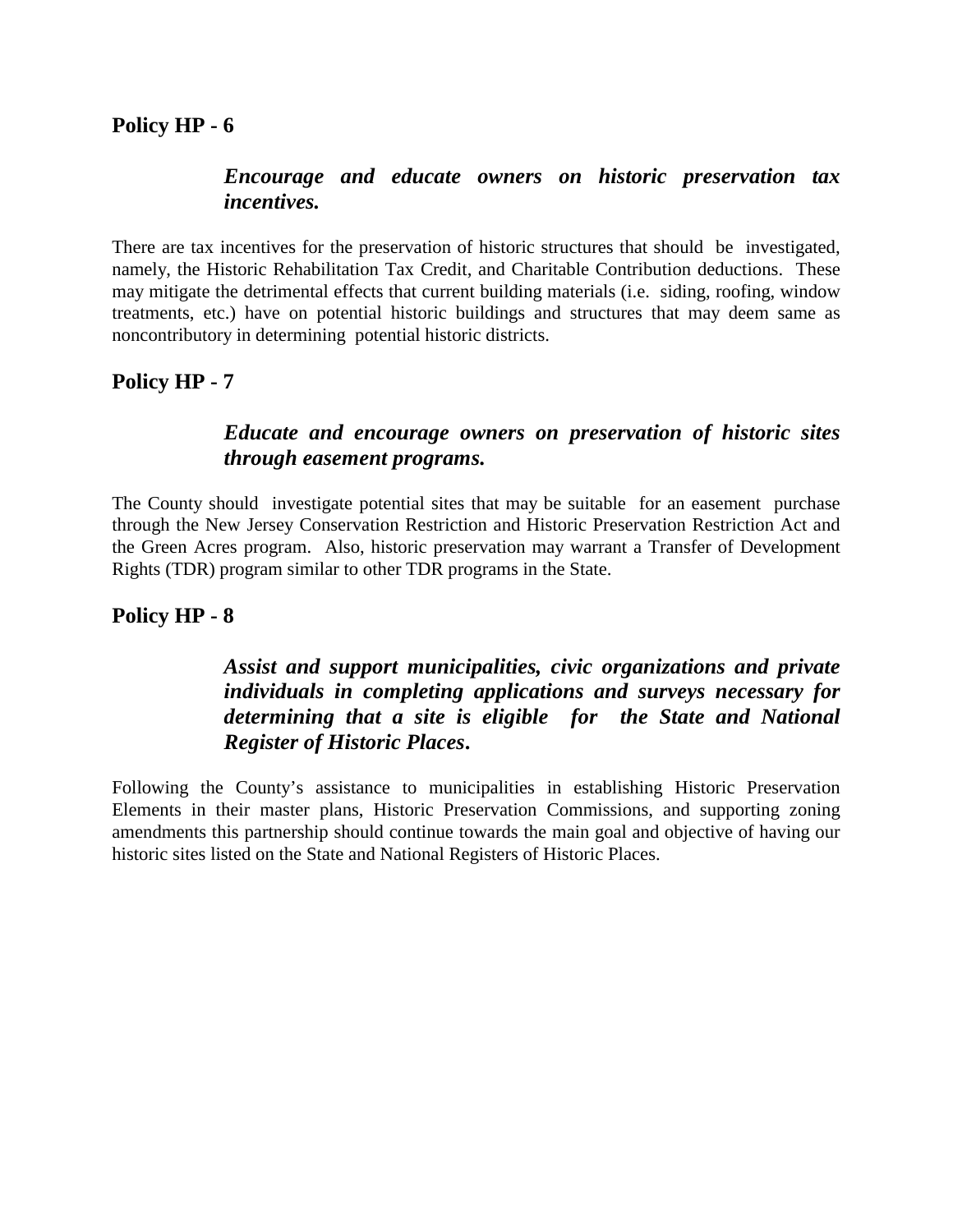### *Encourage and educate owners on historic preservation tax incentives.*

There are tax incentives for the preservation of historic structures that should be investigated, namely, the Historic Rehabilitation Tax Credit, and Charitable Contribution deductions. These may mitigate the detrimental effects that current building materials (i.e. siding, roofing, window treatments, etc.) have on potential historic buildings and structures that may deem same as noncontributory in determining potential historic districts.

### **Policy HP - 7**

### *Educate and encourage owners on preservation of historic sites through easement programs.*

The County should investigate potential sites that may be suitable for an easement purchase through the New Jersey Conservation Restriction and Historic Preservation Restriction Act and the Green Acres program. Also, historic preservation may warrant a Transfer of Development Rights (TDR) program similar to other TDR programs in the State.

## **Policy HP - 8**

# *Assist and support municipalities, civic organizations and private individuals in completing applications and surveys necessary for determining that a site is eligible for the State and National Register of Historic Places***.**

Following the County's assistance to municipalities in establishing Historic Preservation Elements in their master plans, Historic Preservation Commissions, and supporting zoning amendments this partnership should continue towards the main goal and objective of having our historic sites listed on the State and National Registers of Historic Places.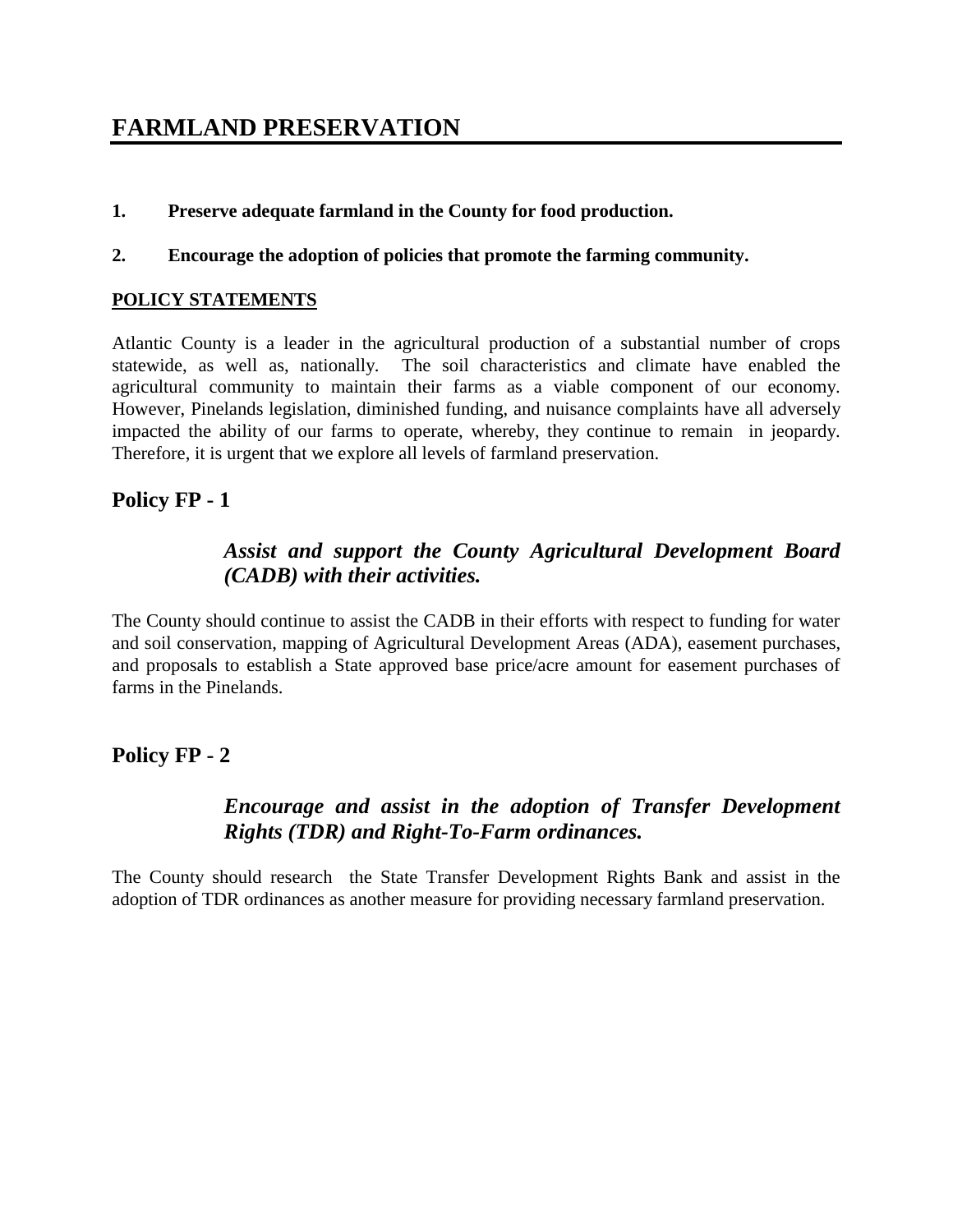# **FARMLAND PRESERVATION**

- **1. Preserve adequate farmland in the County for food production.**
- **2. Encourage the adoption of policies that promote the farming community.**

#### **POLICY STATEMENTS**

Atlantic County is a leader in the agricultural production of a substantial number of crops statewide, as well as, nationally. The soil characteristics and climate have enabled the agricultural community to maintain their farms as a viable component of our economy. However, Pinelands legislation, diminished funding, and nuisance complaints have all adversely impacted the ability of our farms to operate, whereby, they continue to remain in jeopardy. Therefore, it is urgent that we explore all levels of farmland preservation.

#### **Policy FP - 1**

### *Assist and support the County Agricultural Development Board (CADB) with their activities.*

The County should continue to assist the CADB in their efforts with respect to funding for water and soil conservation, mapping of Agricultural Development Areas (ADA), easement purchases, and proposals to establish a State approved base price/acre amount for easement purchases of farms in the Pinelands.

#### **Policy FP - 2**

## *Encourage and assist in the adoption of Transfer Development Rights (TDR) and Right-To-Farm ordinances.*

The County should research the State Transfer Development Rights Bank and assist in the adoption of TDR ordinances as another measure for providing necessary farmland preservation.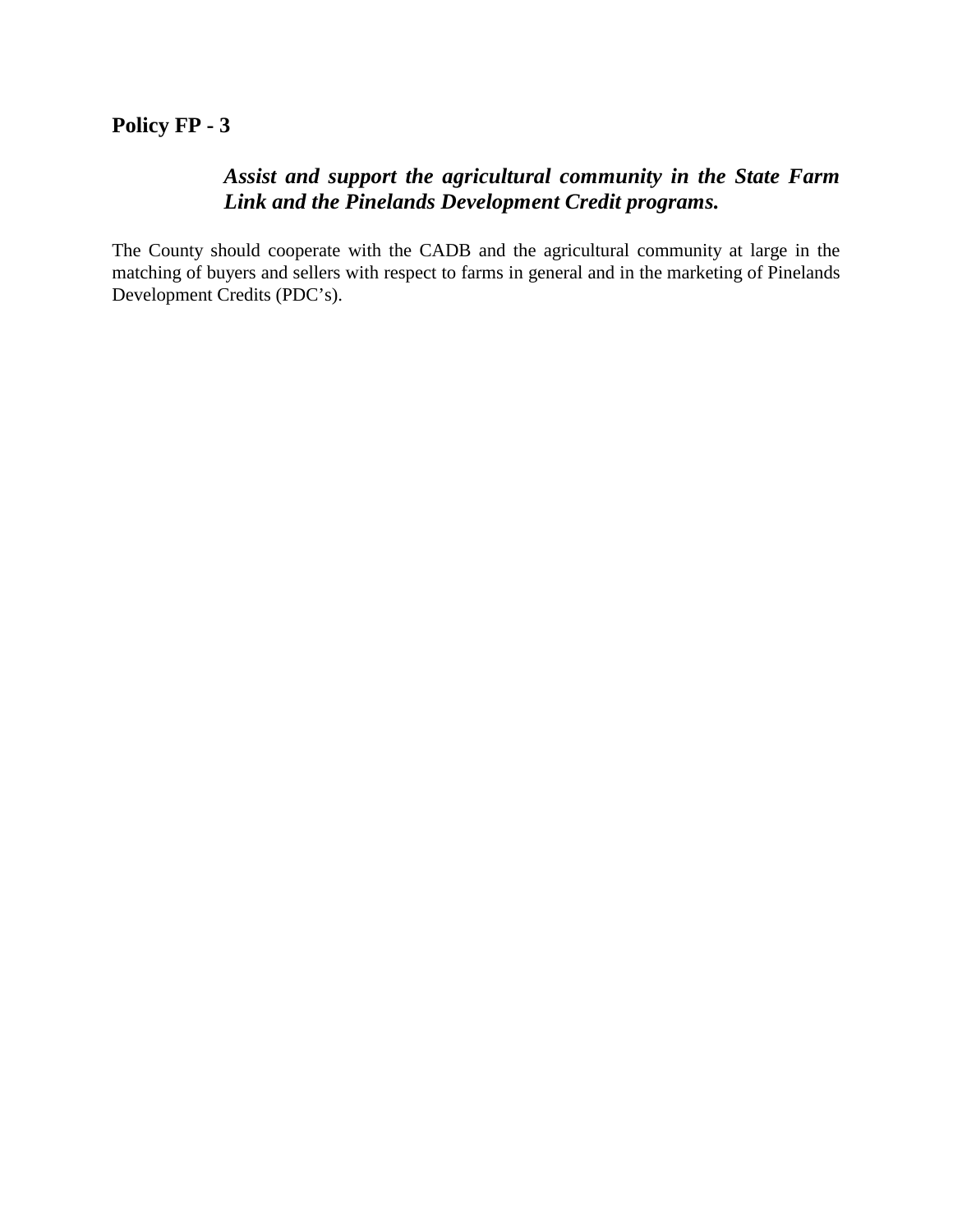### **Policy FP - 3**

## *Assist and support the agricultural community in the State Farm Link and the Pinelands Development Credit programs.*

The County should cooperate with the CADB and the agricultural community at large in the matching of buyers and sellers with respect to farms in general and in the marketing of Pinelands Development Credits (PDC's).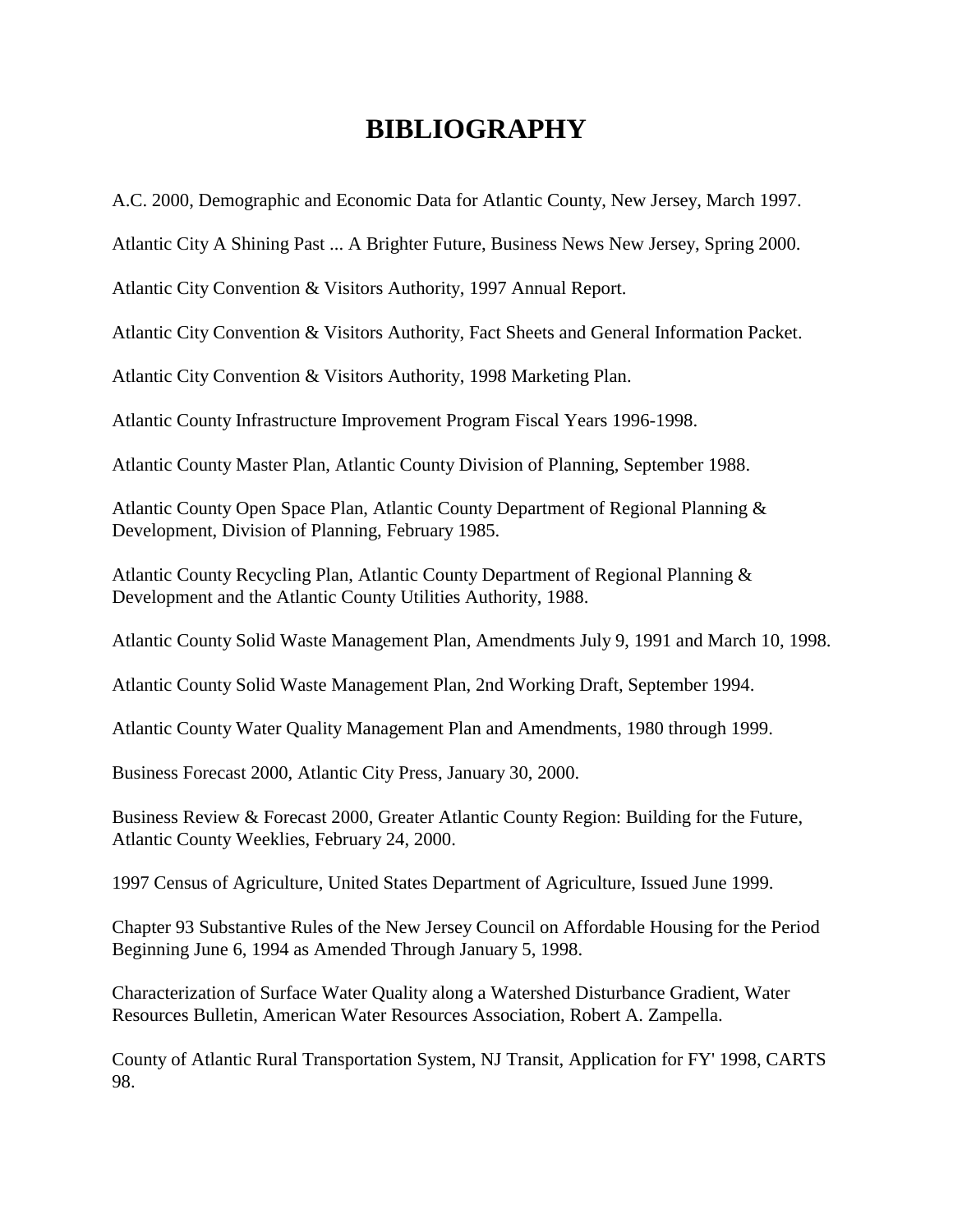# **BIBLIOGRAPHY**

A.C. 2000, Demographic and Economic Data for Atlantic County, New Jersey, March 1997.

Atlantic City A Shining Past ... A Brighter Future, Business News New Jersey, Spring 2000.

Atlantic City Convention & Visitors Authority, 1997 Annual Report.

Atlantic City Convention & Visitors Authority, Fact Sheets and General Information Packet.

Atlantic City Convention & Visitors Authority, 1998 Marketing Plan.

Atlantic County Infrastructure Improvement Program Fiscal Years 1996-1998.

Atlantic County Master Plan, Atlantic County Division of Planning, September 1988.

Atlantic County Open Space Plan, Atlantic County Department of Regional Planning & Development, Division of Planning, February 1985.

Atlantic County Recycling Plan, Atlantic County Department of Regional Planning & Development and the Atlantic County Utilities Authority, 1988.

Atlantic County Solid Waste Management Plan, Amendments July 9, 1991 and March 10, 1998.

Atlantic County Solid Waste Management Plan, 2nd Working Draft, September 1994.

Atlantic County Water Quality Management Plan and Amendments, 1980 through 1999.

Business Forecast 2000, Atlantic City Press, January 30, 2000.

Business Review & Forecast 2000, Greater Atlantic County Region: Building for the Future, Atlantic County Weeklies, February 24, 2000.

1997 Census of Agriculture, United States Department of Agriculture, Issued June 1999.

Chapter 93 Substantive Rules of the New Jersey Council on Affordable Housing for the Period Beginning June 6, 1994 as Amended Through January 5, 1998.

Characterization of Surface Water Quality along a Watershed Disturbance Gradient, Water Resources Bulletin, American Water Resources Association, Robert A. Zampella.

County of Atlantic Rural Transportation System, NJ Transit, Application for FY' 1998, CARTS 98.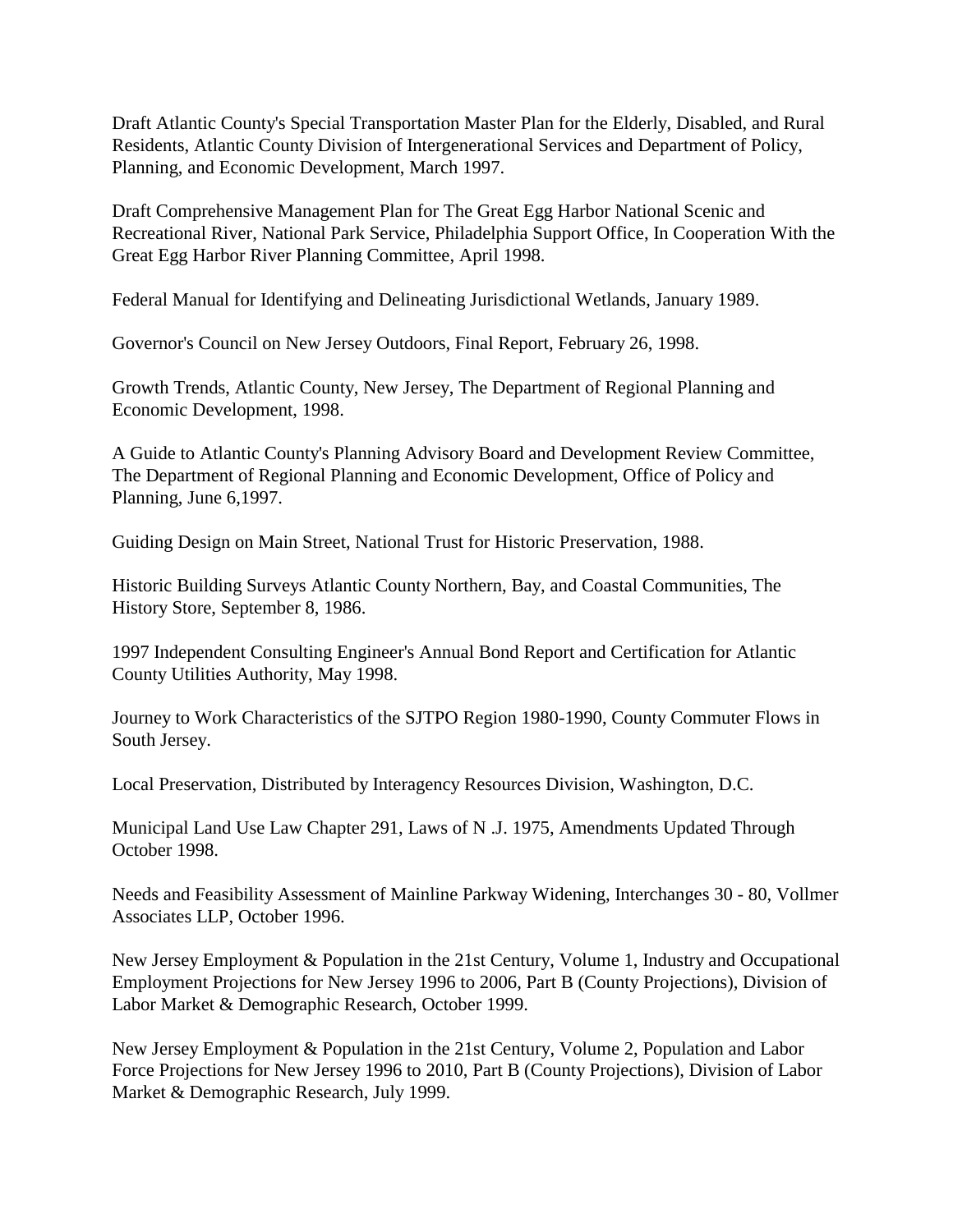Draft Atlantic County's Special Transportation Master Plan for the Elderly, Disabled, and Rural Residents, Atlantic County Division of Intergenerational Services and Department of Policy, Planning, and Economic Development, March 1997.

Draft Comprehensive Management Plan for The Great Egg Harbor National Scenic and Recreational River, National Park Service, Philadelphia Support Office, In Cooperation With the Great Egg Harbor River Planning Committee, April 1998.

Federal Manual for Identifying and Delineating Jurisdictional Wetlands, January 1989.

Governor's Council on New Jersey Outdoors, Final Report, February 26, 1998.

Growth Trends, Atlantic County, New Jersey, The Department of Regional Planning and Economic Development, 1998.

A Guide to Atlantic County's Planning Advisory Board and Development Review Committee, The Department of Regional Planning and Economic Development, Office of Policy and Planning, June 6,1997.

Guiding Design on Main Street, National Trust for Historic Preservation, 1988.

Historic Building Surveys Atlantic County Northern, Bay, and Coastal Communities, The History Store, September 8, 1986.

1997 Independent Consulting Engineer's Annual Bond Report and Certification for Atlantic County Utilities Authority, May 1998.

Journey to Work Characteristics of the SJTPO Region 1980-1990, County Commuter Flows in South Jersey.

Local Preservation, Distributed by Interagency Resources Division, Washington, D.C.

Municipal Land Use Law Chapter 291, Laws of N .J. 1975, Amendments Updated Through October 1998.

Needs and Feasibility Assessment of Mainline Parkway Widening, Interchanges 30 - 80, Vollmer Associates LLP, October 1996.

New Jersey Employment & Population in the 21st Century, Volume 1, Industry and Occupational Employment Projections for New Jersey 1996 to 2006, Part B (County Projections), Division of Labor Market & Demographic Research, October 1999.

New Jersey Employment & Population in the 21st Century, Volume 2, Population and Labor Force Projections for New Jersey 1996 to 2010, Part B (County Projections), Division of Labor Market & Demographic Research, July 1999.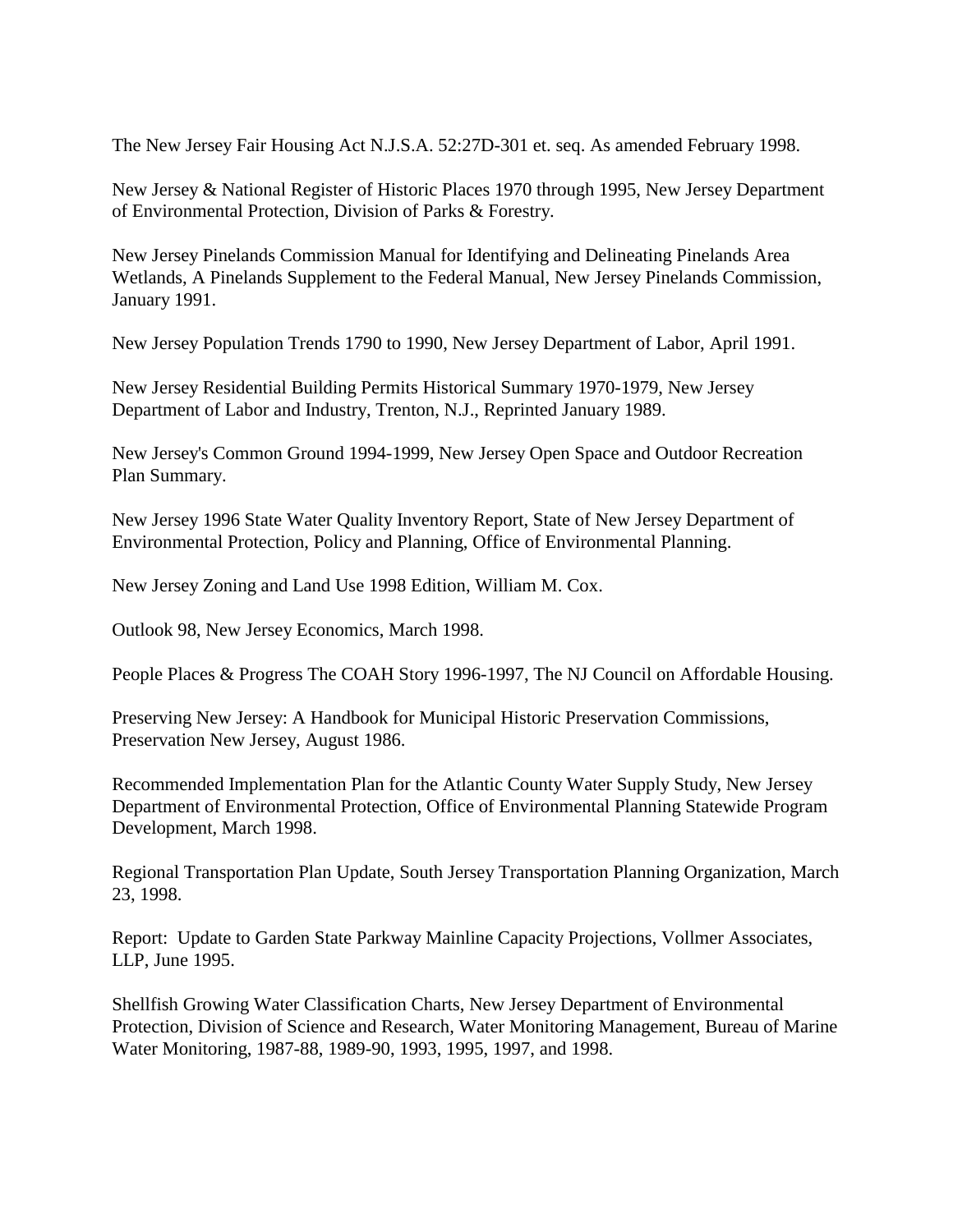The New Jersey Fair Housing Act N.J.S.A. 52:27D-301 et. seq. As amended February 1998.

New Jersey & National Register of Historic Places 1970 through 1995, New Jersey Department of Environmental Protection, Division of Parks & Forestry.

New Jersey Pinelands Commission Manual for Identifying and Delineating Pinelands Area Wetlands, A Pinelands Supplement to the Federal Manual, New Jersey Pinelands Commission, January 1991.

New Jersey Population Trends 1790 to 1990, New Jersey Department of Labor, April 1991.

New Jersey Residential Building Permits Historical Summary 1970-1979, New Jersey Department of Labor and Industry, Trenton, N.J., Reprinted January 1989.

New Jersey's Common Ground 1994-1999, New Jersey Open Space and Outdoor Recreation Plan Summary.

New Jersey 1996 State Water Quality Inventory Report, State of New Jersey Department of Environmental Protection, Policy and Planning, Office of Environmental Planning.

New Jersey Zoning and Land Use 1998 Edition, William M. Cox.

Outlook 98, New Jersey Economics, March 1998.

People Places & Progress The COAH Story 1996-1997, The NJ Council on Affordable Housing.

Preserving New Jersey: A Handbook for Municipal Historic Preservation Commissions, Preservation New Jersey, August 1986.

Recommended Implementation Plan for the Atlantic County Water Supply Study, New Jersey Department of Environmental Protection, Office of Environmental Planning Statewide Program Development, March 1998.

Regional Transportation Plan Update, South Jersey Transportation Planning Organization, March 23, 1998.

Report: Update to Garden State Parkway Mainline Capacity Projections, Vollmer Associates, LLP, June 1995.

Shellfish Growing Water Classification Charts, New Jersey Department of Environmental Protection, Division of Science and Research, Water Monitoring Management, Bureau of Marine Water Monitoring, 1987-88, 1989-90, 1993, 1995, 1997, and 1998.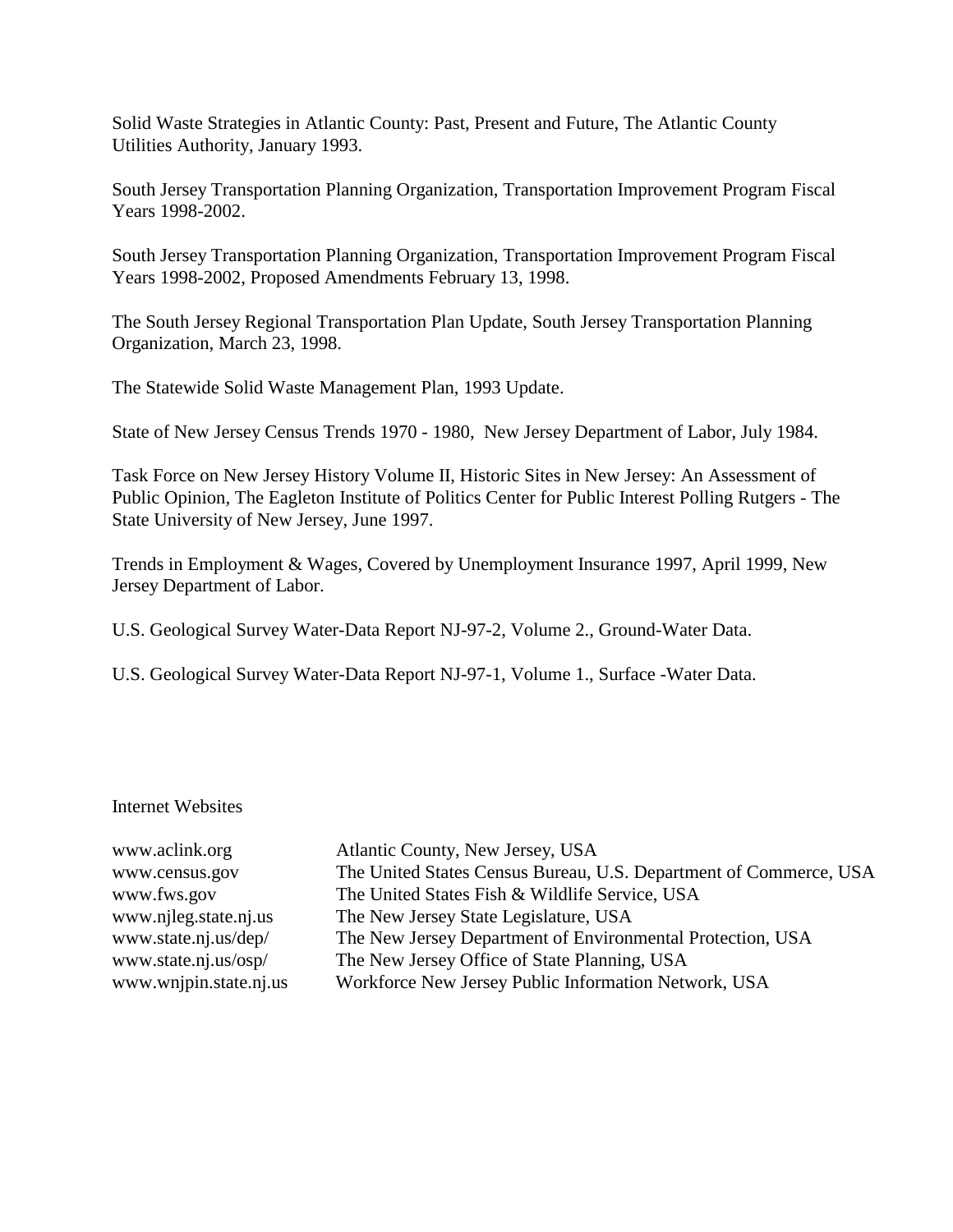Solid Waste Strategies in Atlantic County: Past, Present and Future, The Atlantic County Utilities Authority, January 1993.

South Jersey Transportation Planning Organization, Transportation Improvement Program Fiscal Years 1998-2002.

South Jersey Transportation Planning Organization, Transportation Improvement Program Fiscal Years 1998-2002, Proposed Amendments February 13, 1998.

The South Jersey Regional Transportation Plan Update, South Jersey Transportation Planning Organization, March 23, 1998.

The Statewide Solid Waste Management Plan, 1993 Update.

State of New Jersey Census Trends 1970 - 1980, New Jersey Department of Labor, July 1984.

Task Force on New Jersey History Volume II, Historic Sites in New Jersey: An Assessment of Public Opinion, The Eagleton Institute of Politics Center for Public Interest Polling Rutgers - The State University of New Jersey, June 1997.

Trends in Employment & Wages, Covered by Unemployment Insurance 1997, April 1999, New Jersey Department of Labor.

U.S. Geological Survey Water-Data Report NJ-97-2, Volume 2., Ground-Water Data.

U.S. Geological Survey Water-Data Report NJ-97-1, Volume 1., Surface -Water Data.

#### Internet Websites

www.aclink.org Atlantic County, New Jersey, USA www.census.gov The United States Census Bureau, U.S. Department of Commerce, USA www.fws.gov The United States Fish & Wildlife Service, USA www.njleg.state.nj.us The New Jersey State Legislature, USA www.state.nj.us/dep/ The New Jersey Department of Environmental Protection, USA www.state.nj.us/osp/ The New Jersey Office of State Planning, USA www.wnjpin.state.nj.us Workforce New Jersey Public Information Network, USA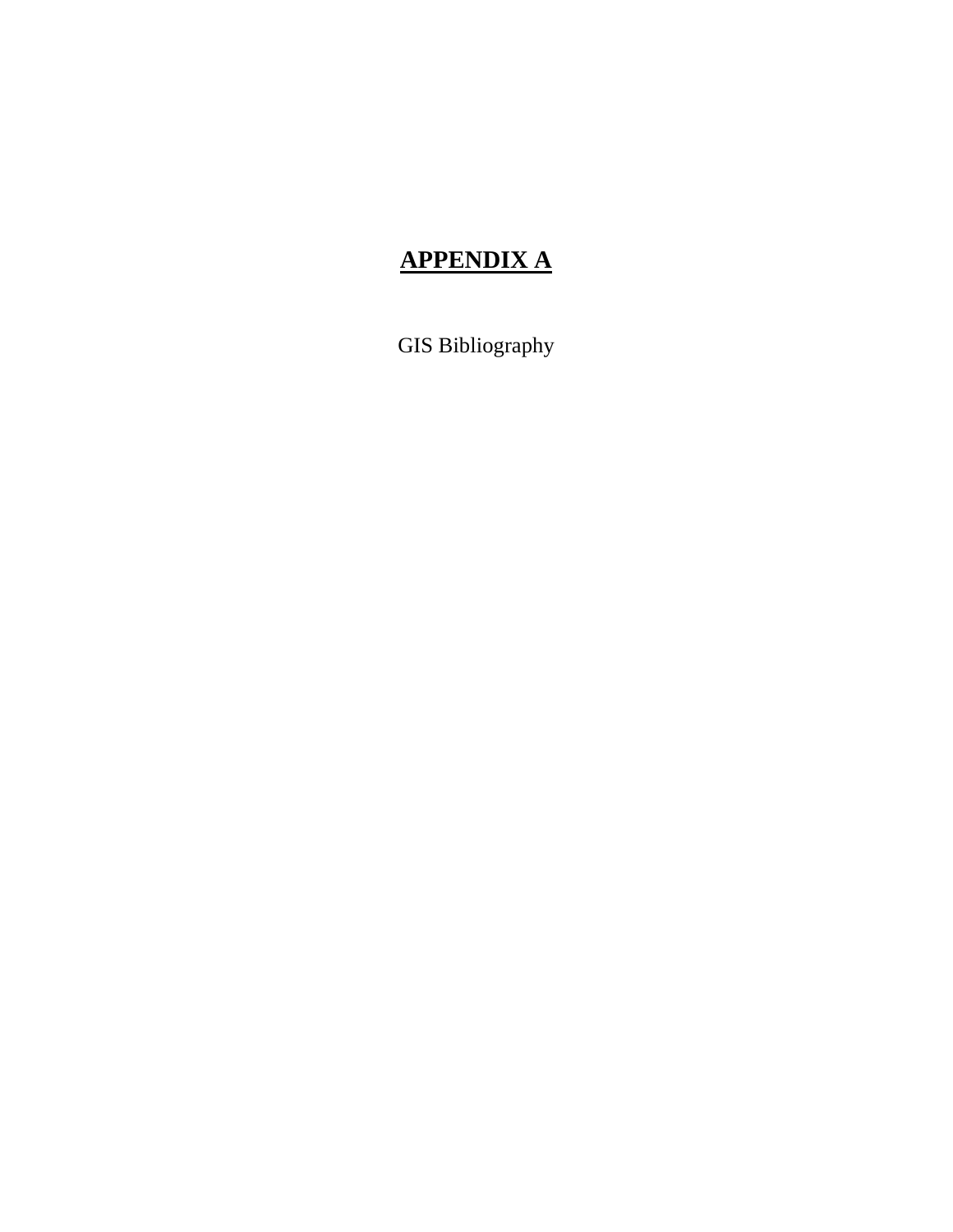# **APPENDIX A**

GIS Bibliography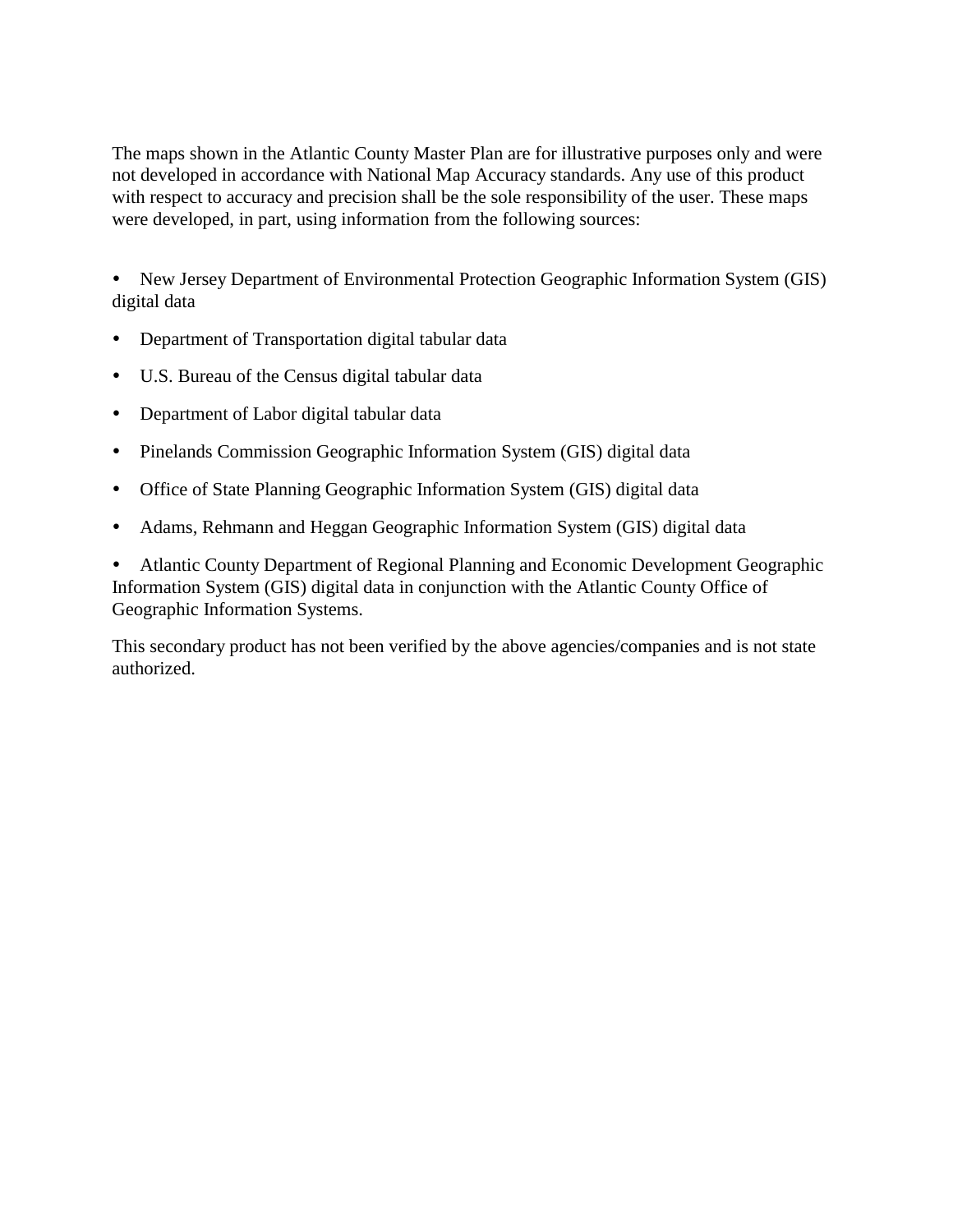The maps shown in the Atlantic County Master Plan are for illustrative purposes only and were not developed in accordance with National Map Accuracy standards. Any use of this product with respect to accuracy and precision shall be the sole responsibility of the user. These maps were developed, in part, using information from the following sources:

• New Jersey Department of Environmental Protection Geographic Information System (GIS) digital data

- Department of Transportation digital tabular data
- " U.S. Bureau of the Census digital tabular data
- Department of Labor digital tabular data
- Pinelands Commission Geographic Information System (GIS) digital data
- Office of State Planning Geographic Information System (GIS) digital data
- " Adams, Rehmann and Heggan Geographic Information System (GIS) digital data

Atlantic County Department of Regional Planning and Economic Development Geographic Information System (GIS) digital data in conjunction with the Atlantic County Office of Geographic Information Systems.

This secondary product has not been verified by the above agencies/companies and is not state authorized.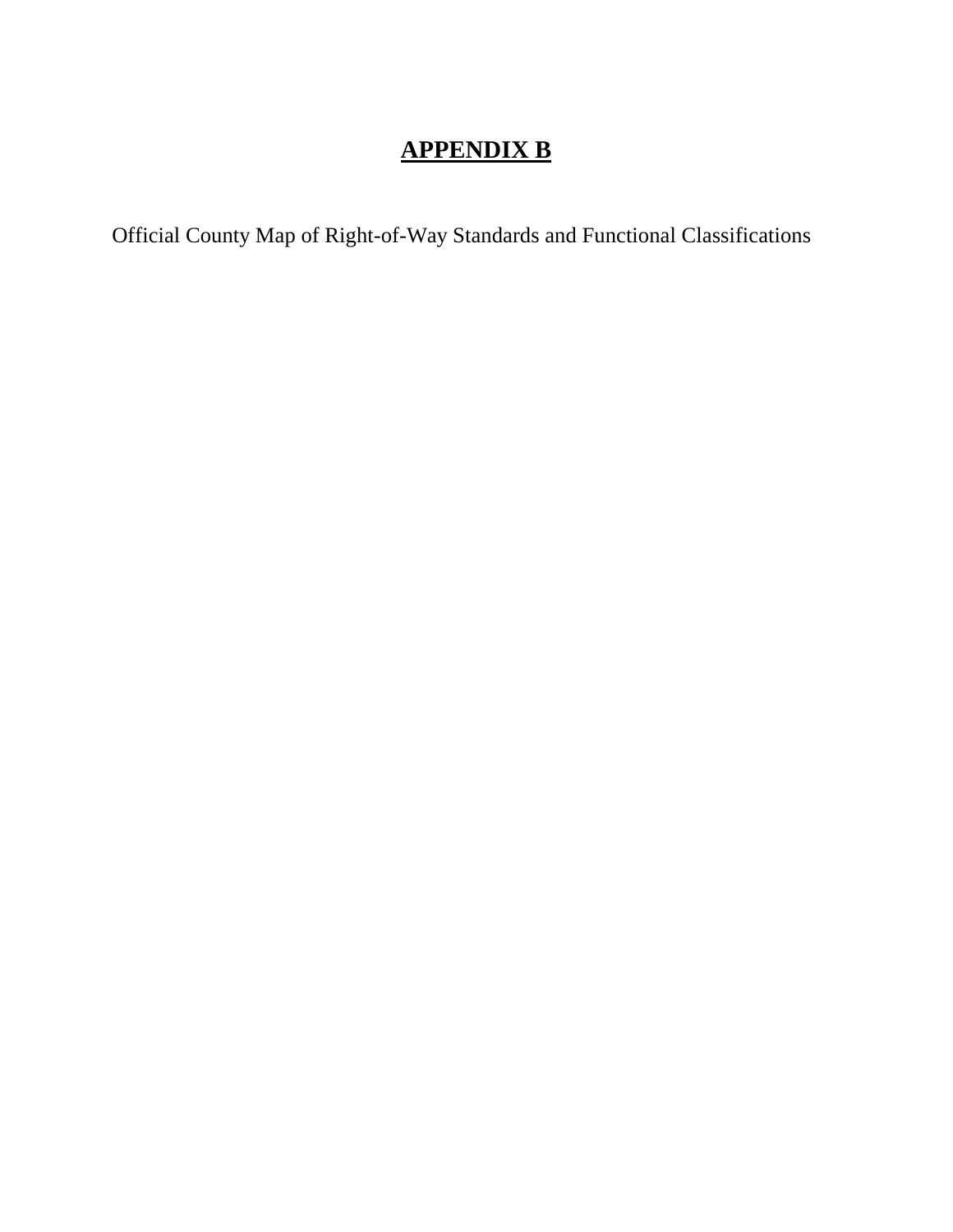# **APPENDIX B**

Official County Map of Right-of-Way Standards and Functional Classifications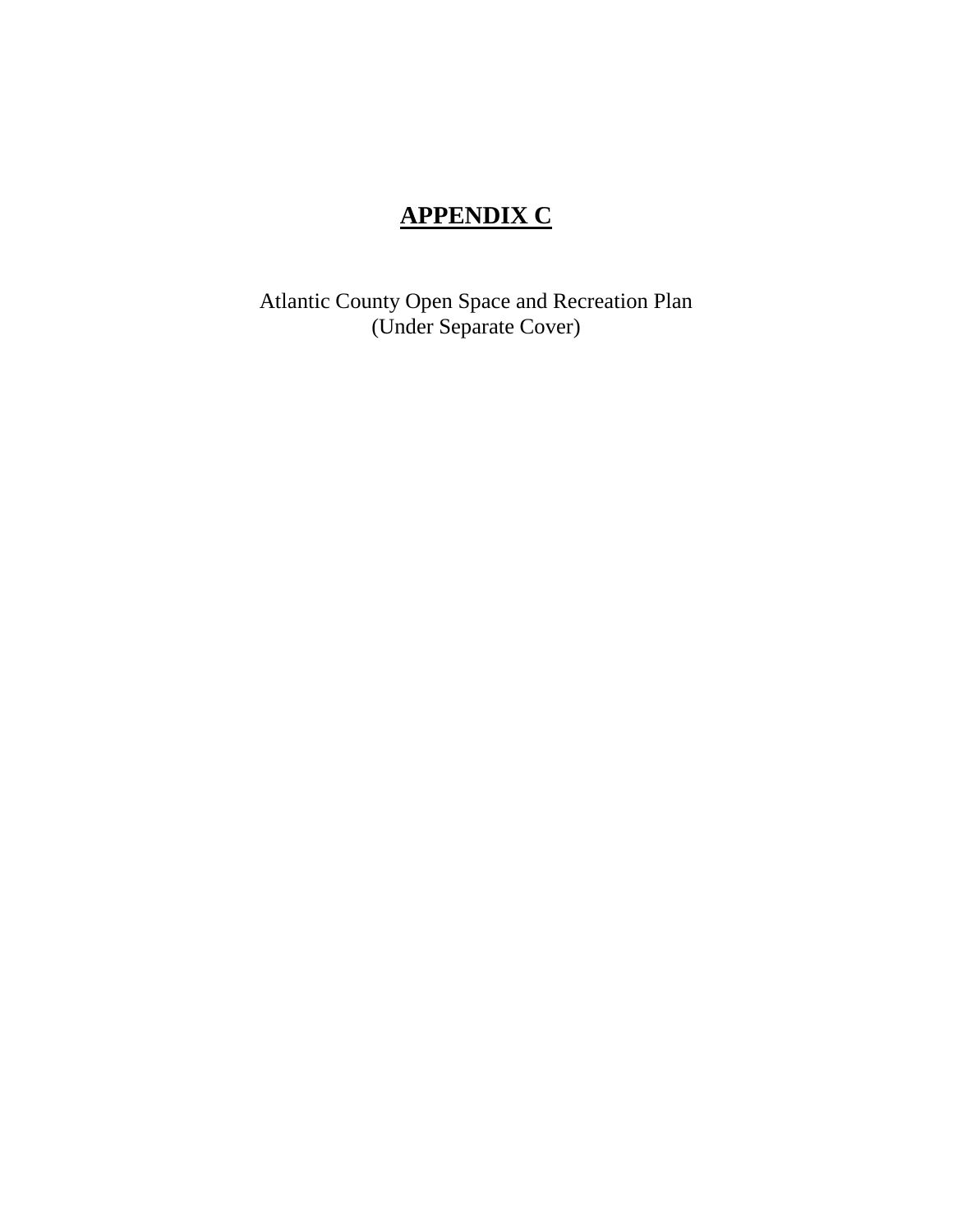# **APPENDIX C**

Atlantic County Open Space and Recreation Plan (Under Separate Cover)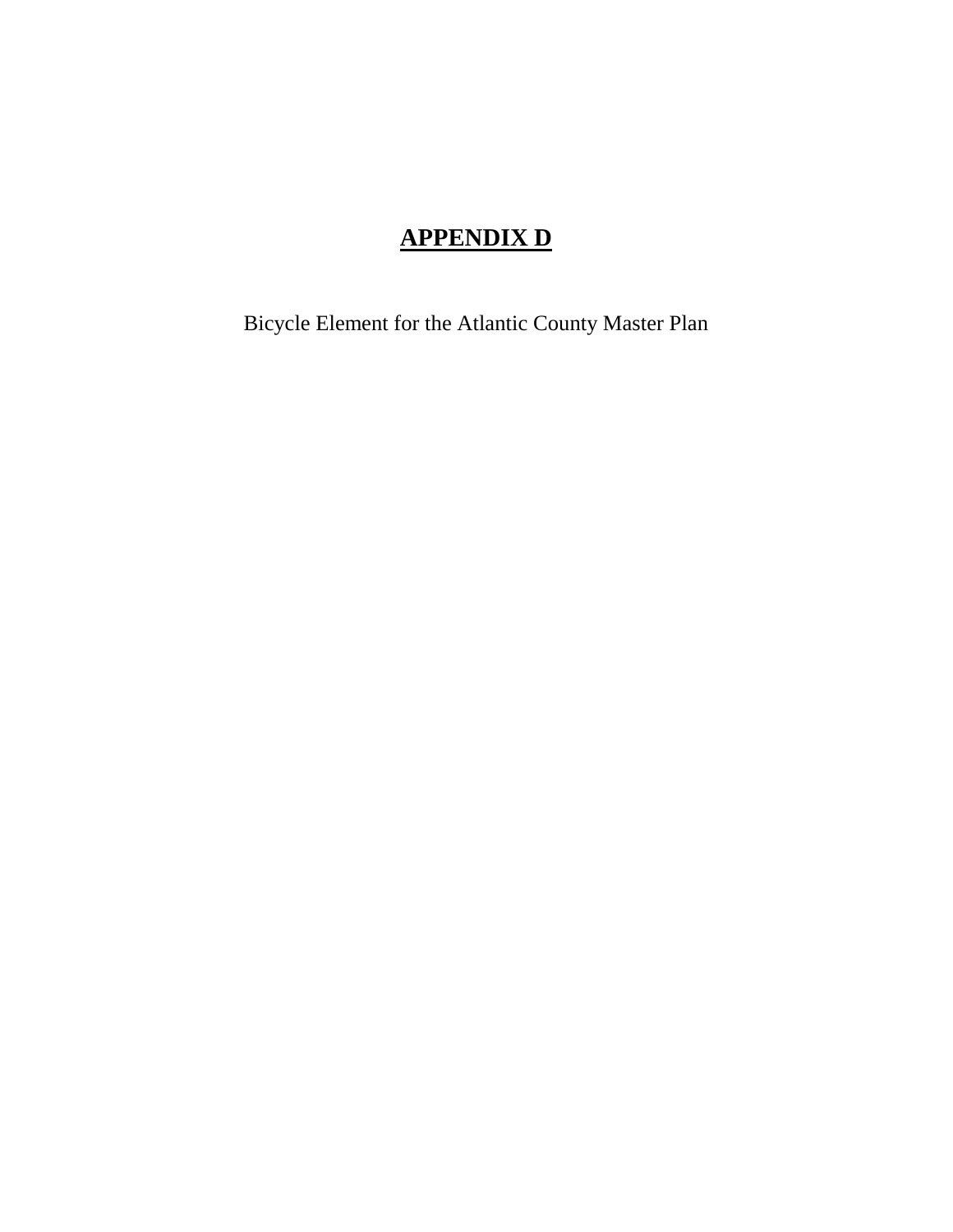# **APPENDIX D**

Bicycle Element for the Atlantic County Master Plan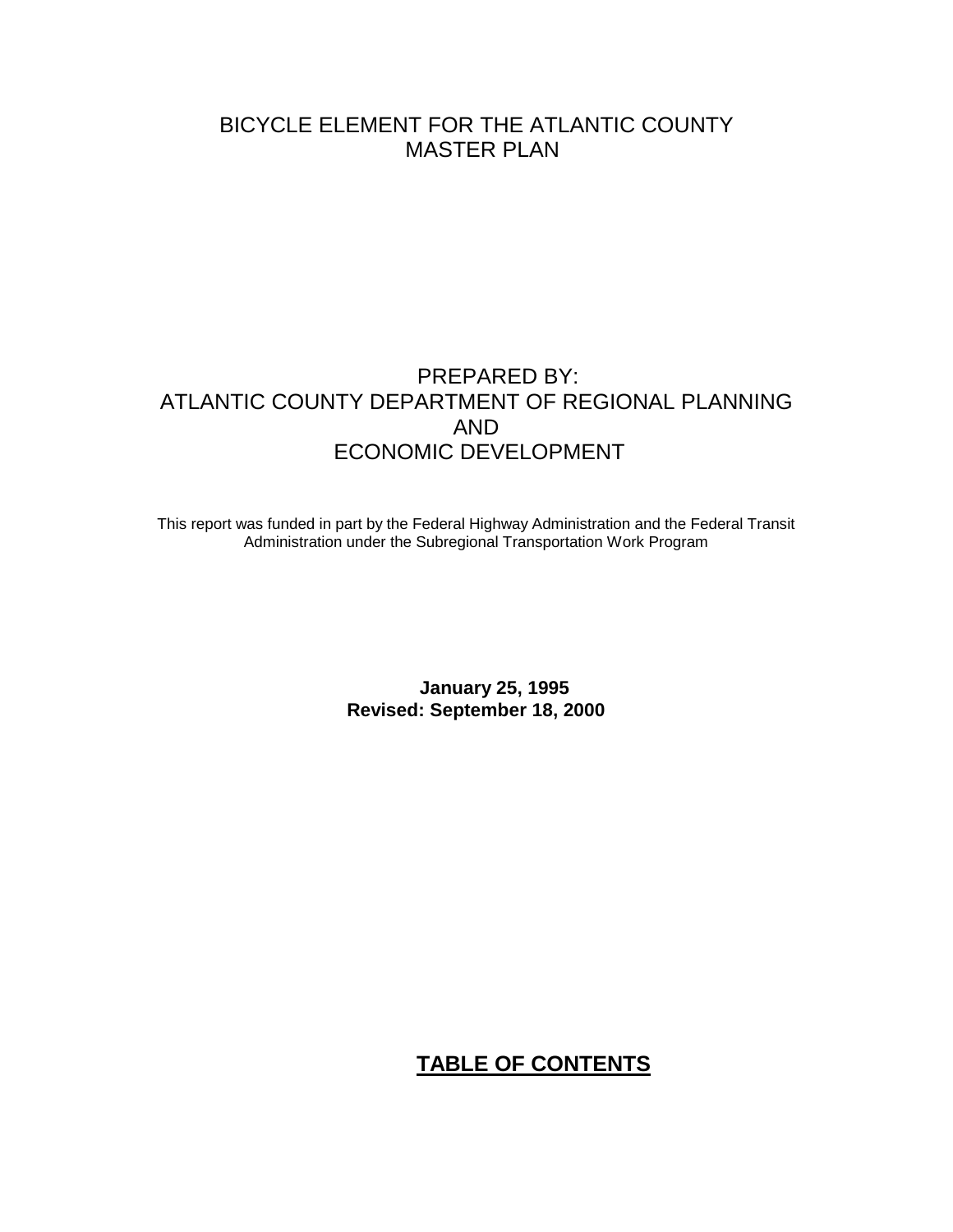# BICYCLE ELEMENT FOR THE ATLANTIC COUNTY MASTER PLAN

# PREPARED BY: ATLANTIC COUNTY DEPARTMENT OF REGIONAL PLANNING AND ECONOMIC DEVELOPMENT

This report was funded in part by the Federal Highway Administration and the Federal Transit Administration under the Subregional Transportation Work Program

> **January 25, 1995 Revised: September 18, 2000**

# **TABLE OF CONTENTS**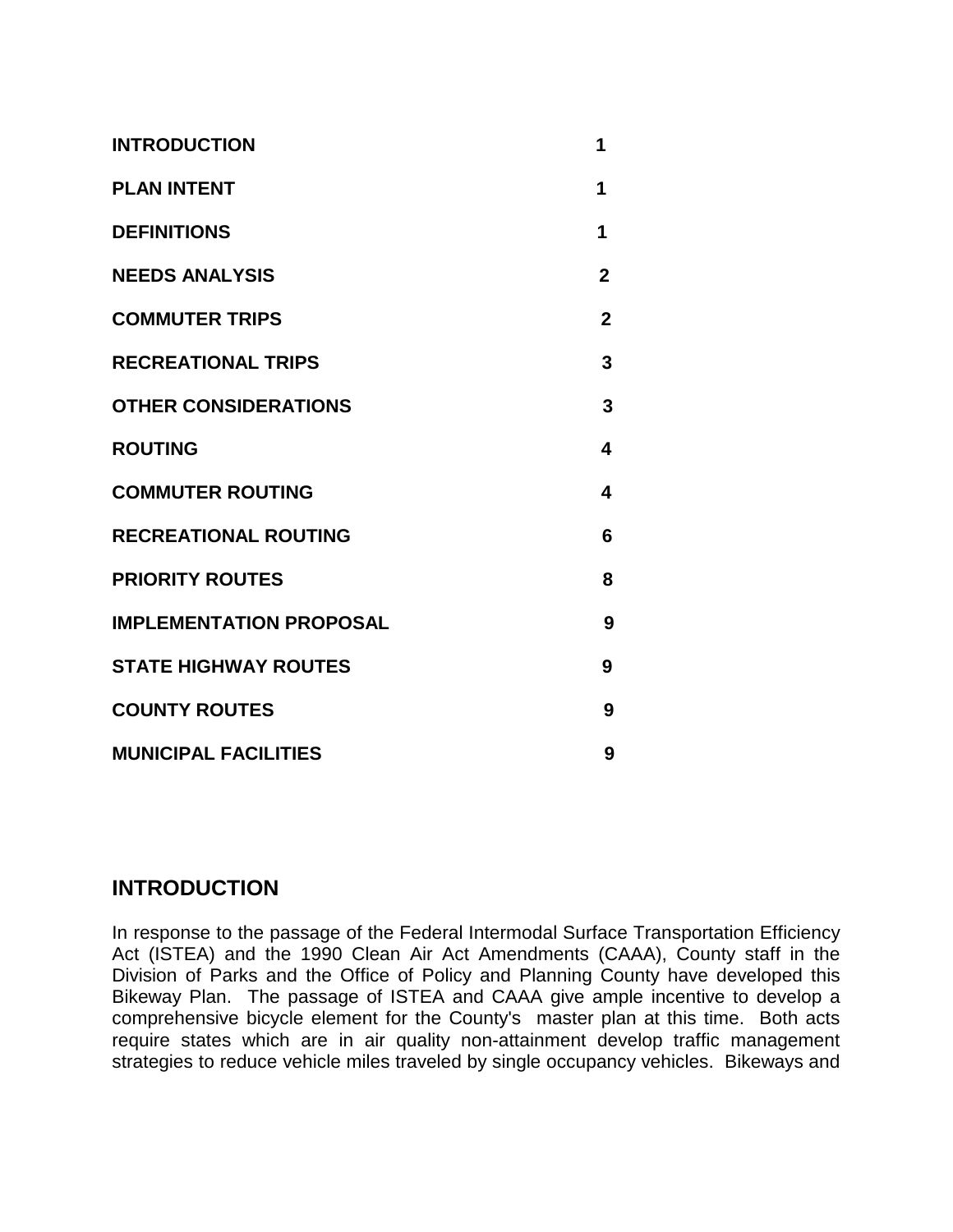| <b>INTRODUCTION</b>            | 1            |
|--------------------------------|--------------|
| <b>PLAN INTENT</b>             | 1            |
| <b>DEFINITIONS</b>             | 1            |
| <b>NEEDS ANALYSIS</b>          | $\mathbf{2}$ |
| <b>COMMUTER TRIPS</b>          | $\mathbf{2}$ |
| <b>RECREATIONAL TRIPS</b>      | 3            |
| <b>OTHER CONSIDERATIONS</b>    | 3            |
| <b>ROUTING</b>                 | 4            |
| <b>COMMUTER ROUTING</b>        | 4            |
| <b>RECREATIONAL ROUTING</b>    | 6            |
| <b>PRIORITY ROUTES</b>         | 8            |
| <b>IMPLEMENTATION PROPOSAL</b> | 9            |
| <b>STATE HIGHWAY ROUTES</b>    | 9            |
| <b>COUNTY ROUTES</b>           | 9            |
| <b>MUNICIPAL FACILITIES</b>    | 9            |

# **INTRODUCTION**

In response to the passage of the Federal Intermodal Surface Transportation Efficiency Act (ISTEA) and the 1990 Clean Air Act Amendments (CAAA), County staff in the Division of Parks and the Office of Policy and Planning County have developed this Bikeway Plan. The passage of ISTEA and CAAA give ample incentive to develop a comprehensive bicycle element for the County's master plan at this time. Both acts require states which are in air quality non-attainment develop traffic management strategies to reduce vehicle miles traveled by single occupancy vehicles. Bikeways and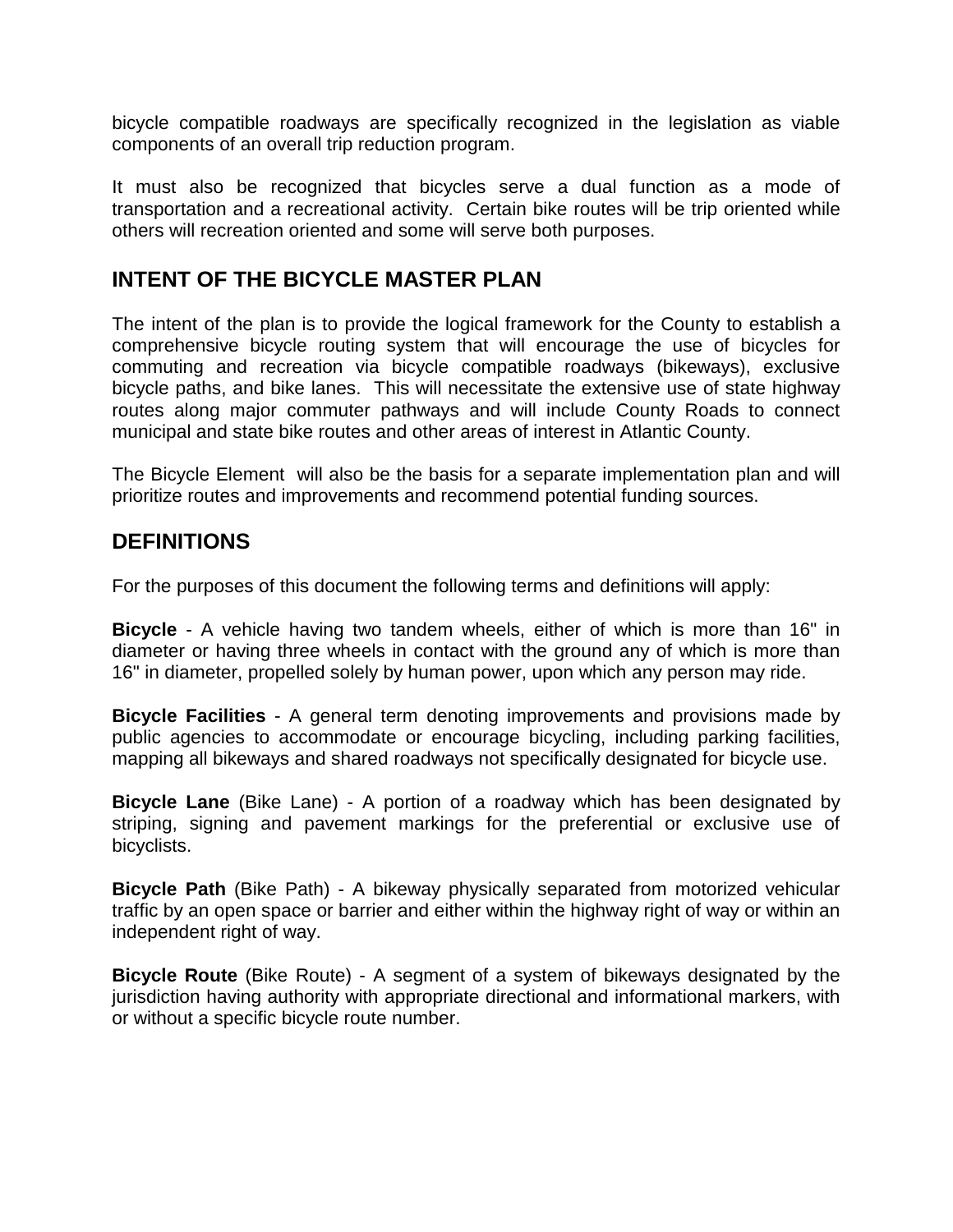bicycle compatible roadways are specifically recognized in the legislation as viable components of an overall trip reduction program.

It must also be recognized that bicycles serve a dual function as a mode of transportation and a recreational activity. Certain bike routes will be trip oriented while others will recreation oriented and some will serve both purposes.

### **INTENT OF THE BICYCLE MASTER PLAN**

The intent of the plan is to provide the logical framework for the County to establish a comprehensive bicycle routing system that will encourage the use of bicycles for commuting and recreation via bicycle compatible roadways (bikeways), exclusive bicycle paths, and bike lanes. This will necessitate the extensive use of state highway routes along major commuter pathways and will include County Roads to connect municipal and state bike routes and other areas of interest in Atlantic County.

The Bicycle Element will also be the basis for a separate implementation plan and will prioritize routes and improvements and recommend potential funding sources.

### **DEFINITIONS**

For the purposes of this document the following terms and definitions will apply:

**Bicycle** - A vehicle having two tandem wheels, either of which is more than 16" in diameter or having three wheels in contact with the ground any of which is more than 16" in diameter, propelled solely by human power, upon which any person may ride.

**Bicycle Facilities** - A general term denoting improvements and provisions made by public agencies to accommodate or encourage bicycling, including parking facilities, mapping all bikeways and shared roadways not specifically designated for bicycle use.

**Bicycle Lane** (Bike Lane) - A portion of a roadway which has been designated by striping, signing and pavement markings for the preferential or exclusive use of bicyclists.

**Bicycle Path** (Bike Path) - A bikeway physically separated from motorized vehicular traffic by an open space or barrier and either within the highway right of way or within an independent right of way.

**Bicycle Route** (Bike Route) - A segment of a system of bikeways designated by the jurisdiction having authority with appropriate directional and informational markers, with or without a specific bicycle route number.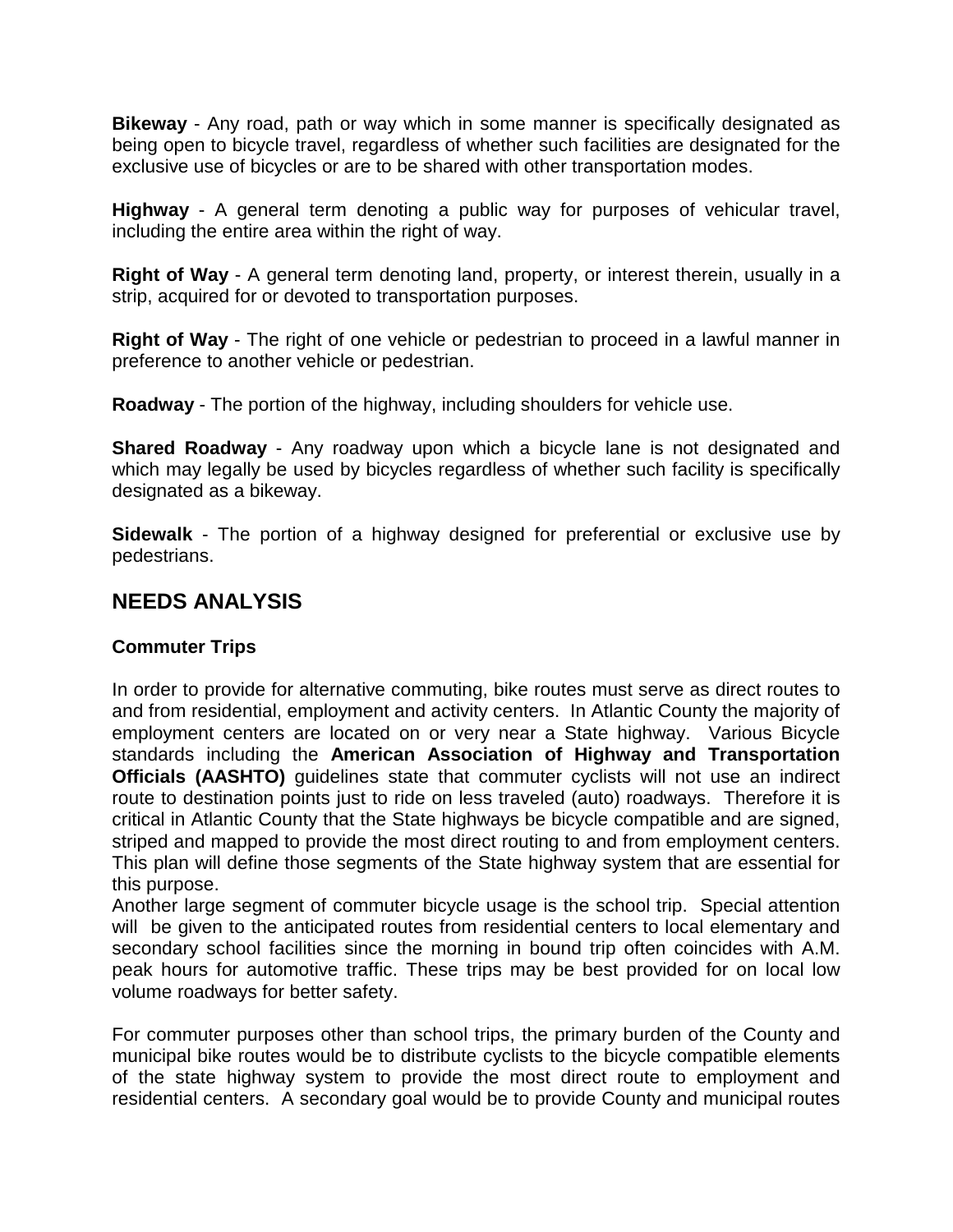**Bikeway** - Any road, path or way which in some manner is specifically designated as being open to bicycle travel, regardless of whether such facilities are designated for the exclusive use of bicycles or are to be shared with other transportation modes.

**Highway** - A general term denoting a public way for purposes of vehicular travel, including the entire area within the right of way.

**Right of Way** - A general term denoting land, property, or interest therein, usually in a strip, acquired for or devoted to transportation purposes.

**Right of Way** - The right of one vehicle or pedestrian to proceed in a lawful manner in preference to another vehicle or pedestrian.

**Roadway** - The portion of the highway, including shoulders for vehicle use.

**Shared Roadway** - Any roadway upon which a bicycle lane is not designated and which may legally be used by bicycles regardless of whether such facility is specifically designated as a bikeway.

**Sidewalk** - The portion of a highway designed for preferential or exclusive use by pedestrians.

# **NEEDS ANALYSIS**

#### **Commuter Trips**

In order to provide for alternative commuting, bike routes must serve as direct routes to and from residential, employment and activity centers. In Atlantic County the majority of employment centers are located on or very near a State highway. Various Bicycle standards including the **American Association of Highway and Transportation Officials (AASHTO)** quidelines state that commuter cyclists will not use an indirect route to destination points just to ride on less traveled (auto) roadways. Therefore it is critical in Atlantic County that the State highways be bicycle compatible and are signed, striped and mapped to provide the most direct routing to and from employment centers. This plan will define those segments of the State highway system that are essential for this purpose.

Another large segment of commuter bicycle usage is the school trip. Special attention will be given to the anticipated routes from residential centers to local elementary and secondary school facilities since the morning in bound trip often coincides with A.M. peak hours for automotive traffic. These trips may be best provided for on local low volume roadways for better safety.

For commuter purposes other than school trips, the primary burden of the County and municipal bike routes would be to distribute cyclists to the bicycle compatible elements of the state highway system to provide the most direct route to employment and residential centers. A secondary goal would be to provide County and municipal routes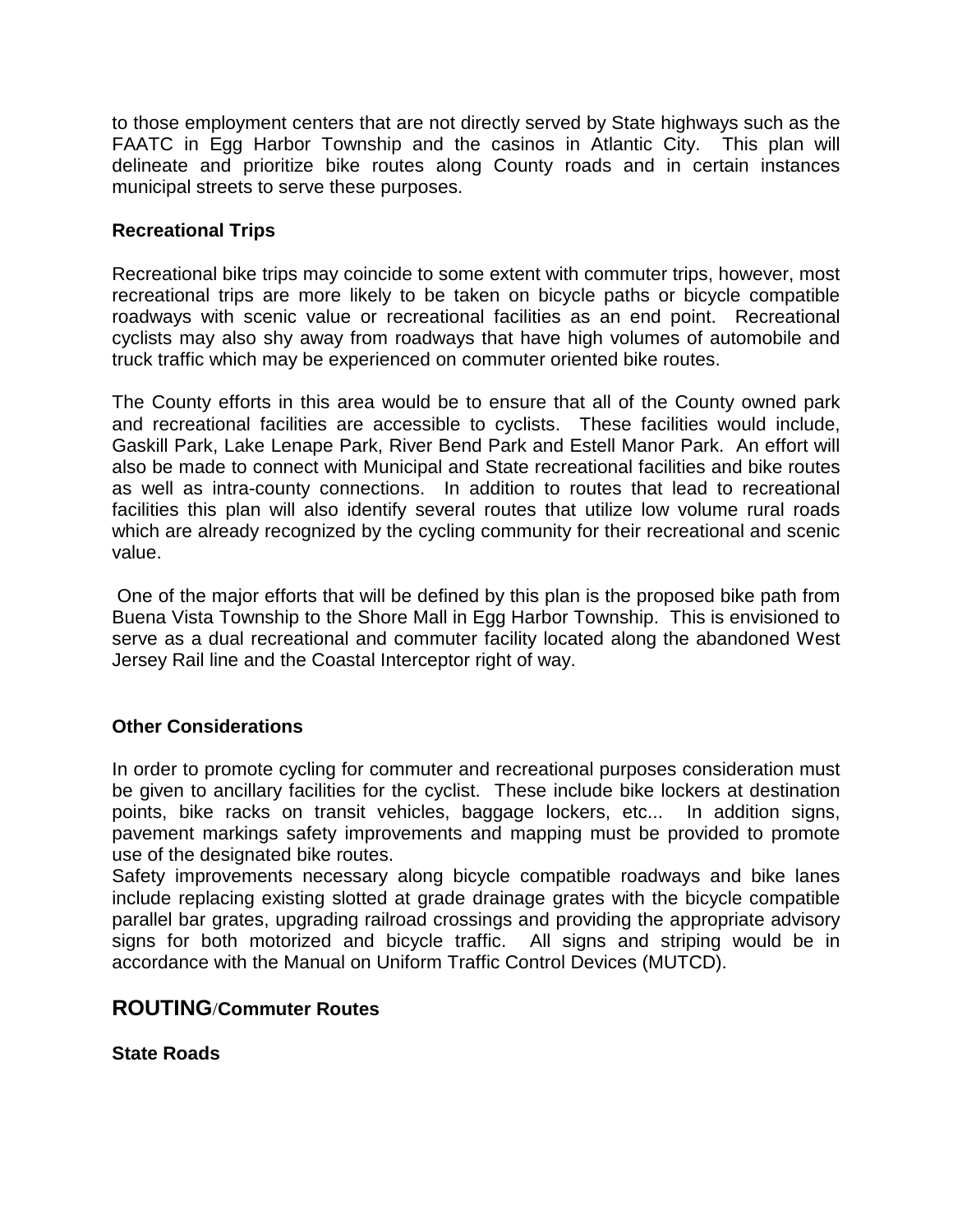to those employment centers that are not directly served by State highways such as the FAATC in Egg Harbor Township and the casinos in Atlantic City. This plan will delineate and prioritize bike routes along County roads and in certain instances municipal streets to serve these purposes.

#### **Recreational Trips**

Recreational bike trips may coincide to some extent with commuter trips, however, most recreational trips are more likely to be taken on bicycle paths or bicycle compatible roadways with scenic value or recreational facilities as an end point. Recreational cyclists may also shy away from roadways that have high volumes of automobile and truck traffic which may be experienced on commuter oriented bike routes.

The County efforts in this area would be to ensure that all of the County owned park and recreational facilities are accessible to cyclists. These facilities would include, Gaskill Park, Lake Lenape Park, River Bend Park and Estell Manor Park. An effort will also be made to connect with Municipal and State recreational facilities and bike routes as well as intra-county connections. In addition to routes that lead to recreational facilities this plan will also identify several routes that utilize low volume rural roads which are already recognized by the cycling community for their recreational and scenic value.

 One of the major efforts that will be defined by this plan is the proposed bike path from Buena Vista Township to the Shore Mall in Egg Harbor Township. This is envisioned to serve as a dual recreational and commuter facility located along the abandoned West Jersey Rail line and the Coastal Interceptor right of way.

#### **Other Considerations**

In order to promote cycling for commuter and recreational purposes consideration must be given to ancillary facilities for the cyclist. These include bike lockers at destination points, bike racks on transit vehicles, baggage lockers, etc... In addition signs, pavement markings safety improvements and mapping must be provided to promote use of the designated bike routes.

Safety improvements necessary along bicycle compatible roadways and bike lanes include replacing existing slotted at grade drainage grates with the bicycle compatible parallel bar grates, upgrading railroad crossings and providing the appropriate advisory signs for both motorized and bicycle traffic. All signs and striping would be in accordance with the Manual on Uniform Traffic Control Devices (MUTCD).

#### **ROUTING**/**Commuter Routes**

**State Roads**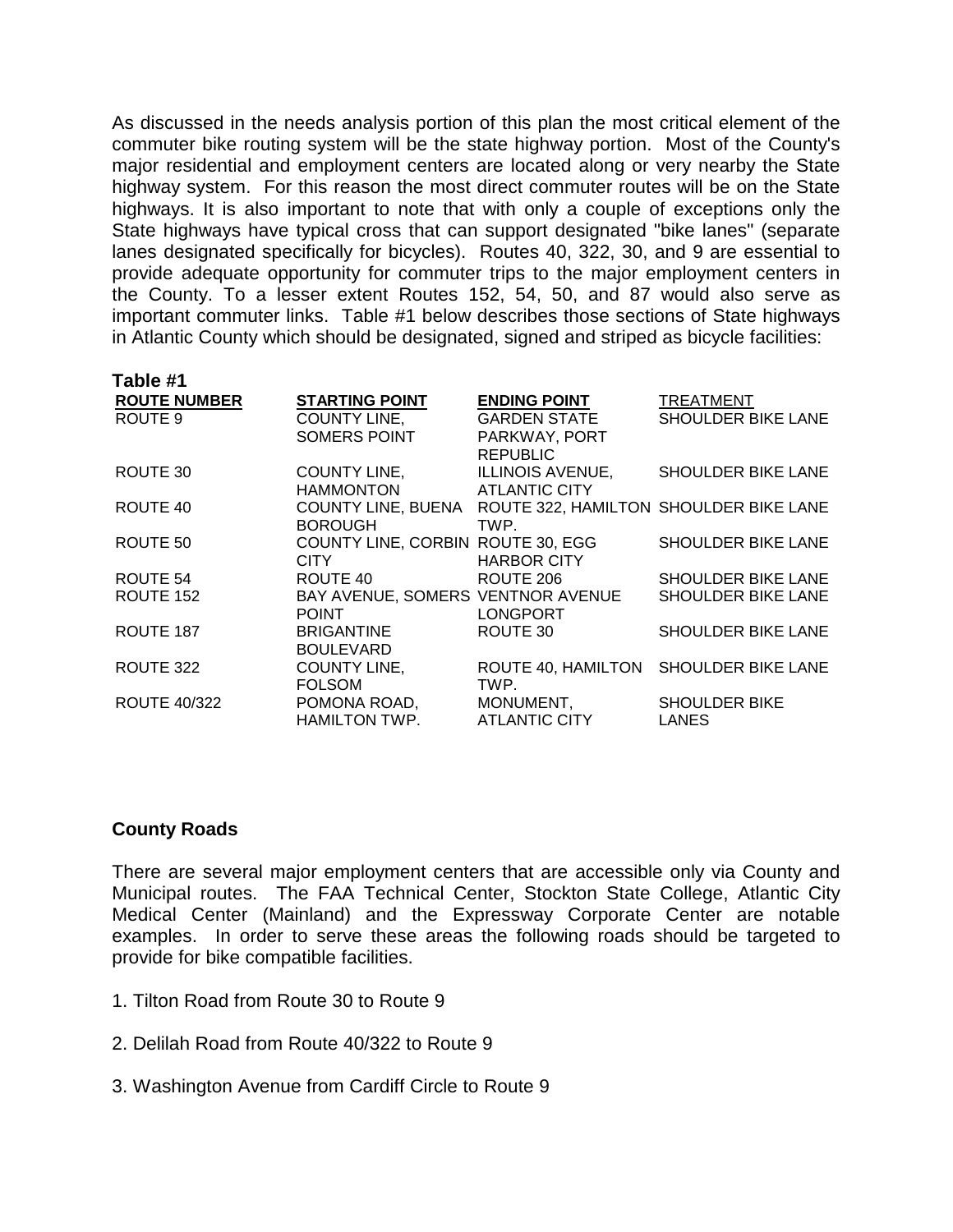As discussed in the needs analysis portion of this plan the most critical element of the commuter bike routing system will be the state highway portion. Most of the County's major residential and employment centers are located along or very nearby the State highway system. For this reason the most direct commuter routes will be on the State highways. It is also important to note that with only a couple of exceptions only the State highways have typical cross that can support designated "bike lanes" (separate lanes designated specifically for bicycles). Routes 40, 322, 30, and 9 are essential to provide adequate opportunity for commuter trips to the major employment centers in the County. To a lesser extent Routes 152, 54, 50, and 87 would also serve as important commuter links. Table #1 below describes those sections of State highways in Atlantic County which should be designated, signed and striped as bicycle facilities:

| Table #1            |                                   |                                        |                           |
|---------------------|-----------------------------------|----------------------------------------|---------------------------|
| <b>ROUTE NUMBER</b> | <b>STARTING POINT</b>             | <b>ENDING POINT</b>                    | TREATMENT                 |
| ROUTE 9             | <b>COUNTY LINE,</b>               | GARDEN STATE                           | SHOULDER BIKE LANE        |
|                     | SOMERS POINT                      | PARKWAY, PORT                          |                           |
|                     |                                   | <b>REPUBLIC</b>                        |                           |
| ROUTE 30            | COUNTY LINE,                      | <b>ILLINOIS AVENUE,</b>                | SHOULDER BIKE LANE        |
|                     | <b>HAMMONTON</b>                  | <b>ATLANTIC CITY</b>                   |                           |
| ROUTE 40            | <b>COUNTY LINE, BUENA</b>         | ROUTE 322, HAMILTON SHOULDER BIKE LANE |                           |
|                     | <b>BOROUGH</b>                    | TWP.                                   |                           |
| ROUTE 50            | COUNTY LINE, CORBIN ROUTE 30, EGG |                                        | <b>SHOULDER BIKE LANE</b> |
|                     | CITY.                             | <b>HARBOR CITY</b>                     |                           |
| ROUTE 54            | ROUTE 40                          | ROUTE 206                              | <b>SHOULDER BIKE LANE</b> |
| ROUTE 152           | BAY AVENUE, SOMERS VENTNOR AVENUE |                                        | <b>SHOULDER BIKE LANE</b> |
|                     | <b>POINT</b>                      | <b>LONGPORT</b>                        |                           |
| ROUTE 187           | BRIGANTINE                        | ROUTE 30                               | <b>SHOULDER BIKE LANE</b> |
|                     | <b>BOULEVARD</b>                  |                                        |                           |
| ROUTE 322           | <b>COUNTY LINE,</b>               | ROUTE 40, HAMILTON                     | <b>SHOULDER BIKE LANE</b> |
|                     | <b>FOLSOM</b>                     | TWP.                                   |                           |
| <b>ROUTE 40/322</b> | POMONA ROAD,                      | MONUMENT,                              | <b>SHOULDER BIKE</b>      |
|                     | HAMILTON TWP.                     | ATLANTIC CITY                          | <b>LANES</b>              |
|                     |                                   |                                        |                           |

#### **County Roads**

There are several major employment centers that are accessible only via County and Municipal routes. The FAA Technical Center, Stockton State College, Atlantic City Medical Center (Mainland) and the Expressway Corporate Center are notable examples. In order to serve these areas the following roads should be targeted to provide for bike compatible facilities.

- 1. Tilton Road from Route 30 to Route 9
- 2. Delilah Road from Route 40/322 to Route 9
- 3. Washington Avenue from Cardiff Circle to Route 9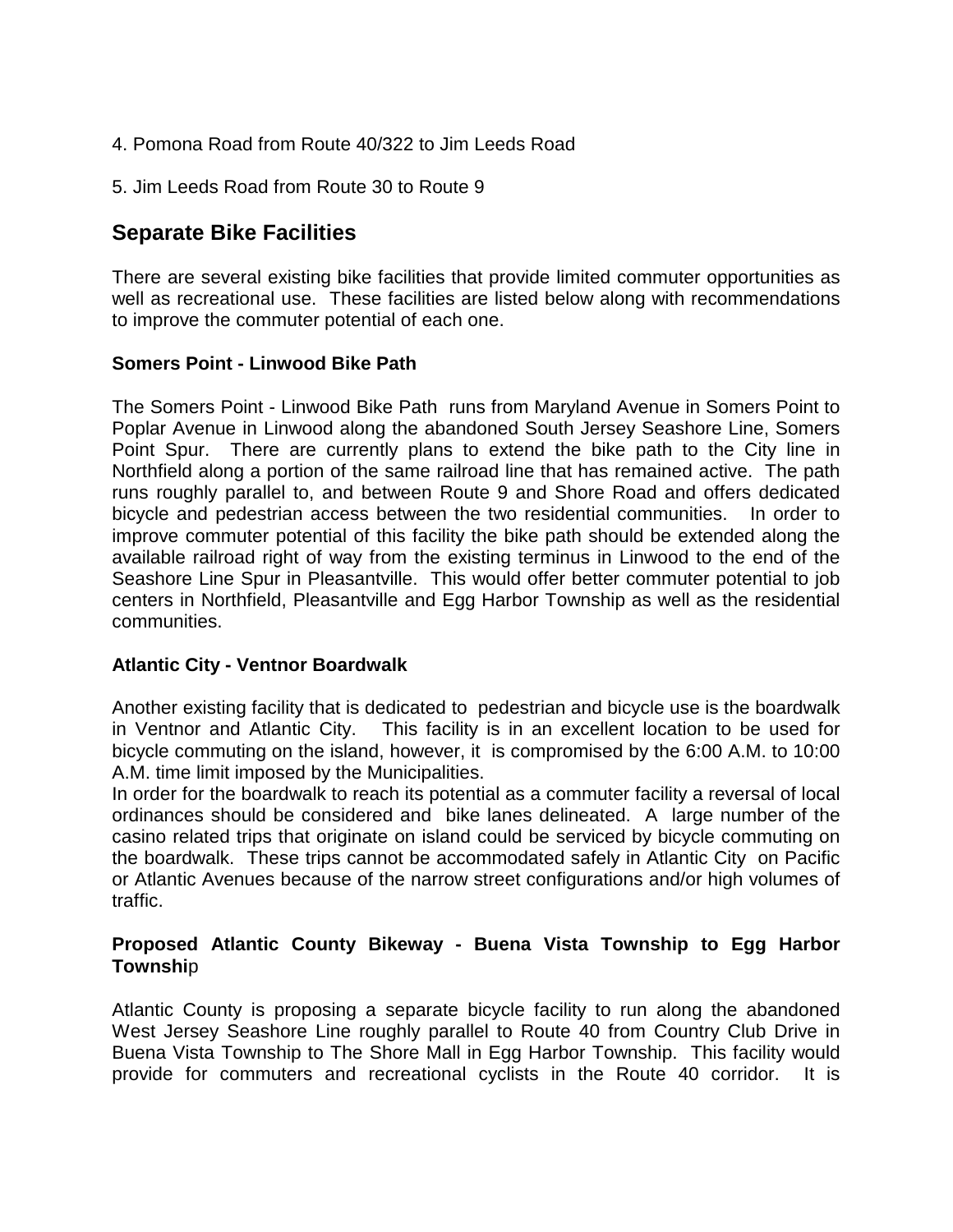- 4. Pomona Road from Route 40/322 to Jim Leeds Road
- 5. Jim Leeds Road from Route 30 to Route 9

# **Separate Bike Facilities**

There are several existing bike facilities that provide limited commuter opportunities as well as recreational use. These facilities are listed below along with recommendations to improve the commuter potential of each one.

#### **Somers Point - Linwood Bike Path**

The Somers Point - Linwood Bike Path runs from Maryland Avenue in Somers Point to Poplar Avenue in Linwood along the abandoned South Jersey Seashore Line, Somers Point Spur. There are currently plans to extend the bike path to the City line in Northfield along a portion of the same railroad line that has remained active. The path runs roughly parallel to, and between Route 9 and Shore Road and offers dedicated bicycle and pedestrian access between the two residential communities. In order to improve commuter potential of this facility the bike path should be extended along the available railroad right of way from the existing terminus in Linwood to the end of the Seashore Line Spur in Pleasantville. This would offer better commuter potential to job centers in Northfield, Pleasantville and Egg Harbor Township as well as the residential communities.

#### **Atlantic City - Ventnor Boardwalk**

Another existing facility that is dedicated to pedestrian and bicycle use is the boardwalk in Ventnor and Atlantic City. This facility is in an excellent location to be used for bicycle commuting on the island, however, it is compromised by the 6:00 A.M. to 10:00 A.M. time limit imposed by the Municipalities.

In order for the boardwalk to reach its potential as a commuter facility a reversal of local ordinances should be considered and bike lanes delineated. A large number of the casino related trips that originate on island could be serviced by bicycle commuting on the boardwalk. These trips cannot be accommodated safely in Atlantic City on Pacific or Atlantic Avenues because of the narrow street configurations and/or high volumes of traffic.

#### **Proposed Atlantic County Bikeway - Buena Vista Township to Egg Harbor Townshi**p

Atlantic County is proposing a separate bicycle facility to run along the abandoned West Jersey Seashore Line roughly parallel to Route 40 from Country Club Drive in Buena Vista Township to The Shore Mall in Egg Harbor Township. This facility would provide for commuters and recreational cyclists in the Route 40 corridor. It is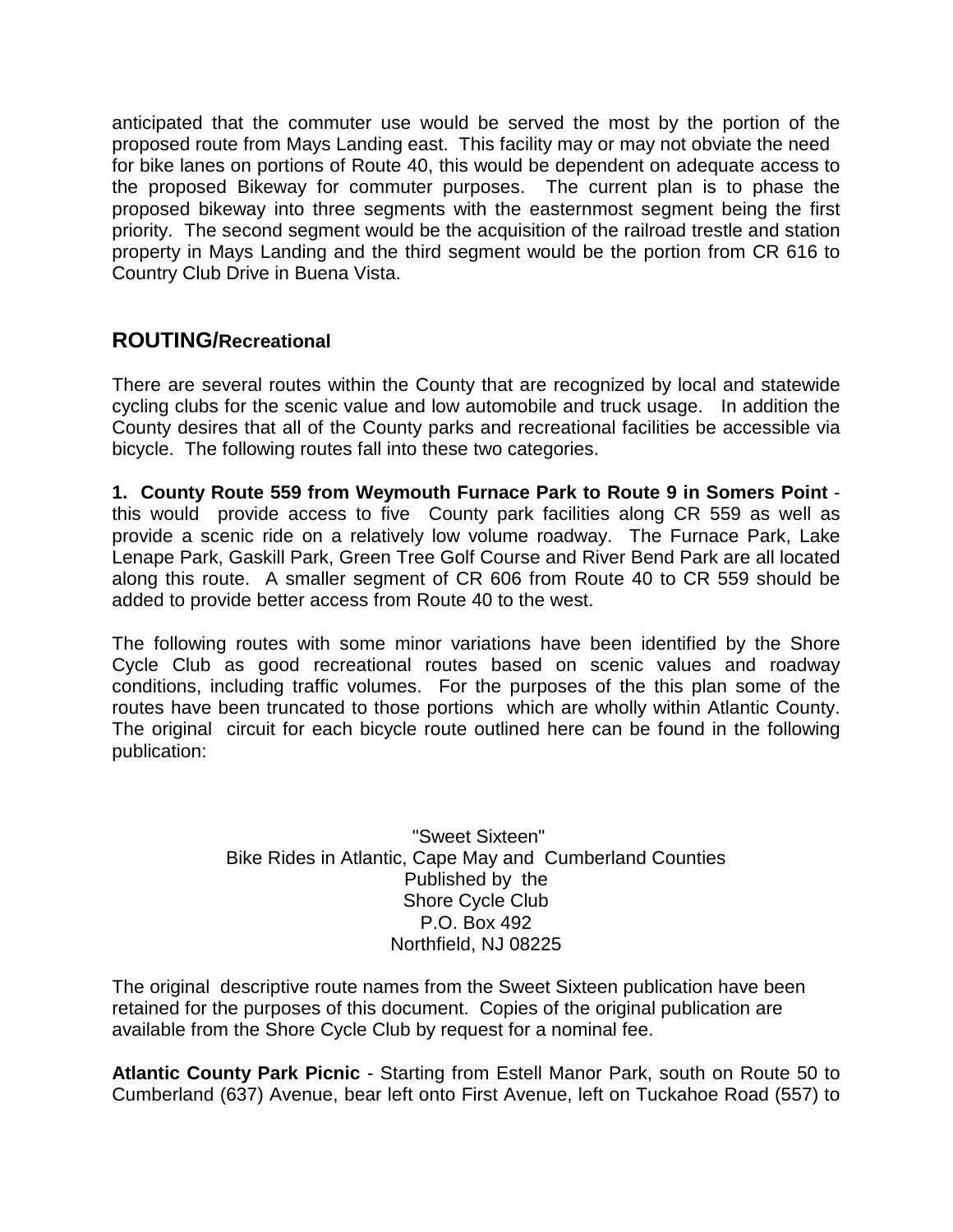anticipated that the commuter use would be served the most by the portion of the proposed route from Mays Landing east. This facility may or may not obviate the need for bike lanes on portions of Route 40, this would be dependent on adequate access to the proposed Bikeway for commuter purposes. The current plan is to phase the proposed bikeway into three segments with the easternmost segment being the first priority. The second segment would be the acquisition of the railroad trestle and station property in Mays Landing and the third segment would be the portion from CR 616 to Country Club Drive in Buena Vista.

### **ROUTING/Recreational**

There are several routes within the County that are recognized by local and statewide cycling clubs for the scenic value and low automobile and truck usage. In addition the County desires that all of the County parks and recreational facilities be accessible via bicycle. The following routes fall into these two categories.

**1. County Route 559 from Weymouth Furnace Park to Route 9 in Somers Point**  this would provide access to five County park facilities along CR 559 as well as provide a scenic ride on a relatively low volume roadway. The Furnace Park, Lake Lenape Park, Gaskill Park, Green Tree Golf Course and River Bend Park are all located along this route. A smaller segment of CR 606 from Route 40 to CR 559 should be added to provide better access from Route 40 to the west.

The following routes with some minor variations have been identified by the Shore Cycle Club as good recreational routes based on scenic values and roadway conditions, including traffic volumes. For the purposes of the this plan some of the routes have been truncated to those portions which are wholly within Atlantic County. The original circuit for each bicycle route outlined here can be found in the following publication:

> "Sweet Sixteen" Bike Rides in Atlantic, Cape May and Cumberland Counties Published by the Shore Cycle Club P.O. Box 492 Northfield, NJ 08225

The original descriptive route names from the Sweet Sixteen publication have been retained for the purposes of this document. Copies of the original publication are available from the Shore Cycle Club by request for a nominal fee.

**Atlantic County Park Picnic** - Starting from Estell Manor Park, south on Route 50 to Cumberland (637) Avenue, bear left onto First Avenue, left on Tuckahoe Road (557) to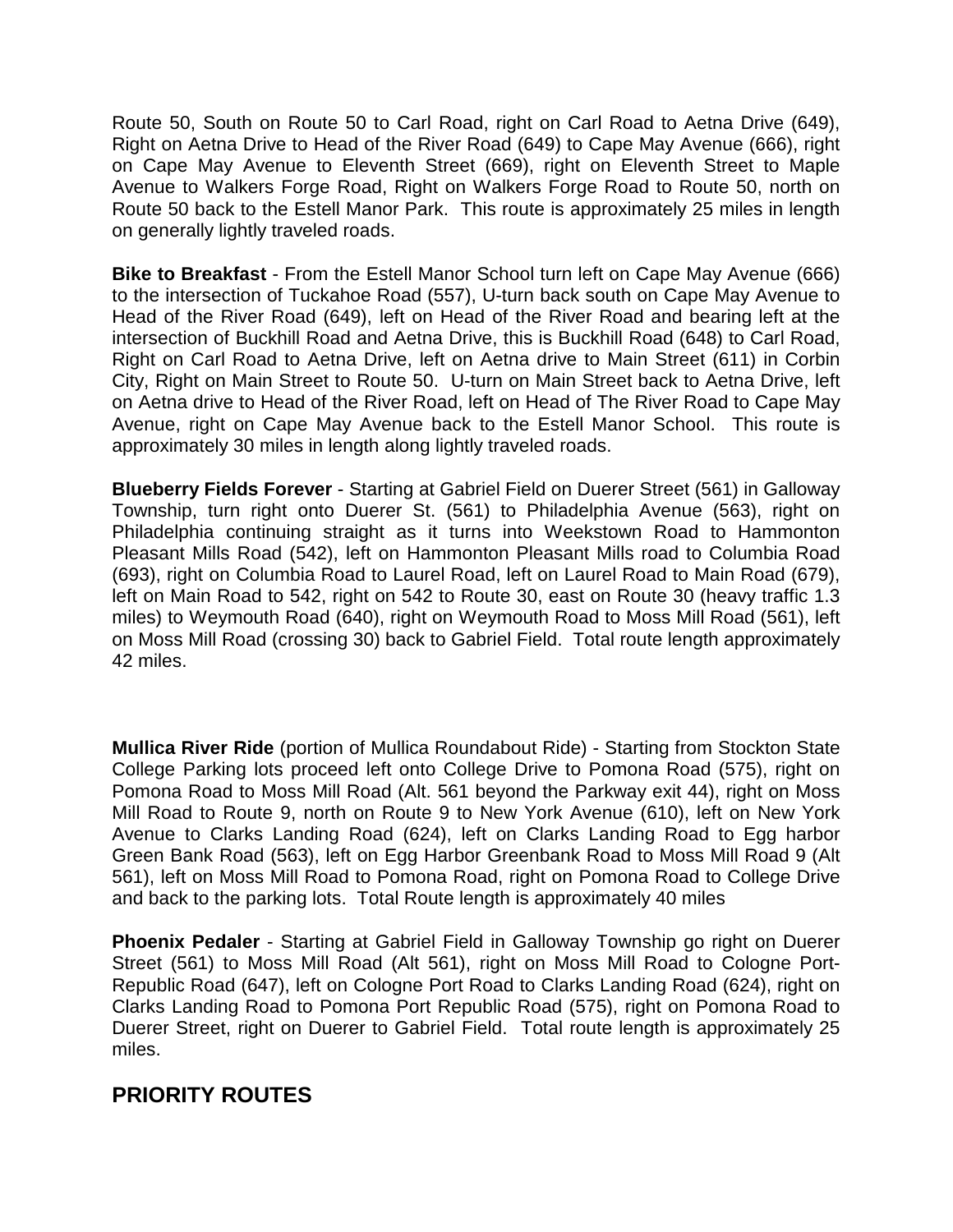Route 50, South on Route 50 to Carl Road, right on Carl Road to Aetna Drive (649), Right on Aetna Drive to Head of the River Road (649) to Cape May Avenue (666), right on Cape May Avenue to Eleventh Street (669), right on Eleventh Street to Maple Avenue to Walkers Forge Road, Right on Walkers Forge Road to Route 50, north on Route 50 back to the Estell Manor Park. This route is approximately 25 miles in length on generally lightly traveled roads.

**Bike to Breakfast** - From the Estell Manor School turn left on Cape May Avenue (666) to the intersection of Tuckahoe Road (557), U-turn back south on Cape May Avenue to Head of the River Road (649), left on Head of the River Road and bearing left at the intersection of Buckhill Road and Aetna Drive, this is Buckhill Road (648) to Carl Road, Right on Carl Road to Aetna Drive, left on Aetna drive to Main Street (611) in Corbin City, Right on Main Street to Route 50. U-turn on Main Street back to Aetna Drive, left on Aetna drive to Head of the River Road, left on Head of The River Road to Cape May Avenue, right on Cape May Avenue back to the Estell Manor School. This route is approximately 30 miles in length along lightly traveled roads.

**Blueberry Fields Forever** - Starting at Gabriel Field on Duerer Street (561) in Galloway Township, turn right onto Duerer St. (561) to Philadelphia Avenue (563), right on Philadelphia continuing straight as it turns into Weekstown Road to Hammonton Pleasant Mills Road (542), left on Hammonton Pleasant Mills road to Columbia Road (693), right on Columbia Road to Laurel Road, left on Laurel Road to Main Road (679), left on Main Road to 542, right on 542 to Route 30, east on Route 30 (heavy traffic 1.3 miles) to Weymouth Road (640), right on Weymouth Road to Moss Mill Road (561), left on Moss Mill Road (crossing 30) back to Gabriel Field. Total route length approximately 42 miles.

**Mullica River Ride** (portion of Mullica Roundabout Ride) - Starting from Stockton State College Parking lots proceed left onto College Drive to Pomona Road (575), right on Pomona Road to Moss Mill Road (Alt. 561 beyond the Parkway exit 44), right on Moss Mill Road to Route 9, north on Route 9 to New York Avenue (610), left on New York Avenue to Clarks Landing Road (624), left on Clarks Landing Road to Egg harbor Green Bank Road (563), left on Egg Harbor Greenbank Road to Moss Mill Road 9 (Alt 561), left on Moss Mill Road to Pomona Road, right on Pomona Road to College Drive and back to the parking lots. Total Route length is approximately 40 miles

**Phoenix Pedaler** - Starting at Gabriel Field in Galloway Township go right on Duerer Street (561) to Moss Mill Road (Alt 561), right on Moss Mill Road to Cologne Port-Republic Road (647), left on Cologne Port Road to Clarks Landing Road (624), right on Clarks Landing Road to Pomona Port Republic Road (575), right on Pomona Road to Duerer Street, right on Duerer to Gabriel Field. Total route length is approximately 25 miles.

# **PRIORITY ROUTES**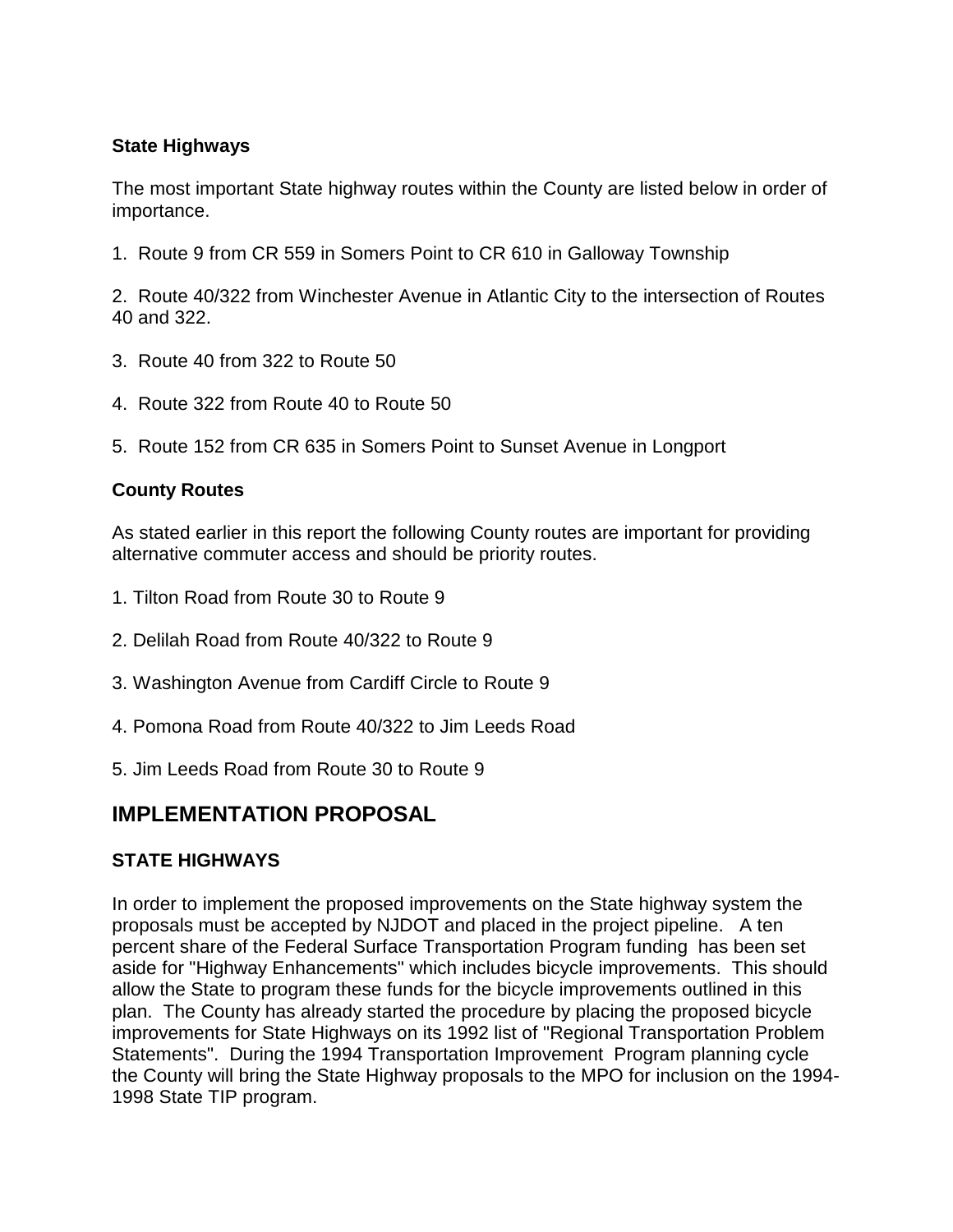#### **State Highways**

The most important State highway routes within the County are listed below in order of importance.

1. Route 9 from CR 559 in Somers Point to CR 610 in Galloway Township

2. Route 40/322 from Winchester Avenue in Atlantic City to the intersection of Routes 40 and 322.

- 3. Route 40 from 322 to Route 50
- 4. Route 322 from Route 40 to Route 50
- 5. Route 152 from CR 635 in Somers Point to Sunset Avenue in Longport

#### **County Routes**

As stated earlier in this report the following County routes are important for providing alternative commuter access and should be priority routes.

- 1. Tilton Road from Route 30 to Route 9
- 2. Delilah Road from Route 40/322 to Route 9
- 3. Washington Avenue from Cardiff Circle to Route 9
- 4. Pomona Road from Route 40/322 to Jim Leeds Road
- 5. Jim Leeds Road from Route 30 to Route 9

### **IMPLEMENTATION PROPOSAL**

#### **STATE HIGHWAYS**

In order to implement the proposed improvements on the State highway system the proposals must be accepted by NJDOT and placed in the project pipeline. A ten percent share of the Federal Surface Transportation Program funding has been set aside for "Highway Enhancements" which includes bicycle improvements. This should allow the State to program these funds for the bicycle improvements outlined in this plan. The County has already started the procedure by placing the proposed bicycle improvements for State Highways on its 1992 list of "Regional Transportation Problem Statements". During the 1994 Transportation Improvement Program planning cycle the County will bring the State Highway proposals to the MPO for inclusion on the 1994- 1998 State TIP program.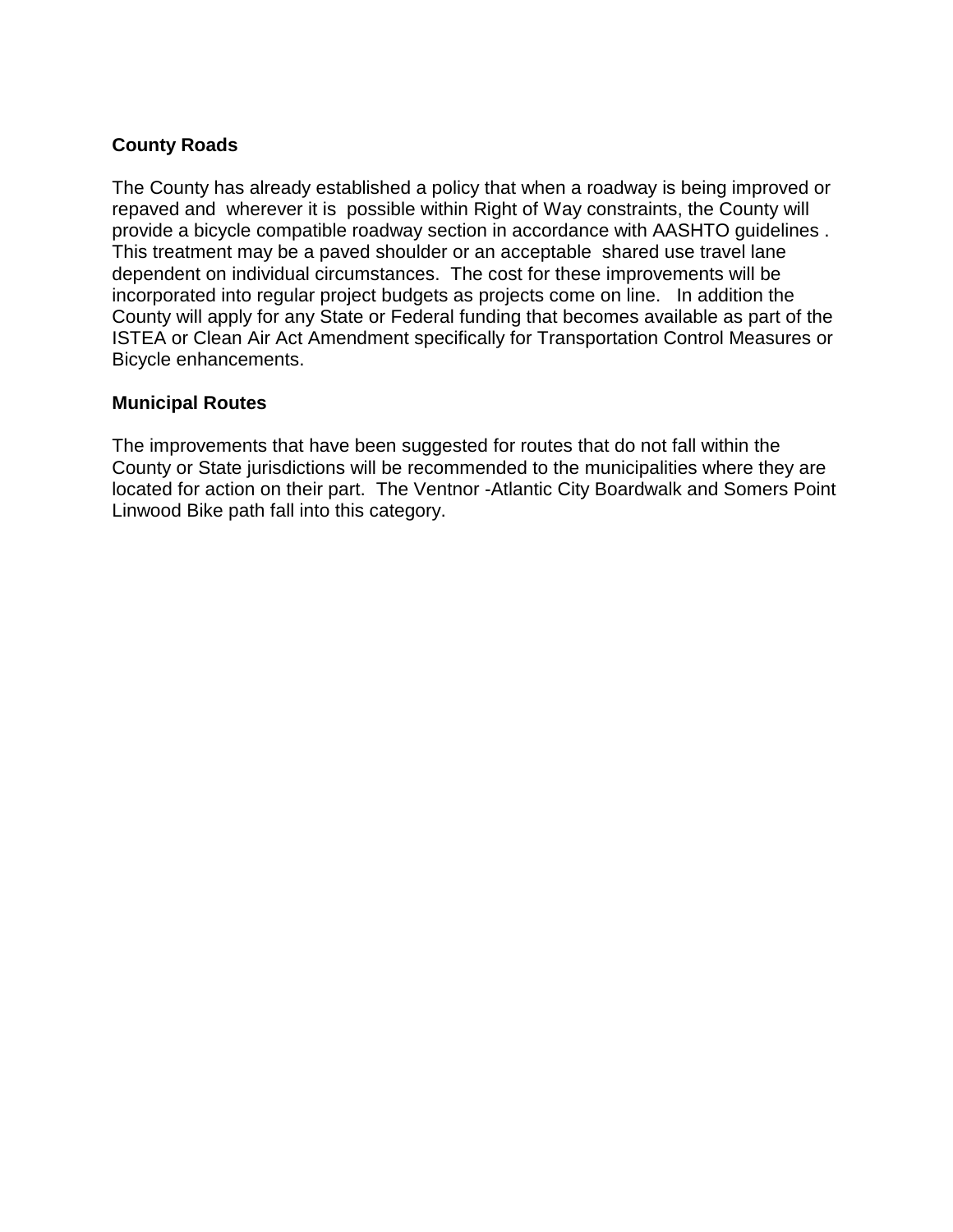#### **County Roads**

The County has already established a policy that when a roadway is being improved or repaved and wherever it is possible within Right of Way constraints, the County will provide a bicycle compatible roadway section in accordance with AASHTO guidelines . This treatment may be a paved shoulder or an acceptable shared use travel lane dependent on individual circumstances. The cost for these improvements will be incorporated into regular project budgets as projects come on line. In addition the County will apply for any State or Federal funding that becomes available as part of the ISTEA or Clean Air Act Amendment specifically for Transportation Control Measures or Bicycle enhancements.

#### **Municipal Routes**

The improvements that have been suggested for routes that do not fall within the County or State jurisdictions will be recommended to the municipalities where they are located for action on their part. The Ventnor -Atlantic City Boardwalk and Somers Point Linwood Bike path fall into this category.